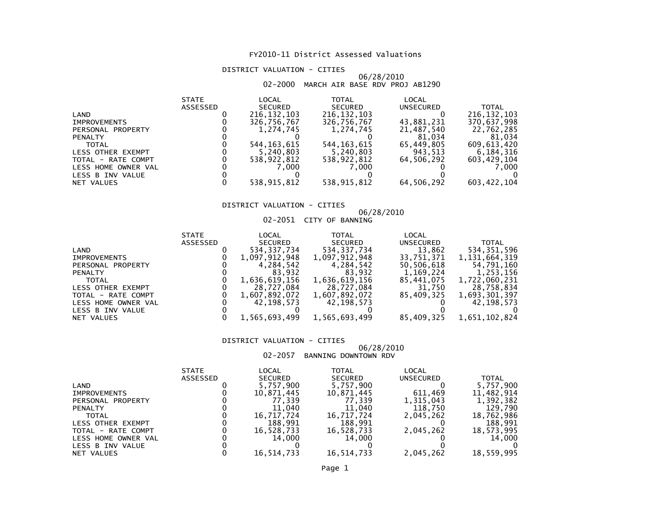# DISTRICT VALUATION - CITIES

# 06/28/2010 02-2000 MARCH AIR BASE RDV PROJ AB1290

| <b>STATE</b> | LOCAL          | <b>TOTAL</b>   | LOCAL      |               |
|--------------|----------------|----------------|------------|---------------|
| ASSESSED     | <b>SECURED</b> | <b>SECURED</b> | UNSECURED  | <b>TOTAL</b>  |
|              | 216, 132, 103  | 216, 132, 103  |            | 216, 132, 103 |
|              | 326,756,767    | 326,756,767    | 43,881,231 | 370,637,998   |
|              | 1.274.745      | 1,274,745      | 21,487,540 | 22,762,285    |
|              |                |                | 81,034     | 81,034        |
|              | 544.163.615    | 544, 163, 615  | 65.449.805 | 609,613,420   |
|              | 5,240,803      | 5,240,803      | 943,513    | 6,184,316     |
|              | 538,922,812    | 538,922,812    | 64.506.292 | 603,429,104   |
|              | 7.000          | 7.000          |            | 7.000         |
|              |                |                |            |               |
|              | 538,915,812    | 538,915,812    | 64,506,292 | 603, 422, 104 |
|              |                |                |            |               |

# DISTRICT VALUATION - CITIES

# 06/28/201002-2051 CITY OF BANNING

|                     | <b>STATE</b>    | LOCAL          | TOTAL          | LOCAL      |                  |
|---------------------|-----------------|----------------|----------------|------------|------------------|
|                     | <b>ASSESSED</b> | <b>SECURED</b> | <b>SECURED</b> | UNSECURED  | <b>TOTAL</b>     |
| LAND                |                 | 534, 337, 734  | 534, 337, 734  | 13,862     | 534,351,596      |
| <b>IMPROVEMENTS</b> |                 | 1,097,912,948  | 1,097,912,948  | 33,751,371 | 1, 131, 664, 319 |
| PERSONAL PROPERTY   |                 | 4,284,542      | 4,284,542      | 50,506,618 | 54,791,160       |
| <b>PENALTY</b>      |                 | 83.932         | 83.932         | 1,169,224  | 1,253,156        |
| <b>TOTAL</b>        |                 | 1,636,619,156  | 1,636,619,156  | 85,441,075 | 1,722,060,231    |
| LESS OTHER EXEMPT   |                 | 28,727,084     | 28,727,084     | 31,750     | 28,758,834       |
| TOTAL - RATE COMPT  |                 | 1,607,892,072  | 1,607,892,072  | 85.409.325 | 1,693,301,397    |
| LESS HOME OWNER VAL |                 | 42,198,573     | 42,198,573     |            | 42.198.573       |
| LESS B INV VALUE    |                 |                |                |            |                  |
| NET VALUES          |                 | 1,565,693,499  | 1,565,693,499  | 85,409,325 | 1,651,102,824    |
|                     |                 |                |                |            |                  |

### DISTRICT VALUATION - CITIES

# 06/28/201002-2057 BANNING DOWNTOWN RDV

|                          | <b>STATE</b>    | LOCAL          | TOTAL          | LOCAL     |            |
|--------------------------|-----------------|----------------|----------------|-----------|------------|
|                          | <b>ASSESSED</b> | <b>SECURED</b> | <b>SECURED</b> | UNSECURED | TOTAL      |
| LAND                     |                 | 5,757,900      | 5,757,900      |           | 5,757,900  |
| <b>IMPROVEMENTS</b>      |                 | 10,871,445     | 10,871,445     | 611.469   | 11,482,914 |
| PERSONAL PROPERTY        |                 | 77.339         | 77.339         | 1,315,043 | 1,392,382  |
| <b>PENALTY</b>           |                 | 11.040         | 11,040         | 118,750   | 129,790    |
| TOTAL                    |                 | 16.717.724     | 16,717,724     | 2,045,262 | 18,762,986 |
| <b>LESS OTHER EXEMPT</b> |                 | 188.991        | 188,991        |           | 188,991    |
| TOTAL - RATE COMPT       |                 | 16,528,733     | 16,528,733     | 2,045,262 | 18,573,995 |
| LESS HOME OWNER VAL      |                 | 14.000         | 14.000         |           | 14,000     |
| LESS B INV VALUE         |                 |                |                |           |            |
| NET VALUES               |                 | 16,514,733     | 16,514,733     | 2,045,262 | 18.559.995 |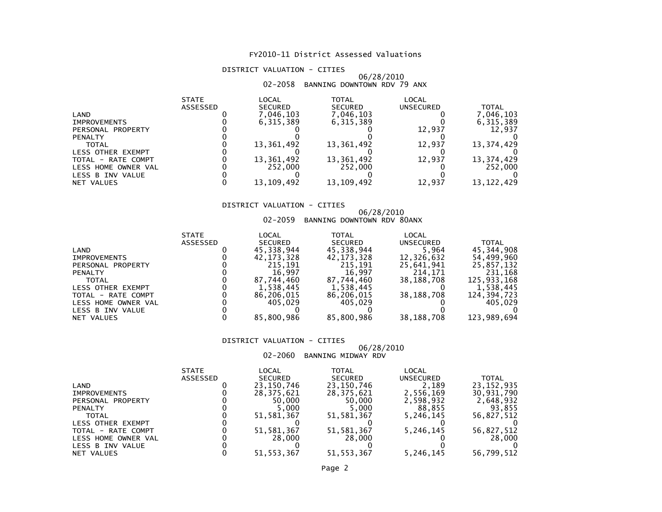# DISTRICT VALUATION - CITIES

# 06/28/2010 02-2058 BANNING DOWNTOWN RDV 79 ANX

|                     | <b>STATE</b>    | LOCAL          | <b>TOTAL</b>   | LOCAL            |              |
|---------------------|-----------------|----------------|----------------|------------------|--------------|
|                     | <b>ASSESSED</b> | <b>SECURED</b> | <b>SECURED</b> | <b>UNSECURED</b> | <b>TOTAL</b> |
| LAND                |                 | 7,046,103      | 7,046,103      |                  | 7,046,103    |
| <b>IMPROVEMENTS</b> |                 | 6,315,389      | 6,315,389      |                  | 6,315,389    |
| PERSONAL PROPERTY   |                 |                |                | 12,937           | 12,937       |
| <b>PENALTY</b>      |                 |                |                |                  |              |
| <b>TOTAL</b>        |                 | 13,361,492     | 13,361,492     | 12,937           | 13,374,429   |
| LESS OTHER EXEMPT   |                 |                |                |                  |              |
| TOTAL - RATE COMPT  |                 | 13,361,492     | 13,361,492     | 12,937           | 13,374,429   |
| LESS HOME OWNER VAL |                 | 252,000        | 252,000        |                  | 252,000      |
| LESS B INV VALUE    |                 |                |                |                  |              |
| NET VALUES          |                 | 13, 109, 492   | 13, 109, 492   | 12,937           | 13.122.429   |

# DISTRICT VALUATION - CITIES

# 06/28/2010 02-2059 BANNING DOWNTOWN RDV 80ANX

|                          | <b>STATE</b>    | LOCAL          | TOTAL          | LOCAL            |              |
|--------------------------|-----------------|----------------|----------------|------------------|--------------|
|                          | <b>ASSESSED</b> | <b>SECURED</b> | <b>SECURED</b> | <b>UNSECURED</b> | <b>TOTAL</b> |
| LAND                     |                 | 45,338,944     | 45,338,944     | 5.964            | 45,344,908   |
| <b>IMPROVEMENTS</b>      |                 | 42, 173, 328   | 42,173,328     | 12,326,632       | 54,499,960   |
| PERSONAL PROPERTY        |                 | 215.191        | 215.191        | 25,641,941       | 25,857,132   |
| <b>PENALTY</b>           |                 | 16.997         | 16,997         | 214,171          | 231.168      |
| <b>TOTAL</b>             |                 | 87,744,460     | 87,744,460     | 38,188,708       | 125,933,168  |
| <b>LESS OTHER EXEMPT</b> |                 | 1,538,445      | 1,538,445      |                  | 1,538,445    |
| TOTAL - RATE COMPT       |                 | 86,206,015     | 86,206,015     | 38,188,708       | 124,394,723  |
| LESS HOME OWNER VAL      |                 | 405.029        | 405.029        |                  | 405.029      |
| LESS B INV VALUE         |                 |                |                |                  |              |
| NET VALUES               |                 | 85,800,986     | 85,800,986     | 38,188,708       | 123,989,694  |

### DISTRICT VALUATION - CITIES

# 06/28/2010

02-2060 BANNING MIDWAY RDV

|                     | <b>STATE</b> | LOCAL          | TOTAL          | LOCAL            |              |
|---------------------|--------------|----------------|----------------|------------------|--------------|
|                     | ASSESSED     | <b>SECURED</b> | <b>SECURED</b> | <b>UNSECURED</b> | <b>TOTAL</b> |
| LAND                |              | 23,150,746     | 23,150,746     | 2.189            | 23, 152, 935 |
| <b>IMPROVEMENTS</b> |              | 28.375.621     | 28,375,621     | 2.556.169        | 30,931,790   |
| PERSONAL PROPERTY   |              | 50.000         | 50.000         | 2,598,932        | 2,648,932    |
| <b>PENALTY</b>      |              | 5.000          | 5.000          | 88.855           | 93.855       |
| <b>TOTAL</b>        |              | 51.581.367     | 51,581,367     | 5,246,145        | 56,827,512   |
| LESS OTHER EXEMPT   |              |                |                |                  |              |
| TOTAL - RATE COMPT  |              | 51, 581, 367   | 51,581,367     | 5,246,145        | 56,827,512   |
| LESS HOME OWNER VAL |              | 28,000         | 28,000         |                  | 28,000       |
| LESS B INV VALUE    |              |                |                |                  |              |
| NET VALUES          |              | 51, 553, 367   | 51, 553, 367   | 5,246,145        | 56,799,512   |
|                     |              |                |                |                  |              |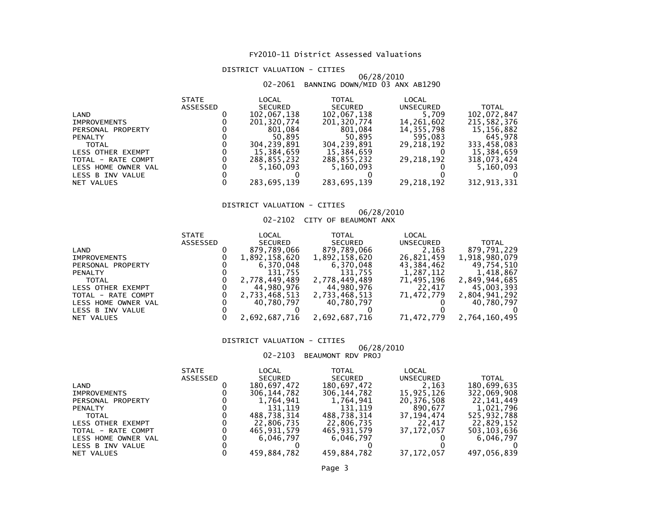# DISTRICT VALUATION - CITIES

# 06/28/2010 02-2061 BANNING DOWN/MID 03 ANX AB1290

| <b>STATE</b>    | LOCAL          | <b>TOTAL</b>             | LOCAL        |              |
|-----------------|----------------|--------------------------|--------------|--------------|
| <b>ASSESSED</b> | <b>SECURED</b> | <b>SECURED</b>           | UNSECURED    | <b>TOTAL</b> |
|                 | 102,067,138    | 102,067,138              | 5,709        | 102,072,847  |
|                 | 201.320.774    | 201,320,774              | 14,261,602   | 215,582,376  |
|                 | 801,084        | 801.084                  | 14, 355, 798 | 15,156,882   |
|                 | 50.895         | 50.895                   | 595,083      | 645,978      |
|                 | 304.239.891    | 304,239,891              | 29.218.192   | 333,458,083  |
|                 | 15,384,659     | 15,384,659               |              | 15,384,659   |
|                 | 288,855,232    | 288,855,232              | 29,218,192   | 318,073,424  |
|                 |                | 5,160,093                |              | 5,160,093    |
|                 |                |                          |              |              |
|                 |                |                          |              | 312,913,331  |
|                 |                | 5.160.093<br>283,695,139 | 283,695,139  | 29, 218, 192 |

# DISTRICT VALUATION - CITIES

# 06/28/2010 02-2102 CITY OF BEAUMONT ANX

|                     | <b>STATE</b> | LOCAL          | TOTAL          | LOCAL      |               |
|---------------------|--------------|----------------|----------------|------------|---------------|
|                     | ASSESSED     | <b>SECURED</b> | <b>SECURED</b> | UNSECURED  | <b>TOTAL</b>  |
| LAND                |              | 879,789,066    | 879,789,066    | 2,163      | 879,791,229   |
| <b>IMPROVEMENTS</b> |              | 1,892,158,620  | 1,892,158,620  | 26,821,459 | 1,918,980,079 |
| PERSONAL PROPERTY   |              | 6,370,048      | 6,370,048      | 43,384,462 | 49,754,510    |
| <b>PENALTY</b>      |              | 131.755        | 131.755        | 1,287,112  | 1,418,867     |
| <b>TOTAL</b>        |              | 2,778,449,489  | 2,778,449,489  | 71,495,196 | 2,849,944,685 |
| LESS OTHER EXEMPT   |              | 44,980,976     | 44,980,976     | 22.417     | 45,003,393    |
| TOTAL - RATE COMPT  |              | 2,733,468,513  | 2,733,468,513  | 71.472.779 | 2,804,941,292 |
| LESS HOME OWNER VAL |              | 40,780,797     | 40,780,797     |            | 40,780,797    |
| LESS B INV VALUE    |              |                |                |            |               |
| NET VALUES          |              | 2,692,687,716  | 2,692,687,716  | 71,472,779 | 2,764,160,495 |
|                     |              |                |                |            |               |

### DISTRICT VALUATION - CITIES

# 06/28/2010

# 02-2103 BEAUMONT RDV PROJ

|                     | <b>STATE</b>    | LOCAL          | TOTAL          | LOCAL            |             |
|---------------------|-----------------|----------------|----------------|------------------|-------------|
|                     | <b>ASSESSED</b> | <b>SECURED</b> | <b>SECURED</b> | <b>UNSECURED</b> | TOTAL       |
| LAND                |                 | 180,697,472    | 180,697,472    | 2,163            | 180,699,635 |
| <b>IMPROVEMENTS</b> |                 | 306,144,782    | 306, 144, 782  | 15,925,126       | 322,069,908 |
| PERSONAL PROPERTY   |                 | 1,764,941      | 1,764,941      | 20,376,508       | 22,141,449  |
| <b>PENALTY</b>      |                 | 131.119        | 131.119        | 890,677          | 1.021.796   |
| <b>TOTAL</b>        |                 | 488.738.314    | 488,738,314    | 37, 194, 474     | 525,932,788 |
| LESS OTHER EXEMPT   |                 | 22,806,735     | 22,806,735     | 22.417           | 22,829,152  |
| TOTAL - RATE COMPT  |                 | 465,931,579    | 465,931,579    | 37.172.057       | 503,103,636 |
| LESS HOME OWNER VAL |                 | 6.046.797      | 6.046.797      |                  | 6.046.797   |
| LESS B INV VALUE    |                 |                |                |                  |             |
| NET VALUES          |                 | 459.884.782    | 459.884.782    | 37.172.057       | 497.056.839 |
|                     |                 |                |                |                  |             |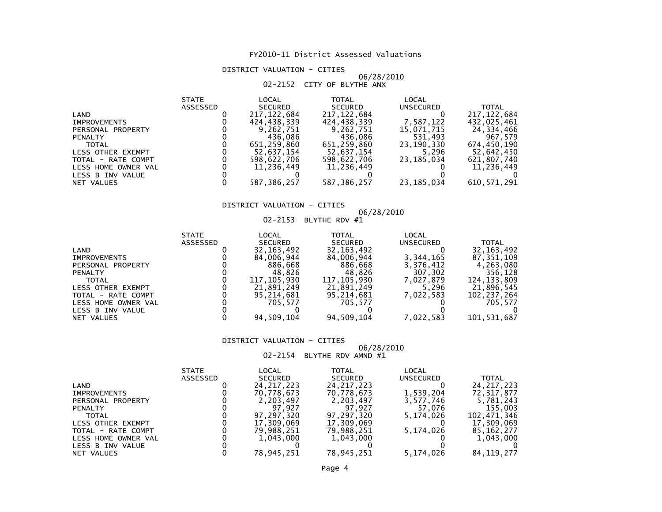# DISTRICT VALUATION - CITIES

# 06/28/201002-2152 CITY OF BLYTHE ANX

|                |                     | <b>STATE</b>    | LOCAL          | <b>TOTAL</b>   | LOCAL        |               |
|----------------|---------------------|-----------------|----------------|----------------|--------------|---------------|
|                |                     | <b>ASSESSED</b> | <b>SECURED</b> | <b>SECURED</b> | UNSECURED    | <b>TOTAL</b>  |
| LAND           |                     |                 | 217, 122, 684  | 217, 122, 684  |              | 217, 122, 684 |
|                | <b>IMPROVEMENTS</b> |                 | 424,438,339    | 424,438,339    | 7,587,122    | 432,025,461   |
|                | PERSONAL PROPERTY   |                 | 9,262,751      | 9,262,751      | 15,071,715   | 24,334,466    |
| <b>PENALTY</b> |                     |                 | 436.086        | 436.086        | 531,493      | 967.579       |
|                | <b>TOTAL</b>        |                 | 651.259.860    | 651,259,860    | 23,190,330   | 674,450,190   |
|                | LESS OTHER EXEMPT   |                 | 52,637,154     | 52,637,154     | 5,296        | 52,642,450    |
|                | TOTAL - RATE COMPT  |                 | 598,622,706    | 598,622,706    | 23, 185, 034 | 621,807,740   |
|                | LESS HOME OWNER VAL |                 | 11,236,449     | 11,236,449     |              | 11,236,449    |
|                | LESS B INV VALUE    |                 |                |                |              |               |
|                | NET VALUES          |                 | 587,386,257    | 587,386,257    | 23, 185, 034 | 610, 571, 291 |

# DISTRICT VALUATION - CITIES

# 06/28/201002-2153 BLYTHE RDV #1

|                     | <b>STATE</b> | LOCAL          | TOTAL          | LOCAL            |               |
|---------------------|--------------|----------------|----------------|------------------|---------------|
|                     | ASSESSED     | <b>SECURED</b> | <b>SECURED</b> | <b>UNSECURED</b> | <b>TOTAL</b>  |
| LAND                |              | 32, 163, 492   | 32, 163, 492   |                  | 32, 163, 492  |
| <b>IMPROVEMENTS</b> |              | 84,006,944     | 84,006,944     | 3,344,165        | 87, 351, 109  |
| PERSONAL PROPERTY   |              | 886,668        | 886.668        | 3,376,412        | 4,263,080     |
| <b>PENALTY</b>      |              | 48.826         | 48.826         | 307,302          | 356,128       |
| <b>TOTAL</b>        |              | 117, 105, 930  | 117,105,930    | 7,027,879        | 124, 133, 809 |
| LESS OTHER EXEMPT   |              | 21,891,249     | 21,891,249     | 5,296            | 21,896,545    |
| TOTAL - RATE COMPT  |              | 95,214,681     | 95,214,681     | 7,022,583        | 102,237,264   |
| LESS HOME OWNER VAL |              | 705.577        | 705.577        |                  | 705.577       |
| LESS B INV VALUE    |              |                |                |                  |               |
| NET VALUES          |              | 94,509,104     | 94,509,104     | 7,022,583        | 101,531,687   |

### DISTRICT VALUATION - CITIES

# 06/28/2010 02-2154 BLYTHE RDV AMND #1

|                          | <b>STATE</b>    | LOCAL          | TOTAL          | LOCAL            |              |
|--------------------------|-----------------|----------------|----------------|------------------|--------------|
|                          | <b>ASSESSED</b> | <b>SECURED</b> | <b>SECURED</b> | <b>UNSECURED</b> | <b>TOTAL</b> |
| LAND                     |                 | 24, 217, 223   | 24, 217, 223   |                  | 24, 217, 223 |
| <b>IMPROVEMENTS</b>      |                 | 70,778,673     | 70,778,673     | 1,539,204        | 72, 317, 877 |
| PERSONAL PROPERTY        |                 | 2,203,497      | 2,203,497      | 3,577,746        | 5,781,243    |
| <b>PENALTY</b>           |                 | 97.927         | 97.927         | 57,076           | 155,003      |
| <b>TOTAL</b>             |                 | 97,297,320     | 97.297.320     | 5,174,026        | 102,471,346  |
| <b>LESS OTHER EXEMPT</b> |                 | 17,309,069     | 17,309,069     |                  | 17,309,069   |
| TOTAL - RATE COMPT       |                 | 79,988,251     | 79,988,251     | 5.174.026        | 85, 162, 277 |
| LESS HOME OWNER VAL      |                 | 1.043.000      | 1,043,000      |                  | 1,043,000    |
| LESS B INV VALUE         |                 |                |                |                  |              |
| NET VALUES               |                 | 78,945,251     | 78,945,251     | 5,174,026        | 84, 119, 277 |
|                          |                 |                |                |                  |              |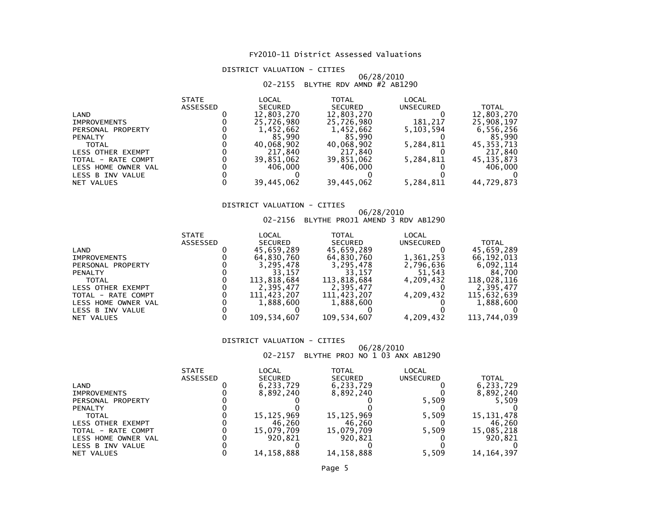# DISTRICT VALUATION - CITIES

### 06/28/201002-2155 BLYTHE RDV AMND #2 AB1290

| <b>STATE</b> | LOCAL          | <b>TOTAL</b>   | LOCAL            |              |
|--------------|----------------|----------------|------------------|--------------|
| ASSESSED     | <b>SECURED</b> | <b>SECURED</b> | <b>UNSECURED</b> | <b>TOTAL</b> |
|              | 12,803,270     | 12,803,270     |                  | 12,803,270   |
|              | 25,726,980     | 25.726.980     | 181.217          | 25,908,197   |
|              | 1,452,662      | 1,452,662      | 5,103,594        | 6,556,256    |
|              | 85.990         | 85.990         |                  | 85,990       |
|              | 40,068,902     | 40,068,902     | 5,284,811        | 45,353,713   |
|              | 217.840        | 217,840        |                  | 217,840      |
|              | 39,851,062     | 39,851,062     | 5,284,811        | 45, 135, 873 |
|              | 406.000        | 406,000        |                  | 406,000      |
|              |                |                |                  |              |
|              | 39,445,062     | 39,445,062     | 5,284,811        | 44,729,873   |
|              |                |                |                  |              |

# DISTRICT VALUATION - CITIES

# 06/28/2010 02-2156 BLYTHE PROJ1 AMEND 3 RDV AB1290

|                          | <b>STATE</b>    | LOCAL          | TOTAL          | LOCAL     |              |
|--------------------------|-----------------|----------------|----------------|-----------|--------------|
|                          | <b>ASSESSED</b> | <b>SECURED</b> | <b>SECURED</b> | UNSECURED | TOTAL        |
| LAND                     |                 | 45,659,289     | 45,659,289     |           | 45,659,289   |
| <b>IMPROVEMENTS</b>      |                 | 64,830,760     | 64,830,760     | 1,361,253 | 66, 192, 013 |
| PERSONAL PROPERTY        |                 | 3,295,478      | 3,295,478      | 2,796,636 | 6,092,114    |
| <b>PENALTY</b>           |                 | 33.157         | 33,157         | 51,543    | 84.700       |
| <b>TOTAL</b>             |                 | 113.818.684    | 113,818,684    | 4,209,432 | 118,028,116  |
| <b>LESS OTHER EXEMPT</b> |                 | 2.395.477      | 2,395,477      |           | 2.395.477    |
| TOTAL - RATE COMPT       |                 | 111,423,207    | 111,423,207    | 4,209,432 | 115,632,639  |
| LESS HOME OWNER VAL      |                 | 1,888,600      | 1,888,600      |           | 1,888,600    |
| LESS B INV VALUE         |                 |                |                |           |              |
| NET VALUES               |                 | 109,534,607    | 109,534,607    | 4,209,432 | 113,744,039  |

### DISTRICT VALUATION - CITIES

# 06/28/2010 02-2157 BLYTHE PROJ NO 1 03 ANX AB1290

|                          | <b>STATE</b>    | LOCAL          | TOTAL          | LOCAL            |              |
|--------------------------|-----------------|----------------|----------------|------------------|--------------|
|                          | <b>ASSESSED</b> | <b>SECURED</b> | <b>SECURED</b> | <b>UNSECURED</b> | <b>TOTAL</b> |
| LAND                     |                 | 6,233,729      | 6,233,729      |                  | 6,233,729    |
| <b>IMPROVEMENTS</b>      |                 | 8,892,240      | 8,892,240      |                  | 8,892,240    |
| PERSONAL PROPERTY        |                 |                |                | 5,509            | 5,509        |
| <b>PENALTY</b>           |                 |                |                |                  |              |
| <b>TOTAL</b>             |                 | 15,125,969     | 15, 125, 969   | 5.509            | 15, 131, 478 |
| <b>LESS OTHER EXEMPT</b> |                 | 46.260         | 46.260         |                  | 46,260       |
| TOTAL - RATE COMPT       |                 | 15,079,709     | 15,079,709     | 5,509            | 15,085,218   |
| LESS HOME OWNER VAL      |                 | 920.821        | 920.821        |                  | 920,821      |
| LESS B INV VALUE         |                 |                |                |                  |              |
| NET VALUES               |                 | 14.158.888     | 14.158.888     | 5.509            | 14.164.397   |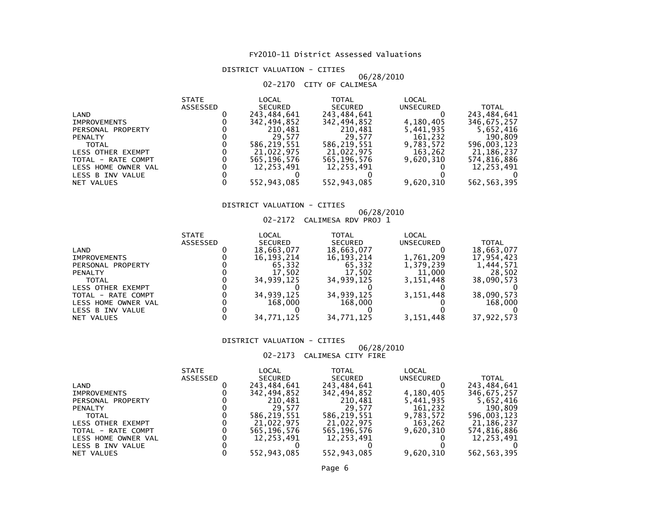# DISTRICT VALUATION - CITIES

# 06/28/201002-2170 CITY OF CALIMESA

|                     | <b>STATE</b>    | LOCAL          | <b>TOTAL</b>   | LOCAL     |               |
|---------------------|-----------------|----------------|----------------|-----------|---------------|
|                     | <b>ASSESSED</b> | <b>SECURED</b> | <b>SECURED</b> | UNSECURED | <b>TOTAL</b>  |
| LAND                |                 | 243,484,641    | 243,484,641    |           | 243,484,641   |
| <b>IMPROVEMENTS</b> |                 | 342.494.852    | 342.494.852    | 4,180,405 | 346,675,257   |
| PERSONAL PROPERTY   |                 | 210,481        | 210.481        | 5,441,935 | 5,652,416     |
| <b>PENALTY</b>      |                 | 29.577         | 29.577         | 161,232   | 190,809       |
| TOTAL               |                 | 586,219,551    | 586,219,551    | 9,783,572 | 596,003,123   |
| LESS OTHER EXEMPT   |                 | 21,022,975     | 21,022,975     | 163,262   | 21,186,237    |
| TOTAL - RATE COMPT  |                 | 565,196,576    | 565,196,576    | 9.620.310 | 574,816,886   |
| LESS HOME OWNER VAL |                 | 12.253.491     | 12.253.491     |           | 12,253,491    |
| LESS B INV VALUE    |                 |                |                |           |               |
| NET VALUES          |                 | 552,943,085    | 552,943,085    | 9,620,310 | 562, 563, 395 |

# DISTRICT VALUATION - CITIES

# 06/28/2010 02-2172 CALIMESA RDV PROJ 1

|                     | <b>STATE</b>    | LOCAL          | <b>TOTAL</b>   | LOCAL     |              |
|---------------------|-----------------|----------------|----------------|-----------|--------------|
|                     | <b>ASSESSED</b> | <b>SECURED</b> | <b>SECURED</b> | UNSECURED | <b>TOTAL</b> |
| LAND                |                 | 18,663,077     | 18,663,077     |           | 18,663,077   |
| <b>IMPROVEMENTS</b> |                 | 16, 193, 214   | 16, 193, 214   | 1,761,209 | 17,954,423   |
| PERSONAL PROPERTY   |                 | 65,332         | 65,332         | 1,379,239 | 1,444,571    |
| <b>PENALTY</b>      |                 | 17.502         | 17.502         | 11,000    | 28,502       |
| <b>TOTAL</b>        |                 | 34.939.125     | 34.939.125     | 3,151,448 | 38,090,573   |
| LESS OTHER EXEMPT   |                 |                |                |           |              |
| TOTAL - RATE COMPT  |                 | 34,939,125     | 34,939,125     | 3,151,448 | 38,090,573   |
| LESS HOME OWNER VAL |                 | 168,000        | 168,000        |           | 168,000      |
| LESS B INV VALUE    |                 |                |                |           |              |
| NET VALUES          |                 | 34,771,125     | 34.771.125     | 3,151,448 | 37,922,573   |
|                     |                 |                |                |           |              |

### DISTRICT VALUATION - CITIES

# 06/28/2010

# 02-2173 CALIMESA CITY FIRE

|                     | <b>STATE</b>    | LOCAL          | <b>TOTAL</b>   | LOCAL            |               |
|---------------------|-----------------|----------------|----------------|------------------|---------------|
|                     | <b>ASSESSED</b> | <b>SECURED</b> | <b>SECURED</b> | <b>UNSECURED</b> | <b>TOTAL</b>  |
| LAND                |                 | 243,484,641    | 243,484,641    |                  | 243,484,641   |
| <b>IMPROVEMENTS</b> |                 | 342,494,852    | 342,494,852    | 4,180,405        | 346,675,257   |
| PERSONAL PROPERTY   |                 | 210,481        | 210,481        | 5,441,935        | 5,652,416     |
| <b>PENALTY</b>      |                 | 29.577         | 29.577         | 161,232          | 190.809       |
| <b>TOTAL</b>        |                 | 586.219.551    | 586,219,551    | 9,783,572        | 596,003,123   |
| LESS OTHER EXEMPT   |                 | 21,022,975     | 21,022,975     | 163,262          | 21,186,237    |
| TOTAL - RATE COMPT  |                 | 565,196,576    | 565, 196, 576  | 9.620.310        | 574,816,886   |
| LESS HOME OWNER VAL |                 | 12,253,491     | 12,253,491     |                  | 12,253,491    |
| LESS B INV VALUE    |                 |                |                |                  |               |
| NET VALUES          |                 | 552,943,085    | 552,943,085    | 9,620,310        | 562, 563, 395 |
|                     |                 |                |                |                  |               |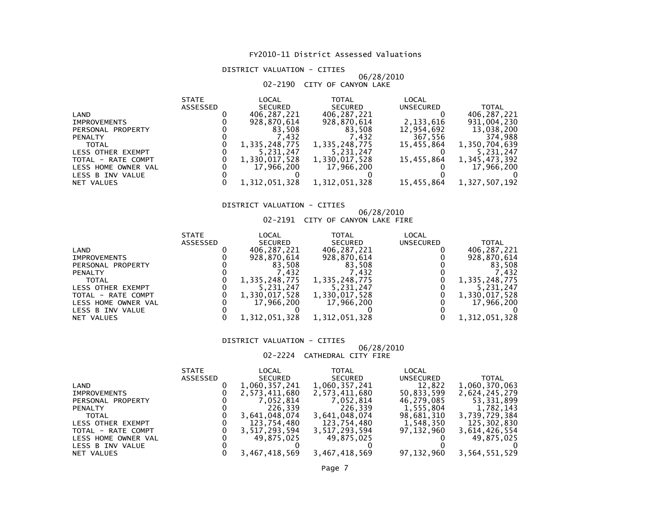# DISTRICT VALUATION - CITIES

# 06/28/201002-2190 CITY OF CANYON LAKE

|                     | <b>STATE</b>    | LOCAL          | <b>TOTAL</b>   | LOCAL      |               |
|---------------------|-----------------|----------------|----------------|------------|---------------|
|                     | <b>ASSESSED</b> | <b>SECURED</b> | <b>SECURED</b> | UNSECURED  | <b>TOTAL</b>  |
| LAND                |                 | 406,287,221    | 406,287,221    |            | 406,287,221   |
| <b>IMPROVEMENTS</b> |                 | 928,870,614    | 928,870,614    | 2,133,616  | 931,004,230   |
| PERSONAL PROPERTY   |                 | 83,508         | 83.508         | 12,954,692 | 13,038,200    |
| <b>PENALTY</b>      |                 | 7.432          | 7.432          | 367,556    | 374,988       |
| <b>TOTAL</b>        |                 | 1,335,248,775  | 1,335,248,775  | 15.455.864 | 1,350,704,639 |
| LESS OTHER EXEMPT   |                 | 5,231,247      | 5,231,247      |            | 5,231,247     |
| TOTAL - RATE COMPT  |                 | 1,330,017,528  | 1,330,017,528  | 15.455.864 | 1,345,473,392 |
| LESS HOME OWNER VAL |                 | 17,966,200     | 17,966,200     |            | 17,966,200    |
| LESS B INV VALUE    |                 |                |                |            |               |
| NET VALUES          |                 | 1,312,051,328  | 1,312,051,328  | 15,455,864 | 1,327,507,192 |

# DISTRICT VALUATION - CITIES

# 06/28/2010 02-2191 CITY OF CANYON LAKE FIRE

|                          | <b>STATE</b>    | LOCAL          | TOTAL          | LOCAL     |               |
|--------------------------|-----------------|----------------|----------------|-----------|---------------|
|                          | <b>ASSESSED</b> | <b>SECURED</b> | <b>SECURED</b> | UNSECURED | TOTAL         |
| LAND                     |                 | 406,287,221    | 406,287,221    |           | 406,287,221   |
| <b>IMPROVEMENTS</b>      |                 | 928.870.614    | 928,870,614    |           | 928,870,614   |
| PERSONAL PROPERTY        |                 | 83,508         | 83,508         |           | 83,508        |
| <b>PENALTY</b>           |                 | 7.432          | 432,           |           | 7.432         |
| <b>TOTAL</b>             |                 | 1,335,248,775  | 1,335,248,775  |           | 1,335,248,775 |
| <b>LESS OTHER EXEMPT</b> |                 | 5,231,247      | 5,231,247      |           | 5.231,247     |
| TOTAL - RATE COMPT       |                 | 1,330,017,528  | 1,330,017,528  |           | 1,330,017,528 |
| LESS HOME OWNER VAL      |                 | 17,966,200     | 17,966,200     |           | 17,966,200    |
| LESS B INV VALUE         |                 |                |                |           |               |
| NET VALUES               |                 | 1,312,051,328  | 1,312,051,328  |           | 1,312,051,328 |
|                          |                 |                |                |           |               |

### DISTRICT VALUATION - CITIES

# 06/28/2010

# 02-2224 CATHEDRAL CITY FIRE

|                     | <b>STATE</b> | LOCAL          | TOTAL          | LOCAL            |               |
|---------------------|--------------|----------------|----------------|------------------|---------------|
|                     | ASSESSED     | <b>SECURED</b> | <b>SECURED</b> | <b>UNSECURED</b> | <b>TOTAL</b>  |
| LAND                |              | 1,060,357,241  | 1,060,357,241  | 12,822           | 1,060,370,063 |
| <b>IMPROVEMENTS</b> |              | 2,573,411,680  | 2,573,411,680  | 50,833,599       | 2,624,245,279 |
| PERSONAL PROPERTY   |              | 7,052,814      | 7,052,814      | 46,279,085       | 53,331,899    |
| <b>PENALTY</b>      |              | 226,339        | 226,339        | 1,555,804        | 1,782,143     |
| <b>TOTAL</b>        |              | 3,641,048,074  | 3,641,048,074  | 98,681,310       | 3,739,729,384 |
| LESS OTHER EXEMPT   |              | 123,754,480    | 123,754,480    | 1,548,350        | 125,302,830   |
| TOTAL - RATE COMPT  |              | 3,517,293,594  | 3,517,293,594  | 97.132.960       | 3,614,426,554 |
| LESS HOME OWNER VAL |              | 49,875,025     | 49,875,025     |                  | 49,875,025    |
| LESS B INV VALUE    |              |                |                |                  |               |
| NET VALUES          |              | 3,467,418,569  | 3,467,418,569  | 97,132,960       | 3,564,551,529 |
|                     |              |                |                |                  |               |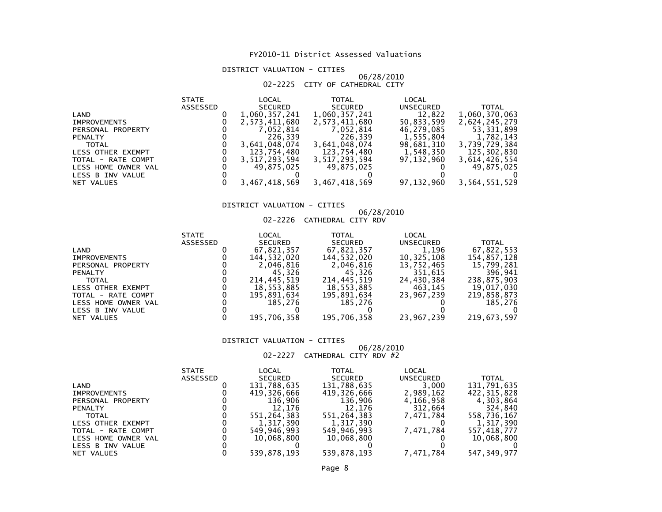# DISTRICT VALUATION - CITIES

### 06/28/201002-2225 CITY OF CATHEDRAL CITY

|                     | <b>STATE</b> | LOCAL          | <b>TOTAL</b>   | LOCAL            |               |
|---------------------|--------------|----------------|----------------|------------------|---------------|
|                     | ASSESSED     | <b>SECURED</b> | <b>SECURED</b> | <b>UNSECURED</b> | <b>TOTAL</b>  |
| LAND                |              | 1,060,357,241  | 1,060,357,241  | 12,822           | 1,060,370,063 |
| <b>IMPROVEMENTS</b> |              | 2,573,411,680  | 2,573,411,680  | 50,833,599       | 2,624,245,279 |
| PERSONAL PROPERTY   |              | 7,052,814      | 7,052,814      | 46,279,085       | 53,331,899    |
| <b>PENALTY</b>      |              | 226.339        | 226.339        | 1,555,804        | 1,782,143     |
| <b>TOTAL</b>        |              | 3,641,048,074  | 3,641,048,074  | 98,681,310       | 3,739,729,384 |
| LESS OTHER EXEMPT   |              | 123,754,480    | 123,754,480    | 1,548,350        | 125,302,830   |
| TOTAL - RATE COMPT  |              | 3,517,293,594  | 3,517,293,594  | 97,132,960       | 3,614,426,554 |
| LESS HOME OWNER VAL |              | 49.875.025     | 49,875,025     |                  | 49.875.025    |
| LESS B INV VALUE    |              |                |                |                  |               |
| NET VALUES          |              | 3,467,418,569  | 3,467,418,569  | 97,132,960       | 3,564,551,529 |

# DISTRICT VALUATION - CITIES

# 06/28/2010 02-2226 CATHEDRAL CITY RDV

|                     | <b>STATE</b>    | LOCAL          | <b>TOTAL</b>   | LOCAL      |              |
|---------------------|-----------------|----------------|----------------|------------|--------------|
|                     | <b>ASSESSED</b> | <b>SECURED</b> | <b>SECURED</b> | UNSECURED  | <b>TOTAL</b> |
| LAND                |                 | 67,821,357     | 67,821,357     | 1.196      | 67,822,553   |
| <b>IMPROVEMENTS</b> |                 | 144.532.020    | 144.532.020    | 10,325,108 | 154,857,128  |
| PERSONAL PROPERTY   |                 | 2,046,816      | 2,046,816      | 13,752,465 | 15,799,281   |
| <b>PENALTY</b>      |                 | 45.326         | 45.326         | 351,615    | 396,941      |
| <b>TOTAL</b>        |                 | 214,445,519    | 214,445,519    | 24,430,384 | 238,875,903  |
| LESS OTHER EXEMPT   |                 | 18,553,885     | 18,553,885     | 463,145    | 19,017,030   |
| TOTAL - RATE COMPT  |                 | 195,891,634    | 195,891,634    | 23,967,239 | 219,858,873  |
| LESS HOME OWNER VAL |                 | 185.276        | 185.276        |            | 185.276      |
| LESS B INV VALUE    |                 |                |                |            |              |
| NET VALUES          |                 | 195,706,358    | 195,706,358    | 23,967,239 | 219,673,597  |

### DISTRICT VALUATION - CITIES

# 06/28/2010 02-2227 CATHEDRAL CITY RDV #2

|                     | <b>STATE</b> | LOCAL          | TOTAL          | LOCAL     |               |
|---------------------|--------------|----------------|----------------|-----------|---------------|
|                     | ASSESSED     | <b>SECURED</b> | <b>SECURED</b> | UNSECURED | <b>TOTAL</b>  |
| LAND                |              | 131,788,635    | 131,788,635    | 3,000     | 131,791,635   |
| <b>IMPROVEMENTS</b> |              | 419.326.666    | 419,326,666    | 2,989,162 | 422,315,828   |
| PERSONAL PROPERTY   |              | 136.906        | 136.906        | 4,166,958 | 4,303,864     |
| <b>PENALTY</b>      |              | 12.176         | 12.176         | 312,664   | 324,840       |
| <b>TOTAL</b>        |              | 551,264,383    | 551,264,383    | 7,471,784 | 558,736,167   |
| LESS OTHER EXEMPT   |              | 1,317,390      | 1,317,390      |           | 1,317,390     |
| TOTAL - RATE COMPT  |              | 549,946,993    | 549,946,993    | 7,471,784 | 557,418,777   |
| LESS HOME OWNER VAL |              | 10,068,800     | 10,068,800     |           | 10,068,800    |
| LESS B INV VALUE    |              |                |                |           |               |
| NET VALUES          |              | 539.878.193    | 539.878.193    | 7,471,784 | 547, 349, 977 |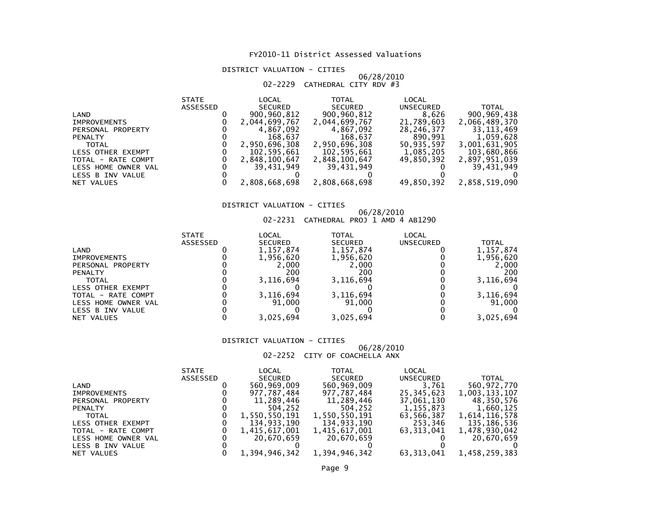# DISTRICT VALUATION - CITIES

# 06/28/2010 02-2229 CATHEDRAL CITY RDV #3

| LOCAL<br><b>TOTAL</b><br>LOCAL<br><b>STATE</b>        |                             |
|-------------------------------------------------------|-----------------------------|
| ASSESSED<br><b>SECURED</b><br>SECURED                 | UNSECURED<br><b>TOTAL</b>   |
| 900,960,812<br>900,960,812<br>LAND                    | 900,969,438<br>8,626        |
| 2,044,699,767<br>2,044,699,767<br><b>IMPROVEMENTS</b> | 21,789,603<br>2,066,489,370 |
| 4,867,092<br>4,867,092<br>PERSONAL PROPERTY           | 28,246,377<br>33,113,469    |
| 168.637<br>168,637<br><b>PENALTY</b>                  | 890.991<br>1,059,628        |
| 2,950,696,308<br>2,950,696,308<br><b>TOTAL</b>        | 50.935.597<br>3,001,631,905 |
| 102,595,661<br>102,595,661<br>LESS OTHER EXEMPT       | 1,085,205<br>103,680,866    |
| 2,848,100,647<br>2,848,100,647<br>TOTAL - RATE COMPT  | 49.850.392<br>2,897,951,039 |
| 39.431.949<br>39.431.949<br>LESS HOME OWNER VAL       | 39,431,949                  |
| LESS B INV VALUE                                      |                             |
| 2,808,668,698<br>2,808,668,698<br>NET VALUES          | 49,850,392<br>2,858,519,090 |

# DISTRICT VALUATION - CITIES

# 06/28/2010 02-2231 CATHEDRAL PROJ 1 AMD 4 AB1290

| <b>STATE</b>    | LOCAL          | TOTAL          | LOCAL            |              |
|-----------------|----------------|----------------|------------------|--------------|
| <b>ASSESSED</b> | <b>SECURED</b> | <b>SECURED</b> | <b>UNSECURED</b> | <b>TOTAL</b> |
|                 | 1, 157, 874    | 1,157,874      |                  | 1,157,874    |
|                 | 1,956,620      | 1,956,620      |                  | 1,956,620    |
|                 | 2,000          | 2,000          |                  | 2,000        |
|                 | 200            | 200            |                  | 200          |
|                 | 3,116,694      | 3,116,694      |                  | 3,116,694    |
|                 |                |                |                  |              |
|                 | 3,116,694      | 3,116,694      |                  | 3,116,694    |
|                 | 91.000         | 91.000         |                  | 91,000       |
|                 |                |                |                  |              |
|                 | 3,025,694      | 3,025,694      |                  | 3.025.694    |
|                 |                |                |                  |              |

### DISTRICT VALUATION - CITIES

### 06/28/201002-2252 CITY OF COACHELLA ANX

|                     | <b>STATE</b> | LOCAL          | TOTAL          | LOCAL            |               |
|---------------------|--------------|----------------|----------------|------------------|---------------|
|                     | ASSESSED     | <b>SECURED</b> | <b>SECURED</b> | <b>UNSECURED</b> | TOTAL         |
| LAND                |              | 560,969,009    | 560,969,009    | 3.761            | 560,972,770   |
| <b>IMPROVEMENTS</b> |              | 977.787.484    | 977.787.484    | 25,345,623       | 1,003,133,107 |
| PERSONAL PROPERTY   |              | 11,289,446     | 11,289,446     | 37,061,130       | 48,350,576    |
| <b>PENALTY</b>      |              | 504,252        | 504.252        | 1,155,873        | 1,660,125     |
| <b>TOTAL</b>        |              | 1,550,550,191  | 1,550,550,191  | 63,566,387       | 1,614,116,578 |
| LESS OTHER EXEMPT   |              | 134,933,190    | 134,933,190    | 253,346          | 135,186,536   |
| TOTAL - RATE COMPT  |              | 1,415,617,001  | 1,415,617,001  | 63.313.041       | 1,478,930,042 |
| LESS HOME OWNER VAL |              | 20.670.659     | 20.670.659     |                  | 20,670,659    |
| LESS B INV VALUE    |              |                |                |                  |               |
| NET VALUES          |              | 1,394,946,342  | 1,394,946,342  | 63,313,041       | 1,458,259,383 |
|                     |              |                |                |                  |               |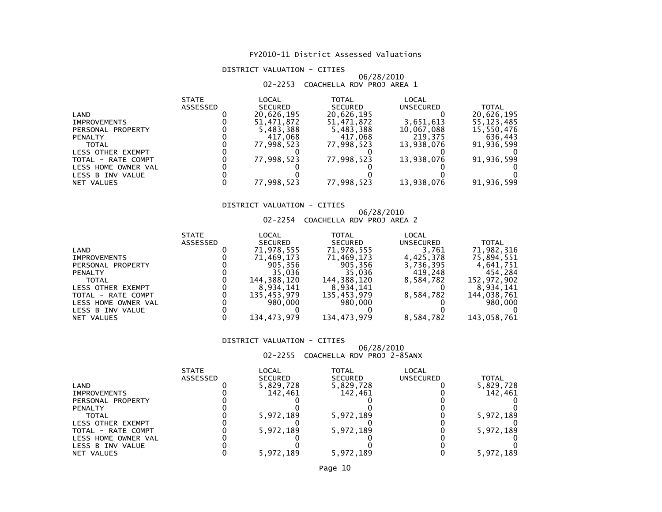# DISTRICT VALUATION - CITIES

### 06/28/201002-2253 COACHELLA RDV PROJ AREA 1

|                     | <b>STATE</b>    | LOCAL          | TOTAL          | LOCAL      |              |
|---------------------|-----------------|----------------|----------------|------------|--------------|
|                     | <b>ASSESSED</b> | <b>SECURED</b> | <b>SECURED</b> | UNSECURED  | <b>TOTAL</b> |
| LAND                |                 | 20,626,195     | 20,626,195     |            | 20,626,195   |
| <b>IMPROVEMENTS</b> |                 | 51.471.872     | 51,471,872     | 3,651,613  | 55, 123, 485 |
| PERSONAL PROPERTY   |                 | 5,483,388      | 5,483,388      | 10,067,088 | 15,550,476   |
| <b>PENALTY</b>      |                 | 417.068        | 417,068        | 219.375    | 636,443      |
| <b>TOTAL</b>        |                 | 77.998.523     | 77,998,523     | 13.938.076 | 91,936,599   |
| LESS OTHER EXEMPT   |                 |                |                |            |              |
| TOTAL - RATE COMPT  |                 | 77,998,523     | 77,998,523     | 13,938,076 | 91,936,599   |
| LESS HOME OWNER VAL |                 |                |                |            |              |
| LESS B INV VALUE    |                 |                |                |            |              |
| NET VALUES          |                 | 77.998.523     | 77,998,523     | 13,938,076 | 91,936,599   |

# DISTRICT VALUATION - CITIES

# 06/28/2010 02-2254 COACHELLA RDV PROJ AREA 2

| <b>STATE</b>    | LOCAL          | TOTAL          | LOCAL            |              |
|-----------------|----------------|----------------|------------------|--------------|
| <b>ASSESSED</b> | <b>SECURED</b> | <b>SECURED</b> | <b>UNSECURED</b> | <b>TOTAL</b> |
|                 | 71,978,555     | 71,978,555     | 3,761            | 71,982,316   |
|                 | 71,469,173     | 71,469,173     | 4,425,378        | 75,894,551   |
|                 | 905,356        | 905,356        | 3,736,395        | 4,641,751    |
|                 | 35.036         | 35,036         | 419,248          | 454,284      |
|                 | 144.388.120    | 144.388.120    | 8.584.782        | 152,972,902  |
|                 | 8.934.141      | 8,934,141      |                  | 8,934,141    |
|                 | 135,453,979    | 135,453,979    | 8,584,782        | 144,038,761  |
|                 | 980.000        | 980.000        |                  | 980,000      |
|                 |                |                |                  |              |
|                 | 134,473,979    | 134,473,979    | 8,584,782        | 143,058,761  |
|                 |                |                |                  |              |

### DISTRICT VALUATION - CITIES

# 06/28/2010 02-2255 COACHELLA RDV PROJ 2-85ANX

|                     | <b>STATE</b> | LOCAL          | TOTAL          | LOCAL     |           |
|---------------------|--------------|----------------|----------------|-----------|-----------|
|                     | ASSESSED     | <b>SECURED</b> | <b>SECURED</b> | UNSECURED | TOTAL     |
| LAND                |              | 5,829,728      | 5,829,728      |           | 5,829,728 |
| IMPROVEMENTS        |              | 142.461        | 142.461        |           | 142.461   |
| PERSONAL PROPERTY   |              |                |                |           |           |
| <b>PENALTY</b>      |              |                |                |           |           |
| <b>TOTAL</b>        |              | 5,972,189      | 5,972,189      |           | 5,972,189 |
| LESS OTHER EXEMPT   |              |                |                |           |           |
| TOTAL - RATE COMPT  |              | 5,972,189      | 5,972,189      |           | 5,972,189 |
| LESS HOME OWNER VAL |              |                |                |           |           |
| LESS B INV VALUE    |              |                |                |           |           |
| NET VALUES          |              | 5.972.189      | 5.972.189      |           | 5.972.189 |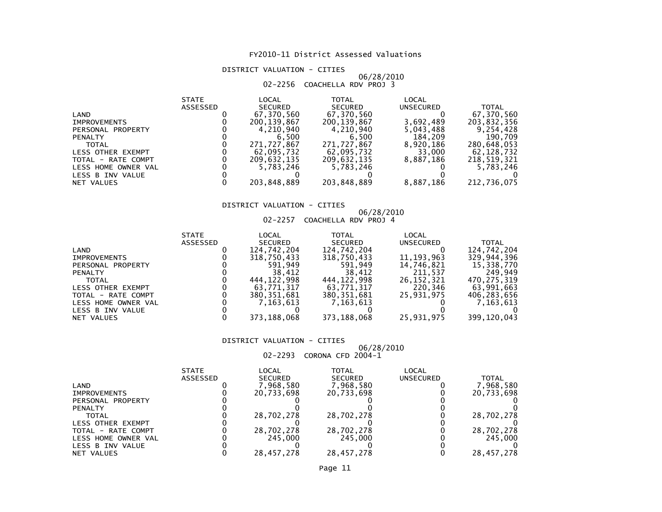# DISTRICT VALUATION - CITIES

# 06/28/2010 02-2256 COACHELLA RDV PROJ 3

| <b>STATE</b>    | LOCAL          | <b>TOTAL</b>   | LOCAL     |              |
|-----------------|----------------|----------------|-----------|--------------|
| <b>ASSESSED</b> | <b>SECURED</b> | <b>SECURED</b> | UNSECURED | <b>TOTAL</b> |
|                 | 67,370,560     | 67,370,560     |           | 67,370,560   |
|                 | 200.139.867    | 200, 139, 867  | 3,692,489 | 203,832,356  |
|                 | 4.210.940      | 4,210,940      | 5,043,488 | 9,254,428    |
|                 | 6.500          | 6.500          | 184,209   | 190,709      |
|                 | 271,727,867    | 271,727,867    | 8,920,186 | 280,648,053  |
|                 | 62,095,732     | 62,095,732     | 33,000    | 62,128,732   |
|                 | 209,632,135    | 209,632,135    | 8,887,186 | 218,519,321  |
|                 | 5,783,246      | 5,783,246      |           | 5,783,246    |
|                 |                |                |           |              |
|                 | 203,848,889    | 203,848,889    | 8,887,186 | 212,736,075  |
|                 |                |                |           |              |

# DISTRICT VALUATION - CITIES

# 06/28/2010 02-2257 COACHELLA RDV PROJ 4

|              |       | VE ELJI CURCHELLA NDV INOJ T |       |
|--------------|-------|------------------------------|-------|
| <b>STATE</b> | LOCAL | ΤΩΤΔΙ<br>n.                  | LOCAL |

|                     | -----    | ►◡◡┌◥┕         | .             | ►◡◡┌◝┕       |             |
|---------------------|----------|----------------|---------------|--------------|-------------|
|                     | ASSESSED | <b>SECURED</b> | SECURED       | UNSECURED    | TOTAL       |
| LAND                |          | 124,742,204    | 124,742,204   |              | 124,742,204 |
| <b>IMPROVEMENTS</b> |          | 318,750,433    | 318,750,433   | 11, 193, 963 | 329,944,396 |
| PERSONAL PROPERTY   |          | 591.949        | 591.949       | 14,746,821   | 15,338,770  |
| <b>PENALTY</b>      |          | 38,412         | 38,412        | 211.537      | 249.949     |
| <b>TOTAL</b>        |          | 444.122.998    | 444.122.998   | 26, 152, 321 | 470.275.319 |
| LESS OTHER EXEMPT   |          | 63,771,317     | 63,771,317    | 220,346      | 63.991.663  |
| TOTAL - RATE COMPT  |          | 380,351,681    | 380, 351, 681 | 25,931,975   | 406,283,656 |
| LESS HOME OWNER VAL |          | 7.163.613      | 7,163,613     |              | 7.163.613   |
| LESS B INV VALUE    |          |                |               |              |             |
| NET VALUES          |          | 373,188,068    | 373,188,068   | 25,931,975   | 399,120,043 |
|                     |          |                |               |              |             |

### DISTRICT VALUATION - CITIES

# 06/28/2010 02-2293 CORONA CFD 2004-1

|                     | <b>STATE</b> | LOCAL          | TOTAL          | LOCAL            |              |
|---------------------|--------------|----------------|----------------|------------------|--------------|
|                     | ASSESSED     | <b>SECURED</b> | <b>SECURED</b> | <b>UNSECURED</b> | <b>TOTAL</b> |
| LAND                |              | 7,968,580      | 7,968,580      |                  | 7,968,580    |
| <b>IMPROVEMENTS</b> |              | 20,733,698     | 20,733,698     |                  | 20,733,698   |
| PERSONAL PROPERTY   |              |                |                |                  |              |
| <b>PENALTY</b>      |              |                |                |                  |              |
| <b>TOTAL</b>        |              | 28,702,278     | 28,702,278     |                  | 28,702,278   |
| LESS OTHER EXEMPT   |              |                |                |                  |              |
| TOTAL - RATE COMPT  |              | 28,702,278     | 28,702,278     |                  | 28,702,278   |
| LESS HOME OWNER VAL |              | 245,000        | 245,000        |                  | 245,000      |
| LESS B INV VALUE    |              |                |                |                  |              |
| NET VALUES          |              | 28.457.278     | 28.457.278     |                  | 28,457,278   |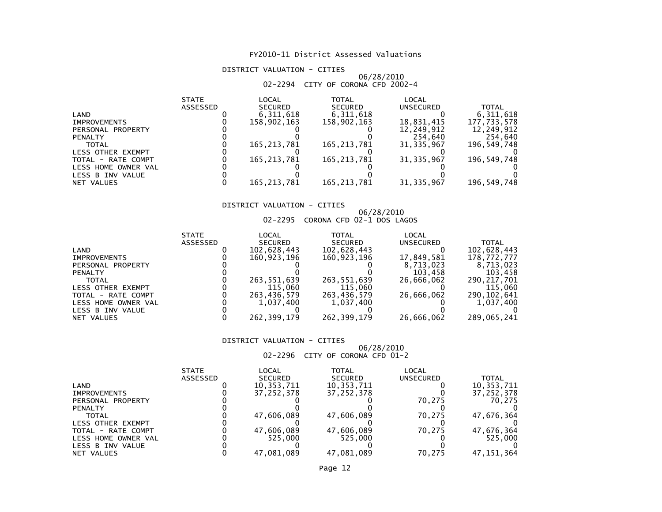# DISTRICT VALUATION - CITIES

# 06/28/201002-2294 CITY OF CORONA CFD 2002-4

|                     | <b>STATE</b> | LOCAL          | TOTAL          | LOCAL        |              |
|---------------------|--------------|----------------|----------------|--------------|--------------|
|                     | ASSESSED     | <b>SECURED</b> | <b>SECURED</b> | UNSECURED    | <b>TOTAL</b> |
| LAND                |              | 6,311,618      | 6,311,618      |              | 6,311,618    |
| <b>IMPROVEMENTS</b> |              | 158,902,163    | 158.902.163    | 18,831,415   | 177,733,578  |
| PERSONAL PROPERTY   |              |                |                | 12,249,912   | 12,249,912   |
| <b>PENALTY</b>      |              |                |                | 254,640      | 254,640      |
| <b>TOTAL</b>        |              | 165, 213, 781  | 165, 213, 781  | 31, 335, 967 | 196,549,748  |
| LESS OTHER EXEMPT   |              |                |                |              |              |
| TOTAL - RATE COMPT  |              | 165.213.781    | 165.213.781    | 31, 335, 967 | 196,549,748  |
| LESS HOME OWNER VAL |              |                |                |              |              |
| LESS B INV VALUE    |              |                |                |              |              |
| NET VALUES          |              | 165.213.781    | 165, 213, 781  | 31, 335, 967 | 196,549,748  |

# DISTRICT VALUATION - CITIES

# 06/28/2010 02-2295 CORONA CFD 02-1 DOS LAGOS

| <b>STATE</b>    | LOCAL          | TOTAL          | LOCAL      |               |
|-----------------|----------------|----------------|------------|---------------|
| <b>ASSESSED</b> | <b>SECURED</b> | <b>SECURED</b> | UNSECURED  | TOTAL         |
|                 | 102,628,443    | 102,628,443    |            | 102,628,443   |
|                 | 160,923,196    | 160,923,196    | 17,849,581 | 178,772,777   |
|                 |                |                | 8.713.023  | 8.713.023     |
|                 |                |                | 103.458    | 103,458       |
|                 | 263,551,639    | 263,551,639    | 26,666,062 | 290,217,701   |
|                 | 115,060        | 115,060        |            | 115,060       |
|                 | 263,436,579    | 263,436,579    | 26,666,062 | 290, 102, 641 |
|                 | 1.037.400      | 1,037,400      |            | 1,037,400     |
|                 |                |                |            |               |
|                 | 262, 399, 179  | 262, 399, 179  | 26,666,062 | 289,065,241   |
|                 |                |                |            |               |

### DISTRICT VALUATION - CITIES

# 06/28/2010 02-2296 CITY OF CORONA CFD 01-2

|                          | <b>STATE</b>    | LOCAL          | TOTAL          | LOCAL     |            |
|--------------------------|-----------------|----------------|----------------|-----------|------------|
|                          | <b>ASSESSED</b> | <b>SECURED</b> | <b>SECURED</b> | UNSECURED | TOTAL      |
| LAND                     |                 | 10,353,711     | 10,353,711     |           | 10,353,711 |
| <b>IMPROVEMENTS</b>      |                 | 37.252.378     | 37, 252, 378   |           | 37,252,378 |
| PERSONAL PROPERTY        |                 |                |                | 70.275    | 70.275     |
| <b>PENALTY</b>           |                 |                |                |           |            |
| TOTAL                    |                 | 47,606,089     | 47,606,089     | 70.275    | 47,676,364 |
| <b>LESS OTHER EXEMPT</b> |                 |                |                |           |            |
| TOTAL - RATE COMPT       |                 | 47,606,089     | 47,606,089     | 70.275    | 47,676,364 |
| LESS HOME OWNER VAL      |                 | 525,000        | 525,000        |           | 525,000    |
| LESS B INV VALUE         |                 |                |                |           |            |
| NET VALUES               |                 | 47.081.089     | 47.081.089     | 70.275    | 47.151.364 |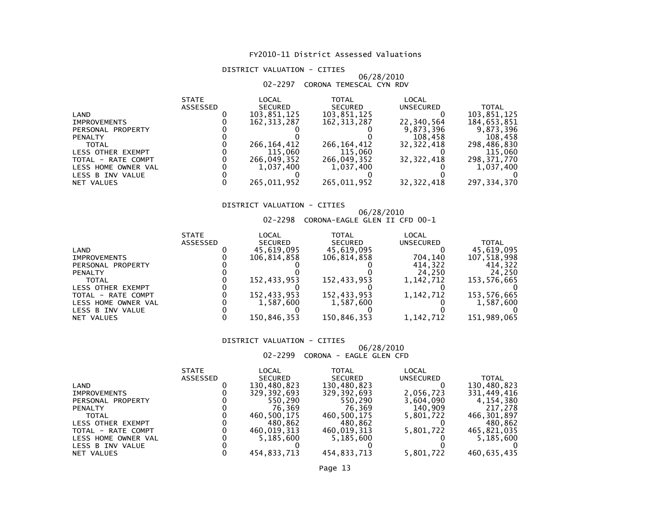# DISTRICT VALUATION - CITIES

### 06/28/201002-2297 CORONA TEMESCAL CYN RDV

|                     | <b>STATE</b> | LOCAL          | TOTAL          | LOCAL        |              |
|---------------------|--------------|----------------|----------------|--------------|--------------|
|                     | ASSESSED     | <b>SECURED</b> | <b>SECURED</b> | UNSECURED    | <b>TOTAL</b> |
| LAND                |              | 103,851,125    | 103,851,125    |              | 103,851,125  |
| <b>IMPROVEMENTS</b> |              | 162.313.287    | 162, 313, 287  | 22,340,564   | 184,653,851  |
| PERSONAL PROPERTY   |              |                |                | 9,873,396    | 9,873,396    |
| <b>PENALTY</b>      |              |                |                | 108,458      | 108,458      |
| <b>TOTAL</b>        |              | 266, 164, 412  | 266, 164, 412  | 32.322.418   | 298,486,830  |
| LESS OTHER EXEMPT   |              | 115,060        | 115,060        |              | 115,060      |
| TOTAL - RATE COMPT  |              | 266,049,352    | 266,049,352    | 32.322.418   | 298,371,770  |
| LESS HOME OWNER VAL |              | 1.037.400      | 1,037,400      |              | 1,037,400    |
| LESS B INV VALUE    |              |                |                |              |              |
| NET VALUES          |              | 265.011.952    | 265,011,952    | 32, 322, 418 | 297,334,370  |

# DISTRICT VALUATION - CITIES

# 06/28/2010 02-2298 CORONA-EAGLE GLEN II CFD 00-1

|                          | <b>STATE</b>    | LOCAL          | TOTAL          | LOCAL       |             |
|--------------------------|-----------------|----------------|----------------|-------------|-------------|
|                          | <b>ASSESSED</b> | <b>SECURED</b> | <b>SECURED</b> | UNSECURED   | TOTAL       |
| LAND                     |                 | 45,619,095     | 45,619,095     |             | 45,619,095  |
| <b>IMPROVEMENTS</b>      |                 | 106.814.858    | 106,814,858    | 704.140     | 107,518,998 |
| PERSONAL PROPERTY        |                 |                |                | 414.322     | 414.322     |
| <b>PENALTY</b>           |                 |                |                | 24,250      | 24.250      |
| <b>TOTAL</b>             |                 | 152,433,953    | 152,433,953    | 1.142.712   | 153,576,665 |
| <b>LESS OTHER EXEMPT</b> |                 |                |                |             |             |
| TOTAL - RATE COMPT       |                 | 152,433,953    | 152,433,953    | 1,142,712   | 153,576,665 |
| LESS HOME OWNER VAL      |                 | 1.587.600      | 1,587,600      |             | 1,587,600   |
| LESS B INV VALUE         |                 |                |                |             |             |
| NET VALUES               |                 | 150.846.353    | 150,846,353    | 1, 142, 712 | 151,989,065 |

### DISTRICT VALUATION - CITIES

 06/28/201002-2299 CORONA - EAGLE GLEN CFD

|                     | <b>STATE</b>    | LOCAL          | TOTAL          | LOCAL     |             |
|---------------------|-----------------|----------------|----------------|-----------|-------------|
|                     | <b>ASSESSED</b> | <b>SECURED</b> | <b>SECURED</b> | UNSECURED | TOTAL       |
| LAND                |                 | 130,480,823    | 130,480,823    |           | 130,480,823 |
| <b>IMPROVEMENTS</b> |                 | 329,392,693    | 329, 392, 693  | 2,056,723 | 331,449,416 |
| PERSONAL PROPERTY   |                 | 550.290        | 550,290        | 3,604,090 | 4,154,380   |
| <b>PENALTY</b>      |                 | 76.369         | 76.369         | 140,909   | 217,278     |
| <b>TOTAL</b>        |                 | 460.500.175    | 460,500,175    | 5,801,722 | 466,301,897 |
| LESS OTHER EXEMPT   |                 | 480,862        | 480,862        |           | 480,862     |
| TOTAL - RATE COMPT  |                 | 460.019.313    | 460.019.313    | 5,801,722 | 465,821,035 |
| LESS HOME OWNER VAL |                 | 5.185.600      | 5,185,600      |           | 5.185.600   |
| LESS B INV VALUE    |                 |                |                |           |             |
| NET VALUES          |                 | 454,833,713    | 454,833,713    | 5,801,722 | 460,635,435 |
|                     |                 |                |                |           |             |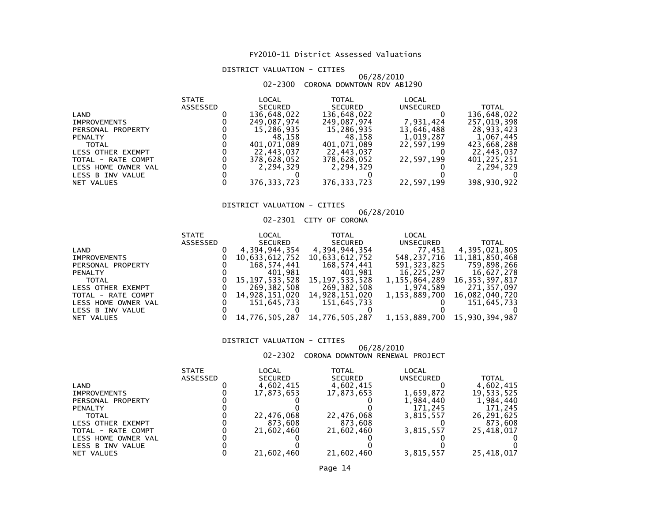# DISTRICT VALUATION - CITIES

# 06/28/2010 02-2300 CORONA DOWNTOWN RDV AB1290

|                     | <b>STATE</b> | LOCAL          | TOTAL          | LOCAL      |              |
|---------------------|--------------|----------------|----------------|------------|--------------|
|                     | ASSESSED     | <b>SECURED</b> | <b>SECURED</b> | UNSECURED  | <b>TOTAL</b> |
| LAND                |              | 136,648,022    | 136,648,022    |            | 136,648,022  |
| <b>IMPROVEMENTS</b> |              | 249,087,974    | 249,087,974    | 7,931,424  | 257,019,398  |
| PERSONAL PROPERTY   |              | 15,286,935     | 15,286,935     | 13,646,488 | 28.933.423   |
| <b>PENALTY</b>      |              | 48.158         | 48.158         | 1,019,287  | 1,067,445    |
| <b>TOTAL</b>        |              | 401.071.089    | 401.071.089    | 22.597.199 | 423,668,288  |
| LESS OTHER EXEMPT   |              | 22.443.037     | 22,443,037     |            | 22.443.037   |
| TOTAL - RATE COMPT  |              | 378,628,052    | 378,628,052    | 22,597,199 | 401,225,251  |
| LESS HOME OWNER VAL |              | 2.294.329      | 2,294,329      |            | 2.294.329    |
| LESS B INV VALUE    |              |                |                |            |              |
| NET VALUES          |              | 376, 333, 723  | 376, 333, 723  | 22,597,199 | 398,930,922  |

# DISTRICT VALUATION - CITIES

# 06/28/201002-2301 CITY OF CORONA

|                     | <b>STATE</b> | LOCAL          | <b>TOTAL</b>   | LOCAL         |                   |
|---------------------|--------------|----------------|----------------|---------------|-------------------|
|                     | ASSESSED     | SECURED        | <b>SECURED</b> | UNSECURED     | <b>TOTAL</b>      |
| LAND                |              | 4,394,944,354  | 4,394,944,354  | 77,451        | 4,395,021,805     |
| <b>IMPROVEMENTS</b> |              | 10,633,612,752 | 10,633,612,752 | 548,237,716   | 11, 181, 850, 468 |
| PERSONAL PROPERTY   |              | 168,574,441    | 168,574,441    | 591,323,825   | 759,898,266       |
| <b>PENALTY</b>      |              | 401,981        | 401,981        | 16,225,297    | 16,627,278        |
| <b>TOTAL</b>        |              | 15,197,533,528 | 15,197,533,528 | 1.155.864.289 | 16, 353, 397, 817 |
| LESS OTHER EXEMPT   |              | 269,382,508    | 269,382,508    | 1,974,589     | 271.357.097       |
| TOTAL - RATE COMPT  |              | 14,928,151,020 | 14,928,151,020 | 1.153.889.700 | 16,082,040,720    |
| LESS HOME OWNER VAL |              | 151,645,733    | 151,645,733    |               | 151,645,733       |
| LESS B INV VALUE    |              |                |                |               |                   |
| NET VALUES          |              | 14,776,505,287 | 14,776,505,287 | 1,153,889,700 | 15,930,394,987    |
|                     |              |                |                |               |                   |

### DISTRICT VALUATION - CITIES

# 06/28/2010 02-2302 CORONA DOWNTOWN RENEWAL PROJECT

|  | JZ-ZJUZ CURUNA DUWNIUWN RENEWAL PRUJECT |  |
|--|-----------------------------------------|--|
|  |                                         |  |

|                     | <b>STATE</b> | LOCAL          | TOTAL          | LOCAL            |              |
|---------------------|--------------|----------------|----------------|------------------|--------------|
|                     | ASSESSED     | <b>SECURED</b> | <b>SECURED</b> | <b>UNSECURED</b> | <b>TOTAL</b> |
| LAND                |              | 4,602,415      | 4,602,415      |                  | 4,602,415    |
| <b>IMPROVEMENTS</b> |              | 17,873,653     | 17,873,653     | 1,659,872        | 19,533,525   |
| PERSONAL PROPERTY   |              |                |                | 1,984,440        | 1,984,440    |
| <b>PENALTY</b>      |              |                |                | 171.245          | 171,245      |
| <b>TOTAL</b>        |              | 22,476,068     | 22,476,068     | 3,815,557        | 26,291,625   |
| LESS OTHER EXEMPT   |              | 873.608        | 873.608        |                  | 873,608      |
| TOTAL - RATE COMPT  |              | 21,602,460     | 21,602,460     | 3,815,557        | 25,418,017   |
| LESS HOME OWNER VAL |              |                |                |                  |              |
| LESS B INV VALUE    |              |                |                |                  |              |
| NET VALUES          |              | 21,602,460     | 21,602,460     | 3,815,557        | 25.418.017   |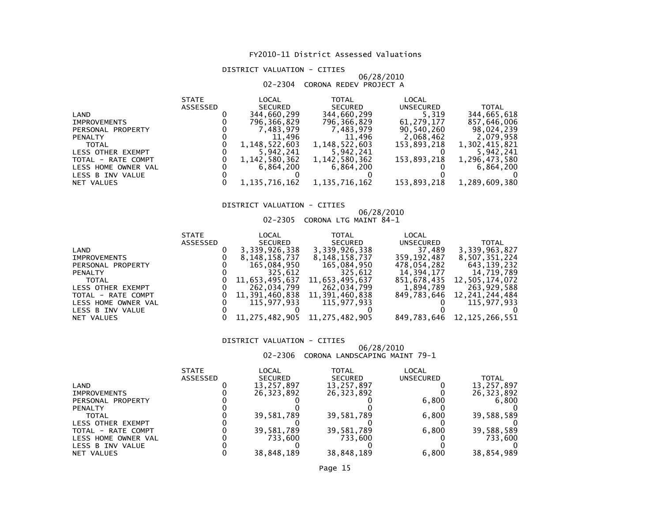# DISTRICT VALUATION - CITIES

### 06/28/201002-2304 CORONA REDEV PROJECT A

|                |                     | <b>STATE</b>    | LOCAL          | <b>TOTAL</b>   | LOCAL       |               |
|----------------|---------------------|-----------------|----------------|----------------|-------------|---------------|
|                |                     | <b>ASSESSED</b> | <b>SECURED</b> | <b>SECURED</b> | UNSECURED   | <b>TOTAL</b>  |
| LAND           |                     |                 | 344,660,299    | 344,660,299    | 5,319       | 344,665,618   |
|                | <b>IMPROVEMENTS</b> |                 | 796,366,829    | 796,366,829    | 61,279,177  | 857,646,006   |
|                | PERSONAL PROPERTY   |                 | 7,483,979      | 7,483,979      | 90,540,260  | 98,024,239    |
| <b>PENALTY</b> |                     |                 | 11,496         | 11,496         | 2,068,462   | 2,079,958     |
|                | <b>TOTAL</b>        |                 | 1,148,522,603  | 1,148,522,603  | 153.893.218 | 1,302,415,821 |
|                | LESS OTHER EXEMPT   |                 | 5,942,241      | 5,942,241      |             | 5,942,241     |
|                | TOTAL - RATE COMPT  |                 | 1,142,580,362  | 1,142,580,362  | 153,893,218 | 1,296,473,580 |
|                | LESS HOME OWNER VAL |                 | 6.864.200      | 6,864,200      |             | 6,864,200     |
|                | LESS B INV VALUE    |                 |                |                |             |               |
|                | NET VALUES          |                 | 1,135,716,162  | 1,135,716,162  | 153,893,218 | 1,289,609,380 |

# DISTRICT VALUATION - CITIES

# 06/28/2010 02-2305 CORONA LTG MAINT 84-1

|                     | <b>STATE</b> | LOCAL                         | <b>TOTAL</b>   | LOCAL       |                            |
|---------------------|--------------|-------------------------------|----------------|-------------|----------------------------|
|                     | ASSESSED     | <b>SECURED</b>                | <b>SECURED</b> | UNSECURED   | <b>TOTAL</b>               |
| LAND                |              | 3,339,926,338                 | 3,339,926,338  | 37,489      | 3,339,963,827              |
| <b>IMPROVEMENTS</b> |              | 8,148,158,737                 | 8,148,158,737  | 359,192,487 | 8,507,351,224              |
| PERSONAL PROPERTY   |              | 165,084,950                   | 165,084,950    | 478,054,282 | 643,139,232                |
| <b>PENALTY</b>      |              | 325,612                       | 325,612        | 14,394,177  | 14,719,789                 |
| TOTAL               |              | 11,653,495,637                | 11,653,495,637 | 851,678,435 | 12,505,174,072             |
| LESS OTHER EXEMPT   |              | 262,034,799                   | 262,034,799    | 1,894,789   | 263,929,588                |
| TOTAL - RATE COMPT  |              | 11,391,460,838                | 11,391,460,838 |             | 849,783,646 12,241,244,484 |
| LESS HOME OWNER VAL |              | 115.977.933                   | 115.977.933    |             | 115,977,933                |
| LESS B INV VALUE    |              |                               |                |             |                            |
| NET VALUES          |              | 11,275,482,905 11,275,482,905 |                |             | 849,783,646 12,125,266,551 |

### DISTRICT VALUATION - CITIES

06/28/2010 02-2306 CORONA LANDSCAPING MAINT 79-1

|  | 72-ZJUU CUNUNA LANDJCAFING MAINT 79-I |  |  |
|--|---------------------------------------|--|--|
|  |                                       |  |  |

|                     | <b>STATE</b>    | LOCAL          | TOTAL          | LOCAL     |            |
|---------------------|-----------------|----------------|----------------|-----------|------------|
|                     | <b>ASSESSED</b> | <b>SECURED</b> | <b>SECURED</b> | UNSECURED | TOTAL      |
| LAND                |                 | 13,257,897     | 13,257,897     |           | 13,257,897 |
| <b>IMPROVEMENTS</b> |                 | 26,323,892     | 26,323,892     |           | 26,323,892 |
| PERSONAL PROPERTY   |                 |                |                | 6,800     | 6,800      |
| <b>PENALTY</b>      |                 |                |                |           |            |
| TOTAL               |                 | 39,581,789     | 39,581,789     | 6,800     | 39,588,589 |
| LESS OTHER EXEMPT   |                 |                |                |           |            |
| TOTAL - RATE COMPT  |                 | 39,581,789     | 39,581,789     | 6.800     | 39,588,589 |
| LESS HOME OWNER VAL |                 | 733.600        | 733.600        |           | 733,600    |
| LESS B INV VALUE    |                 |                |                |           |            |
| NET VALUES          |                 | 38,848,189     | 38,848,189     | 6,800     | 38,854,989 |
|                     |                 |                |                |           |            |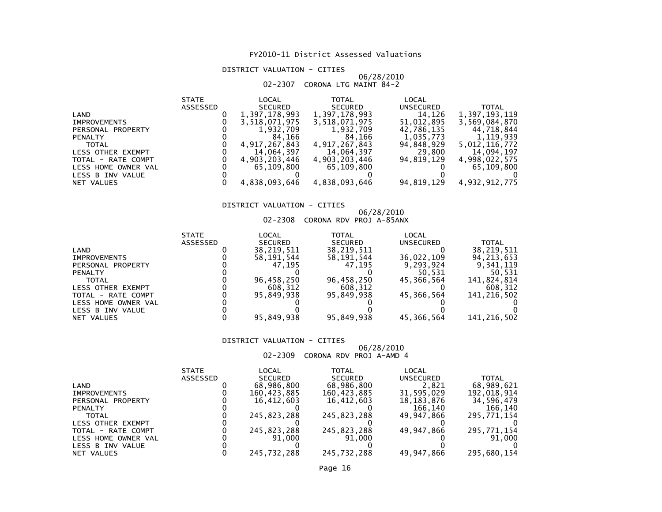# DISTRICT VALUATION - CITIES

# 06/28/2010 02-2307 CORONA LTG MAINT 84-2

| <b>STATE</b> | LOCAL         | <b>TOTAL</b>  | LOCAL      |               |
|--------------|---------------|---------------|------------|---------------|
| ASSESSED     | SECURED       | SECURED       | UNSECURED  | <b>TOTAL</b>  |
|              | 1,397,178,993 | 1,397,178,993 | 14,126     | 1,397,193,119 |
|              | 3,518,071,975 | 3,518,071,975 | 51,012,895 | 3,569,084,870 |
|              | 1,932,709     | 1,932,709     | 42,786,135 | 44.718.844    |
|              | 84.166        | 84.166        | 1,035,773  | 1,119,939     |
|              | 4,917,267,843 | 4,917,267,843 | 94,848,929 | 5,012,116,772 |
|              | 14,064,397    | 14.064.397    | 29,800     | 14.094.197    |
|              | 4,903,203,446 | 4,903,203,446 | 94.819.129 | 4,998,022,575 |
|              | 65,109,800    | 65,109,800    |            | 65,109,800    |
|              |               |               |            |               |
|              | 4,838,093,646 | 4,838,093,646 | 94,819,129 | 4,932,912,775 |
|              |               |               |            |               |

# DISTRICT VALUATION - CITIES

# 06/28/2010 02-2308 CORONA RDV PROJ A-85ANX

| <b>STATE</b>    | LOCAL          | TOTAL          | LOCAL      |              |
|-----------------|----------------|----------------|------------|--------------|
| <b>ASSESSED</b> | <b>SECURED</b> | <b>SECURED</b> | UNSECURED  | TOTAL        |
|                 | 38,219,511     | 38,219,511     |            | 38,219,511   |
|                 | 58, 191, 544   | 58,191,544     | 36,022,109 | 94, 213, 653 |
|                 | 47.195         | 47.195         | 9.293.924  | 9.341.119    |
|                 |                |                | 50.531     | 50.531       |
|                 | 96,458,250     | 96,458,250     | 45.366.564 | 141,824,814  |
|                 | 608.312        | 608.312        |            | 608,312      |
|                 | 95.849.938     | 95.849.938     | 45,366,564 | 141,216,502  |
|                 |                |                |            |              |
|                 |                |                |            |              |
|                 | 95,849,938     | 95,849,938     | 45,366,564 | 141,216,502  |
|                 |                |                |            |              |

### DISTRICT VALUATION - CITIES

06/28/2010 02-2309 CORONA RDV PROJ A-AMD 4

|                     | <b>STATE</b> | LOCAL          | TOTAL       | LOCAL            |              |
|---------------------|--------------|----------------|-------------|------------------|--------------|
|                     | ASSESSED     | <b>SECURED</b> | SECURED     | <b>UNSECURED</b> | <b>TOTAL</b> |
| LAND                |              | 68,986,800     | 68,986,800  | 2,821            | 68,989,621   |
| <b>IMPROVEMENTS</b> |              | 160,423,885    | 160,423,885 | 31,595,029       | 192,018,914  |
| PERSONAL PROPERTY   |              | 16.412.603     | 16.412.603  | 18,183,876       | 34,596,479   |
| <b>PENALTY</b>      |              |                |             | 166.140          | 166,140      |
| <b>TOTAL</b>        |              | 245,823,288    | 245,823,288 | 49.947.866       | 295,771,154  |
| LESS OTHER EXEMPT   |              |                |             |                  |              |
| TOTAL - RATE COMPT  |              | 245,823,288    | 245,823,288 | 49.947.866       | 295,771,154  |
| LESS HOME OWNER VAL |              | 91.000         | 91.000      |                  | 91,000       |
| LESS B INV VALUE    |              |                |             |                  |              |
| NET VALUES          |              | 245,732,288    | 245,732,288 | 49,947,866       | 295,680,154  |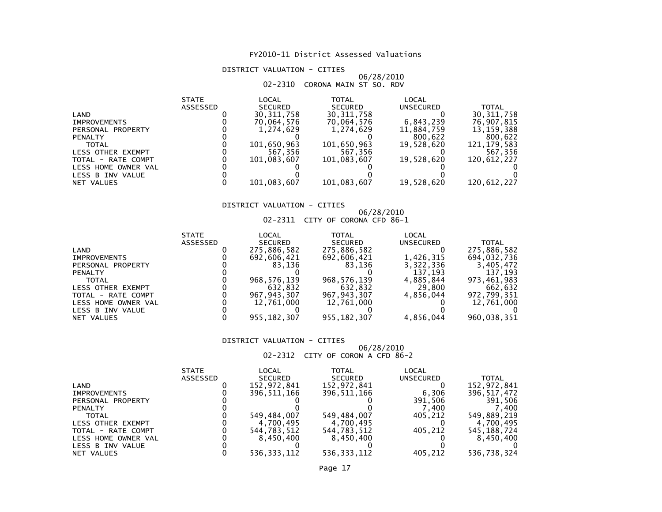# DISTRICT VALUATION - CITIES

### 06/28/201002-2310 CORONA MAIN ST SO. RDV

|                     | <b>STATE</b>    | LOCAL          | <b>TOTAL</b>   | LOCAL      |               |
|---------------------|-----------------|----------------|----------------|------------|---------------|
|                     | <b>ASSESSED</b> | <b>SECURED</b> | <b>SECURED</b> | UNSECURED  | <b>TOTAL</b>  |
| LAND                |                 | 30, 311, 758   | 30, 311, 758   |            | 30, 311, 758  |
| <b>IMPROVEMENTS</b> |                 | 70,064,576     | 70,064,576     | 6,843,239  | 76,907,815    |
| PERSONAL PROPERTY   |                 | 1.274.629      | 1.274.629      | 11,884,759 | 13, 159, 388  |
| <b>PENALTY</b>      |                 |                |                | 800,622    | 800,622       |
| <b>TOTAL</b>        |                 | 101,650,963    | 101,650,963    | 19.528.620 | 121, 179, 583 |
| LESS OTHER EXEMPT   |                 | 567,356        | 567,356        |            | 567,356       |
| TOTAL - RATE COMPT  |                 | 101.083.607    | 101,083,607    | 19,528,620 | 120,612,227   |
| LESS HOME OWNER VAL |                 |                |                |            |               |
| LESS B INV VALUE    |                 |                |                |            |               |
| NET VALUES          |                 | 101,083,607    | 101,083,607    | 19,528,620 | 120,612,227   |

# DISTRICT VALUATION - CITIES

# 06/28/2010 02-2311 CITY OF CORONA CFD 86-1

| LOCAL<br>LOCAL<br>TOTAL<br><b>STATE</b>                           |             |
|-------------------------------------------------------------------|-------------|
| <b>SECURED</b><br><b>ASSESSED</b><br><b>SECURED</b><br>UNSECURED  | TOTAL       |
| 275,886,582<br>275,886,582<br>LAND                                | 275,886,582 |
| 1,426,315<br>692,606,421<br>692,606,421<br><b>IMPROVEMENTS</b>    | 694,032,736 |
| 83.136<br>3,322,336<br>83.136<br>PERSONAL PROPERTY                | 3,405,472   |
| 137,193<br><b>PENALTY</b>                                         | 137.193     |
| 968.576.139<br>968, 576, 139<br>4,885,844<br><b>TOTAL</b>         | 973.461.983 |
| 632.832<br>29,800<br>632,832<br><b>LESS OTHER EXEMPT</b>          | 662,632     |
| 967, 943, 307<br>967, 943, 307<br>4.856.044<br>TOTAL - RATE COMPT | 972,799,351 |
| 12,761,000<br>12,761,000<br>LESS HOME OWNER VAL                   | 12,761,000  |
| LESS B INV VALUE                                                  |             |
| 955, 182, 307<br>955, 182, 307<br>4,856,044<br>NET VALUES         | 960,038,351 |

### DISTRICT VALUATION - CITIES

# 06/28/2010 02-2312 CITY OF CORON A CFD 86-2

|                     | <b>STATE</b> | LOCAL          | TOTAL          | LOCAL     |               |
|---------------------|--------------|----------------|----------------|-----------|---------------|
|                     | ASSESSED     | <b>SECURED</b> | <b>SECURED</b> | UNSECURED | <b>TOTAL</b>  |
| LAND                |              | 152,972,841    | 152,972,841    |           | 152,972,841   |
| <b>IMPROVEMENTS</b> |              | 396,511,166    | 396,511,166    | 6,306     | 396, 517, 472 |
| PERSONAL PROPERTY   |              |                |                | 391.506   | 391,506       |
| <b>PENALTY</b>      |              |                |                | (1.400)   | .400          |
| <b>TOTAL</b>        |              | 549,484,007    | 549,484,007    | 405.212   | 549,889,219   |
| LESS OTHER EXEMPT   |              | 4.700.495      | 4,700,495      |           | 4.700.495     |
| TOTAL - RATE COMPT  |              | 544.783.512    | 544,783,512    | 405.212   | 545, 188, 724 |
| LESS HOME OWNER VAL |              | 8.450.400      | 8,450,400      |           | 8,450,400     |
| LESS B INV VALUE    |              |                |                |           |               |
| NET VALUES          |              | 536.333.112    | 536.333.112    | 405.212   | 536.738.324   |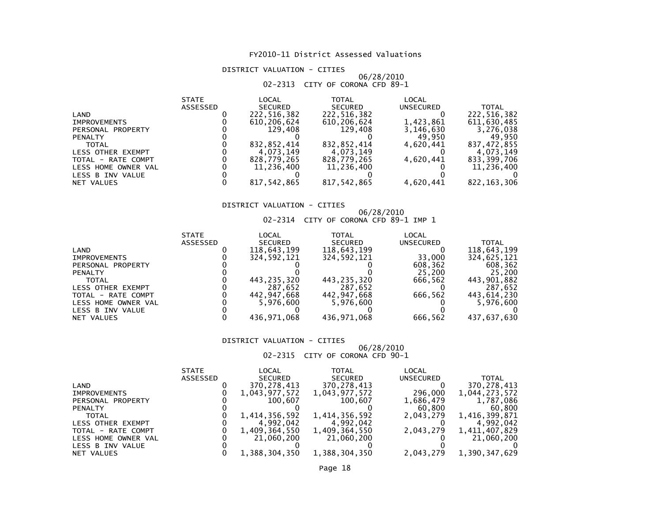DISTRICT VALUATION - CITIES

### 06/28/201002-2313 CITY OF CORONA CFD 89-1

|                     | <b>STATE</b>    | LOCAL          | <b>TOTAL</b>   | LOCAL     |               |
|---------------------|-----------------|----------------|----------------|-----------|---------------|
|                     | <b>ASSESSED</b> | <b>SECURED</b> | <b>SECURED</b> | UNSECURED | <b>TOTAL</b>  |
| LAND                |                 | 222,516,382    | 222,516,382    |           | 222,516,382   |
| <b>IMPROVEMENTS</b> |                 | 610,206,624    | 610,206,624    | 1,423,861 | 611,630,485   |
| PERSONAL PROPERTY   |                 | 129,408        | 129,408        | 3,146,630 | 3,276,038     |
| <b>PENALTY</b>      |                 |                |                | 49.950    | 49.950        |
| <b>TOTAL</b>        |                 | 832,852,414    | 832,852,414    | 4.620.441 | 837,472,855   |
| LESS OTHER EXEMPT   |                 | 4.073.149      | 4.073.149      |           | 4.073.149     |
| TOTAL - RATE COMPT  |                 | 828,779,265    | 828,779,265    | 4,620,441 | 833,399,706   |
| LESS HOME OWNER VAL |                 | 11,236,400     | 11,236,400     |           | 11,236,400    |
| LESS B INV VALUE    |                 |                |                |           |               |
| NET VALUES          |                 | 817,542,865    | 817,542,865    | 4,620,441 | 822, 163, 306 |

# DISTRICT VALUATION - CITIES

# 06/28/2010 02-2314 CITY OF CORONA CFD 89-1 IMP 1

|                          | <b>STATE</b>    | LOCAL          | TOTAL          | LOCAL     |              |
|--------------------------|-----------------|----------------|----------------|-----------|--------------|
|                          | <b>ASSESSED</b> | <b>SECURED</b> | <b>SECURED</b> | UNSECURED | <b>TOTAL</b> |
| LAND                     |                 | 118,643,199    | 118,643,199    |           | 118,643,199  |
| <b>IMPROVEMENTS</b>      |                 | 324,592,121    | 324, 592, 121  | 33,000    | 324.625.121  |
| PERSONAL PROPERTY        |                 |                |                | 608,362   | 608,362      |
| <b>PENALTY</b>           |                 |                |                | 25,200    | 25.200       |
| <b>TOTAL</b>             |                 | 443.235.320    | 443,235,320    | 666.562   | 443,901,882  |
| <b>LESS OTHER EXEMPT</b> |                 | 287.652        | 287.652        |           | 287.652      |
| TOTAL - RATE COMPT       |                 | 442,947,668    | 442,947,668    | 666.562   | 443,614,230  |
| LESS HOME OWNER VAL      |                 | 5.976.600      | 5,976,600      |           | 5.976.600    |
| LESS B INV VALUE         |                 |                |                |           |              |
| NET VALUES               |                 | 436.971.068    | 436,971,068    | 666,562   | 437,637,630  |

### DISTRICT VALUATION - CITIES

# 06/28/2010 02-2315 CITY OF CORONA CFD 90-1

|                     | <b>STATE</b> | LOCAL          | <b>TOTAL</b>   | LOCAL            |               |
|---------------------|--------------|----------------|----------------|------------------|---------------|
|                     | ASSESSED     | <b>SECURED</b> | <b>SECURED</b> | <b>UNSECURED</b> | <b>TOTAL</b>  |
| LAND                |              | 370,278,413    | 370, 278, 413  |                  | 370,278,413   |
| <b>IMPROVEMENTS</b> |              | 1,043,977,572  | 1,043,977,572  | 296,000          | 1,044,273,572 |
| PERSONAL PROPERTY   |              | 100.607        | 100.607        | 1,686,479        | 1,787,086     |
| <b>PENALTY</b>      |              |                |                | 60,800           | 60,800        |
| <b>TOTAL</b>        |              | 1,414,356,592  | 1,414,356,592  | 2.043.279        | 1,416,399,871 |
| LESS OTHER EXEMPT   |              | 4.992.042      | 4,992,042      |                  | 4,992,042     |
| TOTAL - RATE COMPT  |              | 1,409,364,550  | 1,409,364,550  | 2.043.279        | 1,411,407,829 |
| LESS HOME OWNER VAL |              | 21,060,200     | 21,060,200     |                  | 21,060,200    |
| LESS B INV VALUE    |              |                |                |                  |               |
| NET VALUES          |              | 1,388,304,350  | 1,388,304,350  | 2,043,279        | 1,390,347,629 |
|                     |              |                |                |                  |               |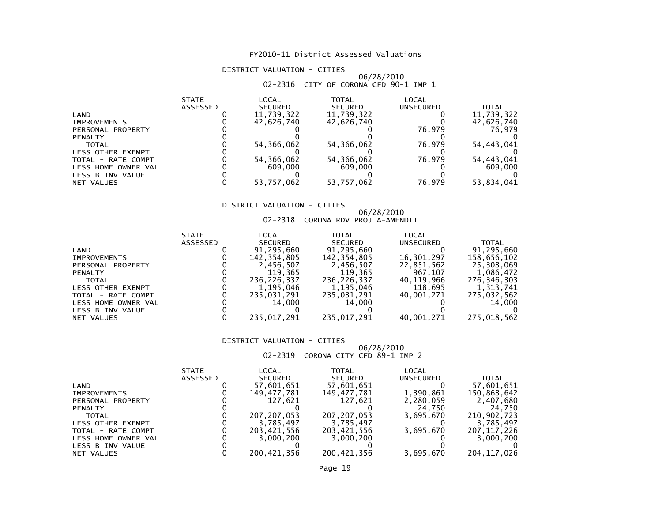# DISTRICT VALUATION - CITIES

# 06/28/2010 02-2316 CITY OF CORONA CFD 90-1 IMP 1

|                          | <b>STATE</b>    | LOCAL          | <b>TOTAL</b>   | LOCAL            |              |
|--------------------------|-----------------|----------------|----------------|------------------|--------------|
|                          | <b>ASSESSED</b> | <b>SECURED</b> | <b>SECURED</b> | <b>UNSECURED</b> | <b>TOTAL</b> |
| LAND                     |                 | 11,739,322     | 11,739,322     |                  | 11,739,322   |
| <b>IMPROVEMENTS</b>      |                 | 42,626,740     | 42,626,740     |                  | 42,626,740   |
| PERSONAL PROPERTY        |                 |                |                | 76.979           | 76.979       |
| <b>PENALTY</b>           |                 |                |                |                  |              |
| <b>TOTAL</b>             |                 | 54,366,062     | 54, 366, 062   | 76.979           | 54,443,041   |
| <b>LESS OTHER EXEMPT</b> |                 |                |                |                  |              |
| TOTAL - RATE COMPT       |                 | 54,366,062     | 54,366,062     | 76.979           | 54,443,041   |
| LESS HOME OWNER VAL      |                 | 609,000        | 609,000        |                  | 609,000      |
| LESS B INV VALUE         |                 |                |                |                  |              |
| NET VALUES               |                 | 53.757.062     | 53.757.062     | 76,979           | 53,834,041   |

# DISTRICT VALUATION - CITIES

# 06/28/2010 02-2318 CORONA RDV PROJ A-AMENDII

| UZ-Z3I8 CORONA RDV PROJ A-AMENDI. |  |
|-----------------------------------|--|
|-----------------------------------|--|

|                          | <b>STATE</b> | LOCAL          | <b>TOTAL</b>   | LOCAL      |              |
|--------------------------|--------------|----------------|----------------|------------|--------------|
|                          | ASSESSED     | <b>SECURED</b> | <b>SECURED</b> | UNSECURED  | <b>TOTAL</b> |
| LAND                     |              | 91,295,660     | 91,295,660     |            | 91,295,660   |
| <b>IMPROVEMENTS</b>      |              | 142,354,805    | 142, 354, 805  | 16,301,297 | 158,656,102  |
| PERSONAL PROPERTY        |              | 2,456,507      | 2,456,507      | 22,851,562 | 25,308,069   |
| <b>PENALTY</b>           |              | 119.365        | 119,365        | 967,107    | 1,086,472    |
| <b>TOTAL</b>             |              | 236.226.337    | 236,226,337    | 40,119,966 | 276,346,303  |
| <b>LESS OTHER EXEMPT</b> |              | 1.195.046      | 1,195,046      | 118,695    | 1,313,741    |
| TOTAL - RATE COMPT       |              | 235.031.291    | 235,031,291    | 40.001.271 | 275,032,562  |
| LESS HOME OWNER VAL      |              | 14.000         | 14.000         |            | 14,000       |
| LESS B INV VALUE         |              |                |                |            |              |
| NET VALUES               |              | 235.017.291    | 235,017,291    | 40,001,271 | 275,018,562  |
|                          |              |                |                |            |              |

### DISTRICT VALUATION - CITIES

06/28/2010 02-2319 CORONA CITY CFD 89-1 IMP 2

|                     | <b>STATE</b>    | LOCAL          | TOTAL          | LOCAL     |               |
|---------------------|-----------------|----------------|----------------|-----------|---------------|
|                     | <b>ASSESSED</b> | <b>SECURED</b> | <b>SECURED</b> | UNSECURED | TOTAL         |
| LAND                |                 | 57,601,651     | 57,601,651     |           | 57,601,651    |
| <b>IMPROVEMENTS</b> |                 | 149,477,781    | 149,477,781    | 1,390,861 | 150,868,642   |
| PERSONAL PROPERTY   |                 | 127.621        | 127.621        | 2,280,059 | 2,407,680     |
| <b>PENALTY</b>      |                 |                |                | 24,750    | 24.750        |
| <b>TOTAL</b>        |                 | 207, 207, 053  | 207, 207, 053  | 3.695.670 | 210,902,723   |
| LESS OTHER EXEMPT   |                 | 3,785,497      | 3,785,497      |           | 3.785.497     |
| TOTAL - RATE COMPT  |                 | 203.421.556    | 203,421,556    | 3,695,670 | 207, 117, 226 |
| LESS HOME OWNER VAL |                 | 3,000,200      | 3,000,200      |           | 3,000,200     |
| LESS B INV VALUE    |                 |                |                |           |               |
| NET VALUES          |                 | 200.421.356    | 200,421,356    | 3,695,670 | 204.117.026   |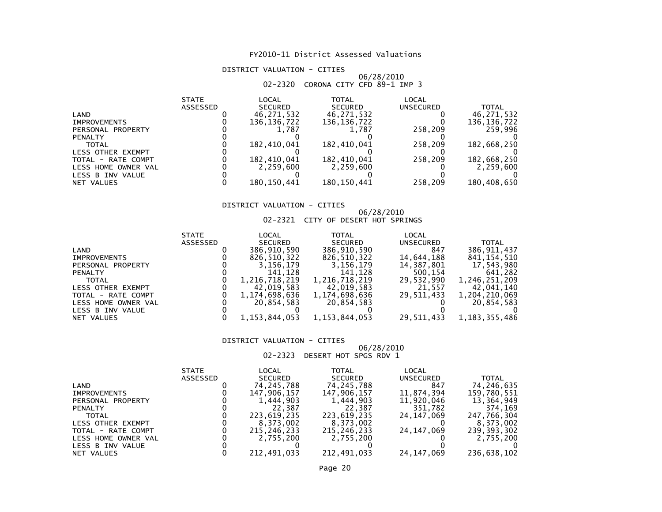# DISTRICT VALUATION - CITIES

# 06/28/2010 02-2320 CORONA CITY CFD 89-1 IMP 3

|                     | <b>STATE</b>    | LOCAL          | <b>TOTAL</b>   | <b>LOCAL</b> |               |
|---------------------|-----------------|----------------|----------------|--------------|---------------|
|                     | <b>ASSESSED</b> | <b>SECURED</b> | <b>SECURED</b> | UNSECURED    | <b>TOTAL</b>  |
| LAND                |                 | 46,271,532     | 46,271,532     |              | 46,271,532    |
| <b>IMPROVEMENTS</b> |                 | 136, 136, 722  | 136, 136, 722  |              | 136, 136, 722 |
| PERSONAL PROPERTY   |                 | 1.787          | 1.787          | 258.209      | 259,996       |
| <b>PENALTY</b>      |                 |                |                |              |               |
| <b>TOTAL</b>        |                 | 182.410.041    | 182.410.041    | 258,209      | 182,668,250   |
| LESS OTHER EXEMPT   |                 |                |                |              |               |
| TOTAL - RATE COMPT  |                 | 182,410,041    | 182,410,041    | 258,209      | 182,668,250   |
| LESS HOME OWNER VAL |                 | 2.259.600      | 2,259,600      |              | 2,259,600     |
| LESS B INV VALUE    |                 |                |                |              |               |
| NET VALUES          |                 | 180.150.441    | 180, 150, 441  | 258,209      | 180,408,650   |

# DISTRICT VALUATION - CITIES

### 06/28/201002-2321 CITY OF DESERT HOT SPRINGS

| <b>STATE</b>    | LOCAL            | TOTAL                    | LOCAL            |                      |
|-----------------|------------------|--------------------------|------------------|----------------------|
| <b>ASSESSED</b> | <b>SECURED</b>   | <b>SECURED</b>           | UNSECURED        | <b>TOTAL</b>         |
|                 | 386,910,590      | 386,910,590              | 847              | 386,911,437          |
|                 | 826,510,322      | 826,510,322              | 14,644,188       | 841, 154, 510        |
|                 | 3,156,179        | 3,156,179                | 14,387,801       | 17,543,980           |
|                 | 141.128          | 141.128                  | 500,154          | 641.282              |
|                 | 1,216,718,219    | 1,216,718,219            | 29,532,990       | 1,246,251,209        |
|                 |                  | 42,019,583               |                  | 42.041.140           |
|                 | 1,174,698,636    | 1,174,698,636            | 29.511.433       | 1,204,210,069        |
|                 |                  | 20,854,583               |                  | 20.854.583           |
|                 |                  |                          |                  |                      |
|                 | 1, 153, 844, 053 |                          |                  | 1, 183, 355, 486     |
|                 |                  | 42.019.583<br>20.854.583 | 1, 153, 844, 053 | 21,557<br>29,511,433 |

### DISTRICT VALUATION - CITIES

# 06/28/2010 02-2323 DESERT HOT SPGS RDV 1

|                     | <b>STATE</b> | LOCAL          | TOTAL          | LOCAL        |              |
|---------------------|--------------|----------------|----------------|--------------|--------------|
|                     | ASSESSED     | <b>SECURED</b> | <b>SECURED</b> | UNSECURED    | <b>TOTAL</b> |
| LAND                |              | 74, 245, 788   | 74, 245, 788   | 847          | 74,246,635   |
| <b>IMPROVEMENTS</b> |              | 147.906.157    | 147,906,157    | 11,874,394   | 159,780,551  |
| PERSONAL PROPERTY   |              | 1,444,903      | 1,444,903      | 11,920,046   | 13,364,949   |
| <b>PENALTY</b>      |              | 22,387         | 22,387         | 351,782      | 374,169      |
| <b>TOTAL</b>        |              | 223,619,235    | 223,619,235    | 24, 147, 069 | 247,766,304  |
| LESS OTHER EXEMPT   |              | 8,373,002      | 8,373,002      |              | 8.373.002    |
| TOTAL - RATE COMPT  |              | 215.246.233    | 215,246,233    | 24, 147, 069 | 239,393,302  |
| LESS HOME OWNER VAL |              | 2,755,200      | 2,755,200      |              | 2,755,200    |
| LESS B INV VALUE    |              |                |                |              |              |
| NET VALUES          |              | 212,491,033    | 212,491,033    | 24, 147, 069 | 236,638,102  |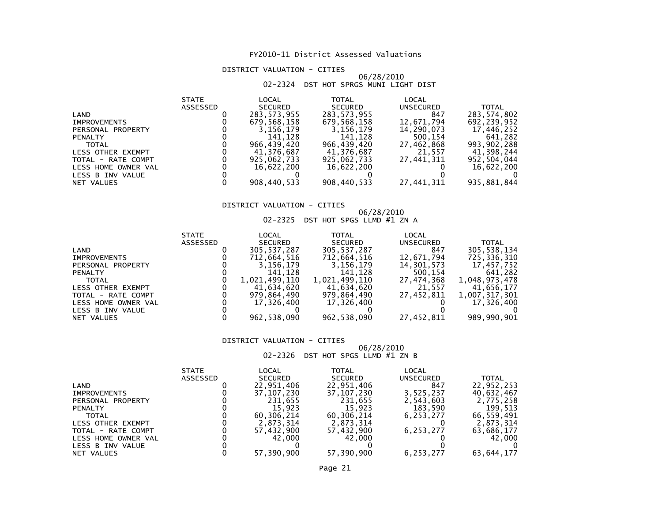# DISTRICT VALUATION - CITIES

# 06/28/201002-2324 DST HOT SPRGS MUNI LIGHT DIST

|                     | <b>STATE</b>    | LOCAL          | <b>TOTAL</b>   | LOCAL      |              |
|---------------------|-----------------|----------------|----------------|------------|--------------|
|                     | <b>ASSESSED</b> | <b>SECURED</b> | <b>SECURED</b> | UNSECURED  | <b>TOTAL</b> |
| LAND                |                 | 283, 573, 955  | 283, 573, 955  | 847        | 283,574,802  |
| <b>IMPROVEMENTS</b> |                 | 679,568,158    | 679,568,158    | 12,671,794 | 692,239,952  |
| PERSONAL PROPERTY   |                 | 3.156.179      | 3,156,179      | 14,290,073 | 17.446.252   |
| <b>PENALTY</b>      |                 | 141.128        | 141,128        | 500,154    | 641,282      |
| <b>TOTAL</b>        |                 | 966.439.420    | 966.439.420    | 27,462,868 | 993,902,288  |
| LESS OTHER EXEMPT   |                 | 41.376.687     | 41.376.687     | 21.557     | 41.398.244   |
| TOTAL - RATE COMPT  |                 | 925,062,733    | 925,062,733    | 27,441,311 | 952,504,044  |
| LESS HOME OWNER VAL |                 | 16,622,200     | 16,622,200     |            | 16,622,200   |
| LESS B INV VALUE    |                 |                |                |            |              |
| NET VALUES          |                 | 908,440,533    | 908,440,533    | 27,441,311 | 935,881,844  |

# DISTRICT VALUATION - CITIES

# 06/28/2010 02-2325 DST HOT SPGS LLMD #1 ZN A

| LOCAL<br><b>TOTAL</b><br>LOCAL<br><b>STATE</b>                          |               |
|-------------------------------------------------------------------------|---------------|
| <b>ASSESSED</b><br><b>SECURED</b><br><b>SECURED</b><br><b>UNSECURED</b> | <b>TOTAL</b>  |
| 305, 537, 287<br>305, 537, 287<br>847<br>LAND                           | 305,538,134   |
| 712,664,516<br>712,664,516<br>12,671,794<br><b>IMPROVEMENTS</b>         | 725,336,310   |
| 3,156,179<br>3,156,179<br>14,301,573<br>PERSONAL PROPERTY               | 17,457,752    |
| 500,154<br>141,128<br>141.128<br><b>PENALTY</b>                         | 641.282       |
| 1,021,499,110<br>1,021,499,110<br>27,474,368<br><b>TOTAL</b>            | 1,048,973,478 |
| 41,634,620<br>21.557<br>41.634.620<br>LESS OTHER EXEMPT                 | 41.656.177    |
| 27,452,811<br>979,864,490<br>979,864,490<br>TOTAL - RATE COMPT          | 1,007,317,301 |
| 17.326.400<br>17,326,400<br>LESS HOME OWNER VAL                         | 17,326,400    |
| LESS B INV VALUE                                                        |               |
| 962, 538, 090<br>27,452,811<br>962, 538, 090<br>NET VALUES              | 989,990,901   |

### DISTRICT VALUATION - CITIES

# 06/28/2010 02-2326 DST HOT SPGS LLMD #1 ZN B

| LOCAL<br>TOTAL<br>LOCAL<br><b>STATE</b>                                 |              |
|-------------------------------------------------------------------------|--------------|
| <b>SECURED</b><br><b>ASSESSED</b><br><b>SECURED</b><br><b>UNSECURED</b> | <b>TOTAL</b> |
| 22,951,406<br>22,951,406<br>847<br>LAND                                 | 22,952,253   |
| 3,525,237<br>37, 107, 230<br>37,107,230<br><b>IMPROVEMENTS</b>          | 40,632,467   |
| 231,655<br>231,655<br>2,543,603<br>PERSONAL PROPERTY                    | 2,775,258    |
| 183,590<br>15,923<br>15.923<br><b>PENALTY</b>                           | 199.513      |
| 60,306,214<br>60,306,214<br>6.253.277<br><b>TOTAL</b>                   | 66,559,491   |
| 2,873,314<br>2.873.314<br><b>LESS OTHER EXEMPT</b>                      | 2,873,314    |
| 57,432,900<br>57,432,900<br>6,253,277<br>TOTAL - RATE COMPT             | 63,686,177   |
| 42.000<br>42.000<br>LESS HOME OWNER VAL                                 | 42.000       |
| LESS B INV VALUE                                                        |              |
| 57,390,900<br>57,390,900<br>6,253,277<br>NET VALUES                     | 63,644,177   |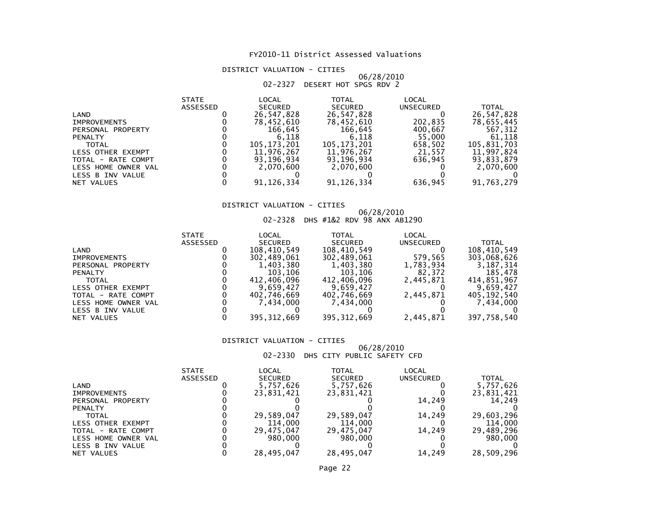# DISTRICT VALUATION - CITIES

# 06/28/2010 02-2327 DESERT HOT SPGS RDV 2

| <b>STATE</b>    | LOCAL          | <b>TOTAL</b>   | LOCAL        |              |
|-----------------|----------------|----------------|--------------|--------------|
| <b>ASSESSED</b> | <b>SECURED</b> | <b>SECURED</b> | UNSECURED    | <b>TOTAL</b> |
|                 | 26,547,828     | 26,547,828     |              | 26,547,828   |
|                 | 78,452,610     | 78,452,610     | 202,835      | 78,655,445   |
|                 | 166,645        | 166,645        | 400,667      | 567,312      |
|                 | 6.118          | 6.118          | 55,000       | 61,118       |
|                 | 105.173.201    | 105,173,201    | 658.502      | 105,831,703  |
|                 | 11,976,267     | 11,976,267     | 21,557       | 11,997,824   |
|                 | 93,196,934     | 93,196,934     | 636.945      | 93,833,879   |
|                 | 2.070.600      | 2.070.600      |              | 2,070,600    |
|                 |                |                |              |              |
|                 |                |                |              | 91,763,279   |
|                 |                | 91, 126, 334   | 91, 126, 334 | 636,945      |

# DISTRICT VALUATION - CITIES

# 06/28/2010 02-2328 DHS #1&2 RDV 98 ANX AB1290

|                          | <b>STATE</b>    | LOCAL          | TOTAL         | LOCAL     |             |
|--------------------------|-----------------|----------------|---------------|-----------|-------------|
|                          | <b>ASSESSED</b> | <b>SECURED</b> | SECURED       | UNSECURED | TOTAL       |
| LAND                     |                 | 108,410,549    | 108,410,549   |           | 108,410,549 |
| <b>IMPROVEMENTS</b>      |                 | 302,489,061    | 302,489,061   | 579,565   | 303,068,626 |
| PERSONAL PROPERTY        |                 | 1,403,380      | 1,403,380     | 1,783,934 | 3,187,314   |
| <b>PENALTY</b>           |                 | 103.106        | 103.106       | 82.372    | 185.478     |
| <b>TOTAL</b>             |                 | 412.406.096    | 412,406,096   | 2,445,871 | 414.851.967 |
| <b>LESS OTHER EXEMPT</b> |                 | 9.659.427      | 9.659.427     |           | 9.659.427   |
| TOTAL - RATE COMPT       |                 | 402,746,669    | 402,746,669   | 2,445,871 | 405,192,540 |
| LESS HOME OWNER VAL      |                 | 7.434.000      | 7,434,000     |           | 7,434,000   |
| LESS B INV VALUE         |                 |                |               |           |             |
| NET VALUES               |                 | 395, 312, 669  | 395, 312, 669 | 2,445,871 | 397,758,540 |

### DISTRICT VALUATION - CITIES

# 06/28/2010 02-2330 DHS CITY PUBLIC SAFETY CFD

|                          | <b>STATE</b>    | LOCAL          | TOTAL          | LOCAL     |            |
|--------------------------|-----------------|----------------|----------------|-----------|------------|
|                          | <b>ASSESSED</b> | <b>SECURED</b> | <b>SECURED</b> | UNSECURED | TOTAL      |
| LAND                     |                 | 5,757,626      | 5,757,626      |           | 5,757,626  |
| <b>IMPROVEMENTS</b>      |                 | 23,831,421     | 23,831,421     |           | 23,831,421 |
| PERSONAL PROPERTY        |                 |                |                | 14,249    | 14.249     |
| <b>PENALTY</b>           |                 |                |                |           |            |
| <b>TOTAL</b>             |                 | 29,589,047     | 29,589,047     | 14.249    | 29,603,296 |
| <b>LESS OTHER EXEMPT</b> |                 | 114,000        | 114,000        |           | 114,000    |
| TOTAL - RATE COMPT       |                 | 29.475.047     | 29,475,047     | 14.249    | 29,489,296 |
| LESS HOME OWNER VAL      |                 | 980,000        | 980,000        |           | 980,000    |
| LESS B INV VALUE         |                 |                |                |           |            |
| NET VALUES               |                 | 28,495,047     | 28,495,047     | 14,249    | 28,509,296 |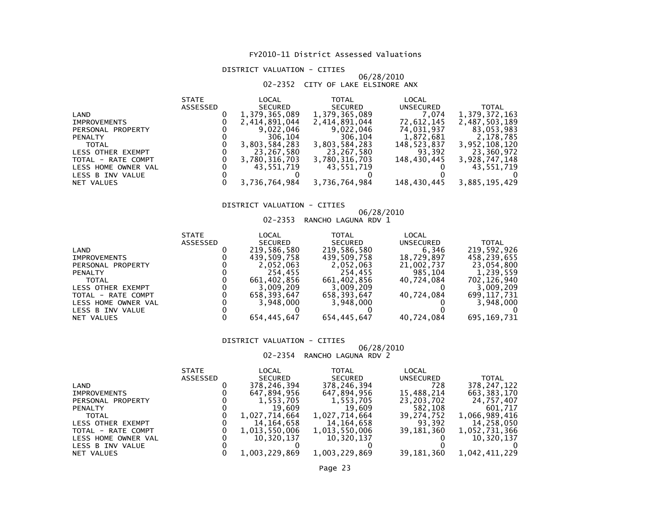# DISTRICT VALUATION - CITIES

### 06/28/201002-2352 CITY OF LAKE ELSINORE ANX

|                     | <b>STATE</b> | LOCAL          | TOTAL          | LOCAL       |               |
|---------------------|--------------|----------------|----------------|-------------|---------------|
|                     | ASSESSED     | <b>SECURED</b> | <b>SECURED</b> | UNSECURED   | <b>TOTAL</b>  |
| LAND                |              | 1,379,365,089  | 1,379,365,089  | 7.074       | 1,379,372,163 |
| <b>IMPROVEMENTS</b> |              | 2,414,891,044  | 2,414,891,044  | 72,612,145  | 2,487,503,189 |
| PERSONAL PROPERTY   |              | 9,022,046      | 9,022,046      | 74,031,937  | 83,053,983    |
| <b>PENALTY</b>      |              | 306,104        | 306,104        | 1,872,681   | 2,178,785     |
| <b>TOTAL</b>        |              | 3,803,584,283  | 3,803,584,283  | 148,523,837 | 3,952,108,120 |
| LESS OTHER EXEMPT   |              | 23,267,580     | 23,267,580     | 93,392      | 23,360,972    |
| TOTAL - RATE COMPT  |              | 3,780,316,703  | 3,780,316,703  | 148,430,445 | 3,928,747,148 |
| LESS HOME OWNER VAL |              | 43,551,719     | 43,551,719     |             | 43,551,719    |
| LESS B INV VALUE    |              |                |                |             |               |
| NET VALUES          |              | 3,736,764,984  | 3,736,764,984  | 148,430,445 | 3,885,195,429 |
|                     |              |                |                |             |               |

# DISTRICT VALUATION - CITIES

# 06/28/2010 02-2353 RANCHO LAGUNA RDV 1

|                     | <b>STATE</b> | LOCAL          | TOTAL          | LOCAL      |               |
|---------------------|--------------|----------------|----------------|------------|---------------|
|                     | ASSESSED     | <b>SECURED</b> | <b>SECURED</b> | UNSECURED  | <b>TOTAL</b>  |
| LAND                |              | 219,586,580    | 219,586,580    | 6,346      | 219.592.926   |
| <b>IMPROVEMENTS</b> |              | 439,509,758    | 439,509,758    | 18,729,897 | 458,239,655   |
| PERSONAL PROPERTY   |              | 2.052.063      | 2,052,063      | 21,002,737 | 23,054,800    |
| <b>PENALTY</b>      |              | 254.455        | 254.455        | 985,104    | 1,239,559     |
| <b>TOTAL</b>        |              | 661.402.856    | 661.402.856    | 40.724.084 | 702.126.940   |
| LESS OTHER EXEMPT   |              | 3,009,209      | 3.009.209      |            | 3,009,209     |
| TOTAL - RATE COMPT  |              | 658,393,647    | 658,393,647    | 40.724.084 | 699, 117, 731 |
| LESS HOME OWNER VAL |              | 3.948.000      | 3,948,000      |            | 3,948,000     |
| LESS B INV VALUE    |              |                |                |            |               |
| NET VALUES          |              | 654,445,647    | 654,445,647    | 40,724,084 | 695, 169, 731 |
|                     |              |                |                |            |               |

### DISTRICT VALUATION - CITIES

# 06/28/2010 02-2354 RANCHO LAGUNA RDV 2

|                     | <b>STATE</b>    | LOCAL          | TOTAL          | LOCAL            |               |
|---------------------|-----------------|----------------|----------------|------------------|---------------|
|                     | <b>ASSESSED</b> | <b>SECURED</b> | <b>SECURED</b> | <b>UNSECURED</b> | TOTAL         |
| LAND                |                 | 378,246,394    | 378,246,394    | 728              | 378, 247, 122 |
| <b>IMPROVEMENTS</b> |                 | 647,894,956    | 647,894,956    | 15,488,214       | 663, 383, 170 |
| PERSONAL PROPERTY   |                 | 1,553,705      | 1,553,705      | 23,203,702       | 24.757.407    |
| <b>PENALTY</b>      |                 | 19.609         | 19,609         | 582,108          | 601.717       |
| <b>TOTAL</b>        |                 | 1,027,714,664  | 1,027,714,664  | 39,274,752       | 1,066,989,416 |
| LESS OTHER EXEMPT   |                 | 14,164,658     | 14,164,658     | 93,392           | 14,258,050    |
| TOTAL - RATE COMPT  |                 | 1,013,550,006  | 1,013,550,006  | 39,181,360       | 1,052,731,366 |
| LESS HOME OWNER VAL |                 | 10,320,137     | 10,320,137     |                  | 10,320,137    |
| LESS B INV VALUE    |                 |                |                |                  |               |
| NET VALUES          |                 | 1.003.229.869  | 1,003,229,869  | 39,181,360       | 1,042,411,229 |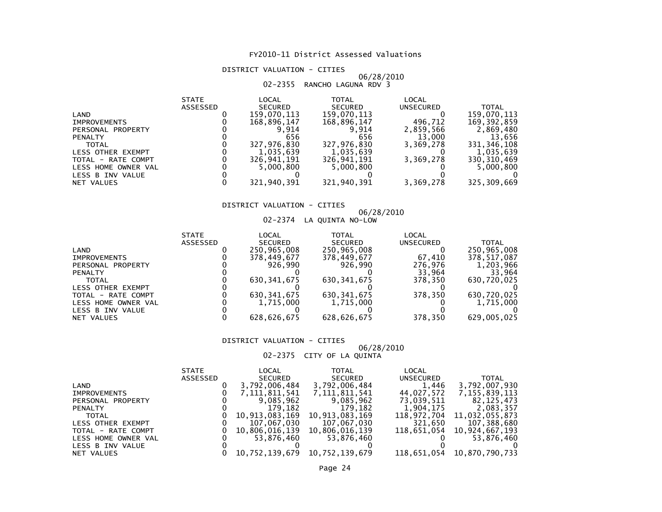# DISTRICT VALUATION - CITIES

# 06/28/2010 02-2355 RANCHO LAGUNA RDV 3

|                     | <b>STATE</b>    | LOCAL          | <b>TOTAL</b>   | <b>LOCAL</b> |               |
|---------------------|-----------------|----------------|----------------|--------------|---------------|
|                     | <b>ASSESSED</b> | <b>SECURED</b> | <b>SECURED</b> | UNSECURED    | <b>TOTAL</b>  |
| LAND                |                 | 159,070,113    | 159,070,113    |              | 159,070,113   |
| <b>IMPROVEMENTS</b> |                 | 168,896,147    | 168,896,147    | 496.712      | 169, 392, 859 |
| PERSONAL PROPERTY   |                 | 9.914          | 9.914          | 2,859,566    | 2,869,480     |
| <b>PENALTY</b>      |                 | 656            | 656            | 13,000       | 13,656        |
| <b>TOTAL</b>        |                 | 327.976.830    | 327.976.830    | 3.369.278    | 331, 346, 108 |
| LESS OTHER EXEMPT   |                 | 1.035.639      | 1,035,639      |              | 1,035,639     |
| TOTAL - RATE COMPT  |                 | 326,941,191    | 326,941,191    | 3,369,278    | 330, 310, 469 |
| LESS HOME OWNER VAL |                 | 5,000,800      | 5.000.800      |              | 5,000,800     |
| LESS B INV VALUE    |                 |                |                |              |               |
| NET VALUES          |                 | 321,940,391    | 321,940,391    | 3,369,278    | 325,309,669   |

# DISTRICT VALUATION - CITIES

# 06/28/2010 02-2374 LA QUINTA NO-LOW

| <b>STATE</b> | LOCAL          | TOTAL          | LOCAL     |              |
|--------------|----------------|----------------|-----------|--------------|
| ASSESSED     | <b>SECURED</b> | <b>SECURED</b> | UNSECURED | <b>TOTAL</b> |
|              | 250,965,008    | 250,965,008    |           | 250,965,008  |
|              | 378,449,677    | 378,449,677    | 67,410    | 378,517,087  |
|              | 926.990        | 926.990        | 276.976   | 1,203,966    |
|              |                |                | 33,964    | 33,964       |
|              | 630, 341, 675  | 630, 341, 675  | 378.350   | 630,720,025  |
|              |                |                |           |              |
|              | 630, 341, 675  | 630, 341, 675  | 378.350   | 630,720,025  |
|              | 1.715.000      | 1,715,000      |           | 1,715,000    |
|              |                |                |           |              |
|              | 628,626,675    | 628,626,675    | 378,350   | 629,005,025  |
|              |                |                |           |              |

### DISTRICT VALUATION - CITIES

# 06/28/2010 02-2375 CITY OF LA QUINTA

|                     | <b>STATE</b> | LOCAL          | TOTAL          | LOCAL            |                            |
|---------------------|--------------|----------------|----------------|------------------|----------------------------|
|                     | ASSESSED     | SECURED        | SECURED        | <b>UNSECURED</b> | TOTAL                      |
| LAND                |              | 3,792,006,484  | 3,792,006,484  | 1.446            | 3,792,007,930              |
| <b>IMPROVEMENTS</b> |              | 7,111,811,541  | 7,111,811,541  | 44.027.572       | 7,155,839,113              |
| PERSONAL PROPERTY   |              | 9,085,962      | 9,085,962      | 73,039,511       | 82,125,473                 |
| <b>PENALTY</b>      |              | 179.182        | 179,182        | 1.904.175        | 2,083,357                  |
| <b>TOTAL</b>        |              | 10,913,083,169 | 10,913,083,169 |                  | 118,972,704 11,032,055,873 |
| LESS OTHER EXEMPT   |              | 107,067,030    | 107,067,030    | 321.650          | 107,388,680                |
| TOTAL - RATE COMPT  |              | 10,806,016,139 | 10,806,016,139 | 118.651.054      | 10,924,667,193             |
| LESS HOME OWNER VAL |              | 53.876.460     | 53,876,460     |                  | 53,876,460                 |
| LESS B INV VALUE    |              |                |                |                  |                            |
| NET VALUES          |              | 10,752,139,679 | 10,752,139,679 | 118,651,054      | 10,870,790,733             |
|                     |              |                |                |                  |                            |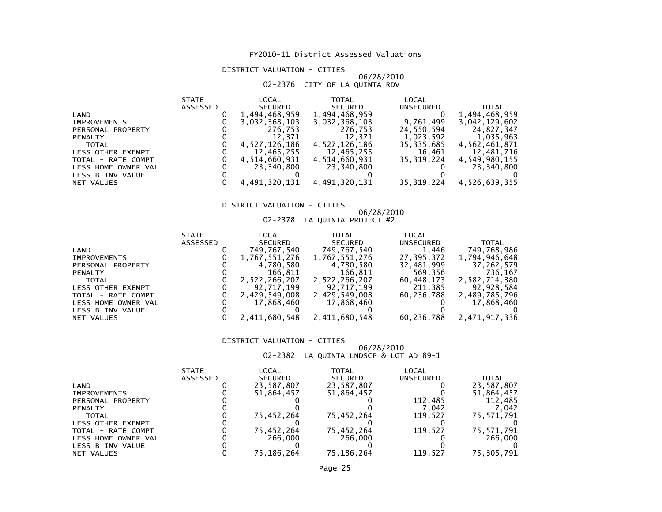# DISTRICT VALUATION - CITIES

# 06/28/2010 02-2376 CITY OF LA QUINTA RDV

|                          | <b>STATE</b> | LOCAL          | TOTAL          | LOCAL        |               |
|--------------------------|--------------|----------------|----------------|--------------|---------------|
|                          | ASSESSED     | <b>SECURED</b> | <b>SECURED</b> | UNSECURED    | <b>TOTAL</b>  |
| LAND                     |              | 1,494,468,959  | 1,494,468,959  |              | 1,494,468,959 |
| <b>IMPROVEMENTS</b>      |              | 3,032,368,103  | 3,032,368,103  | 9,761,499    | 3,042,129,602 |
| PERSONAL PROPERTY        |              | 276,753        | 276.753        | 24,550,594   | 24,827,347    |
| <b>PENALTY</b>           |              | 12.371         | 12,371         | 1,023,592    | 1,035,963     |
| <b>TOTAL</b>             |              | 4.527.126.186  | 4,527,126,186  | 35, 335, 685 | 4,562,461,871 |
| <b>LESS OTHER EXEMPT</b> |              | 12.465.255     | 12,465,255     | 16,461       | 12,481,716    |
| TOTAL - RATE COMPT       |              | 4,514,660,931  | 4,514,660,931  | 35.319.224   | 4,549,980,155 |
| LESS HOME OWNER VAL      |              | 23.340.800     | 23,340,800     |              | 23,340,800    |
| LESS B INV VALUE         |              |                |                |              |               |
| NET VALUES               |              | 4,491,320,131  | 4,491,320,131  | 35,319,224   | 4,526,639,355 |
|                          |              |                |                |              |               |

# DISTRICT VALUATION - CITIES

# 06/28/2010 02-2378 LA QUINTA PROJECT #2

| <b>SECURED</b><br><b>ASSESSED</b><br>SECURED<br><b>UNSECURED</b>    | <b>TOTAL</b>  |
|---------------------------------------------------------------------|---------------|
| 749,767,540<br>1,446<br>749,767,540<br>LAND                         | 749,768,986   |
| 27.395.372<br>1,767,551,276<br>1,767,551,276<br><b>IMPROVEMENTS</b> | 1,794,946,648 |
| 4,780,580<br>4,780,580<br>32,481,999<br>PERSONAL PROPERTY           | 37,262,579    |
| 166,811<br>166,811<br>569,356<br><b>PENALTY</b>                     | 736.167       |
| 2,522,266,207<br>2,522,266,207<br>60.448.173<br><b>TOTAL</b>        | 2,582,714,380 |
| 211,385<br>92,717,199<br>92,717,199<br>LESS OTHER EXEMPT            | 92,928,584    |
| 2,429,549,008<br>2,429,549,008<br>60.236.788<br>TOTAL - RATE COMPT  | 2,489,785,796 |
| 17,868,460<br>17,868,460<br>LESS HOME OWNER VAL                     | 17,868,460    |
| LESS B INV VALUE                                                    |               |
| 2,411,680,548<br>2,411,680,548<br>60,236,788<br>NET VALUES          | 2,471,917,336 |

### DISTRICT VALUATION - CITIES

# 06/28/2010 02-2382 LA QUINTA LNDSCP & LGT AD 89-1

|                     | <b>STATE</b> | LOCAL          | TOTAL          | LOCAL     |              |
|---------------------|--------------|----------------|----------------|-----------|--------------|
|                     | ASSESSED     | <b>SECURED</b> | <b>SECURED</b> | UNSECURED | <b>TOTAL</b> |
| LAND                |              | 23,587,807     | 23,587,807     |           | 23,587,807   |
| <b>IMPROVEMENTS</b> |              | 51,864,457     | 51,864,457     |           | 51,864,457   |
| PERSONAL PROPERTY   |              |                |                | 112.485   | 112,485      |
| <b>PENALTY</b>      |              |                |                | 7.042     | .042         |
| <b>TOTAL</b>        |              | 75,452,264     | 75,452,264     | 119.527   | 75,571,791   |
| LESS OTHER EXEMPT   |              |                |                |           |              |
| TOTAL - RATE COMPT  |              | 75,452,264     | 75,452,264     | 119.527   | 75,571,791   |
| LESS HOME OWNER VAL |              | 266,000        | 266,000        |           | 266,000      |
| LESS B INV VALUE    |              |                |                |           |              |
| NET VALUES          |              | 75.186.264     | 75.186.264     | 119.527   | 75.305.791   |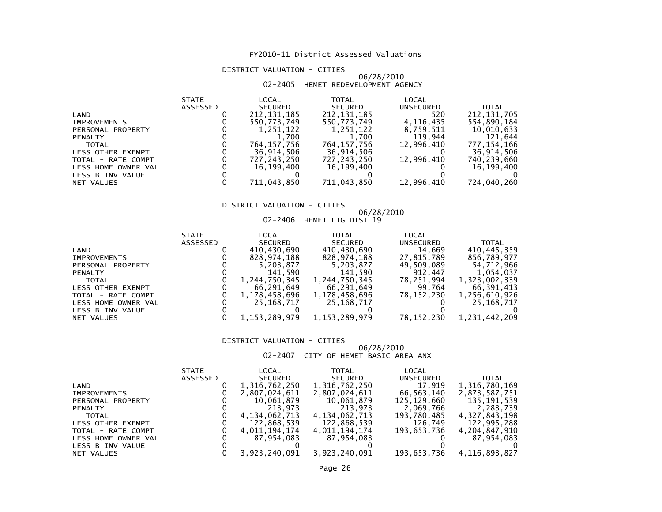# DISTRICT VALUATION - CITIES

### 06/28/201002-2405 HEMET REDEVELOPMENT AGENCY

| <b>STATE</b>    | LOCAL          | <b>TOTAL</b>   | LOCAL      |               |
|-----------------|----------------|----------------|------------|---------------|
| <b>ASSESSED</b> | <b>SECURED</b> | <b>SECURED</b> | UNSECURED  | <b>TOTAL</b>  |
|                 | 212, 131, 185  | 212, 131, 185  | 520        | 212, 131, 705 |
|                 | 550.773.749    | 550,773,749    | 4,116,435  | 554,890,184   |
|                 | 1,251,122      | 1,251,122      | 8,759,511  | 10,010,633    |
|                 | 1,700          | 1,700          | 119,944    | 121,644       |
|                 | 764.157.756    | 764.157.756    | 12,996,410 | 777, 154, 166 |
|                 | 36,914,506     | 36,914,506     |            | 36,914,506    |
|                 | 727,243,250    | 727,243,250    | 12,996,410 | 740,239,660   |
|                 | 16.199.400     | 16.199.400     |            | 16,199,400    |
|                 |                |                |            |               |
|                 | 711,043,850    | 711,043,850    |            | 724,040,260   |
|                 |                |                |            | 12,996,410    |

# DISTRICT VALUATION - CITIES

# 06/28/2010 02-2406 HEMET LTG DIST 19

| <b>SECURED</b><br><b>ASSESSED</b><br><b>SECURED</b><br><b>UNSECURED</b> | <b>TOTAL</b>  |
|-------------------------------------------------------------------------|---------------|
| 410,430,690<br>14,669<br>410,430,690<br>LAND                            | 410,445,359   |
| 828,974,188<br>27,815,789<br>828.974.188<br><b>IMPROVEMENTS</b>         | 856.789.977   |
| 5,203,877<br>49,509,089<br>5,203,877<br>PERSONAL PROPERTY               | 54,712,966    |
| 141.590<br>912.447<br>141.590<br><b>PENALTY</b>                         | 1,054,037     |
| 1,244,750,345<br>1,244,750,345<br>78,251,994<br><b>TOTAL</b>            | 1,323,002,339 |
| 66,291,649<br>99,764<br>66,291,649<br>LESS OTHER EXEMPT                 | 66.391.413    |
| 78,152,230<br>1,178,458,696<br>1,178,458,696<br>TOTAL - RATE COMPT      | 1,256,610,926 |
| 25,168,717<br>25, 168, 717<br>LESS HOME OWNER VAL                       | 25, 168, 717  |
| LESS B INV VALUE                                                        |               |
| 1, 153, 289, 979<br>1, 153, 289, 979<br>78,152,230<br>NET VALUES        | 1,231,442,209 |

### DISTRICT VALUATION - CITIES

### 06/28/201002-2407 CITY OF HEMET BASIC AREA ANX

|                     | <b>STATE</b> | LOCAL         | <b>TOTAL</b>   | LOCAL       |               |
|---------------------|--------------|---------------|----------------|-------------|---------------|
|                     | ASSESSED     | SECURED       | <b>SECURED</b> | UNSECURED   | <b>TOTAL</b>  |
| LAND                |              | 1,316,762,250 | 1,316,762,250  | 17.919      | 1,316,780,169 |
| <b>IMPROVEMENTS</b> |              | 2,807,024,611 | 2,807,024,611  | 66,563,140  | 2,873,587,751 |
| PERSONAL PROPERTY   |              | 10,061,879    | 10,061,879     | 125,129,660 | 135,191,539   |
| <b>PENALTY</b>      |              | 213.973       | 213,973        | 2,069,766   | 2,283,739     |
| <b>TOTAL</b>        |              | 4,134,062,713 | 4,134,062,713  | 193,780,485 | 4,327,843,198 |
| LESS OTHER EXEMPT   |              | 122,868,539   | 122,868,539    | 126.749     | 122,995,288   |
| TOTAL - RATE COMPT  |              | 4,011,194,174 | 4,011,194,174  | 193.653.736 | 4,204,847,910 |
| LESS HOME OWNER VAL |              | 87,954,083    | 87.954.083     |             | 87,954,083    |
| LESS B INV VALUE    |              |               |                |             |               |
| NET VALUES          |              | 3,923,240,091 | 3,923,240,091  | 193,653,736 | 4,116,893,827 |
|                     |              |               |                |             |               |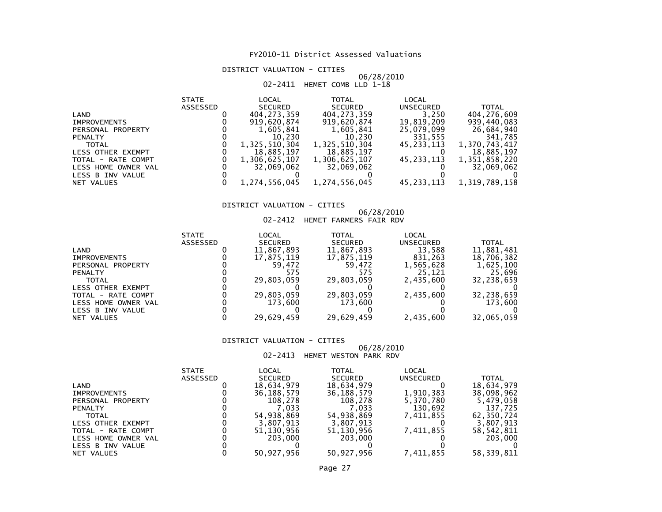DISTRICT VALUATION - CITIES

# 06/28/2010 02-2411 HEMET COMB LLD 1-18

|                     | <b>STATE</b>    | LOCAL          | <b>TOTAL</b>   | LOCAL      |               |
|---------------------|-----------------|----------------|----------------|------------|---------------|
|                     | <b>ASSESSED</b> | <b>SECURED</b> | <b>SECURED</b> | UNSECURED  | <b>TOTAL</b>  |
| LAND                |                 | 404,273,359    | 404,273,359    | 3,250      | 404,276,609   |
| <b>IMPROVEMENTS</b> |                 | 919,620,874    | 919,620,874    | 19,819,209 | 939,440,083   |
| PERSONAL PROPERTY   |                 | 1,605,841      | 1,605,841      | 25,079,099 | 26,684,940    |
| <b>PENALTY</b>      |                 | 10.230         | 10.230         | 331,555    | 341,785       |
| <b>TOTAL</b>        |                 | 1,325,510,304  | 1,325,510,304  | 45,233,113 | 1,370,743,417 |
| LESS OTHER EXEMPT   |                 | 18,885,197     | 18,885,197     |            | 18,885,197    |
| TOTAL - RATE COMPT  |                 | 1,306,625,107  | 1,306,625,107  | 45.233.113 | 1,351,858,220 |
| LESS HOME OWNER VAL |                 | 32.069.062     | 32.069.062     |            | 32,069,062    |
| LESS B INV VALUE    |                 |                |                |            |               |
| NET VALUES          |                 | 1,274,556,045  | 1,274,556,045  | 45,233,113 | 1,319,789,158 |

# DISTRICT VALUATION - CITIES

# 06/28/2010 02-2412 HEMET FARMERS FAIR RDV

|                          | <b>STATE</b>    | LOCAL          | TOTAL          | <b>LOCAL</b>     |              |
|--------------------------|-----------------|----------------|----------------|------------------|--------------|
|                          | <b>ASSESSED</b> | <b>SECURED</b> | <b>SECURED</b> | <b>UNSECURED</b> | <b>TOTAL</b> |
| LAND                     |                 | 11,867,893     | 11,867,893     | 13,588           | 11,881,481   |
| <b>IMPROVEMENTS</b>      |                 | 17,875,119     | 17,875,119     | 831,263          | 18,706,382   |
| PERSONAL PROPERTY        |                 | 59.472         | 59.472         | 1,565,628        | 1,625,100    |
| <b>PENALTY</b>           |                 |                | 575            | 25.121           | 25,696       |
| <b>TOTAL</b>             |                 | 29.803.059     | 29,803,059     | 2,435,600        | 32,238,659   |
| <b>LESS OTHER EXEMPT</b> |                 |                |                |                  |              |
| TOTAL - RATE COMPT       |                 | 29,803,059     | 29,803,059     | 2,435,600        | 32,238,659   |
| LESS HOME OWNER VAL      |                 | 173.600        | 173.600        |                  | 173,600      |
| LESS B INV VALUE         |                 |                |                |                  |              |
| NET VALUES               |                 | 29,629,459     | 29.629.459     | 2,435,600        | 32,065,059   |

### DISTRICT VALUATION - CITIES

### 06/28/201002-2413 HEMET WESTON PARK RDV

|                     | <b>STATE</b>    | LOCAL          | TOTAL          | LOCAL     |            |
|---------------------|-----------------|----------------|----------------|-----------|------------|
|                     | <b>ASSESSED</b> | <b>SECURED</b> | <b>SECURED</b> | UNSECURED | TOTAL      |
| LAND                |                 | 18.634.979     | 18,634,979     |           | 18,634,979 |
| <b>IMPROVEMENTS</b> |                 | 36,188,579     | 36,188,579     | 1,910,383 | 38,098,962 |
| PERSONAL PROPERTY   |                 | 108.278        | 108.278        | 5,370,780 | 5,479,058  |
| <b>PENALTY</b>      |                 | 7.033          | 7.033          | 130,692   | 137,725    |
| <b>TOTAL</b>        |                 | 54.938.869     | 54,938,869     | 7,411,855 | 62,350,724 |
| LESS OTHER EXEMPT   |                 | 3,807,913      | 3,807,913      |           | 3.807.913  |
| TOTAL - RATE COMPT  |                 | 51,130,956     | 51,130,956     | 7,411,855 | 58,542,811 |
| LESS HOME OWNER VAL |                 | 203,000        | 203,000        |           | 203,000    |
| LESS B INV VALUE    |                 |                |                |           |            |
| NET VALUES          |                 | 50.927.956     | 50,927,956     | 7.411.855 | 58.339.811 |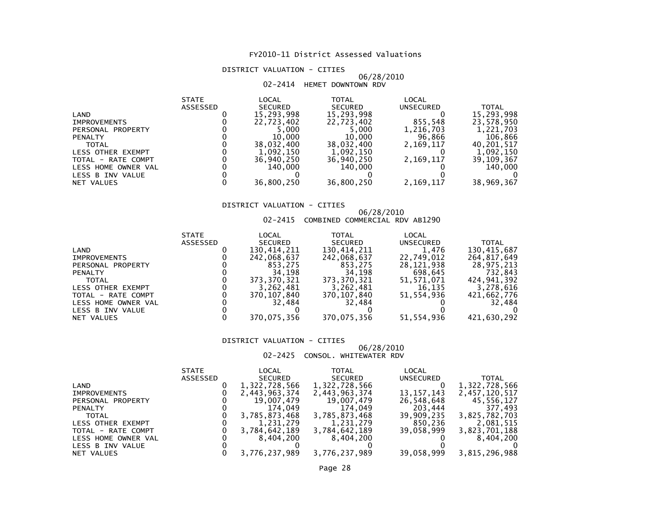# DISTRICT VALUATION - CITIES

# 06/28/201002-2414 HEMET DOWNTOWN RDV

| LOCAL<br>TOTAL<br><b>STATE</b>                     | LOCAL                            |  |
|----------------------------------------------------|----------------------------------|--|
| ASSESSED<br><b>SECURED</b><br><b>SECURED</b>       | <b>UNSECURED</b><br><b>TOTAL</b> |  |
| 15,293,998<br>15,293,998<br>LAND                   | 15,293,998                       |  |
| 22,723,402<br>22,723,402<br><b>IMPROVEMENTS</b>    | 855,548<br>23,578,950            |  |
| 5,000<br>5.000<br>PERSONAL PROPERTY                | 1,216,703<br>1,221,703           |  |
| 10,000<br>10,000<br><b>PENALTY</b>                 | 96,866<br>106,866                |  |
| 38,032,400<br>38,032,400<br><b>TOTAL</b>           | 2,169,117<br>40,201,517          |  |
| 1,092,150<br>1,092,150<br><b>LESS OTHER EXEMPT</b> | 1,092,150                        |  |
| 36,940,250<br>36,940,250<br>TOTAL - RATE COMPT     | 2,169,117<br>39,109,367          |  |
| 140,000<br>140,000<br>LESS HOME OWNER VAL          | 140,000                          |  |
| LESS B INV VALUE                                   |                                  |  |
| 36,800,250<br>36,800,250<br>NET VALUES             | 2,169,117<br>38,969,367          |  |

# DISTRICT VALUATION - CITIES

# 06/28/2010 02-2415 COMBINED COMMERCIAL RDV AB1290

|                     | <b>STATE</b>    | LOCAL          | TOTAL          | LOCAL      |              |
|---------------------|-----------------|----------------|----------------|------------|--------------|
|                     | <b>ASSESSED</b> | <b>SECURED</b> | <b>SECURED</b> | UNSECURED  | <b>TOTAL</b> |
| LAND                |                 | 130,414,211    | 130,414,211    | 1,476      | 130,415,687  |
| <b>IMPROVEMENTS</b> |                 | 242,068,637    | 242,068,637    | 22,749,012 | 264,817,649  |
| PERSONAL PROPERTY   |                 | 853.275        | 853,275        | 28,121,938 | 28.975.213   |
| <b>PENALTY</b>      |                 | 34.198         | 34,198         | 698,645    | 732,843      |
| <b>TOTAL</b>        |                 | 373.370.321    | 373, 370, 321  | 51,571,071 | 424.941.392  |
| LESS OTHER EXEMPT   |                 | 3,262,481      | 3,262,481      | 16,135     | 3,278,616    |
| TOTAL - RATE COMPT  |                 | 370,107,840    | 370,107,840    | 51,554,936 | 421,662,776  |
| LESS HOME OWNER VAL |                 | 32.484         | 32.484         |            | 32.484       |
| LESS B INV VALUE    |                 |                |                |            |              |
| NET VALUES          |                 | 370,075,356    | 370,075,356    | 51,554,936 | 421,630,292  |

### DISTRICT VALUATION - CITIES

### 06/28/201002-2425 CONSOL. WHITEWATER RDV

|                     | <b>STATE</b> | LOCAL          | TOTAL          | LOCAL        |               |
|---------------------|--------------|----------------|----------------|--------------|---------------|
|                     | ASSESSED     | <b>SECURED</b> | <b>SECURED</b> | UNSECURED    | <b>TOTAL</b>  |
| LAND                |              | 1,322,728,566  | 1,322,728,566  |              | 1,322,728,566 |
| <b>IMPROVEMENTS</b> |              | 2,443,963,374  | 2,443,963,374  | 13, 157, 143 | 2,457,120,517 |
| PERSONAL PROPERTY   |              | 19,007,479     | 19,007,479     | 26,548,648   | 45,556,127    |
| <b>PENALTY</b>      |              | 174.049        | 174.049        | 203,444      | 377.493       |
| <b>TOTAL</b>        |              | 3,785,873,468  | 3,785,873,468  | 39,909,235   | 3,825,782,703 |
| LESS OTHER EXEMPT   |              | 1,231,279      | 1,231,279      | 850,236      | 2,081,515     |
| TOTAL - RATE COMPT  |              | 3,784,642,189  | 3,784,642,189  | 39,058,999   | 3,823,701,188 |
| LESS HOME OWNER VAL |              | 8,404,200      | 8,404,200      |              | 8.404.200     |
| LESS B INV VALUE    |              |                |                |              |               |
| NET VALUES          |              | 3,776,237,989  | 3,776,237,989  | 39,058,999   | 3,815,296,988 |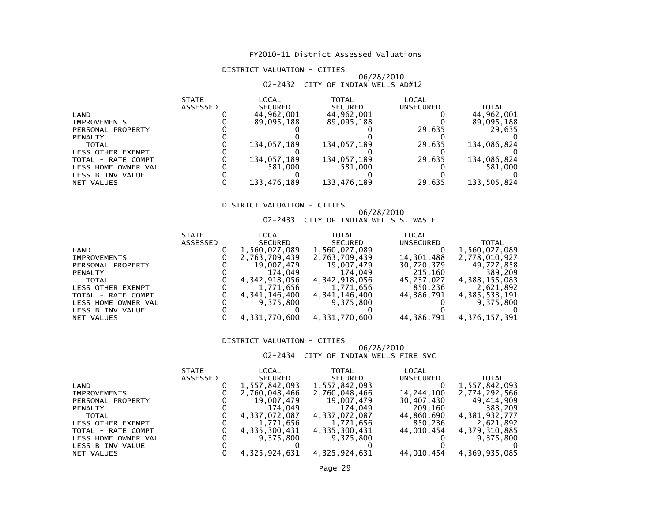# DISTRICT VALUATION - CITIES

### 06/28/201002-2432 CITY OF INDIAN WELLS AD#12

| <b>STATE</b>    | LOCAL          | TOTAL          | LOCAL            |              |
|-----------------|----------------|----------------|------------------|--------------|
| <b>ASSESSED</b> | <b>SECURED</b> | <b>SECURED</b> | <b>UNSECURED</b> | <b>TOTAL</b> |
|                 | 44,962,001     | 44,962,001     |                  | 44,962,001   |
|                 | 89.095.188     | 89,095,188     |                  | 89,095,188   |
|                 |                |                | 29,635           | 29,635       |
|                 |                |                |                  |              |
|                 | 134.057.189    | 134,057,189    | 29.635           | 134,086,824  |
|                 |                |                |                  |              |
|                 | 134,057,189    | 134,057,189    | 29,635           | 134,086,824  |
|                 | 581.000        | 581,000        |                  | 581,000      |
|                 |                |                |                  |              |
|                 | 133.476.189    | 133,476,189    | 29,635           | 133,505,824  |
|                 |                |                |                  |              |

# DISTRICT VALUATION - CITIES

# 06/28/2010 02-2433 CITY OF INDIAN WELLS S. WASTE

| LOCAL<br><b>TOTAL</b><br>LOCAL<br><b>STATE</b>                          |                  |
|-------------------------------------------------------------------------|------------------|
| <b>ASSESSED</b><br><b>SECURED</b><br><b>SECURED</b><br><b>UNSECURED</b> | <b>TOTAL</b>     |
| 1,560,027,089<br>1,560,027,089<br>LAND                                  | 1,560,027,089    |
| 14,301,488<br>2,763,709,439<br>2,763,709,439<br><b>IMPROVEMENTS</b>     | 2,778,010,927    |
| 19,007,479<br>30,720,379<br>19,007,479<br>PERSONAL PROPERTY             | 49,727,858       |
| 174,049<br>215,160<br>174.049<br><b>PENALTY</b>                         | 389,209          |
| 4,342,918,056<br>4,342,918,056<br>45.237.027<br><b>TOTAL</b>            | 4,388,155,083    |
| 850,236<br>1,771,656<br>1,771,656<br>LESS OTHER EXEMPT                  | 2,621,892        |
| 4,341,146,400<br>44.386.791<br>4,341,146,400<br>TOTAL - RATE COMPT      | 4,385,533,191    |
| 9.375.800<br>9,375,800<br>LESS HOME OWNER VAL                           | 9,375,800        |
| LESS B INV VALUE                                                        |                  |
| 4,331,770,600<br>4,331,770,600<br>44,386,791<br>NET VALUES              | 4, 376, 157, 391 |

### DISTRICT VALUATION - CITIES

### 06/28/201002-2434 CITY OF INDIAN WELLS FIRE SVC

|                     | <b>STATE</b> | LOCAL         | <b>TOTAL</b>   | LOCAL            |               |
|---------------------|--------------|---------------|----------------|------------------|---------------|
|                     | ASSESSED     | SECURED       | <b>SECURED</b> | <b>UNSECURED</b> | <b>TOTAL</b>  |
| LAND                |              | 1,557,842,093 | 1,557,842,093  |                  | 1,557,842,093 |
| <b>IMPROVEMENTS</b> |              | 2,760,048,466 | 2,760,048,466  | 14,244,100       | 2,774,292,566 |
| PERSONAL PROPERTY   |              | 19,007,479    | 19,007,479     | 30,407,430       | 49,414,909    |
| <b>PENALTY</b>      |              | 174.049       | 174.049        | 209,160          | 383,209       |
| <b>TOTAL</b>        |              | 4,337,072,087 | 4,337,072,087  | 44,860,690       | 4,381,932,777 |
| LESS OTHER EXEMPT   |              | 1,771,656     | 1,771,656      | 850,236          | 2,621,892     |
| TOTAL - RATE COMPT  |              | 4,335,300,431 | 4,335,300,431  | 44.010.454       | 4,379,310,885 |
| LESS HOME OWNER VAL |              | 9.375.800     | 9.375.800      |                  | 9,375,800     |
| LESS B INV VALUE    |              |               |                |                  |               |
| NET VALUES          |              | 4,325,924,631 | 4,325,924,631  | 44,010,454       | 4,369,935,085 |
|                     |              |               |                |                  |               |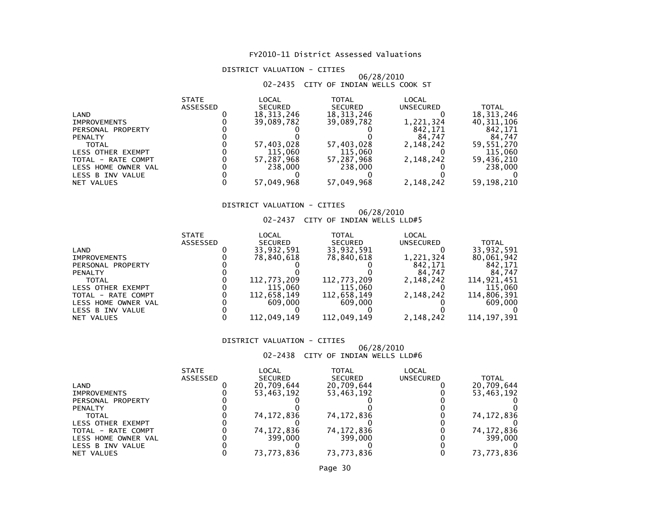# DISTRICT VALUATION - CITIES

# 06/28/2010 02-2435 CITY OF INDIAN WELLS COOK ST

| <b>STATE</b>    | LOCAL          | <b>TOTAL</b>   | LOCAL            |              |
|-----------------|----------------|----------------|------------------|--------------|
| <b>ASSESSED</b> | <b>SECURED</b> | <b>SECURED</b> | <b>UNSECURED</b> | <b>TOTAL</b> |
|                 | 18, 313, 246   | 18, 313, 246   |                  | 18, 313, 246 |
|                 | 39,089,782     | 39.089.782     | 1,221,324        | 40, 311, 106 |
|                 |                |                | 842.171          | 842,171      |
|                 |                |                | 84,747           | 84,747       |
|                 | 57,403,028     | 57,403,028     | 2,148,242        | 59,551,270   |
|                 | 115,060        | 115,060        |                  | 115,060      |
|                 | 57,287,968     | 57,287,968     | 2,148,242        | 59,436,210   |
|                 | 238,000        | 238,000        |                  | 238,000      |
|                 |                |                |                  |              |
|                 | 57,049,968     | 57,049,968     | 2,148,242        | 59,198,210   |
|                 |                |                |                  |              |

# DISTRICT VALUATION - CITIES

# 06/28/2010 02-2437 CITY OF INDIAN WELLS LLD#5

| <b>STATE</b>    | LOCAL          | TOTAL          | LOCAL     |               |
|-----------------|----------------|----------------|-----------|---------------|
| <b>ASSESSED</b> | <b>SECURED</b> | <b>SECURED</b> | UNSECURED | TOTAL         |
|                 | 33,932,591     | 33,932,591     |           | 33,932,591    |
|                 | 78,840,618     | 78,840,618     | 1,221,324 | 80,061,942    |
|                 |                |                | 842.171   | 842.171       |
|                 |                |                | 84.747    | 84.747        |
|                 | 112,773,209    | 112,773,209    | 2.148.242 | 114.921.451   |
|                 | 115,060        | 115,060        |           | 115,060       |
|                 | 112.658.149    | 112,658,149    | 2,148,242 | 114,806,391   |
|                 | 609,000        | 609.000        |           | 609,000       |
|                 |                |                |           |               |
|                 | 112,049,149    | 112,049,149    | 2,148,242 | 114, 197, 391 |
|                 |                |                |           |               |

### DISTRICT VALUATION - CITIES

### 06/28/201002-2438 CITY OF INDIAN WELLS LLD#6

| <b>STATE</b> | LOCAL          | TOTAL          | LOCAL     |              |
|--------------|----------------|----------------|-----------|--------------|
| ASSESSED     | <b>SECURED</b> | <b>SECURED</b> | UNSECURED | TOTAL        |
|              | 20,709,644     | 20,709,644     |           | 20,709,644   |
|              | 53,463,192     | 53,463,192     |           | 53,463,192   |
|              |                |                |           |              |
|              |                |                |           |              |
|              | 74.172.836     | 74,172,836     |           | 74,172,836   |
|              |                |                |           |              |
|              | 74, 172, 836   | 74, 172, 836   |           | 74, 172, 836 |
|              | 399,000        | 399,000        |           | 399,000      |
|              |                |                |           |              |
|              | 73.773.836     | 73,773,836     |           | 73,773,836   |
|              |                |                |           |              |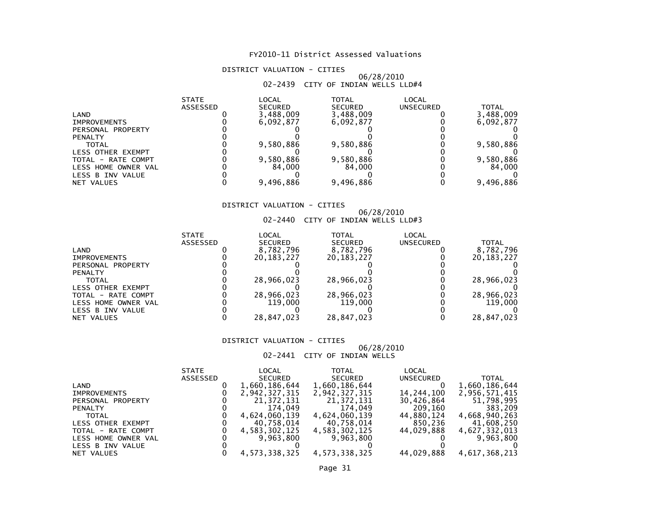# DISTRICT VALUATION - CITIES

# 06/28/2010 02-2439 CITY OF INDIAN WELLS LLD#4

|                          | <b>STATE</b> | LOCAL          | TOTAL          | LOCAL            |           |
|--------------------------|--------------|----------------|----------------|------------------|-----------|
|                          | ASSESSED     | <b>SECURED</b> | <b>SECURED</b> | <b>UNSECURED</b> | TOTAL     |
| LAND                     |              | 3,488,009      | 3,488,009      |                  | 3,488,009 |
| <b>IMPROVEMENTS</b>      |              | 6.092.877      | 6,092,877      |                  | 6,092,877 |
| PERSONAL PROPERTY        |              |                |                |                  |           |
| <b>PENALTY</b>           |              |                |                |                  |           |
| TOTAL                    |              | 9,580,886      | 9,580,886      |                  | 9,580,886 |
| <b>LESS OTHER EXEMPT</b> |              |                |                |                  |           |
| TOTAL - RATE COMPT       |              | 9,580,886      | 9,580,886      |                  | 9,580,886 |
| LESS HOME OWNER VAL      |              | 84.000         | 84.000         |                  | 84,000    |
| LESS B INV VALUE         |              |                |                |                  |           |
| NET VALUES               |              | 9,496,886      | 9,496,886      |                  | 9,496,886 |

# DISTRICT VALUATION - CITIES

# 06/28/2010 02-2440 CITY OF INDIAN WELLS LLD#3

|                          | <b>STATE</b> | LOCAL          | TOTAL          | LOCAL            |              |
|--------------------------|--------------|----------------|----------------|------------------|--------------|
|                          | ASSESSED     | <b>SECURED</b> | <b>SECURED</b> | <b>UNSECURED</b> | <b>TOTAL</b> |
| LAND                     |              | 8,782,796      | 8,782,796      |                  | 8,782,796    |
| <b>IMPROVEMENTS</b>      |              | 20.183.227     | 20, 183, 227   |                  | 20, 183, 227 |
| PERSONAL PROPERTY        |              |                |                |                  |              |
| <b>PENALTY</b>           |              |                |                |                  |              |
| <b>TOTAL</b>             |              | 28,966,023     | 28,966,023     |                  | 28,966,023   |
| <b>LESS OTHER EXEMPT</b> |              |                |                |                  |              |
| TOTAL - RATE COMPT       |              | 28,966,023     | 28,966,023     |                  | 28,966,023   |
| LESS HOME OWNER VAL      |              | 119,000        | 119.000        |                  | 119,000      |
| LESS B INV VALUE         |              |                |                |                  |              |
| NET VALUES               |              | 28,847,023     | 28,847,023     |                  | 28,847,023   |

### DISTRICT VALUATION - CITIES

### 06/28/201002-2441 CITY OF INDIAN WELLS

|                     | <b>STATE</b> | LOCAL         | <b>TOTAL</b>   | LOCAL            |               |
|---------------------|--------------|---------------|----------------|------------------|---------------|
|                     | ASSESSED     | SECURED       | <b>SECURED</b> | <b>UNSECURED</b> | TOTAL         |
| LAND                |              | 1,660,186,644 | 1,660,186,644  |                  | 1,660,186,644 |
| <b>IMPROVEMENTS</b> |              | 2,942,327,315 | 2,942,327,315  | 14,244,100       | 2,956,571,415 |
| PERSONAL PROPERTY   |              | 21, 372, 131  | 21,372,131     | 30,426,864       | 51,798,995    |
| <b>PENALTY</b>      |              | 174.049       | 174.049        | 209,160          | 383,209       |
| <b>TOTAL</b>        |              | 4,624,060,139 | 4,624,060,139  | 44,880,124       | 4,668,940,263 |
| LESS OTHER EXEMPT   |              | 40,758,014    | 40,758,014     | 850.236          | 41,608,250    |
| TOTAL - RATE COMPT  |              | 4,583,302,125 | 4,583,302,125  | 44.029.888       | 4,627,332,013 |
| LESS HOME OWNER VAL |              | 9.963.800     | 9.963.800      |                  | 9,963,800     |
| LESS B INV VALUE    |              |               |                |                  |               |
| NET VALUES          |              | 4,573,338,325 | 4,573,338,325  | 44,029,888       | 4,617,368,213 |
|                     |              |               |                |                  |               |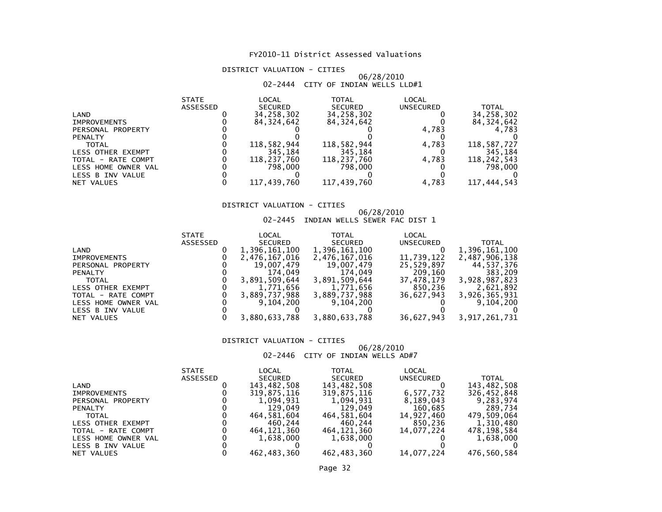# DISTRICT VALUATION - CITIES

# 06/28/2010 02-2444 CITY OF INDIAN WELLS LLD#1

|                          | <b>STATE</b> | LOCAL          | <b>TOTAL</b>   | LOCAL            |              |
|--------------------------|--------------|----------------|----------------|------------------|--------------|
|                          | ASSESSED     | <b>SECURED</b> | <b>SECURED</b> | <b>UNSECURED</b> | TOTAL        |
| LAND                     |              | 34,258,302     | 34,258,302     |                  | 34,258,302   |
| <b>IMPROVEMENTS</b>      |              | 84, 324, 642   | 84, 324, 642   |                  | 84, 324, 642 |
| PERSONAL PROPERTY        |              |                |                | 4,783            | 4,783        |
| <b>PENALTY</b>           |              |                |                |                  |              |
| <b>TOTAL</b>             |              | 118,582,944    | 118,582,944    | 4.783            | 118,587,727  |
| <b>LESS OTHER EXEMPT</b> |              | 345.184        | 345,184        |                  | 345.184      |
| TOTAL - RATE COMPT       |              | 118,237,760    | 118,237,760    | 4.783            | 118,242,543  |
| LESS HOME OWNER VAL      |              | 798.000        | 798,000        |                  | 798,000      |
| LESS B INV VALUE         |              |                |                |                  |              |
| NET VALUES               |              | 117,439,760    | 117,439,760    | 4,783            | 117,444,543  |

# DISTRICT VALUATION - CITIES

### 06/28/201002-2445 INDIAN WELLS SEWER FAC DIST 1

|                     | <b>STATE</b> | LOCAL          | <b>TOTAL</b>   | LOCAL      |               |
|---------------------|--------------|----------------|----------------|------------|---------------|
|                     | ASSESSED     | <b>SECURED</b> | <b>SECURED</b> | UNSECURED  | <b>TOTAL</b>  |
| LAND                |              | 1,396,161,100  | 1,396,161,100  |            | 1,396,161,100 |
| <b>IMPROVEMENTS</b> |              | 2,476,167,016  | 2,476,167,016  | 11,739,122 | 2,487,906,138 |
| PERSONAL PROPERTY   |              | 19,007,479     | 19,007,479     | 25,529,897 | 44,537,376    |
| <b>PENALTY</b>      |              | 174.049        | 174.049        | 209,160    | 383,209       |
| <b>TOTAL</b>        |              | 3,891,509,644  | 3,891,509,644  | 37,478,179 | 3,928,987,823 |
| LESS OTHER EXEMPT   |              | 1,771,656      | 1,771,656      | 850,236    | 2,621,892     |
| TOTAL - RATE COMPT  |              | 3,889,737,988  | 3,889,737,988  | 36,627,943 | 3,926,365,931 |
| LESS HOME OWNER VAL |              | 9.104.200      | 9,104,200      |            | 9,104,200     |
| LESS B INV VALUE    |              |                |                |            |               |
| NET VALUES          |              | 3,880,633,788  | 3,880,633,788  | 36,627,943 | 3,917,261,731 |
|                     |              |                |                |            |               |

### DISTRICT VALUATION - CITIES

### 06/28/201002-2446 CITY OF INDIAN WELLS AD#7

|                     | <b>STATE</b> | LOCAL          | TOTAL          | LOCAL      |              |
|---------------------|--------------|----------------|----------------|------------|--------------|
|                     | ASSESSED     | <b>SECURED</b> | <b>SECURED</b> | UNSECURED  | <b>TOTAL</b> |
| LAND                |              | 143,482,508    | 143,482,508    |            | 143,482,508  |
| <b>IMPROVEMENTS</b> |              | 319,875,116    | 319,875,116    | 6,577,732  | 326,452,848  |
| PERSONAL PROPERTY   |              | 1.094.931      | 1.094.931      | 8,189,043  | 9,283,974    |
| <b>PENALTY</b>      |              | 129.049        | 129,049        | 160,685    | 289,734      |
| <b>TOTAL</b>        |              | 464,581,604    | 464,581,604    | 14,927,460 | 479,509,064  |
| LESS OTHER EXEMPT   |              | 460.244        | 460.244        | 850,236    | 1.310.480    |
| TOTAL - RATE COMPT  |              | 464.121.360    | 464,121,360    | 14.077.224 | 478,198,584  |
| LESS HOME OWNER VAL |              | 1,638,000      | 1,638,000      |            | 1,638,000    |
| LESS B INV VALUE    |              |                |                |            |              |
| NET VALUES          |              | 462,483,360    | 462,483,360    | 14,077,224 | 476.560.584  |

# Page 32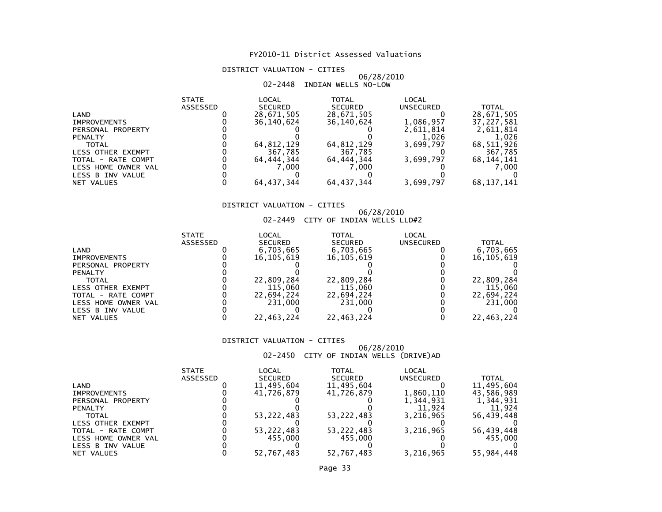# DISTRICT VALUATION - CITIES

# 06/28/201002-2448 INDIAN WELLS NO-LOW

|                     | <b>STATE</b> | LOCAL          | TOTAL          | LOCAL            |              |
|---------------------|--------------|----------------|----------------|------------------|--------------|
|                     | ASSESSED     | <b>SECURED</b> | <b>SECURED</b> | <b>UNSECURED</b> | <b>TOTAL</b> |
| LAND                |              | 28,671,505     | 28,671,505     |                  | 28,671,505   |
| <b>IMPROVEMENTS</b> |              | 36.140.624     | 36.140.624     | 1,086,957        | 37,227,581   |
| PERSONAL PROPERTY   |              |                |                | 2,611,814        | 2,611,814    |
| <b>PENALTY</b>      |              |                |                | 1.026            | 1,026        |
| <b>TOTAL</b>        |              | 64,812,129     | 64,812,129     | 3,699,797        | 68,511,926   |
| LESS OTHER EXEMPT   |              | 367,785        | 367,785        |                  | 367,785      |
| TOTAL - RATE COMPT  |              | 64,444,344     | 64,444,344     | 3,699,797        | 68,144,141   |
| LESS HOME OWNER VAL |              | 7.000          | 7.000          |                  | 7,000        |
| LESS B INV VALUE    |              |                |                |                  |              |
| NET VALUES          |              | 64.437.344     | 64, 437, 344   | 3,699,797        | 68,137,141   |

# DISTRICT VALUATION - CITIES

# 06/28/2010 02-2449 CITY OF INDIAN WELLS LLD#2

| <b>STATE</b> | LOCAL          | TOTAL          | LOCAL      |              |
|--------------|----------------|----------------|------------|--------------|
| ASSESSED     | <b>SECURED</b> | <b>SECURED</b> | UNSECURED  | <b>TOTAL</b> |
|              | 6,703,665      | 6,703,665      |            | 6,703,665    |
|              | 16.105.619     | 16,105,619     |            | 16,105,619   |
|              |                |                |            |              |
|              |                |                |            |              |
|              | 22,809,284     | 22,809,284     |            | 22,809,284   |
|              | 115,060        | 115,060        |            | 115,060      |
|              | 22.694.224     | 22,694,224     |            | 22,694,224   |
|              | 231,000        | 231,000        |            | 231,000      |
|              |                |                |            |              |
|              |                |                |            | 22,463,224   |
|              |                | 22,463,224     | 22,463,224 |              |

### DISTRICT VALUATION - CITIES

# 06/28/2010 02-2450 CITY OF INDIAN WELLS (DRIVE)AD

|                          | <b>STATE</b> | LOCAL          | TOTAL          | LOCAL            |            |
|--------------------------|--------------|----------------|----------------|------------------|------------|
|                          | ASSESSED     | <b>SECURED</b> | <b>SECURED</b> | <b>UNSECURED</b> | TOTAL      |
| LAND                     |              | 11,495,604     | 11,495,604     |                  | 11,495,604 |
| <b>IMPROVEMENTS</b>      |              | 41.726.879     | 41,726,879     | 1,860,110        | 43,586,989 |
| PERSONAL PROPERTY        |              |                |                | 1,344,931        | 1,344,931  |
| <b>PENALTY</b>           |              |                |                | 11.924           | 11.924     |
| <b>TOTAL</b>             |              | 53, 222, 483   | 53,222,483     | 3.216.965        | 56,439,448 |
| <b>LESS OTHER EXEMPT</b> |              |                |                |                  |            |
| TOTAL - RATE COMPT       |              | 53, 222, 483   | 53,222,483     | 3,216,965        | 56,439,448 |
| LESS HOME OWNER VAL      |              | 455,000        | 455.000        |                  | 455.000    |
| LESS B INV VALUE         |              |                |                |                  |            |
| NET VALUES               |              | 52,767,483     | 52,767,483     | 3,216,965        | 55,984,448 |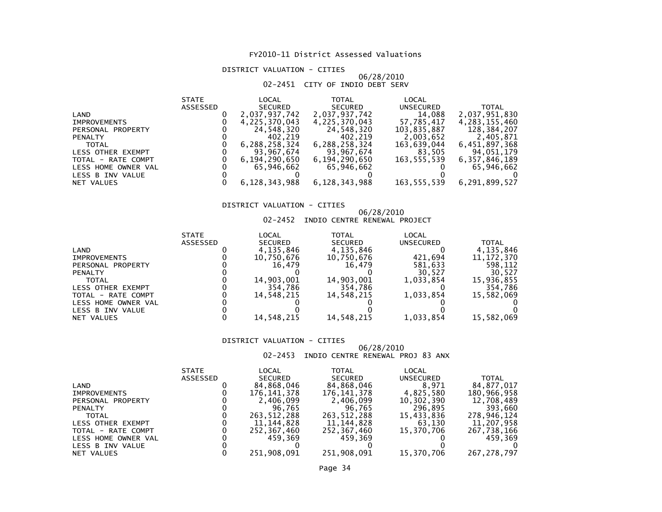# DISTRICT VALUATION - CITIES

### 06/28/201002-2451 CITY OF INDIO DEBT SERV

| <b>STATE</b>    | LOCAL          | <b>TOTAL</b>                | LOCAL       |               |
|-----------------|----------------|-----------------------------|-------------|---------------|
| <b>ASSESSED</b> | <b>SECURED</b> | <b>SECURED</b>              | UNSECURED   | <b>TOTAL</b>  |
|                 | 2,037,937,742  | 2,037,937,742               | 14,088      | 2,037,951,830 |
|                 | 4,225,370,043  | 4,225,370,043               | 57,785,417  | 4,283,155,460 |
|                 | 24,548,320     | 24,548,320                  | 103,835,887 | 128,384,207   |
|                 | 402,219        | 402,219                     | 2,003,652   | 2,405,871     |
|                 | 6,288,258,324  | 6,288,258,324               | 163,639,044 | 6,451,897,368 |
|                 |                | 93,967,674                  |             | 94,051,179    |
|                 | 6,194,290,650  | 6,194,290,650               | 163,555,539 | 6,357,846,189 |
|                 | 65.946.662     | 65.946.662                  |             | 65.946.662    |
|                 |                |                             |             |               |
|                 |                | 6,128,343,988               | 163,555,539 | 6,291,899,527 |
|                 |                | 93,967,674<br>6,128,343,988 |             | 83,505        |

# DISTRICT VALUATION - CITIES

#### 06/28/201002-2452 INDIO CENTRE RENEWAL PROJECT

| <b>STATE</b> | LOCAL          | TOTAL          | LOCAL            |              |
|--------------|----------------|----------------|------------------|--------------|
| ASSESSED     | <b>SECURED</b> | <b>SECURED</b> | <b>UNSECURED</b> | <b>TOTAL</b> |
|              | 4,135,846      | 4,135,846      |                  | 4,135,846    |
|              | 10,750,676     | 10,750,676     | 421.694          | 11, 172, 370 |
|              | 16.479         | 16.479         | 581,633          | 598,112      |
|              |                |                | 30.527           | 30.527       |
|              | 14,903,001     | 14,903,001     | 1.033.854        | 15,936,855   |
|              | 354.786        | 354.786        |                  | 354,786      |
|              | 14.548.215     | 14.548.215     | 1,033,854        | 15,582,069   |
|              |                |                |                  |              |
|              |                |                |                  |              |
|              |                |                |                  | 15,582,069   |
|              |                | 14,548,215     | 14,548,215       | 1,033,854    |

### DISTRICT VALUATION - CITIES

# 06/28/2010

# 02-2453 INDIO CENTRE RENEWAL PROJ 83 ANX

|                     | <b>STATE</b>    | LOCAL          | TOTAL          | LOCAL            |              |
|---------------------|-----------------|----------------|----------------|------------------|--------------|
|                     | <b>ASSESSED</b> | <b>SECURED</b> | <b>SECURED</b> | <b>UNSECURED</b> | <b>TOTAL</b> |
| LAND                |                 | 84,868,046     | 84,868,046     | 8.971            | 84.877.017   |
| <b>IMPROVEMENTS</b> |                 | 176,141,378    | 176,141,378    | 4,825,580        | 180,966,958  |
| PERSONAL PROPERTY   |                 | 2,406,099      | 2,406,099      | 10,302,390       | 12,708,489   |
| <b>PENALTY</b>      |                 | 96.765         | 96.765         | 296,895          | 393.660      |
| <b>TOTAL</b>        |                 | 263.512.288    | 263, 512, 288  | 15,433,836       | 278,946,124  |
| LESS OTHER EXEMPT   |                 | 11,144,828     | 11,144,828     | 63,130           | 11,207,958   |
| TOTAL - RATE COMPT  |                 | 252,367,460    | 252,367,460    | 15,370,706       | 267,738,166  |
| LESS HOME OWNER VAL |                 | 459.369        | 459.369        |                  | 459.369      |
| LESS B INV VALUE    |                 |                |                |                  |              |
| NET VALUES          |                 | 251,908,091    | 251,908,091    | 15,370,706       | 267.278.797  |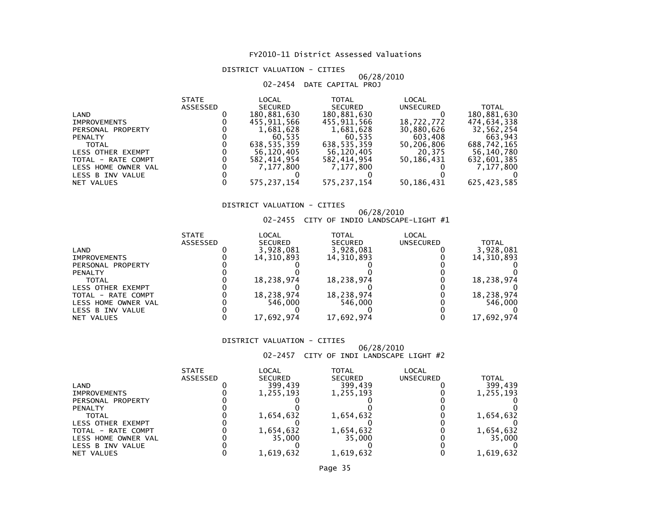# DISTRICT VALUATION - CITIES

# 06/28/201002-2454 DATE CAPITAL PROJ

|                     | <b>STATE</b> | LOCAL          | TOTAL          | LOCAL      |               |
|---------------------|--------------|----------------|----------------|------------|---------------|
|                     | ASSESSED     | <b>SECURED</b> | <b>SECURED</b> | UNSECURED  | <b>TOTAL</b>  |
| LAND                |              | 180,881,630    | 180,881,630    |            | 180,881,630   |
| <b>IMPROVEMENTS</b> |              | 455.911.566    | 455,911,566    | 18,722,772 | 474,634,338   |
| PERSONAL PROPERTY   |              | 1,681,628      | 1,681,628      | 30,880,626 | 32,562,254    |
| <b>PENALTY</b>      |              | 60.535         | 60.535         | 603,408    | 663,943       |
| <b>TOTAL</b>        |              | 638.535.359    | 638.535.359    | 50,206,806 | 688,742,165   |
| LESS OTHER EXEMPT   |              | 56,120,405     | 56.120.405     | 20.375     | 56,140,780    |
| TOTAL - RATE COMPT  |              | 582,414,954    | 582,414,954    | 50,186,431 | 632,601,385   |
| LESS HOME OWNER VAL |              | 7.177.800      | 7.177.800      |            | 7,177,800     |
| LESS B INV VALUE    |              |                |                |            |               |
| NET VALUES          |              | 575, 237, 154  | 575, 237, 154  | 50,186,431 | 625, 423, 585 |

# DISTRICT VALUATION - CITIES

# 06/28/2010 02-2455 CITY OF INDIO LANDSCAPE-LIGHT #1

|                     | <b>STATE</b> | LOCAL          | TOTAL          | LOCAL     |            |
|---------------------|--------------|----------------|----------------|-----------|------------|
|                     | ASSESSED     | <b>SECURED</b> | <b>SECURED</b> | UNSECURED | TOTAL      |
| LAND                |              | 3,928,081      | 3,928,081      |           | 3,928,081  |
| <b>IMPROVEMENTS</b> |              | 14,310,893     | 14,310,893     |           | 14,310,893 |
| PERSONAL PROPERTY   |              |                |                |           |            |
| <b>PENALTY</b>      |              |                |                |           |            |
| <b>TOTAL</b>        |              | 18,238,974     | 18,238,974     |           | 18,238,974 |
| LESS OTHER EXEMPT   |              |                |                |           |            |
| TOTAL - RATE COMPT  |              | 18,238,974     | 18,238,974     |           | 18,238,974 |
| LESS HOME OWNER VAL |              | 546.000        | 546.000        |           | 546,000    |
| LESS B INV VALUE    |              |                |                |           |            |
| NET VALUES          |              | 17.692.974     | 17,692,974     |           | 17,692,974 |

### DISTRICT VALUATION - CITIES

### 06/28/201002-2457 CITY OF INDI LANDSCAPE LIGHT #2

|                     | <b>STATE</b> | LOCAL          | TOTAL          | LOCAL            |           |
|---------------------|--------------|----------------|----------------|------------------|-----------|
|                     | ASSESSED     | <b>SECURED</b> | <b>SECURED</b> | <b>UNSECURED</b> | TOTAL     |
| LAND                |              | 399.439        | 399.439        |                  | 399.439   |
| <b>IMPROVEMENTS</b> |              | 1,255,193      | 1,255,193      |                  | 1,255,193 |
| PERSONAL PROPERTY   |              |                |                |                  |           |
| <b>PENALTY</b>      |              |                |                |                  |           |
| TOTAL               |              | 1,654,632      | 1,654,632      |                  | 1,654,632 |
| LESS OTHER EXEMPT   |              |                |                |                  |           |
| TOTAL - RATE COMPT  |              | 1,654,632      | 1,654,632      |                  | 1,654,632 |
| LESS HOME OWNER VAL |              | 35,000         | 35,000         |                  | 35.000    |
| LESS B INV VALUE    |              |                |                |                  |           |
| NET VALUES          |              | 1.619.632      | 1,619,632      |                  | 1.619.632 |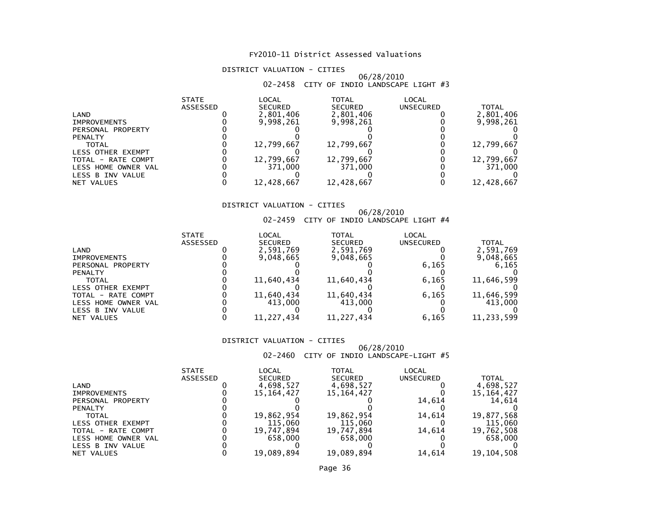# DISTRICT VALUATION - CITIES

# 06/28/201002-2458 CITY OF INDIO LANDSCAPE LIGHT #3

|                          | <b>STATE</b> | LOCAL          | <b>TOTAL</b>   | <b>LOCAL</b>     |            |
|--------------------------|--------------|----------------|----------------|------------------|------------|
|                          | ASSESSED     | <b>SECURED</b> | <b>SECURED</b> | <b>UNSECURED</b> | TOTAL      |
| LAND                     |              | 2,801,406      | 2,801,406      |                  | 2,801,406  |
| <b>IMPROVEMENTS</b>      |              | 9,998,261      | 9,998,261      |                  | 9,998,261  |
| PERSONAL PROPERTY        |              |                |                |                  |            |
| <b>PENALTY</b>           |              |                |                |                  |            |
| TOTAL                    |              | 12,799,667     | 12,799,667     |                  | 12,799,667 |
| <b>LESS OTHER EXEMPT</b> |              |                |                |                  |            |
| TOTAL - RATE COMPT       |              | 12,799,667     | 12,799,667     |                  | 12,799,667 |
| LESS HOME OWNER VAL      |              | 371,000        | 371,000        |                  | 371,000    |
| LESS B INV VALUE         |              |                |                |                  |            |
| NET VALUES               |              | 12,428,667     | 12,428,667     |                  | 12,428,667 |

# DISTRICT VALUATION - CITIES

# 06/28/2010 02-2459 CITY OF INDIO LANDSCAPE LIGHT #4

| <b>SECURED</b><br><b>SECURED</b><br><b>UNSECURED</b><br>ASSESSED | <b>TOTAL</b><br>2,591,769 |
|------------------------------------------------------------------|---------------------------|
|                                                                  |                           |
| 2,591,769<br>2,591,769<br>LAND                                   |                           |
| 9,048,665<br>9,048,665<br><b>IMPROVEMENTS</b>                    | 9,048,665                 |
| 6,165<br>PERSONAL PROPERTY                                       | 6,165                     |
| <b>PENALTY</b>                                                   |                           |
| 11,640,434<br>11,640,434<br>6.165<br><b>TOTAL</b>                | 11,646,599                |
| <b>LESS OTHER EXEMPT</b>                                         |                           |
| 11,640,434<br>11,640,434<br>6,165<br>TOTAL - RATE COMPT          | 11,646,599                |
| 413,000<br>413,000<br>LESS HOME OWNER VAL                        | 413,000                   |
| LESS B INV VALUE                                                 |                           |
| 11,227,434<br>11,227,434<br>6,165<br>NET VALUES                  | 11,233,599                |

### DISTRICT VALUATION - CITIES

### 06/28/201002-2460 CITY OF INDIO LANDSCAPE-LIGHT #5

|                          | <b>STATE</b>    | LOCAL          | TOTAL          | LOCAL     |              |
|--------------------------|-----------------|----------------|----------------|-----------|--------------|
|                          | <b>ASSESSED</b> | <b>SECURED</b> | <b>SECURED</b> | UNSECURED | <b>TOTAL</b> |
| LAND                     |                 | 4,698,527      | 4,698,527      |           | 4,698,527    |
| <b>IMPROVEMENTS</b>      |                 | 15.164.427     | 15, 164, 427   |           | 15, 164, 427 |
| PERSONAL PROPERTY        |                 |                |                | 14.614    | 14.614       |
| <b>PENALTY</b>           |                 |                |                |           |              |
| <b>TOTAL</b>             |                 | 19,862,954     | 19,862,954     | 14.614    | 19,877,568   |
| <b>LESS OTHER EXEMPT</b> |                 | 115.060        | 115,060        |           | 115,060      |
| TOTAL - RATE COMPT       |                 | 19,747,894     | 19,747,894     | 14.614    | 19,762,508   |
| LESS HOME OWNER VAL      |                 | 658,000        | 658.000        |           | 658,000      |
| LESS B INV VALUE         |                 |                |                |           |              |
| NET VALUES               |                 | 19,089,894     | 19,089,894     | 14,614    | 19,104,508   |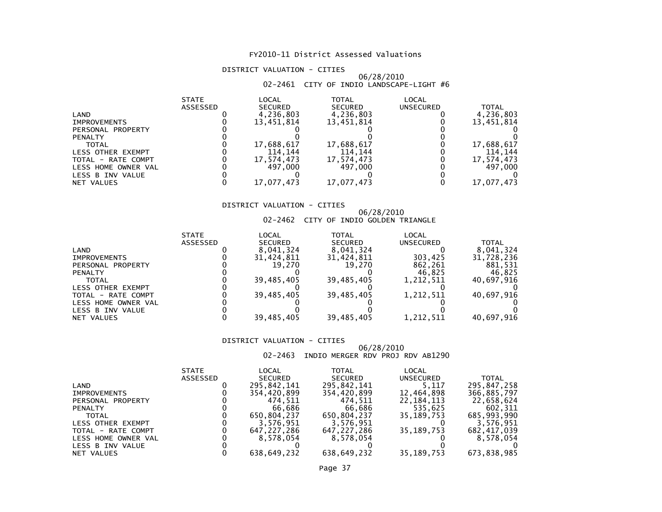#### DISTRICT VALUATION - CITIES

#### 06/28/201002-2461 CITY OF INDIO LANDSCAPE-LIGHT #6

|                          | <b>STATE</b> | LOCAL          | TOTAL          | LOCAL     |            |
|--------------------------|--------------|----------------|----------------|-----------|------------|
|                          | ASSESSED     | <b>SECURED</b> | <b>SECURED</b> | UNSECURED | TOTAL      |
| LAND                     |              | 4,236,803      | 4,236,803      |           | 4,236,803  |
| <b>IMPROVEMENTS</b>      |              | 13,451,814     | 13,451,814     |           | 13,451,814 |
| PERSONAL PROPERTY        |              |                |                |           |            |
| <b>PENALTY</b>           |              |                |                |           |            |
| <b>TOTAL</b>             |              | 17,688,617     | 17,688,617     |           | 17,688,617 |
| <b>LESS OTHER EXEMPT</b> |              | 114.144        | 114.144        |           | 114.144    |
| TOTAL - RATE COMPT       |              | 17,574,473     | 17,574,473     |           | 17,574,473 |
| LESS HOME OWNER VAL      |              | 497.000        | 497,000        |           | 497,000    |
| LESS B INV VALUE         |              |                |                |           |            |
| NET VALUES               |              | 17.077.473     | 17,077,473     |           | 17,077,473 |

#### DISTRICT VALUATION - CITIES

## 06/28/2010 02-2462 CITY OF INDIO GOLDEN TRIANGLE

|                     | <b>STATE</b>    | LOCAL          | <b>TOTAL</b>   | LOCAL            |              |
|---------------------|-----------------|----------------|----------------|------------------|--------------|
|                     | <b>ASSESSED</b> | <b>SECURED</b> | <b>SECURED</b> | <b>UNSECURED</b> | <b>TOTAL</b> |
| LAND                |                 | 8,041,324      | 8,041,324      |                  | 8,041,324    |
| <b>IMPROVEMENTS</b> |                 | 31,424,811     | 31,424,811     | 303,425          | 31,728,236   |
| PERSONAL PROPERTY   |                 | 19.270         | 19.270         | 862,261          | 881,531      |
| <b>PENALTY</b>      |                 |                |                | 46.825           | 46.825       |
| <b>TOTAL</b>        |                 | 39.485.405     | 39,485,405     | 1,212,511        | 40.697.916   |
| LESS OTHER EXEMPT   |                 |                |                |                  |              |
| TOTAL - RATE COMPT  |                 | 39.485.405     | 39,485,405     | 1,212,511        | 40,697,916   |
| LESS HOME OWNER VAL |                 |                |                |                  |              |
| LESS B INV VALUE    |                 |                |                |                  |              |
| NET VALUES          |                 | 39,485,405     | 39,485,405     | 1,212,511        | 40,697,916   |

#### DISTRICT VALUATION - CITIES

## 06/28/2010 02-2463 INDIO MERGER RDV PROJ RDV AB1290

|                     | <b>STATE</b>    | LOCAL          | TOTAL          | LOCAL            |             |
|---------------------|-----------------|----------------|----------------|------------------|-------------|
|                     | <b>ASSESSED</b> | <b>SECURED</b> | <b>SECURED</b> | <b>UNSECURED</b> | TOTAL       |
| LAND                |                 | 295,842,141    | 295,842,141    | 5.117            | 295,847,258 |
| <b>IMPROVEMENTS</b> |                 | 354,420,899    | 354,420,899    | 12,464,898       | 366,885,797 |
| PERSONAL PROPERTY   |                 | 474.511        | 474.511        | 22,184,113       | 22,658,624  |
| <b>PENALTY</b>      |                 | 66.686         | 66.686         | 535.625          | 602.311     |
| <b>TOTAL</b>        |                 | 650.804.237    | 650.804.237    | 35.189.753       | 685,993,990 |
| LESS OTHER EXEMPT   |                 | 3.576.951      | 3,576,951      |                  | 3.576.951   |
| TOTAL - RATE COMPT  |                 | 647.227.286    | 647,227,286    | 35,189,753       | 682,417,039 |
| LESS HOME OWNER VAL |                 | 8,578,054      | 8,578,054      |                  | 8.578.054   |
| LESS B INV VALUE    |                 |                |                |                  |             |
| NET VALUES          |                 | 638.649.232    | 638.649.232    | 35, 189, 753     | 673.838.985 |
|                     |                 |                |                |                  |             |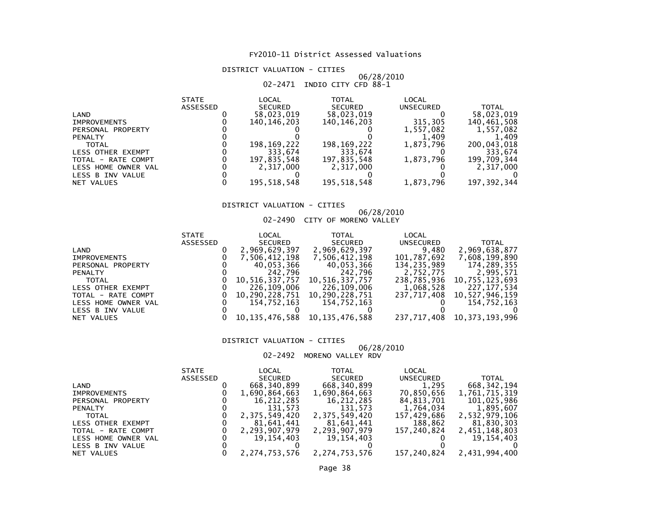DISTRICT VALUATION - CITIES

## 06/28/2010 02-2471 INDIO CITY CFD 88-1

| LOCAL<br><b>STATE</b><br><b>TOTAL</b><br>LOCAL                   |                |
|------------------------------------------------------------------|----------------|
| <b>ASSESSED</b><br><b>SECURED</b><br><b>SECURED</b><br>UNSECURED | <b>TOTAL</b>   |
| 58,023,019<br>58,023,019<br>LAND                                 | 58,023,019     |
| 315,305<br>140, 146, 203<br>140, 146, 203<br><b>IMPROVEMENTS</b> | 140,461,508    |
| 1,557,082<br>PERSONAL PROPERTY                                   | 1,557,082      |
| <b>PENALTY</b>                                                   | 1,409<br>1.409 |
| 198, 169, 222<br>1,873,796<br>198,169,222<br><b>TOTAL</b>        | 200,043,018    |
| 333.674<br>333.674<br>LESS OTHER EXEMPT                          | 333.674        |
| 1,873,796<br>197,835,548<br>197,835,548<br>TOTAL - RATE COMPT    | 199,709,344    |
| 2.317.000<br>2,317,000<br>LESS HOME OWNER VAL                    | 2,317,000      |
| LESS B INV VALUE                                                 |                |
| 195.518.548<br>195,518,548<br>1,873,796<br>NET VALUES            | 197, 392, 344  |

#### DISTRICT VALUATION - CITIES

#### 06/28/201002-2490 CITY OF MORENO VALLEY

|                     | <b>STATE</b> | LOCAL          | TOTAL          | LOCAL       |                |
|---------------------|--------------|----------------|----------------|-------------|----------------|
|                     | ASSESSED     | SECURED        | <b>SECURED</b> | UNSECURED   | <b>TOTAL</b>   |
| LAND                |              | 2,969,629,397  | 2,969,629,397  | 9,480       | 2,969,638,877  |
| <b>IMPROVEMENTS</b> |              | 7,506,412,198  | 7,506,412,198  | 101,787,692 | 7,608,199,890  |
| PERSONAL PROPERTY   |              | 40,053,366     | 40,053,366     | 134,235,989 | 174,289,355    |
| <b>PENALTY</b>      |              | 242,796        | 242,796        | 2,752,775   | 2,995,571      |
| <b>TOTAL</b>        |              | 10,516,337,757 | 10,516,337,757 | 238,785,936 | 10,755,123,693 |
| LESS OTHER EXEMPT   |              | 226.109.006    | 226,109,006    | 1,068,528   | 227.177.534    |
| TOTAL - RATE COMPT  |              | 10,290,228,751 | 10,290,228,751 | 237,717,408 | 10,527,946,159 |
| LESS HOME OWNER VAL |              | 154.752.163    | 154,752,163    |             | 154,752,163    |
| LESS B INV VALUE    |              |                |                |             |                |
| NET VALUES          |              | 10,135,476,588 | 10,135,476,588 | 237,717,408 | 10,373,193,996 |

#### DISTRICT VALUATION - CITIES

### 06/28/2010

### 02-2492 MORENO VALLEY RDV

|                     | <b>STATE</b> | LOCAL          | <b>TOTAL</b>   | LOCAL            |               |
|---------------------|--------------|----------------|----------------|------------------|---------------|
|                     | ASSESSED     | <b>SECURED</b> | <b>SECURED</b> | <b>UNSECURED</b> | <b>TOTAL</b>  |
| LAND                |              | 668, 340, 899  | 668,340,899    | 1,295            | 668, 342, 194 |
| <b>IMPROVEMENTS</b> |              | 1,690,864,663  | 1,690,864,663  | 70,850,656       | 1,761,715,319 |
| PERSONAL PROPERTY   |              | 16,212,285     | 16,212,285     | 84,813,701       | 101,025,986   |
| <b>PENALTY</b>      |              | 131.573        | 131.573        | 1,764,034        | 1,895,607     |
| <b>TOTAL</b>        |              | 2,375,549,420  | 2,375,549,420  | 157,429,686      | 2,532,979,106 |
| LESS OTHER EXEMPT   |              | 81,641,441     | 81,641,441     | 188,862          | 81,830,303    |
| TOTAL - RATE COMPT  |              | 2,293,907,979  | 2,293,907,979  | 157.240.824      | 2,451,148,803 |
| LESS HOME OWNER VAL |              | 19.154.403     | 19.154.403     |                  | 19,154,403    |
| LESS B INV VALUE    |              |                |                |                  |               |
| NET VALUES          |              | 2,274,753,576  | 2,274,753,576  | 157,240,824      | 2,431,994,400 |
|                     |              |                |                |                  |               |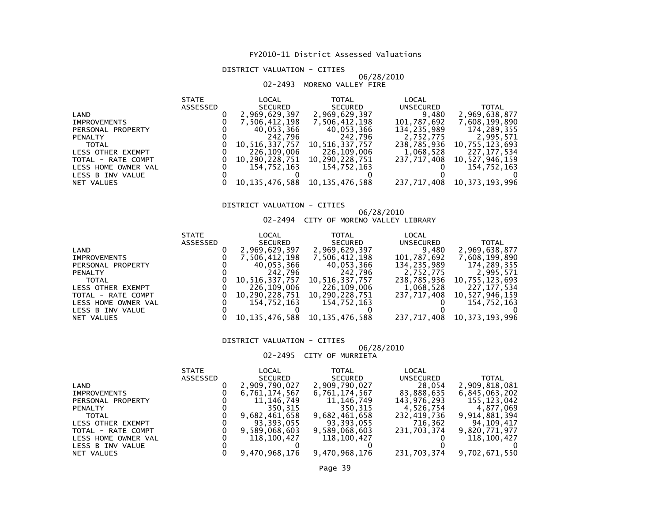#### DISTRICT VALUATION - CITIES

#### 06/28/201002-2493 MORENO VALLEY FIRE

| <b>STATE</b> | LOCAL          | TOTAL          | LOCAL                                                                        |                |
|--------------|----------------|----------------|------------------------------------------------------------------------------|----------------|
| ASSESSED     | <b>SECURED</b> | SECURED        | UNSECURED                                                                    | <b>TOTAL</b>   |
|              | 2,969,629,397  | 2,969,629,397  | 9,480                                                                        | 2,969,638,877  |
|              | 7,506,412,198  | 7,506,412,198  | 101,787,692                                                                  | 7,608,199,890  |
|              | 40,053,366     | 40,053,366     | 134,235,989                                                                  | 174,289,355    |
|              |                | 242,796        | 2,752,775                                                                    | 2,995,571      |
|              | 10,516,337,757 | 10,516,337,757 | 238,785,936                                                                  | 10,755,123,693 |
|              |                | 226,109,006    | 1,068,528                                                                    | 227, 177, 534  |
|              | 10,290,228,751 | 10,290,228,751 | 237.717.408                                                                  | 10,527,946,159 |
|              |                | 154,752,163    |                                                                              | 154,752,163    |
|              |                |                |                                                                              |                |
|              |                |                | 237,717,408                                                                  | 10,373,193,996 |
|              |                |                | 242,796<br>226,109,006<br>154.752.163<br>10,135,476,588<br>10, 135, 476, 588 |                |

#### DISTRICT VALUATION - CITIES

## 06/28/2010 02-2494 CITY OF MORENO VALLEY LIBRARY

|                     | <b>STATE</b> | LOCAL          | TOTAL          | LOCAL       |                |
|---------------------|--------------|----------------|----------------|-------------|----------------|
|                     | ASSESSED     | SECURED        | <b>SECURED</b> | UNSECURED   | <b>TOTAL</b>   |
| LAND                |              | 2,969,629,397  | 2,969,629,397  | 9,480       | 2,969,638,877  |
| <b>IMPROVEMENTS</b> |              | 7,506,412,198  | 7,506,412,198  | 101,787,692 | 7,608,199,890  |
| PERSONAL PROPERTY   |              | 40,053,366     | 40,053,366     | 134,235,989 | 174,289,355    |
| <b>PENALTY</b>      |              | 242,796        | 242,796        | 2,752,775   | 2,995,571      |
| <b>TOTAL</b>        |              | 10,516,337,757 | 10,516,337,757 | 238.785.936 | 10,755,123,693 |
| LESS OTHER EXEMPT   |              | 226,109,006    | 226,109,006    | 1,068,528   | 227.177.534    |
| TOTAL - RATE COMPT  |              | 10,290,228,751 | 10,290,228,751 | 237.717.408 | 10,527,946,159 |
| LESS HOME OWNER VAL |              | 154.752.163    | 154,752,163    |             | 154.752.163    |
| LESS B INV VALUE    |              |                |                |             |                |
| NET VALUES          |              | 10,135,476,588 | 10,135,476,588 | 237,717,408 | 10,373,193,996 |

#### DISTRICT VALUATION - CITIES

### 06/28/2010

### 02-2495 CITY OF MURRIETA

|                     | <b>STATE</b>    | LOCAL          |                |                  |                |
|---------------------|-----------------|----------------|----------------|------------------|----------------|
|                     | <b>ASSESSED</b> | <b>SECURED</b> | <b>SECURED</b> | <b>UNSECURED</b> | TOTAL          |
| LAND                |                 | 2,909,790,027  | 2,909,790,027  | 28,054           | 2,909,818,081  |
| <b>IMPROVEMENTS</b> |                 | 6,761,174,567  | 6,761,174,567  | 83,888,635       | 6,845,063,202  |
| PERSONAL PROPERTY   |                 | 11,146,749     | 11,146,749     | 143,976,293      | 155,123,042    |
| <b>PENALTY</b>      |                 | 350.315        | 350.315        | 4,526,754        | 4.877.069      |
| <b>TOTAL</b>        |                 | 9,682,461,658  | 9,682,461,658  | 232,419,736      | 9,914,881,394  |
| LESS OTHER EXEMPT   |                 | 93,393,055     | 93,393,055     | 716,362          | 94.109.417     |
| TOTAL - RATE COMPT  |                 | 9,589,068,603  | 9,589,068,603  | 231,703,374      | 9,820,771,977  |
| LESS HOME OWNER VAL |                 | 118,100,427    | 118,100,427    |                  | 118,100,427    |
| LESS B INV VALUE    |                 |                |                |                  |                |
| NET VALUES          |                 | 9,470,968,176  | 9,470,968,176  | 231,703,374      | 9,702,671,550  |
|                     |                 |                |                |                  | LOCAL<br>TOTAL |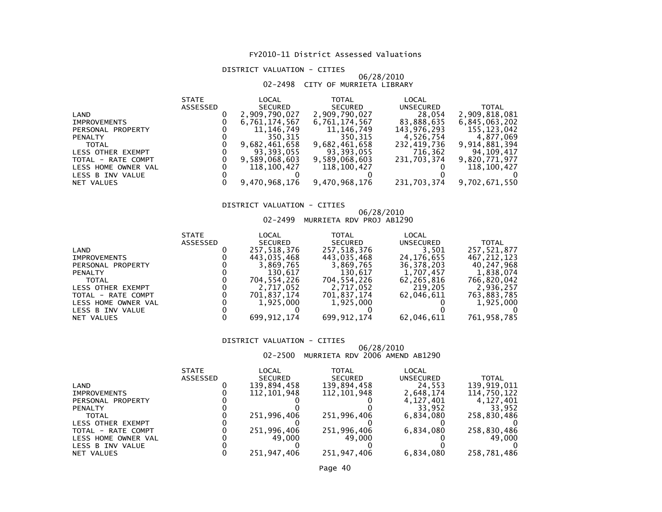#### DISTRICT VALUATION - CITIES

#### 06/28/201002-2498 CITY OF MURRIETA LIBRARY

|                     | <b>STATE</b>    | LOCAL          | <b>TOTAL</b>   | LOCAL            |               |
|---------------------|-----------------|----------------|----------------|------------------|---------------|
|                     | <b>ASSESSED</b> | <b>SECURED</b> | <b>SECURED</b> | <b>UNSECURED</b> | <b>TOTAL</b>  |
| LAND                |                 | 2,909,790,027  | 2,909,790,027  | 28,054           | 2,909,818,081 |
| <b>IMPROVEMENTS</b> |                 | 6,761,174,567  | 6,761,174,567  | 83,888,635       | 6,845,063,202 |
| PERSONAL PROPERTY   |                 | 11,146,749     | 11,146,749     | 143,976,293      | 155,123,042   |
| <b>PENALTY</b>      |                 | 350,315        | 350.315        | 4,526,754        | 4,877,069     |
| <b>TOTAL</b>        |                 | 9,682,461,658  | 9,682,461,658  | 232,419,736      | 9,914,881,394 |
| LESS OTHER EXEMPT   |                 | 93,393,055     | 93,393,055     | 716,362          | 94,109,417    |
| TOTAL - RATE COMPT  |                 | 9,589,068,603  | 9,589,068,603  | 231.703.374      | 9,820,771,977 |
| LESS HOME OWNER VAL |                 | 118,100,427    | 118,100,427    |                  | 118,100,427   |
| LESS B INV VALUE    |                 |                |                |                  |               |
| NET VALUES          |                 | 9,470,968,176  | 9,470,968,176  | 231,703,374      | 9,702,671,550 |
|                     |                 |                |                |                  |               |

#### DISTRICT VALUATION - CITIES

## 06/28/2010 02-2499 MURRIETA RDV PROJ AB1290

|                          | <b>STATE</b>    | LOCAL          | TOTAL          | LOCAL            |             |
|--------------------------|-----------------|----------------|----------------|------------------|-------------|
|                          | <b>ASSESSED</b> | <b>SECURED</b> | <b>SECURED</b> | <b>UNSECURED</b> | TOTAL       |
| LAND                     |                 | 257,518,376    | 257,518,376    | 3,501            | 257,521,877 |
| <b>IMPROVEMENTS</b>      |                 | 443.035.468    | 443,035,468    | 24,176,655       | 467.212.123 |
| PERSONAL PROPERTY        |                 | 3,869,765      | 3,869,765      | 36,378,203       | 40,247,968  |
| <b>PENALTY</b>           |                 | 130.617        | 130.617        | 1,707,457        | 1,838,074   |
| <b>TOTAL</b>             |                 | 704,554,226    | 704.554.226    | 62,265,816       | 766,820,042 |
| <b>LESS OTHER EXEMPT</b> |                 | 2,717,052      | 2,717,052      | 219,205          | 2.936.257   |
| TOTAL - RATE COMPT       |                 | 701,837,174    | 701,837,174    | 62.046.611       | 763,883,785 |
| LESS HOME OWNER VAL      |                 | 1,925,000      | 1,925,000      |                  | 1,925,000   |
| LESS B INV VALUE         |                 |                |                |                  |             |
| NET VALUES               |                 | 699, 912, 174  | 699, 912, 174  | 62,046,611       | 761,958,785 |

#### DISTRICT VALUATION - CITIES

# 06/28/2010 02-2500 MURRIETA RDV 2006 AMEND AB1290

|                     | <b>STATE</b>    | LOCAL          | TOTAL          | LOCAL            |             |
|---------------------|-----------------|----------------|----------------|------------------|-------------|
|                     | <b>ASSESSED</b> | <b>SECURED</b> | <b>SECURED</b> | <b>UNSECURED</b> | TOTAL       |
| LAND                |                 | 139,894,458    | 139,894,458    | 24.553           | 139.919.011 |
| <b>IMPROVEMENTS</b> |                 | 112,101,948    | 112,101,948    | 2.648.174        | 114.750.122 |
| PERSONAL PROPERTY   |                 |                |                | 4, 127, 401      | 4,127,401   |
| <b>PENALTY</b>      |                 |                |                | 33.952           | 33.952      |
| TOTAL               |                 | 251,996,406    | 251,996,406    | 6.834.080        | 258,830,486 |
| LESS OTHER EXEMPT   |                 |                |                |                  |             |
| TOTAL - RATE COMPT  |                 | 251,996,406    | 251,996,406    | 6,834,080        | 258,830,486 |
| LESS HOME OWNER VAL |                 | 49.000         | 49.000         |                  | 49.000      |
| LESS B INV VALUE    |                 |                |                |                  |             |
| NET VALUES          |                 | 251,947,406    | 251,947,406    | 6.834.080        | 258.781.486 |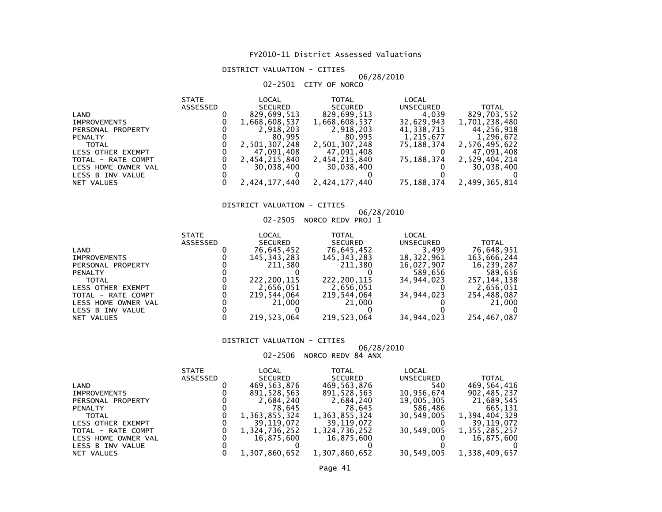#### DISTRICT VALUATION - CITIES

#### 06/28/201002-2501 CITY OF NORCO

|                     | <b>STATE</b> | LOCAL          | TOTAL          | LOCAL            |               |
|---------------------|--------------|----------------|----------------|------------------|---------------|
|                     | ASSESSED     | <b>SECURED</b> | <b>SECURED</b> | <b>UNSECURED</b> | <b>TOTAL</b>  |
| LAND                |              | 829,699,513    | 829,699,513    | 4,039            | 829,703,552   |
| <b>IMPROVEMENTS</b> |              | 1,668,608,537  | 1,668,608,537  | 32,629,943       | 1,701,238,480 |
| PERSONAL PROPERTY   |              | 2,918,203      | 2,918,203      | 41,338,715       | 44,256,918    |
| <b>PENALTY</b>      |              | 80.995         | 80.995         | 1,215,677        | 1,296,672     |
| <b>TOTAL</b>        |              | 2,501,307,248  | 2,501,307,248  | 75,188,374       | 2,576,495,622 |
| LESS OTHER EXEMPT   |              | 47,091,408     | 47,091,408     |                  | 47,091,408    |
| TOTAL - RATE COMPT  |              | 2,454,215,840  | 2,454,215,840  | 75,188,374       | 2,529,404,214 |
| LESS HOME OWNER VAL |              | 30,038,400     | 30,038,400     |                  | 30,038,400    |
| LESS B INV VALUE    |              |                |                |                  |               |
| NET VALUES          |              | 2,424,177,440  | 2,424,177,440  | 75,188,374       | 2,499,365,814 |

#### DISTRICT VALUATION - CITIES

## 06/28/2010 02-2505 NORCO REDV PROJ 1

| <b>STATE</b>    | LOCAL          | TOTAL                 | LOCAL                 |               |
|-----------------|----------------|-----------------------|-----------------------|---------------|
| <b>ASSESSED</b> | <b>SECURED</b> | <b>SECURED</b>        | <b>UNSECURED</b>      | <b>TOTAL</b>  |
|                 | 76,645,452     | 76,645,452            | 3,499                 | 76,648,951    |
|                 | 145,343,283    | 145,343,283           | 18,322,961            | 163,666,244   |
|                 | 211,380        | 211,380               | 16,027,907            | 16,239,287    |
|                 |                |                       | 589,656               | 589,656       |
|                 | 222,200,115    | 222,200,115           | 34.944.023            | 257, 144, 138 |
|                 | 2,656,051      | 2,656,051             |                       | 2,656,051     |
|                 | 219.544.064    | 219,544,064           | 34.944.023            | 254,488,087   |
|                 |                |                       |                       | 21,000        |
|                 |                |                       |                       |               |
|                 |                |                       |                       | 254,467,087   |
|                 |                | 21,000<br>219.523.064 | 21,000<br>219,523,064 | 34,944,023    |

#### DISTRICT VALUATION - CITIES

## 06/28/2010 02-2506 NORCO REDV 84 ANX

|                          | <b>STATE</b> | LOCAL          | TOTAL          | LOCAL      |               |
|--------------------------|--------------|----------------|----------------|------------|---------------|
|                          | ASSESSED     | <b>SECURED</b> | <b>SECURED</b> | UNSECURED  | <b>TOTAL</b>  |
| LAND                     |              | 469,563,876    | 469,563,876    | 540        | 469,564,416   |
| <b>IMPROVEMENTS</b>      |              | 891,528,563    | 891,528,563    | 10,956,674 | 902,485,237   |
| PERSONAL PROPERTY        |              | 2,684,240      | 2,684,240      | 19,005,305 | 21,689,545    |
| <b>PENALTY</b>           |              | 78.645         | 78.645         | 586,486    | 665,131       |
| <b>TOTAL</b>             |              | 1,363,855,324  | 1,363,855,324  | 30,549,005 | 1,394,404,329 |
| <b>LESS OTHER EXEMPT</b> |              | 39.119.072     | 39,119,072     |            | 39.119.072    |
| TOTAL - RATE COMPT       |              | 1,324,736,252  | 1,324,736,252  | 30,549,005 | 1,355,285,257 |
| LESS HOME OWNER VAL      |              | 16.875.600     | 16,875,600     |            | 16.875.600    |
| LESS B INV VALUE         |              |                |                |            |               |
| NET VALUES               |              | 1,307,860,652  | 1,307,860,652  | 30,549,005 | 1,338,409,657 |
|                          |              |                |                |            |               |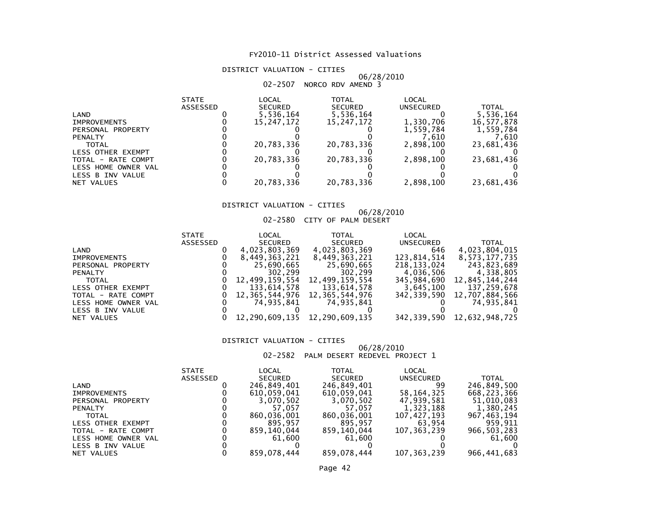#### DISTRICT VALUATION - CITIES

## 06/28/2010 02-2507 NORCO RDV AMEND 3

|                     | <b>STATE</b><br><b>ASSESSED</b> | LOCAL<br><b>SECURED</b> | TOTAL<br><b>SECURED</b> | LOCAL<br>UNSECURED | <b>TOTAL</b> |
|---------------------|---------------------------------|-------------------------|-------------------------|--------------------|--------------|
| LAND                |                                 | 5,536,164               | 5,536,164               |                    | 5,536,164    |
| <b>IMPROVEMENTS</b> |                                 | 15.247.172              | 15,247,172              | 1,330,706          | 16,577,878   |
| PERSONAL PROPERTY   |                                 |                         |                         | 1,559,784          | 1,559,784    |
| <b>PENALTY</b>      |                                 |                         |                         | 7.610              | 7.610        |
| TOTAL               |                                 | 20,783,336              | 20,783,336              | 2,898,100          | 23,681,436   |
| LESS OTHER EXEMPT   |                                 |                         |                         |                    |              |
| TOTAL - RATE COMPT  |                                 | 20,783,336              | 20,783,336              | 2,898,100          | 23,681,436   |
| LESS HOME OWNER VAL |                                 |                         |                         |                    |              |
| LESS B INV VALUE    |                                 |                         |                         |                    |              |
| NET VALUES          |                                 | 20,783,336              | 20,783,336              | 2,898,100          | 23,681,436   |

#### DISTRICT VALUATION - CITIES

#### 06/28/201002-2580 CITY OF PALM DESERT

|                     | <b>STATE</b> | LOCAL                               | <b>TOTAL</b>   | LOCAL       |                                 |
|---------------------|--------------|-------------------------------------|----------------|-------------|---------------------------------|
|                     | ASSESSED     | SECURED                             | SECURED        | UNSECURED   | <b>TOTAL</b>                    |
| LAND                |              | 4,023,803,369                       | 4,023,803,369  | 646         | 4,023,804,015                   |
| <b>IMPROVEMENTS</b> |              | 8,449,363,221                       | 8,449,363,221  | 123.814.514 | 8,573,177,735                   |
| PERSONAL PROPERTY   |              | 25,690,665                          | 25,690,665     | 218,133,024 | 243,823,689                     |
| <b>PENALTY</b>      |              | 302,299                             | 302,299        | 4,036,506   | 4,338,805                       |
| <b>TOTAL</b>        |              | 12,499,159,554                      | 12,499,159,554 | 345,984,690 | 12,845,144,244                  |
| LESS OTHER EXEMPT   |              | 133,614,578                         | 133,614,578    | 3,645,100   | 137,259,678                     |
| TOTAL - RATE COMPT  |              | 12, 365, 544, 976 12, 365, 544, 976 |                |             | 342, 339, 590 12, 707, 884, 566 |
| LESS HOME OWNER VAL |              | 74.935.841                          | 74.935.841     |             | 74,935,841                      |
| LESS B INV VALUE    |              |                                     |                |             |                                 |
| NET VALUES          |              | 12,290,609,135 12,290,609,135       |                |             | 342, 339, 590 12, 632, 948, 725 |

#### DISTRICT VALUATION - CITIES

#### 06/28/201002-2582 PALM DESERT REDEVEL PROJECT 1

|                     | <b>STATE</b> | LOCAL          | <b>TOTAL</b>   | LOCAL            |               |
|---------------------|--------------|----------------|----------------|------------------|---------------|
|                     | ASSESSED     | <b>SECURED</b> | <b>SECURED</b> | <b>UNSECURED</b> | <b>TOTAL</b>  |
| LAND                |              | 246,849,401    | 246,849,401    | 99               | 246,849,500   |
| <b>IMPROVEMENTS</b> |              | 610,059,041    | 610,059,041    | 58, 164, 325     | 668,223,366   |
| PERSONAL PROPERTY   |              | 3.070.502      | 3.070.502      | 47,939,581       | 51,010,083    |
| <b>PENALTY</b>      |              | 57.057         | 57.057         | 1,323,188        | 1,380,245     |
| <b>TOTAL</b>        |              | 860,036,001    | 860.036.001    | 107,427,193      | 967,463,194   |
| LESS OTHER EXEMPT   |              | 895.957        | 895.957        | 63.954           | 959,911       |
| TOTAL - RATE COMPT  |              | 859.140.044    | 859,140,044    | 107, 363, 239    | 966, 503, 283 |
| LESS HOME OWNER VAL |              | 61.600         | 61.600         |                  | 61,600        |
| LESS B INV VALUE    |              |                |                |                  |               |
| NET VALUES          |              | 859.078.444    | 859.078.444    | 107, 363, 239    | 966,441,683   |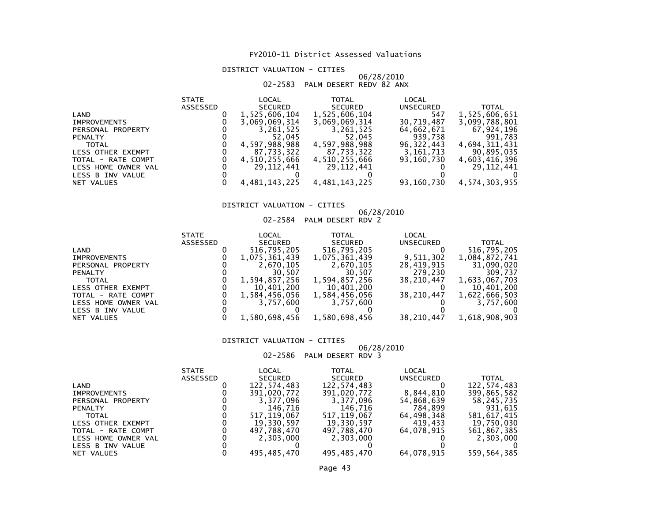#### DISTRICT VALUATION - CITIES

## 06/28/2010 02-2583 PALM DESERT REDV 82 ANX

|                     | <b>STATE</b>    | LOCAL          | <b>TOTAL</b>   | LOCAL      |               |
|---------------------|-----------------|----------------|----------------|------------|---------------|
|                     | <b>ASSESSED</b> | <b>SECURED</b> | <b>SECURED</b> | UNSECURED  | <b>TOTAL</b>  |
| LAND                |                 | 1,525,606,104  | 1,525,606,104  | 547        | 1,525,606,651 |
| <b>IMPROVEMENTS</b> |                 | 3,069,069,314  | 3,069,069,314  | 30,719,487 | 3,099,788,801 |
| PERSONAL PROPERTY   |                 | 3,261,525      | 3,261,525      | 64,662,671 | 67,924,196    |
| <b>PENALTY</b>      |                 | 52.045         | 52.045         | 939,738    | 991,783       |
| <b>TOTAL</b>        |                 | 4,597,988,988  | 4,597,988,988  | 96.322.443 | 4,694,311,431 |
| LESS OTHER EXEMPT   |                 | 87,733,322     | 87,733,322     | 3,161,713  | 90,895,035    |
| TOTAL - RATE COMPT  |                 | 4,510,255,666  | 4,510,255,666  | 93.160.730 | 4,603,416,396 |
| LESS HOME OWNER VAL |                 | 29.112.441     | 29.112.441     |            | 29, 112, 441  |
| LESS B INV VALUE    |                 |                |                |            |               |
| NET VALUES          |                 | 4,481,143,225  | 4,481,143,225  | 93,160,730 | 4,574,303,955 |
|                     |                 |                |                |            |               |

### DISTRICT VALUATION - CITIES

## 06/28/2010 02-2584 PALM DESERT RDV 2

|                     | <b>STATE</b> | LOCAL          | TOTAL          | LOCAL            |               |
|---------------------|--------------|----------------|----------------|------------------|---------------|
|                     | ASSESSED     | <b>SECURED</b> | <b>SECURED</b> | <b>UNSECURED</b> | <b>TOTAL</b>  |
| LAND                |              | 516,795,205    | 516,795,205    |                  | 516,795,205   |
| <b>IMPROVEMENTS</b> |              | 1,075,361,439  | 1,075,361,439  | 9,511,302        | 1,084,872,741 |
| PERSONAL PROPERTY   |              | 2,670,105      | 2,670,105      | 28,419,915       | 31,090,020    |
| <b>PENALTY</b>      |              | 30.507         | 30,507         | 279.230          | 309.737       |
| <b>TOTAL</b>        |              | 1.594.857.256  | 1,594,857,256  | 38.210.447       | 1,633,067,703 |
| LESS OTHER EXEMPT   |              | 10,401,200     | 10,401,200     |                  | 10,401,200    |
| TOTAL - RATE COMPT  |              | 1,584,456,056  | 1,584,456,056  | 38,210,447       | 1,622,666,503 |
| LESS HOME OWNER VAL |              | 3.757.600      | 3.757.600      |                  | 3,757,600     |
| LESS B INV VALUE    |              |                |                |                  |               |
| NET VALUES          |              | 1,580,698,456  | 1,580,698,456  | 38,210,447       | 1,618,908,903 |

#### DISTRICT VALUATION - CITIES

## 06/28/2010 02-2586 PALM DESERT RDV 3

|                     | <b>STATE</b> | LOCAL          | TOTAL          | LOCAL            |              |
|---------------------|--------------|----------------|----------------|------------------|--------------|
|                     | ASSESSED     | <b>SECURED</b> | <b>SECURED</b> | <b>UNSECURED</b> | <b>TOTAL</b> |
| LAND                |              | 122.574.483    | 122.574.483    |                  | 122,574,483  |
| <b>IMPROVEMENTS</b> |              | 391,020,772    | 391,020,772    | 8,844,810        | 399,865,582  |
| PERSONAL PROPERTY   |              | 3.377.096      | 3.377.096      | 54,868,639       | 58,245,735   |
| <b>PENALTY</b>      |              | 146.716        | 146.716        | 784,899          | 931,615      |
| <b>TOTAL</b>        |              | 517.119.067    | 517.119.067    | 64,498,348       | 581,617,415  |
| LESS OTHER EXEMPT   |              | 19,330,597     | 19,330,597     | 419,433          | 19,750,030   |
| TOTAL - RATE COMPT  |              | 497,788,470    | 497,788,470    | 64.078.915       | 561,867,385  |
| LESS HOME OWNER VAL |              | 2,303,000      | 2,303,000      |                  | 2,303,000    |
| LESS B INV VALUE    |              |                |                |                  |              |
| NET VALUES          |              | 495,485,470    | 495.485.470    | 64,078,915       | 559,564,385  |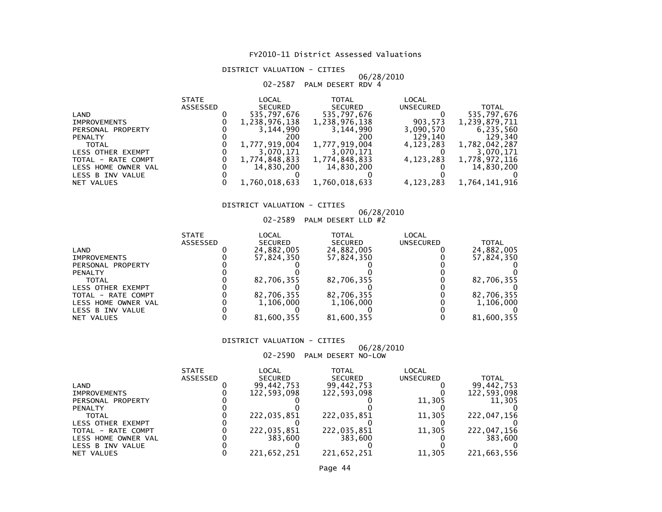#### DISTRICT VALUATION - CITIES

## 06/28/2010 02-2587 PALM DESERT RDV 4

|                     | <b>STATE</b>    | LOCAL          | TOTAL          | LOCAL            |               |
|---------------------|-----------------|----------------|----------------|------------------|---------------|
|                     | <b>ASSESSED</b> | <b>SECURED</b> | <b>SECURED</b> | <b>UNSECURED</b> | <b>TOTAL</b>  |
| LAND                |                 | 535,797,676    | 535,797,676    |                  | 535,797,676   |
| <b>IMPROVEMENTS</b> |                 | 1,238,976,138  | 1,238,976,138  | 903,573          | 1,239,879,711 |
| PERSONAL PROPERTY   |                 | 3.144.990      | 3,144,990      | 3,090,570        | 6,235,560     |
| <b>PENALTY</b>      |                 | 200            | 200            | 129,140          | 129,340       |
| <b>TOTAL</b>        |                 | 1,777,919,004  | 1,777,919,004  | 4,123,283        | 1,782,042,287 |
| LESS OTHER EXEMPT   |                 | 3,070,171      | 3,070,171      |                  | 3.070.171     |
| TOTAL - RATE COMPT  |                 | 1,774,848,833  | 1,774,848,833  | 4, 123, 283      | 1,778,972,116 |
| LESS HOME OWNER VAL |                 | 14,830,200     | 14,830,200     |                  | 14,830,200    |
| LESS B INV VALUE    |                 |                |                |                  |               |
| NET VALUES          |                 | 1,760,018,633  | 1,760,018,633  | 4, 123, 283      | 1,764,141,916 |

### DISTRICT VALUATION - CITIES

## 06/28/2010 02-2589 PALM DESERT LLD #2

| LOCAL<br><b>TOTAL</b><br>LOCAL<br><b>STATE</b>                   |              |
|------------------------------------------------------------------|--------------|
| ASSESSED<br><b>SECURED</b><br><b>SECURED</b><br><b>UNSECURED</b> | <b>TOTAL</b> |
| 24,882,005<br>24,882,005<br>LAND                                 | 24,882,005   |
| 57,824,350<br>57,824,350<br><b>IMPROVEMENTS</b>                  | 57,824,350   |
| PERSONAL PROPERTY                                                |              |
| <b>PENALTY</b>                                                   |              |
| 82,706,355<br>82,706,355<br><b>TOTAL</b>                         | 82,706,355   |
| <b>LESS OTHER EXEMPT</b>                                         |              |
| 82,706,355<br>82,706,355<br>TOTAL - RATE COMPT                   | 82,706,355   |
| 1,106,000<br>1,106,000<br>LESS HOME OWNER VAL                    | 1,106,000    |
| LESS B INV VALUE                                                 |              |
| 81,600,355<br>81,600,355<br>NET VALUES                           | 81,600,355   |

#### DISTRICT VALUATION - CITIES

### 06/28/2010

02-2590 PALM DESERT NO-LOW

| <b>STATE</b>    | LOCAL          | TOTAL          | LOCAL            |             |
|-----------------|----------------|----------------|------------------|-------------|
| <b>ASSESSED</b> | <b>SECURED</b> | <b>SECURED</b> | <b>UNSECURED</b> | TOTAL       |
|                 | 99.442.753     | 99,442,753     |                  | 99,442,753  |
|                 | 122,593,098    | 122,593,098    |                  | 122,593,098 |
|                 |                |                | 11.305           | 11,305      |
|                 |                |                |                  |             |
|                 | 222.035.851    | 222,035,851    | 11,305           | 222,047,156 |
|                 |                |                |                  |             |
|                 | 222,035,851    | 222,035,851    | 11,305           | 222,047,156 |
|                 | 383.600        | 383,600        |                  | 383,600     |
|                 |                |                |                  |             |
|                 | 221.652.251    | 221.652.251    | 11.305           | 221,663,556 |
|                 |                |                |                  |             |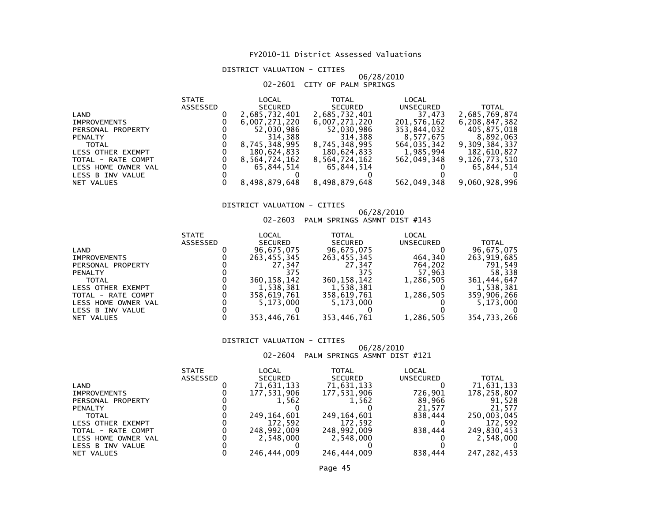#### DISTRICT VALUATION - CITIES

#### 06/28/201002-2601 CITY OF PALM SPRINGS

|                     | <b>STATE</b> | LOCAL          | <b>TOTAL</b>   | LOCAL            |               |
|---------------------|--------------|----------------|----------------|------------------|---------------|
|                     | ASSESSED     | <b>SECURED</b> | <b>SECURED</b> | <b>UNSECURED</b> | <b>TOTAL</b>  |
| LAND                |              | 2,685,732,401  | 2,685,732,401  | 37,473           | 2,685,769,874 |
| <b>IMPROVEMENTS</b> |              | 6,007,271,220  | 6,007,271,220  | 201,576,162      | 6,208,847,382 |
| PERSONAL PROPERTY   |              | 52,030,986     | 52,030,986     | 353,844,032      | 405,875,018   |
| <b>PENALTY</b>      |              | 314,388        | 314,388        | 8,577,675        | 8,892,063     |
| <b>TOTAL</b>        |              | 8,745,348,995  | 8,745,348,995  | 564,035,342      | 9,309,384,337 |
| LESS OTHER EXEMPT   |              | 180,624,833    | 180,624,833    | 1,985,994        | 182,610,827   |
| TOTAL - RATE COMPT  |              | 8,564,724,162  | 8,564,724,162  | 562,049,348      | 9,126,773,510 |
| LESS HOME OWNER VAL |              | 65,844,514     | 65.844.514     |                  | 65,844,514    |
| LESS B INV VALUE    |              |                |                |                  |               |
| NET VALUES          |              | 8,498,879,648  | 8,498,879,648  | 562,049,348      | 9,060,928,996 |
|                     |              |                |                |                  |               |

#### DISTRICT VALUATION - CITIES

## 06/28/2010 02-2603 PALM SPRINGS ASMNT DIST #143

| <b>STATE</b>    | LOCAL          | TOTAL          | LOCAL            |             |
|-----------------|----------------|----------------|------------------|-------------|
| <b>ASSESSED</b> | <b>SECURED</b> | <b>SECURED</b> | <b>UNSECURED</b> | TOTAL       |
|                 | 96.675.075     | 96,675,075     |                  | 96,675,075  |
|                 | 263,455,345    | 263,455,345    | 464,340          | 263,919,685 |
|                 | 27.347         | 27.347         | 764,202          | 791.549     |
|                 | 375            | 375            | 57,963           | 58,338      |
|                 | 360.158.142    | 360, 158, 142  | 1.286.505        | 361,444,647 |
|                 | 1,538,381      | 1,538,381      |                  | 1,538,381   |
|                 | 358,619,761    | 358,619,761    | 1,286,505        | 359,906,266 |
|                 | 5.173.000      | 5,173,000      |                  | 5,173,000   |
|                 |                |                |                  |             |
|                 | 353,446,761    | 353,446,761    | 1,286,505        | 354,733,266 |
|                 |                |                |                  |             |

#### DISTRICT VALUATION - CITIES

## 06/28/2010 02-2604 PALM SPRINGS ASMNT DIST #121

|                          | <b>STATE</b> | LOCAL          | TOTAL          | LOCAL            |               |
|--------------------------|--------------|----------------|----------------|------------------|---------------|
|                          | ASSESSED     | <b>SECURED</b> | <b>SECURED</b> | <b>UNSECURED</b> | <b>TOTAL</b>  |
| LAND                     |              | 71,631,133     | 71,631,133     |                  | 71,631,133    |
| <b>IMPROVEMENTS</b>      |              | 177,531,906    | 177,531,906    | 726.901          | 178,258,807   |
| PERSONAL PROPERTY        |              | 1,562          | 1.562          | 89,966           | 91,528        |
| <b>PENALTY</b>           |              |                |                | 21.577           | 21.577        |
| <b>TOTAL</b>             |              | 249,164,601    | 249, 164, 601  | 838.444          | 250,003,045   |
| <b>LESS OTHER EXEMPT</b> |              | 172.592        | 172.592        |                  | 172.592       |
| TOTAL - RATE COMPT       |              | 248,992,009    | 248,992,009    | 838.444          | 249,830,453   |
| LESS HOME OWNER VAL      |              | 2.548.000      | 2.548.000      |                  | 2,548,000     |
| LESS B INV VALUE         |              |                |                |                  |               |
| NET VALUES               |              | 246.444.009    | 246,444,009    | 838.444          | 247, 282, 453 |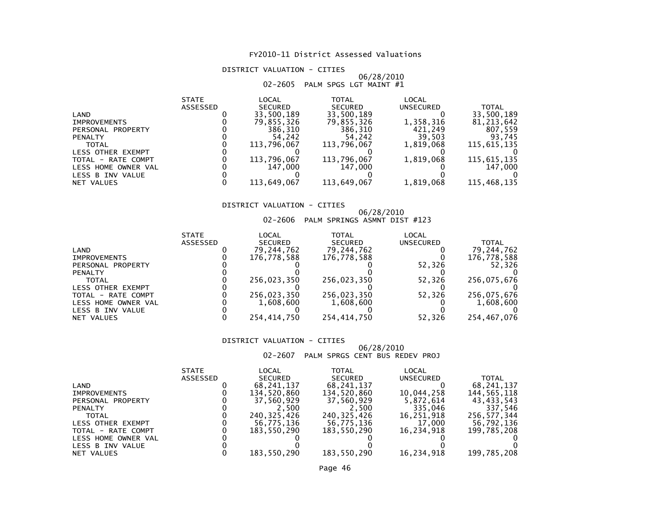#### DISTRICT VALUATION - CITIES

#### 06/28/2010 $02\texttt{-}2605$  PALM SPGS LGT MAINT  $\#1$

| <b>STATE</b>    | LOCAL          | <b>TOTAL</b>   | LOCAL                      |              |
|-----------------|----------------|----------------|----------------------------|--------------|
| <b>ASSESSED</b> | <b>SECURED</b> | <b>SECURED</b> | <b>UNSECURED</b>           | <b>TOTAL</b> |
|                 | 33,500,189     | 33,500,189     |                            | 33,500,189   |
|                 | 79,855,326     | 79,855,326     | 1,358,316                  | 81, 213, 642 |
|                 | 386.310        | 386,310        | 421,249                    | 807,559      |
|                 | 54.242         | 54,242         | 39,503                     | 93,745       |
|                 | 113.796.067    | 113,796,067    | 1.819.068                  | 115,615,135  |
|                 |                |                |                            |              |
|                 | 113,796,067    |                | 1,819,068                  | 115,615,135  |
|                 | 147.000        | 147,000        |                            | 147,000      |
|                 |                |                |                            |              |
|                 |                |                |                            | 115,468,135  |
|                 |                | 113,649,067    | 113,796,067<br>113,649,067 | 1,819,068    |

#### DISTRICT VALUATION - CITIES

## 06/28/2010 02-2606 PALM SPRINGS ASMNT DIST #123

| <b>STATE</b> | LOCAL          | TOTAL          | LOCAL            |             |
|--------------|----------------|----------------|------------------|-------------|
| ASSESSED     | <b>SECURED</b> | <b>SECURED</b> | <b>UNSECURED</b> | TOTAL       |
|              | 79,244,762     | 79,244,762     |                  | 79,244,762  |
|              | 176,778,588    | 176,778,588    |                  | 176,778,588 |
|              |                |                | 52,326           | 52.326      |
|              |                |                |                  |             |
|              | 256.023.350    | 256,023,350    | 52.326           | 256,075,676 |
|              |                |                |                  |             |
|              | 256.023.350    |                | 52.326           | 256,075,676 |
|              | 1,608,600      | 1,608,600      |                  | 1,608,600   |
|              |                |                |                  |             |
|              | 254,414,750    | 254,414,750    | 52,326           | 254,467,076 |
|              |                |                | 256,023,350      |             |

#### DISTRICT VALUATION - CITIES

## 06/28/2010 02-2607 PALM SPRGS CENT BUS REDEV PROJ

|                     | <b>STATE</b> | LOCAL          | TOTAL          | LOCAL      |              |
|---------------------|--------------|----------------|----------------|------------|--------------|
|                     | ASSESSED     | <b>SECURED</b> | <b>SECURED</b> | UNSECURED  | <b>TOTAL</b> |
| LAND                |              | 68,241,137     | 68,241,137     |            | 68,241,137   |
| <b>IMPROVEMENTS</b> |              | 134,520,860    | 134.520.860    | 10,044,258 | 144,565,118  |
| PERSONAL PROPERTY   |              | 37,560,929     | 37,560,929     | 5,872,614  | 43,433,543   |
| <b>PENALTY</b>      |              | 2.500          | 2.500          | 335,046    | 337.546      |
| <b>TOTAL</b>        |              | 240, 325, 426  | 240, 325, 426  | 16,251,918 | 256,577,344  |
| LESS OTHER EXEMPT   |              | 56,775,136     | 56,775,136     | 17,000     | 56,792,136   |
| TOTAL - RATE COMPT  |              | 183,550,290    | 183.550.290    | 16,234,918 | 199,785,208  |
| LESS HOME OWNER VAL |              |                |                |            |              |
| LESS B INV VALUE    |              |                |                |            |              |
| NET VALUES          |              | 183.550.290    | 183,550,290    | 16.234.918 | 199,785,208  |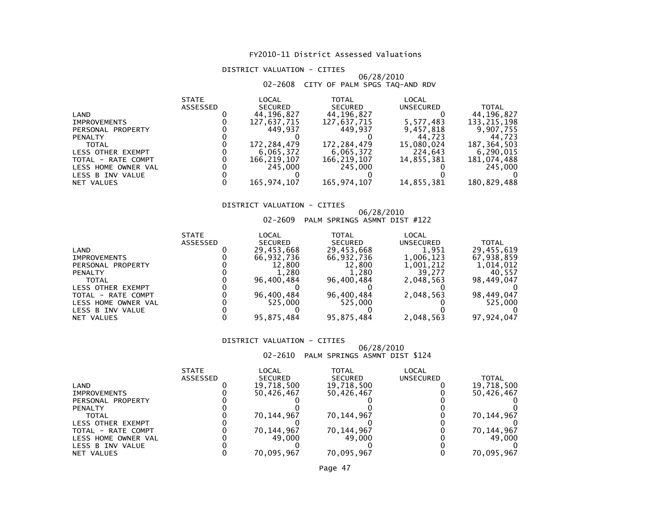#### DISTRICT VALUATION - CITIES

#### 06/28/201002-2608 CITY OF PALM SPGS TAQ-AND RDV

|                     | <b>STATE</b>    | LOCAL          | <b>TOTAL</b>   | LOCAL      |               |
|---------------------|-----------------|----------------|----------------|------------|---------------|
|                     | <b>ASSESSED</b> | <b>SECURED</b> | <b>SECURED</b> | UNSECURED  | <b>TOTAL</b>  |
| LAND                |                 | 44,196,827     | 44,196,827     |            | 44,196,827    |
| <b>IMPROVEMENTS</b> |                 | 127,637,715    | 127,637,715    | 5,577,483  | 133, 215, 198 |
| PERSONAL PROPERTY   |                 | 449.937        | 449.937        | 9,457,818  | 9,907,755     |
| <b>PENALTY</b>      |                 |                |                | 44.723     | 44.723        |
| <b>TOTAL</b>        |                 | 172,284,479    | 172,284,479    | 15,080,024 | 187, 364, 503 |
| LESS OTHER EXEMPT   |                 | 6,065,372      | 6,065,372      | 224,643    | 6.290.015     |
| TOTAL - RATE COMPT  |                 | 166,219,107    | 166,219,107    | 14,855,381 | 181,074,488   |
| LESS HOME OWNER VAL |                 | 245,000        | 245,000        |            | 245,000       |
| LESS B INV VALUE    |                 |                |                |            |               |
| NET VALUES          |                 | 165,974,107    | 165,974,107    | 14,855,381 | 180,829,488   |

#### DISTRICT VALUATION - CITIES

## 06/28/2010 02-2609 PALM SPRINGS ASMNT DIST #122

| <b>STATE</b>    | LOCAL          | TOTAL          | LOCAL            |              |
|-----------------|----------------|----------------|------------------|--------------|
| <b>ASSESSED</b> | <b>SECURED</b> | <b>SECURED</b> | <b>UNSECURED</b> | <b>TOTAL</b> |
|                 | 29,453,668     | 29,453,668     | 1,951            | 29,455,619   |
|                 | 66,932,736     | 66,932,736     | 1,006,123        | 67,938,859   |
|                 | 12,800         | 12,800         | 1,001,212        | 1,014,012    |
|                 | 1.280          | 1.280          | 39.277           | 40.557       |
|                 | 96.400.484     | 96,400,484     | 2,048,563        | 98,449,047   |
|                 |                |                |                  |              |
|                 | 96,400,484     | 96,400,484     | 2,048,563        | 98,449,047   |
|                 | 525,000        | 525,000        |                  | 525,000      |
|                 |                |                |                  |              |
|                 | 95,875,484     | 95,875,484     | 2,048,563        | 97,924,047   |
|                 |                |                |                  |              |

#### DISTRICT VALUATION - CITIES

## 06/28/2010 02-2610 PALM SPRINGS ASMNT DIST \$124

|                          | <b>STATE</b>    | LOCAL          | TOTAL          | LOCAL     |            |
|--------------------------|-----------------|----------------|----------------|-----------|------------|
|                          | <b>ASSESSED</b> | <b>SECURED</b> | <b>SECURED</b> | UNSECURED | TOTAL      |
| LAND                     |                 | 19,718,500     | 19,718,500     |           | 19,718,500 |
| <b>IMPROVEMENTS</b>      |                 | 50.426.467     | 50,426,467     |           | 50,426,467 |
| PERSONAL PROPERTY        |                 |                |                |           |            |
| <b>PENALTY</b>           |                 |                |                |           |            |
| TOTAL                    |                 | 70,144,967     | 70,144,967     |           | 70,144,967 |
| <b>LESS OTHER EXEMPT</b> |                 |                |                |           |            |
| TOTAL - RATE COMPT       |                 | 70,144,967     | 70,144,967     |           | 70,144,967 |
| LESS HOME OWNER VAL      |                 | 49.000         | 49.000         |           | 49.000     |
| LESS B INV VALUE         |                 |                |                |           |            |
| NET VALUES               |                 | 70.095.967     | 70.095.967     |           | 70.095.967 |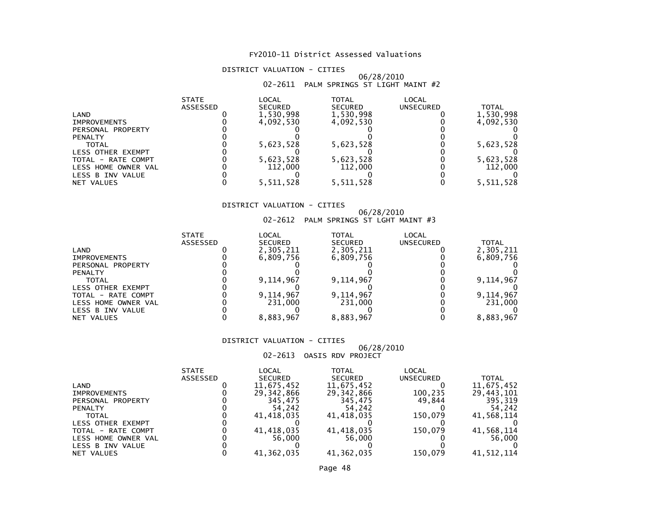#### DISTRICT VALUATION - CITIES

#### 06/28/201002-2611 PALM SPRINGS ST LIGHT MAINT #2

|                          | <b>STATE</b><br>ASSESSED | LOCAL<br><b>SECURED</b> | <b>TOTAL</b><br><b>SECURED</b> | <b>LOCAL</b><br>UNSECURED | TOTAL     |
|--------------------------|--------------------------|-------------------------|--------------------------------|---------------------------|-----------|
| LAND                     |                          | 1,530,998               | 1,530,998                      |                           | 1,530,998 |
| <b>IMPROVEMENTS</b>      |                          | 4.092.530               | 4.092.530                      |                           | 4,092,530 |
| PERSONAL PROPERTY        |                          |                         |                                |                           |           |
| <b>PENALTY</b>           |                          |                         |                                |                           |           |
| <b>TOTAL</b>             |                          | 5,623,528               | 5,623,528                      |                           | 5,623,528 |
| <b>LESS OTHER EXEMPT</b> |                          |                         |                                |                           |           |
| TOTAL - RATE COMPT       |                          | 5,623,528               | 5,623,528                      |                           | 5,623,528 |
| LESS HOME OWNER VAL      |                          | 112,000                 | 112,000                        |                           | 112,000   |
| LESS B INV VALUE         |                          |                         |                                |                           |           |
| NET VALUES               |                          | 5,511,528               | 5,511,528                      |                           | 5,511,528 |

#### DISTRICT VALUATION - CITIES

## 06/28/2010 02-2612 PALM SPRINGS ST LGHT MAINT #3

|                          | <b>STATE</b>    | LOCAL          | TOTAL          | LOCAL     |              |
|--------------------------|-----------------|----------------|----------------|-----------|--------------|
|                          | <b>ASSESSED</b> | <b>SECURED</b> | <b>SECURED</b> | UNSECURED | <b>TOTAL</b> |
| LAND                     |                 | 2,305,211      | 2,305,211      |           | 2,305,211    |
| <b>IMPROVEMENTS</b>      |                 | 6.809.756      | 6,809,756      |           | 6,809,756    |
| PERSONAL PROPERTY        |                 |                |                |           |              |
| <b>PENALTY</b>           |                 |                |                |           |              |
| <b>TOTAL</b>             |                 | 9,114,967      | 9,114,967      |           | 9,114,967    |
| <b>LESS OTHER EXEMPT</b> |                 |                |                |           |              |
| TOTAL - RATE COMPT       |                 | 9,114,967      | 9,114,967      |           | 9,114,967    |
| LESS HOME OWNER VAL      |                 | 231,000        | 231,000        |           | 231,000      |
| LESS B INV VALUE         |                 |                |                |           |              |
| NET VALUES               |                 | 8,883,967      | 8,883,967      |           | 8,883,967    |

#### DISTRICT VALUATION - CITIES

### 06/28/2010

02-2613 OASIS RDV PROJECT

|                          | <b>STATE</b> | LOCAL          | TOTAL          | LOCAL            |              |
|--------------------------|--------------|----------------|----------------|------------------|--------------|
|                          | ASSESSED     | <b>SECURED</b> | <b>SECURED</b> | <b>UNSECURED</b> | <b>TOTAL</b> |
| LAND                     |              | 11,675,452     | 11,675,452     |                  | 11,675,452   |
| <b>IMPROVEMENTS</b>      |              | 29,342,866     | 29,342,866     | 100,235          | 29,443,101   |
| PERSONAL PROPERTY        |              | 345.475        | 345.475        | 49.844           | 395,319      |
| <b>PENALTY</b>           |              | 54,242         | 54.242         |                  | 54.242       |
| <b>TOTAL</b>             |              | 41,418,035     | 41,418,035     | 150.079          | 41,568,114   |
| <b>LESS OTHER EXEMPT</b> |              |                |                |                  |              |
| TOTAL - RATE COMPT       |              | 41.418.035     | 41,418,035     | 150.079          | 41,568,114   |
| LESS HOME OWNER VAL      |              | 56.000         | 56.000         |                  | 56,000       |
| LESS B INV VALUE         |              |                |                |                  |              |
| NET VALUES               |              | 41,362,035     | 41,362,035     | 150,079          | 41,512,114   |
|                          |              |                |                |                  |              |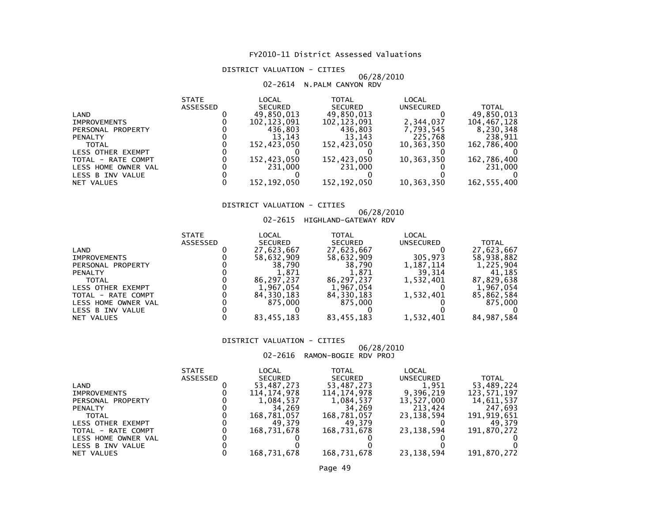#### DISTRICT VALUATION - CITIES

#### 06/28/201002-2614 N.PALM CANYON RDV

|                     | <b>STATE</b>    | LOCAL          | <b>TOTAL</b>   | LOCAL      |               |
|---------------------|-----------------|----------------|----------------|------------|---------------|
|                     | <b>ASSESSED</b> | <b>SECURED</b> | <b>SECURED</b> | UNSECURED  | <b>TOTAL</b>  |
| LAND                |                 | 49.850.013     | 49.850.013     |            | 49.850.013    |
| <b>IMPROVEMENTS</b> |                 | 102.123.091    | 102, 123, 091  | 2,344,037  | 104,467,128   |
| PERSONAL PROPERTY   |                 | 436,803        | 436.803        | 7,793,545  | 8,230,348     |
| <b>PENALTY</b>      |                 | 13.143         | 13.143         | 225,768    | 238,911       |
| <b>TOTAL</b>        |                 | 152,423,050    | 152,423,050    | 10,363,350 | 162,786,400   |
| LESS OTHER EXEMPT   |                 |                |                |            |               |
| TOTAL - RATE COMPT  |                 | 152,423,050    | 152,423,050    | 10,363,350 | 162,786,400   |
| LESS HOME OWNER VAL |                 | 231,000        | 231,000        |            | 231,000       |
| LESS B INV VALUE    |                 |                |                |            |               |
| NET VALUES          |                 | 152.192.050    | 152,192,050    | 10,363,350 | 162, 555, 400 |

#### DISTRICT VALUATION - CITIES

## 06/28/2010 02-2615 HIGHLAND-GATEWAY RDV

| UZ-Z0IS HIGHLAND-GATEWAY RDV |
|------------------------------|
|                              |

|                     | <b>STATE</b> | LOCAL          | <b>TOTAL</b>   | LOCAL            |              |
|---------------------|--------------|----------------|----------------|------------------|--------------|
|                     | ASSESSED     | <b>SECURED</b> | <b>SECURED</b> | <b>UNSECURED</b> | <b>TOTAL</b> |
| LAND                |              | 27,623,667     | 27,623,667     |                  | 27,623,667   |
| <b>IMPROVEMENTS</b> |              | 58,632,909     | 58,632,909     | 305,973          | 58,938,882   |
| PERSONAL PROPERTY   |              | 38,790         | 38,790         | 1,187,114        | 1,225,904    |
| <b>PENALTY</b>      |              | 1.871          | 1,871          | 39.314           | 41.185       |
| <b>TOTAL</b>        |              | 86.297.237     | 86.297.237     | 1,532,401        | 87,829,638   |
| LESS OTHER EXEMPT   |              | 1,967,054      | 1,967,054      |                  | 1,967,054    |
| TOTAL - RATE COMPT  |              | 84,330,183     | 84,330,183     | 1,532,401        | 85,862,584   |
| LESS HOME OWNER VAL |              | 875,000        | 875.000        |                  | 875,000      |
| LESS B INV VALUE    |              |                |                |                  |              |
| NET VALUES          |              | 83,455,183     | 83,455,183     | 1,532,401        | 84,987,584   |
|                     |              |                |                |                  |              |

#### DISTRICT VALUATION - CITIES

#### 06/28/201002-2616 RAMON-BOGIE RDV PROJ

|                     | <b>STATE</b>    | LOCAL          | TOTAL          | LOCAL        |             |
|---------------------|-----------------|----------------|----------------|--------------|-------------|
|                     | <b>ASSESSED</b> | <b>SECURED</b> | <b>SECURED</b> | UNSECURED    | TOTAL       |
| LAND                |                 | 53,487,273     | 53,487,273     | 1,951        | 53,489,224  |
| <b>IMPROVEMENTS</b> |                 | 114,174,978    | 114.174.978    | 9.396.219    | 123.571.197 |
| PERSONAL PROPERTY   |                 | 1,084,537      | 1,084,537      | 13,527,000   | 14,611,537  |
| <b>PENALTY</b>      |                 | 34.269         | 34.269         | 213,424      | 247,693     |
| <b>TOTAL</b>        |                 | 168,781,057    | 168,781,057    | 23, 138, 594 | 191,919,651 |
| LESS OTHER EXEMPT   |                 | 49.379         | 49.379         |              | 49.379      |
| TOTAL - RATE COMPT  |                 | 168.731.678    | 168,731,678    | 23, 138, 594 | 191,870,272 |
| LESS HOME OWNER VAL |                 |                |                |              |             |
| LESS B INV VALUE    |                 |                |                |              |             |
| NET VALUES          |                 | 168,731,678    | 168,731,678    | 23, 138, 594 | 191,870,272 |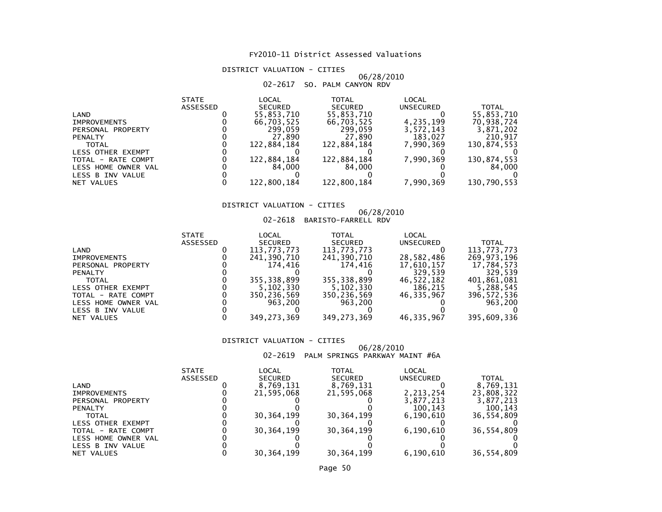DISTRICT VALUATION - CITIES

#### 06/28/201002-2617 SO. PALM CANYON RDV

| <b>STATE</b>    | LOCAL          | <b>TOTAL</b>   | <b>LOCAL</b> |              |
|-----------------|----------------|----------------|--------------|--------------|
| <b>ASSESSED</b> | <b>SECURED</b> | <b>SECURED</b> | UNSECURED    | <b>TOTAL</b> |
|                 | 55,853,710     | 55,853,710     |              | 55,853,710   |
|                 | 66,703,525     | 66,703,525     | 4,235,199    | 70,938,724   |
|                 | 299.059        | 299.059        | 3,572,143    | 3,871,202    |
|                 | 27,890         | 27.890         | 183,027      | 210,917      |
|                 | 122.884.184    | 122,884,184    | 7.990.369    | 130,874,553  |
|                 |                |                |              |              |
|                 | 122,884,184    |                | 7,990,369    | 130,874,553  |
|                 | 84.000         | 84.000         |              | 84,000       |
|                 |                |                |              |              |
|                 | 122,800,184    | 122,800,184    | 7,990,369    | 130,790,553  |
|                 |                |                | 122,884,184  |              |

#### DISTRICT VALUATION - CITIES

## 06/28/2010 02-2618 BARISTO-FARRELL RDV

| <b>STATE</b> | LOCAL          | TOTAL                    | LOCAL                                   |                       |
|--------------|----------------|--------------------------|-----------------------------------------|-----------------------|
| ASSESSED     | <b>SECURED</b> | <b>SECURED</b>           | UNSECURED                               | <b>TOTAL</b>          |
|              | 113,773,773    | 113,773,773              |                                         | 113,773,773           |
|              | 241,390,710    | 241,390,710              | 28,582,486                              | 269,973,196           |
|              | 174.416        | 174.416                  | 17,610,157                              | 17,784,573            |
|              |                |                          | 329.539                                 | 329.539               |
|              | 355.338.899    | 355, 338, 899            | 46,522,182                              | 401,861,081           |
|              |                |                          |                                         | 5,288,545             |
|              | 350,236,569    |                          | 46.335.967                              | 396, 572, 536         |
|              | 963.200        | 963.200                  |                                         | 963,200               |
|              |                |                          |                                         |                       |
|              |                |                          |                                         | 395,609,336           |
|              |                | 5,102,330<br>349,273,369 | 5,102,330<br>350,236,569<br>349,273,369 | 186.215<br>46,335,967 |

#### DISTRICT VALUATION - CITIES

#### 06/28/201002-2619 PALM SPRINGS PARKWAY MAINT #6A

|                          | <b>STATE</b> | LOCAL          | TOTAL          | LOCAL     |            |
|--------------------------|--------------|----------------|----------------|-----------|------------|
|                          | ASSESSED     | <b>SECURED</b> | <b>SECURED</b> | UNSECURED | TOTAL      |
| LAND                     |              | 8,769,131      | 8,769,131      |           | 8,769,131  |
| <b>IMPROVEMENTS</b>      |              | 21.595.068     | 21,595,068     | 2,213,254 | 23,808,322 |
| PERSONAL PROPERTY        |              |                |                | 3,877,213 | 3.877.213  |
| <b>PENALTY</b>           |              |                |                | 100,143   | 100.143    |
| TOTAL                    |              | 30, 364, 199   | 30, 364, 199   | 6.190.610 | 36,554,809 |
| <b>LESS OTHER EXEMPT</b> |              |                |                |           |            |
| TOTAL - RATE COMPT       |              | 30, 364, 199   | 30, 364, 199   | 6,190,610 | 36,554,809 |
| LESS HOME OWNER VAL      |              |                |                |           |            |
| LESS B INV VALUE         |              |                |                |           |            |
| NET VALUES               |              | 30.364.199     | 30.364.199     | 6.190.610 | 36.554.809 |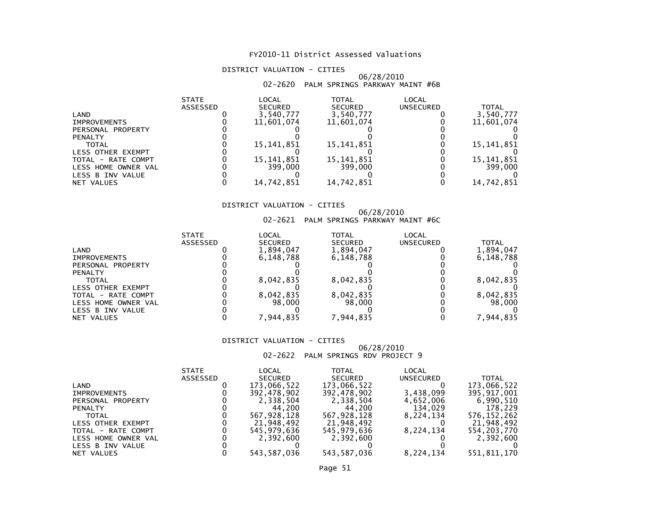#### DISTRICT VALUATION - CITIES

#### 06/28/201002-2620 PALM SPRINGS PARKWAY MAINT #6B

| <b>STATE</b> | LOCAL          | <b>TOTAL</b>   | <b>LOCAL</b> |              |
|--------------|----------------|----------------|--------------|--------------|
| ASSESSED     | <b>SECURED</b> | <b>SECURED</b> | UNSECURED    | TOTAL        |
|              | 3,540,777      | 3,540,777      |              | 3,540,777    |
|              | 11,601,074     | 11,601,074     |              | 11,601,074   |
|              |                |                |              |              |
|              |                |                |              |              |
|              | 15,141,851     | 15,141,851     |              | 15,141,851   |
|              |                |                |              |              |
|              | 15,141,851     | 15,141,851     |              | 15, 141, 851 |
|              | 399,000        | 399,000        |              | 399,000      |
|              |                |                |              |              |
|              | 14,742,851     | 14,742,851     |              | 14,742,851   |
|              |                |                |              |              |

#### DISTRICT VALUATION - CITIES

## 06/28/2010 02-2621 PALM SPRINGS PARKWAY MAINT #6C

| <b>STATE</b>    | LOCAL          | TOTAL          | LOCAL               |              |
|-----------------|----------------|----------------|---------------------|--------------|
| <b>ASSESSED</b> | <b>SECURED</b> | <b>SECURED</b> | <b>UNSECURED</b>    | <b>TOTAL</b> |
|                 | 1,894,047      | 1,894,047      |                     | 1,894,047    |
|                 | 6.148.788      | 6,148,788      |                     | 6,148,788    |
|                 |                |                |                     |              |
|                 |                |                |                     |              |
|                 | 8,042,835      | 8,042,835      |                     | 8,042,835    |
|                 |                |                |                     |              |
|                 | 8.042.835      | 8,042,835      |                     | 8,042,835    |
|                 | 98.000         |                |                     | 98,000       |
|                 |                |                |                     |              |
|                 |                |                |                     | 7.944.835    |
|                 |                | 7.944.835      | 98,000<br>7.944.835 |              |

#### DISTRICT VALUATION - CITIES

## 06/28/2010 02-2622 PALM SPRINGS RDV PROJECT 9

|                     | <b>STATE</b>    | LOCAL          | TOTAL          | LOCAL            |              |
|---------------------|-----------------|----------------|----------------|------------------|--------------|
|                     | <b>ASSESSED</b> | <b>SECURED</b> | <b>SECURED</b> | <b>UNSECURED</b> | <b>TOTAL</b> |
| LAND                |                 | 173,066,522    | 173,066,522    |                  | 173,066,522  |
| <b>IMPROVEMENTS</b> |                 | 392,478,902    | 392,478,902    | 3,438,099        | 395,917,001  |
| PERSONAL PROPERTY   |                 | 2,338,504      | 2,338,504      | 4,652,006        | 6,990,510    |
| <b>PENALTY</b>      |                 | 44.200         | 44.200         | 134,029          | 178.229      |
| TOTAL               |                 | 567,928,128    | 567,928,128    | 8,224,134        | 576,152,262  |
| LESS OTHER EXEMPT   |                 | 21,948,492     | 21,948,492     |                  | 21,948,492   |
| TOTAL - RATE COMPT  |                 | 545.979.636    | 545,979,636    | 8,224,134        | 554,203,770  |
| LESS HOME OWNER VAL |                 | 2.392.600      | 2.392.600      |                  | 2,392,600    |
| LESS B INV VALUE    |                 |                |                |                  |              |
| NET VALUES          |                 | 543.587.036    | 543.587.036    | 8.224.134        | 551,811,170  |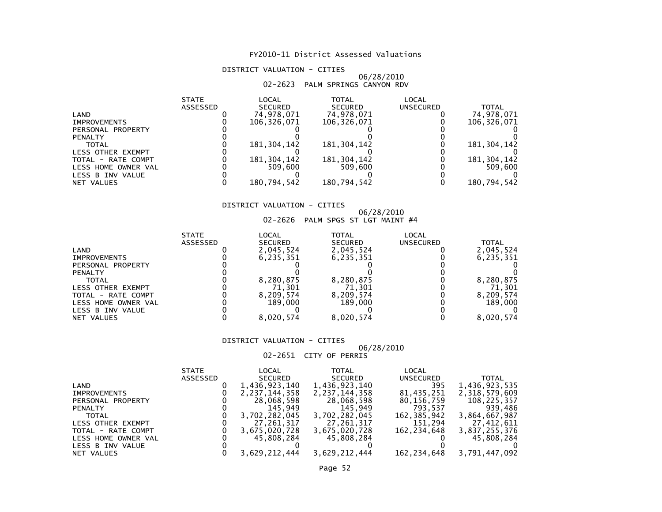#### DISTRICT VALUATION - CITIES

#### 06/28/201002-2623 PALM SPRINGS CANYON RDV

| <b>STATE</b>    | LOCAL          | TOTAL          | <b>LOCAL</b> |               |
|-----------------|----------------|----------------|--------------|---------------|
| <b>ASSESSED</b> | <b>SECURED</b> | <b>SECURED</b> | UNSECURED    | TOTAL         |
|                 | 74.978.071     | 74,978,071     |              | 74,978,071    |
|                 | 106.326.071    | 106.326.071    |              | 106.326.071   |
|                 |                |                |              |               |
|                 |                |                |              |               |
|                 | 181, 304, 142  | 181,304,142    |              | 181, 304, 142 |
|                 |                |                |              |               |
|                 | 181, 304, 142  | 181, 304, 142  |              | 181, 304, 142 |
|                 | 509.600        | 509,600        |              | 509,600       |
|                 |                |                |              |               |
|                 | 180,794,542    | 180,794,542    |              | 180,794,542   |
|                 |                |                |              |               |

#### DISTRICT VALUATION - CITIES

## 06/28/2010 02-2626 PALM SPGS ST LGT MAINT #4

|                          | <b>STATE</b>    | LOCAL          | TOTAL          | LOCAL     |           |
|--------------------------|-----------------|----------------|----------------|-----------|-----------|
|                          | <b>ASSESSED</b> | <b>SECURED</b> | <b>SECURED</b> | UNSECURED | TOTAL     |
| LAND                     |                 | 2,045,524      | 2,045,524      |           | 2,045,524 |
| <b>IMPROVEMENTS</b>      |                 | 6.235.351      | 6,235,351      |           | 6,235,351 |
| PERSONAL PROPERTY        |                 |                |                |           |           |
| <b>PENALTY</b>           |                 |                |                |           |           |
| <b>TOTAL</b>             |                 | 8,280,875      | 8,280,875      |           | 8,280,875 |
| <b>LESS OTHER EXEMPT</b> |                 | 71.301         | 71.301         |           | 71,301    |
| TOTAL - RATE COMPT       |                 | 8,209,574      | 8,209,574      |           | 8,209,574 |
| LESS HOME OWNER VAL      |                 | 189.000        | 189,000        |           | 189,000   |
| LESS B INV VALUE         |                 |                |                |           |           |
| NET VALUES               |                 | 8,020,574      | 8,020,574      |           | 8.020.574 |

#### DISTRICT VALUATION - CITIES

### 06/28/2010

02-2651 CITY OF PERRIS

|                     | <b>STATE</b> | LOCAL            | TOTAL          | LOCAL            |               |
|---------------------|--------------|------------------|----------------|------------------|---------------|
|                     | ASSESSED     | <b>SECURED</b>   | <b>SECURED</b> | <b>UNSECURED</b> | <b>TOTAL</b>  |
| LAND                |              | 1,436,923,140    | 1,436,923,140  | 395              | 1,436,923,535 |
| <b>IMPROVEMENTS</b> |              | 2, 237, 144, 358 | 2,237,144,358  | 81,435,251       | 2,318,579,609 |
| PERSONAL PROPERTY   |              | 28,068,598       | 28,068,598     | 80,156,759       | 108,225,357   |
| <b>PENALTY</b>      |              | 145.949          | 145.949        | 793.537          | 939,486       |
| <b>TOTAL</b>        |              | 3.702.282.045    | 3,702,282,045  | 162,385,942      | 3,864,667,987 |
| LESS OTHER EXEMPT   |              | 27.261.317       | 27,261,317     | 151,294          | 27,412,611    |
| TOTAL - RATE COMPT  |              | 3,675,020,728    | 3,675,020,728  | 162,234,648      | 3,837,255,376 |
| LESS HOME OWNER VAL |              | 45,808,284       | 45,808,284     |                  | 45,808,284    |
| LESS B INV VALUE    |              |                  |                |                  |               |
| NET VALUES          |              | 3,629,212,444    | 3,629,212,444  | 162,234,648      | 3,791,447,092 |
|                     |              |                  |                |                  |               |

### Page 52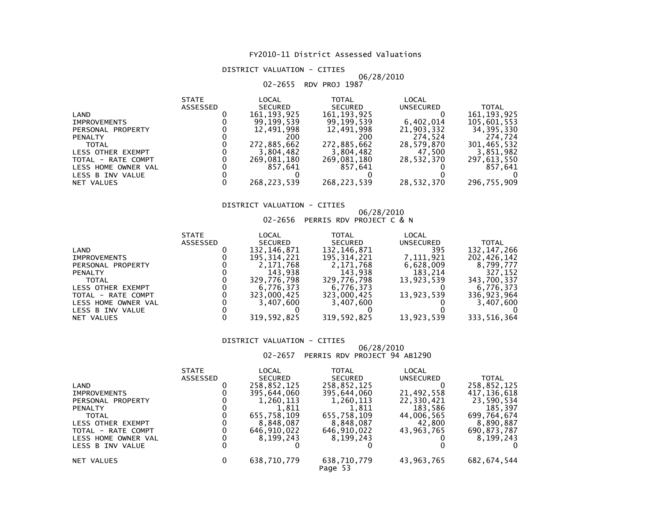#### DISTRICT VALUATION - CITIES

#### 06/28/201002-2655 RDV PROJ 1987

| <b>STATE</b>    | LOCAL          | <b>TOTAL</b>   | <b>LOCAL</b> |               |
|-----------------|----------------|----------------|--------------|---------------|
| <b>ASSESSED</b> | <b>SECURED</b> | <b>SECURED</b> | UNSECURED    | <b>TOTAL</b>  |
|                 | 161, 193, 925  | 161, 193, 925  |              | 161, 193, 925 |
|                 | 99.199.539     | 99.199.539     | 6,402,014    | 105,601,553   |
|                 | 12.491.998     | 12.491.998     | 21,903,332   | 34,395,330    |
|                 | 200            | 200            | 274,524      | 274,724       |
|                 | 272,885,662    |                | 28,579,870   | 301,465,532   |
|                 | 3,804,482      | 3,804,482      | 47.500       | 3,851,982     |
|                 | 269,081,180    | 269,081,180    | 28,532,370   | 297,613,550   |
|                 | 857.641        | 857.641        |              | 857.641       |
|                 |                |                |              |               |
|                 | 268,223,539    | 268,223,539    | 28,532,370   | 296,755,909   |
|                 |                |                | 272,885,662  |               |

#### DISTRICT VALUATION - CITIES

#### 06/28/201002-2656 PERRIS RDV PROJECT C & N

|                     | <b>STATE</b>    | LOCAL          | TOTAL          | LOCAL      |               |
|---------------------|-----------------|----------------|----------------|------------|---------------|
|                     | <b>ASSESSED</b> | <b>SECURED</b> | <b>SECURED</b> | UNSECURED  | <b>TOTAL</b>  |
| LAND                |                 | 132,146,871    | 132,146,871    | 395        | 132, 147, 266 |
| <b>IMPROVEMENTS</b> |                 | 195,314,221    | 195,314,221    | 7.111.921  | 202,426,142   |
| PERSONAL PROPERTY   |                 | 2,171,768      | 2,171,768      | 6,628,009  | 8,799,777     |
| <b>PENALTY</b>      |                 | 143.938        | 143,938        | 183,214    | 327.152       |
| TOTAL               |                 | 329,776,798    | 329,776,798    | 13.923.539 | 343,700,337   |
| LESS OTHER EXEMPT   |                 | 6.776.373      | 6,776,373      |            | 6,776,373     |
| TOTAL - RATE COMPT  |                 | 323,000,425    | 323,000,425    | 13,923,539 | 336,923,964   |
| LESS HOME OWNER VAL |                 | 3.407.600      | 3,407,600      |            | 3,407,600     |
| LESS B INV VALUE    |                 |                |                |            |               |
| NET VALUES          |                 | 319,592,825    | 319,592,825    | 13,923,539 | 333,516,364   |

#### DISTRICT VALUATION - CITIES

## 06/28/2010 02-2657 PERRIS RDV PROJECT 94 AB1290

|                          | <b>STATE</b>    | LOCAL          | TOTAL                  | LOCAL      |               |
|--------------------------|-----------------|----------------|------------------------|------------|---------------|
|                          | <b>ASSESSED</b> | <b>SECURED</b> | <b>SECURED</b>         | UNSECURED  | <b>TOTAL</b>  |
| LAND                     |                 | 258,852,125    | 258,852,125            |            | 258,852,125   |
| <b>IMPROVEMENTS</b>      |                 | 395,644,060    | 395,644,060            | 21,492,558 | 417, 136, 618 |
| PERSONAL PROPERTY        |                 | 1,260,113      | 1,260,113              | 22,330,421 | 23,590,534    |
| <b>PENALTY</b>           |                 | 1,811          | 1,811                  | 183,586    | 185.397       |
| <b>TOTAL</b>             |                 | 655,758,109    | 655,758,109            | 44,006,565 | 699,764,674   |
| <b>LESS OTHER EXEMPT</b> |                 | 8,848,087      | 8,848,087              | 42,800     | 8,890,887     |
| TOTAL - RATE COMPT       |                 | 646,910,022    | 646, 910, 022          | 43,963,765 | 690,873,787   |
| LESS HOME OWNER VAL      |                 | 8.199.243      | 8.199.243              |            | 8.199.243     |
| LESS B INV VALUE         |                 |                |                        |            |               |
| NET VALUES               | 0               | 638,710,779    | 638,710,779<br>Page 53 | 43,963,765 | 682, 674, 544 |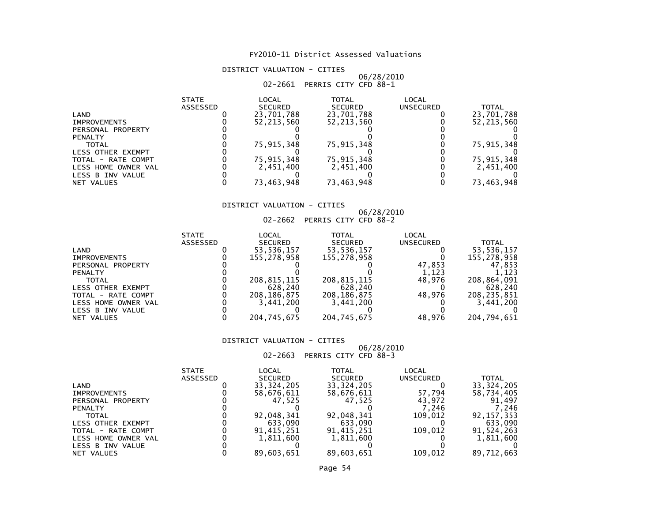### DISTRICT VALUATION - CITIES

## 06/28/2010 02-2661 PERRIS CITY CFD 88-1

|                     | <b>STATE</b> | LOCAL          | <b>TOTAL</b>   | LOCAL     |              |
|---------------------|--------------|----------------|----------------|-----------|--------------|
|                     | ASSESSED     | <b>SECURED</b> | <b>SECURED</b> | UNSECURED | TOTAL        |
| LAND                |              | 23,701,788     | 23,701,788     |           | 23,701,788   |
| <b>IMPROVEMENTS</b> |              | 52.213.560     | 52.213.560     |           | 52, 213, 560 |
| PERSONAL PROPERTY   |              |                |                |           |              |
| <b>PENALTY</b>      |              |                |                |           |              |
| TOTAL               |              | 75.915.348     | 75,915,348     |           | 75,915,348   |
| LESS OTHER EXEMPT   |              |                |                |           |              |
| TOTAL - RATE COMPT  |              | 75.915.348     | 75,915,348     |           | 75,915,348   |
| LESS HOME OWNER VAL |              | 2,451,400      | 2,451,400      |           | 2,451,400    |
| LESS B INV VALUE    |              |                |                |           |              |
| NET VALUES          |              | 73.463.948     | 73,463,948     |           | 73,463,948   |

### DISTRICT VALUATION - CITIES

## 06/28/2010 02-2662 PERRIS CITY CFD 88-2

| <b>STATE</b>    | LOCAL          | TOTAL          | LOCAL     |              |
|-----------------|----------------|----------------|-----------|--------------|
| <b>ASSESSED</b> | <b>SECURED</b> | <b>SECURED</b> | UNSECURED | <b>TOTAL</b> |
|                 | 53,536,157     | 53,536,157     |           | 53,536,157   |
|                 | 155,278,958    | 155,278,958    |           | 155,278,958  |
|                 |                |                | 47,853    | 47.853       |
|                 |                |                | 1,123     | 1.123        |
|                 | 208,815,115    | 208,815,115    | 48.976    | 208,864,091  |
|                 | 628,240        | 628,240        |           | 628,240      |
|                 | 208, 186, 875  | 208,186,875    | 48.976    | 208,235,851  |
|                 | 3.441.200      | 3,441,200      |           | 3,441,200    |
|                 |                |                |           |              |
|                 | 204,745,675    | 204,745,675    | 48.976    | 204,794,651  |
|                 |                |                |           |              |

#### DISTRICT VALUATION - CITIES

## 06/28/2010 02-2663 PERRIS CITY CFD 88-3

|                     | <b>STATE</b>    | LOCAL          | TOTAL          | LOCAL     |              |
|---------------------|-----------------|----------------|----------------|-----------|--------------|
|                     | <b>ASSESSED</b> | <b>SECURED</b> | <b>SECURED</b> | UNSECURED | TOTAL        |
| LAND                |                 | 33, 324, 205   | 33, 324, 205   |           | 33, 324, 205 |
| <b>IMPROVEMENTS</b> |                 | 58,676,611     | 58,676,611     | 57.794    | 58,734,405   |
| PERSONAL PROPERTY   |                 | 47.525         | 47.525         | 43.972    | 91.497       |
| <b>PENALTY</b>      |                 |                |                | 7.246     | 246.'        |
| <b>TOTAL</b>        |                 | 92,048,341     | 92,048,341     | 109,012   | 92, 157, 353 |
| LESS OTHER EXEMPT   |                 | 633.090        | 633.090        |           | 633,090      |
| TOTAL - RATE COMPT  |                 | 91,415,251     | 91,415,251     | 109.012   | 91,524,263   |
| LESS HOME OWNER VAL |                 | 1,811,600      | 1,811,600      |           | 1,811,600    |
| LESS B INV VALUE    |                 |                |                |           |              |
| NET VALUES          |                 | 89.603.651     | 89.603.651     | 109.012   | 89.712.663   |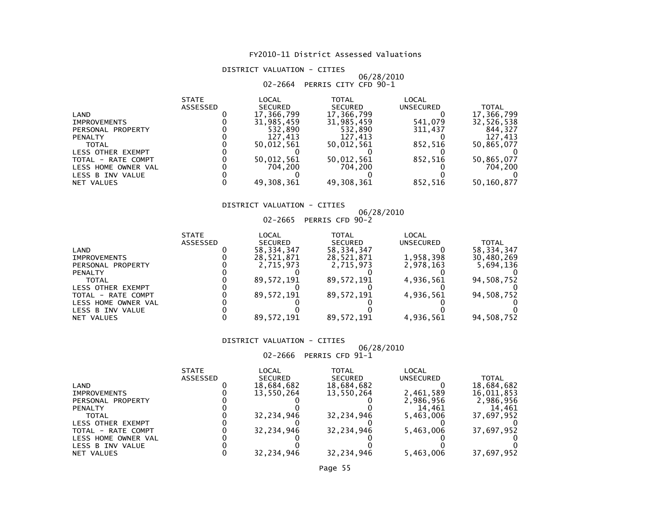#### DISTRICT VALUATION - CITIES

## 06/28/2010 02-2664 PERRIS CITY CFD 90-1

|                          | <b>STATE</b>    | LOCAL          | TOTAL          | <b>LOCAL</b> |              |
|--------------------------|-----------------|----------------|----------------|--------------|--------------|
|                          | <b>ASSESSED</b> | <b>SECURED</b> | <b>SECURED</b> | UNSECURED    | <b>TOTAL</b> |
| LAND                     |                 | 17,366,799     | 17,366,799     |              | 17,366,799   |
| <b>IMPROVEMENTS</b>      |                 | 31,985,459     | 31,985,459     | 541.079      | 32,526,538   |
| PERSONAL PROPERTY        |                 | 532.890        | 532.890        | 311.437      | 844.327      |
| <b>PENALTY</b>           |                 | 127.413        | 127.413        |              | 127,413      |
| <b>TOTAL</b>             |                 | 50,012,561     | 50,012,561     | 852.516      | 50,865,077   |
| <b>LESS OTHER EXEMPT</b> |                 |                |                |              |              |
| TOTAL - RATE COMPT       |                 | 50,012,561     | 50,012,561     | 852.516      | 50,865,077   |
| LESS HOME OWNER VAL      |                 | 704.200        | 704.200        |              | 704,200      |
| LESS B INV VALUE         |                 |                |                |              |              |
| NET VALUES               |                 | 49,308,361     | 49,308,361     | 852,516      | 50,160,877   |

### DISTRICT VALUATION - CITIES

## 06/28/2010 02-2665 PERRIS CFD 90-2

| <b>STATE</b>    | LOCAL          | TOTAL          | LOCAL     |              |
|-----------------|----------------|----------------|-----------|--------------|
| <b>ASSESSED</b> | <b>SECURED</b> | <b>SECURED</b> | UNSECURED | TOTAL        |
|                 | 58, 334, 347   | 58, 334, 347   |           | 58, 334, 347 |
|                 | 28,521,871     | 28,521,871     | 1,958,398 | 30,480,269   |
|                 | 2.715.973      | 2.715.973      | 2,978,163 | 5,694,136    |
|                 |                |                |           |              |
|                 | 89.572.191     | 89,572,191     | 4,936,561 | 94,508,752   |
|                 |                |                |           |              |
|                 | 89.572.191     | 89,572,191     | 4.936.561 | 94,508,752   |
|                 |                |                |           |              |
|                 |                |                |           |              |
|                 | 89.572.191     | 89,572,191     | 4,936,561 | 94,508,752   |
|                 |                |                |           |              |

#### DISTRICT VALUATION - CITIES

## 06/28/2010 02-2666 PERRIS CFD 91-1

|                     | <b>STATE</b> | LOCAL          | TOTAL          | LOCAL     |              |
|---------------------|--------------|----------------|----------------|-----------|--------------|
|                     | ASSESSED     | <b>SECURED</b> | <b>SECURED</b> | UNSECURED | <b>TOTAL</b> |
| LAND                |              | 18,684,682     | 18,684,682     |           | 18,684,682   |
| <b>IMPROVEMENTS</b> |              | 13,550,264     | 13,550,264     | 2,461,589 | 16,011,853   |
| PERSONAL PROPERTY   |              |                |                | 2,986,956 | 2,986,956    |
| <b>PENALTY</b>      |              |                |                | 14.461    | 14,461       |
| TOTAL               |              | 32,234,946     | 32,234,946     | 5,463,006 | 37,697,952   |
| LESS OTHER EXEMPT   |              |                |                |           |              |
| TOTAL - RATE COMPT  |              | 32,234,946     | 32,234,946     | 5,463,006 | 37,697,952   |
| LESS HOME OWNER VAL |              |                |                |           |              |
| LESS B INV VALUE    |              |                |                |           |              |
| NET VALUES          |              | 32.234.946     | 32.234.946     | 5,463,006 | 37,697,952   |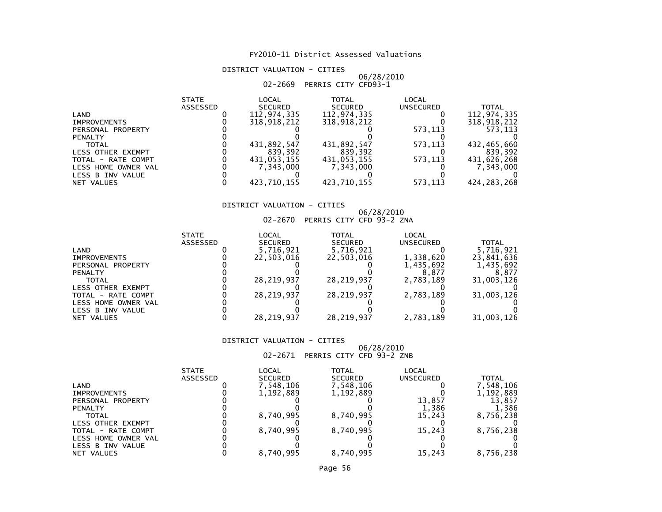### DISTRICT VALUATION - CITIES

## 06/28/2010 02-2669 PERRIS CITY CFD93-1

|                     | <b>STATE</b>    | LOCAL          | <b>TOTAL</b>   | LOCAL     |               |
|---------------------|-----------------|----------------|----------------|-----------|---------------|
|                     | <b>ASSESSED</b> | <b>SECURED</b> | <b>SECURED</b> | UNSECURED | <b>TOTAL</b>  |
| LAND                |                 | 112,974,335    | 112,974,335    |           | 112,974,335   |
| <b>IMPROVEMENTS</b> |                 | 318,918,212    | 318,918,212    |           | 318.918.212   |
| PERSONAL PROPERTY   |                 |                |                | 573.113   | 573.113       |
| <b>PENALTY</b>      |                 |                |                |           |               |
| <b>TOTAL</b>        |                 | 431,892,547    | 431,892,547    | 573.113   | 432,465,660   |
| LESS OTHER EXEMPT   |                 | 839.392        | 839.392        |           | 839.392       |
| TOTAL - RATE COMPT  |                 | 431,053,155    | 431,053,155    | 573.113   | 431,626,268   |
| LESS HOME OWNER VAL |                 | 7.343.000      | 7.343.000      |           | 7,343,000     |
| LESS B INV VALUE    |                 |                |                |           |               |
| NET VALUES          |                 | 423.710.155    | 423,710,155    | 573,113   | 424, 283, 268 |

#### DISTRICT VALUATION - CITIES

## 06/28/2010 02-2670 PERRIS CITY CFD 93-2 ZNA

|                     | <b>STATE</b> | LOCAL          | TOTAL          | LOCAL     |              |
|---------------------|--------------|----------------|----------------|-----------|--------------|
|                     | ASSESSED     | <b>SECURED</b> | <b>SECURED</b> | UNSECURED | <b>TOTAL</b> |
| LAND                |              | 5,716,921      | 5,716,921      |           | 5,716,921    |
| <b>IMPROVEMENTS</b> |              | 22,503,016     | 22,503,016     | 1,338,620 | 23,841,636   |
| PERSONAL PROPERTY   |              |                |                | 1,435,692 | 1,435,692    |
| <b>PENALTY</b>      |              |                |                | 8.877     | 8.877        |
| <b>TOTAL</b>        |              | 28.219.937     | 28,219,937     | 2,783,189 | 31,003,126   |
| LESS OTHER EXEMPT   |              |                |                |           |              |
| TOTAL - RATE COMPT  |              | 28,219,937     | 28,219,937     | 2,783,189 | 31,003,126   |
| LESS HOME OWNER VAL |              |                |                |           |              |
| LESS B INV VALUE    |              |                |                |           |              |
| NET VALUES          |              | 28,219,937     | 28,219,937     | 2,783,189 | 31,003,126   |

#### DISTRICT VALUATION - CITIES

## 06/28/2010 02-2671 PERRIS CITY CFD 93-2 ZNB

|                     | <b>STATE</b>    | LOCAL          | TOTAL          | LOCAL            |             |
|---------------------|-----------------|----------------|----------------|------------------|-------------|
|                     | <b>ASSESSED</b> | <b>SECURED</b> | <b>SECURED</b> | <b>UNSECURED</b> | TOTAL       |
| LAND                |                 | 7,548,106      | 7,548,106      |                  | 1,548,106 ' |
| <b>IMPROVEMENTS</b> |                 | 1,192,889      | 1,192,889      |                  | 1,192,889   |
| PERSONAL PROPERTY   |                 |                |                | 13.857           | 13.857      |
| <b>PENALTY</b>      |                 |                |                | 1.386            | 1,386       |
| <b>TOTAL</b>        |                 | 8,740,995      | 8,740,995      | 15.243           | 8,756,238   |
| LESS OTHER EXEMPT   |                 |                |                |                  |             |
| TOTAL - RATE COMPT  |                 | 8,740,995      | 8,740,995      | 15.243           | 8,756,238   |
| LESS HOME OWNER VAL |                 |                |                |                  |             |
| LESS B INV VALUE    |                 |                |                |                  |             |
| NET VALUES          |                 | 8.740.995      | 8.740.995      | 15.243           | 8,756,238   |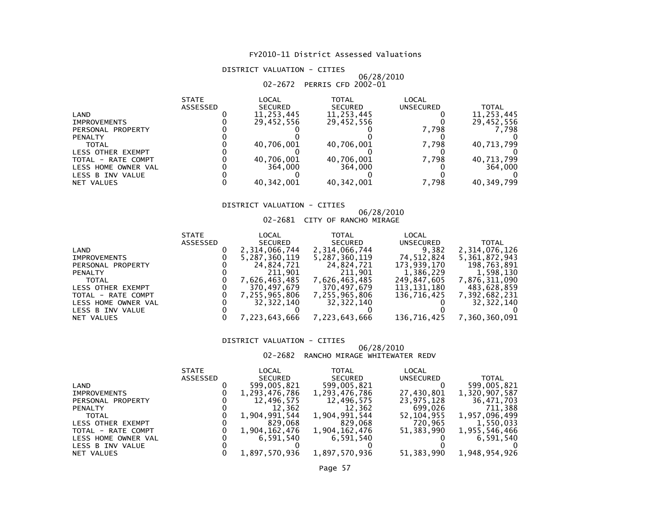#### DISTRICT VALUATION - CITIES

## 06/28/2010 02-2672 PERRIS CFD 2002-01

|                          | <b>STATE</b>    | LOCAL          | TOTAL          | LOCAL            |              |
|--------------------------|-----------------|----------------|----------------|------------------|--------------|
|                          | <b>ASSESSED</b> | <b>SECURED</b> | <b>SECURED</b> | <b>UNSECURED</b> | <b>TOTAL</b> |
| LAND                     |                 | 11,253,445     | 11,253,445     |                  | 11,253,445   |
| <b>IMPROVEMENTS</b>      |                 | 29,452,556     | 29,452,556     |                  | 29,452,556   |
| PERSONAL PROPERTY        |                 |                |                | 7.798            | 7.798        |
| <b>PENALTY</b>           |                 |                |                |                  |              |
| <b>TOTAL</b>             |                 | 40,706,001     | 40,706,001     | 7.798            | 40,713,799   |
| <b>LESS OTHER EXEMPT</b> |                 |                |                |                  |              |
| TOTAL - RATE COMPT       |                 | 40,706,001     | 40,706,001     | 7.798            | 40,713,799   |
| LESS HOME OWNER VAL      |                 | 364,000        | 364,000        |                  | 364,000      |
| LESS B INV VALUE         |                 |                |                |                  |              |
| NET VALUES               |                 | 40.342.001     | 40, 342, 001   | 7,798            | 40,349,799   |

#### DISTRICT VALUATION - CITIES

#### 06/28/201002-2681 CITY OF RANCHO MIRAGE

|                     | <b>STATE</b> | LOCAL         | TOTAL          | LOCAL       |               |
|---------------------|--------------|---------------|----------------|-------------|---------------|
|                     | ASSESSED     | SECURED       | <b>SECURED</b> | UNSECURED   | <b>TOTAL</b>  |
| LAND                |              | 2,314,066,744 | 2,314,066,744  | 9,382       | 2,314,076,126 |
| <b>IMPROVEMENTS</b> |              | 5,287,360,119 | 5,287,360,119  | 74,512,824  | 5,361,872,943 |
| PERSONAL PROPERTY   |              | 24.824.721    | 24,824,721     | 173,939,170 | 198,763,891   |
| <b>PENALTY</b>      |              | 211,901       | 211,901        | 1,386,229   | 1,598,130     |
| <b>TOTAL</b>        |              | 7,626,463,485 | 7,626,463,485  | 249,847,605 | 7,876,311,090 |
| LESS OTHER EXEMPT   |              | 370.497.679   | 370.497.679    | 113,131,180 | 483.628.859   |
| TOTAL - RATE COMPT  |              | 7,255,965,806 | 7,255,965,806  | 136,716,425 | 7,392,682,231 |
| LESS HOME OWNER VAL |              | 32.322.140    | 32,322,140     |             | 32, 322, 140  |
| LESS B INV VALUE    |              |               |                |             |               |
| NET VALUES          |              | 7,223,643,666 | 7,223,643,666  | 136,716,425 | 7,360,360,091 |
|                     |              |               |                |             |               |

#### DISTRICT VALUATION - CITIES

#### 06/28/201002-2682 RANCHO MIRAGE WHITEWATER REDV

|                     | <b>STATE</b> | LOCAL         | <b>TOTAL</b>   | LOCAL        |               |
|---------------------|--------------|---------------|----------------|--------------|---------------|
|                     | ASSESSED     | SECURED       | <b>SECURED</b> | UNSECURED    | <b>TOTAL</b>  |
| LAND                |              | 599,005,821   | 599,005,821    |              | 599,005,821   |
| <b>IMPROVEMENTS</b> |              | 1,293,476,786 | 1,293,476,786  | 27,430,801   | 1,320,907,587 |
| PERSONAL PROPERTY   |              | 12,496,575    | 12,496,575     | 23,975,128   | 36,471,703    |
| <b>PENALTY</b>      |              | 12,362        | 12,362         | 699,026      | 711,388       |
| <b>TOTAL</b>        |              | 1,904,991,544 | 1,904,991,544  | 52,104,955   | 1,957,096,499 |
| LESS OTHER EXEMPT   |              | 829.068       | 829.068        | 720,965      | 1,550,033     |
| TOTAL - RATE COMPT  |              | 1,904,162,476 | 1,904,162,476  | 51, 383, 990 | 1,955,546,466 |
| LESS HOME OWNER VAL |              | 6,591,540     | 6.591.540      |              | 6,591,540     |
| LESS B INV VALUE    |              |               |                |              |               |
| NET VALUES          |              | 1.897.570.936 | 1,897,570,936  | 51, 383, 990 | 1,948,954,926 |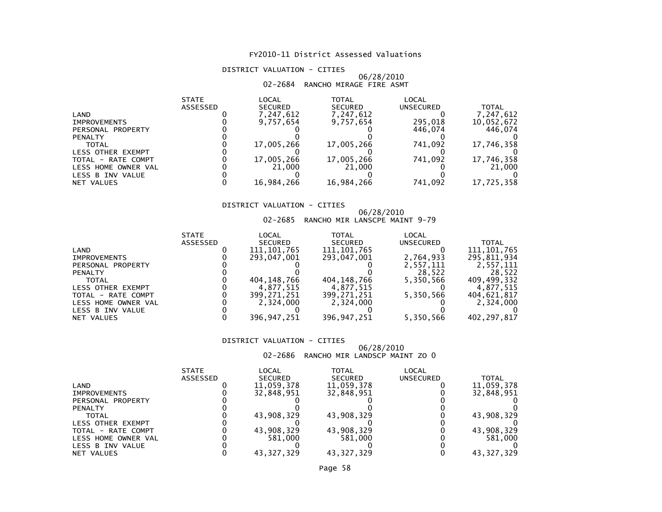#### DISTRICT VALUATION - CITIES

#### 06/28/201002-2684 RANCHO MIRAGE FIRE ASMT

|                          | <b>STATE</b> | LOCAL          | TOTAL          | LOCAL     |              |
|--------------------------|--------------|----------------|----------------|-----------|--------------|
|                          | ASSESSED     | <b>SECURED</b> | <b>SECURED</b> | UNSECURED | <b>TOTAL</b> |
| LAND                     |              | 7,247,612      | 7,247,612      |           | 7,247,612    |
| <b>IMPROVEMENTS</b>      |              | 9.757.654      | 9,757,654      | 295.018   | 10,052,672   |
| PERSONAL PROPERTY        |              |                |                | 446.074   | 446.074      |
| <b>PENALTY</b>           |              |                |                |           |              |
| <b>TOTAL</b>             |              | 17,005,266     | 17,005,266     | 741.092   | 17,746,358   |
| <b>LESS OTHER EXEMPT</b> |              |                |                |           |              |
| TOTAL - RATE COMPT       |              | 17,005,266     | 17,005,266     | 741.092   | 17,746,358   |
| LESS HOME OWNER VAL      |              | 21,000         | 21,000         |           | 21,000       |
| LESS B INV VALUE         |              |                |                |           |              |
| NET VALUES               |              | 16,984,266     | 16,984,266     | 741,092   | 17,725,358   |

#### DISTRICT VALUATION - CITIES

## 06/28/2010 02-2685 RANCHO MIR LANSCPE MAINT 9-79

| <b>STATE</b>    | LOCAL          | TOTAL          | LOCAL     |               |
|-----------------|----------------|----------------|-----------|---------------|
| <b>ASSESSED</b> | <b>SECURED</b> | <b>SECURED</b> | UNSECURED | TOTAL         |
|                 | 111, 101, 765  | 111, 101, 765  |           | 111, 101, 765 |
|                 | 293.047.001    | 293,047,001    | 2,764,933 | 295,811,934   |
|                 |                |                | 2,557,111 | 2,557,111     |
|                 |                |                | 28.522    | 28.522        |
|                 | 404, 148, 766  | 404, 148, 766  | 5.350.566 | 409.499.332   |
|                 | 4.877.515      | 4,877,515      |           | 4,877,515     |
|                 | 399.271.251    | 399,271,251    | 5,350,566 | 404.621.817   |
|                 | 2.324.000      | 2,324,000      |           | 2,324,000     |
|                 |                |                |           |               |
|                 | 396,947,251    | 396,947,251    | 5,350,566 | 402, 297, 817 |
|                 |                |                |           |               |

#### DISTRICT VALUATION - CITIES

#### 06/28/201002-2686 RANCHO MIR LANDSCP MAINT ZO 0

|                          | <b>STATE</b>    | LOCAL          | TOTAL          | LOCAL     |              |
|--------------------------|-----------------|----------------|----------------|-----------|--------------|
|                          | <b>ASSESSED</b> | <b>SECURED</b> | <b>SECURED</b> | UNSECURED | <b>TOTAL</b> |
| LAND                     |                 | 11,059,378     | 11,059,378     |           | 11,059,378   |
| <b>IMPROVEMENTS</b>      |                 | 32.848.951     | 32,848,951     |           | 32,848,951   |
| PERSONAL PROPERTY        |                 |                |                |           |              |
| <b>PENALTY</b>           |                 |                |                |           |              |
| TOTAL                    |                 | 43,908,329     | 43,908,329     |           | 43,908,329   |
| <b>LESS OTHER EXEMPT</b> |                 |                |                |           |              |
| TOTAL - RATE COMPT       |                 | 43,908,329     | 43,908,329     |           | 43,908,329   |
| LESS HOME OWNER VAL      |                 | 581.000        | 581.000        |           | 581.000      |
| LESS B INV VALUE         |                 |                |                |           |              |
| NET VALUES               |                 | 43.327.329     | 43.327.329     |           | 43.327.329   |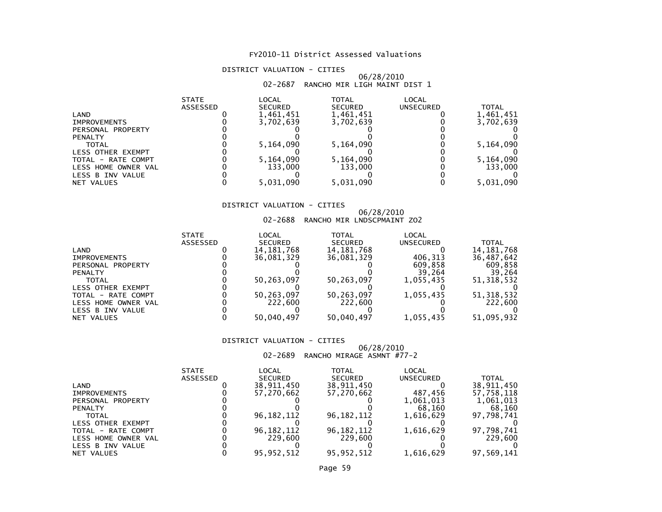#### DISTRICT VALUATION - CITIES

#### 06/28/201002-2687 RANCHO MIR LIGH MAINT DIST 1

|                          | <b>STATE</b><br>ASSESSED | LOCAL<br><b>SECURED</b> | <b>TOTAL</b><br><b>SECURED</b> | LOCAL<br>UNSECURED | TOTAL     |
|--------------------------|--------------------------|-------------------------|--------------------------------|--------------------|-----------|
|                          |                          |                         |                                |                    |           |
| LAND                     |                          | 1,461,451               | 1,461,451                      |                    | 1,461,451 |
| <b>IMPROVEMENTS</b>      |                          | 3,702,639               | 3,702,639                      |                    | 3,702,639 |
| PERSONAL PROPERTY        |                          |                         |                                |                    |           |
| <b>PENALTY</b>           |                          |                         |                                |                    |           |
| <b>TOTAL</b>             |                          | 5,164,090               | 5,164,090                      |                    | 5,164,090 |
| <b>LESS OTHER EXEMPT</b> |                          |                         |                                |                    |           |
| TOTAL - RATE COMPT       |                          | 5,164,090               | 5,164,090                      |                    | 5,164,090 |
| LESS HOME OWNER VAL      |                          | 133,000                 | 133,000                        |                    | 133,000   |
| LESS B INV VALUE         |                          |                         |                                |                    |           |
| NET VALUES               |                          | 5,031,090               | 5,031,090                      |                    | 5,031,090 |

#### DISTRICT VALUATION - CITIES

## 06/28/2010 02-2688 RANCHO MIR LNDSCPMAINT ZO2

| <b>STATE</b> | LOCAL          | TOTAL                               | LOCAL                               |                        |
|--------------|----------------|-------------------------------------|-------------------------------------|------------------------|
| ASSESSED     | <b>SECURED</b> | <b>SECURED</b>                      | <b>UNSECURED</b>                    | <b>TOTAL</b>           |
|              | 14, 181, 768   | 14, 181, 768                        |                                     | 14, 181, 768           |
|              | 36,081,329     | 36,081,329                          | 406.313                             | 36,487,642             |
|              |                |                                     | 609.858                             | 609,858                |
|              |                |                                     | 39.264                              | 39,264                 |
|              | 50.263.097     | 50,263,097                          | 1.055.435                           | 51, 318, 532           |
|              |                |                                     |                                     |                        |
|              |                |                                     |                                     | 51, 318, 532           |
|              |                |                                     |                                     | 222,600                |
|              |                |                                     |                                     |                        |
|              |                |                                     |                                     | 51,095,932             |
|              |                | 50,263,097<br>222,600<br>50,040,497 | 50,263,097<br>222,600<br>50,040,497 | 1,055,435<br>1,055,435 |

#### DISTRICT VALUATION - CITIES

## 06/28/2010 02-2689 RANCHO MIRAGE ASMNT #77-2

|                          | <b>STATE</b>    | LOCAL          | TOTAL          | LOCAL     |            |
|--------------------------|-----------------|----------------|----------------|-----------|------------|
|                          | <b>ASSESSED</b> | <b>SECURED</b> | <b>SECURED</b> | UNSECURED | TOTAL      |
| LAND                     |                 | 38,911,450     | 38,911,450     |           | 38,911,450 |
| <b>IMPROVEMENTS</b>      |                 | 57.270.662     | 57,270,662     | 487.456   | 57.758.118 |
| PERSONAL PROPERTY        |                 |                |                | 1,061,013 | 1,061,013  |
| <b>PENALTY</b>           |                 |                |                | 68.160    | 68,160     |
| TOTAL                    |                 | 96, 182, 112   | 96, 182, 112   | 1,616,629 | 97,798,741 |
| <b>LESS OTHER EXEMPT</b> |                 |                |                |           |            |
| TOTAL - RATE COMPT       |                 | 96, 182, 112   | 96, 182, 112   | 1,616,629 | 97,798,741 |
| LESS HOME OWNER VAL      |                 | 229,600        | 229,600        |           | 229,600    |
| LESS B INV VALUE         |                 |                |                |           |            |
| NET VALUES               |                 | 95.952.512     | 95.952.512     | 1.616.629 | 97.569.141 |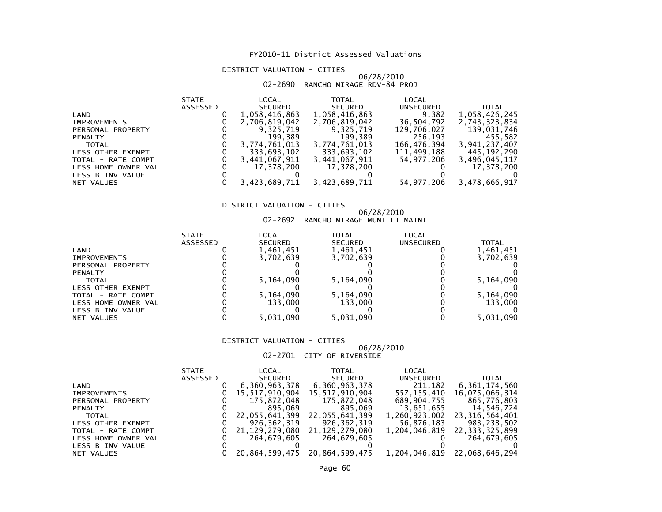#### DISTRICT VALUATION - CITIES

## 06/28/2010 02-2690 RANCHO MIRAGE RDV-84 PROJ

| <b>STATE</b> | LOCAL          | <b>TOTAL</b>                                                           | LOCAL                                                                  |                                                    |
|--------------|----------------|------------------------------------------------------------------------|------------------------------------------------------------------------|----------------------------------------------------|
| ASSESSED     | <b>SECURED</b> | <b>SECURED</b>                                                         | UNSECURED                                                              | <b>TOTAL</b>                                       |
|              | 1,058,416,863  | 1,058,416,863                                                          | 9,382                                                                  | 1,058,426,245                                      |
|              | 2,706,819,042  | 2,706,819,042                                                          | 36,504,792                                                             | 2,743,323,834                                      |
|              | 9.325.719      | 9.325.719                                                              | 129,706,027                                                            | 139,031,746                                        |
|              |                |                                                                        |                                                                        | 455.582                                            |
|              | 3,774,761,013  | 3,774,761,013                                                          | 166,476,394                                                            | 3,941,237,407                                      |
|              |                |                                                                        |                                                                        | 445.192.290                                        |
|              |                |                                                                        |                                                                        | 3,496,045,117                                      |
|              |                |                                                                        |                                                                        | 17,378,200                                         |
|              |                |                                                                        |                                                                        |                                                    |
|              |                |                                                                        |                                                                        | 3,478,666,917                                      |
|              |                | 199.389<br>333,693,102<br>3,441,067,911<br>17.378.200<br>3,423,689,711 | 199,389<br>333,693,102<br>3,441,067,911<br>17,378,200<br>3,423,689,711 | 256,193<br>111,499,188<br>54,977,206<br>54,977,206 |

#### DISTRICT VALUATION - CITIES

#### 06/28/201002-2692 RANCHO MIRAGE MUNI LT MAINT

| <b>STATE</b> | LOCAL          | TOTAL          | LOCAL     |              |
|--------------|----------------|----------------|-----------|--------------|
| ASSESSED     | <b>SECURED</b> | <b>SECURED</b> | UNSECURED | <b>TOTAL</b> |
|              | 1,461,451      | 1,461,451      |           | 1,461,451    |
|              | 3.702.639      | 3,702,639      |           | 3,702,639    |
|              |                |                |           |              |
|              |                |                |           |              |
|              | 5,164,090      | 5,164,090      |           | 5,164,090    |
|              |                |                |           |              |
|              | 5,164,090      | 5,164,090      |           | 5,164,090    |
|              | 133,000        | 133.000        |           | 133,000      |
|              |                |                |           |              |
|              | 5.031.090      | 5,031,090      |           | 5,031,090    |
|              |                |                |           |              |

#### DISTRICT VALUATION - CITIES

### 06/28/2010

#### 02-2701 CITY OF RIVERSIDE

|                     | STATE    | LOCAL          | TOTAL          | LOCAL            |                              |
|---------------------|----------|----------------|----------------|------------------|------------------------------|
|                     | ASSESSED | SECURED        | SECURED        | <b>UNSECURED</b> | <b>TOTAL</b>                 |
| LAND                |          | 6,360,963,378  | 6,360,963,378  | 211.182          | 6,361,174,560                |
| <b>IMPROVEMENTS</b> |          | 15,517,910,904 | 15,517,910,904 | 557,155,410      | 16,075,066,314               |
| PERSONAL PROPERTY   |          | 175,872,048    | 175,872,048    | 689,904,755      | 865,776,803                  |
| <b>PENALTY</b>      |          | 895.069        | 895,069        | 13,651,655       | 14,546,724                   |
| <b>TOTAL</b>        |          | 22,055,641,399 | 22,055,641,399 | 1,260,923,002    | 23,316,564,401               |
| LESS OTHER EXEMPT   |          | 926,362,319    | 926,362,319    | 56,876,183       | 983,238,502                  |
| TOTAL - RATE COMPT  |          | 21,129,279,080 | 21.129.279.080 |                  | 1,204,046,819 22,333,325,899 |
| LESS HOME OWNER VAL |          | 264,679,605    | 264,679,605    |                  | 264,679,605                  |
| LESS B INV VALUE    |          |                |                |                  |                              |
| NET VALUES          |          | 20,864,599,475 | 20,864,599,475 |                  | 1,204,046,819 22,068,646,294 |
|                     |          |                |                |                  |                              |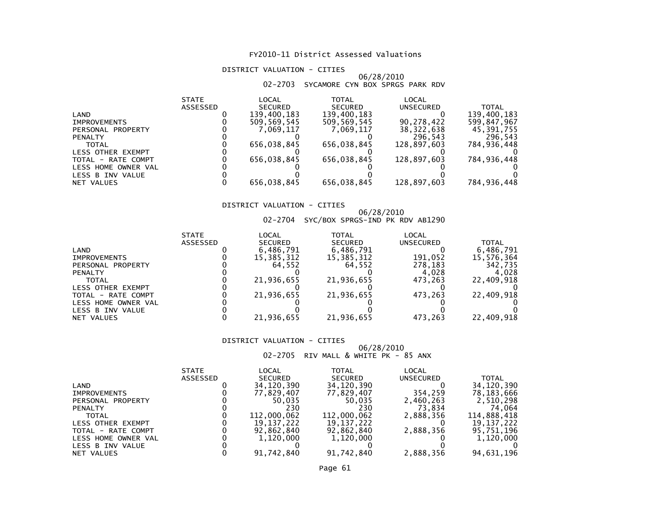#### DISTRICT VALUATION - CITIES

#### 06/28/201002-2703 SYCAMORE CYN BOX SPRGS PARK RDV

| LOCAL<br><b>TOTAL</b><br>LOCAL<br><b>STATE</b>                   |               |
|------------------------------------------------------------------|---------------|
| <b>ASSESSED</b><br><b>SECURED</b><br><b>SECURED</b><br>UNSECURED | <b>TOTAL</b>  |
| 139.400.183<br>139,400,183<br>LAND                               | 139,400,183   |
| 90,278,422<br>509.569.545<br>509.569.545<br><b>IMPROVEMENTS</b>  | 599,847,967   |
| 38, 322, 638<br>7.069.117<br>7.069.117<br>PERSONAL PROPERTY      | 45,391,755    |
| 296.543<br><b>PENALTY</b>                                        | 296,543       |
| 656,038,845<br>656.038.845<br>128,897,603<br><b>TOTAL</b>        | 784,936,448   |
| LESS OTHER EXEMPT                                                |               |
| 656,038,845<br>656,038,845<br>128,897,603<br>TOTAL - RATE COMPT  | 784,936,448   |
| LESS HOME OWNER VAL                                              |               |
| LESS B INV VALUE                                                 |               |
| 128,897,603<br>656,038,845<br>656,038,845<br>NET VALUES          | 784, 936, 448 |

#### DISTRICT VALUATION - CITIES

# 06/28/2010<br>202-2704 SYC/BOX SPRGS-IND PK RDV AB1290

|                          | <b>STATE</b>    | LOCAL          | TOTAL          | LOCAL     |            |
|--------------------------|-----------------|----------------|----------------|-----------|------------|
|                          | <b>ASSESSED</b> | <b>SECURED</b> | <b>SECURED</b> | UNSECURED | TOTAL      |
| LAND                     |                 | 6,486,791      | 6,486,791      |           | 6,486,791  |
| <b>IMPROVEMENTS</b>      |                 | 15,385,312     | 15,385,312     | 191,052   | 15,576,364 |
| PERSONAL PROPERTY        |                 | 64.552         | 64.552         | 278.183   | 342,735    |
| <b>PENALTY</b>           |                 |                |                | 4.028     | 4.028      |
| <b>TOTAL</b>             |                 | 21,936,655     | 21,936,655     | 473.263   | 22,409,918 |
| <b>LESS OTHER EXEMPT</b> |                 |                |                |           |            |
| TOTAL - RATE COMPT       |                 | 21,936,655     | 21,936,655     | 473.263   | 22,409,918 |
| LESS HOME OWNER VAL      |                 |                |                |           |            |
| LESS B INV VALUE         |                 |                |                |           |            |
| NET VALUES               |                 | 21,936,655     | 21,936,655     | 473,263   | 22,409,918 |

#### DISTRICT VALUATION - CITIES

## 06/28/2010 02-2705 RIV MALL & WHITE PK - 85 ANX

| <b>STATE</b>    | LOCAL          | TOTAL          | LOCAL            |              |
|-----------------|----------------|----------------|------------------|--------------|
| <b>ASSESSED</b> | <b>SECURED</b> | <b>SECURED</b> | <b>UNSECURED</b> | <b>TOTAL</b> |
|                 | 34,120,390     | 34,120,390     |                  | 34,120,390   |
|                 | 77,829,407     | 77,829,407     | 354,259          | 78,183,666   |
|                 | 50.035         | 50.035         | 2,460,263        | 2,510,298    |
|                 | 230            | 230            | 73.834           | 74.064       |
|                 | 112,000,062    | 112,000,062    | 2,888,356        | 114,888,418  |
|                 | 19.137.222     | 19,137,222     |                  | 19.137.222   |
|                 | 92,862,840     | 92,862,840     | 2,888,356        | 95,751,196   |
|                 | 1,120,000      | 1,120,000      |                  | 1,120,000    |
|                 |                |                |                  |              |
|                 | 91,742,840     | 91,742,840     | 2,888,356        | 94,631,196   |
|                 |                |                |                  |              |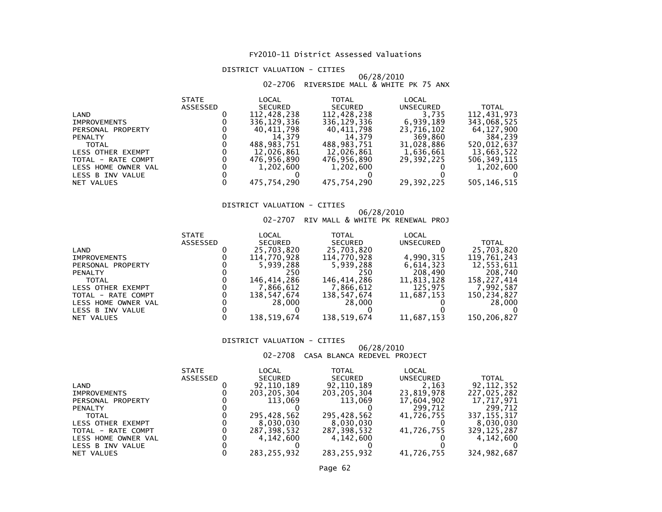#### DISTRICT VALUATION - CITIES

## 06/28/2010 02-2706 RIVERSIDE MALL & WHITE PK 75 ANX

| <b>STATE</b> | LOCAL          | TOTAL          | LOCAL      |               |
|--------------|----------------|----------------|------------|---------------|
| ASSESSED     | <b>SECURED</b> | <b>SECURED</b> | UNSECURED  | <b>TOTAL</b>  |
|              | 112,428,238    | 112,428,238    | 3.735      | 112,431,973   |
|              | 336.129.336    | 336.129.336    | 6,939,189  | 343,068,525   |
|              | 40.411.798     | 40,411,798     | 23,716,102 | 64,127,900    |
|              | 14.379         | 14.379         | 369,860    | 384,239       |
|              | 488,983,751    | 488.983.751    | 31,028,886 | 520,012,637   |
|              | 12,026,861     | 12,026,861     | 1,636,661  | 13,663,522    |
|              | 476,956,890    | 476,956,890    | 29.392.225 | 506, 349, 115 |
|              | 1,202,600      | 1,202,600      |            | 1,202,600     |
|              |                |                |            |               |
|              | 475,754,290    | 475,754,290    | 29,392,225 | 505, 146, 515 |
|              |                |                |            |               |

#### DISTRICT VALUATION - CITIES

#### 06/28/201002-2707 RIV MALL & WHITE PK RENEWAL PROJ

|                          | <b>STATE</b>    | LOCAL          | TOTAL          | LOCAL      |             |
|--------------------------|-----------------|----------------|----------------|------------|-------------|
|                          | <b>ASSESSED</b> | <b>SECURED</b> | <b>SECURED</b> | UNSECURED  | TOTAL       |
| LAND                     |                 | 25,703,820     | 25,703,820     |            | 25,703,820  |
| <b>IMPROVEMENTS</b>      |                 | 114.770.928    | 114,770,928    | 4.990.315  | 119,761,243 |
| PERSONAL PROPERTY        |                 | 5,939,288      | 5,939,288      | 6,614,323  | 12,553,611  |
| <b>PENALTY</b>           |                 | 250            | 250            | 208,490    | 208,740     |
| <b>TOTAL</b>             |                 | 146.414.286    | 146.414.286    | 11,813,128 | 158.227.414 |
| <b>LESS OTHER EXEMPT</b> |                 | 7,866,612      | 7,866,612      | 125,975    | 7,992,587   |
| TOTAL - RATE COMPT       |                 | 138,547,674    | 138,547,674    | 11,687,153 | 150,234,827 |
| LESS HOME OWNER VAL      |                 | 28,000         | 28,000         |            | 28,000      |
| LESS B INV VALUE         |                 |                |                |            |             |
| NET VALUES               |                 | 138,519,674    | 138,519,674    | 11,687,153 | 150,206,827 |

#### DISTRICT VALUATION - CITIES

#### 06/28/201002-2708 CASA BLANCA REDEVEL PROJECT

|                     | <b>STATE</b>    | LOCAL          | TOTAL          | LOCAL            |               |
|---------------------|-----------------|----------------|----------------|------------------|---------------|
|                     | <b>ASSESSED</b> | <b>SECURED</b> | <b>SECURED</b> | <b>UNSECURED</b> | TOTAL         |
| LAND                |                 | 92,110,189     | 92,110,189     | 2,163            | 92,112,352    |
| <b>IMPROVEMENTS</b> |                 | 203, 205, 304  | 203, 205, 304  | 23,819,978       | 227,025,282   |
| PERSONAL PROPERTY   |                 | 113.069        | 113.069        | 17,604,902       | 17.717.971    |
| <b>PENALTY</b>      |                 |                |                | 299.712          | 299.712       |
| <b>TOTAL</b>        |                 | 295,428,562    | 295,428,562    | 41,726,755       | 337, 155, 317 |
| LESS OTHER EXEMPT   |                 | 8,030,030      | 8,030,030      |                  | 8,030,030     |
| TOTAL - RATE COMPT  |                 | 287,398,532    | 287,398,532    | 41,726,755       | 329,125,287   |
| LESS HOME OWNER VAL |                 | 4.142.600      | 4,142,600      |                  | 4,142,600     |
| LESS B INV VALUE    |                 |                |                |                  |               |
| NET VALUES          |                 | 283.255.932    | 283.255.932    | 41,726,755       | 324,982,687   |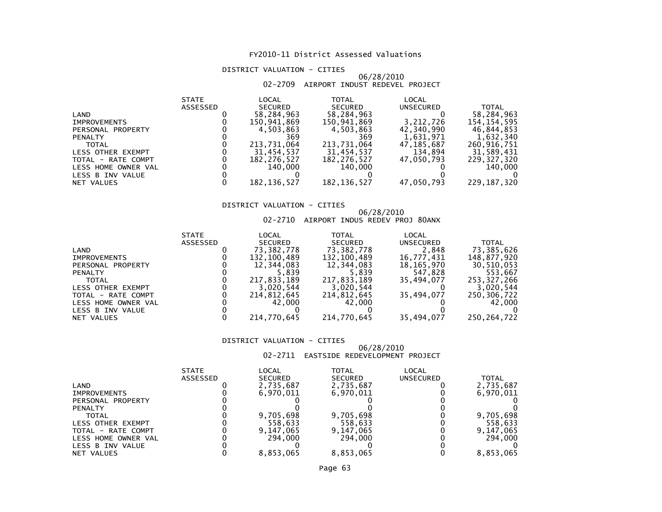#### DISTRICT VALUATION - CITIES

#### 06/28/201002-2709 AIRPORT INDUST REDEVEL PROJECT

| <b>STATE</b>    | LOCAL          | <b>TOTAL</b>   | LOCAL      |               |
|-----------------|----------------|----------------|------------|---------------|
| <b>ASSESSED</b> | <b>SECURED</b> | <b>SECURED</b> | UNSECURED  | <b>TOTAL</b>  |
|                 | 58,284,963     | 58,284,963     |            | 58,284,963    |
|                 | 150,941,869    | 150,941,869    | 3,212,726  | 154, 154, 595 |
|                 | 4,503,863      | 4,503,863      | 42,340,990 | 46,844,853    |
|                 | 369            | 369            | 1,631,971  | 1,632,340     |
|                 | 213,731,064    | 213,731,064    | 47,185,687 | 260,916,751   |
|                 | 31,454,537     | 31,454,537     | 134,894    | 31,589,431    |
|                 | 182, 276, 527  | 182,276,527    | 47.050.793 | 229,327,320   |
|                 | 140.000        | 140,000        |            | 140,000       |
|                 |                |                |            |               |
|                 | 182, 136, 527  | 182, 136, 527  | 47,050,793 | 229, 187, 320 |
|                 |                |                |            |               |

#### DISTRICT VALUATION - CITIES

#### 06/28/201002-2710 AIRPORT INDUS REDEV PROJ 80ANX

| <b>STATE</b>    | LOCAL          | <b>TOTAL</b>   | LOCAL            |               |
|-----------------|----------------|----------------|------------------|---------------|
| <b>ASSESSED</b> | <b>SECURED</b> | <b>SECURED</b> | <b>UNSECURED</b> | <b>TOTAL</b>  |
|                 | 73,382,778     | 73,382,778     | 2,848            | 73,385,626    |
|                 | 132,100,489    | 132,100,489    | 16,777,431       | 148.877.920   |
|                 | 12,344,083     | 12,344,083     | 18,165,970       | 30,510,053    |
|                 | 5.839          | 5.839          | 547,828          | 553.667       |
|                 | 217.833.189    | 217,833,189    | 35.494.077       | 253,327,266   |
|                 | 3,020,544      | 3,020,544      |                  | 3,020,544     |
|                 | 214,812,645    | 214,812,645    | 35,494,077       | 250,306,722   |
|                 | 42.000         | 42,000         |                  | 42,000        |
|                 |                |                |                  |               |
|                 | 214,770,645    | 214,770,645    | 35,494,077       | 250, 264, 722 |
|                 |                |                |                  |               |

#### DISTRICT VALUATION - CITIES

#### 06/28/201002-2711 EASTSIDE REDEVELOPMENT PROJECT

|                     | <b>STATE</b>    | LOCAL          | TOTAL          | LOCAL            |              |
|---------------------|-----------------|----------------|----------------|------------------|--------------|
|                     | <b>ASSESSED</b> | <b>SECURED</b> | <b>SECURED</b> | <b>UNSECURED</b> | <b>TOTAL</b> |
| LAND                |                 | 2,735,687      | 2,735,687      |                  | 2,735,687    |
| <b>IMPROVEMENTS</b> |                 | 6.970.011      | 6,970,011      |                  | 6,970,011    |
| PERSONAL PROPERTY   |                 |                |                |                  |              |
| <b>PENALTY</b>      |                 |                |                |                  |              |
| <b>TOTAL</b>        |                 | 9,705,698      | 9,705,698      |                  | 9,705,698    |
| LESS OTHER EXEMPT   |                 | 558.633        | 558,633        |                  | 558,633      |
| TOTAL - RATE COMPT  |                 | 9,147,065      | 9,147,065      |                  | 9,147,065    |
| LESS HOME OWNER VAL |                 | 294,000        | 294,000        |                  | 294,000      |
| LESS B INV VALUE    |                 |                |                |                  |              |
| NET VALUES          |                 | 8.853.065      | 8.853.065      |                  | 8.853.065    |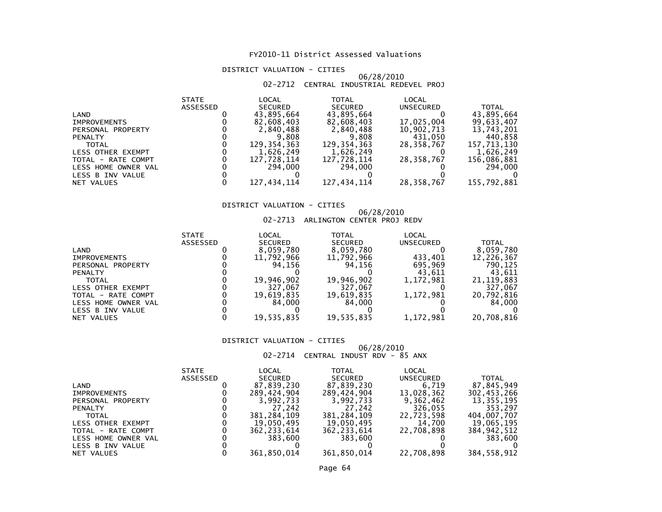#### DISTRICT VALUATION - CITIES

#### 06/28/201002-2712 CENTRAL INDUSTRIAL REDEVEL PROJ

| <b>STATE</b>    | LOCAL          | <b>TOTAL</b>   | LOCAL       |              |
|-----------------|----------------|----------------|-------------|--------------|
| <b>ASSESSED</b> | <b>SECURED</b> | <b>SECURED</b> | UNSECURED   | <b>TOTAL</b> |
|                 | 43,895,664     | 43,895,664     |             | 43,895,664   |
|                 | 82,608,403     | 82,608,403     | 17,025,004  | 99,633,407   |
|                 | 2,840,488      | 2,840,488      | 10,902,713  | 13,743,201   |
|                 | 9.808          | 9,808          | 431,050     | 440,858      |
|                 | 129,354,363    | 129, 354, 363  | 28,358,767  | 157,713,130  |
|                 | 1,626,249      | 1,626,249      |             | 1,626,249    |
|                 | 127,728,114    | 127,728,114    | 28,358,767  | 156,086,881  |
|                 | 294,000        | 294,000        |             | 294,000      |
|                 |                |                |             |              |
|                 | 127,434,114    |                |             | 155,792,881  |
|                 |                |                | 127,434,114 | 28,358,767   |

#### DISTRICT VALUATION - CITIES

## 06/28/2010 02-2713 ARLINGTON CENTER PROJ REDV

|                          | <b>STATE</b> | LOCAL          | TOTAL          | LOCAL            |              |
|--------------------------|--------------|----------------|----------------|------------------|--------------|
|                          | ASSESSED     | <b>SECURED</b> | <b>SECURED</b> | <b>UNSECURED</b> | <b>TOTAL</b> |
| LAND                     |              | 8,059,780      | 8,059,780      |                  | 8,059,780    |
| <b>IMPROVEMENTS</b>      |              | 11,792,966     | 11,792,966     | 433,401          | 12,226,367   |
| PERSONAL PROPERTY        |              | 94.156         | 94.156         | 695,969          | 790,125      |
| <b>PENALTY</b>           |              |                |                | 43.611           | 43.611       |
| <b>TOTAL</b>             |              | 19,946,902     | 19,946,902     | 1.172.981        | 21, 119, 883 |
| <b>LESS OTHER EXEMPT</b> |              | 327,067        | 327,067        |                  | 327,067      |
| TOTAL - RATE COMPT       |              | 19,619,835     | 19,619,835     | 1,172,981        | 20,792,816   |
| LESS HOME OWNER VAL      |              | 84.000         | 84.000         |                  | 84,000       |
| LESS B INV VALUE         |              |                |                |                  |              |
| NET VALUES               |              | 19,535,835     | 19,535,835     | 1,172,981        | 20,708,816   |

#### DISTRICT VALUATION - CITIES

## 06/28/2010 02-2714 CENTRAL INDUST RDV - 85 ANX

|                          | <b>STATE</b> | LOCAL          | TOTAL          | LOCAL      |              |
|--------------------------|--------------|----------------|----------------|------------|--------------|
|                          | ASSESSED     | <b>SECURED</b> | <b>SECURED</b> | UNSECURED  | <b>TOTAL</b> |
| LAND                     |              | 87,839,230     | 87,839,230     | 6.719      | 87,845,949   |
| <b>IMPROVEMENTS</b>      |              | 289.424.904    | 289.424.904    | 13,028,362 | 302,453,266  |
| PERSONAL PROPERTY        |              | 3,992,733      | 3,992,733      | 9,362,462  | 13,355,195   |
| <b>PENALTY</b>           |              | 27.242         | 27.242         | 326,055    | 353.297      |
| <b>TOTAL</b>             |              | 381,284,109    | 381,284,109    | 22,723,598 | 404,007,707  |
| <b>LESS OTHER EXEMPT</b> |              | 19.050.495     | 19,050,495     | 14,700     | 19,065,195   |
| TOTAL - RATE COMPT       |              | 362, 233, 614  | 362, 233, 614  | 22,708,898 | 384,942,512  |
| LESS HOME OWNER VAL      |              | 383.600        | 383,600        |            | 383,600      |
| LESS B INV VALUE         |              |                |                |            |              |
| NET VALUES               |              | 361.850.014    | 361,850,014    | 22,708,898 | 384,558,912  |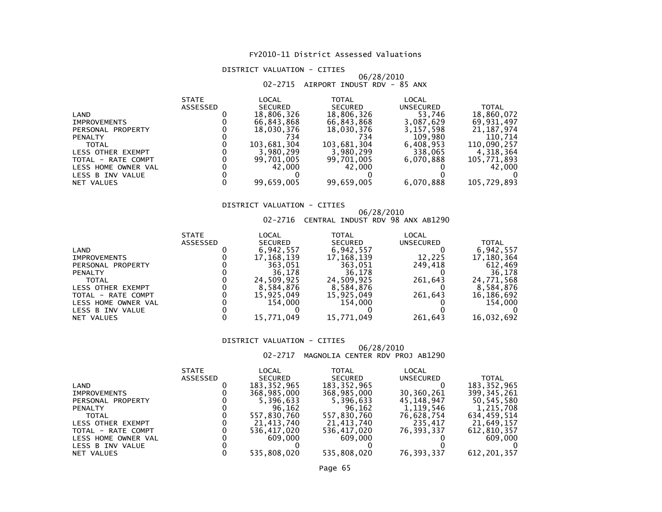#### DISTRICT VALUATION - CITIES

#### 06/28/201002-2715 AIRPORT INDUST RDV - 85 ANX

| LOCAL<br>LOCAL<br><b>TOTAL</b><br><b>STATE</b>      |                           |
|-----------------------------------------------------|---------------------------|
| <b>ASSESSED</b><br><b>SECURED</b><br><b>SECURED</b> | UNSECURED<br><b>TOTAL</b> |
| 18,806,326<br>18,806,326<br>LAND                    | 53,746<br>18,860,072      |
| 66,843,868<br>66,843,868<br><b>IMPROVEMENTS</b>     | 3,087,629<br>69.931.497   |
| 18,030,376<br>18,030,376<br>PERSONAL PROPERTY       | 21, 187, 974<br>3,157,598 |
| 734<br>734<br><b>PENALTY</b>                        | 109,980<br>110,714        |
| 103,681,304<br>103,681,304<br><b>TOTAL</b>          | 110,090,257<br>6,408,953  |
| 3,980,299<br>3,980,299<br>LESS OTHER EXEMPT         | 338,065<br>4,318,364      |
| 99,701,005<br>99,701,005<br>TOTAL - RATE COMPT      | 6,070,888<br>105,771,893  |
| 42.000<br>42.000<br>LESS HOME OWNER VAL             | 42,000                    |
| LESS B INV VALUE                                    |                           |
| 99,659,005<br>99,659,005<br>NET VALUES              | 6,070,888<br>105,729,893  |

#### DISTRICT VALUATION - CITIES

## 06/28/2010 02-2716 CENTRAL INDUST RDV 98 ANX AB1290

|                          | <b>STATE</b> | LOCAL          | TOTAL          | LOCAL            |              |
|--------------------------|--------------|----------------|----------------|------------------|--------------|
|                          | ASSESSED     | <b>SECURED</b> | <b>SECURED</b> | <b>UNSECURED</b> | <b>TOTAL</b> |
| LAND                     |              | 6,942,557      | 6,942,557      |                  | 6,942,557    |
| <b>IMPROVEMENTS</b>      |              | 17,168,139     | 17, 168, 139   | 12.225           | 17,180,364   |
| PERSONAL PROPERTY        |              | 363.051        | 363.051        | 249.418          | 612,469      |
| <b>PENALTY</b>           |              | 36.178         | 36.178         |                  | 36,178       |
| <b>TOTAL</b>             |              | 24.509.925     | 24.509.925     | 261.643          | 24,771,568   |
| <b>LESS OTHER EXEMPT</b> |              | 8,584,876      | 8,584,876      |                  | 8,584,876    |
| TOTAL - RATE COMPT       |              | 15,925,049     | 15,925,049     | 261.643          | 16,186,692   |
| LESS HOME OWNER VAL      |              | 154,000        | 154.000        |                  | 154,000      |
| LESS B INV VALUE         |              |                |                |                  |              |
| NET VALUES               |              | 15,771,049     | 15,771,049     | 261,643          | 16,032,692   |

#### DISTRICT VALUATION - CITIES

 06/28/201002-2717 MAGNOLIA CENTER RDV PROJ AB1290

|                     | <b>STATE</b>    | LOCAL          | TOTAL          | LOCAL      |               |
|---------------------|-----------------|----------------|----------------|------------|---------------|
|                     | <b>ASSESSED</b> | <b>SECURED</b> | <b>SECURED</b> | UNSECURED  | TOTAL         |
| LAND                |                 | 183, 352, 965  | 183, 352, 965  |            | 183, 352, 965 |
| <b>IMPROVEMENTS</b> |                 | 368,985,000    | 368,985,000    | 30,360,261 | 399, 345, 261 |
| PERSONAL PROPERTY   |                 | 5,396,633      | 5,396,633      | 45.148.947 | 50,545,580    |
| <b>PENALTY</b>      |                 | 96,162         | 96,162         | 1,119,546  | 1,215,708     |
| <b>TOTAL</b>        |                 | 557,830,760    | 557,830,760    | 76,628,754 | 634,459,514   |
| LESS OTHER EXEMPT   |                 | 21,413,740     | 21,413,740     | 235,417    | 21,649,157    |
| TOTAL - RATE COMPT  |                 | 536,417,020    | 536,417,020    | 76.393.337 | 612,810,357   |
| LESS HOME OWNER VAL |                 | 609,000        | 609,000        |            | 609,000       |
| LESS B INV VALUE    |                 |                |                |            |               |
| NET VALUES          |                 | 535.808.020    | 535,808,020    | 76.393.337 | 612,201,357   |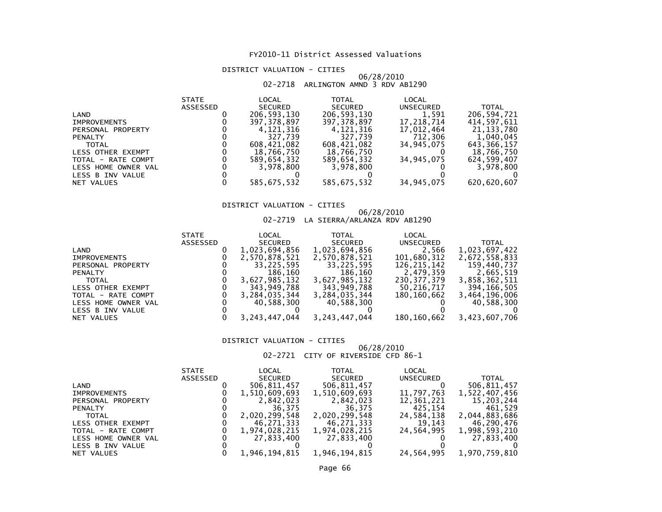#### DISTRICT VALUATION - CITIES

## 06/28/2010 02-2718 ARLINGTON AMND 3 RDV AB1290

|                     | <b>STATE</b> | LOCAL         | <b>TOTAL</b>   | LOCAL      |              |
|---------------------|--------------|---------------|----------------|------------|--------------|
|                     | ASSESSED     | SECURED       | <b>SECURED</b> | UNSECURED  | <b>TOTAL</b> |
| LAND                |              | 206,593,130   | 206,593,130    | 1,591      | 206,594,721  |
| <b>IMPROVEMENTS</b> |              | 397, 378, 897 | 397,378,897    | 17,218,714 | 414,597,611  |
| PERSONAL PROPERTY   |              | 4.121.316     | 4,121,316      | 17,012,464 | 21, 133, 780 |
| <b>PENALTY</b>      |              | 327.739       | 327.739        | 712.306    | 1.040.045    |
| <b>TOTAL</b>        |              | 608.421.082   | 608.421.082    | 34.945.075 | 643,366,157  |
| LESS OTHER EXEMPT   |              | 18,766,750    | 18,766,750     |            | 18,766,750   |
| TOTAL - RATE COMPT  |              | 589.654.332   | 589.654.332    | 34,945,075 | 624,599,407  |
| LESS HOME OWNER VAL |              | 3,978,800     | 3,978,800      |            | 3,978,800    |
| LESS B INV VALUE    |              |               |                |            |              |
| NET VALUES          |              | 585,675,532   | 585,675,532    | 34,945,075 | 620,620,607  |

#### DISTRICT VALUATION - CITIES

# 06/28/2010 02-2719 LA SIERRA/ARLANZA RDV AB1290

| <b>ASSESSED</b><br><b>SECURED</b><br><b>SECURED</b><br><b>UNSECURED</b><br>1,023,694,856<br>1,023,694,856<br>2,566<br>LAND<br>101,680,312<br>2,570,878,521<br>2,570,878,521<br><b>IMPROVEMENTS</b><br>33.225.595<br>33,225,595<br>126.215.142<br>PERSONAL PROPERTY<br>186,160<br>186,160<br>2,479,359<br><b>PENALTY</b><br>3,627,985,132<br>3,627,985,132<br>230,377,379<br><b>TOTAL</b><br>343,949,788<br>343,949,788<br>50,216,717<br>LESS OTHER EXEMPT<br>3,284,035,344<br>3,284,035,344<br>180,160,662<br>TOTAL - RATE COMPT<br>40.588.300<br>40,588,300<br>LESS HOME OWNER VAL<br>LESS B INV VALUE |            | <b>STATE</b> | LOCAL            | <b>TOTAL</b>     | LOCAL       |               |
|---------------------------------------------------------------------------------------------------------------------------------------------------------------------------------------------------------------------------------------------------------------------------------------------------------------------------------------------------------------------------------------------------------------------------------------------------------------------------------------------------------------------------------------------------------------------------------------------------------|------------|--------------|------------------|------------------|-------------|---------------|
|                                                                                                                                                                                                                                                                                                                                                                                                                                                                                                                                                                                                         |            |              |                  |                  |             | <b>TOTAL</b>  |
|                                                                                                                                                                                                                                                                                                                                                                                                                                                                                                                                                                                                         |            |              |                  |                  |             | 1,023,697,422 |
|                                                                                                                                                                                                                                                                                                                                                                                                                                                                                                                                                                                                         |            |              |                  |                  |             | 2,672,558,833 |
|                                                                                                                                                                                                                                                                                                                                                                                                                                                                                                                                                                                                         |            |              |                  |                  |             | 159,440,737   |
|                                                                                                                                                                                                                                                                                                                                                                                                                                                                                                                                                                                                         |            |              |                  |                  |             | 2,665,519     |
|                                                                                                                                                                                                                                                                                                                                                                                                                                                                                                                                                                                                         |            |              |                  |                  |             | 3,858,362,511 |
|                                                                                                                                                                                                                                                                                                                                                                                                                                                                                                                                                                                                         |            |              |                  |                  |             | 394,166,505   |
|                                                                                                                                                                                                                                                                                                                                                                                                                                                                                                                                                                                                         |            |              |                  |                  |             | 3,464,196,006 |
|                                                                                                                                                                                                                                                                                                                                                                                                                                                                                                                                                                                                         |            |              |                  |                  |             | 40,588,300    |
|                                                                                                                                                                                                                                                                                                                                                                                                                                                                                                                                                                                                         |            |              |                  |                  |             |               |
|                                                                                                                                                                                                                                                                                                                                                                                                                                                                                                                                                                                                         | NET VALUES |              | 3, 243, 447, 044 | 3, 243, 447, 044 | 180,160,662 | 3,423,607,706 |

#### DISTRICT VALUATION - CITIES

#### 06/28/201002-2721 CITY OF RIVERSIDE CFD 86-1

|                     | <b>STATE</b> | LOCAL         | TOTAL          | LOCAL            |               |
|---------------------|--------------|---------------|----------------|------------------|---------------|
|                     | ASSESSED     | SECURED       | <b>SECURED</b> | <b>UNSECURED</b> | <b>TOTAL</b>  |
| LAND                |              | 506,811,457   | 506,811,457    |                  | 506,811,457   |
| <b>IMPROVEMENTS</b> |              | 1,510,609,693 | 1,510,609,693  | 11,797,763       | 1,522,407,456 |
| PERSONAL PROPERTY   |              | 2,842,023     | 2.842.023      | 12,361,221       | 15,203,244    |
| <b>PENALTY</b>      |              | 36.375        | 36.375         | 425.154          | 461,529       |
| <b>TOTAL</b>        |              | 2,020,299,548 | 2,020,299,548  | 24,584,138       | 2,044,883,686 |
| LESS OTHER EXEMPT   |              | 46.271.333    | 46,271,333     | 19.143           | 46,290,476    |
| TOTAL - RATE COMPT  |              | 1,974,028,215 | 1,974,028,215  | 24,564,995       | 1,998,593,210 |
| LESS HOME OWNER VAL |              | 27,833,400    | 27,833,400     |                  | 27,833,400    |
| LESS B INV VALUE    |              |               |                |                  |               |
| NET VALUES          |              | 1.946.194.815 | 1,946,194,815  | 24,564,995       | 1,970,759,810 |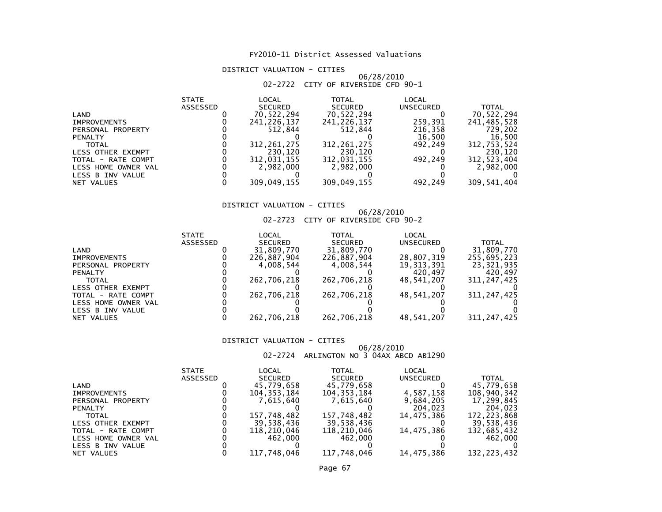#### DISTRICT VALUATION - CITIES

#### 06/28/201002-2722 CITY OF RIVERSIDE CFD 90-1

|                     | <b>STATE</b> | LOCAL          | TOTAL          | LOCAL            |              |
|---------------------|--------------|----------------|----------------|------------------|--------------|
|                     | ASSESSED     | <b>SECURED</b> | <b>SECURED</b> | <b>UNSECURED</b> | <b>TOTAL</b> |
| LAND                |              | 70,522,294     | 70,522,294     |                  | 70,522,294   |
| <b>IMPROVEMENTS</b> |              | 241,226,137    | 241,226,137    | 259.391          | 241,485,528  |
| PERSONAL PROPERTY   |              | 512.844        | 512.844        | 216,358          | 729.202      |
| <b>PENALTY</b>      |              |                |                | 16,500           | 16,500       |
| <b>TOTAL</b>        |              | 312, 261, 275  | 312, 261, 275  | 492.249          | 312,753,524  |
| LESS OTHER EXEMPT   |              | 230,120        | 230.120        |                  | 230,120      |
| TOTAL - RATE COMPT  |              | 312,031,155    | 312,031,155    | 492.249          | 312,523,404  |
| LESS HOME OWNER VAL |              | 2,982,000      | 2,982,000      |                  | 2,982,000    |
| LESS B INV VALUE    |              |                |                |                  |              |
| NET VALUES          |              | 309,049,155    | 309,049,155    | 492.249          | 309,541,404  |

#### DISTRICT VALUATION - CITIES

## 06/28/2010 02-2723 CITY OF RIVERSIDE CFD 90-2

|                     | <b>STATE</b> | LOCAL          | TOTAL          | LOCAL        |               |
|---------------------|--------------|----------------|----------------|--------------|---------------|
|                     | ASSESSED     | <b>SECURED</b> | <b>SECURED</b> | UNSECURED    | <b>TOTAL</b>  |
| LAND                |              | 31,809,770     | 31,809,770     |              | 31,809,770    |
| <b>IMPROVEMENTS</b> |              | 226,887,904    | 226,887,904    | 28,807,319   | 255,695,223   |
| PERSONAL PROPERTY   |              | 4.008.544      | 4.008.544      | 19, 313, 391 | 23.321.935    |
| <b>PENALTY</b>      |              |                |                | 420.497      | 420.497       |
| <b>TOTAL</b>        |              | 262,706,218    | 262,706,218    | 48,541,207   | 311,247,425   |
| LESS OTHER EXEMPT   |              |                |                |              |               |
| TOTAL - RATE COMPT  |              | 262,706,218    | 262,706,218    | 48,541,207   | 311, 247, 425 |
| LESS HOME OWNER VAL |              |                |                |              |               |
| LESS B INV VALUE    |              |                |                |              |               |
| NET VALUES          |              | 262,706,218    | 262,706,218    | 48,541,207   | 311, 247, 425 |
|                     |              |                |                |              |               |

#### DISTRICT VALUATION - CITIES

06/28/2010<br>202-2724 ARLINGTON NO 3 04AX ABCD AB1290

|                     | <b>STATE</b>    | LOCAL          | TOTAL          | LOCAL      |             |
|---------------------|-----------------|----------------|----------------|------------|-------------|
|                     | <b>ASSESSED</b> | <b>SECURED</b> | <b>SECURED</b> | UNSECURED  | TOTAL       |
| LAND                |                 | 45,779,658     | 45,779,658     |            | 45,779,658  |
| <b>IMPROVEMENTS</b> |                 | 104,353,184    | 104, 353, 184  | 4,587,158  | 108,940,342 |
| PERSONAL PROPERTY   |                 | 7.615.640      | 7.615.640      | 9,684,205  | 17.299.845  |
| <b>PENALTY</b>      |                 |                |                | 204,023    | 204.023     |
| <b>TOTAL</b>        |                 | 157,748,482    | 157,748,482    | 14,475,386 | 172,223,868 |
| LESS OTHER EXEMPT   |                 | 39,538,436     | 39,538,436     |            | 39,538,436  |
| TOTAL - RATE COMPT  |                 | 118,210,046    | 118,210,046    | 14,475,386 | 132,685,432 |
| LESS HOME OWNER VAL |                 | 462,000        | 462.000        |            | 462,000     |
| LESS B INV VALUE    |                 |                |                |            |             |
| NET VALUES          |                 | 117,748,046    | 117,748,046    | 14,475,386 | 132.223.432 |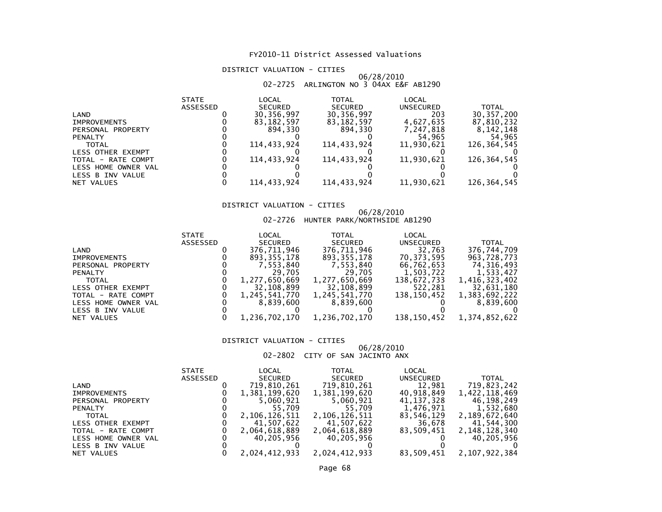#### DISTRICT VALUATION - CITIES

## 06/28/2010 02-2725 ARLINGTON NO 3 04AX E&F AB1290

|                          | <b>STATE</b>    | LOCAL          | TOTAL          | LOCAL      |              |
|--------------------------|-----------------|----------------|----------------|------------|--------------|
|                          | <b>ASSESSED</b> | <b>SECURED</b> | <b>SECURED</b> | UNSECURED  | <b>TOTAL</b> |
| LAND                     |                 | 30,356,997     | 30,356,997     | 203        | 30, 357, 200 |
| <b>IMPROVEMENTS</b>      |                 | 83, 182, 597   | 83, 182, 597   | 4,627,635  | 87,810,232   |
| PERSONAL PROPERTY        |                 | 894.330        | 894.330        | 7,247,818  | 8,142,148    |
| <b>PENALTY</b>           |                 |                |                | 54,965     | 54,965       |
| <b>TOTAL</b>             |                 | 114.433.924    | 114.433.924    | 11,930,621 | 126,364,545  |
| <b>LESS OTHER EXEMPT</b> |                 |                |                |            |              |
| TOTAL - RATE COMPT       |                 | 114.433.924    | 114,433,924    | 11,930,621 | 126,364,545  |
| LESS HOME OWNER VAL      |                 |                |                |            |              |
| LESS B INV VALUE         |                 |                |                |            |              |
| NET VALUES               |                 | 114.433.924    | 114,433,924    | 11,930,621 | 126,364,545  |

#### DISTRICT VALUATION - CITIES

# 06/28/2010 02-2726 HUNTER PARK/NORTHSIDE AB1290

| <b>STATE</b>    | LOCAL          | TOTAL                                                     | LOCAL                                    |                        |
|-----------------|----------------|-----------------------------------------------------------|------------------------------------------|------------------------|
| <b>ASSESSED</b> | <b>SECURED</b> | <b>SECURED</b>                                            | <b>UNSECURED</b>                         | <b>TOTAL</b>           |
|                 | 376,711,946    | 376,711,946                                               | 32,763                                   | 376,744,709            |
|                 | 893, 355, 178  | 893,355,178                                               | 70,373,595                               | 963,728,773            |
|                 | 7,553,840      | 7,553,840                                                 | 66,762,653                               | 74,316,493             |
|                 | 29,705         | 29,705                                                    | 1,503,722                                | 1,533,427              |
|                 |                |                                                           | 138,672,733                              | 1,416,323,402          |
|                 |                |                                                           |                                          | 32,631,180             |
|                 | 1,245,541,770  | 1,245,541,770                                             | 138,150,452                              | 1,383,692,222          |
|                 |                |                                                           |                                          | 8.839.600              |
|                 |                |                                                           |                                          |                        |
|                 |                | 1,236,702,170                                             |                                          | 1,374,852,622          |
|                 |                | 1,277,650,669<br>32,108,899<br>8.839.600<br>1,236,702,170 | 1,277,650,669<br>32,108,899<br>8,839,600 | 522,281<br>138,150,452 |

#### DISTRICT VALUATION - CITIES

#### 06/28/201002-2802 CITY OF SAN JACINTO ANX

|                     | <b>STATE</b> | LOCAL         | TOTAL          | LOCAL            |               |
|---------------------|--------------|---------------|----------------|------------------|---------------|
|                     | ASSESSED     | SECURED       | <b>SECURED</b> | <b>UNSECURED</b> | <b>TOTAL</b>  |
| LAND                |              | 719,810,261   | 719,810,261    | 12.981           | 719,823,242   |
| <b>IMPROVEMENTS</b> |              | 1,381,199,620 | 1,381,199,620  | 40,918,849       | 1,422,118,469 |
| PERSONAL PROPERTY   |              | 5,060,921     | 5,060,921      | 41,137,328       | 46,198,249    |
| <b>PENALTY</b>      |              | 55.709        | 55.709         | 1,476,971        | 1,532,680     |
| <b>TOTAL</b>        |              | 2,106,126,511 | 2,106,126,511  | 83,546,129       | 2,189,672,640 |
| LESS OTHER EXEMPT   |              | 41,507,622    | 41,507,622     | 36,678           | 41,544,300    |
| TOTAL - RATE COMPT  |              | 2,064,618,889 | 2,064,618,889  | 83,509,451       | 2,148,128,340 |
| LESS HOME OWNER VAL |              | 40,205,956    | 40,205,956     |                  | 40,205,956    |
| LESS B INV VALUE    |              |               |                |                  |               |
| NET VALUES          |              | 2,024,412,933 | 2.024.412.933  | 83,509,451       | 2,107,922,384 |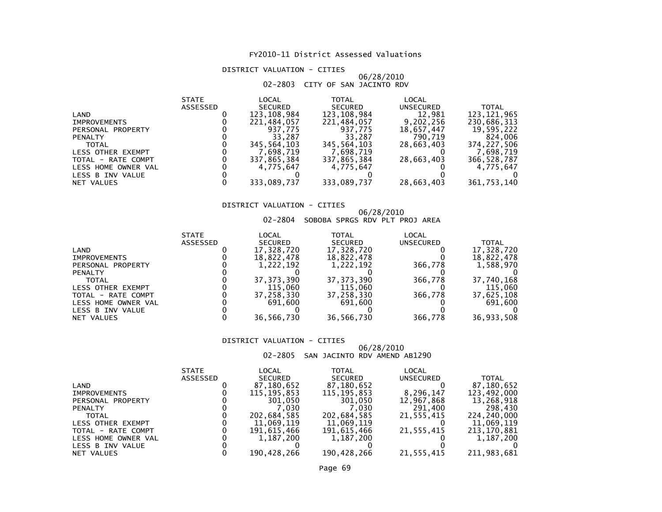#### DISTRICT VALUATION - CITIES

#### 06/28/201002-2803 CITY OF SAN JACINTO RDV

| <b>STATE</b> | LOCAL          | <b>TOTAL</b>   | LOCAL            |              |
|--------------|----------------|----------------|------------------|--------------|
| ASSESSED     | <b>SECURED</b> | <b>SECURED</b> | <b>UNSECURED</b> | <b>TOTAL</b> |
|              | 123,108,984    | 123,108,984    | 12,981           | 123,121,965  |
|              | 221,484,057    | 221,484,057    | 9,202,256        | 230,686,313  |
|              | 937.775        | 937.775        | 18,657,447       | 19,595,222   |
|              | 33.287         | 33.287         | 790.719          | 824,006      |
|              | 345,564,103    | 345.564.103    | 28.663.403       | 374,227,506  |
|              | 7.698.719      | 7.698.719      |                  | 7,698,719    |
|              | 337,865,384    | 337,865,384    | 28,663,403       | 366,528,787  |
|              | 4,775,647      | 4,775,647      |                  | 4,775,647    |
|              |                |                |                  |              |
|              |                |                |                  | 361,753,140  |
|              |                | 333,089,737    | 333,089,737      | 28,663,403   |

#### DISTRICT VALUATION - CITIES

#### 06/28/201002-2804 SOBOBA SPRGS RDV PLT PROJ AREA

| <b>STATE</b> | LOCAL          | TOTAL          | LOCAL      |              |
|--------------|----------------|----------------|------------|--------------|
| ASSESSED     | <b>SECURED</b> | <b>SECURED</b> | UNSECURED  | <b>TOTAL</b> |
|              | 17,328,720     | 17,328,720     |            | 17,328,720   |
|              | 18,822,478     | 18,822,478     |            | 18,822,478   |
|              | 1.222.192      | 1,222,192      | 366.778    | 1,588,970    |
|              |                |                |            |              |
|              | 37.373.390     | 37, 373, 390   | 366.778    | 37,740,168   |
|              | 115,060        | 115,060        |            | 115,060      |
|              | 37.258.330     | 37,258,330     | 366.778    | 37,625,108   |
|              | 691,600        | 691.600        |            | 691,600      |
|              |                |                |            |              |
|              |                |                |            | 36,933,508   |
|              |                | 36,566,730     | 36,566,730 | 366,778      |

#### DISTRICT VALUATION - CITIES

 06/28/201002-2805 SAN JACINTO RDV AMEND AB1290

|                     | <b>STATE</b>    | LOCAL          | TOTAL          | LOCAL      |             |
|---------------------|-----------------|----------------|----------------|------------|-------------|
|                     | <b>ASSESSED</b> | <b>SECURED</b> | <b>SECURED</b> | UNSECURED  | TOTAL       |
| LAND                |                 | 87,180,652     | 87,180,652     |            | 87,180,652  |
| <b>IMPROVEMENTS</b> |                 | 115,195,853    | 115,195,853    | 8,296,147  | 123,492,000 |
| PERSONAL PROPERTY   |                 | 301.050        | 301.050        | 12,967,868 | 13,268,918  |
| <b>PENALTY</b>      |                 | 7.030          | 7.030          | 291,400    | 298,430     |
| <b>TOTAL</b>        |                 | 202,684,585    | 202,684,585    | 21,555,415 | 224,240,000 |
| LESS OTHER EXEMPT   |                 | 11,069,119     | 11,069,119     |            | 11,069,119  |
| TOTAL - RATE COMPT  |                 | 191.615.466    | 191,615,466    | 21,555,415 | 213,170,881 |
| LESS HOME OWNER VAL |                 | 1,187,200      | 1,187,200      |            | 1,187,200   |
| LESS B INV VALUE    |                 |                |                |            |             |
| NET VALUES          |                 | 190.428.266    | 190,428,266    | 21,555,415 | 211.983.681 |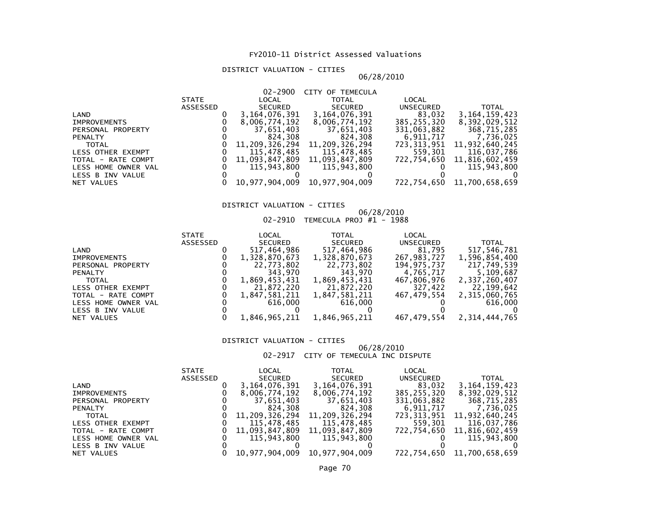#### DISTRICT VALUATION - CITIES

### 06/28/2010

|                     |                 | $02 - 2900$    | CITY OF TEMECULA |             |                            |
|---------------------|-----------------|----------------|------------------|-------------|----------------------------|
|                     | <b>STATE</b>    | LOCAL          | <b>TOTAL</b>     | LOCAL       |                            |
|                     | <b>ASSESSED</b> | SECURED        | SECURED          | UNSECURED   | <b>TOTAL</b>               |
| LAND                |                 | 3,164,076,391  | 3,164,076,391    | 83,032      | 3, 164, 159, 423           |
| <b>IMPROVEMENTS</b> |                 | 8,006,774,192  | 8,006,774,192    | 385,255,320 | 8,392,029,512              |
| PERSONAL PROPERTY   |                 | 37,651,403     | 37,651,403       | 331,063,882 | 368,715,285                |
| <b>PENALTY</b>      |                 | 824,308        | 824,308          | 6,911,717   | 7,736,025                  |
| <b>TOTAL</b>        |                 | 11,209,326,294 | 11,209,326,294   | 723,313,951 | 11,932,640,245             |
| LESS OTHER EXEMPT   |                 | 115.478.485    | 115,478,485      | 559,301     | 116,037,786                |
| TOTAL - RATE COMPT  |                 | 11,093,847,809 | 11,093,847,809   | 722.754.650 | 11,816,602,459             |
| LESS HOME OWNER VAL |                 | 115.943.800    | 115.943.800      |             | 115.943.800                |
| LESS B INV VALUE    |                 |                |                  |             |                            |
| NET VALUES          |                 | 10,977,904,009 | 10,977,904,009   |             | 722,754,650 11,700,658,659 |
|                     |                 |                |                  |             |                            |

### DISTRICT VALUATION - CITIES

## 06/28/2010 02-2910 TEMECULA PROJ #1 - 1988

| LOCAL<br>TOTAL<br><b>STATE</b>                        | LOCAL       |               |
|-------------------------------------------------------|-------------|---------------|
| <b>SECURED</b><br><b>SECURED</b><br>ASSESSED          | UNSECURED   | <b>TOTAL</b>  |
| 517,464,986<br>517,464,986<br>LAND                    | 81,795      | 517,546,781   |
| 1,328,870,673<br>1,328,870,673<br><b>IMPROVEMENTS</b> | 267,983,727 | 1,596,854,400 |
| 22,773,802<br>22,773,802<br>PERSONAL PROPERTY         | 194,975,737 | 217,749,539   |
| 343,970<br>343.970<br><b>PENALTY</b>                  | 4,765,717   | 5,109,687     |
| 1,869,453,431<br>1,869,453,431<br><b>TOTAL</b>        | 467,806,976 | 2,337,260,407 |
| 21,872,220<br>21,872,220<br>LESS OTHER EXEMPT         | 327,422     | 22,199,642    |
| 1,847,581,211<br>1,847,581,211<br>TOTAL - RATE COMPT  | 467.479.554 | 2,315,060,765 |
| 616,000<br>616.000<br>LESS HOME OWNER VAL             |             | 616,000       |
| LESS B INV VALUE                                      |             |               |
| 1,846,965,211<br>1,846,965,211<br>NET VALUES          | 467,479,554 | 2,314,444,765 |

#### DISTRICT VALUATION - CITIES

## 06/28/2010 02-2917 CITY OF TEMECULA INC DISPUTE

|                     | <b>STATE</b>    | LOCAL            | <b>TOTAL</b>   | LOCAL       |                            |
|---------------------|-----------------|------------------|----------------|-------------|----------------------------|
|                     | <b>ASSESSED</b> | SECURED          | <b>SECURED</b> | UNSECURED   | <b>TOTAL</b>               |
| LAND                |                 | 3, 164, 076, 391 | 3,164,076,391  | 83,032      | 3, 164, 159, 423           |
| <b>IMPROVEMENTS</b> |                 | 8,006,774,192    | 8,006,774,192  | 385,255,320 | 8,392,029,512              |
| PERSONAL PROPERTY   |                 | 37,651,403       | 37,651,403     | 331,063,882 | 368,715,285                |
| <b>PENALTY</b>      |                 | 824.308          | 824.308        | 6,911,717   | 7,736,025                  |
| <b>TOTAL</b>        |                 | 11,209,326,294   | 11,209,326,294 | 723.313.951 | 11,932,640,245             |
| LESS OTHER EXEMPT   |                 | 115,478,485      | 115.478.485    | 559.301     | 116,037,786                |
| TOTAL - RATE COMPT  |                 | 11,093,847,809   | 11,093,847,809 | 722,754,650 | 11,816,602,459             |
| LESS HOME OWNER VAL |                 | 115.943.800      | 115.943.800    |             | 115,943,800                |
| LESS B INV VALUE    |                 |                  |                |             |                            |
| NET VALUES          |                 | 10,977,904,009   | 10,977,904,009 |             | 722,754,650 11,700,658,659 |
|                     |                 |                  |                |             |                            |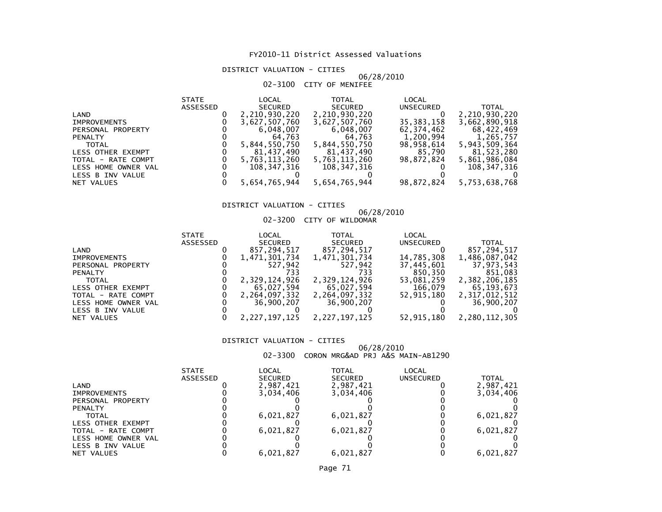#### DISTRICT VALUATION - CITIES

#### 06/28/201002-3100 CITY OF MENIFEE

| ASSESSED<br><b>SECURED</b><br><b>SECURED</b><br>UNSECURED<br>2,210,930,220<br>2,210,930,220<br>LAND<br>35, 383, 158<br>3,627,507,760<br>3,627,507,760<br><b>IMPROVEMENTS</b><br>6,048,007<br>62,374,462<br>6,048,007<br>PERSONAL PROPERTY<br>1,200,994<br>64.763<br>64,763<br><b>PENALTY</b><br>5,844,550,750<br>98,958,614<br>5,844,550,750<br><b>TOTAL</b><br>81,437,490<br>81,437,490<br>85,790<br>LESS OTHER EXEMPT<br>98.872.824<br>5,763,113,260<br>5,763,113,260<br>TOTAL - RATE COMPT<br>108,347,316<br>108,347,316<br>LESS HOME OWNER VAL |               |
|----------------------------------------------------------------------------------------------------------------------------------------------------------------------------------------------------------------------------------------------------------------------------------------------------------------------------------------------------------------------------------------------------------------------------------------------------------------------------------------------------------------------------------------------------|---------------|
|                                                                                                                                                                                                                                                                                                                                                                                                                                                                                                                                                    | <b>TOTAL</b>  |
|                                                                                                                                                                                                                                                                                                                                                                                                                                                                                                                                                    | 2,210,930,220 |
|                                                                                                                                                                                                                                                                                                                                                                                                                                                                                                                                                    | 3,662,890,918 |
|                                                                                                                                                                                                                                                                                                                                                                                                                                                                                                                                                    | 68,422,469    |
|                                                                                                                                                                                                                                                                                                                                                                                                                                                                                                                                                    | 1,265,757     |
|                                                                                                                                                                                                                                                                                                                                                                                                                                                                                                                                                    | 5,943,509,364 |
|                                                                                                                                                                                                                                                                                                                                                                                                                                                                                                                                                    | 81,523,280    |
|                                                                                                                                                                                                                                                                                                                                                                                                                                                                                                                                                    | 5,861,986,084 |
|                                                                                                                                                                                                                                                                                                                                                                                                                                                                                                                                                    | 108,347,316   |
| LESS B INV VALUE                                                                                                                                                                                                                                                                                                                                                                                                                                                                                                                                   |               |
| 5,654,765,944<br>5,654,765,944<br>98,872,824<br>NET VALUES                                                                                                                                                                                                                                                                                                                                                                                                                                                                                         | 5,753,638,768 |

#### DISTRICT VALUATION - CITIES

## 06/28/2010 02-3200 CITY OF WILDOMAR

|              |       | VZ-JZUU CIII UF WILDUMAN |       |
|--------------|-------|--------------------------|-------|
| <b>STATE</b> | LOCAL | <b>TOTAI</b>             | LOCAL |

|                     |                     | <u>JIAIL</u>    | ┖◠╌            | 1 V I AL      | ┖◠╌        |               |
|---------------------|---------------------|-----------------|----------------|---------------|------------|---------------|
|                     |                     | <b>ASSESSED</b> | <b>SECURED</b> | SECURED       | UNSECURED  | TOTAL         |
| LAND                |                     |                 | 857,294,517    | 857,294,517   |            | 857.294.517   |
| <b>IMPROVEMENTS</b> |                     |                 | 1,471,301,734  | 1,471,301,734 | 14,785,308 | 1,486,087,042 |
|                     | PERSONAL PROPERTY   |                 | 527.942        | 527.942       | 37,445,601 | 37,973,543    |
| <b>PENALTY</b>      |                     |                 | 733            | 733           | 850,350    | 851.083       |
| <b>TOTAL</b>        |                     |                 | 2,329,124,926  | 2,329,124,926 | 53,081,259 | 2,382,206,185 |
|                     | LESS OTHER EXEMPT   |                 | 65,027,594     | 65,027,594    | 166,079    | 65.193.673    |
|                     | TOTAL - RATE COMPT  |                 | 2,264,097,332  | 2,264,097,332 | 52.915.180 | 2,317,012,512 |
|                     | LESS HOME OWNER VAL |                 | 36,900,207     | 36,900,207    |            | 36,900,207    |
|                     | LESS B INV VALUE    |                 |                |               |            |               |
| NET VALUES          |                     |                 | 2,227,197,125  | 2,227,197,125 | 52,915,180 | 2,280,112,305 |
|                     |                     |                 |                |               |            |               |

#### DISTRICT VALUATION - CITIES

## 06/28/2010 02-3300 CORON MRG&AD PRJ A&S MAIN-AB1290

|                     | <b>STATE</b> | LOCAL          | TOTAL          | LOCAL     |              |
|---------------------|--------------|----------------|----------------|-----------|--------------|
|                     | ASSESSED     | <b>SECURED</b> | <b>SECURED</b> | UNSECURED | <b>TOTAL</b> |
| LAND                |              | 2,987,421      | 2,987,421      |           | 2,987,421    |
| <b>IMPROVEMENTS</b> |              | 3.034.406      | 3,034,406      |           | 3,034,406    |
| PERSONAL PROPERTY   |              |                |                |           |              |
| <b>PENALTY</b>      |              |                |                |           |              |
| <b>TOTAL</b>        |              | 6,021,827      | 6,021,827      |           | 6,021,827    |
| LESS OTHER EXEMPT   |              |                |                |           |              |
| TOTAL - RATE COMPT  |              | 6,021,827      | 6,021,827      |           | 6,021,827    |
| LESS HOME OWNER VAL |              |                |                |           |              |
| LESS B INV VALUE    |              |                |                |           |              |
| NET VALUES          |              | 6.021.827      | 6.021.827      |           | 6,021,827    |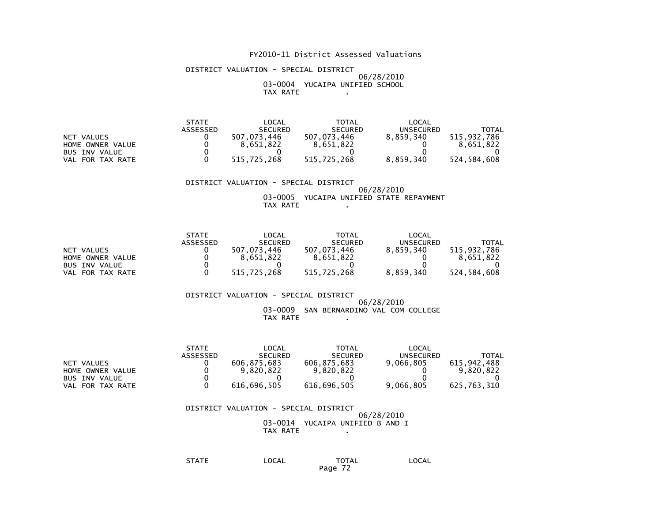#### DISTRICT VALUATION - SPECIAL DISTRICT

#### 06/28/2010 03-0004 YUCAIPA UNIFIED SCHOOLTAX RATE .

|                      | <b>STATE</b>    | _OCAL          | TOTAL          | LOCAL     |             |
|----------------------|-----------------|----------------|----------------|-----------|-------------|
|                      | <b>ASSESSED</b> | <b>SECURED</b> | <b>SECURED</b> | UNSECURED | TOTAL       |
| NET VALUES           |                 | 507.073.446    | 507.073.446    | 8.859.340 | 515.932.786 |
| HOME OWNER VALUE     |                 | 8.651.822      | 8.651.822      |           | 8.651.822   |
| <b>BUS INV VALUE</b> |                 |                |                |           |             |
| VAL FOR TAX RATE     |                 | 515.725.268    | 515.725.268    | 8,859,340 | 524.584.608 |

#### DISTRICT VALUATION - SPECIAL DISTRICT 06/28/2010 03-0005 YUCAIPA UNIFIED STATE REPAYMENTTAX RATE .

|                      | <b>STATE</b>    | LOCAL          | <b>TOTAL</b>   | LOCAL     |             |
|----------------------|-----------------|----------------|----------------|-----------|-------------|
|                      | <b>ASSESSED</b> | <b>SECURED</b> | <b>SECURED</b> | UNSECURED | TOTAL       |
| NET VALUES           |                 | 507.073.446    | 507.073.446    | 8.859.340 | 515.932.786 |
| HOME OWNER VALUE     |                 | 8.651.822      | 8,651,822      |           | 8.651.822   |
| <b>BUS INV VALUE</b> |                 |                |                |           |             |
| VAL FOR TAX RATE     |                 | 515.725.268    | 515.725.268    | 8.859.340 | 524.584.608 |

#### DISTRICT VALUATION - SPECIAL DISTRICT 06/28/201003-0009 SAN BERNARDINO VAL COM COLLEGE

TAX RATE .

|                      | <b>STATE</b> | LOCAL          | TOTAL          | LOCAL     |              |
|----------------------|--------------|----------------|----------------|-----------|--------------|
|                      | ASSESSED     | <b>SECURED</b> | <b>SECURED</b> | UNSECURED | <b>TOTAL</b> |
| NET VALUES           |              | 606.875.683    | 606.875.683    | 9.066.805 | 615.942.488  |
| HOME OWNER VALUE     |              | 9.820.822      | 9.820.822      |           | 9.820.822    |
| <b>BUS INV VALUE</b> |              |                |                |           |              |
| VAL FOR TAX RATE     |              | 616.696.505    | 616.696.505    | 9,066,805 | 625.763.310  |

#### DISTRICT VALUATION - SPECIAL DISTRICT 06/28/2010 03-0014 YUCAIPA UNIFIED B AND ITAX RATE .

 STATE LOCAL TOTAL LOCALPage 72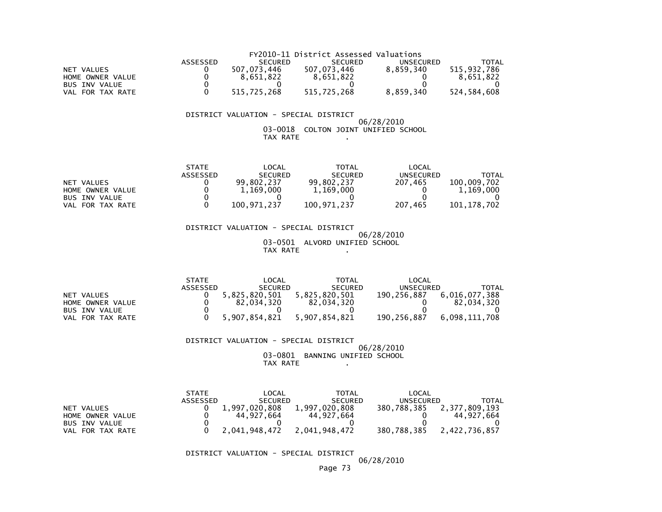|                      |                 |                | FY2010-11 District Assessed Valuations |           |             |
|----------------------|-----------------|----------------|----------------------------------------|-----------|-------------|
|                      | <b>ASSESSED</b> | <b>SECURED</b> | <b>SECURED</b>                         | UNSECURED | TOTAL       |
| NET VALUES           |                 | 507.073.446    | 507.073.446                            | 8.859.340 | 515,932,786 |
| HOME OWNER VALUE     |                 | 8.651.822      | 8.651.822                              |           | 8.651.822   |
| <b>BUS INV VALUE</b> |                 |                |                                        |           |             |
| VAL FOR TAX RATE     |                 | 515.725.268    | 515.725.268                            | 8.859.340 | 524.584.608 |

### DISTRICT VALUATION - SPECIAL DISTRICT

### 06/28/2010 03-0018 COLTON JOINT UNIFIED SCHOOLTAX RATE .

|                      | <b>STATE</b> | LOCAL          | TOTAL          | LOCAL     |              |
|----------------------|--------------|----------------|----------------|-----------|--------------|
|                      | ASSESSED     | <b>SECURED</b> | <b>SECURED</b> | UNSECURED | <b>TOTAL</b> |
| NET VALUES           |              | 99.802.237     | 99.802.237     | 207.465   | 100,009.702  |
| HOME OWNER VALUE     |              | 1,169,000      | 1,169,000      |           | 1,169,000    |
| <b>BUS INV VALUE</b> |              |                |                |           |              |
| VAL FOR TAX RATE     |              | 100.971.237    | 100.971.237    | 207.465   | 101.178.702  |

 DISTRICT VALUATION - SPECIAL DISTRICT 06/28/2010 03-0501 ALVORD UNIFIED SCHOOLTAX RATE .

|                      | <b>STATE</b> | LOCAL          | <b>TOTAL</b>   | LOCAL       |               |
|----------------------|--------------|----------------|----------------|-------------|---------------|
|                      | ASSESSED     | <b>SECURED</b> | <b>SECURED</b> | UNSECURED   | TOTAL         |
| NET VALUES           |              | 5.825.820.501  | 5.825.820.501  | 190.256.887 | 6,016,077,388 |
| HOME OWNER VALUE     |              | 82.034.320     | 82.034.320     |             | 82.034.320    |
| <b>BUS INV VALUE</b> |              |                |                |             |               |
| VAL FOR TAX RATE     |              | 5.907.854.821  | 5.907.854.821  | 190.256.887 | 6.098.111.708 |

### DISTRICT VALUATION - SPECIAL DISTRICT 06/28/2010 03-0801 BANNING UNIFIED SCHOOLTAX RATE .

|                      | <b>STATE</b> | _OCAL          | <b>TOTAL</b>   | LOCAL            |               |
|----------------------|--------------|----------------|----------------|------------------|---------------|
|                      | ASSESSED     | <b>SECURED</b> | <b>SECURED</b> | <b>UNSECURED</b> | TOTAL         |
| NET VALUES           |              | 1.997.020.808  | 1.997.020.808  | 380.788.385      | 2.377.809.193 |
| HOME OWNER VALUE     |              | 44.927.664     | 44.927.664     |                  | 44.927.664    |
| <b>BUS INV VALUE</b> |              |                |                |                  |               |
| FOR TAX RATE<br>VAL. |              | 2,041,948,472  | 2,041,948,472  | 380,788,385      | 2,422,736,857 |

DISTRICT VALUATION - SPECIAL DISTRICT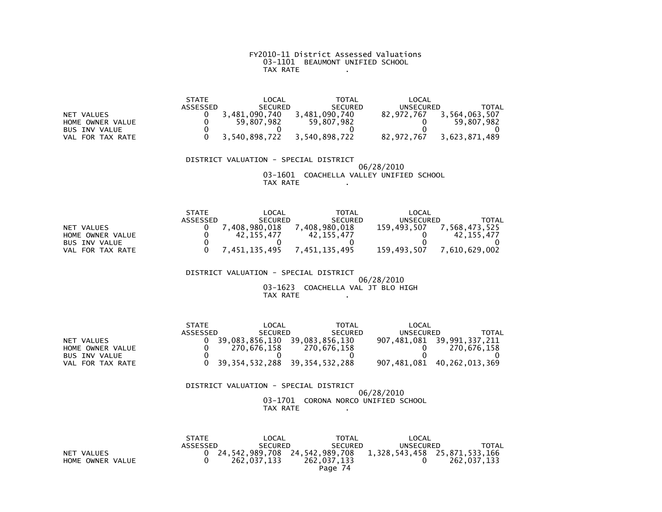# FY2010-11 District Assessed Valuations 03-1101 BEAUMONT UNIFIED SCHOOLTAX RATE .

|                     | <b>STATE</b> | LOCAL          | <b>TOTAL</b>   | LOCAL      |               |
|---------------------|--------------|----------------|----------------|------------|---------------|
|                     | ASSESSED     | <b>SECURED</b> | <b>SECURED</b> | UNSECURED  | TOTAL         |
| NET VALUES          |              | 3.481.090.740  | 3,481,090,740  | 82.972.767 | 3,564,063,507 |
| HOME OWNER VALUE    |              | 59,807,982     | 59.807.982     |            | 59.807.982    |
| BUS INV VALUE       |              |                |                |            |               |
| FOR TAX RATE<br>VAL |              | 3,540,898,722  | 3,540,898,722  | 82,972,767 | 3,623,871,489 |

### DISTRICT VALUATION - SPECIAL DISTRICT 06/28/2010 03-1601 COACHELLA VALLEY UNIFIED SCHOOLTAX RATE ...

|                      | <b>STATE</b> | _OCAL          | TOTAL          | LOCAL            |               |
|----------------------|--------------|----------------|----------------|------------------|---------------|
|                      | ASSESSED     | <b>SECURED</b> | <b>SECURED</b> | <b>UNSECURED</b> | TOTAL         |
| NET VALUES           |              | .408.980.018   | 7,408,980,018  | 159.493.507      | 7,568,473,525 |
| HOME OWNER VALUE     |              | 42.155.477     | 42.155.477     |                  | 42.155.477    |
| <b>BUS INV VALUE</b> |              |                |                |                  |               |
| VAL FOR TAX RATE     |              | 7.451.135.495  | 7.451.135.495  | 159.493.507      | 7.610.629.002 |

### DISTRICT VALUATION - SPECIAL DISTRICT 06/28/2010 03-1623 COACHELLA VAL JT BLO HIGH $TAX RATE$   $\qquad \qquad$

|                  | <b>STATE</b> | LOCAL          | <b>TOTAL</b>                          | LOCAL     |                            |
|------------------|--------------|----------------|---------------------------------------|-----------|----------------------------|
|                  | ASSESSED     | <b>SECURED</b> | <b>SECURED</b>                        | UNSECURED | TOTAL                      |
| NET VALUES       |              | 39.083.856.130 | 39,083,856,130                        |           | 907,481,081 39,991,337,211 |
| HOME OWNER VALUE |              | 270.676.158    | 270.676.158                           |           | 270.676.158                |
| BUS INV VALUE    |              |                |                                       |           |                            |
| VAL FOR TAX RATE |              |                | 0 39, 354, 532, 288 39, 354, 532, 288 |           | 907,481,081 40,262,013,369 |

| DISTRICT VALUATION - SPECIAL DISTRICT |            |  |
|---------------------------------------|------------|--|
|                                       | 06/28/2010 |  |
| 03-1701 CORONA NORCO UNIFIED SCHOOL   |            |  |
| TAX RATE                              |            |  |

|                  | <b>STATE</b>    | LOCAL          | <b>TOTAL</b>                                                 | LOCAL     |             |
|------------------|-----------------|----------------|--------------------------------------------------------------|-----------|-------------|
|                  | <b>ASSESSED</b> | <b>SECURED</b> | <b>SECURED</b>                                               | UNSECURED | TOTAL       |
| NET VALUES       |                 |                | 0 24,542,989,708 24,542,989,708 1,328,543,458 25,871,533,166 |           |             |
| HOME OWNER VALUE |                 | 262.037.133    | 262.037.133                                                  |           | 262.037.133 |
|                  |                 |                | Page 74                                                      |           |             |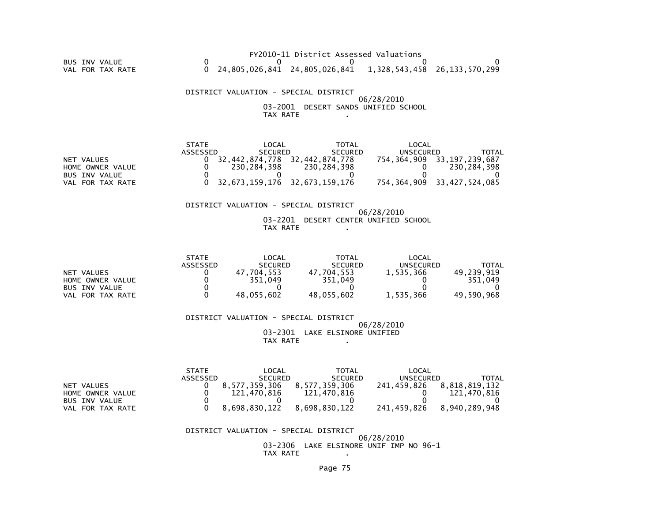### FY2010-11 District Assessed Valuations BUS INV VALUE 0 0 0 0 0VAL FOR TAX RATE 0 24,805,026,841 24,805,026,841 1,328,543,458 26,133,570,299

 DISTRICT VALUATION - SPECIAL DISTRICT 06/28/2010 03-2001 DESERT SANDS UNIFIED SCHOOLTAX RATE .

|                      | <b>STATE</b> | LOCAL                             | TOTAL          | LOCAL     |                                 |
|----------------------|--------------|-----------------------------------|----------------|-----------|---------------------------------|
|                      | ASSESSED     | <b>SECURED</b>                    | <b>SECURED</b> | UNSECURED | TOTAL                           |
| NET VALUES           |              | 32.442.874.778                    | 32.442.874.778 |           | 754, 364, 909 33, 197, 239, 687 |
| HOME OWNER VALUE     |              | 230.284.398                       | 230,284,398    |           | 230.284.398                     |
| <b>BUS INV VALUE</b> |              |                                   |                |           |                                 |
| VAL FOR TAX RATE     |              | $0$ 32,673,159,176 32,673,159,176 |                |           | 754.364.909 33.427.524.085      |

#### DISTRICT VALUATION - SPECIAL DISTRICT

### 06/28/2010 03-2201 DESERT CENTER UNIFIED SCHOOLTAX RATE .

|                      | <b>STATE</b> | LOCAL            | TOTAL          | LOCAL     |            |
|----------------------|--------------|------------------|----------------|-----------|------------|
|                      | ASSESSED     | <b>SECURED</b>   | <b>SECURED</b> | UNSECURED | TOTAL      |
| NET VALUES           |              | 7.704.553.<br>47 | 704.553<br>47  | 1.535.366 | 49.239.919 |
| HOME OWNER VALUE     |              | 351.049          | 351.049        |           | 351.049    |
| <b>BUS INV VALUE</b> |              |                  |                |           |            |
| FOR TAX RATE<br>VAL  |              | 48,055,602       | 48.055.602     | 1,535,366 | 49.590.968 |

 DISTRICT VALUATION - SPECIAL DISTRICT06/28/2010

 03-2301 LAKE ELSINORE UNIFIEDTAX RATE .

|                      | <b>STATE</b> | LOCAL          | TOTAL          | LOCAL       |               |
|----------------------|--------------|----------------|----------------|-------------|---------------|
|                      | ASSESSED     | <b>SECURED</b> | <b>SECURED</b> | UNSECURED   | <b>TOTAL</b>  |
| NET VALUES           |              | 8.577.359.306  | 8.577.359.306  | 241.459.826 | 8.818.819.132 |
| HOME OWNER VALUE     |              | 121,470,816    | 121.470.816    |             | 121,470,816   |
| <b>BUS INV VALUE</b> |              |                |                |             |               |
| VAL FOR TAX RATE     |              | 8.698.830.122  | 8.698.830.122  | 241.459.826 | 8.940.289.948 |

#### DISTRICT VALUATION - SPECIAL DISTRICT

 06/28/2010 03-2306 LAKE ELSINORE UNIF IMP NO 96-1TAX RATE .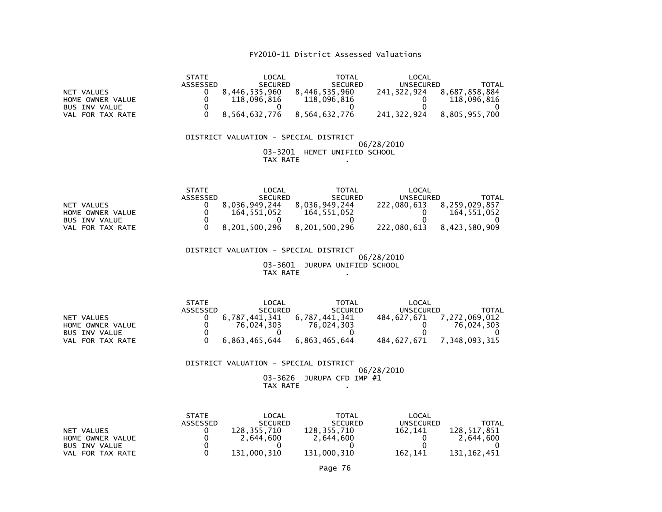|                                          | <b>LOCAL</b><br><b>TOTAL</b><br><b>STATE</b><br>ASSESSED<br>SECURED<br><b>SECURED</b>                                        | LOCAL<br><b>UNSECURED</b><br><b>TOTAL</b>                                   |
|------------------------------------------|------------------------------------------------------------------------------------------------------------------------------|-----------------------------------------------------------------------------|
| NET VALUES<br>HOME OWNER VALUE           | 8,446,535,960<br>8,446,535,960<br>0<br>0<br>118,096,816<br>118,096,816                                                       | 241, 322, 924<br>8,687,858,884<br>118,096,816<br>0<br>$\Omega$              |
| <b>BUS INV VALUE</b><br>VAL FOR TAX RATE | $\mathbf{0}$<br>$\Omega$<br>0<br>$\Omega$<br>8,564,632,776<br>8,564,632,776                                                  | 241, 322, 924<br>8,805,955,700                                              |
|                                          | DISTRICT VALUATION - SPECIAL DISTRICT<br>03-3201 HEMET UNIFIED SCHOOL<br>TAX RATE                                            | 06/28/2010                                                                  |
|                                          | <b>STATE</b><br>LOCAL<br><b>TOTAL</b><br><b>SECURED</b><br>ASSESSED<br><b>SECURED</b>                                        | LOCAL<br><b>UNSECURED</b><br><b>TOTAL</b>                                   |
| NET VALUES<br>HOME OWNER VALUE           | 8,036,949,244<br>8,036,949,244<br>0<br>$\mathbf{0}$<br>164,551,052<br>164,551,052                                            | 222,080,613<br>8,259,029,857<br>164, 551, 052<br>0                          |
| <b>BUS INV VALUE</b><br>VAL FOR TAX RATE | 0<br>$\mathbf{0}$<br>0<br>8,201,500,296<br>8,201,500,296<br>$\Omega$                                                         | $\mathbf{0}$<br>0<br>8,423,580,909<br>222,080,613                           |
|                                          | DISTRICT VALUATION - SPECIAL DISTRICT<br>03-3601 JURUPA UNIFIED SCHOOL<br>TAX RATE                                           | 06/28/2010                                                                  |
| NET VALUES                               | <b>STATE</b><br>LOCAL<br><b>TOTAL</b><br>ASSESSED<br><b>SECURED</b><br><b>SECURED</b><br>6,787,441,341<br>6,787,441,341<br>0 | LOCAL<br><b>UNSECURED</b><br><b>TOTAL</b><br>484, 627, 671<br>7,272,069,012 |
| HOME OWNER VALUE<br><b>BUS INV VALUE</b> | $\mathbf 0$<br>76,024,303<br>76,024,303<br>0<br>$\Omega$<br>$\Omega$                                                         | 76,024,303<br>0<br>$\Omega$<br>$\Omega$                                     |
| VAL FOR TAX RATE                         | 6,863,465,644<br>6,863,465,644<br>$\Omega$                                                                                   | 7,348,093,315<br>484,627,671                                                |
|                                          | DISTRICT VALUATION - SPECIAL DISTRICT                                                                                        | 06/28/2010                                                                  |
|                                          | 03-3626<br>JURUPA CFD IMP #1<br>TAX RATE                                                                                     |                                                                             |
|                                          | <b>STATE</b><br>LOCAL<br><b>TOTAL</b><br><b>ASSESSED</b><br><b>SECURED</b><br><b>SECURED</b><br>120.255.710<br>120.255.710   | LOCAL<br><b>UNSECURED</b><br><b>TOTAL</b><br>130.517.051<br>$102 - 111$     |

| NET<br>VALUES        | 128.355.710 | 128.355.710 | 162.141 | 128.517.851 |
|----------------------|-------------|-------------|---------|-------------|
| HOME OWNER VALUE     | 2.644.600   | 2.644.600   |         | 2,644,600   |
| <b>BUS INV VALUE</b> |             |             |         |             |
| VAL FOR TAX RATE     | 131,000,310 | 131,000,310 | 162.141 | 131.162.451 |
|                      |             |             |         |             |

Page 76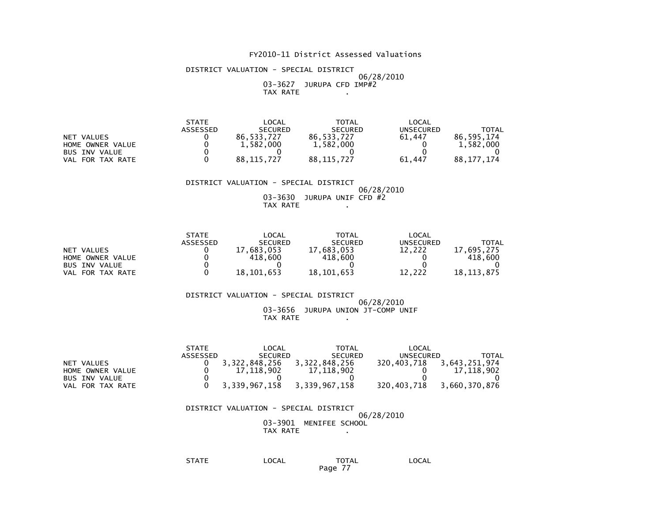DISTRICT VALUATION - SPECIAL DISTRICT 06/28/2010 03-3627 JURUPA CFD IMP#2TAX RATE .

|                      | <b>STATE</b> | LOCAL          | <b>TOTAL</b>   | LOCAL            |            |
|----------------------|--------------|----------------|----------------|------------------|------------|
|                      | ASSESSED     | <b>SECURED</b> | <b>SECURED</b> | <b>UNSECURED</b> | TOTAL      |
| NET VALUES           |              | 86.533.727     | 86.533.727     | 61.447           | 86.595.174 |
| HOME OWNER VALUE     |              | 1,582,000      | 1,582,000      |                  | 1,582,000  |
| <b>BUS INV VALUE</b> |              |                |                |                  |            |
| FOR TAX RATE<br>VAL  |              | 88.115.727     | 88.115.727     | 61.447           | 88.177.174 |

#### DISTRICT VALUATION - SPECIAL DISTRICT

 06/28/2010 03-3630 JURUPA UNIF CFD #2TAX RATE .

|                      | <b>STATE</b> | LOCAL          | <b>TOTAL</b>   | LOCAL     |            |
|----------------------|--------------|----------------|----------------|-----------|------------|
|                      | ASSESSED     | <b>SECURED</b> | <b>SECURED</b> | UNSECURED | TOTAL      |
| NET VALUES           |              | 17.683.053     | 17,683,053     | 12.222    | 17.695.275 |
| HOME OWNER VALUE     |              | 418,600        | 418,600        |           | 418.600    |
| <b>BUS INV VALUE</b> |              |                |                |           |            |
| VAL FOR TAX RATE     |              | 18.101.653     | 18,101,653     | 12.222    | 18.113.875 |

#### DISTRICT VALUATION - SPECIAL DISTRICT06/28/2010

#### 03-3656 JURUPA UNION JT-COMP UNIFTAX RATE .

|                      | <b>STATE</b> | LOCAL          | TOTAL          | LOCAL       |               |
|----------------------|--------------|----------------|----------------|-------------|---------------|
|                      | ASSESSED     | <b>SECURED</b> | <b>SECURED</b> | UNSECURED   | <b>TOTAL</b>  |
| NET VALUES           |              | 3,322,848,256  | 3,322,848,256  | 320,403,718 | 3,643,251,974 |
| HOME OWNER VALUE     |              | 17.118.902     | 17.118.902     |             | 17.118.902    |
| <b>BUS INV VALUE</b> |              |                |                |             |               |
| VAL FOR TAX RATE     |              | 3.339.967.158  | 3,339,967,158  | 320.403.718 | 3.660.370.876 |

#### DISTRICT VALUATION - SPECIAL DISTRICT 06/28/2010 03-3901 MENIFEE SCHOOLTAX RATE .

STATE LOCAL TOTAL LOCAL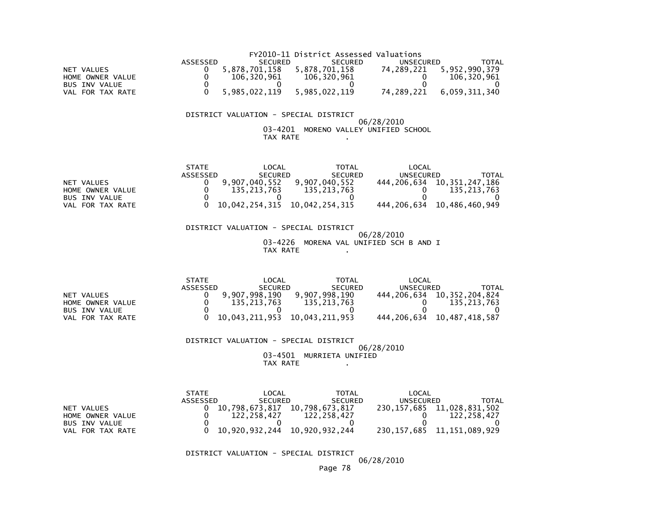|                  |          |               | FY2010-11 District Assessed Valuations |            |               |
|------------------|----------|---------------|----------------------------------------|------------|---------------|
|                  | ASSESSED | SECURED       | <b>SECURED</b>                         | UNSECURED  | TOTAL         |
| NET VALUES       |          | 5,878,701,158 | 5.878.701.158                          | 74.289.221 | 5,952,990,379 |
| HOME OWNER VALUE |          | 106.320.961   | 106.320.961                            |            | 106.320.961   |
| BUS INV VALUE    |          |               |                                        |            |               |
| VAL FOR TAX RATE |          | 5.985.022.119 | 5.985.022.119                          | 74.289.221 | 6.059.311.340 |

### DISTRICT VALUATION - SPECIAL DISTRICT

### $06/28/2010$  03-4201 MORENO VALLEY UNIFIED SCHOOLTAX RATE .

|                      | <b>STATE</b> | _OCAL                         | TOTAL          | LOCAL       |                                 |
|----------------------|--------------|-------------------------------|----------------|-------------|---------------------------------|
|                      | ASSESSED     | <b>SECURED</b>                | <b>SECURED</b> | UNSECURED   | TOTAL                           |
| NET VALUES           |              | 9.907.040.552                 | 9,907,040,552  |             | 444, 206, 634 10, 351, 247, 186 |
| HOME OWNER VALUE     |              | 135.213.763                   | 135.213.763    |             | 135.213.763                     |
| <b>BUS INV VALUE</b> |              |                               |                |             |                                 |
| VAL FOR TAX RATE     |              | 10,042,254,315 10,042,254,315 |                | 444.206.634 | 10,486,460,949                  |

 DISTRICT VALUATION - SPECIAL DISTRICT 06/28/2010 03-4226 MORENA VAL UNIFIED SCH B AND ITAX RATE .

|                      | <b>STATE</b> | LOCAL          | <b>TOTAL</b>   | LOCAL     |                                 |
|----------------------|--------------|----------------|----------------|-----------|---------------------------------|
|                      | ASSESSED     | <b>SECURED</b> | <b>SECURED</b> | UNSECURED | TOTAL                           |
| NET VALUES           |              | 9.907.998.190  | 9.907.998.190  |           | 444, 206, 634 10, 352, 204, 824 |
| HOME OWNER VALUE     |              | 135.213.763    | 135.213.763    |           | 135.213.763                     |
| <b>BUS INV VALUE</b> |              |                |                |           |                                 |
| VAL FOR TAX RATE     |              | 10.043.211.953 | 10.043.211.953 |           | 444, 206, 634 10, 487, 418, 587 |

 DISTRICT VALUATION - SPECIAL DISTRICT 06/28/2010 03-4501 MURRIETA UNIFIEDTAX RATE .

|                      | <b>STATE</b> | LOCAL          | <b>TOTAL</b>   | LOCAL            |                |
|----------------------|--------------|----------------|----------------|------------------|----------------|
|                      | ASSESSED     | <b>SECURED</b> | <b>SECURED</b> | <b>UNSECURED</b> | TOTAL          |
| NET VALUES           |              | 10.798.673.817 | 10,798,673,817 | 230,157,685      | 11,028,831,502 |
| HOME OWNER VALUE     |              | 122.258.427    | 122,258,427    |                  | 122.258.427    |
| <b>BUS INV VALUE</b> |              |                |                |                  |                |
| FOR TAX RATE<br>VAL  |              | 10,920,932,244 | 10,920,932,244 | 230,157,685      | 11,151,089,929 |

DISTRICT VALUATION - SPECIAL DISTRICT

06/28/2010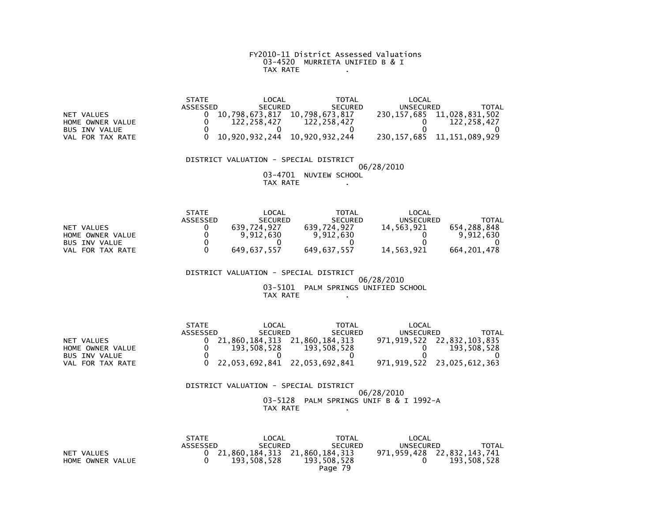### FY2010-11 District Assessed Valuations 03-4520 MURRIETA UNIFIED B & ITAX RATE .

|                      | <b>STATE</b> | LOCAL          | <b>TOTAL</b>   | LOCAL       |                   |
|----------------------|--------------|----------------|----------------|-------------|-------------------|
|                      | ASSESSED     | <b>SECURED</b> | <b>SECURED</b> | UNSECURED   | TOTAL             |
| NET VALUES           |              | 10.798.673.817 | 10.798.673.817 | 230.157.685 | 11,028,831,502    |
| HOME OWNER VALUE     |              | 122.258.427    | 122.258.427    |             | 122.258.427       |
| <b>BUS INV VALUE</b> |              |                |                |             |                   |
| FOR TAX RATE<br>VAL  |              | 10,920,932,244 | 10,920,932,244 | 230,157,685 | 11, 151, 089, 929 |

### DISTRICT VALUATION - SPECIAL DISTRICT06/28/2010

 03-4701 NUVIEW SCHOOLTAX RATE .

|                      | <b>STATE</b> | LOCAL          | TOTAL          | LOCAL      |             |
|----------------------|--------------|----------------|----------------|------------|-------------|
|                      | ASSESSED     | <b>SECURED</b> | <b>SECURED</b> | UNSECURED  | TOTAL       |
| NET VALUES           |              | 639.724.927    | 639.724.927    | 14.563.921 | 654.288.848 |
| HOME OWNER VALUE     |              | 9,912,630      | 9.912.630      |            | 9.912.630   |
| <b>BUS INV VALUE</b> |              |                |                |            |             |
| VAL FOR TAX RATE     |              | 649.637.557    | 649.637.557    | 14.563.921 | 664.201.478 |

DISTRICT VALUATION - SPECIAL DISTRICT

 $06/28/2010$  03-5101 PALM SPRINGS UNIFIED SCHOOLTAX RATE .

|                  | <b>STATE</b> | LOCAL                           | <b>TOTAL</b>   | LOCAL     |                            |
|------------------|--------------|---------------------------------|----------------|-----------|----------------------------|
|                  | ASSESSED     | <b>SECURED</b>                  | <b>SECURED</b> | UNSECURED | TOTAL                      |
| NET VALUES       |              | 21.860.184.313 21.860.184.313   |                |           | 971,919,522 22,832,103,835 |
| HOME OWNER VALUE |              | 193.508.528                     | 193.508.528    |           | 193.508.528                |
| BUS INV VALUE    |              |                                 |                |           |                            |
| VAL FOR TAX RATE |              | 0 22,053,692,841 22,053,692,841 |                |           | 971,919,522 23,025,612,363 |

 DISTRICT VALUATION - SPECIAL DISTRICT 06/28/2010 03-5128 PALM SPRINGS UNIF B & I 1992-ATAX RATE .

|                  | <b>STATE</b> | LOCAL          | <b>TOTAL</b>                    | LOCAL     |                            |
|------------------|--------------|----------------|---------------------------------|-----------|----------------------------|
|                  | ASSESSED     | <b>SECURED</b> | <b>SECURED</b>                  | UNSECURED | TOTAL                      |
| NET VALUES       |              |                | 0 21,860,184,313 21,860,184,313 |           | 971,959,428 22,832,143,741 |
| HOME OWNER VALUE |              | 193.508.528    | 193.508.528                     |           | 193.508.528                |
|                  |              |                | Page 79                         |           |                            |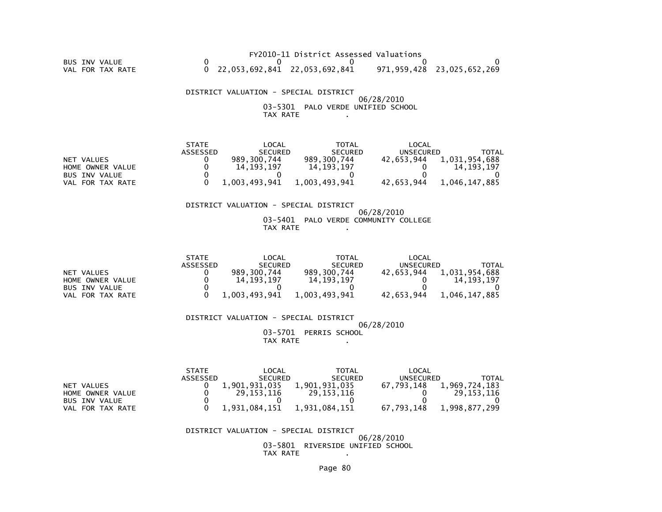FY2010-11 District Assessed Valuations BUS INV VALUE 0 0 0 0 0VAL FOR TAX RATE 0 22,053,692,841 22,053,692,841 971,959,428 23,025,652,269

 DISTRICT VALUATION - SPECIAL DISTRICT 06/28/2010 03-5301 PALO VERDE UNIFIED SCHOOLTAX RATE .

|                      | <b>STATE</b> | LOCAL          | <b>TOTAL</b>   | LOCAL      |               |
|----------------------|--------------|----------------|----------------|------------|---------------|
|                      | ASSESSED     | <b>SECURED</b> | <b>SECURED</b> | UNSECURED  | TOTAL         |
| NET VALUES           |              | 989.300.744    | 989.300.744    | 42.653.944 | 1,031,954,688 |
| HOME OWNER VALUE     |              | 14.193.197     | 14.193.197     |            | 14.193.197    |
| <b>BUS INV VALUE</b> |              |                |                |            |               |
| VAL FOR TAX RATE     |              | 1.003.493.941  | 1.003.493.941  | 42.653.944 | 1.046.147.885 |

#### DISTRICT VALUATION - SPECIAL DISTRICT

### 06/28/2010 03-5401 PALO VERDE COMMUNITY COLLEGETAX RATE .

|                      | <b>STATE</b> | LOCAL          | TOTAL          | LOCAL      |               |
|----------------------|--------------|----------------|----------------|------------|---------------|
|                      | ASSESSED     | <b>SECURED</b> | <b>SECURED</b> | UNSECURED  | TOTAL         |
| NET VALUES           |              | 989.300.744    | 989.300.744    | 42.653.944 | 1,031,954,688 |
| HOME OWNER VALUE     |              | 14.193.197     | 14.193.197     |            | 14.193.197    |
| <b>BUS INV VALUE</b> |              |                |                |            |               |
| VAL FOR TAX RATE     |              | 1.003.493.941  | 1.003.493.941  | 42.653.944 | 1.046.147.885 |

 DISTRICT VALUATION - SPECIAL DISTRICT 06/28/201003-5701 PERRIS SCHOOL

TAX RATE .

|                      | <b>STATE</b> | LOCAL          | TOTAL          | LOCAL      |               |
|----------------------|--------------|----------------|----------------|------------|---------------|
|                      | ASSESSED     | <b>SECURED</b> | <b>SECURED</b> | UNSECURED  | TOTAL         |
| NET VALUES           |              | 1,901,931,035  | 1,901,931,035  | 67.793.148 | 1,969,724,183 |
| HOME OWNER VALUE     |              | 29.153.116     | 29.153.116     |            | 29.153.116    |
| <b>BUS INV VALUE</b> |              |                |                |            |               |
| VAL FOR TAX RATE     |              | 1.931.084.151  | 1.931.084.151  | 67.793.148 | 1,998,877,299 |

#### DISTRICT VALUATION - SPECIAL DISTRICT

 06/28/2010 03-5801 RIVERSIDE UNIFIED SCHOOLTAX RATE .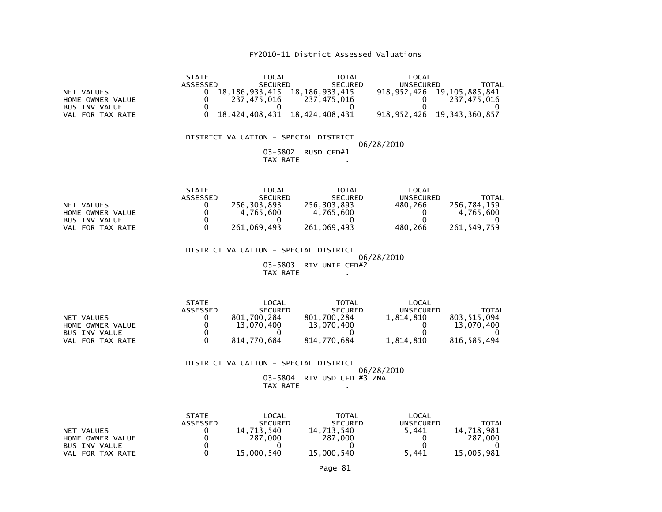| <b>NET VALUES</b><br>HOME OWNER VALUE<br><b>BUS INV VALUE</b><br>VAL FOR TAX RATE | <b>STATE</b><br><b>ASSESSED</b><br>0<br>0<br>0<br>0        | <b>LOCAL</b><br><b>SECURED</b><br>18, 186, 933, 415 18, 186, 933, 415<br>237,475,016<br>0<br>18,424,408,431 | <b>TOTAL</b><br><b>SECURED</b><br>237, 475, 016<br>$\mathbf{0}$<br>18,424,408,431      | LOCAL<br><b>UNSECURED</b><br>918, 952, 426<br>0<br>0<br>918, 952, 426 | <b>TOTAL</b><br>19,105,885,841<br>237, 475, 016<br>0<br>19, 343, 360, 857 |
|-----------------------------------------------------------------------------------|------------------------------------------------------------|-------------------------------------------------------------------------------------------------------------|----------------------------------------------------------------------------------------|-----------------------------------------------------------------------|---------------------------------------------------------------------------|
|                                                                                   |                                                            | DISTRICT VALUATION - SPECIAL DISTRICT<br>$03 - 5802$<br>TAX RATE                                            | RUSD CFD#1                                                                             | 06/28/2010                                                            |                                                                           |
| <b>NET VALUES</b><br>HOME OWNER VALUE<br><b>BUS INV VALUE</b><br>VAL FOR TAX RATE | <b>STATE</b><br><b>ASSESSED</b><br>0<br>0<br>0<br>0        | LOCAL<br><b>SECURED</b><br>256,303,893<br>4,765,600<br>0<br>261,069,493                                     | <b>TOTAL</b><br><b>SECURED</b><br>256, 303, 893<br>4,765,600<br>0<br>261,069,493       | LOCAL<br><b>UNSECURED</b><br>480,266<br>0<br>0<br>480,266             | <b>TOTAL</b><br>256,784,159<br>4,765,600<br>261,549,759                   |
|                                                                                   |                                                            | DISTRICT VALUATION - SPECIAL DISTRICT<br>$03 - 5803$<br>TAX RATE                                            | RIV UNIF CFD#2                                                                         | 06/28/2010                                                            |                                                                           |
| NET VALUES<br>HOME OWNER VALUE<br><b>BUS INV VALUE</b><br>VAL FOR TAX RATE        | <b>STATE</b><br><b>ASSESSED</b><br>0<br>0<br>0<br>$\Omega$ | <b>LOCAL</b><br><b>SECURED</b><br>801,700,284<br>13,070,400<br>0<br>814,770,684                             | <b>TOTAL</b><br><b>SECURED</b><br>801,700,284<br>13,070,400<br>$\Omega$<br>814,770,684 | LOCAL<br><b>UNSECURED</b><br>1,814,810<br>0<br>0<br>1,814,810         | <b>TOTAL</b><br>803, 515, 094<br>13,070,400<br>816, 585, 494              |
|                                                                                   |                                                            | DISTRICT VALUATION - SPECIAL DISTRICT                                                                       |                                                                                        | 06/28/2010                                                            |                                                                           |

06/28/2010 03-5804 RIV USD CFD #3 ZNA TAX RATE .

|                      | <b>STATE</b>    | LOCAL          | <b>TOTAL</b>   | LOCAL     |            |
|----------------------|-----------------|----------------|----------------|-----------|------------|
|                      | <b>ASSESSED</b> | <b>SECURED</b> | <b>SECURED</b> | UNSECURED | TOTAL      |
| NET VALUES           |                 | 713.540<br>14. | 14.713.540     | 5.441     | 14.718.981 |
| HOME OWNER VALUE     |                 | 287.000        | 287.000        |           | 287,000    |
| <b>BUS INV VALUE</b> |                 |                |                |           |            |
| VAL FOR TAX RATE     |                 | 15,000,540     | 15,000,540     | 5.441     | 15,005,981 |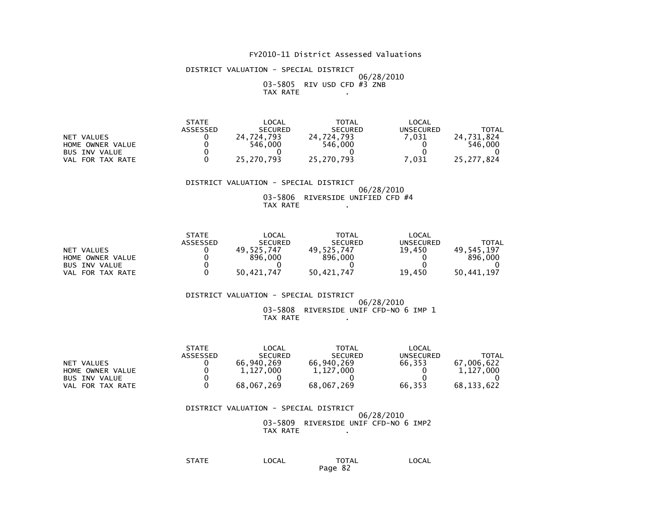DISTRICT VALUATION - SPECIAL DISTRICT 06/28/2010 03-5805 RIV USD CFD #3 ZNBTAX RATE .

|                      | <b>STATE</b>    | LOCAL          | <b>TOTAL</b>   | LOCAL     |              |
|----------------------|-----------------|----------------|----------------|-----------|--------------|
|                      | <b>ASSESSED</b> | <b>SECURED</b> | <b>SECURED</b> | UNSECURED | <b>TOTAL</b> |
| <b>NET</b><br>VALUES |                 | 24.724.793     | 724.793<br>24  | .031      | 24.731.824   |
| HOME OWNER VALUE     |                 | 546.000        | 546.000        |           | 546.000      |
| <b>BUS INV VALUE</b> |                 |                |                |           |              |
| FOR TAX RATE<br>VAL  |                 | 25.270.793     | 25.270.793     | .031      | 25.277.824   |

 DISTRICT VALUATION - SPECIAL DISTRICT 06/28/2010 03-5806 RIVERSIDE UNIFIED CFD #4TAX RATE .

|                      | <b>STATE</b> | LOCAL          | <b>TOTAL</b>   | <b>LOCAL</b> |            |
|----------------------|--------------|----------------|----------------|--------------|------------|
|                      | ASSESSED     | <b>SECURED</b> | <b>SECURED</b> | UNSECURED    | TOTAL      |
| NET VALUES           |              | 49.525.747     | 49.525.747     | 19.450       | 49.545.197 |
| HOME OWNER VALUE     |              | 896,000        | 896,000        |              | 896,000    |
| <b>BUS INV VALUE</b> |              |                |                |              |            |
| FOR TAX RATE<br>VAL  |              | 50.421.747     | 50.421.747     | 19.450       | 50.441.197 |

#### DISTRICT VALUATION - SPECIAL DISTRICT 06/28/2010 03-5808 RIVERSIDE UNIF CFD-NO 6 IMP 1TAX RATE .

|                      | <b>STATE</b> | LOCAL          | TOTAL          | LOCAL     |            |
|----------------------|--------------|----------------|----------------|-----------|------------|
|                      | ASSESSED     | <b>SECURED</b> | <b>SECURED</b> | UNSECURED | TOTAL      |
| NET VALUES           |              | 66.940.269     | 66.940.269     | 66.353    | 67.006.622 |
| HOME OWNER VALUE     |              | 1.127.000      | 1,127,000      |           | 1.127.000  |
| <b>BUS INV VALUE</b> |              |                |                |           |            |
| VAL FOR TAX RATE     |              | 68,067,269     | 68,067,269     | 66.353    | 68.133.622 |

 DISTRICT VALUATION - SPECIAL DISTRICT 06/28/2010 03-5809 RIVERSIDE UNIF CFD-NO 6 IMP2TAX RATE .

| <b>STATE</b> | LOCAL | <b>TOTAL</b> | LOCAL |
|--------------|-------|--------------|-------|
|              | ___   |              |       |
|              |       | 82<br>Page   |       |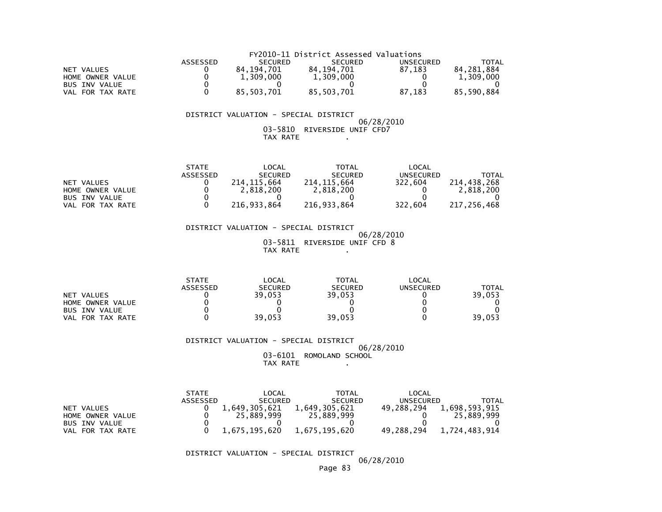|                      | FY2010-11 District Assessed Valuations |                |                |           |            |  |  |
|----------------------|----------------------------------------|----------------|----------------|-----------|------------|--|--|
|                      | ASSESSED                               | <b>SECURED</b> | <b>SECURED</b> | UNSECURED | TOTAL      |  |  |
| NET VALUES           |                                        | 84.194.701     | 84.194.701     | 87.183    | 84.281.884 |  |  |
| HOME OWNER VALUE     |                                        | 1.309.000      | 1,309,000      |           | 1.309.000  |  |  |
| <b>BUS INV VALUE</b> |                                        |                |                |           |            |  |  |
| VAL FOR TAX RATE     |                                        | 85.503.701     | 85.503.701     | 87.183    | 85.590.884 |  |  |

### DISTRICT VALUATION - SPECIAL DISTRICT

### 06/28/201003-5810 RIVERSIDE UNIF CFD7 TAX RATE .

|                      | <b>STATE</b>    | LOCAL          | TOTAL          | LOCAL     |             |
|----------------------|-----------------|----------------|----------------|-----------|-------------|
|                      | <b>ASSESSED</b> | <b>SECURED</b> | <b>SECURED</b> | UNSECURED | TOTAL       |
| NET VALUES           |                 | 214.115.664    | 214.115.664    | 322,604   | 214.438.268 |
| HOME OWNER VALUE     |                 | 2.818.200      | 2,818,200      |           | 2,818,200   |
| <b>BUS INV VALUE</b> |                 |                |                |           |             |
| VAL FOR TAX RATE     |                 | 216.933.864    | 216.933.864    | 322,604   | 217.256.468 |

 DISTRICT VALUATION - SPECIAL DISTRICT 06/28/2010 03-5811 RIVERSIDE UNIF CFD 8TAX RATE .

|                            | <b>STATE</b>    | <b>LOCAL</b>   | <b>TOTAL</b>   | LOCAL     |        |
|----------------------------|-----------------|----------------|----------------|-----------|--------|
|                            | <b>ASSESSED</b> | <b>SECURED</b> | <b>SECURED</b> | UNSECURED | TOTAL  |
| NET VALUES                 |                 | 39,053         | 39,053         |           | 39,053 |
| HOME OWNER VALUE           |                 |                |                |           |        |
| <b>BUS INV VALUE</b>       |                 |                |                |           |        |
| FOR TAX RATE<br><b>VAL</b> |                 | 39.053         | 39,053         |           | 39,053 |

### DISTRICT VALUATION - SPECIAL DISTRICT 06/28/2010 03-6101 ROMOLAND SCHOOLTAX RATE .

|                      | <b>STATE</b> | LOCAL          | <b>TOTAL</b>   | LOCAL      |               |
|----------------------|--------------|----------------|----------------|------------|---------------|
|                      | ASSESSED     | <b>SECURED</b> | <b>SECURED</b> | UNSECURED  | TOTAL         |
| VALUES<br><b>NET</b> |              | 1,649,305,621  | L.649.305.621  | 49.288.294 | 1,698,593,915 |
| HOME OWNER VALUE     |              | 25.889.999     | 25,889,999     |            | 25,889,999    |
| <b>BUS INV VALUE</b> |              |                |                |            |               |
| FOR TAX RATE<br>VAL. |              | 1,675,195,620  | 1,675,195,620  | 49,288,294 | 1,724,483,914 |

DISTRICT VALUATION - SPECIAL DISTRICT

06/28/2010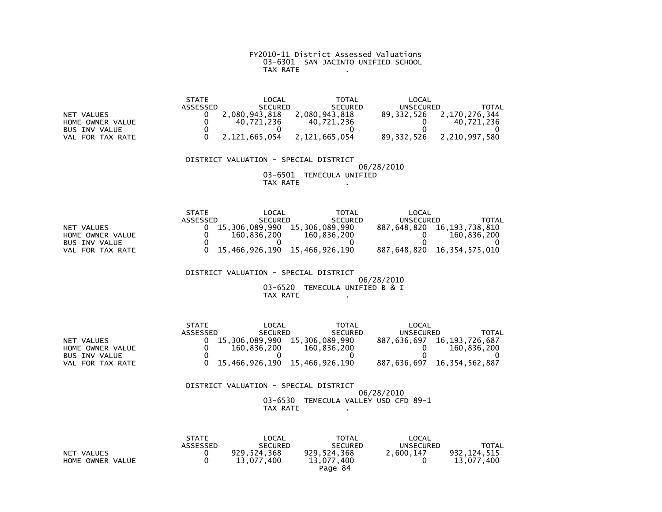# FY2010-11 District Assessed Valuations 03-6301 SAN JACINTO UNIFIED SCHOOLTAX RATE .

|                      | <b>STATE</b> | LOCAL          | <b>TOTAL</b>   | LOCAL        |               |
|----------------------|--------------|----------------|----------------|--------------|---------------|
|                      | ASSESSED     | <b>SECURED</b> | <b>SECURED</b> | UNSECURED    | TOTAL         |
| NET VALUES           |              | 2,080,943,818  | 2,080,943,818  | 89.332.526   | 2,170,276,344 |
| HOME OWNER VALUE     |              | 40.721.236     | 40.721.236     |              | 40.721.236    |
| <b>BUS INV VALUE</b> |              |                |                |              |               |
| FOR TAX RATE<br>VAL  |              | 2,121,665,054  | 2,121,665,054  | 89, 332, 526 | 2,210,997,580 |

### DISTRICT VALUATION - SPECIAL DISTRICT 06/28/201003-6501 TEMECULA UNIFIED

TAX RATE .

|                      | <b>STATE</b> | LOCAL          | TOTAL                         | LOCAL       |                |
|----------------------|--------------|----------------|-------------------------------|-------------|----------------|
|                      | ASSESSED     | <b>SECURED</b> | <b>SECURED</b>                | UNSECURED   | TOTAL          |
| NET VALUES           |              | 15.306.089.990 | 15.306.089.990                | 887.648.820 | 16,193,738,810 |
| HOME OWNER VALUE     |              | 160.836.200    | 160.836.200                   |             | 160.836.200    |
| <b>BUS INV VALUE</b> |              |                |                               |             |                |
| VAL FOR TAX RATE     |              |                | 15.466.926.190 15.466.926.190 | 887.648.820 | 16,354,575,010 |

 DISTRICT VALUATION - SPECIAL DISTRICT 06/28/2010 03-6520 TEMECULA UNIFIED B & I $TAX RATE$  .  $\therefore$  ...

|                      | <b>STATE</b> | LOCAL                         | <b>TOTAL</b>   | LOCAL       |                            |
|----------------------|--------------|-------------------------------|----------------|-------------|----------------------------|
|                      | ASSESSED     | <b>SECURED</b>                | <b>SECURED</b> | UNSECURED   | TOTAL                      |
| NET VALUES           |              | 15.306.089.990                | 15.306.089.990 | 887.636.697 | 16.193.726.687             |
| HOME OWNER VALUE     |              | 160.836.200                   | 160.836.200    |             | 160.836.200                |
| <b>BUS INV VALUE</b> |              |                               |                |             |                            |
| VAL FOR TAX RATE     |              | 15.466.926.190 15.466.926.190 |                |             | 887,636,697 16,354,562,887 |

| DISTRICT VALUATION - SPECIAL DISTRICT |                                      |            |  |
|---------------------------------------|--------------------------------------|------------|--|
|                                       |                                      | 06/28/2010 |  |
|                                       | 03-6530 TEMECULA VALLEY USD CFD 89-1 |            |  |
| TAX RATE                              |                                      |            |  |

|                  | <b>STATE</b> | LOCAL          | <b>TOTAL</b>   | LOCAL     |              |
|------------------|--------------|----------------|----------------|-----------|--------------|
|                  | ASSESSED     | <b>SECURED</b> | <b>SECURED</b> | UNSECURED | <b>TOTAL</b> |
| NET VALUES       |              | 929,524,368    | 929,524,368    | 2.600.147 | 932,124,515  |
| HOME OWNER VALUE |              | 13.077.400     | 13,077,400     |           | 13.077.400   |
|                  |              |                | Page 84        |           |              |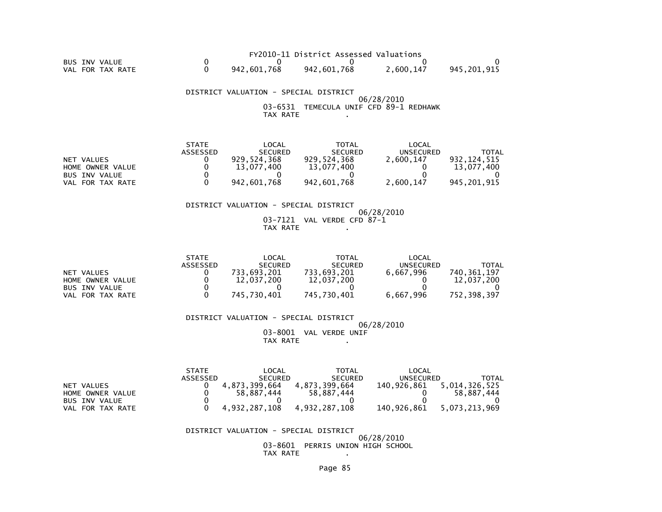|                  |             | FY2010-11 District Assessed Valuations |           |             |
|------------------|-------------|----------------------------------------|-----------|-------------|
| BUS INV VALUE    |             |                                        |           |             |
| VAL FOR TAX RATE | 942.601.768 | 942.601.768                            | 2.600.147 | 945.201.915 |

 DISTRICT VALUATION - SPECIAL DISTRICT 06/28/2010 03-6531 TEMECULA UNIF CFD 89-1 REDHAWKTAX RATE .

|                      | <b>STATE</b>    | LOCAL          | TOTAL          | LOCAL     |             |
|----------------------|-----------------|----------------|----------------|-----------|-------------|
|                      | <b>ASSESSED</b> | <b>SECURED</b> | <b>SECURED</b> | UNSECURED | TOTAL       |
| NET VALUES           |                 | 929.524.368    | 929.524.368    | 2,600,147 | 932.124.515 |
| HOME OWNER VALUE     |                 | 13.077.400     | 13.077.400     |           | 13.077.400  |
| <b>BUS INV VALUE</b> |                 |                |                |           |             |
| VAL FOR TAX RATE     |                 | 942.601.768    | 942,601,768    | 2.600.147 | 945.201.915 |

### DISTRICT VALUATION - SPECIAL DISTRICT

 06/28/2010 03-7121 VAL VERDE CFD 87-1TAX RATE .

|                      | <b>STATE</b>    | _OCAL          | TOTAL          | LOCAL     |             |
|----------------------|-----------------|----------------|----------------|-----------|-------------|
|                      | <b>ASSESSED</b> | <b>SECURED</b> | <b>SECURED</b> | UNSECURED | TOTAL       |
| NET VALUES           |                 | 733.693.201    | 733.693.201    | 6.667.996 | 740.361.197 |
| HOME OWNER VALUE     |                 | 12,037,200     | 12,037,200     |           | 12.037.200  |
| <b>BUS INV VALUE</b> |                 |                |                |           |             |
| VAL FOR TAX RATE     |                 | 745.730.401    | 745.730.401    | 6.667.996 | 752.398.397 |

DISTRICT VALUATION - SPECIAL DISTRICT

 06/28/201003-8001 VAL VERDE UNIF

TAX RATE .

|                      | <b>STATE</b> | ∟OCAL          | ΤΟΤΑΙ          | LOCAL       |               |
|----------------------|--------------|----------------|----------------|-------------|---------------|
|                      | ASSESSED     | <b>SECURED</b> | <b>SECURED</b> | UNSECURED   | TOTAL         |
| NET VALUES           |              | 4.873.399.664  | 4.873.399.664  | 140.926.861 | 5,014,326,525 |
| HOME OWNER VALUE     |              | 58.887.444     | 58.887.444     |             | 58.887.444    |
| <b>BUS INV VALUE</b> |              |                |                |             |               |
| VAL FOR TAX RATE     |              | 4,932,287,108  | 4.932.287.108  | 140.926.861 | 5.073.213.969 |

### DISTRICT VALUATION - SPECIAL DISTRICT

 06/28/2010 03-8601 PERRIS UNION HIGH SCHOOLTAX RATE .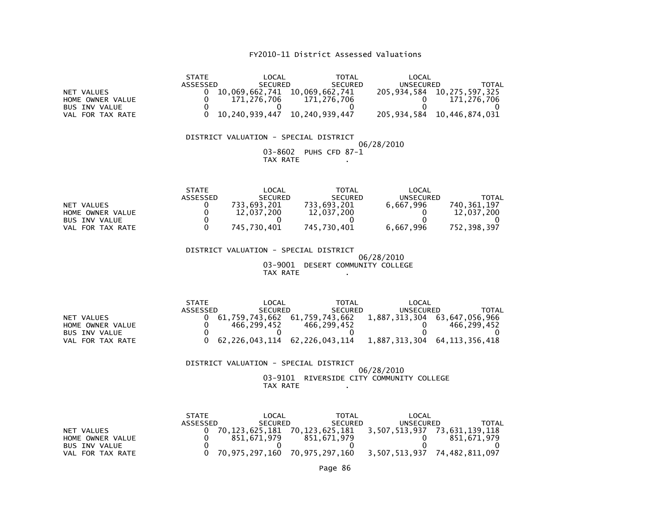| NET VALUES<br>HOME OWNER VALUE<br><b>BUS INV VALUE</b><br>VAL FOR TAX RATE | <b>STATE</b><br>ASSESSED<br>0<br>$\mathbf 0$<br>171,276,706<br>0<br>0<br>10,240,939,447               | <b>LOCAL</b><br><b>SECURED</b><br>10,069,662,741 10,069,662,741<br>0                                            | <b>TOTAL</b><br><b>SECURED</b><br>171.276.706<br>0<br>10,240,939,447            | LOCAL<br><b>UNSECURED</b><br>0<br>$\Omega$<br>205,934,584                | <b>TOTAL</b><br>205, 934, 584 10, 275, 597, 325<br>171,276,706<br>0<br>10,446,874,031              |
|----------------------------------------------------------------------------|-------------------------------------------------------------------------------------------------------|-----------------------------------------------------------------------------------------------------------------|---------------------------------------------------------------------------------|--------------------------------------------------------------------------|----------------------------------------------------------------------------------------------------|
|                                                                            | DISTRICT VALUATION - SPECIAL DISTRICT                                                                 | 03-8602<br>TAX RATE                                                                                             | PUHS CFD 87-1                                                                   | 06/28/2010                                                               |                                                                                                    |
| NET VALUES<br>HOME OWNER VALUE<br><b>BUS INV VALUE</b><br>VAL FOR TAX RATE | <b>STATE</b><br>ASSESSED<br>733,693,201<br>0<br>$\mathbf 0$<br>$\mathbf 0$<br>$\Omega$<br>745,730,401 | LOCAL<br><b>SECURED</b><br>12,037,200<br>0                                                                      | <b>TOTAL</b><br><b>SECURED</b><br>733,693,201<br>12,037,200<br>0<br>745,730,401 | LOCAL<br><b>UNSECURED</b><br>6,667,996<br>0<br>$\mathbf{0}$<br>6,667,996 | <b>TOTAL</b><br>740, 361, 197<br>12,037,200<br>0<br>752, 398, 397                                  |
|                                                                            | DISTRICT VALUATION - SPECIAL DISTRICT                                                                 | 03-9001 DESERT COMMUNITY COLLEGE<br>TAX RATE                                                                    |                                                                                 | 06/28/2010                                                               |                                                                                                    |
| NET VALUES<br>HOME OWNER VALUE<br><b>BUS INV VALUE</b><br>VAL FOR TAX RATE | <b>STATE</b><br><b>ASSESSED</b><br>0<br>466,299,452<br>0<br>0<br>0                                    | LOCAL<br><b>SECURED</b><br>61,759,743,662 61,759,743,662<br>$\mathbf{0}$<br>62, 226, 043, 114 62, 226, 043, 114 | <b>TOTAL</b><br><b>SECURED</b><br>466,299,452<br>$\mathbf{0}$                   | LOCAL<br>UNSECURED<br>0<br>$\mathbf{0}$                                  | <b>TOTAL</b><br>1,887,313,304 63,647,056,966<br>466, 299, 452<br>0<br>1,887,313,304 64,113,356,418 |
|                                                                            | DISTRICT VALUATION - SPECIAL DISTRICT                                                                 | TAX RATE                                                                                                        |                                                                                 | 06/28/2010<br>03-9101 RIVERSIDE CITY COMMUNITY COLLEGE                   |                                                                                                    |
|                                                                            | <b>CTATE</b>                                                                                          | LOCI                                                                                                            | <b>TOTAL</b>                                                                    | 1001                                                                     |                                                                                                    |

|                      | <b>STATE</b> | LOCAL          | TOTAL          | LOCAL         |                |
|----------------------|--------------|----------------|----------------|---------------|----------------|
|                      | ASSESSED     | <b>SECURED</b> | <b>SECURED</b> | UNSECURED     | TOTAL          |
| NET VALUES           |              | 70.123.625.181 | 70.123.625.181 | 3,507,513,937 | 73.631.139.118 |
| HOME OWNER VALUE     |              | 851.671.979    | 851.671.979    |               | 851.671.979    |
| <b>BUS INV VALUE</b> |              |                |                |               |                |
| FOR TAX RATE<br>VAL  |              | 70,975,297,160 | 70,975,297,160 | 3,507,513,937 | 74,482,811,097 |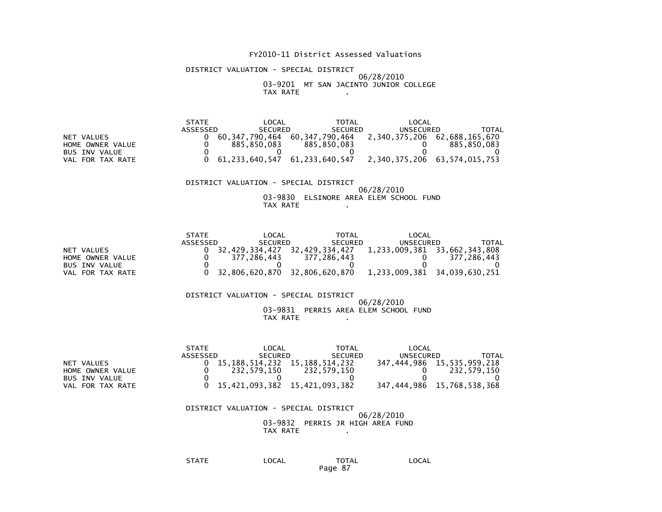DISTRICT VALUATION - SPECIAL DISTRICT06/28/2010

#### 03-9201 MT SAN JACINTO JUNIOR COLLEGETAX RATE .

|                      | <b>STATE</b> | LOCAL          | TOTAL          | LOCAL         |                |
|----------------------|--------------|----------------|----------------|---------------|----------------|
|                      | ASSESSED     | <b>SECURED</b> | <b>SECURED</b> | UNSECURED     | ΤΟΤΑΙ          |
| VALUES<br><b>NET</b> |              | 60.347.790.464 | 60.347.790.464 | 2,340,375,206 | 62,688,165,670 |
| HOME OWNER VALUE     |              | 885.850.083    | 885.850.083    |               | 885.850.083    |
| BUS INV VALUE        |              |                |                |               |                |
| FOR TAX RATE<br>VAL  |              | 61,233,640,547 | 61,233,640,547 | 2,340,375,206 | 63,574,015,753 |

 DISTRICT VALUATION - SPECIAL DISTRICT 06/28/2010 03-9830 ELSINORE AREA ELEM SCHOOL FUNDTAX RATE .

|                  | <b>STATE</b> | LOCAL                         | TOTAL          | LOCAL                        |                              |
|------------------|--------------|-------------------------------|----------------|------------------------------|------------------------------|
|                  | ASSESSED     | <b>SECURED</b>                | <b>SECURED</b> | UNSECURED                    | TOTAL                        |
| NET VALUES       |              | 32.429.334.427                | 32,429,334,427 | 1,233,009,381 33,662,343,808 |                              |
| HOME OWNER VALUE |              | 377.286.443                   | 377.286.443    |                              | 377.286.443                  |
| BUS INV VALUE    |              |                               |                |                              |                              |
| VAL FOR TAX RATE |              | 32,806,620,870 32,806,620,870 |                |                              | 1,233,009,381 34,039,630,251 |

#### DISTRICT VALUATION - SPECIAL DISTRICT 06/28/2010 03-9831 PERRIS AREA ELEM SCHOOL FUNDTAX RATE .

|                      | <b>STATE</b> | LOCAL                               | TOTAL          | LOCAL     |                                 |
|----------------------|--------------|-------------------------------------|----------------|-----------|---------------------------------|
|                      | ASSESSED     | <b>SECURED</b>                      | <b>SECURED</b> | UNSECURED | <b>TOTAL</b>                    |
| NET VALUES           |              | 15, 188, 514, 232 15, 188, 514, 232 |                |           | 347, 444, 986 15, 535, 959, 218 |
| HOME OWNER VALUE     |              | 232.579.150                         | 232,579,150    |           | 232.579.150                     |
| <b>BUS INV VALUE</b> |              |                                     |                |           |                                 |
| VAL FOR TAX RATE     |              | $0$ 15,421,093,382 15,421,093,382   |                |           | 347,444,986 15,768,538,368      |

 DISTRICT VALUATION - SPECIAL DISTRICT 06/28/2010 03-9832 PERRIS JR HIGH AREA FUNDTAX RATE .

> STATE LOCAL TOTAL LOCALPage 87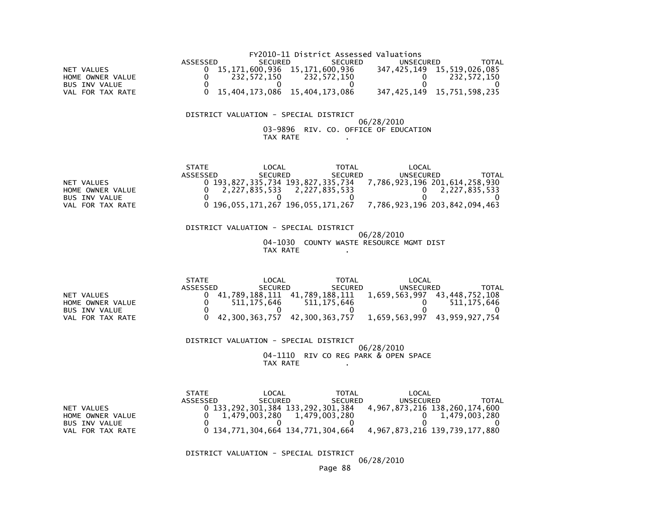|                  |          |                                 | FY2010-11 District Assessed Valuations |           |                                 |
|------------------|----------|---------------------------------|----------------------------------------|-----------|---------------------------------|
|                  | ASSESSED | <b>SECURED</b>                  | <b>SECURED</b>                         | UNSECURED | TOTAL                           |
| NET VALUES       |          | 15,171,600,936 15,171,600,936   |                                        |           | 347, 425, 149 15, 519, 026, 085 |
| HOME OWNER VALUE |          | 232.572.150                     | 232,572,150                            |           | 232.572.150                     |
| BUS INV VALUE    |          |                                 |                                        |           |                                 |
| VAL FOR TAX RATE |          | 0 15,404,173,086 15,404,173,086 |                                        |           | 347,425,149 15,751,598,235      |

#### DISTRICT VALUATION - SPECIAL DISTRICT

### 06/28/2010 03-9896 RIV. CO. OFFICE OF EDUCATIONTAX RATE .

|                     | <b>STATE</b> | LOCAL                             | TOTAL          | LOCAL                         |               |
|---------------------|--------------|-----------------------------------|----------------|-------------------------------|---------------|
|                     | ASSESSED     | <b>SECURED</b>                    | <b>SECURED</b> | UNSECURED                     | TOTAL         |
| NET VALUES          |              | 0 193.827.335.734 193.827.335.734 |                | 7,786,923,196 201,614,258,930 |               |
| HOME OWNER VALUE    |              | 2,227,835,533                     | 2,227,835,533  |                               | 2,227,835,533 |
| BUS INV VALUE       |              |                                   |                |                               |               |
| FOR TAX RATE<br>VAL |              | 0 196,055,171,267 196,055,171,267 |                | 7,786,923,196 203,842,094,463 |               |

 DISTRICT VALUATION - SPECIAL DISTRICT 06/28/2010 04-1030 COUNTY WASTE RESOURCE MGMT DISTTAX RATE .

|                     | <b>STATE</b> | LOCAL                            | TOTAL          | LOCAL                        |             |
|---------------------|--------------|----------------------------------|----------------|------------------------------|-------------|
|                     | ASSESSED     | <b>SECURED</b>                   | <b>SECURED</b> | UNSECURED                    | TOTAL       |
| NET VALUES          |              | 41,789,188,111    41,789,188,111 |                | 1,659,563,997 43,448,752,108 |             |
| HOME OWNER VALUE    |              | 511.175.646                      | 511.175.646    |                              | 511.175.646 |
| BUS INV VALUE       |              |                                  |                |                              |             |
| FOR TAX RATE<br>VAL |              | 42,300,363,757 42,300,363,757    |                | 1,659,563,997 43,959,927,754 |             |

### DISTRICT VALUATION - SPECIAL DISTRICT 06/28/2010 04-1110 RIV CO REG PARK & OPEN SPACETAX RATE .

|                       | <b>STATE</b> | LOCAL                             | TOTAL          | LOCAL                         |               |
|-----------------------|--------------|-----------------------------------|----------------|-------------------------------|---------------|
|                       | ASSESSED     | <b>SECURED</b>                    | <b>SECURED</b> | UNSECURED                     | TOTAL         |
| NET VALUES            |              | 0 133,292,301,384 133,292,301,384 |                | 4,967,873,216 138,260,174,600 |               |
| HOME OWNER VALUE      |              | 1,479,003,280 1,479,003,280       |                |                               | 1,479,003,280 |
| <b>BUS INV VALUE</b>  |              |                                   |                |                               |               |
| . FOR TAX RATE<br>VAL |              | 0 134,771,304,664 134,771,304,664 |                | 4,967,873,216 139,739,177,880 |               |

DISTRICT VALUATION - SPECIAL DISTRICT

06/28/2010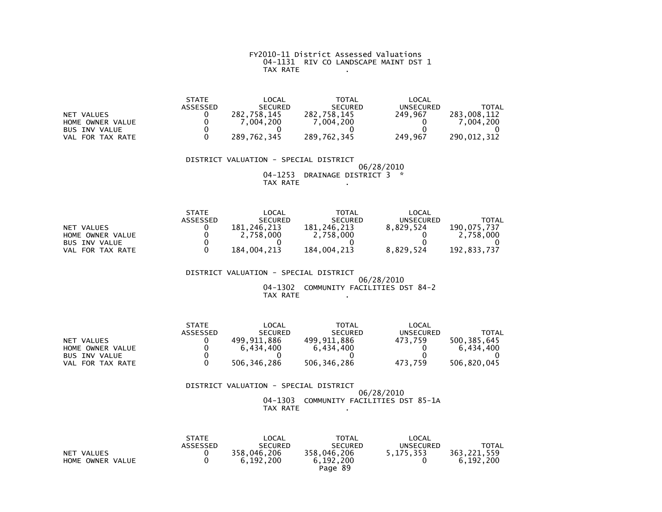### FY2010-11 District Assessed Valuations 04-1131 RIV CO LANDSCAPE MAINT DST 1TAX RATE .

|                      | <b>STATE</b> | _OCAL          | <b>TOTAL</b>   | LOCAL     |             |
|----------------------|--------------|----------------|----------------|-----------|-------------|
|                      | ASSESSED     | <b>SECURED</b> | <b>SECURED</b> | UNSECURED | TOTAL       |
| NET VALUES           |              | 282.758.145    | 282,758,145    | 249.967   | 283.008.112 |
| HOME OWNER VALUE     |              | .004.200       | .004.200       |           | .004.200    |
| <b>BUS INV VALUE</b> |              |                |                |           |             |
| FOR TAX RATE<br>VAL  |              | 289.762.345    | 289,762,345    | 249,967   | 290.012.312 |

### DISTRICT VALUATION - SPECIAL DISTRICT 06/28/2010 04-1253 DRAINAGE DISTRICT 3 \*TAX RATE .

|                      | <b>STATE</b> | _OCAL          | <b>TOTAL</b>   | LOCAL     |             |
|----------------------|--------------|----------------|----------------|-----------|-------------|
|                      | ASSESSED     | <b>SECURED</b> | <b>SECURED</b> | UNSECURED | TOTAL       |
| NET VALUES           |              | 181.246.213    | 181.246.213    | 8.829.524 | 190.075.737 |
| HOME OWNER VALUE     |              | 2,758,000      | 2,758,000      |           | 2.758.000   |
| <b>BUS INV VALUE</b> |              |                |                |           |             |
| FOR TAX RATE<br>VAL  |              | 184.004.213    | 184.004.213    | 8.829.524 | 192.833.737 |

### DISTRICT VALUATION - SPECIAL DISTRICT $06/28/2010$  04-1302 COMMUNITY FACILITIES DST 84-2TAX RATE .

|                  | <b>STATE</b> | LOCAL          | <b>TOTAL</b>   | LOCAL     |             |
|------------------|--------------|----------------|----------------|-----------|-------------|
|                  | ASSESSED     | <b>SECURED</b> | <b>SECURED</b> | UNSECURED | TOTAL       |
| NET VALUES       |              | 499.911.886    | 499.911.886    | 473.759   | 500.385.645 |
| HOME OWNER VALUE |              | 6.434.400      | 6.434.400      |           | 6.434.400   |
| BUS INV VALUE    |              |                |                |           |             |
| VAL FOR TAX RATE |              | 506.346.286    | 506,346,286    | 473.759   | 506.820.045 |

### DISTRICT VALUATION - SPECIAL DISTRICT 06/28/2010 04-1303 COMMUNITY FACILITIES DST 85-1ATAX RATE .

|                  | <b>STATE</b>    | LOCAL          | <b>TOTAL</b>   | LOCAL     |             |
|------------------|-----------------|----------------|----------------|-----------|-------------|
|                  | <b>ASSESSED</b> | <b>SECURED</b> | <b>SECURED</b> | UNSECURED | TOTAL       |
| NET VALUES       |                 | 358,046,206    | 358,046,206    | 5.175.353 | 363.221.559 |
| HOME OWNER VALUE |                 | 6.192.200      | 6.192.200      |           | 6.192.200   |
|                  |                 |                | Page 89        |           |             |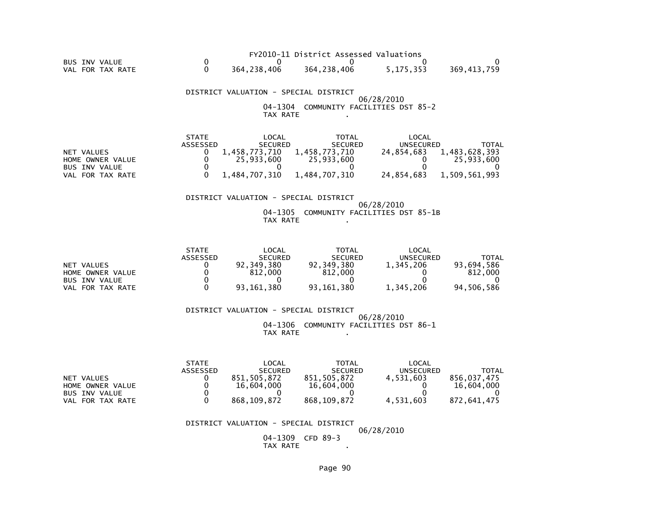|                  |             | FY2010-11 District Assessed Valuations |           |             |
|------------------|-------------|----------------------------------------|-----------|-------------|
| BUS INV VALUE    |             |                                        |           |             |
| VAL FOR TAX RATE | 364.238.406 | 364, 238, 406                          | 5.175.353 | 369.413.759 |

 DISTRICT VALUATION - SPECIAL DISTRICT 06/28/2010 04-1304 COMMUNITY FACILITIES DST 85-2TAX RATE .

|                      | <b>STATE</b> | LOCAL          | TOTAL          | LOCAL      |               |
|----------------------|--------------|----------------|----------------|------------|---------------|
|                      | ASSESSED     | <b>SECURED</b> | <b>SECURED</b> | UNSECURED  | TOTAL         |
| NET VALUES           |              | 1.458.773.710  | 1.458.773.710  | 24.854.683 | 1,483,628,393 |
| HOME OWNER VALUE     |              | 25.933.600     | 25,933,600     |            | 25.933.600    |
| <b>BUS INV VALUE</b> |              |                |                |            |               |
| VAL FOR TAX RATE     |              | 1.484.707.310  | 1.484.707.310  | 24.854.683 | 1.509.561.993 |

### DISTRICT VALUATION - SPECIAL DISTRICT

### 06/28/2010 04-1305 COMMUNITY FACILITIES DST 85-1BTAX RATE .

|                      | <b>STATE</b> | LOCAL          | <b>TOTAL</b>   | LOCAL            |            |
|----------------------|--------------|----------------|----------------|------------------|------------|
|                      | ASSESSED     | <b>SECURED</b> | <b>SECURED</b> | <b>UNSECURED</b> | TOTAL      |
| NET VALUES           |              | 92,349,380     | 92.349.380     | 1,345,206        | 93.694.586 |
| HOME OWNER VALUE     |              | 812,000        | 812,000        |                  | 812,000    |
| <b>BUS INV VALUE</b> |              |                |                |                  |            |
| FOR TAX RATE<br>VAL  |              | 93,161,380     | 93,161,380     | 1,345,206        | 94,506,586 |

 DISTRICT VALUATION - SPECIAL DISTRICT 06/28/2010 04-1306 COMMUNITY FACILITIES DST 86-1TAX RATE .

|                      | <b>STATE</b> | LOCAL          | <b>TOTAL</b>   | LOCAL            |             |
|----------------------|--------------|----------------|----------------|------------------|-------------|
|                      | ASSESSED     | <b>SECURED</b> | <b>SECURED</b> | <b>UNSECURED</b> | TOTAL       |
| VALUES<br><b>NET</b> |              | 851.505.872    | 851.505.872    | 4.531.603        | 856.037.475 |
| HOME OWNER VALUE     |              | 16,604,000     | 16,604,000     |                  | 16,604,000  |
| <b>BUS INV VALUE</b> |              |                |                |                  |             |
| FOR TAX RATE<br>VAL  |              | 868, 109, 872  | 868.109.872    | 4,531,603        | 872.641.475 |

### DISTRICT VALUATION - SPECIAL DISTRICT

06/28/2010

 04-1309 CFD 89-3**Contract Contract** TAX RATE .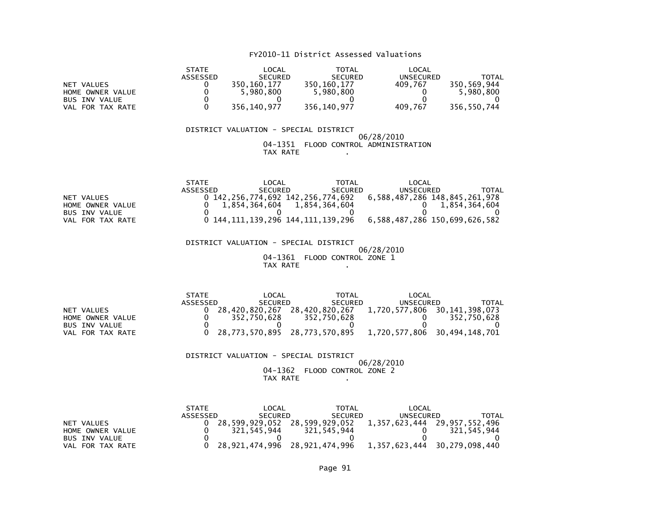|                      | <b>STATE</b> | LOCAL          | <b>TOTAL</b>   | LOCAL     |             |
|----------------------|--------------|----------------|----------------|-----------|-------------|
|                      | ASSESSED     | <b>SECURED</b> | <b>SECURED</b> | UNSECURED | TOTAL       |
| NET VALUES           |              | 350.160.177    | 350.160.177    | 409.767   | 350.569.944 |
| HOME OWNER VALUE     |              | 5.980.800      | 5,980,800      |           | 5,980,800   |
| <b>BUS INV VALUE</b> |              |                |                |           |             |
| FOR TAX RATE<br>VAL  |              | 356,140,977    | 356,140,977    | 409,767   | 356,550,744 |

### DISTRICT VALUATION - SPECIAL DISTRICT 06/28/2010 04-1351 FLOOD CONTROL ADMINISTRATIONTAX RATE .

|                      | <b>STATE</b> | LOCAL                       | <b>TOTAL</b>   | LOCAL                                                                     |               |
|----------------------|--------------|-----------------------------|----------------|---------------------------------------------------------------------------|---------------|
|                      | ASSESSED     | <b>SECURED</b>              | <b>SECURED</b> | UNSECURED                                                                 | TOTAL         |
| NET VALUES           |              |                             |                | 0 142,256,774,692 142,256,774,692 6,588,487,286 148,845,261,978           |               |
| HOME OWNER VALUE     |              | 1.854.364.604 1.854.364.604 |                |                                                                           | 1,854,364,604 |
| <b>BUS INV VALUE</b> |              |                             |                |                                                                           |               |
| FOR TAX RATE<br>VAL  |              |                             |                | 144, 111, 139, 296 144, 111, 139, 296 6, 588, 487, 286 150, 699, 626, 582 |               |

 DISTRICT VALUATION - SPECIAL DISTRICT 06/28/2010 04-1361 FLOOD CONTROL ZONE 1TAX RATE .

|                      | <b>STATE</b> | LOCAL          | <b>TOTAL</b>   | LOCAL         |                |
|----------------------|--------------|----------------|----------------|---------------|----------------|
|                      | ASSESSED     | <b>SECURED</b> | <b>SECURED</b> | UNSECURED     | ΤΟΤΑΙ          |
| NET VALUES           |              | 28.420.820.267 | 28.420.820.267 | 1.720.577.806 | 30.141.398.073 |
| HOME OWNER VALUE     |              | 352.750.628    | 352.750.628    |               | 352.750.628    |
| <b>BUS INV VALUE</b> |              |                |                |               |                |
| FOR TAX RATE<br>VAL. |              | 28,773,570,895 | 28,773,570,895 | 1,720,577,806 | 30,494,148,701 |

 DISTRICT VALUATION - SPECIAL DISTRICT 06/28/2010 04-1362 FLOOD CONTROL ZONE 2TAX RATE .

|                  | <b>STATE</b> | LOCAL          | <b>TOTAL</b>   | LOCAL                                                      |             |
|------------------|--------------|----------------|----------------|------------------------------------------------------------|-------------|
|                  | ASSESSED     | <b>SECURED</b> | <b>SECURED</b> | UNSECURED                                                  | TOTAL       |
| NET VALUES       |              |                |                | 28,599,929,052 28,599,929,052 1,357,623,444 29,957,552,496 |             |
| HOME OWNER VALUE |              | 321.545.944    | 321.545.944    |                                                            | 321.545.944 |
| BUS INV VALUE    |              |                |                |                                                            |             |
| VAL FOR TAX RATE |              |                |                | 28,921,474,996 28,921,474,996 1,357,623,444 30,279,098,440 |             |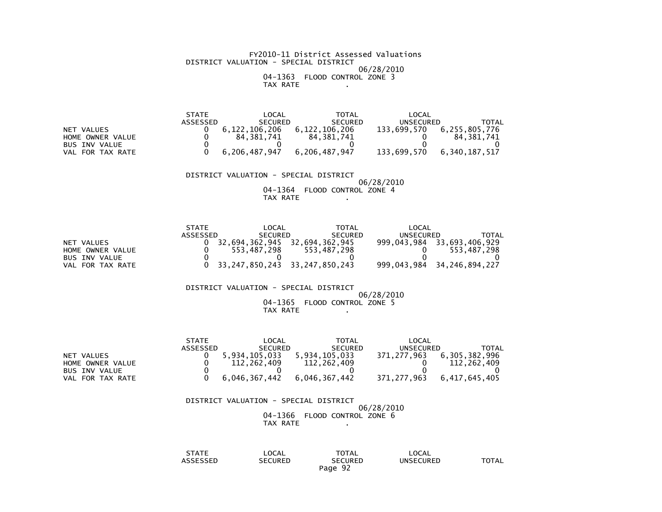FY2010-11 District Assessed Valuations DISTRICT VALUATION - SPECIAL DISTRICT 06/28/2010 04-1363 FLOOD CONTROL ZONE 3TAX RATE .

 STATE LOCAL TOTAL LOCAL ASSESSED SECURED SECURED UNSECURED TOTAL $133,699,570$  6, 255, 805, 776 NET VALUES<br>
HOME OWNER VALUE
10 0 0 0 0 0 0 0 0 0 0 0 0 134,381,741  $0 \t 84,381,741$  $\begin{array}{ccc} 0 & 84,381,741 & 84,381,741 & 0 \\ 0 & 0 & 0 & 0 \end{array}$  $\overline{\phantom{0}}$ BUS INV VALUE VAL FOR TAX RATE 0 6,206,487,947 6,206,487,947 133,699,570 6,340,187,517

> DISTRICT VALUATION - SPECIAL DISTRICT 06/28/2010 04-1364 FLOOD CONTROL ZONE 4TAX RATE .

|                  | <b>STATE</b> | LOCAL                                   | TOTAL                         | LOCAL       |                |
|------------------|--------------|-----------------------------------------|-------------------------------|-------------|----------------|
|                  | ASSESSED     | <b>SECURED</b>                          | <b>SECURED</b>                | UNSECURED   | TOTAL          |
| NET VALUES       |              |                                         | 32,694,362,945 32,694,362,945 | 999.043.984 | 33,693,406,929 |
| HOME OWNER VALUE |              | 553.487.298                             | 553.487.298                   |             | 553.487.298    |
| BUS INV VALUE    |              |                                         |                               |             |                |
| VAL FOR TAX RATE |              | $0$ 33, 247, 850, 243 33, 247, 850, 243 |                               | 999,043,984 | 34,246,894,227 |

DISTRICT VALUATION - SPECIAL DISTRICT

#### 06/28/2010 04-1365 FLOOD CONTROL ZONE 5TAX RATE .

|                      | <b>STATE</b> | LOCAL          | TOTAL          | LOCAL       |               |
|----------------------|--------------|----------------|----------------|-------------|---------------|
|                      | ASSESSED     | <b>SECURED</b> | <b>SECURED</b> | UNSECURED   | <b>TOTAL</b>  |
| NET VALUES           |              | 5.934.105.033  | 5.934.105.033  | 371.277.963 | 6.305.382.996 |
| HOME OWNER VALUE     |              | 112,262,409    | 112,262,409    |             | 112.262.409   |
| <b>BUS INV VALUE</b> |              |                |                |             |               |
| VAL FOR TAX RATE     |              | 6.046.367.442  | 6.046.367.442  | 371.277.963 | 6.417.645.405 |

## DISTRICT VALUATION - SPECIAL DISTRICT06/28/2010

 04-1366 FLOOD CONTROL ZONE 6TAX RATE .

| <b>STATE</b><br><b>SIAIL</b> | LOCAL                 | TOTAL          | LOCAL     |              |
|------------------------------|-----------------------|----------------|-----------|--------------|
| $-0.00000$<br>SSEL<br>____   | :CURED<br>SΕ<br>_____ | SECURED<br>___ | UNSECURED | <b>TOTAL</b> |
|                              |                       | 92<br>Page     |           |              |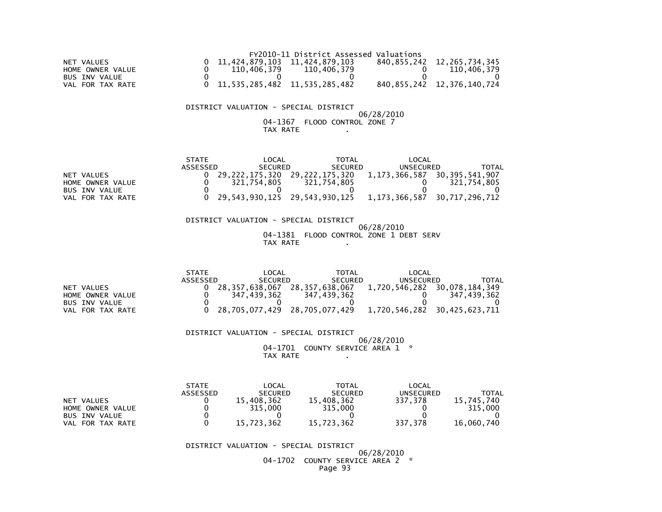|                  |                                       | FY2010-11 District Assessed Valuations |                                 |
|------------------|---------------------------------------|----------------------------------------|---------------------------------|
| NET VALUES       | 11.424.879.103 11.424.879.103         |                                        | 840, 855, 242 12, 265, 734, 345 |
| HOME OWNER VALUE | 110.406.379                           | 110.406.379                            | 110.406.379                     |
| BUS INV VALUE    |                                       |                                        |                                 |
| VAL FOR TAX RATE | 0 11, 535, 285, 482 11, 535, 285, 482 |                                        | 840, 855, 242 12, 376, 140, 724 |

### DISTRICT VALUATION - SPECIAL DISTRICT

### 06/28/2010 04-1367 FLOOD CONTROL ZONE 7TAX RATE .

|                      | <b>STATE</b> | LOCAL          | <b>TOTAL</b>      | LOCAL         |                   |
|----------------------|--------------|----------------|-------------------|---------------|-------------------|
|                      | ASSESSED     | <b>SECURED</b> | <b>SECURED</b>    | UNSECURED     | TOTAL             |
| NET VALUES           |              | 29.222.175.320 | 29, 222, 175, 320 | 1,173,366,587 | 30, 395, 541, 907 |
| HOME OWNER VALUE     |              | 321.754.805    | 321.754.805       |               | 321.754.805       |
| <b>BUS INV VALUE</b> |              |                |                   |               |                   |
| FOR TAX RATE<br>VAL  |              | 29,543,930,125 | 29,543,930,125    | 1,173,366,587 | 30,717,296,712    |

 DISTRICT VALUATION - SPECIAL DISTRICT 06/28/2010 04-1381 FLOOD CONTROL ZONE 1 DEBT SERVTAX RATE .

|                      | STATF    | LOCAL          | TOTAL          | _OCAL         |                |
|----------------------|----------|----------------|----------------|---------------|----------------|
|                      | ASSESSED | <b>SECURED</b> | <b>SECURED</b> | UNSECURED     | TOTAL          |
| <b>NET</b><br>VALUES |          | 28.357.638.067 | 28.357.638.067 | 1,720,546,282 | 30,078,184,349 |
| HOME OWNER VALUE     |          | 347,439,362    | 347,439,362    |               | 347,439,362    |
| BUS INV VALUE        |          |                |                |               |                |
| FOR TAX RATE<br>VAL  |          | 28,705,077,429 | 28,705,077,429 | 1,720,546,282 | 30,425,623,711 |

 DISTRICT VALUATION - SPECIAL DISTRICT 06/28/201004-1701 COUNTY SERVICE AREA 1 \*

TAX RATE .

|                            | <b>STATE</b> | LOCAL          | <b>TOTAL</b>   | LOCAL     |            |
|----------------------------|--------------|----------------|----------------|-----------|------------|
|                            | ASSESSED     | <b>SECURED</b> | <b>SECURED</b> | UNSECURED | ΤΟΤΑΙ      |
| NET VALUES                 |              | .408.362       | 15,408,362     | 337.378   | 15.745.740 |
| HOME OWNER VALUE           |              | 315,000        | 315.000        |           | 315,000    |
| <b>BUS INV VALUE</b>       |              |                |                |           |            |
| FOR TAX RATE<br><b>VAL</b> |              | 15,723,362     | 15,723,362     | 337,378   | 16,060,740 |

DISTRICT VALUATION - SPECIAL DISTRICT

 06/28/2010 04-1702 COUNTY SERVICE AREA 2 \*Page 93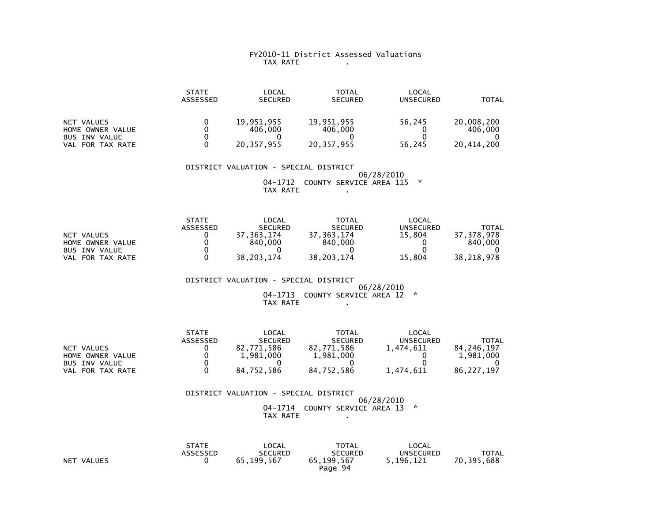### FY2010-11 District Assessed Valuations TAX RATE .

|                                                                            | <b>STATE</b><br>ASSESSED | LOCAL<br><b>SECURED</b>             | TOTAL<br><b>SECURED</b>               | LOCAL<br><b>UNSECURED</b> | TOTAL                               |
|----------------------------------------------------------------------------|--------------------------|-------------------------------------|---------------------------------------|---------------------------|-------------------------------------|
| NET VALUES<br>HOME OWNER VALUE<br><b>BUS INV VALUE</b><br>VAL FOR TAX RATE |                          | 19,951,955<br>406,000<br>20,357,955 | 19,951,955<br>406,000<br>20, 357, 955 | 56,245<br>56,245          | 20,008,200<br>406,000<br>20,414,200 |

 DISTRICT VALUATION - SPECIAL DISTRICT 06/28/2010 04-1712 COUNTY SERVICE AREA 115 \*TAX RATE .

|                      | <b>STATE</b>    | LOCAL          | <b>TOTAL</b>   | LOCAL     |              |
|----------------------|-----------------|----------------|----------------|-----------|--------------|
|                      | <b>ASSESSED</b> | <b>SECURED</b> | <b>SECURED</b> | UNSECURED | <b>TOTAL</b> |
| NET VALUES           |                 | .363.174       | 37.363.174     | 15.804    | 37.378.978   |
| HOME OWNER VALUE     |                 | 840,000        | 840,000        |           | 840,000      |
| <b>BUS INV VALUE</b> |                 |                |                |           |              |
| FOR TAX RATE<br>VAL  |                 | 38.203.174     | 38.203.174     | 15.804    | 38,218,978   |

### DISTRICT VALUATION - SPECIAL DISTRICT $06/28/2010$  04-1713 COUNTY SERVICE AREA 12 \*TAX RATE .

|                      | <b>STATE</b>    | LOCAL          | <b>TOTAL</b>   | LOCAL     |            |
|----------------------|-----------------|----------------|----------------|-----------|------------|
|                      | <b>ASSESSED</b> | <b>SECURED</b> | <b>SECURED</b> | UNSECURED | TOTAL      |
| VALUES<br><b>NET</b> |                 | 82.771.586     | 82.771.586     | 1.474.611 | 84.246.197 |
| HOME OWNER VALUE     |                 | 1,981,000      | 1,981,000      |           | 1.981.000  |
| <b>BUS INV VALUE</b> |                 |                |                |           |            |
| VAL<br>FOR TAX RATE  |                 | 84,752,586     | 84,752,586     | 1,474,611 | 86.227.197 |

### DISTRICT VALUATION - SPECIAL DISTRICT 06/28/2010 04-1714 COUNTY SERVICE AREA 13 \*TAX RATE .

|            | <b>STATE</b>    | LOCAL          | <b>TOTAL</b>   | LOCAL     |              |
|------------|-----------------|----------------|----------------|-----------|--------------|
|            | <b>ASSESSED</b> | <b>SECURED</b> | <b>SECURED</b> | UNSECURED | <b>TOTAL</b> |
| NET VALUES |                 | 65.199.567     | 65.199.567     | 5.196.121 | 70,395,688   |
|            |                 |                | Page 94        |           |              |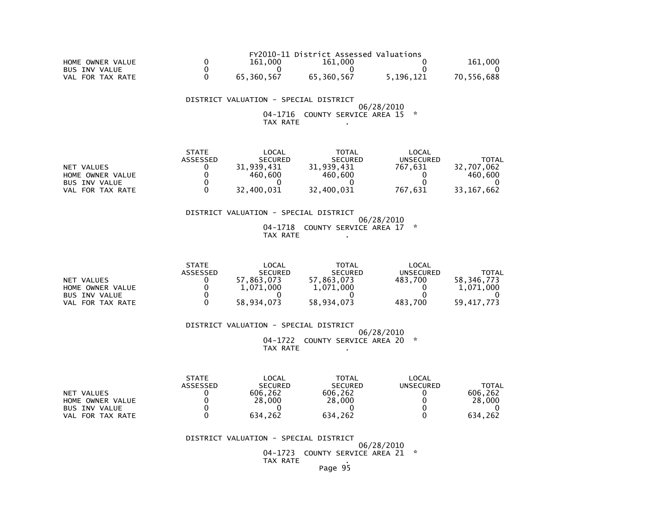|                      |            | FY2010-11 District Assessed Valuations |           |            |
|----------------------|------------|----------------------------------------|-----------|------------|
| HOME OWNER VALUE     | 161,000    | 161.000                                |           | 161.000    |
| <b>BUS INV VALUE</b> |            |                                        |           |            |
| VAL FOR TAX RATE     | 65.360.567 | 65.360.567                             | 5.196.121 | 70.556.688 |

 DISTRICT VALUATION - SPECIAL DISTRICT 06/28/2010 04-1716 COUNTY SERVICE AREA 15 \*TAX RATE .

|                      | <b>STATE</b> | LOCAL          | <b>TOTAL</b>   | LOCAL     |              |
|----------------------|--------------|----------------|----------------|-----------|--------------|
|                      | ASSESSED     | <b>SECURED</b> | <b>SECURED</b> | UNSECURED | TOTAL        |
| NET VALUES           |              | 31.939.431     | 31.939.431     | 767.631   | 32,707,062   |
| HOME OWNER VALUE     |              | 460.600        | 460,600        |           | 460,600      |
| <b>BUS INV VALUE</b> |              |                |                |           |              |
| FOR TAX RATE<br>VAL. |              | 32.400.031     | 32,400,031     | 767.631   | 33, 167, 662 |

### DISTRICT VALUATION - SPECIAL DISTRICT 06/28/2010 04-1718 COUNTY SERVICE AREA 17 \*TAX RATE .

|                      | <b>STATE</b> | LOCAL          | TOTAL          | LOCAL     |            |
|----------------------|--------------|----------------|----------------|-----------|------------|
|                      | ASSESSED     | <b>SECURED</b> | <b>SECURED</b> | UNSECURED | TOTAL      |
| NET VALUES           |              | 57.863.073     | 57.863.073     | 483.700   | 58.346.773 |
| HOME OWNER VALUE     |              | 1.071.000      | 1,071,000      |           | 1.071.000  |
| <b>BUS INV VALUE</b> |              |                |                |           |            |
| VAL FOR TAX RATE     |              | 58.934.073     | 58,934,073     | 483.700   | 59.417.773 |

DISTRICT VALUATION - SPECIAL DISTRICT

 06/28/201004-1722 COUNTY SERVICE AREA 20 \* TAX RATE .

|                      | <b>STATE</b>    | LOCAL          | TOTAL          | LOCAL     |         |
|----------------------|-----------------|----------------|----------------|-----------|---------|
|                      | <b>ASSESSED</b> | <b>SECURED</b> | <b>SECURED</b> | UNSECURED | TOTAL   |
| NET VALUES           |                 | 606.262        | 606.262        |           | 606.262 |
| HOME OWNER VALUE     |                 | 28,000         | 28,000         |           | 28,000  |
| <b>BUS INV VALUE</b> |                 |                |                |           |         |
| VAL FOR TAX RATE     |                 | 634.262        | 634.262        |           | 634.262 |

DISTRICT VALUATION - SPECIAL DISTRICT

06/28/2010

 04-1723 COUNTY SERVICE AREA 21 \*TAX RATE .

Page 95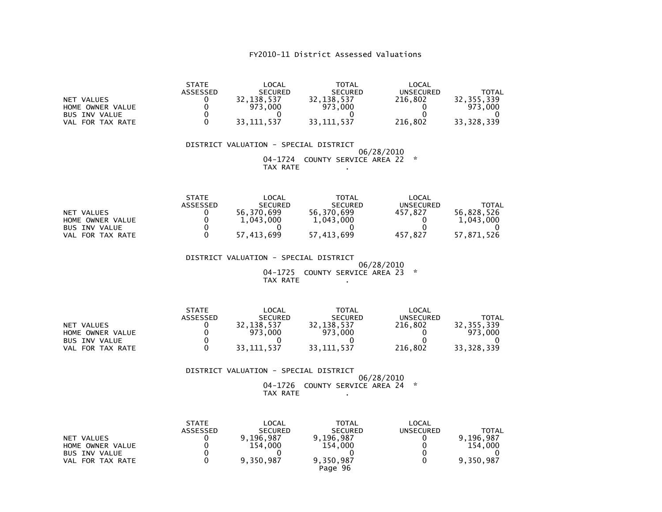|                                                                               | <b>STATE</b><br><b>ASSESSED</b> | _OCAL<br><b>SECURED</b>             | <b>TOTAL</b><br><b>SECURED</b>      | LOCAL<br><b>UNSECURED</b> | TOTAL                               |
|-------------------------------------------------------------------------------|---------------------------------|-------------------------------------|-------------------------------------|---------------------------|-------------------------------------|
| NET VALUES<br>HOME OWNER VALUE<br><b>BUS INV VALUE</b><br>FOR TAX RATE<br>VAL |                                 | 32.138.537<br>973.000<br>33.111.537 | 32,138,537<br>973,000<br>33.111.537 | 216.802<br>216.802        | 32.355.339<br>973,000<br>33.328.339 |

 DISTRICT VALUATION - SPECIAL DISTRICT 06/28/2010 04-1724 COUNTY SERVICE AREA 22 \* $TAX RATE$ 

|                      | <b>STATE</b> | LOCAL          | TOTAL          | LOCAL     |            |
|----------------------|--------------|----------------|----------------|-----------|------------|
|                      | ASSESSED     | <b>SECURED</b> | <b>SECURED</b> | UNSECURED | TOTAL      |
| NET VALUES           |              | 56.370.699     | 56.370.699     | 457.827   | 56.828.526 |
| HOME OWNER VALUE     |              | 1,043,000      | 1,043,000      |           | 1,043,000  |
| <b>BUS INV VALUE</b> |              |                |                |           |            |
| VAL FOR TAX RATE     |              | 57.413.699     | 57.413.699     | 457.827   | 57.871.526 |

DISTRICT VALUATION - SPECIAL DISTRICT

 06/28/2010 04-1725 COUNTY SERVICE AREA 23 \*TAX RATE .

|                      | <b>STATE</b> | LOCAL          | <b>TOTAL</b>   | LOCAL     |            |
|----------------------|--------------|----------------|----------------|-----------|------------|
|                      | ASSESSED     | <b>SECURED</b> | <b>SECURED</b> | UNSECURED | TOTAL      |
| NET VALUES           |              | 32.138.537     | 32.138.537     | 216.802   | 32.355.339 |
| HOME OWNER VALUE     |              | 973.000        | 973,000        |           | 973.000    |
| <b>BUS INV VALUE</b> |              |                |                |           |            |
| FOR TAX RATE<br>VAL  |              | 33.111.537     | 33.111.537     | 216.802   | 33,328,339 |

DISTRICT VALUATION - SPECIAL DISTRICT

 06/28/2010 04-1726 COUNTY SERVICE AREA 24 \*TAX RATE .

|                      | <b>STATE</b><br><b>ASSESSED</b> | LOCAL<br><b>SECURED</b> | TOTAL<br><b>SECURED</b> | LOCAL<br><b>UNSECURED</b> | TOTAL     |
|----------------------|---------------------------------|-------------------------|-------------------------|---------------------------|-----------|
| NET VALUES           |                                 | 9.196.987               | 9,196,987               |                           | 9.196.987 |
| HOME OWNER VALUE     |                                 | 154.000                 | 154,000                 |                           | 154.000   |
| <b>BUS INV VALUE</b> |                                 |                         |                         |                           |           |
| VAL FOR TAX RATE     |                                 | 9,350,987               | 9,350,987<br>Page 96    |                           | 9,350,987 |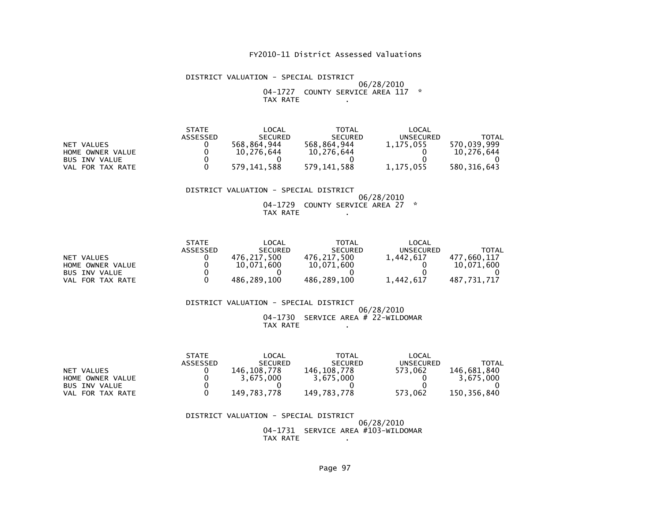### DISTRICT VALUATION - SPECIAL DISTRICT 06/28/2010 04-1727 COUNTY SERVICE AREA 117 \*TAX RATE .

|                      | <b>STATE</b> | LOCAL          | TOTAL          | LOCAL     |               |
|----------------------|--------------|----------------|----------------|-----------|---------------|
|                      | ASSESSED     | <b>SECURED</b> | <b>SECURED</b> | UNSECURED | <b>TOTAL</b>  |
| NET VALUES           |              | 568.864.944    | 568.864.944    | 1,175,055 | 570.039.999   |
| HOME OWNER VALUE     |              | 10.276.644     | 10,276,644     |           | 10.276.644    |
| <b>BUS INV VALUE</b> |              |                |                |           |               |
| VAL FOR TAX RATE     |              | 579.141.588    | 579.141.588    | 1,175,055 | 580, 316, 643 |

### DISTRICT VALUATION - SPECIAL DISTRICT

 06/28/2010 04-1729 COUNTY SERVICE AREA 27 \*TAX RATE .

|                      | <b>STATE</b> | LOCAL          | <b>TOTAL</b>   | LOCAL     |             |
|----------------------|--------------|----------------|----------------|-----------|-------------|
|                      | ASSESSED     | <b>SECURED</b> | <b>SECURED</b> | UNSECURED | TOTAL       |
| NET VALUES           |              | 476.217.500    | 476.217.500    | 1,442,617 | 477.660.117 |
| HOME OWNER VALUE     |              | 10.071.600     | 10,071,600     |           | 10.071.600  |
| <b>BUS INV VALUE</b> |              |                |                |           |             |
| FOR TAX RATE<br>VAL  |              | 486,289,100    | 486,289,100    | 1,442,617 | 487,731,717 |

#### DISTRICT VALUATION - SPECIAL DISTRICT 06/28/2010 04-1730 SERVICE AREA # 22-WILDOMARTAX RATE .

|                      | <b>STATE</b> | $\mathsf{LOCAL}$ | TOTAL          | LOCAL            |             |
|----------------------|--------------|------------------|----------------|------------------|-------------|
|                      | ASSESSED     | <b>SECURED</b>   | <b>SECURED</b> | <b>UNSECURED</b> | TOTAL       |
| NET VALUES           |              | 146.108.778      | 146.108.778    | 573.062          | 146.681.840 |
| HOME OWNER VALUE     |              | 3.675.000        | 3.675.000      |                  | 3.675.000   |
| <b>BUS INV VALUE</b> |              |                  |                |                  |             |
| VAL FOR TAX RATE     |              | 149.783.778      | 149.783.778    | 573.062          | 150.356.840 |

### DISTRICT VALUATION - SPECIAL DISTRICT 06/28/2010 04-1731 SERVICE AREA #103-WILDOMARTAX RATE .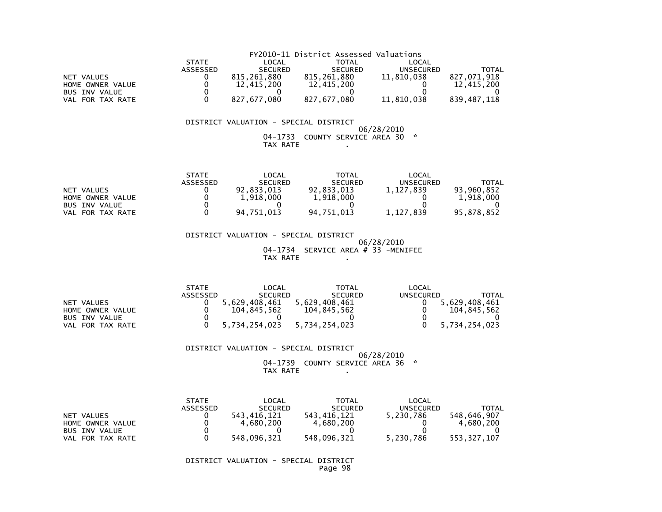|                      | FY2010-11 District Assessed Valuations |                |                |                  |             |  |  |
|----------------------|----------------------------------------|----------------|----------------|------------------|-------------|--|--|
|                      | <b>STATE</b>                           | LOCAL          | TOTAL          | LOCAL            |             |  |  |
|                      | <b>ASSESSED</b>                        | <b>SECURED</b> | <b>SECURED</b> | <b>UNSECURED</b> | TOTAL       |  |  |
| NET VALUES           |                                        | 815,261,880    | 815.261.880    | 11,810,038       | 827,071,918 |  |  |
| HOME OWNER VALUE     |                                        | 12,415,200     | 12,415,200     |                  | 12,415,200  |  |  |
| <b>BUS INV VALUE</b> |                                        |                |                |                  |             |  |  |
| VAL FOR TAX RATE     |                                        | 827.677.080    | 827,677,080    | 11,810,038       | 839,487,118 |  |  |

### DISTRICT VALUATION - SPECIAL DISTRICT

### $06/28/2010$  04-1733 COUNTY SERVICE AREA 30 \*TAX RATE

|                      | <b>STATE</b>    | _OCAL          | TOTAL          | LOCAL     |              |
|----------------------|-----------------|----------------|----------------|-----------|--------------|
|                      | <b>ASSESSED</b> | <b>SECURED</b> | <b>SECURED</b> | UNSECURED | <b>TOTAL</b> |
| NET VALUES           |                 | 92.833.013     | 92.833.013     | 1.127.839 | 93.960.852   |
| HOME OWNER VALUE     |                 | 1.918.000      | 1,918,000      |           | 1,918,000    |
| <b>BUS INV VALUE</b> |                 |                |                |           |              |
| FOR TAX RATE<br>VAL. |                 | 94.751.013     | 94.751.013     | 1,127,839 | 95,878,852   |

### DISTRICT VALUATION - SPECIAL DISTRICT 06/28/2010 04-1734 SERVICE AREA # 33 -MENIFEE $TAX RATE$

|                      | <b>STATE</b> | LOCAL                       | TOTAL          | LOCAL     |               |
|----------------------|--------------|-----------------------------|----------------|-----------|---------------|
|                      | ASSESSED     | <b>SECURED</b>              | <b>SECURED</b> | UNSECURED | TOTAL         |
| NET VALUES           |              | 5.629.408.461               | 5.629.408.461  |           | 5.629.408.461 |
| HOME OWNER VALUE     |              | 104.845.562                 | 104.845.562    |           | 104.845.562   |
| <b>BUS INV VALUE</b> |              |                             |                |           |               |
| VAL FOR TAX RATE     |              | 5.734.254.023 5.734.254.023 |                |           | 5.734.254.023 |

### DISTRICT VALUATION - SPECIAL DISTRICT

### 06/28/201004-1739 COUNTY SERVICE AREA 36 \*

TAX RATE .

|                      | <b>STATE</b>    | LOCAL          | <b>TOTAL</b>   | LOCAL     |             |
|----------------------|-----------------|----------------|----------------|-----------|-------------|
|                      | <b>ASSESSED</b> | <b>SECURED</b> | <b>SECURED</b> | UNSECURED | TOTAL       |
| NET VALUES           |                 | 543.416.121    | 543.416.121    | 5,230,786 | 548.646.907 |
| HOME OWNER VALUE     |                 | 4.680.200      | 4,680,200      |           | 4.680.200   |
| <b>BUS INV VALUE</b> |                 |                |                |           |             |
| FOR TAX RATE<br>VAL. |                 | 548,096,321    | 548,096,321    | 5,230,786 | 553,327,107 |

### DISTRICT VALUATION - SPECIAL DISTRICTPage 98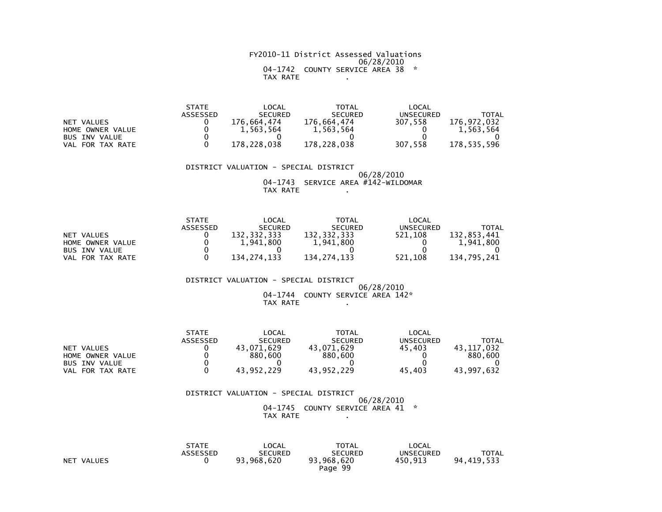### FY2010-11 District Assessed Valuations 06/28/2010 04-1742 COUNTY SERVICE AREA 38 \*TAX RATE .

|                      | <b>STATE</b> | $\mathsf{LOCAL}$ | <b>TOTAL</b>   | LOCAL     |             |
|----------------------|--------------|------------------|----------------|-----------|-------------|
|                      | ASSESSED     | <b>SECURED</b>   | <b>SECURED</b> | UNSECURED | TOTAL       |
| NET VALUES           |              | 176.664.474      | 176.664.474    | 307.558   | 176.972.032 |
| HOME OWNER VALUE     |              | 1.563.564        | 1,563,564      |           | 1.563.564   |
| <b>BUS INV VALUE</b> |              |                  |                |           |             |
| VAL FOR TAX RATE     |              | 178.228.038      | 178.228.038    | 307.558   | 178.535.596 |

#### DISTRICT VALUATION - SPECIAL DISTRICT 06/28/201004-1743 SERVICE AREA #142-WILDOMAR

TAX RATE .

|                      | <b>STATE</b>    | LOCAL          | TOTAL          | LOCAL            |             |
|----------------------|-----------------|----------------|----------------|------------------|-------------|
|                      | <b>ASSESSED</b> | <b>SECURED</b> | <b>SECURED</b> | <b>UNSECURED</b> | TOTAL       |
| NET VALUES           |                 | 132.332.333    | 132,332,333    | 521.108          | 132.853.441 |
| HOME OWNER VALUE     |                 | 1.941.800      | 1,941,800      |                  | 1.941.800   |
| <b>BUS INV VALUE</b> |                 |                |                |                  |             |
| FOR TAX RATE<br>VAL  |                 | 134.274.133    | 134.274.133    | 521.108          | 134.795.241 |

### DISTRICT VALUATION - SPECIAL DISTRICT06/28/2010

### 04-1744 COUNTY SERVICE AREA 142\*TAX RATE .

|                            | <b>STATE</b>    | LOCAL          | <b>TOTAL</b>   | LOCAL        |                |
|----------------------------|-----------------|----------------|----------------|--------------|----------------|
|                            | <b>ASSESSED</b> | <b>SECURED</b> | <b>SECURED</b> | UNSECURED    | TOTAL          |
| VALUES<br><b>NET</b>       |                 | 43.071.629     | 43.071.629     | 45.403       | .032<br>43.117 |
| HOME OWNER VALUE           |                 | 880,600        | 880,600        |              | 880,600        |
| <b>BUS INV VALUE</b>       |                 |                |                |              |                |
| FOR TAX RATE<br><b>VAL</b> |                 | 43.952.229     | 43,952,229     | . 403<br>45. | 43,997,632     |

### DISTRICT VALUATION - SPECIAL DISTRICT 06/28/2010 04-1745 COUNTY SERVICE AREA 41 \*TAX RATE .

|            | STATE<br>ASSESSED | LOCAL<br>SECURED | <b>TOTAL</b><br>SECURED | LOCAL<br>UNSECURED | <b>TOTAL</b> |
|------------|-------------------|------------------|-------------------------|--------------------|--------------|
| NET VALUES |                   | 93.968.620       | 93,968,620<br>Page 99   | 450.913            | 94,419,533   |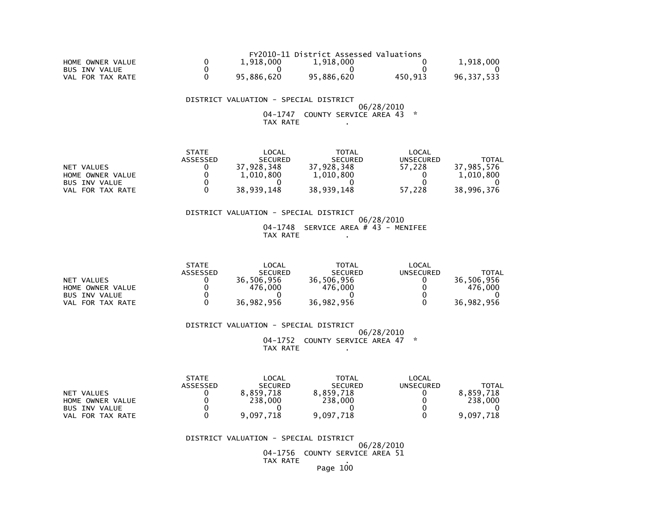| HOME OWNER VALUE |            | FY2010-11 District Assessed Valuations |         |            |
|------------------|------------|----------------------------------------|---------|------------|
|                  | 1.918.000  | 1.918.000                              |         | 1.918.000  |
| BUS INV VALUE    |            |                                        |         |            |
| VAL FOR TAX RATE | 95.886.620 | 95.886.620                             | 450.913 | 96.337.533 |

 DISTRICT VALUATION - SPECIAL DISTRICT06/28/2010 04-1747 COUNTY SERVICE AREA 43 \*

TAX RATE .

|                      | <b>STATE</b> | LOCAL          | <b>TOTAL</b>   | LOCAL     |            |
|----------------------|--------------|----------------|----------------|-----------|------------|
|                      | ASSESSED     | <b>SECURED</b> | <b>SECURED</b> | UNSECURED | TOTAL      |
| NET VALUES           |              | 37.928.348     | 37.928.348     | 57.228    | 37,985,576 |
| HOME OWNER VALUE     |              | 1,010,800      | 1,010,800      |           | 1,010,800  |
| <b>BUS INV VALUE</b> |              |                |                |           |            |
| VAL FOR TAX RATE     |              | 38.939.148     | 38,939,148     | 57.228    | 38,996,376 |

### DISTRICT VALUATION - SPECIAL DISTRICT 06/28/2010 $04-1748$  SERVICE AREA # 43 - MENIFEE TAX RATE .

|                      | <b>STATE</b>    | LOCAL          | TOTAL          | LOCAL     |              |
|----------------------|-----------------|----------------|----------------|-----------|--------------|
|                      | <b>ASSESSED</b> | <b>SECURED</b> | <b>SECURED</b> | UNSECURED | <b>TOTAL</b> |
| NET VALUES           |                 | 36.506.956     | 36.506.956     |           | 36.506.956   |
| HOME OWNER VALUE     |                 | 476.000        | 476.000        |           | 476.000      |
| <b>BUS INV VALUE</b> |                 |                |                |           |              |
| FOR TAX RATE<br>VAL  |                 | 36,982,956     | 36,982,956     |           | 36,982,956   |

 DISTRICT VALUATION - SPECIAL DISTRICT06/28/2010

04-1752 COUNTY SERVICE AREA 47 \* TAX RATE .

|                      | <b>STATE</b>    | LOCAL          | TOTAL          | LOCAL     |           |
|----------------------|-----------------|----------------|----------------|-----------|-----------|
|                      | <b>ASSESSED</b> | <b>SECURED</b> | <b>SECURED</b> | UNSECURED | TOTAL     |
| NET VALUES           |                 | 8,859,718      | 8.859.718      |           | 8.859.718 |
| HOME OWNER VALUE     |                 | 238,000        | 238,000        |           | 238,000   |
| <b>BUS INV VALUE</b> |                 |                |                |           |           |
| VAL FOR TAX RATE     |                 | 9,097,718      | 9,097,718      |           | 9.097.718 |

DISTRICT VALUATION - SPECIAL DISTRICT

06/28/2010

 04-1756 COUNTY SERVICE AREA 51TAX RATE .

Page 100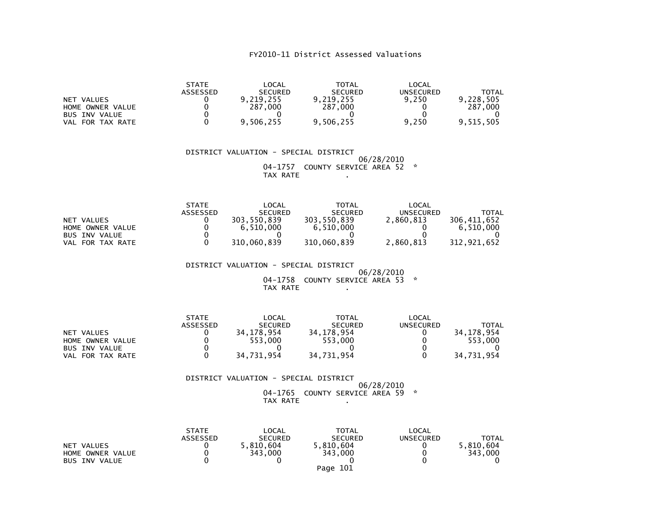|                      | <b>STATE</b>    | $\mathsf{LOCAL}$ | <b>TOTAL</b>   | LOCAL     |              |
|----------------------|-----------------|------------------|----------------|-----------|--------------|
|                      | <b>ASSESSED</b> | <b>SECURED</b>   | <b>SECURED</b> | UNSECURED | <b>TOTAL</b> |
| NET VALUES           |                 | 9,219,255        | 9,219,255      | 9.250     | 9.228.505    |
| HOME OWNER VALUE     |                 | 287,000          | 287.000        |           | 287.000      |
| <b>BUS INV VALUE</b> |                 |                  |                |           |              |
| FOR TAX RATE<br>VAL  |                 | 9,506,255        | 9,506,255      | 9,250     | 9,515,505    |

 DISTRICT VALUATION - SPECIAL DISTRICT 06/28/2010 04-1757 COUNTY SERVICE AREA 52 \*TAX RATE .

|                      | <b>STATE</b> | _OCAL          | TOTAL          | LOCAL     |             |
|----------------------|--------------|----------------|----------------|-----------|-------------|
|                      | ASSESSED     | <b>SECURED</b> | <b>SECURED</b> | UNSECURED | TOTAL       |
| NET VALUES           |              | 303.550.839    | 303,550,839    | 2.860.813 | 306.411.652 |
| HOME OWNER VALUE     |              | 6.510.000      | 6.510.000      |           | 6.510.000   |
| <b>BUS INV VALUE</b> |              |                |                |           |             |
| FOR TAX RATE<br>VAL  |              | 310,060,839    | 310,060,839    | 2,860,813 | 312.921.652 |

DISTRICT VALUATION - SPECIAL DISTRICT

 06/28/2010 04-1758 COUNTY SERVICE AREA 53 \*TAX RATE .

|                       | <b>STATE</b>    | LOCAL          | <b>TOTAL</b>   | LOCAL            |            |
|-----------------------|-----------------|----------------|----------------|------------------|------------|
|                       | <b>ASSESSED</b> | <b>SECURED</b> | <b>SECURED</b> | <b>UNSECURED</b> | TOTAL      |
| NET VALUES            |                 | 34.178.954     | 34.178.954     |                  | 34.178.954 |
| HOME OWNER VALUE      |                 | 553.000        | 553.000        |                  | 553.000    |
| <b>BUS INV VALUE</b>  |                 |                |                |                  |            |
| . FOR TAX RATE<br>VAL |                 | 34.731.954     | 34,731,954     |                  | 34.731.954 |

 DISTRICT VALUATION - SPECIAL DISTRICT 06/28/2010 04-1765 COUNTY SERVICE AREA 59 \*TAX RATE .

|                      | <b>STATE</b>    | LOCAL          | TOTAL          | LOCAL     |              |
|----------------------|-----------------|----------------|----------------|-----------|--------------|
|                      | <b>ASSESSED</b> | <b>SECURED</b> | <b>SECURED</b> | UNSECURED | <b>TOTAL</b> |
| NET VALUES           |                 | 5.810.604      | 5.810.604      |           | 5.810.604    |
| HOME OWNER VALUE     |                 | 343,000        | 343,000        |           | 343,000      |
| <b>BUS INV VALUE</b> |                 |                |                |           |              |
|                      |                 |                | Page 101       |           |              |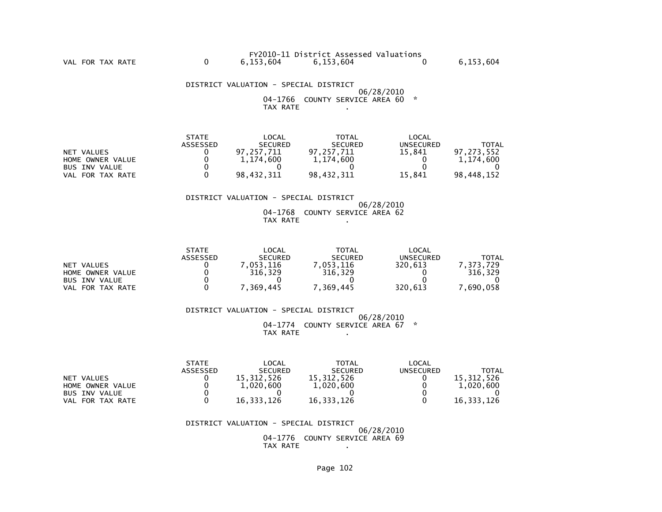|           | FY2010-11 District Assessed Valuations |           |
|-----------|----------------------------------------|-----------|
| 6.153.604 | 6,153,604                              | 6,153,604 |

 DISTRICT VALUATION - SPECIAL DISTRICT 06/28/2010 04-1766 COUNTY SERVICE AREA 60 \*TAX RATE .

|                      | <b>STATE</b> | LOCAL          | <b>TOTAL</b>   | LOCAL     |              |
|----------------------|--------------|----------------|----------------|-----------|--------------|
|                      | ASSESSED     | <b>SECURED</b> | <b>SECURED</b> | UNSECURED | <b>TOTAL</b> |
| NET VALUES           |              | 97.257.711     | 97.257.711     | 15.841    | 97.273.552   |
| HOME OWNER VALUE     |              | 1,174,600      | 1,174,600      |           | 1,174,600    |
| <b>BUS INV VALUE</b> |              |                |                |           |              |
| VAL FOR TAX RATE     |              | 98.432.311     | 98.432.311     | 15.841    | 98.448.152   |

### DISTRICT VALUATION - SPECIAL DISTRICT

 06/28/2010 04-1768 COUNTY SERVICE AREA 62TAX RATE .

|                      | <b>STATE</b> | LOCAL          | TOTAL          | LOCAL     |         |
|----------------------|--------------|----------------|----------------|-----------|---------|
|                      | ASSESSED     | <b>SECURED</b> | <b>SECURED</b> | UNSECURED | TOTAL   |
| NET VALUES           |              | .053.116       | .053.116       | 320.613   | 373.729 |
| HOME OWNER VALUE     |              | 316.329        | 316.329        |           | 316.329 |
| <b>BUS INV VALUE</b> |              |                |                |           |         |
| FOR TAX RATE<br>VAL  |              | .369.445       | 369,445        | 320,613   | 690,058 |

 DISTRICT VALUATION - SPECIAL DISTRICT 06/28/2010 04-1774 COUNTY SERVICE AREA 67 \*TAX RATE .

|                      | <b>STATE</b>    | _OCAL          | <b>TOTAL</b>   | LOCAL            |            |
|----------------------|-----------------|----------------|----------------|------------------|------------|
|                      | <b>ASSESSED</b> | <b>SECURED</b> | <b>SECURED</b> | <b>UNSECURED</b> | TOTAL      |
| NET VALUES           |                 | 15,312,526     | 15,312,526     |                  | 15.312.526 |
| HOME OWNER VALUE     |                 | 1,020,600      | 1,020,600      |                  | 1.020.600  |
| <b>BUS INV VALUE</b> |                 |                |                |                  |            |
| FOR TAX RATE<br>VAL  |                 | 16.333.126     | 16,333,126     |                  | 16,333,126 |

 DISTRICT VALUATION - SPECIAL DISTRICT 06/28/2010 04-1776 COUNTY SERVICE AREA 69TAX RATE .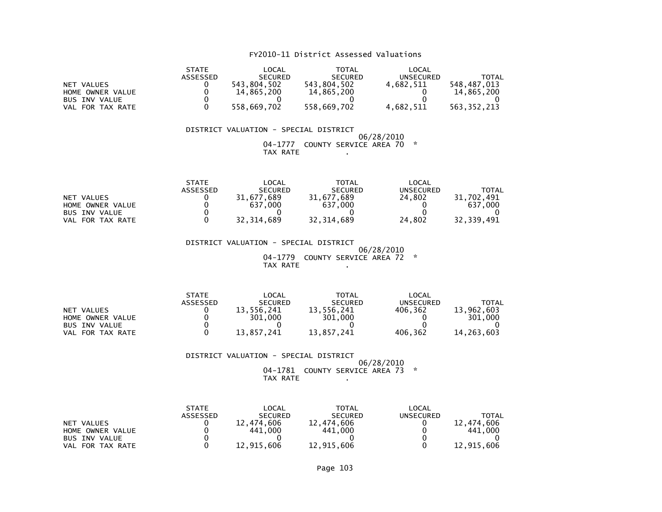|                       | <b>STATE</b> | LOCAL          | TOTAL          | LOCAL            |             |
|-----------------------|--------------|----------------|----------------|------------------|-------------|
|                       | ASSESSED     | <b>SECURED</b> | <b>SECURED</b> | <b>UNSECURED</b> | TOTAL       |
| NET VALUES            |              | 543.804.502    | 543.804.502    | 4.682.511        | 548.487.013 |
| HOME OWNER VALUE      |              | 14.865.200     | 14,865,200     |                  | 14.865.200  |
| <b>BUS INV VALUE</b>  |              |                |                |                  |             |
| . FOR TAX RATE<br>VAL |              | 558,669,702    | 558,669,702    | 4,682,511        | 563,352,213 |

### DISTRICT VALUATION - SPECIAL DISTRICT 06/28/2010 04-1777 COUNTY SERVICE AREA 70 \*TAX RATE .

|                      | <b>STATE</b>    | LOCAL          | TOTAL          | $\mathsf{LOCAL}$ |                 |
|----------------------|-----------------|----------------|----------------|------------------|-----------------|
|                      | <b>ASSESSED</b> | <b>SECURED</b> | <b>SECURED</b> | UNSECURED        | TOTAL           |
| NET VALUES           |                 | 31.677.689     | 31.677.689     | 24.802           | 31.<br>.702.491 |
| HOME OWNER VALUE     |                 | 637<br>.000    | 637.000        |                  | 637,000         |
| <b>BUS INV VALUE</b> |                 |                |                |                  |                 |
| FOR TAX RATE<br>VAL  |                 | 32, 314, 689   | 32, 314, 689   | 24.802           | 32,339,491      |

 DISTRICT VALUATION - SPECIAL DISTRICT 06/28/2010 04-1779 COUNTY SERVICE AREA 72 \*TAX RATE .

|                      | <b>STATE</b>    | LOCAL          | TOTAL          | LOCAL     |              |
|----------------------|-----------------|----------------|----------------|-----------|--------------|
|                      | <b>ASSESSED</b> | <b>SECURED</b> | <b>SECURED</b> | UNSECURED | TOTAL        |
| NET VALUES           |                 | 13,556,241     | 13.556.241     | 406.362   | 13,962,603   |
| HOME OWNER VALUE     |                 | 301,000        | 301.000        |           | 301.000      |
| <b>BUS INV VALUE</b> |                 |                |                |           |              |
| FOR TAX RATE<br>VAL  |                 | 13.857.241     | 13.857.241     | 406,362   | 14, 263, 603 |

 DISTRICT VALUATION - SPECIAL DISTRICT 06/28/2010 04-1781 COUNTY SERVICE AREA 73 \*TAX RATE .

|                      | <b>STATE</b>    | LOCAL          | <b>TOTAL</b>   | LOCAL     |            |
|----------------------|-----------------|----------------|----------------|-----------|------------|
|                      | <b>ASSESSED</b> | <b>SECURED</b> | <b>SECURED</b> | UNSECURED | TOTAL      |
| NET VALUES           |                 | 12.474.606     | 12.474.606     |           | 12,474,606 |
| HOME OWNER VALUE     |                 | 441,000        | 441,000        |           | 441.000    |
| <b>BUS INV VALUE</b> |                 |                |                |           |            |
| FOR TAX RATE<br>VAL  |                 | 12,915,606     | 12,915,606     |           | 12,915,606 |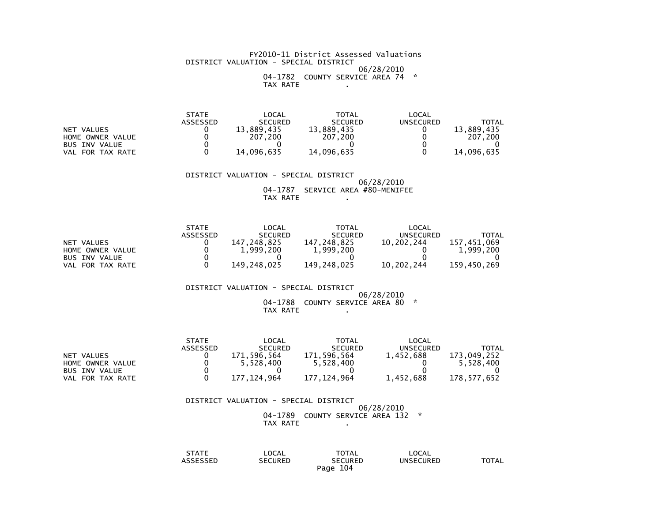### FY2010-11 District Assessed Valuations DISTRICT VALUATION - SPECIAL DISTRICT 06/28/201004-1782 COUNTY SERVICE AREA 74 \*

TAX RATE .

| <b>STATE</b> | _OCAL          | TOTAL          | _OCAL     |            |
|--------------|----------------|----------------|-----------|------------|
| ASSESSED     | <b>SECURED</b> | <b>SECURED</b> | UNSECURED | TOTAL      |
|              | 13.889.435     | 13.889.435     |           | 13,889,435 |
|              | 207<br>.200    | 207.200        |           | 207.200    |
|              |                |                |           |            |
|              | 14,096,635     | 14,096,635     |           | 14,096,635 |
|              |                |                |           |            |

 DISTRICT VALUATION - SPECIAL DISTRICT06/28/2010

 04-1787 SERVICE AREA #80-MENIFEETAX RATE .

|                      | <b>STATE</b>    | LOCAL            | <b>TOTAL</b>   | LOCAL      |             |
|----------------------|-----------------|------------------|----------------|------------|-------------|
|                      | <b>ASSESSED</b> | <b>SECURED</b>   | <b>SECURED</b> | UNSECURED  | TOTAL       |
| NET VALUES           |                 | .248.825<br>147. | 147.248.825    | 10.202.244 | 157.451.069 |
| HOME OWNER VALUE     |                 | 1,999,200        | 1,999,200      |            | 1.999.200   |
| <b>BUS INV VALUE</b> |                 |                  |                |            |             |
| FOR TAX RATE<br>VAL. |                 | 149.248.025      | 149.248.025    | 10.202.244 | 159.450.269 |

DISTRICT VALUATION - SPECIAL DISTRICT

### 06/28/2010 04-1788 COUNTY SERVICE AREA 80 \*TAX RATE

|                      | <b>STATE</b> | LOCAL          | TOTAL          | LOCAL     |             |
|----------------------|--------------|----------------|----------------|-----------|-------------|
|                      | ASSESSED     | <b>SECURED</b> | <b>SECURED</b> | UNSECURED | TOTAL       |
| NET VALUES           |              | 171.596.564    | 171,596,564    | 1,452,688 | 173.049.252 |
| HOME OWNER VALUE     |              | 5.528.400      | 5,528,400      |           | 5.528.400   |
| <b>BUS INV VALUE</b> |              |                |                |           |             |
| VAL FOR TAX RATE     |              | 177.124.964    | 177.124.964    | 1.452.688 | 178.577.652 |

### DISTRICT VALUATION - SPECIAL DISTRICT 06/28/2010 04-1789 COUNTY SERVICE AREA 132 \*TAX RATE

| STATE    | LOCAL          | <b>TOTAL</b>   | LOCAL            |       |
|----------|----------------|----------------|------------------|-------|
| ASSESSED | <b>SECURED</b> | <b>SECURED</b> | <b>UNSECURED</b> | TOTAL |
|          |                | 104<br>Paqe    |                  |       |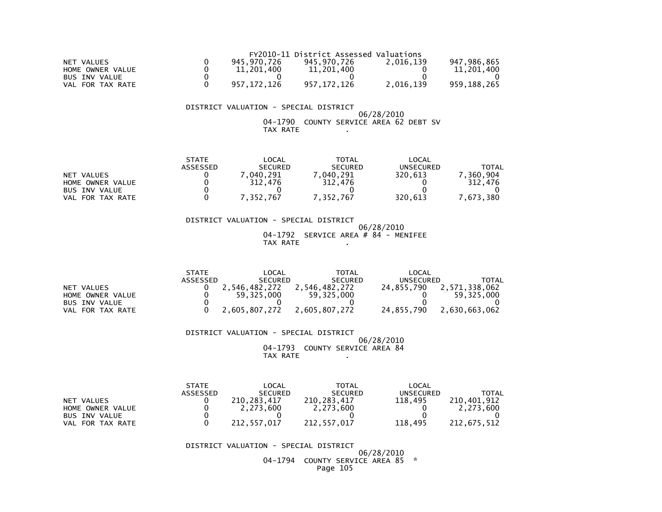|                      | FY2010-11 District Assessed Valuations |               |             |           |             |  |  |
|----------------------|----------------------------------------|---------------|-------------|-----------|-------------|--|--|
| NET VALUES           |                                        | 945.970.726   | 945.970.726 | 2.016.139 | 947.986.865 |  |  |
| HOME OWNER VALUE     |                                        | 11,201,400    | 11,201,400  |           | 11,201,400  |  |  |
| <b>BUS INV VALUE</b> |                                        |               |             |           |             |  |  |
| FOR TAX RATE<br>VAL  |                                        | 957, 172, 126 | 957.172.126 | 2,016,139 | 959,188,265 |  |  |

### DISTRICT VALUATION - SPECIAL DISTRICT

 06/28/2010 04-1790 COUNTY SERVICE AREA 62 DEBT SVTAX RATE .

|                      | <b>STATE</b> | _OCAL          | <b>TOTAL</b>   | LOCAL            |          |
|----------------------|--------------|----------------|----------------|------------------|----------|
|                      | ASSESSED     | <b>SECURED</b> | <b>SECURED</b> | <b>UNSECURED</b> | TOTAL    |
| NET VALUES           |              | 040.291        | .040.291       | 320.613          | 360.904  |
| HOME OWNER VALUE     |              | 312.476        | 312,476        |                  | 312.476  |
| <b>BUS INV VALUE</b> |              |                |                |                  |          |
| FOR TAX RATE<br>VAL  |              | 7,352,767      | 7,352,767      | 320.613          | .673.380 |

 DISTRICT VALUATION - SPECIAL DISTRICT 06/28/2010 $04-1792$  SERVICE AREA # 84 - MENIFEE TAX RATE .

|                      | <b>STATE</b> | LOCAL          | TOTAL          | LOCAL      |               |
|----------------------|--------------|----------------|----------------|------------|---------------|
|                      | ASSESSED     | <b>SECURED</b> | <b>SECURED</b> | UNSECURED  | TOTAL         |
| NET VALUES           |              | 2.546.482.272  | 2.546.482.272  | 24.855.790 | 2,571,338,062 |
| HOME OWNER VALUE     |              | 59.325.000     | 59.325.000     |            | 59.325.000    |
| <b>BUS INV VALUE</b> |              |                |                |            |               |
| FOR TAX RATE<br>VAL  |              | 2.605.807.272  | 2,605,807,272  | 24.855.790 | 2,630,663,062 |

 DISTRICT VALUATION - SPECIAL DISTRICT 06/28/2010 04-1793 COUNTY SERVICE AREA 84TAX RATE .

|                      | <b>STATE</b>    | LOCAL          | <b>TOTAL</b>   | LOCAL     |             |
|----------------------|-----------------|----------------|----------------|-----------|-------------|
|                      | <b>ASSESSED</b> | <b>SECURED</b> | <b>SECURED</b> | UNSECURED | TOTAL       |
| NET VALUES           |                 | 210.283.417    | 210.283.417    | 118.495   | 210.401.912 |
| HOME OWNER VALUE     |                 | 2.273.600      | 2.273.600      |           | 2.273.600   |
| <b>BUS INV VALUE</b> |                 |                |                |           |             |
| VAL FOR TAX RATE     |                 | 212.557.017    | 212.557.017    | 118.495   | 212.675.512 |

DISTRICT VALUATION - SPECIAL DISTRICT

 06/28/201004-1794 COUNTY SERVICE AREA 85 \*

Page 105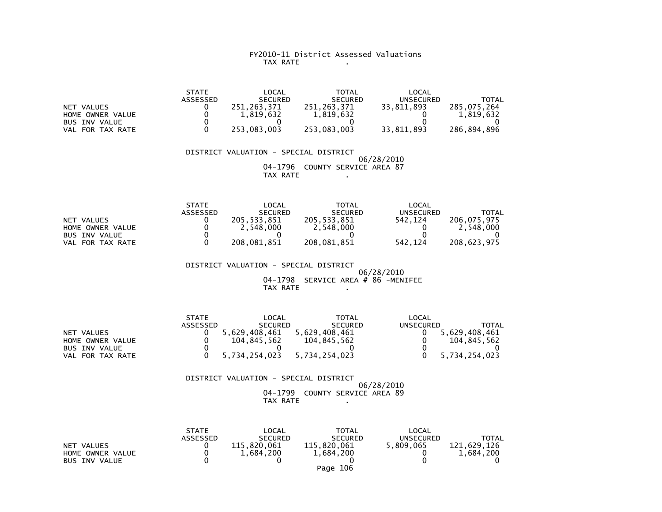### FY2010-11 District Assessed Valuations TAX RATE .

|                      | <b>STATE</b>    | LOCAL          | <b>TOTAL</b>   | LOCAL            |             |
|----------------------|-----------------|----------------|----------------|------------------|-------------|
|                      | <b>ASSESSED</b> | <b>SECURED</b> | <b>SECURED</b> | <b>UNSECURED</b> | TOTAL       |
| NET VALUES           |                 | 251.263.371    | 251.263.371    | 33,811,893       | 285,075,264 |
| HOME OWNER VALUE     |                 | 1,819,632      | 1.819.632      |                  | 1.819.632   |
| <b>BUS INV VALUE</b> |                 |                |                |                  |             |
| VAL FOR TAX RATE     |                 | 253.083.003    | 253.083.003    | 33.811.893       | 286.894.896 |

 DISTRICT VALUATION - SPECIAL DISTRICT 06/28/2010 04-1796 COUNTY SERVICE AREA 87TAX RATE .

|                      | <b>STATE</b> | LOCAL          | TOTAL          | LOCAL     |              |
|----------------------|--------------|----------------|----------------|-----------|--------------|
|                      | ASSESSED     | <b>SECURED</b> | <b>SECURED</b> | UNSECURED | <b>TOTAL</b> |
| NET VALUES           |              | 205.533.851    | 205.533.851    | 542.124   | 206.075.975  |
| HOME OWNER VALUE     |              | 2.548.000      | 2,548,000      |           | 2.548.000    |
| <b>BUS INV VALUE</b> |              |                |                |           |              |
| FOR TAX RATE<br>VAL  |              | 208.081.851    | 208,081,851    | 542.124   | 208.623.975  |

 DISTRICT VALUATION - SPECIAL DISTRICT 06/28/2010 04-1798 SERVICE AREA # 86 -MENIFEETAX RATE .

|                      | <b>STATE</b> | LOCAL          | TOTAL          | LOCAL     |               |
|----------------------|--------------|----------------|----------------|-----------|---------------|
|                      | ASSESSED     | <b>SECURED</b> | <b>SECURED</b> | UNSECURED | TOTAL         |
| NET VALUES           |              | 5.629.408.461  | 5.629.408.461  |           | 5,629,408,461 |
| HOME OWNER VALUE     |              | 104.845.562    | 104.845.562    |           | 104.845.562   |
| <b>BUS INV VALUE</b> |              |                |                |           |               |
| VAL FOR TAX RATE     |              | 5,734,254,023  | 5,734,254,023  |           | 5,734,254,023 |

 DISTRICT VALUATION - SPECIAL DISTRICT 06/28/2010 04-1799 COUNTY SERVICE AREA 89TAX RATE .

|                      | <b>STATE</b> | LOCAL          | <b>TOTAL</b>   | LOCAL     |              |
|----------------------|--------------|----------------|----------------|-----------|--------------|
|                      | ASSESSED     | <b>SECURED</b> | <b>SECURED</b> | UNSECURED | <b>TOTAL</b> |
| NET VALUES           |              | 115,820,061    | 115.820.061    | 5.809.065 | 121,629,126  |
| HOME OWNER VALUE     |              | 1,684,200      | 1,684,200      |           | 1.684.200    |
| <b>BUS INV VALUE</b> |              |                |                |           |              |
|                      |              |                | Page 106       |           |              |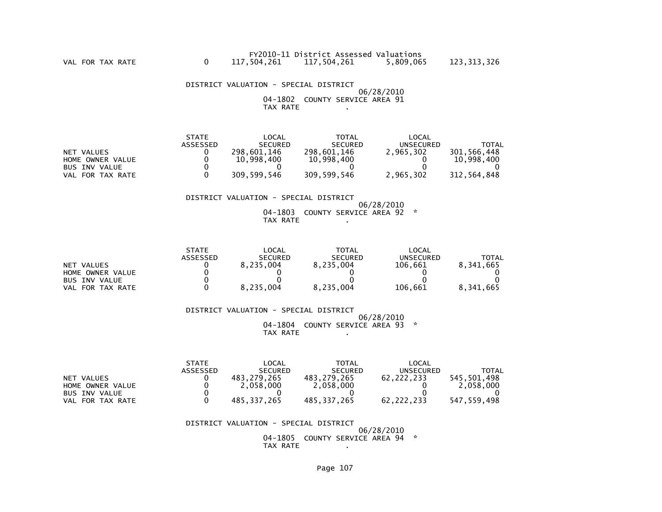DISTRICT VALUATION - SPECIAL DISTRICT 06/28/2010 04-1802 COUNTY SERVICE AREA 91TAX RATE .

|                  | <b>STATE</b> | LOCAL          | TOTAL          | LOCAL     |             |
|------------------|--------------|----------------|----------------|-----------|-------------|
|                  | ASSESSED     | <b>SECURED</b> | <b>SECURED</b> | UNSECURED | TOTAL       |
| NET VALUES       |              | 298.601.146    | 298.601.146    | 2,965,302 | 301,566,448 |
| HOME OWNER VALUE |              | 10.998.400     | 10,998,400     |           | 10.998.400  |
| BUS INV VALUE    |              |                |                |           |             |
| VAL FOR TAX RATE |              | 309,599,546    | 309,599,546    | 2,965,302 | 312.564.848 |

### DISTRICT VALUATION - SPECIAL DISTRICT

 06/28/201004-1803 COUNTY SERVICE AREA 92 \*

TAX RATE .

|                            | <b>STATE</b>    | LOCAL          | <b>TOTAL</b>   | LOCAL     |              |
|----------------------------|-----------------|----------------|----------------|-----------|--------------|
|                            | <b>ASSESSED</b> | <b>SECURED</b> | <b>SECURED</b> | UNSECURED | <b>TOTAL</b> |
| VALUES<br><b>NET</b>       |                 | 8,235,004      | 8.235.004      | 106,661   | 8,341,665    |
| HOME OWNER VALUE           |                 |                |                |           |              |
| <b>BUS INV VALUE</b>       |                 |                |                |           |              |
| FOR TAX RATE<br><b>VAL</b> |                 | 8,235,004      | 8,235,004      | 106,661   | 8,341,665    |

 DISTRICT VALUATION - SPECIAL DISTRICT 06/28/2010 04-1804 COUNTY SERVICE AREA 93 \*TAX RATE .

|                      | <b>STATE</b>    | LOCAL          | <b>TOTAL</b>   | LOCAL      |              |
|----------------------|-----------------|----------------|----------------|------------|--------------|
|                      | <b>ASSESSED</b> | <b>SECURED</b> | <b>SECURED</b> | UNSECURED  | <b>TOTAL</b> |
| NET VALUES           |                 | 483.279.265    | 483.279.265    | 62.222.233 | 545.501.498  |
| HOME OWNER VALUE     |                 | 2.058.000      | 2,058,000      |            | 2.058.000    |
| <b>BUS INV VALUE</b> |                 |                |                |            |              |
| VAL FOR TAX RATE     |                 | 485.337.265    | 485.337.265    | 62.222.233 | 547.559.498  |

DISTRICT VALUATION - SPECIAL DISTRICT

 06/28/2010 04-1805 COUNTY SERVICE AREA 94 \*TAX RATE .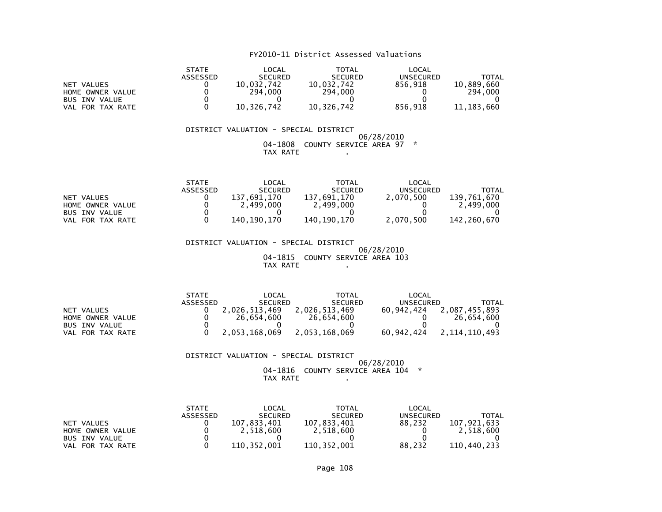|                      | <b>STATE</b> | LOCAL          | <b>TOTAL</b>   | LOCAL            |            |
|----------------------|--------------|----------------|----------------|------------------|------------|
|                      | ASSESSED     | <b>SECURED</b> | <b>SECURED</b> | <b>UNSECURED</b> | TOTAL      |
| NET VALUES           |              | 10.032.742     | 10.032.742     | 856.918          | 10.889.660 |
| HOME OWNER VALUE     |              | 294.000        | 294,000        |                  | 294,000    |
| <b>BUS INV VALUE</b> |              |                |                |                  |            |
| FOR TAX RATE<br>VAL  |              | 10,326,742     | 10,326,742     | 856,918          | 11,183,660 |

### DISTRICT VALUATION - SPECIAL DISTRICT 06/28/2010 04-1808 COUNTY SERVICE AREA 97 \*TAX RATE .

|                      | <b>STATE</b>    | _OCAL              | TOTAL          | LOCAL            |             |
|----------------------|-----------------|--------------------|----------------|------------------|-------------|
|                      | <b>ASSESSED</b> | <b>SECURED</b>     | <b>SECURED</b> | <b>UNSECURED</b> | TOTAL       |
| NET VALUES           |                 | 137<br>1.691.170 ' | 137.691.170    | 2.070.500        | 139.761.670 |
| HOME OWNER VALUE     |                 | 2.499.000          | 2,499,000      |                  | 2,499,000   |
| <b>BUS INV VALUE</b> |                 |                    |                |                  |             |
| FOR TAX RATE<br>VAL  |                 | 140.190.170        | 140.190.170    | 2.070.500        | 142.260.670 |

 DISTRICT VALUATION - SPECIAL DISTRICT 06/28/2010 04-1815 COUNTY SERVICE AREA 103TAX RATE .

|                      | <b>STATE</b> | LOCAL          | <b>TOTAL</b>   | LOCAL            |               |
|----------------------|--------------|----------------|----------------|------------------|---------------|
|                      | ASSESSED     | <b>SECURED</b> | <b>SECURED</b> | <b>UNSECURED</b> | TOTAL         |
| NET VALUES           |              | 2.026.513.469  | 2.026.513.469  | 60.942.424       | 2,087,455,893 |
| HOME OWNER VALUE     |              | 26.654.600     | 26.654.600     |                  | 26.654.600    |
| <b>BUS INV VALUE</b> |              |                |                |                  |               |
| VAL FOR TAX RATE     |              | 2.053.168.069  | 2.053.168.069  | 60.942.424       | 2.114.110.493 |

DISTRICT VALUATION - SPECIAL DISTRICT

 06/28/2010 04-1816 COUNTY SERVICE AREA 104 \*TAX RATE .

|                      | <b>STATE</b>    | LOCAL          | <b>TOTAL</b>   | LOCAL     |             |
|----------------------|-----------------|----------------|----------------|-----------|-------------|
|                      | <b>ASSESSED</b> | <b>SECURED</b> | <b>SECURED</b> | UNSECURED | TOTAL       |
| NET VALUES           |                 | 107.833.401    | 107.833.401    | 88.232    | 107.921.633 |
| HOME OWNER VALUE     |                 | 2.518.600      | 2.518.600      |           | 2.518.600   |
| <b>BUS INV VALUE</b> |                 |                |                |           |             |
| VAL FOR TAX RATE     |                 | 110.352.001    | 110.352.001    | 88.232    | 110.440.233 |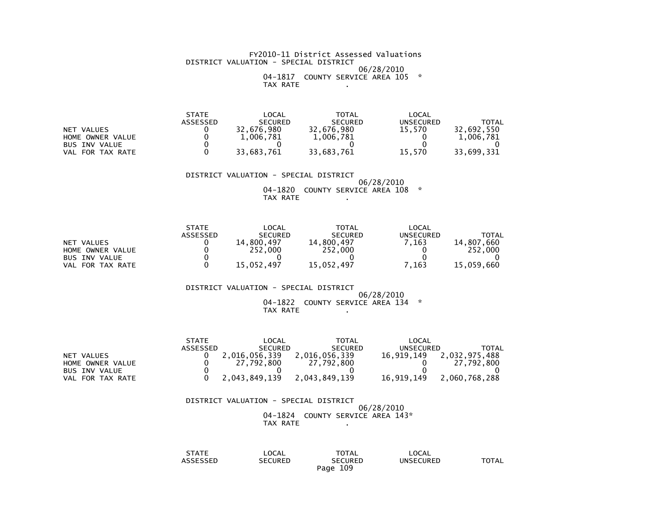#### FY2010-11 District Assessed Valuations DISTRICT VALUATION - SPECIAL DISTRICT 06/28/201004-1817 COUNTY SERVICE AREA 105 \*

TAX RATE .

| STATF    | _OCAL          | TOTAL          | LOCAL     |            |
|----------|----------------|----------------|-----------|------------|
| ASSESSED | <b>SECURED</b> | <b>SECURED</b> | UNSECURED | TOTAL      |
|          | 32.676.980     | 32,676,980     | 15.570    | 32.692.550 |
|          | 1.006.781      | 1,006,781      |           | 1.006.781  |
|          |                |                |           |            |
|          | 33.683.761     | 33,683,761     | 15.570    | 33,699,331 |
|          |                |                |           |            |

DISTRICT VALUATION - SPECIAL DISTRICT

 06/28/2010 04-1820 COUNTY SERVICE AREA 108 \*TAX RATE .

|                      | <b>STATE</b> | LOCAL          | <b>TOTAL</b>   | LOCAL     |            |
|----------------------|--------------|----------------|----------------|-----------|------------|
|                      | ASSESSED     | <b>SECURED</b> | <b>SECURED</b> | UNSECURED | TOTAL      |
| NET VALUES           |              | 14,800,497     | 14,800,497     | .163      | 14,807,660 |
| HOME OWNER VALUE     |              | 252,000        | 252,000        |           | 252,000    |
| <b>BUS INV VALUE</b> |              |                |                |           |            |
| VAL FOR TAX RATE     |              | 15.052.497     | 15.052.497     | 7.163     | 15,059,660 |

DISTRICT VALUATION - SPECIAL DISTRICT

#### 06/28/2010 04-1822 COUNTY SERVICE AREA 134 \*TAX RATE .

|                      | <b>STATE</b> | LOCAL          | TOTAL          | LOCAL      |               |
|----------------------|--------------|----------------|----------------|------------|---------------|
|                      | ASSESSED     | <b>SECURED</b> | <b>SECURED</b> | UNSECURED  | TOTAL         |
| NET VALUES           |              | 2,016,056,339  | 2,016,056,339  | 16,919,149 | 2,032,975,488 |
| HOME OWNER VALUE     |              | 27.792.800     | 27,792,800     |            | 27.792.800    |
| <b>BUS INV VALUE</b> |              |                |                |            |               |
| VAL FOR TAX RATE     |              | 2.043.849.139  | 2.043.849.139  | 16,919,149 | 2.060.768.288 |

#### DISTRICT VALUATION - SPECIAL DISTRICT 06/28/201004-1824 COUNTY SERVICE AREA 143\*

TAX RATE .

| <b>STATE</b><br>3 I A I E  | LOCAL                 | TOTAL          | LOCAL            |              |
|----------------------------|-----------------------|----------------|------------------|--------------|
| $-0.00000$<br>SSEL<br>____ | :CURED<br>SΕ<br>_____ | <b>SECURED</b> | <b>UNSECURED</b> | <b>TOTAL</b> |
|                            |                       | 109<br>Page    |                  |              |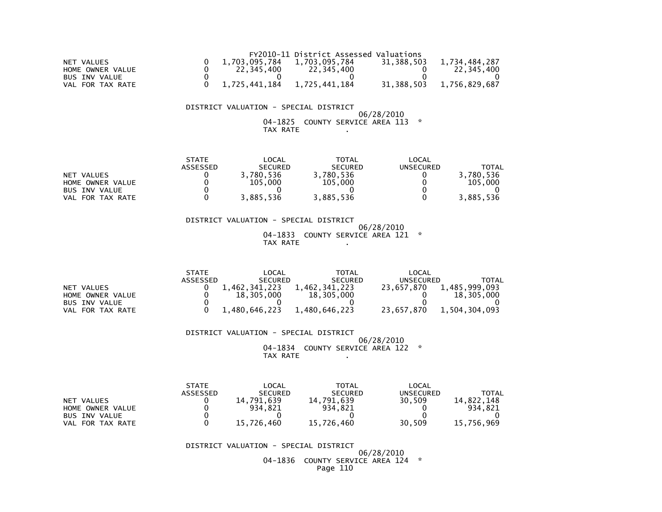|                  |               | FY2010-11 District Assessed Valuations |            |               |
|------------------|---------------|----------------------------------------|------------|---------------|
| NET VALUES       | 1.703.095.784 | 1,703,095,784                          | 31.388.503 | 1.734.484.287 |
| HOME OWNER VALUE | 22,345,400    | 22,345,400                             |            | 22.345.400    |
| BUS INV VALUE    |               |                                        |            |               |
| VAL FOR TAX RATE | 1,725,441,184 | 1,725,441,184                          | 31,388,503 | 1,756,829,687 |

## DISTRICT VALUATION - SPECIAL DISTRICT

 06/28/2010 04-1825 COUNTY SERVICE AREA 113 \*TAX RATE .

|                      | <b>STATE</b> | LOCAL          | <b>TOTAL</b>   | LOCAL     |           |
|----------------------|--------------|----------------|----------------|-----------|-----------|
|                      | ASSESSED     | <b>SECURED</b> | <b>SECURED</b> | UNSECURED | TOTAL     |
| NET VALUES           |              | 3,780,536      | 3,780,536      |           | 3.780.536 |
| HOME OWNER VALUE     |              | 105.000        | 105,000        |           | 105,000   |
| <b>BUS INV VALUE</b> |              |                |                |           |           |
| FOR TAX RATE<br>VAL  |              | 3,885,536      | 3,885,536      |           | 3,885,536 |

 DISTRICT VALUATION - SPECIAL DISTRICT 06/28/2010 04-1833 COUNTY SERVICE AREA 121 \*TAX RATE .

|                      | <b>STATE</b> | $\mathsf{LOCAL}$ | TOTAL          | LOCAL      |               |
|----------------------|--------------|------------------|----------------|------------|---------------|
|                      | ASSESSED     | <b>SECURED</b>   | <b>SECURED</b> | UNSECURED  | TOTAL         |
| NET VALUES           |              | 1.462.341.223    | 1,462,341,223  | 23.657.870 | 1,485,999,093 |
| HOME OWNER VALUE     |              | 18,305,000       | 18,305,000     |            | 18,305,000    |
| <b>BUS INV VALUE</b> |              |                  |                |            |               |
| VAL<br>FOR TAX RATE  |              | 1,480,646,223    | 1,480,646,223  | 23,657,870 | 1,504,304,093 |

 DISTRICT VALUATION - SPECIAL DISTRICT 06/28/2010 04-1834 COUNTY SERVICE AREA 122 \*TAX RATE .

 STATE LOCAL TOTAL LOCAL**UNSECURED**  ASSESSED SECURED SECURED UNSECURED TOTAL14.822.148 NET VALUES 0 14,791,639 14,791,639 30,509 934,821 HOME OWNER VALUE 0 934,821 934,821 0 934,821 $\overline{\mathbf{0}}$ BUS INV VALUE 15,756,969 VAL FOR TAX RATE  $0$  15,726,460 15,726,460 30,509

DISTRICT VALUATION - SPECIAL DISTRICT

 06/28/2010 04-1836 COUNTY SERVICE AREA 124 \*Page 110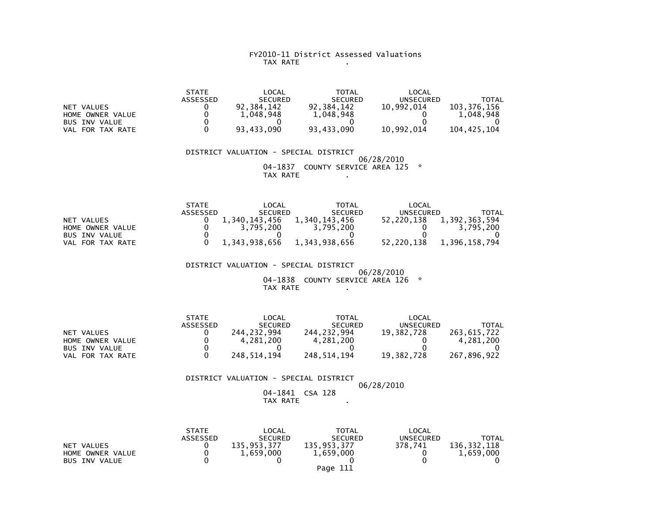#### FY2010-11 District Assessed Valuations TAX RATE .

|                      | <b>STATE</b> | LOCAL          | <b>TOTAL</b>   | LOCAL      |             |
|----------------------|--------------|----------------|----------------|------------|-------------|
|                      | ASSESSED     | <b>SECURED</b> | <b>SECURED</b> | UNSECURED  | TOTAL       |
| NET VALUES           |              | 92.384.142     | 92.384.142     | 10.992.014 | 103.376.156 |
| HOME OWNER VALUE     |              | 1.048.948      | 1,048,948      |            | 1.048.948   |
| <b>BUS INV VALUE</b> |              |                |                |            |             |
| VAL FOR TAX RATE     |              | 93.433.090     | 93.433.090     | 10,992,014 | 104.425.104 |

 DISTRICT VALUATION - SPECIAL DISTRICT 06/28/2010 04-1837 COUNTY SERVICE AREA 125 \*TAX RATE .

|                      | <b>STATE</b> | LOCAL          | TOTAL          | LOCAL            |               |
|----------------------|--------------|----------------|----------------|------------------|---------------|
|                      | ASSESSED     | <b>SECURED</b> | <b>SECURED</b> | <b>UNSECURED</b> | TOTAL         |
| NET VALUES           |              | 1.340.143.456  | 1.340.143.456  | 52.220.138       | 1,392,363,594 |
| HOME OWNER VALUE     |              | 3.795.200      | 3.795.200      |                  | 3.795.200     |
| <b>BUS INV VALUE</b> |              |                |                |                  |               |
| FOR TAX RATE<br>VAL. |              | 1,343,938,656  | 1,343,938,656  | 52,220,138       | 1,396,158,794 |

DISTRICT VALUATION - SPECIAL DISTRICT

 06/28/2010 04-1838 COUNTY SERVICE AREA 126 \*TAX RATE .

|                      | <b>STATE</b>    | LOCAL          | <b>TOTAL</b>   | LOCAL      |             |
|----------------------|-----------------|----------------|----------------|------------|-------------|
|                      | <b>ASSESSED</b> | <b>SECURED</b> | <b>SECURED</b> | UNSECURED  | ΤΟΤΑΙ       |
| NET VALUES           |                 | 244.232.994    | 244.232.994    | 19.382.728 | 263.615.722 |
| HOME OWNER VALUE     |                 | 4.281.200      | 4.281.200      |            | 4.281.200   |
| <b>BUS INV VALUE</b> |                 |                |                |            |             |
| VAL FOR TAX RATE     |                 | 248.514.194    | 248.514.194    | 19.382.728 | 267.896.922 |

#### DISTRICT VALUATION - SPECIAL DISTRICT06/28/2010

 04-1841 CSA 128 $\sim 100$ TAX RATE .

|                      | <b>STATE</b>    | LOCAL          | TOTAL          | LOCAL            |             |
|----------------------|-----------------|----------------|----------------|------------------|-------------|
|                      | <b>ASSESSED</b> | <b>SECURED</b> | <b>SECURED</b> | <b>UNSECURED</b> | TOTAL       |
| NET VALUES           |                 | 135.953.377    | 135,953,377    | 378.741          | 136.332.118 |
| HOME OWNER VALUE     |                 | 1.659.000      | 1,659,000      |                  | 1,659,000   |
| <b>BUS INV VALUE</b> |                 |                |                |                  |             |
|                      |                 |                | Page 111       |                  |             |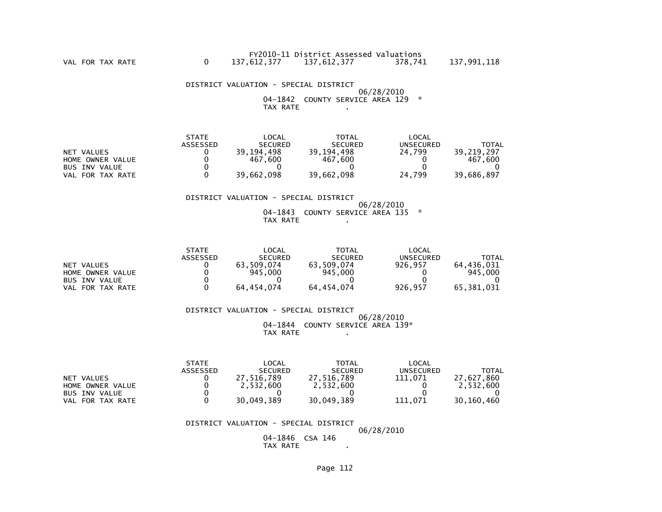DISTRICT VALUATION - SPECIAL DISTRICT 06/28/2010 04-1842 COUNTY SERVICE AREA 129 \*TAX RATE .

|                      | <b>STATE</b> | LOCAL          | <b>TOTAL</b>   | LOCAL     |            |
|----------------------|--------------|----------------|----------------|-----------|------------|
|                      | ASSESSED     | <b>SECURED</b> | <b>SECURED</b> | UNSECURED | TOTAL      |
| NET VALUES           |              | 39,194,498     | 39,194,498     | 24.799    | 39.219.297 |
| HOME OWNER VALUE     |              | 467.600        | 467.600        |           | 467.600    |
| <b>BUS INV VALUE</b> |              |                |                |           |            |
| FOR TAX RATE<br>VAL  |              | 39,662,098     | 39,662,098     | 24.799    | 39.686.897 |

## DISTRICT VALUATION - SPECIAL DISTRICT

 06/28/2010 04-1843 COUNTY SERVICE AREA 135 \*TAX RATE .

|                            | <b>STATE</b>    | LOCAL          | TOTAL          | LOCAL     |            |
|----------------------------|-----------------|----------------|----------------|-----------|------------|
|                            | <b>ASSESSED</b> | <b>SECURED</b> | <b>SECURED</b> | UNSECURED | TOTAL      |
| VALUES<br><b>NET</b>       |                 | 63.509.074     | 63.509.074     | 926.957   | 64.436.031 |
| HOME OWNER VALUE           |                 | 945,000        | 945,000        |           | 945,000    |
| <b>BUS INV VALUE</b>       |                 |                |                |           |            |
| FOR TAX RATE<br><b>VAL</b> |                 | 64,454,074     | 64,454,074     | 926.957   | 65,381,031 |

 DISTRICT VALUATION - SPECIAL DISTRICT 06/28/2010 04-1844 COUNTY SERVICE AREA 139\*TAX RATE .

|                      | <b>STATE</b> | $\mathsf{LOCAL}$ | <b>TOTAL</b>   | LOCAL     |            |
|----------------------|--------------|------------------|----------------|-----------|------------|
|                      | ASSESSED     | <b>SECURED</b>   | <b>SECURED</b> | UNSECURED | TOTAL      |
| NET VALUES           |              | 27.516.789       | 27.516.789     | 111.071   | 27.627.860 |
| HOME OWNER VALUE     |              | 2.532.600        | 2,532,600      |           | 2.532.600  |
| <b>BUS INV VALUE</b> |              |                  |                |           |            |
| VAL FOR TAX RATE     |              | 30.049.389       | 30.049.389     | 111.071   | 30.160.460 |

#### DISTRICT VALUATION - SPECIAL DISTRICT

06/28/2010

 04-1846 CSA 146**Contractor** TAX RATE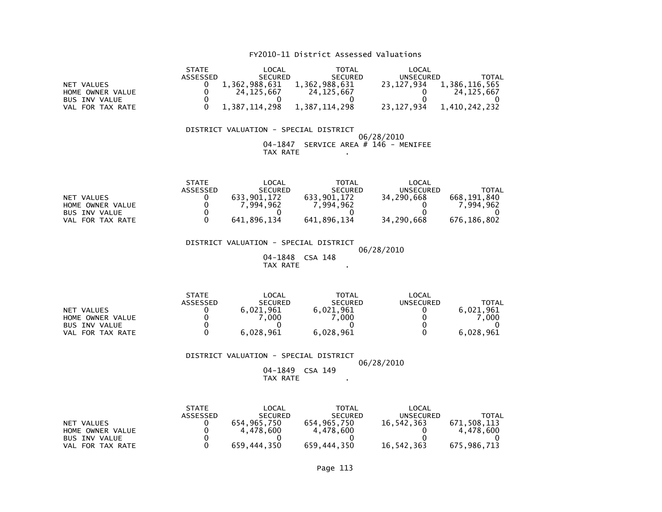## FY2010-11 District Assessed Valuations

|                      | <b>STATE</b> | LOCAL          | TOTAL          | LOCAL      |               |
|----------------------|--------------|----------------|----------------|------------|---------------|
|                      | ASSESSED     | <b>SECURED</b> | <b>SECURED</b> | UNSECURED  | TOTAL         |
| NET VALUES           |              | 1,362,988,631  | 1,362,988,631  | 23.127.934 | 1,386,116,565 |
| HOME OWNER VALUE     |              | 24.125.667     | 24, 125, 667   |            | 24.125.667    |
| <b>BUS INV VALUE</b> |              |                |                |            |               |
| VAL FOR TAX RATE     |              | 1.387.114.298  | 1.387.114.298  | 23.127.934 | 1,410,242,232 |

## DISTRICT VALUATION - SPECIAL DISTRICT 06/28/2010 04-1847 SERVICE AREA # 146 - MENIFEETAX RATE .

|                      | <b>STATE</b> | _OCAL          | TOTAL          | LOCAL      |              |
|----------------------|--------------|----------------|----------------|------------|--------------|
|                      | ASSESSED     | <b>SECURED</b> | <b>SECURED</b> | UNSECURED  | <b>TOTAL</b> |
| <b>NET</b><br>VALUES |              | 633.901.172    | 633.901.172    | 34,290,668 | 668.191.840  |
| HOME OWNER VALUE     |              | . 994.962      | . 994.962      |            | .994.962     |
| <b>BUS INV VALUE</b> |              |                |                |            |              |
| FOR TAX RATE<br>VAL  |              | 641.896.134    | 641.896.134    | 34,290,668 | 676.186.802  |

 DISTRICT VALUATION - SPECIAL DISTRICT 06/28/201004-1848 CSA 148

TAX RATE .

|                            | <b>STATE</b> | _OCAL          | TOTAL          | LOCAL     |              |
|----------------------------|--------------|----------------|----------------|-----------|--------------|
|                            | ASSESSED     | <b>SECURED</b> | <b>SECURED</b> | UNSECURED | <b>TOTAL</b> |
| NET VALUES                 |              | 6,021,961      | 6,021,961      |           | 6,021,961    |
| HOME OWNER VALUE           |              | .000           | .000           |           | .000         |
| <b>BUS INV VALUE</b>       |              |                |                |           |              |
| FOR TAX RATE<br><b>VAL</b> |              | 6,028,961      | 6,028,961      |           | 6,028,961    |

DISTRICT VALUATION - SPECIAL DISTRICT

 06/28/201004-1849 CSA 149

TAX RATE .

|                      | <b>STATE</b>    | LOCAL          | <b>TOTAL</b>   | LOCAL      |             |
|----------------------|-----------------|----------------|----------------|------------|-------------|
|                      | <b>ASSESSED</b> | <b>SECURED</b> | <b>SECURED</b> | UNSECURED  | TOTAL       |
| NET VALUES           |                 | 654.965.750    | 654.965.750    | 16.542.363 | 671,508,113 |
| HOME OWNER VALUE     |                 | 4.478.600      | 4.478.600      |            | 4.478.600   |
| <b>BUS INV VALUE</b> |                 |                |                |            |             |
| FOR TAX RATE<br>VAL  |                 | 659,444,350    | 659,444,350    | 16,542,363 | 675,986,713 |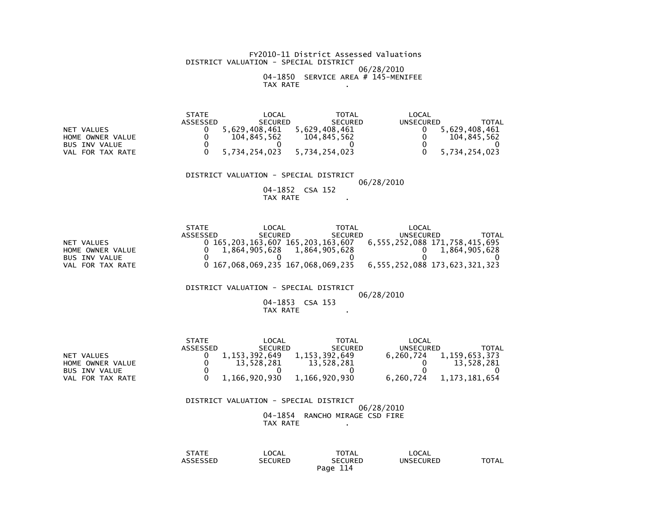#### FY2010-11 District Assessed Valuations DISTRICT VALUATION - SPECIAL DISTRICT 06/28/2010 04-1850 SERVICE AREA # 145-MENIFEETAX RATE .

|                      | <b>STATE</b> | $\mathsf{LOCAL}$ | TOTAL          | LOCAL     |               |
|----------------------|--------------|------------------|----------------|-----------|---------------|
|                      | ASSESSED     | <b>SECURED</b>   | <b>SECURED</b> | UNSECURED | TOTAL         |
| NET VALUES           |              | 5.629.408.461    | 5.629.408.461  |           | 5.629.408.461 |
| HOME OWNER VALUE     |              | 104.845.562      | 104.845.562    |           | 104.845.562   |
| <b>BUS INV VALUE</b> |              |                  |                |           |               |
| VAL FOR TAX RATE     |              | 5.734.254.023    | 5.734.254.023  |           | 5.734.254.023 |

#### DISTRICT VALUATION - SPECIAL DISTRICT

## 06/28/2010

 04-1852 CSA 152**Contract Contract** TAX RATE .

|                      | <b>STATE</b> | LOCAL                       | TOTAL          | LOCAL                                                           |               |
|----------------------|--------------|-----------------------------|----------------|-----------------------------------------------------------------|---------------|
|                      | ASSESSED     | <b>SECURED</b>              | <b>SECURED</b> | UNSECURED                                                       | TOTAL         |
| NET VALUES           |              |                             |                | 0 165,203,163,607 165,203,163,607 6,555,252,088 171,758,415,695 |               |
| HOME OWNER VALUE     |              | 1,864,905,628 1,864,905,628 |                |                                                                 | 1.864.905.628 |
| <b>BUS INV VALUE</b> |              |                             |                |                                                                 |               |
| VAL FOR TAX RATE     |              |                             |                | 0 167,068,069,235 167,068,069,235 6,555,252,088 173,623,321,323 |               |

#### DISTRICT VALUATION - SPECIAL DISTRICT

## 06/28/2010

## 04-1853 CSA 153TAX RATE .

|                      | <b>STATE</b> | LOCAL          | TOTAL          | LOCAL     |               |
|----------------------|--------------|----------------|----------------|-----------|---------------|
|                      | ASSESSED     | <b>SECURED</b> | <b>SECURED</b> | UNSECURED | TOTAL         |
| NET VALUES           |              | 1.153.392.649  | 1,153,392,649  | 6.260.724 | 1,159,653,373 |
| HOME OWNER VALUE     |              | 13.528.281     | 13.528.281     |           | 13,528,281    |
| <b>BUS INV VALUE</b> |              |                |                |           |               |
| VAL FOR TAX RATE     |              | 1.166.920.930  | 1,166,920,930  | 6.260.724 | 1,173,181,654 |

#### DISTRICT VALUATION - SPECIAL DISTRICT06/28/2010

 04-1854 RANCHO MIRAGE CSD FIRETAX RATE .

| $\sim$ $\sim$ $\sim$ $\sim$ $\sim$<br>$\mathbf{v}$<br><b>AIL</b> | LOCAL                            | <b>TOTAL</b>       | LOCAL            |       |
|------------------------------------------------------------------|----------------------------------|--------------------|------------------|-------|
| $-0.00000$<br>ゝゝヒレ<br>____                                       | <b>CURED</b><br>'⊤د<br>◝<br>____ | :CURED<br>--       | <b>UNSECURED</b> | TOTAL |
|                                                                  |                                  | ---<br>Page<br>114 |                  |       |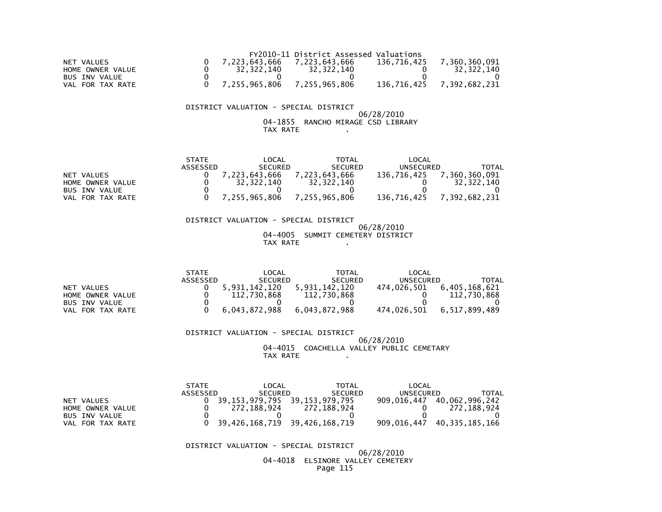|                  |                                     | FY2010-11 District Assessed Valuations |             |               |
|------------------|-------------------------------------|----------------------------------------|-------------|---------------|
| NET VALUES       | 7.223.643.666                       | 7.223.643.666                          | 136.716.425 | 7.360.360.091 |
| HOME OWNER VALUE | 32.322.140                          | 32,322,140                             |             | 32.322.140    |
| BUS INV VALUE    |                                     |                                        |             |               |
| VAL FOR TAX RATE | $0$ $7,255,965,806$ $7,255,965,806$ |                                        | 136,716,425 | 7,392,682,231 |

## DISTRICT VALUATION - SPECIAL DISTRICT

#### 06/28/2010 04-1855 RANCHO MIRAGE CSD LIBRARYTAX RATE .

|                      | <b>STATE</b> | LOCAL          | TOTAL          | LOCAL            |               |
|----------------------|--------------|----------------|----------------|------------------|---------------|
|                      | ASSESSED     | <b>SECURED</b> | <b>SECURED</b> | <b>UNSECURED</b> | TOTAL         |
| NET VALUES           |              | 7,223,643,666  | 7.223.643.666  | 136.716.425      | ,360,360,091  |
| HOME OWNER VALUE     |              | 32.322.140     | 32.322.140     |                  | 32.322.140    |
| <b>BUS INV VALUE</b> |              |                |                |                  |               |
| FOR TAX RATE<br>VAL  |              | 7,255,965,806  | 7,255,965,806  | 136,716,425      | 7,392,682,231 |

#### DISTRICT VALUATION - SPECIAL DISTRICT06/28/2010

#### 04-4005 SUMMIT CEMETERY DISTRICTTAX RATE .

|                      | <b>STATE</b> | $\mathsf{LOCAL}$ | TOTAL          | LOCAL       |               |
|----------------------|--------------|------------------|----------------|-------------|---------------|
|                      | ASSESSED     | <b>SECURED</b>   | <b>SECURED</b> | UNSECURED   | <b>TOTAL</b>  |
| NET VALUES           |              | .931.142.120     | 5,931,142,120  | 474.026.501 | 6,405,168,621 |
| HOME OWNER VALUE     |              | 112,730,868      | 112,730,868    |             | 112,730,868   |
| <b>BUS INV VALUE</b> |              |                  |                |             |               |
| FOR TAX RATE<br>VAL  |              | 6,043,872,988    | 6,043,872,988  | 474,026,501 | 6,517,899,489 |

#### DISTRICT VALUATION - SPECIAL DISTRICT 06/28/2010 04-4015 COACHELLA VALLEY PUBLIC CEMETARYTAX RATE .

|                     | <b>STATE</b> | LOCAL          | <b>TOTAL</b>                  | LOCAL       |                            |
|---------------------|--------------|----------------|-------------------------------|-------------|----------------------------|
|                     | ASSESSED     | <b>SECURED</b> | <b>SECURED</b>                | UNSECURED   | TOTAL                      |
| NET VALUES          |              |                | 39,153,979,795 39,153,979,795 |             | 909,016,447 40,062,996,242 |
| HOME OWNER VALUE    |              | 272.188.924    | 272.188.924                   |             | 272.188.924                |
| BUS INV VALUE       |              |                |                               |             |                            |
| FOR TAX RATE<br>VAL |              |                | 39,426,168,719 39,426,168,719 | 909,016,447 | 40,335,185,166             |

#### DISTRICT VALUATION - SPECIAL DISTRICT

#### 06/28/2010 04-4018 ELSINORE VALLEY CEMETERYPage 115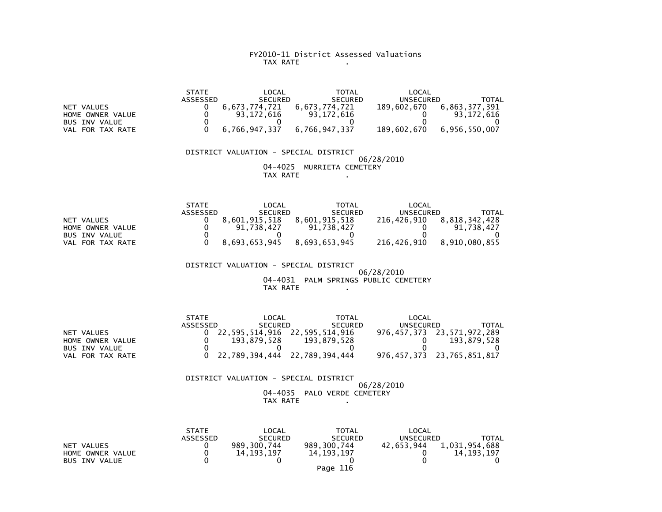#### FY2010-11 District Assessed Valuations TAX RATE .

 STATE LOCAL TOTAL LOCAL ASSESSED SECURED SECURED UNSECURED TOTAL $189,602,670$  6,863,377,391 NET VALUES<br>
HOME OWNER VALUE
10
0
03.172.616
93.172.616
93.172.616  $0 \t 93,172,616$  HOME OWNER VALUE 0 93,172,616 93,172,616 0 93,172,616 $\overline{\mathbf{0}}$ BUS INV VALUE VAL FOR TAX RATE 0 6,766,947,337 6,766,947,337 189,602,670 6,956,550,007DISTRICT VALUATION - SPECIAL DISTRICT

 06/28/2010 04-4025 MURRIETA CEMETERYTAX RATE .

|                            | <b>STATE</b> | LOCAL          | <b>TOTAL</b>   | LOCAL            |               |
|----------------------------|--------------|----------------|----------------|------------------|---------------|
|                            | ASSESSED     | <b>SECURED</b> | <b>SECURED</b> | <b>UNSECURED</b> | TOTAL         |
| NET VALUES                 |              | 8.601.915.518  | 8.601.915.518  | 216.426.910      | 8.818.342.428 |
| HOME OWNER VALUE           |              | 738.427        | 91.738.427     |                  | 91,738,427    |
| <b>BUS INV VALUE</b>       |              |                |                |                  |               |
| FOR TAX RATE<br><b>VAL</b> |              | 8,693,653,945  | 8,693,653,945  | 216,426,910      | 8,910,080,855 |

 DISTRICT VALUATION - SPECIAL DISTRICT 06/28/2010 04-4031 PALM SPRINGS PUBLIC CEMETERYTAX RATE .

|                      | <b>STATE</b> | LOCAL                         | <b>TOTAL</b>   | LOCAL     |                            |
|----------------------|--------------|-------------------------------|----------------|-----------|----------------------------|
|                      | ASSESSED     | <b>SECURED</b>                | <b>SECURED</b> | UNSECURED | TOTAL                      |
| NET VALUES           |              | 22,595,514,916 22,595,514,916 |                |           | 976,457,373 23,571,972,289 |
| HOME OWNER VALUE     |              | 193.879.528                   | 193.879.528    |           | 193.879.528                |
| <b>BUS INV VALUE</b> |              |                               |                |           |                            |
| VAL FOR TAX RATE     |              | 22,789,394,444 22,789,394,444 |                |           | 976,457,373 23,765,851,817 |

DISTRICT VALUATION - SPECIAL DISTRICT

 06/28/2010 04-4035 PALO VERDE CEMETERYTAX RATE .

|                      | <b>STATE</b>    | LOCAL          | <b>TOTAL</b>   | LOCAL      |               |
|----------------------|-----------------|----------------|----------------|------------|---------------|
|                      | <b>ASSESSED</b> | <b>SECURED</b> | <b>SECURED</b> | UNSECURED  | TOTAL         |
| NET VALUES           |                 | 989,300,744    | 989.300.744    | 42.653.944 | 1.031.954.688 |
| HOME OWNER VALUE     |                 | 14.193.197     | 14.193.197     |            | 14.193.197    |
| <b>BUS INV VALUE</b> |                 |                |                |            |               |
|                      |                 |                | Page 116       |            |               |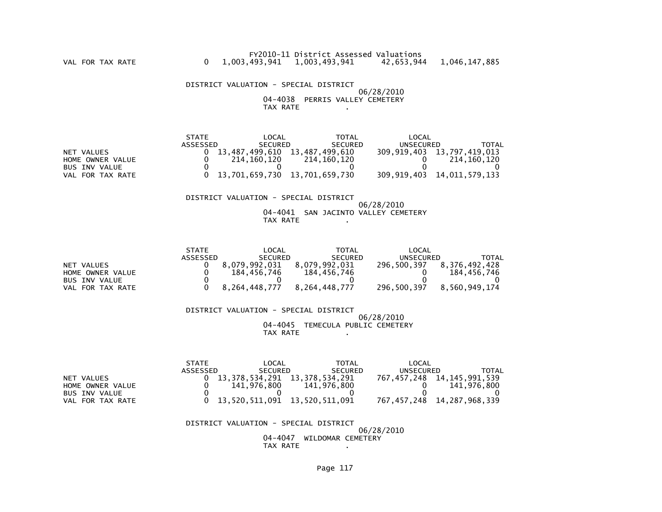DISTRICT VALUATION - SPECIAL DISTRICT 06/28/2010 04-4038 PERRIS VALLEY CEMETERYTAX RATE .

|                      | <b>STATE</b> | LOCAL                           | TOTAL          | LOCAL            |                                 |
|----------------------|--------------|---------------------------------|----------------|------------------|---------------------------------|
|                      | ASSESSED     | <b>SECURED</b>                  | <b>SECURED</b> | <b>UNSECURED</b> | <b>TOTAL</b>                    |
| NET VALUES           |              | 13.487.499.610                  | 13.487.499.610 |                  | 309, 919, 403 13, 797, 419, 013 |
| HOME OWNER VALUE     |              | 214,160,120                     | 214.160.120    |                  | 214,160,120                     |
| <b>BUS INV VALUE</b> |              |                                 |                |                  |                                 |
| VAL FOR TAX RATE     |              | 0 13.701.659.730 13.701.659.730 |                |                  | 309.919.403 14.011.579.133      |

## DISTRICT VALUATION - SPECIAL DISTRICT

#### 06/28/2010 04-4041 SAN JACINTO VALLEY CEMETERYTAX RATE .

|                      | <b>STATE</b> | LOCAL          | TOTAL          | LOCAL       |               |
|----------------------|--------------|----------------|----------------|-------------|---------------|
|                      | ASSESSED     | <b>SECURED</b> | <b>SECURED</b> | UNSECURED   | <b>TOTAL</b>  |
| NET VALUES           |              | 8.079.992.031  | 8.079.992.031  | 296,500,397 | 8.376.492.428 |
| HOME OWNER VALUE     |              | 184.456.746    | 184, 456, 746  |             | 184,456,746   |
| <b>BUS INV VALUE</b> |              |                |                |             |               |
| FOR TAX RATE<br>VAL  |              | 8,264,448,777  | 8,264,448,777  | 296,500,397 | 8,560,949,174 |

 DISTRICT VALUATION - SPECIAL DISTRICT 06/28/2010 04-4045 TEMECULA PUBLIC CEMETERYTAX RATE .

|                      | <b>STATE</b> | LOCAL                           | TOTAL          | LOCAL                           |                |
|----------------------|--------------|---------------------------------|----------------|---------------------------------|----------------|
|                      | ASSESSED     | <b>SECURED</b>                  | <b>SECURED</b> | <b>UNSECURED</b>                | TOTAL          |
| NET VALUES           |              | 13.378.534.291 13.378.534.291   |                | 767, 457, 248 14, 145, 991, 539 |                |
| HOME OWNER VALUE     |              | 141.976.800                     | 141,976,800    |                                 | 141.976.800    |
| <b>BUS INV VALUE</b> |              |                                 |                |                                 |                |
| FOR TAX RATE<br>VAL. |              | 0 13,520,511,091 13,520,511,091 |                | 767,457,248                     | 14,287,968,339 |

 DISTRICT VALUATION - SPECIAL DISTRICT 06/28/2010 04-4047 WILDOMAR CEMETERYTAX RATE .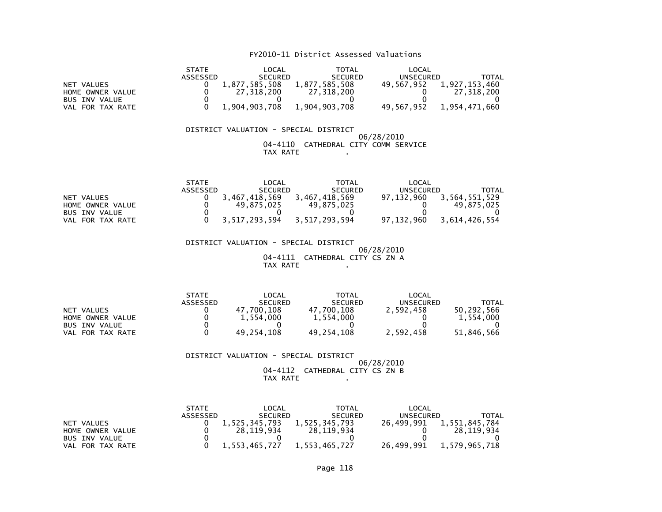## FY2010-11 District Assessed Valuations

|                      | <b>STATE</b> | _OCAL          | TOTAL          | LOCAL            |               |
|----------------------|--------------|----------------|----------------|------------------|---------------|
|                      | ASSESSED     | <b>SECURED</b> | <b>SECURED</b> | <b>UNSECURED</b> | TOTAL         |
| NET VALUES           |              | 1,877,585,508  | 1,877,585,508  | 49,567,952       | 1,927,153,460 |
| HOME OWNER VALUE     |              | 27.318.200     | 27.318.200     |                  | 27.318.200    |
| <b>BUS INV VALUE</b> |              |                |                |                  |               |
| VAL FOR TAX RATE     |              | 1.904.903.708  | 1.904.903.708  | 49.567.952       | 1,954,471,660 |

#### DISTRICT VALUATION - SPECIAL DISTRICT 06/28/2010 04-4110 CATHEDRAL CITY COMM SERVICETAX RATE .

|                      | <b>STATE</b> | _OCAL          | <b>TOTAL</b>   | LOCAL            |               |
|----------------------|--------------|----------------|----------------|------------------|---------------|
|                      | ASSESSED     | <b>SECURED</b> | <b>SECURED</b> | <b>UNSECURED</b> | TOTAL         |
| NET VALUES           |              | 3.467.418.569  | 3.467.418.569  | 97.132.960       | 3,564,551,529 |
| HOME OWNER VALUE     |              | 49.875.025     | 49.875.025     |                  | 49.875.025    |
| <b>BUS INV VALUE</b> |              |                |                |                  |               |
| VAL FOR TAX RATE     |              | 3.517.293.594  | 3,517,293,594  | 97.132.960       | 3.614.426.554 |

 DISTRICT VALUATION - SPECIAL DISTRICT 06/28/2010 04-4111 CATHEDRAL CITY CS ZN ATAX RATE .

|                      | <b>STATE</b> | LOCAL          | <b>TOTAL</b>   | LOCAL            |            |
|----------------------|--------------|----------------|----------------|------------------|------------|
|                      | ASSESSED     | <b>SECURED</b> | <b>SECURED</b> | <b>UNSECURED</b> | TOTAL      |
| NET VALUES           |              | 47.700.108     | 47.700.108     | 2,592,458        | 50.292.566 |
| HOME OWNER VALUE     |              | 1.554.000      | 1,554,000      |                  | 1.554.000  |
| <b>BUS INV VALUE</b> |              |                |                |                  |            |
| FOR TAX RATE<br>VAL  |              | 49.254.108     | 49,254,108     | 2,592,458        | 51,846,566 |

 DISTRICT VALUATION - SPECIAL DISTRICT 06/28/2010 04-4112 CATHEDRAL CITY CS ZN BTAX RATE .

|                      | <b>STATE</b> | LOCAL          | <b>TOTAL</b>   | LOCAL      |               |
|----------------------|--------------|----------------|----------------|------------|---------------|
|                      | ASSESSED     | <b>SECURED</b> | <b>SECURED</b> | UNSECURED  | TOTAL         |
| NET VALUES           |              | 1.525.345.793  | 1,525,345,793  | 26.499.991 | 1,551,845,784 |
| HOME OWNER VALUE     |              | 28.119.934     | 28.119.934     |            | 28.119.934    |
| <b>BUS INV VALUE</b> |              |                |                |            |               |
| VAL FOR TAX RATE     |              | 1.553.465.727  | 1.553.465.727  | 26.499.991 | 1,579,965,718 |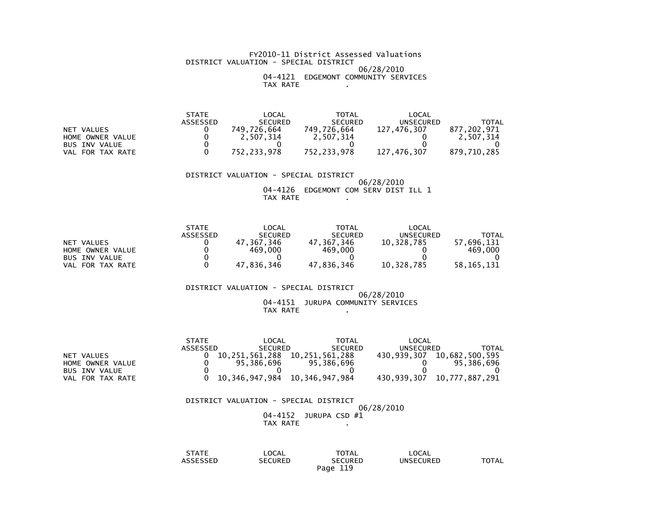#### FY2010-11 District Assessed Valuations DISTRICT VALUATION - SPECIAL DISTRICT 06/28/2010 04-4121 EDGEMONT COMMUNITY SERVICESTAX RATE .

|                      | <b>STATE</b>    | '_OCAL         | TOTAL          | LOCAL       |             |
|----------------------|-----------------|----------------|----------------|-------------|-------------|
|                      | <b>ASSESSED</b> | <b>SECURED</b> | <b>SECURED</b> | UNSECURED   | TOTAL       |
| NET VALUES           |                 | 749.726.664    | 749.726.664    | 127.476.307 | 877,202,971 |
| HOME OWNER VALUE     |                 | 2,507,314      | 2,507,314      |             | 2,507,314   |
| <b>BUS INV VALUE</b> |                 |                |                |             |             |
| FOR TAX RATE<br>VAL  |                 | 752,233,978    | 752,233,978    | 127,476,307 | 879,710,285 |

DISTRICT VALUATION - SPECIAL DISTRICT

 06/28/2010 04-4126 EDGEMONT COM SERV DIST ILL 1TAX RATE

|                      | <b>STATE</b> | LOCAL          | <b>TOTAL</b>   | LOCAL      |              |
|----------------------|--------------|----------------|----------------|------------|--------------|
|                      | ASSESSED     | <b>SECURED</b> | <b>SECURED</b> | UNSECURED  | TOTAL        |
| NET VALUES           |              | 47.367.346     | 47.367.346     | 10.328.785 | 57.696.131   |
| HOME OWNER VALUE     |              | 469,000        | 469,000        |            | 469.000      |
| <b>BUS INV VALUE</b> |              |                |                |            |              |
| VAL FOR TAX RATE     |              | 47.836.346     | 47.836.346     | 10.328.785 | 58, 165, 131 |

DISTRICT VALUATION - SPECIAL DISTRICT

# 06/28/201004-4151 JURUPA COMMUNITY SERVICES TAX RATE .

|                  | <b>STATE</b> | LOCAL          | TOTAL                         | LOCAL       |                                 |
|------------------|--------------|----------------|-------------------------------|-------------|---------------------------------|
|                  | ASSESSED     | <b>SECURED</b> | <b>SECURED</b>                | UNSECURED   | TOTAL                           |
| NET VALUES       |              | 10,251,561,288 | 10.251.561.288                | 430.939.307 | 10.682.500.595                  |
| HOME OWNER VALUE |              | 95.386.696     | 95,386,696                    |             | 95.386.696                      |
| BUS INV VALUE    |              |                |                               |             |                                 |
| VAL FOR TAX RATE |              |                | 10,346,947,984 10,346,947,984 |             | 430, 939, 307 10, 777, 887, 291 |

 DISTRICT VALUATION - SPECIAL DISTRICT 06/28/201004-4152 JURUPA CSD #1 TAX RATE .

| STATE    | LOCAL          | <b>TOTAL</b>   | LOCAL            |       |
|----------|----------------|----------------|------------------|-------|
| ASSESSED | <b>SECURED</b> | <b>SECURED</b> | <b>UNSECURED</b> | TOTAL |
|          |                | 119<br>Paqe    |                  |       |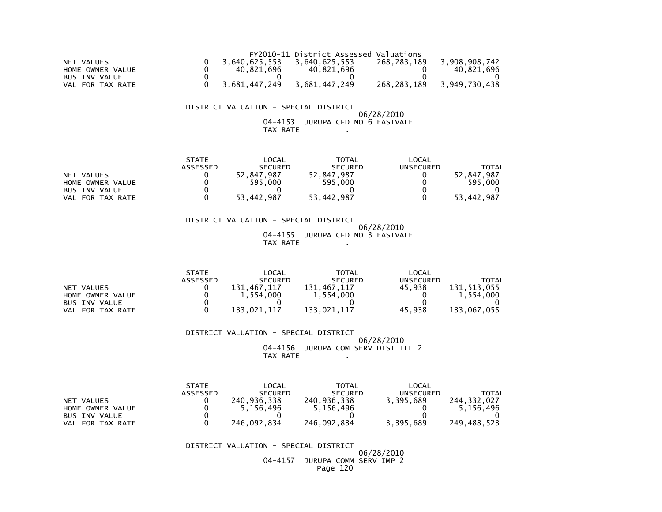|                  |               | FY2010-11 District Assessed Valuations |               |               |
|------------------|---------------|----------------------------------------|---------------|---------------|
| NET VALUES       | 3.640.625.553 | 3.640.625.553                          | 268.283.189   | 3.908.908.742 |
| HOME OWNER VALUE | 40.821.696    | 40.821.696                             |               | 40.821.696    |
| BUS INV VALUE    |               |                                        |               |               |
| VAL FOR TAX RATE | 3,681,447,249 | 3,681,447,249                          | 268, 283, 189 | 3,949,730,438 |

#### DISTRICT VALUATION - SPECIAL DISTRICT06/28/2010

04-4153 JURUPA CFD NO 6 EASTVALE TAX RATE .

|                      | <b>STATE</b> | LOCAL          | <b>TOTAL</b>   | LOCAL     |                 |
|----------------------|--------------|----------------|----------------|-----------|-----------------|
|                      | ASSESSED     | <b>SECURED</b> | <b>SECURED</b> | UNSECURED | TOTAL           |
| NET VALUES           |              | 52,847,987     | 52,847,987     |           | .847.987<br>52. |
| HOME OWNER VALUE     |              | 595.000        | 595,000        |           | 595,000         |
| <b>BUS INV VALUE</b> |              |                |                |           |                 |
| FOR TAX RATE<br>VAL  |              | 53,442,987     | 53,442,987     |           | 53,442,987      |

 DISTRICT VALUATION - SPECIAL DISTRICT 06/28/201004-4155 JURUPA CFD NO 3 EASTVALE

TAX RATE .

|                      | <b>STATE</b>    | $\mathsf{LOCAL}$ | TOTAL          | LOCAL            |             |
|----------------------|-----------------|------------------|----------------|------------------|-------------|
|                      | <b>ASSESSED</b> | <b>SECURED</b>   | <b>SECURED</b> | <b>UNSECURED</b> | TOTAL       |
| NET VALUES           |                 | 131.467.117      | 131.467.117    | 45.938           | 131,513,055 |
| HOME OWNER VALUE     |                 | 1.554.000        | 1,554,000      |                  | 1.554.000   |
| <b>BUS INV VALUE</b> |                 |                  |                |                  |             |
| FOR TAX RATE<br>VAL  |                 | 133,021,117      | 133,021,117    | 45.938           | 133,067,055 |

 DISTRICT VALUATION - SPECIAL DISTRICT 06/28/2010 04-4156 JURUPA COM SERV DIST ILL 2TAX RATE .

|                      | <b>STATE</b> | LOCAL          | TOTAL          | LOCAL     |             |
|----------------------|--------------|----------------|----------------|-----------|-------------|
|                      | ASSESSED     | <b>SECURED</b> | <b>SECURED</b> | UNSECURED | TOTAL       |
| NET VALUES           |              | 240.936.338    | 240.936.338    | 3.395.689 | 244.332.027 |
| HOME OWNER VALUE     |              | 5.156.496      | 5.156.496      |           | 5.156.496   |
| <b>BUS INV VALUE</b> |              |                |                |           |             |
| VAL FOR TAX RATE     |              | 246.092.834    | 246.092.834    | 3.395.689 | 249.488.523 |

DISTRICT VALUATION - SPECIAL DISTRICT

 06/28/2010 04-4157 JURUPA COMM SERV IMP 2Page 120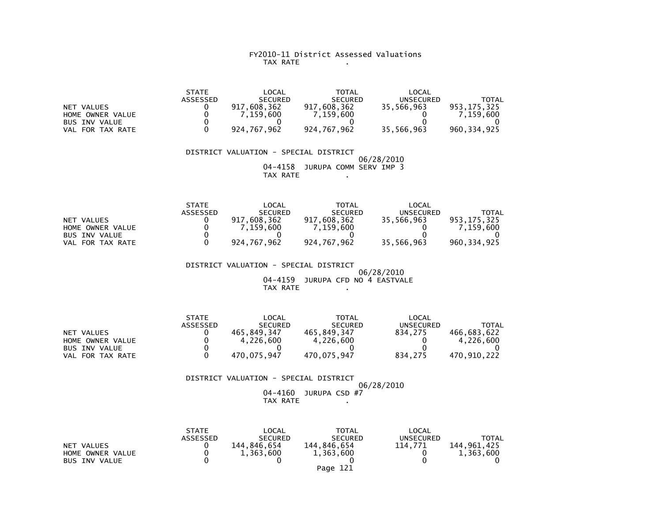## FY2010-11 District Assessed Valuations TAX RATE .

|                      | <b>STATE</b>    | LOCAL          | <b>TOTAL</b>   | LOCAL      |             |
|----------------------|-----------------|----------------|----------------|------------|-------------|
|                      | <b>ASSESSED</b> | <b>SECURED</b> | <b>SECURED</b> | UNSECURED  | TOTAL       |
| NET VALUES           |                 | 917.608.362    | 917.608.362    | 35.566.963 | 953.175.325 |
| HOME OWNER VALUE     |                 | 7.159.600      | 7.159.600      |            | 7.159.600   |
| <b>BUS INV VALUE</b> |                 |                |                |            |             |
| VAL FOR TAX RATE     |                 | 924.767.962    | 924.767.962    | 35,566,963 | 960.334.925 |

 DISTRICT VALUATION - SPECIAL DISTRICT 06/28/2010 04-4158 JURUPA COMM SERV IMP 3TAX RATE .

|                      | <b>STATE</b>    | LOCAL          | <b>TOTAL</b>   | LOCAL      |               |
|----------------------|-----------------|----------------|----------------|------------|---------------|
|                      | <b>ASSESSED</b> | <b>SECURED</b> | <b>SECURED</b> | UNSECURED  | TOTAL         |
| NET VALUES           |                 | 917.608.362    | 917.608.362    | 35,566,963 | 953.175.325   |
| HOME OWNER VALUE     |                 | 7.159.600      | 7.159.600      |            | 7.159.600     |
| <b>BUS INV VALUE</b> |                 |                |                |            |               |
| FOR TAX RATE<br>VAL  |                 | 924,767,962    | 924.767.962    | 35,566,963 | 960, 334, 925 |

DISTRICT VALUATION - SPECIAL DISTRICT

 06/28/2010 04-4159 JURUPA CFD NO 4 EASTVALETAX RATE .

|                      | <b>STATE</b> | LOCAL          | TOTAL          | LOCAL            |             |
|----------------------|--------------|----------------|----------------|------------------|-------------|
|                      | ASSESSED     | <b>SECURED</b> | <b>SECURED</b> | <b>UNSECURED</b> | TOTAL       |
| NET VALUES           |              | 465.849.347    | 465.849.347    | 834.275          | 466.683.622 |
| HOME OWNER VALUE     |              | 4.226.600      | 4,226,600      |                  | 4.226.600   |
| <b>BUS INV VALUE</b> |              |                |                |                  |             |
| FOR TAX RATE<br>VAL  |              | 470.075.947    | 470.075.947    | 834.275          | 470.910.222 |

 DISTRICT VALUATION - SPECIAL DISTRICT 06/28/2010 04-4160 JURUPA CSD #7TAX RATE

|                      | <b>STATE</b>    | LOCAL          | <b>TOTAL</b>   | LOCAL            |             |
|----------------------|-----------------|----------------|----------------|------------------|-------------|
|                      | <b>ASSESSED</b> | <b>SECURED</b> | <b>SECURED</b> | <b>UNSECURED</b> | TOTAL       |
| NET VALUES           |                 | 144.846.654    | 144.846.654    | 114.771          | 144.961.425 |
| HOME OWNER VALUE     |                 | 1.363.600      | 1,363,600      |                  | 1,363,600   |
| <b>BUS INV VALUE</b> |                 |                |                |                  |             |
|                      |                 |                | Page 121       |                  |             |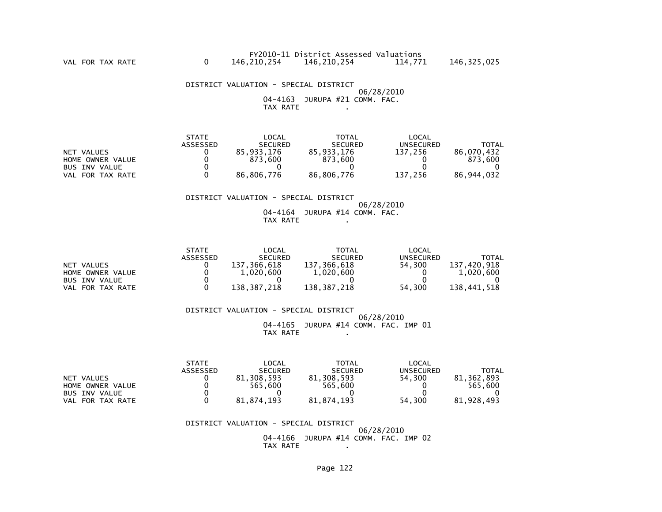DISTRICT VALUATION - SPECIAL DISTRICT 06/28/2010 04-4163 JURUPA #21 COMM. FAC.TAX RATE .

|                      | <b>STATE</b>    | _OCAL          | TOTAL          | LOCAL     |              |
|----------------------|-----------------|----------------|----------------|-----------|--------------|
|                      | <b>ASSESSED</b> | <b>SECURED</b> | <b>SECURED</b> | UNSECURED | <b>TOTAL</b> |
| NET VALUES           |                 | 85.933.176     | 85,933,176     | 137.256   | 86.070.432   |
| HOME OWNER VALUE     |                 | 873.600        | 873.600        |           | 873.600      |
| <b>BUS INV VALUE</b> |                 |                |                |           |              |
| FOR TAX RATE<br>VAL  |                 | 86.806.776     | 86,806,776     | 137,256   | 86.944.032   |

## DISTRICT VALUATION - SPECIAL DISTRICT

 06/28/2010 04-4164 JURUPA #14 COMM. FAC.TAX RATE .

|                      | <b>STATE</b> | LOCAL            | <b>TOTAL</b>   | LOCAL     |             |
|----------------------|--------------|------------------|----------------|-----------|-------------|
|                      | ASSESSED     | <b>SECURED</b>   | <b>SECURED</b> | UNSECURED | TOTAL       |
| NET VALUES           |              | 137<br>366.618.' | 137,366,618    | 54.300    | 137,420,918 |
| HOME OWNER VALUE     |              | 1.020.600        | 1,020,600      |           | 1,020,600   |
| <b>BUS INV VALUE</b> |              |                  |                |           |             |
| FOR TAX RATE<br>VAL  |              | 138,387,218      | 138,387,218    | 54,300    | 138,441,518 |

 DISTRICT VALUATION - SPECIAL DISTRICT 06/28/2010 04-4165 JURUPA #14 COMM. FAC. IMP 01TAX RATE .

|                      | <b>STATE</b>    | _OCAL          | <b>TOTAL</b>   | LOCAL            |              |
|----------------------|-----------------|----------------|----------------|------------------|--------------|
|                      | <b>ASSESSED</b> | <b>SECURED</b> | <b>SECURED</b> | <b>UNSECURED</b> | <b>TOTAL</b> |
| NET VALUES           |                 | 81.308.593     | 81,308,593     | 54.300           | 81.362.893   |
| HOME OWNER VALUE     |                 | 565.600        | 565.600        |                  | 565.600      |
| <b>BUS INV VALUE</b> |                 |                |                |                  |              |
| FOR TAX RATE<br>VAL  |                 | 81.874.193     | 81,874,193     | 54,300           | 81,928,493   |

DISTRICT VALUATION - SPECIAL DISTRICT

 06/28/2010 04-4166 JURUPA #14 COMM. FAC. IMP 02TAX RATE .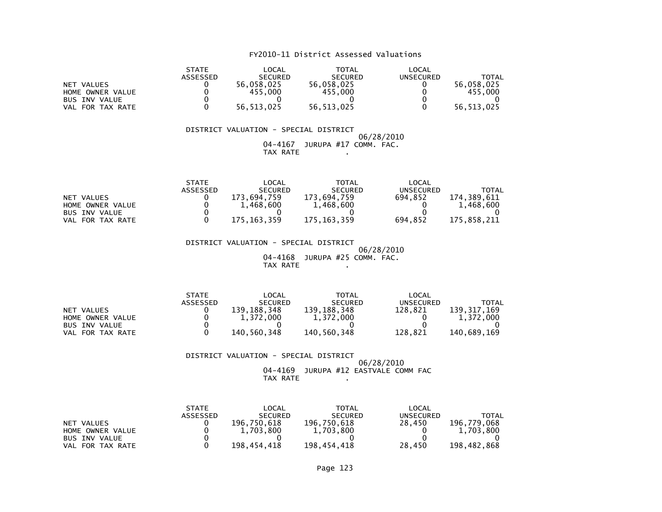## FY2010-11 District Assessed Valuations

|                      | <b>STATE</b>    | LOCAL          | <b>TOTAL</b>   | LOCAL     |            |
|----------------------|-----------------|----------------|----------------|-----------|------------|
|                      | <b>ASSESSED</b> | <b>SECURED</b> | <b>SECURED</b> | UNSECURED | TOTAL      |
| NET VALUES           |                 | 56,058,025     | 56.058.025     |           | 56.058.025 |
| HOME OWNER VALUE     |                 | 455.000        | 455,000        |           | 455,000    |
| <b>BUS INV VALUE</b> |                 |                |                |           |            |
| FOR TAX RATE<br>VAL  |                 | 56,513,025     | 56, 513, 025   |           | 56,513,025 |

#### DISTRICT VALUATION - SPECIAL DISTRICT $06/28/2010$  04-4167 JURUPA #17 COMM. FAC.TAX RATE .

|                      | <b>STATE</b> | LOCAL          | TOTAL          | $\mathsf{LOCAL}$ |             |
|----------------------|--------------|----------------|----------------|------------------|-------------|
|                      | ASSESSED     | <b>SECURED</b> | <b>SECURED</b> | UNSECURED        | TOTAL       |
| NET VALUES           |              | 173.694.759    | 173.694.759    | 694.852          | 174.389.611 |
| HOME OWNER VALUE     |              | 1.468.600      | 1,468,600      |                  | 1,468,600   |
| <b>BUS INV VALUE</b> |              |                |                |                  |             |
| FOR TAX RATE<br>VAL  |              | 175, 163, 359  | 175, 163, 359  | 694.852          | 175,858,211 |

 DISTRICT VALUATION - SPECIAL DISTRICT 06/28/2010 04-4168 JURUPA #25 COMM. FAC.TAX RATE .

|                      | <b>STATE</b>    | LOCAL          | TOTAL          | LOCAL            |             |
|----------------------|-----------------|----------------|----------------|------------------|-------------|
|                      | <b>ASSESSED</b> | <b>SECURED</b> | <b>SECURED</b> | <b>UNSECURED</b> | TOTAL       |
| NET VALUES           |                 | 139.188.348    | 139, 188, 348  | 128.821          | 139,317,169 |
| HOME OWNER VALUE     |                 | 1.372.000      | 1,372,000      |                  | 1.372.000   |
| <b>BUS INV VALUE</b> |                 |                |                |                  |             |
| FOR TAX RATE<br>VAL. |                 | 140.560.348    | 140,560,348    | 128.821          | 140.689.169 |

 DISTRICT VALUATION - SPECIAL DISTRICT 06/28/2010 04-4169 JURUPA #12 EASTVALE COMM FACTAX RATE .

|                      | <b>STATE</b>    | LOCAL          | <b>TOTAL</b>   | LOCAL     |             |
|----------------------|-----------------|----------------|----------------|-----------|-------------|
|                      | <b>ASSESSED</b> | <b>SECURED</b> | <b>SECURED</b> | UNSECURED | TOTAL       |
| NET VALUES           |                 | 196,750,618    | 196,750,618    | 28,450    | 196.779.068 |
| HOME OWNER VALUE     |                 | 1,703,800      | 1,703,800      |           | 1,703,800   |
| <b>BUS INV VALUE</b> |                 |                |                |           |             |
| FOR TAX RATE<br>VAL  |                 | 198.454.418    | 198,454,418    | 28,450    | 198,482,868 |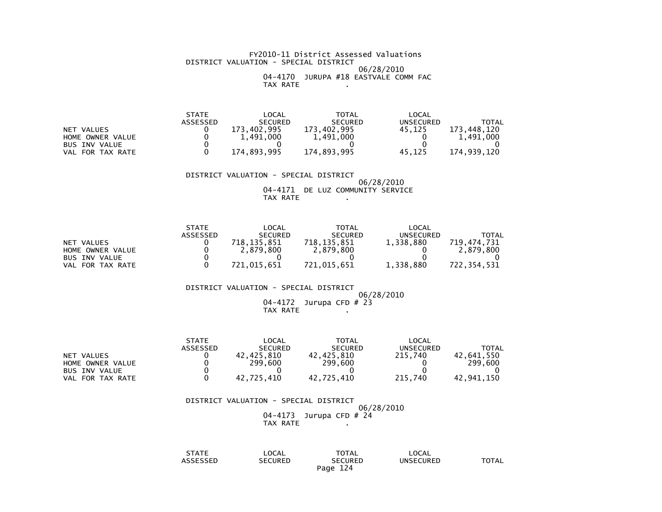#### FY2010-11 District Assessed Valuations DISTRICT VALUATION - SPECIAL DISTRICT 06/28/2010 04-4170 JURUPA #18 EASTVALE COMM FACTAX RATE .

|                      | <b>STATE</b> | _OCAL          | TOTAL          | LOCAL            |             |
|----------------------|--------------|----------------|----------------|------------------|-------------|
|                      | ASSESSED     | <b>SECURED</b> | <b>SECURED</b> | <b>UNSECURED</b> | TOTAL       |
| NET VALUES           |              | 173.402.995    | 173.402.995    | 45.125           | 173.448.120 |
| HOME OWNER VALUE     |              | 1,491,000      | 1,491,000      |                  | 1,491,000   |
| <b>BUS INV VALUE</b> |              |                |                |                  |             |
| FOR TAX RATE<br>VAL  |              | 174,893,995    | 174,893,995    | 45.125           | 174,939,120 |

DISTRICT VALUATION - SPECIAL DISTRICT

 06/28/2010 04-4171 DE LUZ COMMUNITY SERVICETAX RATE .

|                      | <b>STATE</b>    | LOCAL          | <b>TOTAL</b>   | LOCAL     |             |
|----------------------|-----------------|----------------|----------------|-----------|-------------|
|                      | <b>ASSESSED</b> | <b>SECURED</b> | <b>SECURED</b> | UNSECURED | TOTAL       |
| NET VALUES           |                 | 718.135.851    | 718.135.851    | 1,338,880 | 719.474.731 |
| HOME OWNER VALUE     |                 | 2.879.800      | 2,879,800      |           | 2.879.800   |
| <b>BUS INV VALUE</b> |                 |                |                |           |             |
| FOR TAX RATE<br>VAL. |                 | 721.015.651    | 721.015.651    | 1,338,880 | 722.354.531 |

DISTRICT VALUATION - SPECIAL DISTRICT

 06/28/201004-4172 Jurupa CFD # 23 TAX RATE .

|                      | <b>STATE</b> | LOCAL          | TOTAL          | LOCAL     |            |
|----------------------|--------------|----------------|----------------|-----------|------------|
|                      | ASSESSED     | <b>SECURED</b> | <b>SECURED</b> | UNSECURED | TOTAL      |
| NET VALUES           |              | 42.425.810     | 42.425.810     | 215.740   | 42,641,550 |
| HOME OWNER VALUE     |              | 299,600        | 299.600        |           | 299.600    |
| <b>BUS INV VALUE</b> |              |                |                |           |            |
| FOR TAX RATE<br>VAL  |              | 42.725.410     | 42.725.410     | 215.740   | 42.941.150 |

#### DISTRICT VALUATION - SPECIAL DISTRICT06/28/2010

04-4173 Jurupa CFD # 24 TAX RATE .

| STATE                 | LOCAL          | TOTAL              | LOCAL            |              |
|-----------------------|----------------|--------------------|------------------|--------------|
| 10000000<br>SSEL<br>. | <b>SECURED</b> | SECURED            | <b>UNSECURED</b> | <b>TOTAL</b> |
|                       |                | 124<br>Page<br>- 4 |                  |              |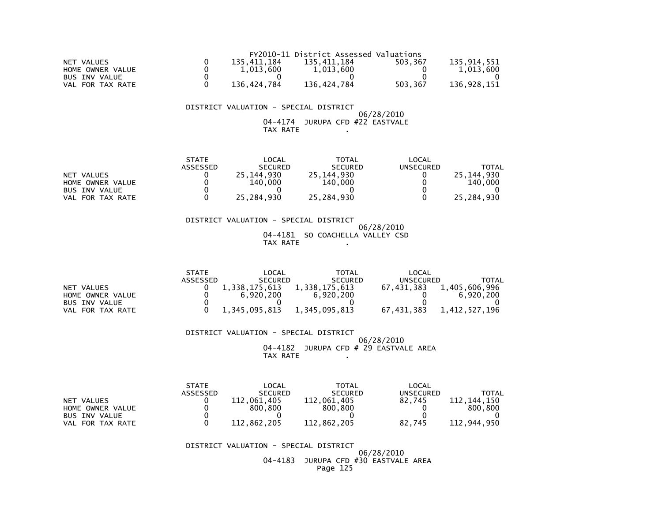|                      |             | FY2010-11 District Assessed Valuations |         |             |
|----------------------|-------------|----------------------------------------|---------|-------------|
| NET VALUES           | 135.411.184 | 135.411.184                            | 503.367 | 135.914.551 |
| HOME OWNER VALUE     | 1.013.600   | 1.013.600                              |         | 1.013.600   |
| <b>BUS INV VALUE</b> |             |                                        |         |             |
| FOR TAX RATE<br>VAL  | 136.424.784 | 136,424,784                            | 503.367 | 136,928,151 |

#### DISTRICT VALUATION - SPECIAL DISTRICT06/28/2010

 04-4174 JURUPA CFD #22 EASTVALETAX RATE .

|                            | <b>STATE</b> | LOCAL           | <b>TOTAL</b>   | LOCAL     |              |
|----------------------------|--------------|-----------------|----------------|-----------|--------------|
|                            | ASSESSED     | <b>SECURED</b>  | <b>SECURED</b> | UNSECURED | <b>TOTAL</b> |
| VALUES<br>NET              |              | .144.930<br>25. | 25, 144, 930   |           | 25.144.930   |
| HOME OWNER VALUE           |              | 140,000         | 140,000        |           | 140.000      |
| <b>BUS INV VALUE</b>       |              |                 |                |           |              |
| FOR TAX RATE<br><b>VAL</b> |              | 25,284,930      | 25,284,930     |           | 25,284,930   |

 DISTRICT VALUATION - SPECIAL DISTRICT 06/28/2010 04-4181 SO COACHELLA VALLEY CSDTAX RATE .

|                      | <b>STATE</b> | _OCAL          | TOTAL          | _OCAL      |               |
|----------------------|--------------|----------------|----------------|------------|---------------|
|                      | ASSESSED     | <b>SECURED</b> | <b>SECURED</b> | UNSECURED  | TOTAL         |
| NET VALUES           |              | 1.338.175.613  | 1,338,175,613  | 67.431.383 | 1,405,606,996 |
| HOME OWNER VALUE     |              | 6.920.200      | 6.920.200      |            | 6.920.200     |
| <b>BUS INV VALUE</b> |              |                |                |            |               |
| FOR TAX RATE<br>VAL  |              | 1,345,095,813  | 1,345,095,813  | 67,431,383 | 1,412,527,196 |

 DISTRICT VALUATION - SPECIAL DISTRICT 06/28/2010 04-4182 JURUPA CFD # 29 EASTVALE AREATAX RATE .

|                      | <b>STATE</b> | LOCAL            | <b>TOTAL</b>   | LOCAL     |                |
|----------------------|--------------|------------------|----------------|-----------|----------------|
|                      | ASSESSED     | <b>SECURED</b>   | <b>SECURED</b> | UNSECURED | TOTAL          |
| NET VALUES           |              | .061.405<br>112. | 112,061,405    | 82.745    | 144.150<br>112 |
| HOME OWNER VALUE     |              | 800.800          | 800.800        |           | 800.800        |
| <b>BUS INV VALUE</b> |              |                  |                |           |                |
| FOR TAX RATE<br>VAL  |              | 112.862.205      | 112,862,205    | 82.745    | 112,944,950    |

DISTRICT VALUATION - SPECIAL DISTRICT

 06/28/2010 04-4183 JURUPA CFD #30 EASTVALE AREAPage 125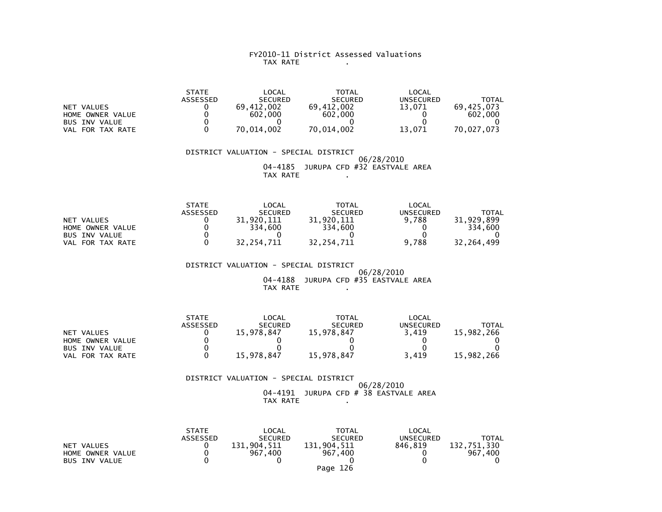#### FY2010-11 District Assessed Valuations TAX RATE .

|                      | <b>STATE</b>    | LOCAL          | <b>TOTAL</b>   | LOCAL     |            |
|----------------------|-----------------|----------------|----------------|-----------|------------|
|                      | <b>ASSESSED</b> | <b>SECURED</b> | <b>SECURED</b> | UNSECURED | TOTAL      |
| NET VALUES           |                 | 69.412.002     | 69.412.002     | 13.071    | 69.425.073 |
| HOME OWNER VALUE     |                 | 602,000        | 602,000        |           | 602,000    |
| <b>BUS INV VALUE</b> |                 |                |                |           |            |
| FOR TAX RATE<br>VAL  |                 | 70.014.002     | 70.014.002     | 13.071    | 70.027.073 |

 DISTRICT VALUATION - SPECIAL DISTRICT 06/28/2010 04-4185 JURUPA CFD #32 EASTVALE AREATAX RATE .

|                      | <b>STATE</b> | <b>LOCAL</b>   | TOTAL          | LOCAL            |            |
|----------------------|--------------|----------------|----------------|------------------|------------|
|                      | ASSESSED     | <b>SECURED</b> | <b>SECURED</b> | UNSECURED        | TOTAL      |
| NET VALUES           |              | .920.111       | 920.111        | 9.788            | 31.929.899 |
| HOME OWNER VALUE     |              | 334,600        | 334,600        |                  | 334.600    |
| <b>BUS INV VALUE</b> |              |                |                |                  |            |
| FOR TAX RATE<br>VAL  |              | 32,254,711     | 32.254.711     | .788<br><b>Q</b> | 32.264.499 |

 DISTRICT VALUATION - SPECIAL DISTRICT 06/28/201004-4188 JURUPA CFD #35 EASTVALE AREA

TAX RATE .

|                      | <b>STATE</b>    | LOCAL          | <b>TOTAL</b>   | LOCAL            |            |
|----------------------|-----------------|----------------|----------------|------------------|------------|
|                      | <b>ASSESSED</b> | <b>SECURED</b> | <b>SECURED</b> | <b>UNSECURED</b> | TOTAL      |
| NET VALUES           |                 | 15,978,847     | 15.978.847     | 3.419            | 15,982,266 |
| HOME OWNER VALUE     |                 |                |                |                  |            |
| <b>BUS INV VALUE</b> |                 |                |                |                  |            |
| FOR TAX RATE<br>VAL  |                 | 15,978,847     | 15,978,847     | 3.419            | 15,982,266 |

 DISTRICT VALUATION - SPECIAL DISTRICT 06/28/2010 04-4191 JURUPA CFD # 38 EASTVALE AREATAX RATE .

|                                                        | <b>STATE</b><br><b>ASSESSED</b> | LOCAL<br><b>SECURED</b> | TOTAL<br><b>SECURED</b>            | LOCAL<br><b>UNSECURED</b> | TOTAL                  |
|--------------------------------------------------------|---------------------------------|-------------------------|------------------------------------|---------------------------|------------------------|
| NET VALUES<br>HOME OWNER VALUE<br><b>BUS INV VALUE</b> |                                 | 131,904,511<br>967,400  | 131,904.511<br>967,400<br>Page 126 | 846.819                   | 132.751.330<br>967.400 |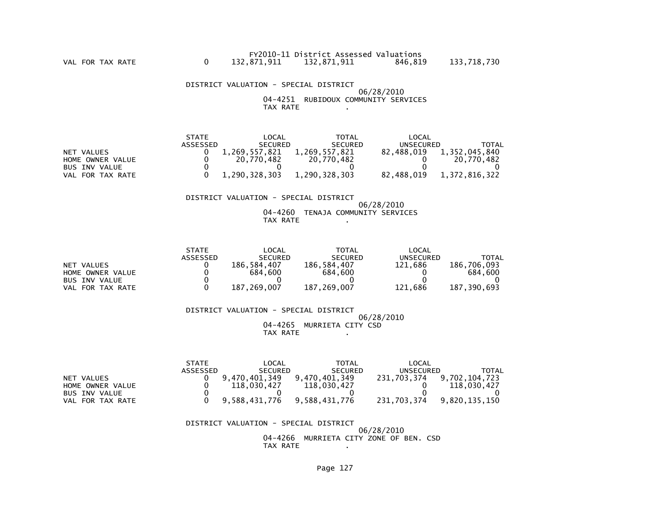DISTRICT VALUATION - SPECIAL DISTRICT 06/28/2010 04-4251 RUBIDOUX COMMUNITY SERVICESTAX RATE .

|                      | <b>STATE</b> | LOCAL          | TOTAL          | LOCAL      |               |
|----------------------|--------------|----------------|----------------|------------|---------------|
|                      | ASSESSED     | <b>SECURED</b> | <b>SECURED</b> | UNSECURED  | <b>TOTAL</b>  |
| NET VALUES           |              | 1.269.557.821  | 1.269.557.821  | 82.488.019 | 1,352,045,840 |
| HOME OWNER VALUE     |              | 20.770.482     | 20.770.482     |            | 20.770.482    |
| <b>BUS INV VALUE</b> |              |                |                |            |               |
| VAL FOR TAX RATE     |              | 1.290.328.303  | 1.290.328.303  | 82.488.019 | 1.372.816.322 |

## DISTRICT VALUATION - SPECIAL DISTRICT

#### 06/28/2010 04-4260 TENAJA COMMUNITY SERVICESTAX RATE .

|                      | <b>STATE</b>    | LOCAL          | TOTAL          | LOCAL     |              |
|----------------------|-----------------|----------------|----------------|-----------|--------------|
|                      | <b>ASSESSED</b> | <b>SECURED</b> | <b>SECURED</b> | UNSECURED | <b>TOTAL</b> |
| NET VALUES           |                 | 186.584.407    | 186,584,407    | 121.686   | 186.706.093  |
| HOME OWNER VALUE     |                 | 684,600        | 684,600        |           | 684,600      |
| <b>BUS INV VALUE</b> |                 |                |                |           |              |
| FOR TAX RATE<br>VAL  |                 | 187,269,007    | 187,269,007    | 121.686   | 187,390,693  |

 DISTRICT VALUATION - SPECIAL DISTRICT 06/28/2010 04-4265 MURRIETA CITY CSDTAX RATE .

|                      | <b>STATE</b> | LOCAL          | TOTAL          | LOCAL       |               |
|----------------------|--------------|----------------|----------------|-------------|---------------|
|                      | ASSESSED     | <b>SECURED</b> | <b>SECURED</b> | UNSECURED   | TOTAL         |
| NET VALUES           |              | 9.470.401.349  | 9.470.401.349  | 231.703.374 | 9.702.104.723 |
| HOME OWNER VALUE     |              | 118,030,427    | 118,030,427    |             | 118,030,427   |
| <b>BUS INV VALUE</b> |              |                |                |             |               |
| VAL FOR TAX RATE     |              | 9.588.431.776  | 9,588,431,776  | 231,703,374 | 9.820.135.150 |

#### DISTRICT VALUATION - SPECIAL DISTRICT 06/28/201004-4266 MURRIETA CITY ZONE OF BEN. CSD

TAX RATE .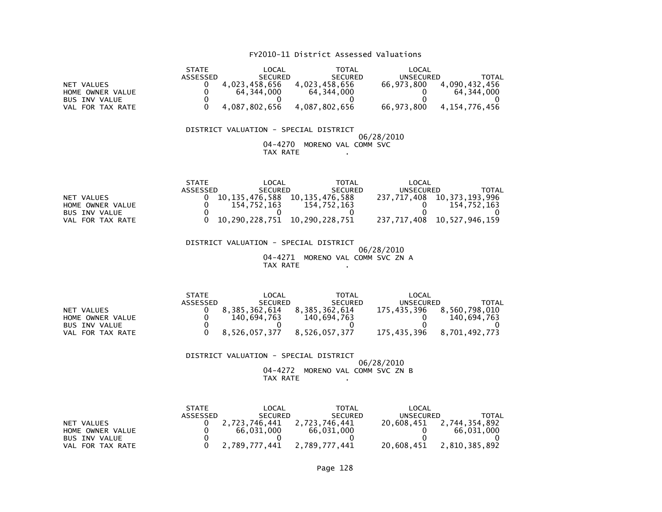## FY2010-11 District Assessed Valuations

|                      | <b>STATE</b> | LOCAL          | TOTAL          | LOCAL      |               |
|----------------------|--------------|----------------|----------------|------------|---------------|
|                      | ASSESSED     | <b>SECURED</b> | <b>SECURED</b> | UNSECURED  | TOTAL         |
| NET VALUES           |              | 4.023.458.656  | 4.023.458.656  | 66.973.800 | 4,090,432,456 |
| HOME OWNER VALUE     |              | 64.344.000     | 64.344.000     |            | 64.344.000    |
| <b>BUS INV VALUE</b> |              |                |                |            |               |
| VAL FOR TAX RATE     |              | 4.087.802.656  | 4.087.802.656  | 66.973.800 | 4.154.776.456 |

#### DISTRICT VALUATION - SPECIAL DISTRICT 06/28/2010 04-4270 MORENO VAL COMM SVCTAX RATE .

|                      | <b>STATE</b> | LOCAL          | TOTAL                         | LOCAL       |                |
|----------------------|--------------|----------------|-------------------------------|-------------|----------------|
|                      | ASSESSED     | <b>SECURED</b> | <b>SECURED</b>                | UNSECURED   | TOTAL          |
| NET VALUES           |              | 10.135.476.588 | 10.135.476.588                | 237.717.408 | 10,373,193,996 |
| HOME OWNER VALUE     |              | 154.752.163    | 154.752.163                   |             | 154.752.163    |
| <b>BUS INV VALUE</b> |              |                |                               |             |                |
| VAL FOR TAX RATE     |              |                | 10,290,228,751 10,290,228,751 | 237.717.408 | 10,527,946,159 |

 DISTRICT VALUATION - SPECIAL DISTRICT 06/28/2010 04-4271 MORENO VAL COMM SVC ZN ATAX RATE .

|                      | <b>STATE</b> | LOCAL          | <b>TOTAL</b>   | LOCAL       |               |
|----------------------|--------------|----------------|----------------|-------------|---------------|
|                      | ASSESSED     | <b>SECURED</b> | <b>SECURED</b> | UNSECURED   | TOTAL         |
| NET VALUES           |              | 8.385.362.614  | 8.385.362.614  | 175.435.396 | 8.560.798.010 |
| HOME OWNER VALUE     |              | 140.694.763    | 140.694.763    |             | 140.694.763   |
| <b>BUS INV VALUE</b> |              |                |                |             |               |
| VAL FOR TAX RATE     |              | 8.526.057.377  | 8.526.057.377  | 175.435.396 | 8.701.492.773 |

#### DISTRICT VALUATION - SPECIAL DISTRICT 06/28/2010 04-4272 MORENO VAL COMM SVC ZN BTAX RATE .

|                  | <b>STATE</b> | LOCAL          | <b>TOTAL</b>   | LOCAL      |               |
|------------------|--------------|----------------|----------------|------------|---------------|
|                  | ASSESSED     | <b>SECURED</b> | <b>SECURED</b> | UNSECURED  | TOTAL         |
| NET VALUES       |              | 2.723.746.441  | 2.723.746.441  | 20.608.451 | 2,744,354,892 |
| HOME OWNER VALUE |              | 66.031.000     | 66.031.000     |            | 66.031.000    |
| BUS INV VALUE    |              |                |                |            |               |
| VAL FOR TAX RATE |              | 2.789.777.441  | 2,789,777,441  | 20.608.451 | 2,810,385,892 |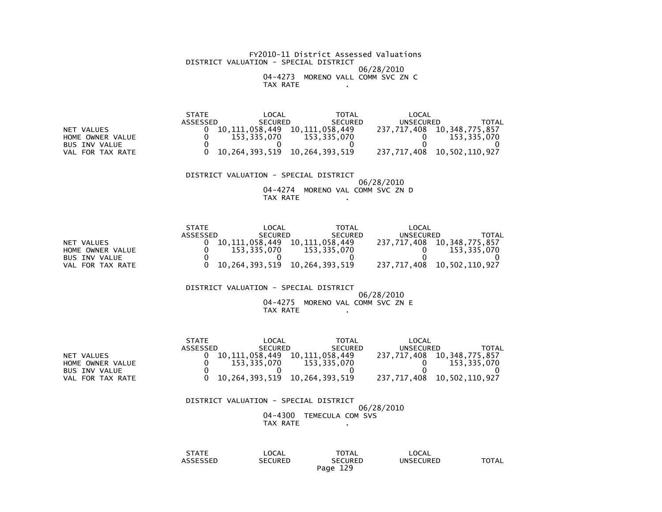FY2010-11 District Assessed Valuations DISTRICT VALUATION - SPECIAL DISTRICT 06/28/2010 04-4273 MORENO VALL COMM SVC ZN CTAX RATE .

 STATE LOCAL TOTAL LOCAL ASSESSED SECURED SECURED UNSECURED TOTAL237, 717, 408 10, 348, 775, 857 NET VALUES<br>
HOME OWNER VALUE<br>
10,111,058,335,070<br>
153,335,070<br>
153,335,070<br>
153,335,070  $0 \t153,335,070$  $\begin{array}{ccc} 0 & 153,335,070 & 153,335,070 & 0 \ 0 & 0 & 0 & 0 \end{array}$  $\overline{\mathbf{0}}$ BUS INV VALUE VAL FOR TAX RATE 0 10,264,393,519 10,264,393,519 237,717,408 10,502,110,927

 DISTRICT VALUATION - SPECIAL DISTRICT 06/28/2010 04-4274 MORENO VAL COMM SVC ZN DTAX RATE .

|                      | <b>STATE</b> | LOCAL          | <b>TOTAL</b>                  | LOCAL       |                            |
|----------------------|--------------|----------------|-------------------------------|-------------|----------------------------|
|                      | ASSESSED     | <b>SECURED</b> | <b>SECURED</b>                | UNSECURED   | TOTAL                      |
| NET VALUES           |              | 10.111.058.449 | 10.111.058.449                | 237,717,408 | 10,348,775,857             |
| HOME OWNER VALUE     |              | 153.335.070    | 153.335.070                   |             | 153.335.070                |
| <b>BUS INV VALUE</b> |              |                |                               |             |                            |
| VAL FOR TAX RATE     |              |                | 10.264.393.519 10.264.393.519 |             | 237,717,408 10,502,110,927 |

DISTRICT VALUATION - SPECIAL DISTRICT

#### 06/28/2010 04-4275 MORENO VAL COMM SVC ZN ETAX RATE .

|                      | <b>STATE</b> | LOCAL          | TOTAL                         | LOCAL       |                            |
|----------------------|--------------|----------------|-------------------------------|-------------|----------------------------|
|                      | ASSESSED     | <b>SECURED</b> | <b>SECURED</b>                | UNSECURED   | TOTAL                      |
| NET VALUES           |              | 10.111.058.449 | 10.111.058.449                | 237,717,408 | 10,348,775,857             |
| HOME OWNER VALUE     |              | 153.335.070    | 153.335.070                   |             | 153,335,070                |
| <b>BUS INV VALUE</b> |              |                |                               |             |                            |
| VAL FOR TAX RATE     |              |                | 10,264,393,519 10,264,393,519 |             | 237,717,408 10,502,110,927 |

 DISTRICT VALUATION - SPECIAL DISTRICT 06/28/2010 04-4300 TEMECULA COM SVSTAX RATE .

| $\sim$ $\sim$ $\sim$ $\sim$ $\sim$<br>$\mathbf{v}$<br><b>AIL</b> | LOCAL                            | <b>TOTAL</b>               | LOCAL            |       |
|------------------------------------------------------------------|----------------------------------|----------------------------|------------------|-------|
| $-0.00000$<br>ゝゝヒレ<br>_____                                      | <b>CURED</b><br>'⊤د<br>◝<br>____ | SECURED                    | <b>UNSECURED</b> | TOTAL |
|                                                                  |                                  | 12 Q<br>Page<br>ᅩᅩ<br>____ |                  |       |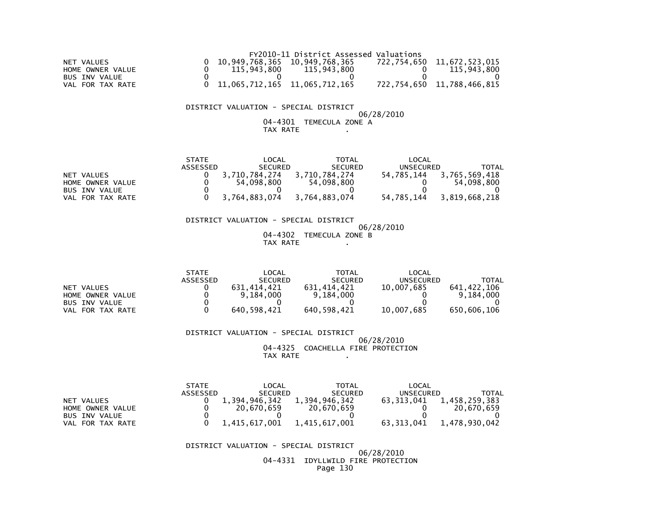|                  |                                 | FY2010-11 District Assessed Valuations |                            |
|------------------|---------------------------------|----------------------------------------|----------------------------|
| NET VALUES       | 10,949,768,365 10,949,768,365   |                                        | 722,754,650 11,672,523,015 |
| HOME OWNER VALUE | 115,943,800                     | 115,943,800                            | 115.943.800                |
| BUS INV VALUE    |                                 |                                        |                            |
| VAL FOR TAX RATE | 0 11,065,712,165 11,065,712,165 |                                        | 722,754,650 11,788,466,815 |

## DISTRICT VALUATION - SPECIAL DISTRICT

## 06/28/201004-4301 TEMECULA ZONE A

## TAX RATE .

|                      | <b>STATE</b> | LOCAL          | TOTAL          | LOCAL            |               |
|----------------------|--------------|----------------|----------------|------------------|---------------|
|                      | ASSESSED     | <b>SECURED</b> | <b>SECURED</b> | <b>UNSECURED</b> | TOTAL         |
| NET VALUES           |              | 3,710,784,274  | 3.710.784.274  | 54.785.144       | 3,765,569,418 |
| HOME OWNER VALUE     |              | 54.098.800     | 54,098,800     |                  | 54,098,800    |
| <b>BUS INV VALUE</b> |              |                |                |                  |               |
| FOR TAX RATE<br>VAL  |              | 3,764,883,074  | 3.764.883.074  | 54,785,144       | 3,819,668,218 |

## DISTRICT VALUATION - SPECIAL DISTRICT

 06/28/2010 04-4302 TEMECULA ZONE BTAX RATE .

|                      | <b>STATE</b> | LOCAL          | TOTAL          | LOCAL      |              |
|----------------------|--------------|----------------|----------------|------------|--------------|
|                      | ASSESSED     | <b>SECURED</b> | <b>SECURED</b> | UNSECURED  | <b>TOTAL</b> |
| NET VALUES           |              | 631.414.421    | 631.414.421    | 10.007.685 | 641,422,106  |
| HOME OWNER VALUE     |              | 9.184.000      | 9,184,000      |            | 9.184.000    |
| <b>BUS INV VALUE</b> |              |                |                |            |              |
| FOR TAX RATE<br>VAL  |              | 640,598,421    | 640,598,421    | 10,007,685 | 650,606,106  |

 DISTRICT VALUATION - SPECIAL DISTRICT 06/28/2010 04-4325 COACHELLA FIRE PROTECTIONTAX RATE .

|                      | <b>STATE</b> | LOCAL          | <b>TOTAL</b>   | LOCAL      |               |
|----------------------|--------------|----------------|----------------|------------|---------------|
|                      | ASSESSED     | <b>SECURED</b> | <b>SECURED</b> | UNSECURED  | TOTAL         |
| NET VALUES           |              | 1,394,946,342  | 1,394,946,342  | 63.313.041 | 1,458,259,383 |
| HOME OWNER VALUE     |              | 20.670.659     | 20.670.659     |            | 20.670.659    |
| <b>BUS INV VALUE</b> |              |                |                |            |               |
| FOR TAX RATE<br>VAL  |              | 1,415,617,001  | 1,415,617,001  | 63.313.041 | 1,478,930,042 |

DISTRICT VALUATION - SPECIAL DISTRICT

 06/28/2010 04-4331 IDYLLWILD FIRE PROTECTIONPage 130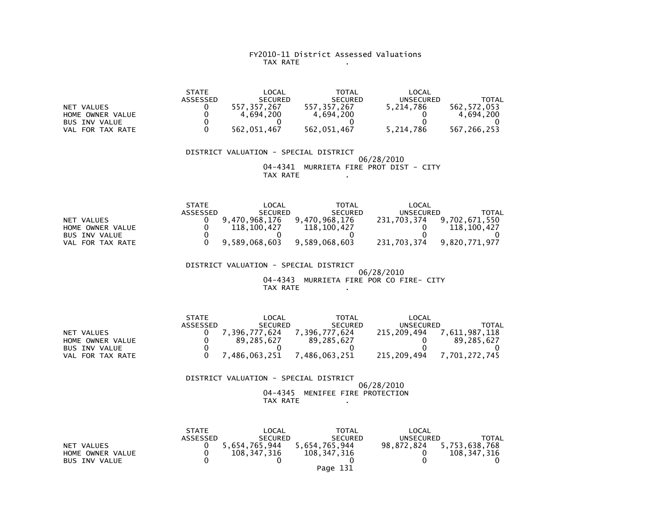#### FY2010-11 District Assessed Valuations TAX RATE .

 STATE LOCAL TOTAL LOCAL ASSESSED SECURED SECURED UNSECURED TOTAL562, 572, 053 NET VALUES<br>
HOME OWNER VALUE  $\begin{array}{cccc} 0 & 557,357,267 & 557,357,267 & 5,214,786 \\ 0 & 4,694,200 & 4,694,200 & 0 \end{array}$  $4,694,200$  HOME OWNER VALUE 0 4,694,200 4,694,200 0 4,694,200 $\overline{\mathbf{0}}$  BUS INV VALUE 0 0 0 0 0VAL FOR TAX RATE 0 562,051,467 562,051,467 5,214,786 567,266,253

 DISTRICT VALUATION - SPECIAL DISTRICT 06/28/2010 04-4341 MURRIETA FIRE PROT DIST - CITYTAX RATE .

|                      | <b>STATE</b> | LOCAL          | <b>TOTAL</b>   | LOCAL            |               |
|----------------------|--------------|----------------|----------------|------------------|---------------|
|                      | ASSESSED     | <b>SECURED</b> | <b>SECURED</b> | <b>UNSECURED</b> | TOTAL         |
| NET VALUES           |              | 9.470.968.176  | 9.470.968.176  | 231,703,374      | 9,702,671,550 |
| HOME OWNER VALUE     |              | 118.100.427    | 118,100,427    |                  | 118,100,427   |
| <b>BUS INV VALUE</b> |              |                |                |                  |               |
| FOR TAX RATE<br>VAL  |              | 9,589,068,603  | 9,589,068,603  | 231,703,374      | 9,820,771,977 |

 DISTRICT VALUATION - SPECIAL DISTRICT 06/28/2010 04-4343 MURRIETA FIRE POR CO FIRE- CITYTAX RATE .

|                     | <b>STATE</b> | LOCAL          | <b>TOTAL</b>   | LOCAL       |              |
|---------------------|--------------|----------------|----------------|-------------|--------------|
|                     | ASSESSED     | <b>SECURED</b> | <b>SECURED</b> | UNSECURED   | ΤΟΤΑΙ        |
| NET VALUES          |              | 396.777.624    | 396.777.624    | 215,209,494 | ,611,987,118 |
| HOME OWNER VALUE    |              | 89.285.627     | 89.285.627     |             | 89.285.627   |
| BUS INV VALUE       |              |                |                |             |              |
| FOR TAX RATE<br>VAL |              | .486,063,251   | .486.063.251   | 215,209,494 | 701.272.745  |

#### DISTRICT VALUATION - SPECIAL DISTRICT06/28/2010

 04-4345 MENIFEE FIRE PROTECTIONTAX RATE .

|                      | <b>STATE</b> | LOCAL          | TOTAL          | LOCAL      |               |
|----------------------|--------------|----------------|----------------|------------|---------------|
|                      | ASSESSED     | <b>SECURED</b> | <b>SECURED</b> | UNSECURED  | TOTAL         |
| NET VALUES           |              | 5.654.765.944  | 5.654.765.944  | 98.872.824 | 5,753,638,768 |
| HOME OWNER VALUE     |              | 108.347.316    | 108,347,316    |            | 108,347,316   |
| <b>BUS INV VALUE</b> |              |                |                |            |               |
|                      |              |                | Page 131       |            |               |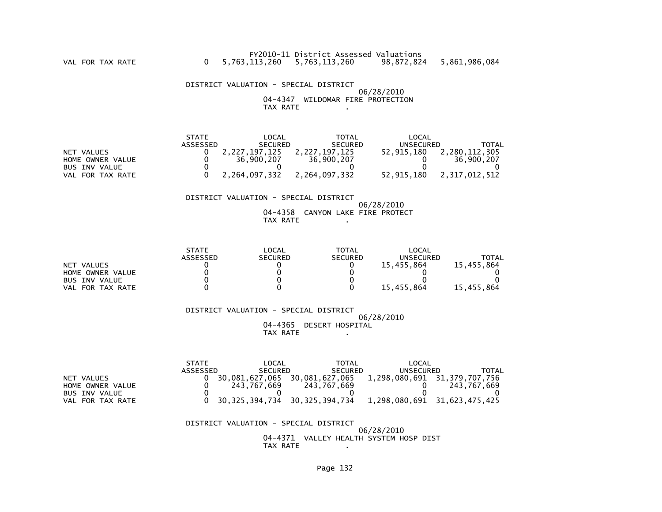DISTRICT VALUATION - SPECIAL DISTRICT 06/28/2010 04-4347 WILDOMAR FIRE PROTECTIONTAX RATE .

|                      | <b>STATE</b> | LOCAL          | TOTAL          | LOCAL      |               |
|----------------------|--------------|----------------|----------------|------------|---------------|
|                      | ASSESSED     | <b>SECURED</b> | <b>SECURED</b> | UNSECURED  | TOTAL         |
| NET VALUES           |              | 2,227,197,125  | 2,227,197,125  | 52.915.180 | 2,280,112,305 |
| HOME OWNER VALUE     |              | 36,900,207     | 36,900,207     |            | 36,900,207    |
| <b>BUS INV VALUE</b> |              |                |                |            |               |
| VAL FOR TAX RATE     |              | 2.264.097.332  | 2.264.097.332  | 52.915.180 | 2.317.012.512 |

#### DISTRICT VALUATION - SPECIAL DISTRICT

 06/28/2010 04-4358 CANYON LAKE FIRE PROTECTTAX RATE .

|                      | <b>STATE</b> | LOCAL          | <b>TOTAL</b>   | LOCAL            |            |
|----------------------|--------------|----------------|----------------|------------------|------------|
|                      | ASSESSED     | <b>SECURED</b> | <b>SECURED</b> | <b>UNSECURED</b> | TOTAL      |
| NET VALUES           |              |                |                | 15,455,864       | 15,455,864 |
| HOME OWNER VALUE     |              |                |                |                  |            |
| <b>BUS INV VALUE</b> |              |                |                |                  |            |
| VAL FOR TAX RATE     |              |                |                | 15.455.864       | 15,455,864 |

 DISTRICT VALUATION - SPECIAL DISTRICT 06/28/2010 04-4365 DESERT HOSPITALTAX RATE .

|                     | STATF    | LOCAL          | TOTAL          | _OCAL                        |             |
|---------------------|----------|----------------|----------------|------------------------------|-------------|
|                     | ASSESSED | <b>SECURED</b> | <b>SECURED</b> | <b>UNSECURED</b>             | TOTAL       |
| NET VALUES          |          | 30.081.627.065 | 30.081.627.065 | 1,298,080,691 31,379,707,756 |             |
| HOME OWNER VALUE    |          | 243.767.669    | 243.767.669    |                              | 243.767.669 |
| BUS INV VALUE       |          |                |                |                              |             |
| FOR TAX RATE<br>VAL |          | 30,325,394,734 | 30,325,394,734 | 1,298,080,691 31,623,475,425 |             |

#### DISTRICT VALUATION - SPECIAL DISTRICT

 06/28/2010 04-4371 VALLEY HEALTH SYSTEM HOSP DISTTAX RATE .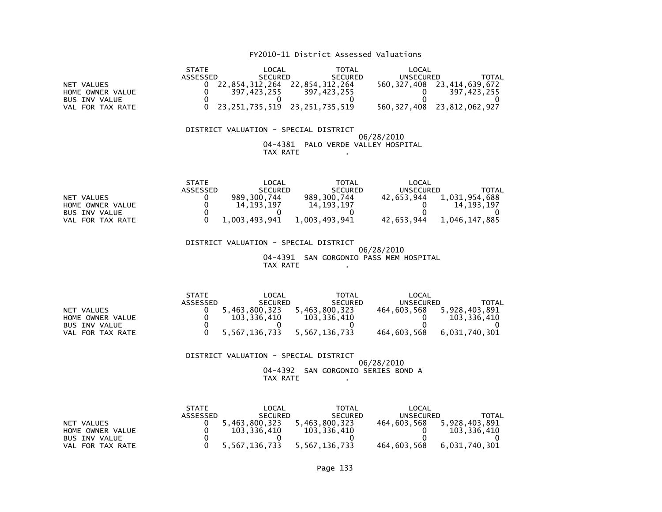## FY2010-11 District Assessed Valuations

|                                                 | <b>STATE</b>    | LOCAL                               | TOTAL          | LOCAL       |                |  |  |  |
|-------------------------------------------------|-----------------|-------------------------------------|----------------|-------------|----------------|--|--|--|
|                                                 | <b>ASSESSED</b> | <b>SECURED</b>                      | <b>SECURED</b> | UNSECURED   | TOTAL          |  |  |  |
| NET VALUES                                      |                 | 22.854.312.264                      | 22,854,312,264 | 560,327,408 | 23,414,639,672 |  |  |  |
| HOME OWNER VALUE                                |                 | 397,423,255                         | 397,423,255    |             | 397,423,255    |  |  |  |
| BUS INV VALUE                                   |                 |                                     |                |             |                |  |  |  |
| VAL FOR TAX RATE                                |                 | 23, 251, 735, 519 23, 251, 735, 519 |                | 560.327.408 | 23,812,062,927 |  |  |  |
|                                                 |                 |                                     |                |             |                |  |  |  |
|                                                 |                 |                                     |                |             |                |  |  |  |
| DISTRICT VALUATION – SPECIAL<br><b>DISTRICT</b> |                 |                                     |                |             |                |  |  |  |

 DISTRICT VALUATION - SPECIAL DISTRICT 06/28/2010 04-4381 PALO VERDE VALLEY HOSPITALTAX RATE .

|                     | <b>STATE</b> | LOCAL          | <b>TOTAL</b>   | LOCAL      |               |
|---------------------|--------------|----------------|----------------|------------|---------------|
|                     | ASSESSED     | <b>SECURED</b> | <b>SECURED</b> | UNSECURED  | TOTAL         |
| NET VALUES          |              | 989,300,744    | 989, 300, 744  | 42.653.944 | 1,031,954,688 |
| HOME OWNER VALUE    |              | 14.193.197     | 14.193.197     |            | 14.193.197    |
| BUS INV VALUE       |              |                |                |            |               |
| FOR TAX RATE<br>VAL |              | 1,003,493,941  | 1,003,493,941  | 42,653,944 | 1,046,147,885 |

 DISTRICT VALUATION - SPECIAL DISTRICT 06/28/2010 04-4391 SAN GORGONIO PASS MEM HOSPITALTAX RATE .

|                      | <b>STATE</b> | LOCAL          | <b>TOTAL</b>   | LOCAL       |               |
|----------------------|--------------|----------------|----------------|-------------|---------------|
|                      | ASSESSED     | <b>SECURED</b> | <b>SECURED</b> | UNSECURED   | TOTAL         |
| NET VALUES           |              | 5.463.800.323  | 5.463.800.323  | 464.603.568 | 5.928.403.891 |
| HOME OWNER VALUE     |              | 103.336.410    | 103.336.410    |             | 103.336.410   |
| <b>BUS INV VALUE</b> |              |                |                |             |               |
| VAL FOR TAX RATE     |              | 5,567,136,733  | 5.567.136.733  | 464.603.568 | 6.031.740.301 |

 DISTRICT VALUATION - SPECIAL DISTRICT 06/28/2010 04-4392 SAN GORGONIO SERIES BOND ATAX RATE .

|                      | <b>STATE</b> | LOCAL          | <b>TOTAL</b>   | LOCAL       |               |
|----------------------|--------------|----------------|----------------|-------------|---------------|
|                      | ASSESSED     | <b>SECURED</b> | <b>SECURED</b> | UNSECURED   | TOTAL         |
| NET VALUES           |              | 5.463.800.323  | 5.463.800.323  | 464.603.568 | 5.928.403.891 |
| HOME OWNER VALUE     |              | 103.336.410    | 103.336.410    |             | 103.336.410   |
| <b>BUS INV VALUE</b> |              |                |                |             |               |
| FOR TAX RATE<br>VAL  |              | 5,567,136,733  | 5,567,136,733  | 464,603,568 | 6,031,740,301 |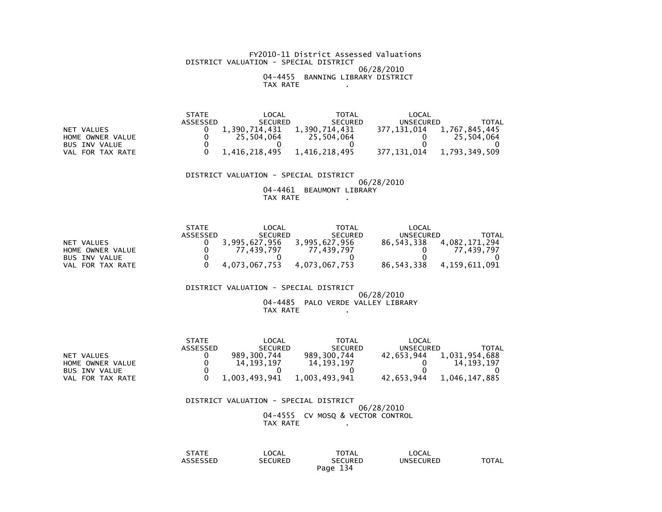#### FY2010-11 District Assessed Valuations DISTRICT VALUATION - SPECIAL DISTRICT 06/28/2010 04-4455 BANNING LIBRARY DISTRICTTAX RATE .

|                      | <b>STATE</b> | OCAL:         | TOTAL          | ' OCAL      |               |
|----------------------|--------------|---------------|----------------|-------------|---------------|
|                      | ASSESSED     | SECURED       | <b>SECURED</b> | UNSECURED   | TOTAL         |
| VALUES<br><b>NET</b> |              | 1.390.714.431 | 1.390.714.431  | 377.131.014 | 1,767,845,445 |
| HOME OWNER VALUE     |              | 25.504.064    | 25.504.064     |             | 25,504,064    |
| <b>BUS INV VALUE</b> |              |               |                |             |               |
| FOR TAX RATE<br>VAL  |              | 1,416,218,495 | 1,416,218,495  | 377,131,014 | 1,793,349,509 |

 DISTRICT VALUATION - SPECIAL DISTRICT06/28/2010

> 04-4461 BEAUMONT LIBRARY TAX RATE .

|                      | <b>STATE</b> | LOCAL          | <b>TOTAL</b>   | LOCAL      |               |
|----------------------|--------------|----------------|----------------|------------|---------------|
|                      | ASSESSED     | <b>SECURED</b> | <b>SECURED</b> | UNSECURED  | TOTAL         |
| NET VALUES           |              | 3,995,627,956  | 3,995,627,956  | 86.543.338 | ,082,171,294  |
| HOME OWNER VALUE     |              | 77.439.797     | .439.797       |            | 77.439.797    |
| <b>BUS INV VALUE</b> |              |                |                |            |               |
| FOR TAX RATE<br>VAL  |              | 4,073,067,753  | 4,073,067,753  | 86,543,338 | 4,159,611,091 |

DISTRICT VALUATION - SPECIAL DISTRICT

#### 06/28/2010 04-4485 PALO VERDE VALLEY LIBRARYTAX RATE .

|                      | <b>STATE</b> | LOCAL          | TOTAL          | LOCAL      |               |
|----------------------|--------------|----------------|----------------|------------|---------------|
|                      | ASSESSED     | <b>SECURED</b> | <b>SECURED</b> | UNSECURED  | TOTAL         |
| NET VALUES           |              | 989.300.744    | 989.300.744    | 42.653.944 | 1.031.954.688 |
| HOME OWNER VALUE     |              | 14.193.197     | 14.193.197     |            | 14.193.197    |
| <b>BUS INV VALUE</b> |              |                |                |            |               |
| VAL FOR TAX RATE     |              | 1.003.493.941  | 1.003.493.941  | 42.653.944 | 1.046.147.885 |

## DISTRICT VALUATION - SPECIAL DISTRICT

 06/28/201004-4555 CV MOSQ & VECTOR CONTROL TAX RATE .

| <b>STATE</b>             | LOCAL                              | TOTAL             | LOCAL            |              |
|--------------------------|------------------------------------|-------------------|------------------|--------------|
| $\cdots$<br>SSEL<br>____ | <b>CURED</b><br>SΕ<br>↖⊏┗<br>_____ | <b>SECURED</b>    | <b>UNSECURED</b> | <b>TOTAL</b> |
|                          |                                    | 134<br>Page<br>-- |                  |              |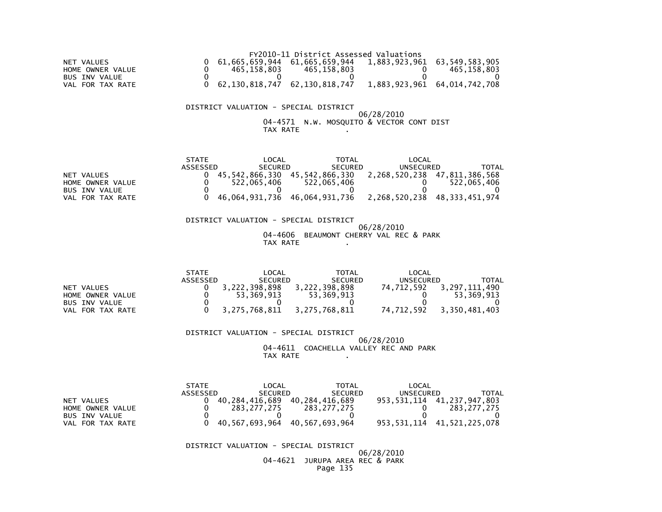|                      |             | FY2010-11 District Assessed Valuations                                             |             |
|----------------------|-------------|------------------------------------------------------------------------------------|-------------|
| NET VALUES           |             | $0$ 61,665,659,944 61,665,659,944 1,883,923,961 63,549,583,905                     |             |
| HOME OWNER VALUE     | 465.158.803 | 465.158.803                                                                        | 465,158,803 |
| <b>BUS INV VALUE</b> |             |                                                                                    |             |
| VAL FOR TAX RATE     |             | $0\quad 62,130,818,747\quad 62,130,818,747\quad 1,883,923,961\quad 64,014,742,708$ |             |

## DISTRICT VALUATION - SPECIAL DISTRICT

# 06/28/201004-4571 N.W. MOSQUITO & VECTOR CONT DIST TAX RATE .

|                      | <b>STATE</b> | LOCAL          | <b>TOTAL</b>   | LOCAL                        |                |
|----------------------|--------------|----------------|----------------|------------------------------|----------------|
|                      | ASSESSED     | <b>SECURED</b> | <b>SECURED</b> | UNSECURED                    | TOTAL          |
| NET VALUES           |              | 45.542.866.330 | 45.542.866.330 | 2,268,520,238 47,811,386,568 |                |
| HOME OWNER VALUE     |              | 522.065.406    | 522.065.406    |                              | 522.065.406    |
| <b>BUS INV VALUE</b> |              |                |                |                              |                |
| FOR TAX RATE<br>VAL  |              | 46,064,931,736 | 46,064,931,736 | 2,268,520,238                | 48,333,451,974 |

 DISTRICT VALUATION - SPECIAL DISTRICT 06/28/2010 04-4606 BEAUMONT CHERRY VAL REC & PARKTAX RATE .

|                      | <b>STATE</b> | LOCAL          | TOTAL          | LOCAL      |               |
|----------------------|--------------|----------------|----------------|------------|---------------|
|                      | ASSESSED     | <b>SECURED</b> | <b>SECURED</b> | UNSECURED  | TOTAL         |
| NET VALUES           |              | 3,222,398,898  | 3,222,398,898  | 74.712.592 | 3,297,111,490 |
| HOME OWNER VALUE     |              | 53.369.913     | 53,369,913     |            | 53.369.913    |
| <b>BUS INV VALUE</b> |              |                |                |            |               |
| FOR TAX RATE<br>VAL  |              | 3,275,768,811  | 3,275,768,811  | 74,712,592 | 3,350,481,403 |

 DISTRICT VALUATION - SPECIAL DISTRICT 06/28/2010 04-4611 COACHELLA VALLEY REC AND PARKTAX RATE .

|                      | <b>STATE</b> | LOCAL          | TOTAL          | LOCAL       |                                 |
|----------------------|--------------|----------------|----------------|-------------|---------------------------------|
|                      | ASSESSED     | <b>SECURED</b> | <b>SECURED</b> | UNSECURED   | TOTAL                           |
| NET VALUES           |              | 40.284.416.689 | 40.284.416.689 |             | 953, 531, 114 41, 237, 947, 803 |
| HOME OWNER VALUE     |              | 283.277.275    | 283.277.275    |             | 283.277.275                     |
| <b>BUS INV VALUE</b> |              |                |                |             |                                 |
| FOR TAX RATE<br>VAL. |              | 40,567,693,964 | 40,567,693,964 | 953,531,114 | 41,521,225,078                  |

DISTRICT VALUATION - SPECIAL DISTRICT

 06/28/2010 04-4621 JURUPA AREA REC & PARKPage 135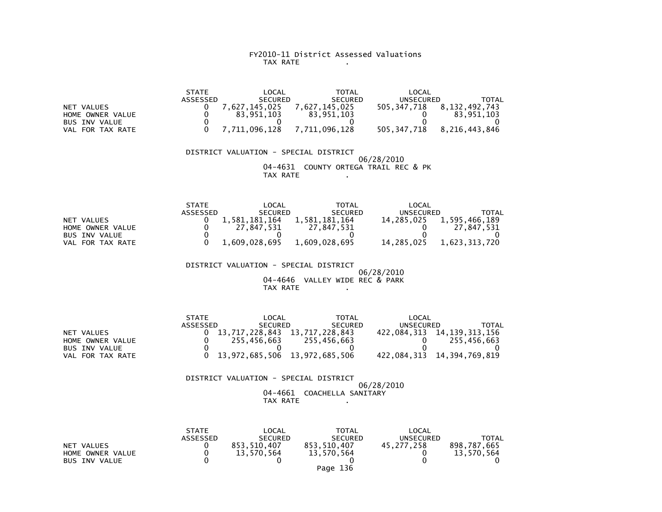#### FY2010-11 District Assessed Valuations TAX RATE .

 STATE LOCAL TOTAL LOCAL ASSESSED SECURED SECURED UNSECURED TOTAL505, 347, 718 8, 132, 492, 743 NET VALUES 0 7,627,145,025 7,627,145,025 7,627,145,025 5005<br>HOME OWNER VALUE 0 83.951,103 83.951,103  $\begin{array}{cccc} 0 & 83,951,103 \end{array}$  HOME OWNER VALUE 0 83,951,103 83,951,103 0 83,951,103 $\overline{\mathbf{0}}$ BUS INV VALUE 505, 347, 718 8, 216, 443, 846 VAL FOR TAX RATE 0 7,711,096,128 7,711,096,128

#### DISTRICT VALUATION - SPECIAL DISTRICT 06/28/2010 04-4631 COUNTY ORTEGA TRAIL REC & PKTAX RATE .

|                      | <b>STATE</b> | _OCAL          | TOTAL          | LOCAL      |               |
|----------------------|--------------|----------------|----------------|------------|---------------|
|                      | ASSESSED     | <b>SECURED</b> | <b>SECURED</b> | UNSECURED  | TOTAL         |
| NET VALUES           |              | 1.581.181.164  | 1,581,181,164  | 14.285.025 | 1,595,466,189 |
| HOME OWNER VALUE     |              | 27.847.531     | 27.847.531     |            | 27.847.531    |
| <b>BUS INV VALUE</b> |              |                |                |            |               |
| FOR TAX RATE<br>VAL  |              | 1,609,028,695  | 1,609,028,695  | 14,285,025 | 1,623,313,720 |

 DISTRICT VALUATION - SPECIAL DISTRICT 06/28/2010 04-4646 VALLEY WIDE REC & PARKTAX RATE .

|                  | <b>STATE</b> | LOCAL                         | <b>TOTAL</b>   | LOCAL     |                            |
|------------------|--------------|-------------------------------|----------------|-----------|----------------------------|
|                  | ASSESSED     | <b>SECURED</b>                | <b>SECURED</b> | UNSECURED | TOTAL                      |
| NET VALUES       |              | 13.717.228.843 13.717.228.843 |                |           | 422.084.313 14.139.313.156 |
| HOME OWNER VALUE |              | 255.456.663                   | 255.456.663    |           | 255,456,663                |
| BUS INV VALUE    |              |                               |                |           |                            |
| VAL FOR TAX RATE |              | 13,972,685,506 13,972,685,506 |                |           | 422,084,313 14,394,769,819 |

#### DISTRICT VALUATION - SPECIAL DISTRICT 06/28/2010 04-4661 COACHELLA SANITARYTAX RATE .

|                      | <b>STATE</b>    | LOCAL          | TOTAL          | LOCAL            |             |
|----------------------|-----------------|----------------|----------------|------------------|-------------|
|                      | <b>ASSESSED</b> | <b>SECURED</b> | <b>SECURED</b> | <b>UNSECURED</b> | TOTAL       |
| NET VALUES           |                 | 853,510,407    | 853,510,407    | 45.277.258       | 898,787,665 |
| HOME OWNER VALUE     |                 | 13,570,564     | 13,570,564     |                  | 13.570.564  |
| <b>BUS INV VALUE</b> |                 |                |                |                  |             |
|                      |                 |                | Page 136       |                  |             |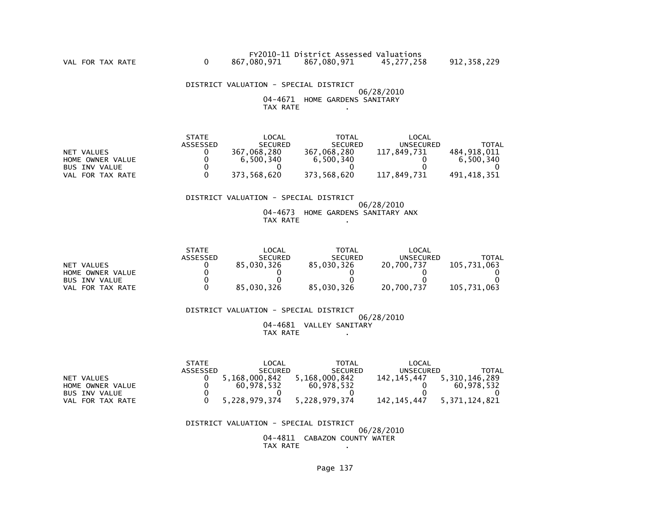DISTRICT VALUATION - SPECIAL DISTRICT 06/28/2010 04-4671 HOME GARDENS SANITARYTAX RATE .

|                      | <b>STATE</b> | LOCAL          | TOTAL          | LOCAL       |             |
|----------------------|--------------|----------------|----------------|-------------|-------------|
|                      | ASSESSED     | <b>SECURED</b> | <b>SECURED</b> | UNSECURED   | TOTAL       |
| NET VALUES           |              | 367.068.280    | 367,068,280    | 117,849,731 | 484.918.011 |
| HOME OWNER VALUE     |              | 6.500.340      | 6,500,340      |             | 6.500.340   |
| <b>BUS INV VALUE</b> |              |                |                |             |             |
| VAL FOR TAX RATE     |              | 373.568.620    | 373,568,620    | 117,849,731 | 491.418.351 |

## DISTRICT VALUATION - SPECIAL DISTRICT

 06/28/2010 04-4673 HOME GARDENS SANITARY ANXTAX RATE .

|                      | <b>STATE</b> | LOCAL          | <b>TOTAL</b>   | LOCAL            |             |
|----------------------|--------------|----------------|----------------|------------------|-------------|
|                      | ASSESSED     | <b>SECURED</b> | <b>SECURED</b> | <b>UNSECURED</b> | TOTAL       |
| NET VALUES           |              | 85,030,326     | 85.030.326     | 20.700.737       | 105.731.063 |
| HOME OWNER VALUE     |              |                |                |                  |             |
| <b>BUS INV VALUE</b> |              |                |                |                  |             |
| FOR TAX RATE<br>VAL  |              | 85.030.326     | 85.030.326     | 20,700,737       | 105.731.063 |

 DISTRICT VALUATION - SPECIAL DISTRICT 06/28/2010 04-4681 VALLEY SANITARYTAX RATE .

|                      | <b>STATE</b> | LOCAL          | <b>TOTAL</b>   | LOCAL         |                  |
|----------------------|--------------|----------------|----------------|---------------|------------------|
|                      | ASSESSED     | <b>SECURED</b> | <b>SECURED</b> | UNSECURED     | TOTAL            |
| NET VALUES           |              | 5.168.000.842  | 5,168,000,842  | 142.145.447   | 5.310.146.289    |
| HOME OWNER VALUE     |              | 60.978.532     | 60.978.532     |               | 60.978.532       |
| <b>BUS INV VALUE</b> |              |                |                |               |                  |
| FOR TAX RATE<br>VAL  |              | 5,228,979,374  | 5,228,979,374  | 142, 145, 447 | 5, 371, 124, 821 |

 DISTRICT VALUATION - SPECIAL DISTRICT06/28/2010

 04-4811 CABAZON COUNTY WATERTAX RATE .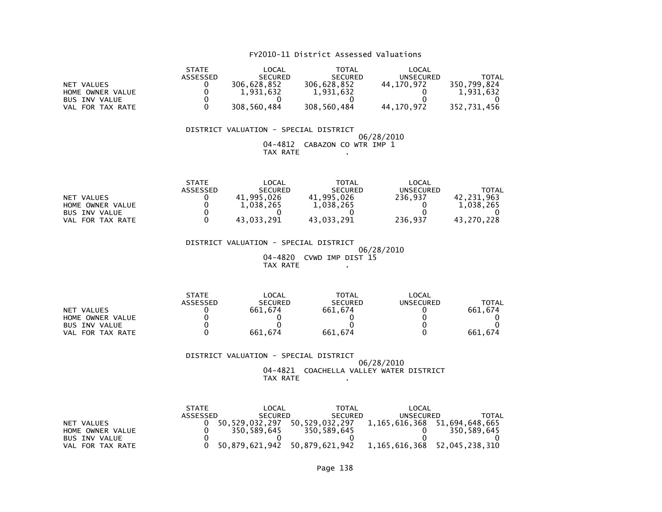## FY2010-11 District Assessed Valuations

|                      | <b>STATE</b> | LOCAL          | TOTAL          | LOCAL            |             |
|----------------------|--------------|----------------|----------------|------------------|-------------|
|                      | ASSESSED     | <b>SECURED</b> | <b>SECURED</b> | <b>UNSECURED</b> | TOTAL       |
| NET VALUES           |              | 306.628.852    | 306.628.852    | 44.170.972       | 350.799.824 |
| HOME OWNER VALUE     |              | 1,931,632      | 1,931,632      |                  | 1,931,632   |
| <b>BUS INV VALUE</b> |              |                |                |                  |             |
| FOR TAX RATE<br>VAL  |              | 308,560,484    | 308,560,484    | 44,170,972       | 352,731,456 |

#### DISTRICT VALUATION - SPECIAL DISTRICT 06/28/2010 04-4812 CABAZON CO WTR IMP 1TAX RATE .

|                       | <b>STATE</b> | _OCAL          | TOTAL          | LOCAL            |            |
|-----------------------|--------------|----------------|----------------|------------------|------------|
|                       | ASSESSED     | <b>SECURED</b> | <b>SECURED</b> | <b>UNSECURED</b> | TOTAL      |
| NET VALUES            |              | 41.995.026     | 41,995,026     | 236.937          | 42,231,963 |
| HOME OWNER VALUE      |              | 1.038.265      | 1,038,265      |                  | 1.038.265  |
| <b>BUS INV VALUE</b>  |              |                |                |                  |            |
| . FOR TAX RATE<br>VAL |              | 43.033.291     | 43.033.291     | 236.937          | 43.270.228 |

 DISTRICT VALUATION - SPECIAL DISTRICT 06/28/2010 04-4820 CVWD IMP DIST 15TAX RATE ....

|                      | <b>STATE</b>    | LOCAL          | <b>TOTAL</b>   | LOCAL     |         |
|----------------------|-----------------|----------------|----------------|-----------|---------|
|                      | <b>ASSESSED</b> | <b>SECURED</b> | <b>SECURED</b> | UNSECURED | TOTAL   |
| NET VALUES           |                 | 661.674        | 661.674        |           | 661.674 |
| HOME OWNER VALUE     |                 |                |                |           |         |
| <b>BUS INV VALUE</b> |                 |                |                |           |         |
| FOR TAX RATE<br>VAL  |                 | 661.674        | 661.674        |           | 661.674 |

#### DISTRICT VALUATION - SPECIAL DISTRICT 06/28/2010 04-4821 COACHELLA VALLEY WATER DISTRICTTAX RATE .

|                  | <b>STATE</b> | LOCAL          | TOTAL                                                      | LOCAL     |                              |
|------------------|--------------|----------------|------------------------------------------------------------|-----------|------------------------------|
|                  | ASSESSED     | <b>SECURED</b> | <b>SECURED</b>                                             | UNSECURED | TOTAL                        |
| NET VALUES       |              | 50.529.032.297 | 50.529.032.297                                             |           | 1.165.616.368 51.694.648.665 |
| HOME OWNER VALUE |              | 350.589.645    | 350.589.645                                                |           | 350.589.645                  |
| BUS INV VALUE    |              |                |                                                            |           |                              |
| VAL FOR TAX RATE |              |                | 50,879,621,942 50,879,621,942 1,165,616,368 52,045,238,310 |           |                              |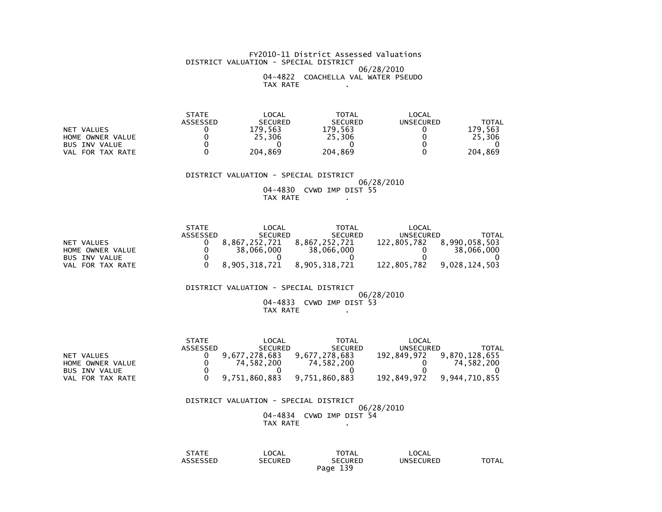#### FY2010-11 District Assessed Valuations DISTRICT VALUATION - SPECIAL DISTRICT 06/28/2010 04-4822 COACHELLA VAL WATER PSEUDOTAX RATE .

 STATE LOCAL TOTAL LOCAL**UNSECURED**  ASSESSED SECURED SECURED UNSECURED TOTAL179,563 NET VALUES<br>
HOME OWNER VALUE  $\begin{array}{cccc} 0 & 0 & 0 & 179,563 & 179,563 \\ 0 & 0 & 25,306 & 25,306 & 0 \end{array}$ 25,306 HOME OWNER VALUE 0 25,306 25,306 0 25,306 $\overline{\mathbf{0}}$ BUS INV VALUE 204,869 VAL FOR TAX RATE 0 204,869 204,869 0 204,869

DISTRICT VALUATION - SPECIAL DISTRICT

 06/28/201004-4830 CVWD IMP DIST 55

TAX RATE .

|                      | <b>STATE</b> | LOCAL          | TOTAL          | LOCAL       |               |
|----------------------|--------------|----------------|----------------|-------------|---------------|
|                      | ASSESSED     | <b>SECURED</b> | <b>SECURED</b> | UNSECURED   | TOTAL         |
| NET VALUES           |              | 8,867,252,721  | 8.867.252.721  | 122.805.782 | 8,990,058,503 |
| HOME OWNER VALUE     |              | 38,066,000     | 38,066,000     |             | 38,066,000    |
| <b>BUS INV VALUE</b> |              |                |                |             |               |
| VAL FOR TAX RATE     |              | 8.905.318.721  | 8.905.318.721  | 122.805.782 | 9.028.124.503 |

DISTRICT VALUATION - SPECIAL DISTRICT

 06/28/2010 04-4833 CVWD IMP DIST 53TAX RATE .

|                      | <b>STATE</b> | LOCAL          | TOTAL          | LOCAL       |               |
|----------------------|--------------|----------------|----------------|-------------|---------------|
|                      | ASSESSED     | <b>SECURED</b> | <b>SECURED</b> | UNSECURED   | TOTAL         |
| NET VALUES           |              | 9.677.278.683  | 9.677.278.683  | 192.849.972 | 9.870.128.655 |
| HOME OWNER VALUE     |              | 74.582.200     | 74.582.200     |             | 74.582.200    |
| <b>BUS INV VALUE</b> |              |                |                |             |               |
| VAL FOR TAX RATE     |              | 9.751.860.883  | 9,751,860,883  | 192.849.972 | 9.944.710.855 |

 DISTRICT VALUATION - SPECIAL DISTRICT 06/28/2010 04-4834 CVWD IMP DIST 54TAX RATE .

 STATE LOCAL TOTAL LOCALUNSECURED ASSESSED SECURED SECURED UNSECURED TOTALPage 139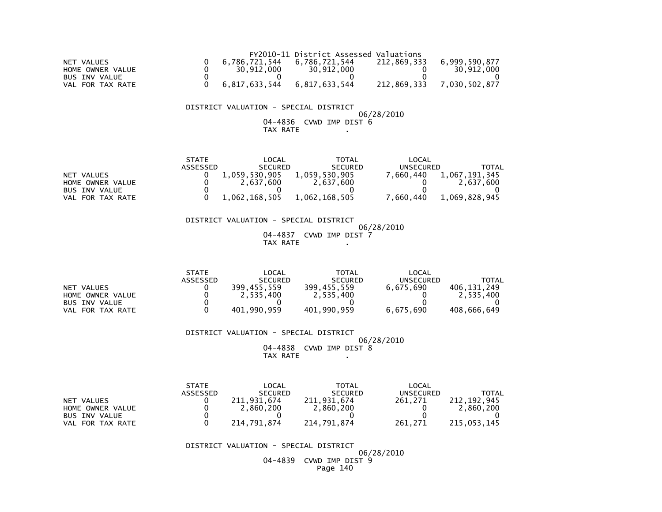|                  |               | FY2010-11 District Assessed Valuations |             |               |
|------------------|---------------|----------------------------------------|-------------|---------------|
| NET VALUES       | 6.786.721.544 | 6.786.721.544                          | 212.869.333 | 6.999.590.877 |
| HOME OWNER VALUE | 30.912.000    | 30.912.000                             |             | 30.912.000    |
| BUS INV VALUE    |               |                                        |             |               |
| VAL FOR TAX RATE | 6,817,633,544 | 6,817,633,544                          | 212,869,333 | 7,030,502,877 |

## DISTRICT VALUATION - SPECIAL DISTRICT

 06/28/201004-4836 CVWD IMP DIST 6

## $TAX RATE$  .

|                      | <b>STATE</b> | LOCAL          | TOTAL          | LOCAL            |               |
|----------------------|--------------|----------------|----------------|------------------|---------------|
|                      | ASSESSED     | <b>SECURED</b> | <b>SECURED</b> | <b>UNSECURED</b> | TOTAL         |
| NET VALUES           |              | 1,059,530,905  | 1,059,530,905  | .660.440         | 1,067,191,345 |
| HOME OWNER VALUE     |              | 2.637.600      | 2.637.600      |                  | 2.637.600     |
| <b>BUS INV VALUE</b> |              |                |                |                  |               |
| VAL FOR TAX RATE     |              | 1,062,168,505  | 1.062.168.505  | .660.440         | 1,069,828,945 |

#### DISTRICT VALUATION - SPECIAL DISTRICT06/28/2010

 04-4837 CVWD IMP DIST 7TAX RATE .

|                      | <b>STATE</b> | LOCAL          | TOTAL          | LOCAL     |              |
|----------------------|--------------|----------------|----------------|-----------|--------------|
|                      | ASSESSED     | <b>SECURED</b> | <b>SECURED</b> | UNSECURED | <b>TOTAL</b> |
| NET VALUES           |              | 399.455.559    | 399,455,559    | 6.675.690 | 406.131.249  |
| HOME OWNER VALUE     |              | 2,535,400      | 2,535,400      |           | 2,535,400    |
| <b>BUS INV VALUE</b> |              |                |                |           |              |
| FOR TAX RATE<br>VAL  |              | 401.990.959    | 401,990,959    | 6,675,690 | 408,666,649  |

#### DISTRICT VALUATION - SPECIAL DISTRICT06/28/2010

 04-4838 CVWD IMP DIST 8TAX RATE .

|                      | <b>STATE</b> | LOCAL          | <b>TOTAL</b>   | LOCAL     |             |
|----------------------|--------------|----------------|----------------|-----------|-------------|
|                      | ASSESSED     | <b>SECURED</b> | <b>SECURED</b> | UNSECURED | TOTAL       |
| NET VALUES           |              | 211,931,674    | 211,931,674    | 261.271   | 212.192.945 |
| HOME OWNER VALUE     |              | 2.860.200      | 2.860.200      |           | 2.860.200   |
| <b>BUS INV VALUE</b> |              |                |                |           |             |
| FOR TAX RATE<br>VAL  |              | 214.791.874    | 214.791.874    | 261.271   | 215,053,145 |

#### DISTRICT VALUATION - SPECIAL DISTRICT

 06/28/2010 04-4839 CVWD IMP DIST 9Page 140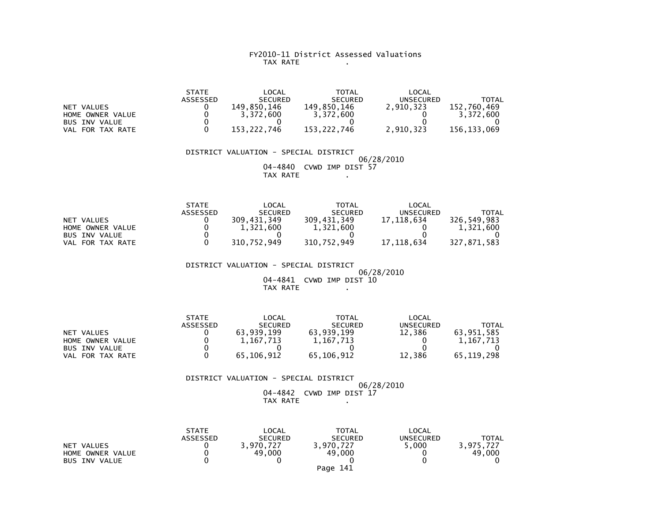## FY2010-11 District Assessed Valuations TAX RATE .

|                      | <b>STATE</b>    | LOCAL          | <b>TOTAL</b>   | LOCAL     |             |
|----------------------|-----------------|----------------|----------------|-----------|-------------|
|                      | <b>ASSESSED</b> | <b>SECURED</b> | <b>SECURED</b> | UNSECURED | TOTAL       |
| NET VALUES           |                 | 149.850.146    | 149.850.146    | 2.910.323 | 152.760.469 |
| HOME OWNER VALUE     |                 | 3.372.600      | 3.372.600      |           | 3.372.600   |
| <b>BUS INV VALUE</b> |                 |                |                |           |             |
| VAL FOR TAX RATE     |                 | 153.222.746    | 153.222.746    | 2.910.323 | 156.133.069 |

 DISTRICT VALUATION - SPECIAL DISTRICT 06/28/2010 04-4840 CVWD IMP DIST 57TAX RATE .

|                      | <b>STATE</b> | LOCAL          | <b>TOTAL</b>   | LOCAL      |             |
|----------------------|--------------|----------------|----------------|------------|-------------|
|                      | ASSESSED     | <b>SECURED</b> | <b>SECURED</b> | UNSECURED  | TOTAL       |
| NET VALUES           |              | 309.431.349    | 309,431,349    | 17.118.634 | 326,549,983 |
| HOME OWNER VALUE     |              | 1,321,600      | 1,321,600      |            | 1.321.600   |
| <b>BUS INV VALUE</b> |              |                |                |            |             |
| FOR TAX RATE<br>VAL  |              | 310,752,949    | 310,752,949    | 17.118.634 | 327,871,583 |

 DISTRICT VALUATION - SPECIAL DISTRICT $06/28/2010$  04-4841 CVWD IMP DIST 10TAX RATE .

|                      | <b>STATE</b> | LOCAL          | <b>TOTAL</b>   | LOCAL            |            |
|----------------------|--------------|----------------|----------------|------------------|------------|
|                      | ASSESSED     | <b>SECURED</b> | <b>SECURED</b> | <b>UNSECURED</b> | TOTAL      |
| NET VALUES           |              | 63.939.199     | 63.939.199     | 12.386           | 63.951.585 |
| HOME OWNER VALUE     |              | 1.167.713      | 1, 167, 713    |                  | 1.167.713  |
| <b>BUS INV VALUE</b> |              |                |                |                  |            |
| FOR TAX RATE<br>VAL  |              | 65,106,912     | 65.106.912     | 12,386           | 65.119.298 |

 DISTRICT VALUATION - SPECIAL DISTRICT 06/28/2010 04-4842 CVWD IMP DIST 17TAX RATE .

|                      | <b>STATE</b> | LOCAL          | <b>TOTAL</b>   | <b>LOCAL</b>     |              |
|----------------------|--------------|----------------|----------------|------------------|--------------|
|                      | ASSESSED     | <b>SECURED</b> | <b>SECURED</b> | <b>UNSECURED</b> | <b>TOTAL</b> |
| NET VALUES           |              | 3.970.727      | 3.970.727      | 5,000            | 3.975.727    |
| HOME OWNER VALUE     |              | 49,000         | 49,000         |                  | 49,000       |
| <b>BUS INV VALUE</b> |              |                |                |                  |              |
|                      |              |                | Page 141       |                  |              |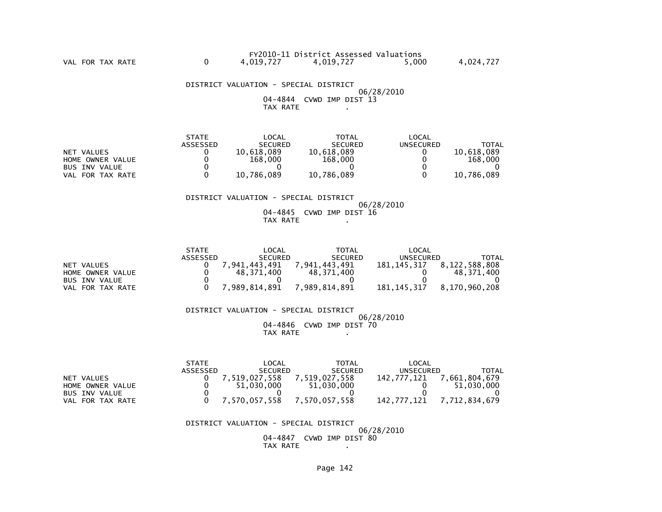DISTRICT VALUATION - SPECIAL DISTRICT 06/28/2010 04-4844 CVWD IMP DIST 13TAX RATE .

VAL FOR TAX RATE

|                      | <b>STATE</b> | LOCAL          | TOTAL          | LOCAL     |              |
|----------------------|--------------|----------------|----------------|-----------|--------------|
|                      | ASSESSED     | <b>SECURED</b> | <b>SECURED</b> | UNSECURED | <b>TOTAL</b> |
| NET VALUES           |              | 10.618.089     | 10.618.089     |           | 10.618.089   |
| HOME OWNER VALUE     |              | 168,000        | 168,000        |           | 168,000      |
| <b>BUS INV VALUE</b> |              |                |                |           |              |
| FOR TAX RATE<br>VAL  |              | 10.786.089     | 10,786,089     |           | 10,786,089   |

#### DISTRICT VALUATION - SPECIAL DISTRICT

 06/28/2010 04-4845 CVWD IMP DIST 16TAX RATE .

|                      | <b>STATE</b> | LOCAL          | <b>TOTAL</b>      | LOCAL         |               |
|----------------------|--------------|----------------|-------------------|---------------|---------------|
|                      | ASSESSED     | <b>SECURED</b> | <b>SECURED</b>    | UNSECURED     | TOTAL         |
| NET VALUES           |              | .941.443.491   | 941.<br>. 443.491 | 181.145.317   | 8,122,588,808 |
| HOME OWNER VALUE     |              | 48,371,400     | 48.371.400        |               | 48.371.400    |
| <b>BUS INV VALUE</b> |              |                |                   |               |               |
| FOR TAX RATE<br>VAL. |              | ,989,814,891   | ,989,814,891      | 181, 145, 317 | 8,170,960,208 |

 DISTRICT VALUATION - SPECIAL DISTRICT 06/28/2010 04-4846 CVWD IMP DIST 70TAX RATE .

 STATE LOCAL TOTAL LOCAL ASSESSED SECURED SECURED UNSECURED TOTAL142, 777, 121 7, 661, 804, 679 NET VALUES 0 7,519,027,558 7,519,027,558 142,777,121 7,661,804,679 $0 \t 51,030,000$  HOME OWNER VALUE 0 51,030,000 51,030,000 0 51,030,000 $\overline{0}$ BUS INV VALUE  $\begin{array}{ccccccc} 0 & 0 & 0 & 0 & 0 \end{array}$ VAL FOR TAX RATE 0 7,570,057,558 7,570,057,558 142,777,121 7,712,834,679

> DISTRICT VALUATION - SPECIAL DISTRICT 06/28/2010 04-4847 CVWD IMP DIST 80TAX RATE .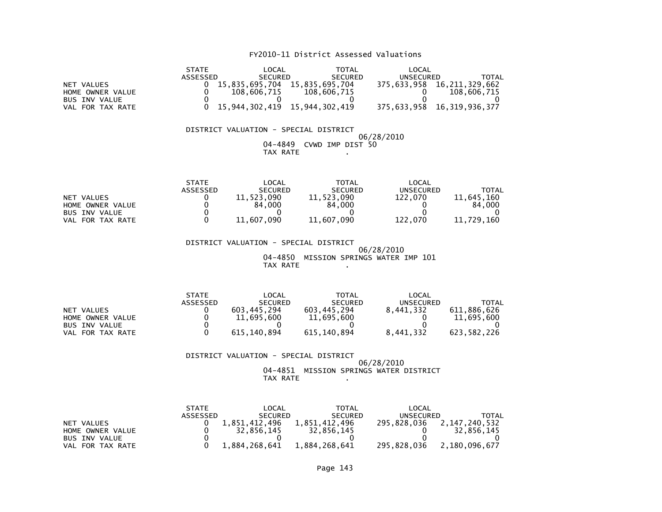## FY2010-11 District Assessed Valuations

|                      | <b>STATE</b> | LOCAL          | TOTAL                         | LOCAL     |                            |
|----------------------|--------------|----------------|-------------------------------|-----------|----------------------------|
|                      | ASSESSED     | <b>SECURED</b> | <b>SECURED</b>                | UNSECURED | TOTAL                      |
| NET VALUES           |              | 15,835,695,704 | 15.835.695.704                |           | 375,633,958 16,211,329,662 |
| HOME OWNER VALUE     |              | 108.606.715    | 108,606,715                   |           | 108,606,715                |
| <b>BUS INV VALUE</b> |              |                |                               |           |                            |
| VAL FOR TAX RATE     |              |                | 15.944.302.419 15.944.302.419 |           | 375,633,958 16,319,936,377 |

#### DISTRICT VALUATION - SPECIAL DISTRICT $06/28/2010$  04-4849 CVWD IMP DIST 50TAX RATE .

|                      | <b>STATE</b> | _OCAL          | TOTAL          | LOCAL            |            |
|----------------------|--------------|----------------|----------------|------------------|------------|
|                      | ASSESSED     | <b>SECURED</b> | <b>SECURED</b> | <b>UNSECURED</b> | TOTAL      |
| NET VALUES           |              | 11,523,090     | 11,523,090     | 122.070          | 11,645,160 |
| HOME OWNER VALUE     |              | 84.000         | 84.000         |                  | 84,000     |
| <b>BUS INV VALUE</b> |              |                |                |                  |            |
| FOR TAX RATE<br>VAL  |              | 11,607,090     | 11,607,090     | 122.070          | 11,729,160 |

 DISTRICT VALUATION - SPECIAL DISTRICT 06/28/2010 04-4850 MISSION SPRINGS WATER IMP 101TAX RATE .

|                      | <b>STATE</b>    | LOCAL          | <b>TOTAL</b>   | LOCAL     |             |
|----------------------|-----------------|----------------|----------------|-----------|-------------|
|                      | <b>ASSESSED</b> | <b>SECURED</b> | <b>SECURED</b> | UNSECURED | TOTAL       |
| NET VALUES           |                 | 603.445.294    | 603.445.294    | 8.441.332 | 611.886.626 |
| HOME OWNER VALUE     |                 | 11,695,600     | 11,695,600     |           | 11,695,600  |
| <b>BUS INV VALUE</b> |                 |                |                |           |             |
| FOR TAX RATE<br>VAL  |                 | 615, 140, 894  | 615,140,894    | 8,441,332 | 623,582,226 |

 DISTRICT VALUATION - SPECIAL DISTRICT 06/28/2010 04-4851 MISSION SPRINGS WATER DISTRICTTAX RATE .

|                      | <b>STATE</b> | LOCAL          | <b>TOTAL</b>   | LOCAL       |               |
|----------------------|--------------|----------------|----------------|-------------|---------------|
|                      | ASSESSED     | <b>SECURED</b> | <b>SECURED</b> | UNSECURED   | TOTAL         |
| VALUES<br><b>NET</b> |              | 1.851.412.496  | L.851.412.496  | 295.828.036 | 2.147.240.532 |
| HOME OWNER VALUE     |              | 32.856.145     | 32.856.145     |             | 32.856.145    |
| <b>BUS INV VALUE</b> |              |                |                |             |               |
| FOR TAX RATE<br>VAL  |              | 1,884,268,641  | 1,884,268,641  | 295.828.036 | 2,180,096,677 |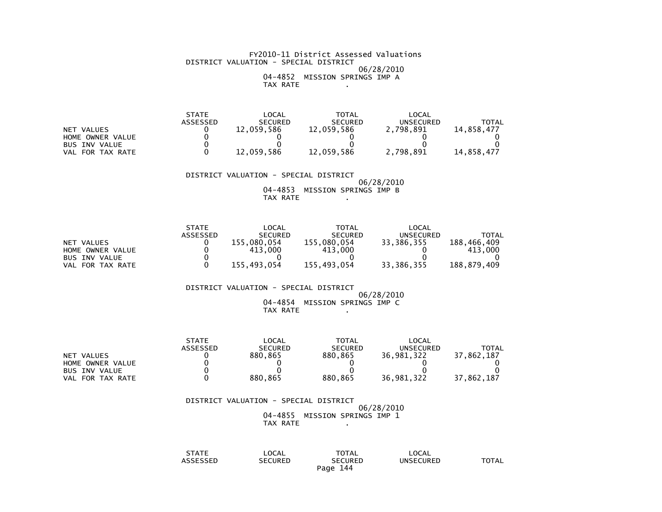#### FY2010-11 District Assessed Valuations DISTRICT VALUATION - SPECIAL DISTRICT 06/28/2010 04-4852 MISSION SPRINGS IMP ATAX RATE .

|                      | <b>STATE</b> | _OCAL          | <b>TOTAL</b>   | LOCAL     |              |
|----------------------|--------------|----------------|----------------|-----------|--------------|
|                      | ASSESSED     | <b>SECURED</b> | <b>SECURED</b> | UNSECURED | <b>TOTAL</b> |
| VALUES<br>NET        |              | 12,059,586     | 12,059,586     | 2,798,891 | 14.858.477   |
| HOME OWNER VALUE     |              |                |                |           |              |
| <b>BUS INV VALUE</b> |              |                |                |           |              |
| FOR TAX RATE<br>VAL  |              | 12,059,586     | 12,059,586     | 2,798,891 | 14.858.477   |

 DISTRICT VALUATION - SPECIAL DISTRICT 06/28/2010 04-4853 MISSION SPRINGS IMP BTAX RATE .

|                      | <b>STATE</b> | LOCAL          | <b>TOTAL</b>   | LOCAL      |             |
|----------------------|--------------|----------------|----------------|------------|-------------|
|                      | ASSESSED     | <b>SECURED</b> | <b>SECURED</b> | UNSECURED  | TOTAL       |
| NET VALUES           |              | 155.080.054    | 155,080,054    | 33,386,355 | 188.466.409 |
| HOME OWNER VALUE     |              | 413,000        | 413,000        |            | 413.000     |
| <b>BUS INV VALUE</b> |              |                |                |            |             |
| FOR TAX RATE<br>VAL  |              | 155.493.054    | 155.493.054    | 33,386,355 | 188,879,409 |

DISTRICT VALUATION - SPECIAL DISTRICT

#### 06/28/2010 04-4854 MISSION SPRINGS IMP CTAX RATE .

|                      | <b>STATE</b> | LOCAL          | TOTAL          | LOCAL      |              |
|----------------------|--------------|----------------|----------------|------------|--------------|
|                      | ASSESSED     | <b>SECURED</b> | <b>SECURED</b> | UNSECURED  | <b>TOTAL</b> |
| NET VALUES           |              | 880.865        | 880.865        | 36.981.322 | 37.862.187   |
| HOME OWNER VALUE     |              |                |                |            |              |
| <b>BUS INV VALUE</b> |              |                |                |            |              |
| FOR TAX RATE<br>VAL  |              | 880.865        | 880.865        | 36.981.322 | 37.862.187   |

## DISTRICT VALUATION - SPECIAL DISTRICT

 06/28/2010 04-4855 MISSION SPRINGS IMP 1TAX RATE .

| STATE                         | LOCAL          | TOTAL       | LOCAL            |              |
|-------------------------------|----------------|-------------|------------------|--------------|
| $\cdot$ occasion<br>SSEL<br>. | <b>SECURED</b> | SECURED     | <b>UNSECURED</b> | <b>TOTAL</b> |
|                               |                | 144<br>Paqe |                  |              |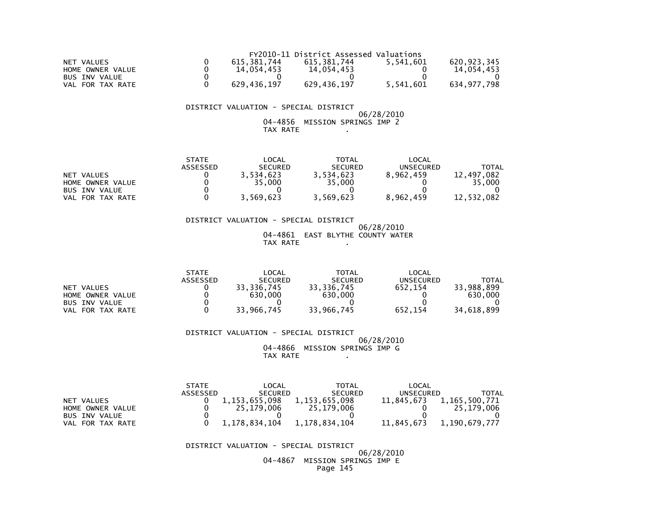|                     |             | FY2010-11 District Assessed Valuations |           |             |
|---------------------|-------------|----------------------------------------|-----------|-------------|
| NET VALUES          | 615.381.744 | 615.381.744                            | 5.541.601 | 620,923,345 |
| HOME OWNER VALUE    | 14.054.453  | 14.054.453                             |           | 14.054.453  |
| BUS INV VALUE       |             |                                        |           |             |
| FOR TAX RATE<br>VAL | 629,436,197 | 629,436,197                            | 5,541,601 | 634,977,798 |

#### 06/28/2010 04-4856 MISSION SPRINGS IMP 2TAX RATE .

|                      | <b>STATE</b> | LOCAL          | TOTAL          | LOCAL            |              |
|----------------------|--------------|----------------|----------------|------------------|--------------|
|                      | ASSESSED     | <b>SECURED</b> | <b>SECURED</b> | <b>UNSECURED</b> | <b>TOTAL</b> |
| NET VALUES           |              | 3,534,623      | 3,534,623      | 8,962,459        | . 497.082    |
| HOME OWNER VALUE     |              | 35,000         | 35,000         |                  | 35,000       |
| <b>BUS INV VALUE</b> |              |                |                |                  |              |
| FOR TAX RATE<br>VAL  |              | 3,569,623      | 3,569,623      | 8,962,459        | 12,532,082   |

# DISTRICT VALUATION - SPECIAL DISTRICT

#### 06/28/2010 04-4861 EAST BLYTHE COUNTY WATERTAX RATE .

|                      | <b>STATE</b> | _OCAL          | TOTAL          | LOCAL            |            |
|----------------------|--------------|----------------|----------------|------------------|------------|
|                      | ASSESSED     | <b>SECURED</b> | <b>SECURED</b> | <b>UNSECURED</b> | TOTAL      |
| NET VALUES           |              | 33.336.745     | 33.336.745     | 652.154          | 33.988.899 |
| HOME OWNER VALUE     |              | 630,000        | 630,000        |                  | 630,000    |
| <b>BUS INV VALUE</b> |              |                |                |                  |            |
| FOR TAX RATE<br>VAL  |              | 33,966,745     | 33,966,745     | 652,154          | 34,618,899 |

#### DISTRICT VALUATION - SPECIAL DISTRICT 06/28/2010 04-4866 MISSION SPRINGS IMP GTAX RATE .

 STATE LOCAL TOTAL LOCAL ASSESSED SECURED SECURED UNSECURED TOTAL11,845,673 1,165,500,771 NET VALUES 0 1,153,655,098 1,153,655,098 25,179,006 HOME OWNER VALUE 0 25,179,006 25,179,006 0 25,179,006 $\overline{0}$  BUS INV VALUE 0 0 0 0 011,845,673 1,190,679,777 VAL FOR TAX RATE 0 1,178,834,104 1,178,834,104

#### DISTRICT VALUATION - SPECIAL DISTRICT

#### 06/28/2010 04-4867 MISSION SPRINGS IMP EPage 145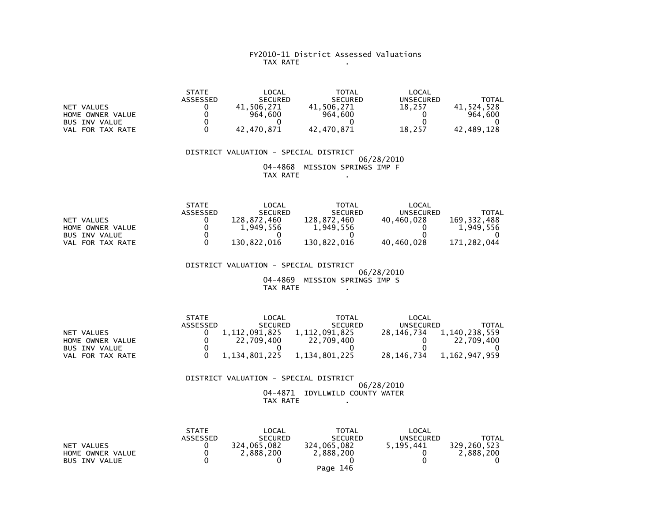#### FY2010-11 District Assessed Valuations TAX RATE .

|                      | <b>STATE</b> | LOCAL          | <b>TOTAL</b>   | LOCAL            |            |
|----------------------|--------------|----------------|----------------|------------------|------------|
|                      | ASSESSED     | <b>SECURED</b> | <b>SECURED</b> | <b>UNSECURED</b> | TOTAL      |
| VALUES<br><b>NET</b> |              | 506.271        | 41.506.271     | 18.257           | 41.524.528 |
| HOME OWNER VALUE     |              | 964.600        | 964,600        |                  | 964.600    |
| <b>BUS INV VALUE</b> |              |                |                |                  |            |
| FOR TAX RATE<br>VAL  |              | 42.470.871     | 42.470.871     | 18.257           | 42.489.128 |

 DISTRICT VALUATION - SPECIAL DISTRICT 06/28/2010 04-4868 MISSION SPRINGS IMP FTAX RATE .

|                      | <b>STATE</b> | LOCAL          | TOTAL          | LOCAL      |             |
|----------------------|--------------|----------------|----------------|------------|-------------|
|                      | ASSESSED     | <b>SECURED</b> | <b>SECURED</b> | UNSECURED  | TOTAL       |
| NET VALUES           |              | 128.872.460    | 128.872.460    | 40.460.028 | 169.332.488 |
| HOME OWNER VALUE     |              | 1,949,556      | 1,949,556      |            | 1.949.556   |
| <b>BUS INV VALUE</b> |              |                |                |            |             |
| FOR TAX RATE<br>VAL  |              | 130,822,016    | 130,822,016    | 40,460,028 | 171,282,044 |

 DISTRICT VALUATION - SPECIAL DISTRICT $06/28/2010$ 04-4869 MISSION SPRINGS IMP S

TAX RATE .

|                      | <b>STATE</b> | LOCAL            | <b>TOTAL</b>   | LOCAL      |               |
|----------------------|--------------|------------------|----------------|------------|---------------|
|                      | ASSESSED     | <b>SECURED</b>   | <b>SECURED</b> | UNSECURED  | TOTAL         |
| NET VALUES           |              | 1, 112, 091, 825 | 1,112,091,825  | 28.146.734 | 1,140,238,559 |
| HOME OWNER VALUE     |              | 22.709.400       | 22.709.400     |            | 22.709.400    |
| <b>BUS INV VALUE</b> |              |                  |                |            |               |
| FOR TAX RATE<br>VAL  |              | 1.134.801.225    | 1,134,801,225  | 28.146.734 | 1.162.947.959 |

 DISTRICT VALUATION - SPECIAL DISTRICT 06/28/201004-4871 IDYLLWILD COUNTY WATER

TAX RATE .

|                                                        | <b>STATE</b><br>ASSESSED | LOCAL<br><b>SECURED</b>  | TOTAL<br><b>SECURED</b>  | LOCAL<br><b>UNSECURED</b> | TOTAL                    |
|--------------------------------------------------------|--------------------------|--------------------------|--------------------------|---------------------------|--------------------------|
| NET VALUES<br>HOME OWNER VALUE<br><b>BUS INV VALUE</b> |                          | 324,065,082<br>2,888,200 | 324,065,082<br>2,888,200 | 5.195.441                 | 329.260.523<br>2,888,200 |
|                                                        |                          |                          | Page 146                 |                           |                          |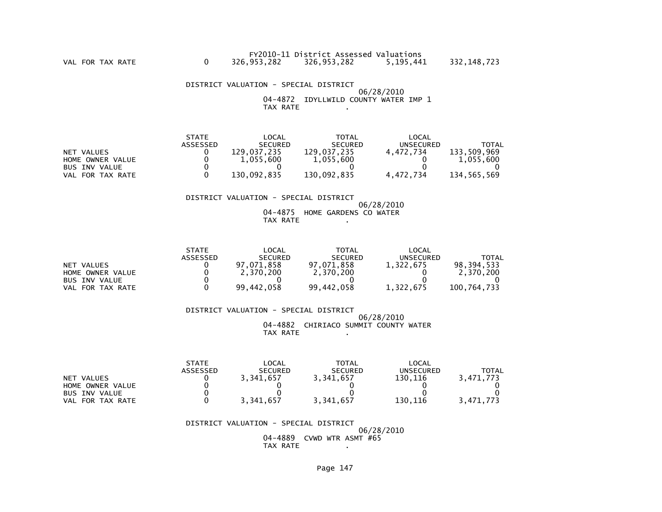#### DISTRICT VALUATION - SPECIAL DISTRICT 06/28/2010 04-4872 IDYLLWILD COUNTY WATER IMP 1TAX RATE .

|                      | <b>STATE</b> | $\mathsf{LOCAL}$ | TOTAL          | LOCAL     |             |
|----------------------|--------------|------------------|----------------|-----------|-------------|
|                      | ASSESSED     | <b>SECURED</b>   | <b>SECURED</b> | UNSECURED | TOTAL       |
| NET VALUES           |              | 129.037.235      | 129.037.235    | 4.472.734 | 133,509,969 |
| HOME OWNER VALUE     |              | 1,055,600        | 1,055,600      |           | 1,055,600   |
| <b>BUS INV VALUE</b> |              |                  |                |           |             |
| VAL FOR TAX RATE     |              | 130.092.835      | 130.092.835    | 4.472.734 | 134.565.569 |

#### DISTRICT VALUATION - SPECIAL DISTRICT

 06/28/2010 04-4875 HOME GARDENS CO WATERTAX RATE .

|                      | <b>STATE</b> | _OCAL          | TOTAL          | LOCAL            |             |
|----------------------|--------------|----------------|----------------|------------------|-------------|
|                      | ASSESSED     | <b>SECURED</b> | <b>SECURED</b> | <b>UNSECURED</b> | TOTAL       |
| NET VALUES           |              | 97,071,858     | 97,071,858     | 1.322.675        | 98.394.533  |
| HOME OWNER VALUE     |              | 2.370.200      | 2,370,200      |                  | 2.370.200   |
| <b>BUS INV VALUE</b> |              |                |                |                  |             |
| FOR TAX RATE<br>VAL  |              | 99,442,058     | 99,442,058     | 1,322,675        | 100,764,733 |

 DISTRICT VALUATION - SPECIAL DISTRICT 06/28/2010 04-4882 CHIRIACO SUMMIT COUNTY WATERTAX RATE .

|                      | <b>STATE</b> | $\mathsf{LOCAL}$ | <b>TOTAL</b>   | LOCAL     |           |
|----------------------|--------------|------------------|----------------|-----------|-----------|
|                      | ASSESSED     | <b>SECURED</b>   | <b>SECURED</b> | UNSECURED | TOTAL     |
| NET VALUES           |              | 3,341,657        | 3,341,657      | 130,116   | 3.471.773 |
| HOME OWNER VALUE     |              |                  |                |           |           |
| <b>BUS INV VALUE</b> |              |                  |                |           |           |
| FOR TAX RATE<br>VAL  |              | 3,341,657        | 3,341,657      | 130,116   | 3,471,773 |

 DISTRICT VALUATION - SPECIAL DISTRICT 06/28/2010 04-4889 CVWD WTR ASMT #65TAX RATE .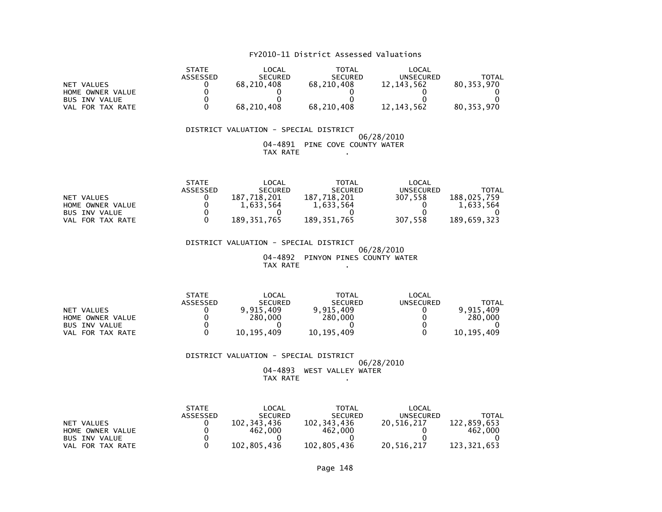|                      | <b>STATE</b> | LOCAL          | <b>TOTAL</b>   | LOCAL            |            |
|----------------------|--------------|----------------|----------------|------------------|------------|
|                      | ASSESSED     | <b>SECURED</b> | <b>SECURED</b> | <b>UNSECURED</b> | TOTAL      |
| NET VALUES           |              | 68,210,408     | 68,210,408     | 12, 143, 562     | 80.353.970 |
| HOME OWNER VALUE     |              |                |                |                  |            |
| <b>BUS INV VALUE</b> |              |                |                |                  |            |
| FOR TAX RATE<br>VAL  |              | 68,210,408     | 68,210,408     | 12, 143, 562     | 80,353,970 |

#### DISTRICT VALUATION - SPECIAL DISTRICT 06/28/2010 04-4891 PINE COVE COUNTY WATERTAX RATE .

|                      | <b>STATE</b>    | LOCAL          | TOTAL          | LOCAL     |             |
|----------------------|-----------------|----------------|----------------|-----------|-------------|
|                      | <b>ASSESSED</b> | <b>SECURED</b> | <b>SECURED</b> | UNSECURED | TOTAL       |
| NET VALUES           |                 | 187.718.201    | 187.718.201    | 307.558   | 188.025.759 |
| HOME OWNER VALUE     |                 | 1.633.564      | 1,633,564      |           | 1.633.564   |
| <b>BUS INV VALUE</b> |                 |                |                |           |             |
| VAL FOR TAX RATE     |                 | 189.351.765    | 189,351,765    | 307.558   | 189.659.323 |

 DISTRICT VALUATION - SPECIAL DISTRICT 06/28/2010 04-4892 PINYON PINES COUNTY WATERTAX RATE .

|                      | <b>STATE</b> | LOCAL          | <b>TOTAL</b>   | LOCAL            |            |
|----------------------|--------------|----------------|----------------|------------------|------------|
|                      | ASSESSED     | <b>SECURED</b> | <b>SECURED</b> | <b>UNSECURED</b> | TOTAL      |
| NET VALUES           |              | 9.915.409      | 9.915.409      |                  | 9.915.409  |
| HOME OWNER VALUE     |              | 280.000        | 280,000        |                  | 280,000    |
| <b>BUS INV VALUE</b> |              |                |                |                  |            |
| FOR TAX RATE<br>VAL  |              | 10.195.409     | 10, 195, 409   |                  | 10,195,409 |

 DISTRICT VALUATION - SPECIAL DISTRICT 06/28/2010 04-4893 WEST VALLEY WATERTAX RATE .

|                      | <b>STATE</b>    | LOCAL          | TOTAL          | LOCAL      |             |
|----------------------|-----------------|----------------|----------------|------------|-------------|
|                      | <b>ASSESSED</b> | <b>SECURED</b> | <b>SECURED</b> | UNSECURED  | TOTAL       |
| NET VALUES           |                 | 102.343.436    | 102, 343, 436  | 20.516.217 | 122,859,653 |
| HOME OWNER VALUE     |                 | 462,000        | 462,000        |            | 462,000     |
| <b>BUS INV VALUE</b> |                 |                |                |            |             |
| FOR TAX RATE<br>VAL  |                 | 102,805,436    | 102,805,436    | 20,516,217 | 123,321,653 |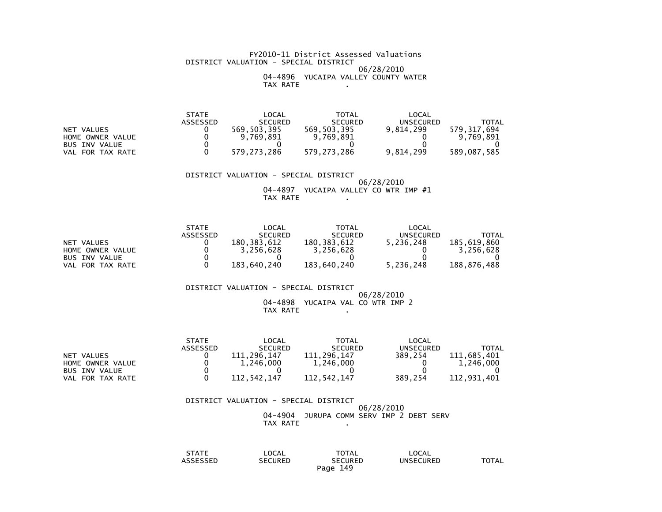#### FY2010-11 District Assessed Valuations DISTRICT VALUATION - SPECIAL DISTRICT 06/28/2010 04-4896 YUCAIPA VALLEY COUNTY WATERTAX RATE .

|                      | STATE    | _OCAL          | TOTAL          | LOCAL            |             |
|----------------------|----------|----------------|----------------|------------------|-------------|
|                      | ASSESSED | <b>SECURED</b> | <b>SECURED</b> | <b>UNSECURED</b> | TOTAL       |
| NET VALUES           |          | 569,503,395    | 569.503.395    | 9.814.299        | 579.317.694 |
| HOME OWNER VALUE     |          | 9.769.891      | 9,769,891      |                  | 9,769,891   |
| <b>BUS INV VALUE</b> |          |                |                |                  |             |
| FOR TAX RATE<br>VAL  |          | 579,273,286    | 579,273,286    | 9,814,299        | 589,087,585 |

 DISTRICT VALUATION - SPECIAL DISTRICT 06/28/2010 04-4897 YUCAIPA VALLEY CO WTR IMP #1TAX RATE .

|                  | <b>STATE</b> | LOCAL          | <b>TOTAL</b>   | LOCAL     |             |
|------------------|--------------|----------------|----------------|-----------|-------------|
|                  | ASSESSED     | <b>SECURED</b> | <b>SECURED</b> | UNSECURED | TOTAL       |
| NET VALUES       |              | 180.383.612    | 180, 383, 612  | 5,236,248 | 185.619.860 |
| HOME OWNER VALUE |              | 3,256,628      | 3,256,628      |           | 3,256,628   |
| BUS INV VALUE    |              |                |                |           |             |
| VAL FOR TAX RATE |              | 183.640.240    | 183.640.240    | 5,236,248 | 188.876.488 |

DISTRICT VALUATION - SPECIAL DISTRICT

#### $06/28/2010$  04-4898 YUCAIPA VAL CO WTR IMP 2TAX RATE .

|                      | <b>STATE</b> | LOCAL          | TOTAL          | LOCAL     |                 |
|----------------------|--------------|----------------|----------------|-----------|-----------------|
|                      | ASSESSED     | <b>SECURED</b> | <b>SECURED</b> | UNSECURED | TOTAL           |
| NET VALUES           |              | 111.296.147    | 111.296.147    | 389.254   | .685.401<br>111 |
| HOME OWNER VALUE     |              | 1.246.000      | 1,246,000      |           | 1,246,000       |
| <b>BUS INV VALUE</b> |              |                |                |           |                 |
| VAL FOR TAX RATE     |              | 112.542.147    | 112.542.147    | 389.254   | 112.931.401     |

# DISTRICT VALUATION - SPECIAL DISTRICT 06/28/201004-4904 JURUPA COMM SERV IMP 2 DEBT SERV TAX RATE .

| STATE    | LOCAL          | <b>TOTAL</b>   | LOCAL            |       |
|----------|----------------|----------------|------------------|-------|
| ASSESSED | <b>SECURED</b> | <b>SECURED</b> | <b>UNSECURED</b> | TOTAL |
|          |                | 149<br>Page    |                  |       |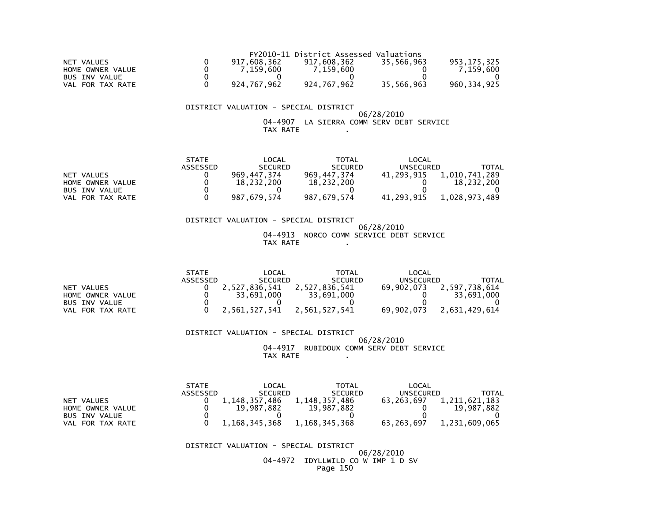|                      |             | FY2010-11 District Assessed Valuations |            |             |
|----------------------|-------------|----------------------------------------|------------|-------------|
| NET VALUES           | 917.608.362 | 917.608.362                            | 35.566.963 | 953.175.325 |
| HOME OWNER VALUE     | 7.159.600   | 7.159.600                              |            | 7.159.600   |
| <b>BUS INV VALUE</b> |             |                                        |            |             |
| VAL FOR TAX RATE     | 924,767,962 | 924,767,962                            | 35,566,963 | 960,334,925 |

#### 06/28/2010 04-4907 LA SIERRA COMM SERV DEBT SERVICETAX RATE .

|                      | <b>STATE</b> | LOCAL          | TOTAL          | LOCAL            |               |
|----------------------|--------------|----------------|----------------|------------------|---------------|
|                      | ASSESSED     | <b>SECURED</b> | <b>SECURED</b> | <b>UNSECURED</b> | TOTAL         |
| NET VALUES           |              | 969.447.374    | 969.447.374    | 41.293.915       | 1,010,741,289 |
| HOME OWNER VALUE     |              | 18.232.200     | 18,232,200     |                  | 18.232.200    |
| <b>BUS INV VALUE</b> |              |                |                |                  |               |
| FOR TAX RATE<br>VAL  |              | 987.679.574    | 987,679,574    | 41.293.915       | 1,028,973,489 |

#### DISTRICT VALUATION - SPECIAL DISTRICT 06/28/2010 04-4913 NORCO COMM SERVICE DEBT SERVICETAX RATE .

|                      | <b>STATE</b> | LOCAL          | TOTAL          | LOCAL      |               |
|----------------------|--------------|----------------|----------------|------------|---------------|
|                      | ASSESSED     | <b>SECURED</b> | <b>SECURED</b> | UNSECURED  | <b>TOTAL</b>  |
| NET VALUES           |              | 2.527.836.541  | 2.527.836.541  | 69.902.073 | 2,597,738,614 |
| HOME OWNER VALUE     |              | 33.691.000     | 33.691.000     |            | 33,691,000    |
| <b>BUS INV VALUE</b> |              |                |                |            |               |
| VAL FOR TAX RATE     |              | 2.561.527.541  | 2.561.527.541  | 69.902.073 | 2.631.429.614 |

#### DISTRICT VALUATION - SPECIAL DISTRICT 06/28/2010 04-4917 RUBIDOUX COMM SERV DEBT SERVICETAX RATE .

|                      | <b>STATE</b> | LOCAL          | <b>TOTAL</b>     | LOCAL            |               |
|----------------------|--------------|----------------|------------------|------------------|---------------|
|                      | ASSESSED     | <b>SECURED</b> | <b>SECURED</b>   | <b>UNSECURED</b> | TOTAL         |
| NET VALUES           |              | . 148.357.486  | 1, 148, 357, 486 | 63.263.697       | 1,211,621,183 |
| HOME OWNER VALUE     |              | 19.987.882     | 19.987.882       |                  | 19.987.882    |
| <b>BUS INV VALUE</b> |              |                |                  |                  |               |
| FOR TAX RATE<br>VAL  |              | 1,168,345,368  | 1,168,345,368    | 63.263.697       | 1,231,609,065 |

#### DISTRICT VALUATION - SPECIAL DISTRICT

#### 06/28/2010 04-4972 IDYLLWILD CO W IMP 1 D SVPage 150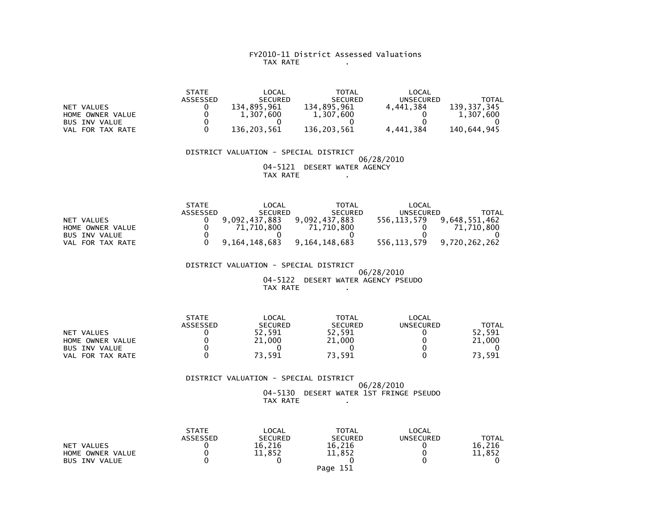#### FY2010-11 District Assessed Valuations TAX RATE .

|                  | <b>STATE</b>    | LOCAL          | <b>TOTAL</b>   | LOCAL     |             |
|------------------|-----------------|----------------|----------------|-----------|-------------|
|                  | <b>ASSESSED</b> | <b>SECURED</b> | <b>SECURED</b> | UNSECURED | TOTAL       |
| NET VALUES       |                 | 134.895.961    | 134.895.961    | 4.441.384 | 139.337.345 |
| HOME OWNER VALUE |                 | 1.307.600      | 1,307,600      |           | 1.307.600   |
| BUS INV VALUE    |                 |                |                |           |             |
| VAL FOR TAX RATE |                 | 136.203.561    | 136.203.561    | 4,441,384 | 140,644,945 |

 DISTRICT VALUATION - SPECIAL DISTRICT 06/28/2010 04-5121 DESERT WATER AGENCYTAX RATE .

|                      | <b>STATE</b> | LOCAL            | TOTAL          | LOCAL       |               |
|----------------------|--------------|------------------|----------------|-------------|---------------|
|                      | ASSESSED     | <b>SECURED</b>   | <b>SECURED</b> | UNSECURED   | TOTAL         |
| NET VALUES           |              | 9.092.437.883    | 9,092,437,883  | 556.113.579 | 9,648,551,462 |
| HOME OWNER VALUE     |              | .710.800         | 71,710,800     |             | 71,710,800    |
| <b>BUS INV VALUE</b> |              |                  |                |             |               |
| FOR TAX RATE<br>VAL  |              | 9, 164, 148, 683 | 9,164,148,683  | 556,113,579 | 9,720,262,262 |

DISTRICT VALUATION - SPECIAL DISTRICT

 06/28/2010 04-5122 DESERT WATER AGENCY PSEUDOTAX RATE .

|                      | <b>STATE</b> | LOCAL          | TOTAL          | LOCAL     |        |
|----------------------|--------------|----------------|----------------|-----------|--------|
|                      | ASSESSED     | <b>SECURED</b> | <b>SECURED</b> | UNSECURED | TOTAL  |
| NET VALUES           |              | 52.591         | 52,591         |           | 52.591 |
| HOME OWNER VALUE     |              | 21,000         | 21,000         |           | 21,000 |
| <b>BUS INV VALUE</b> |              |                |                |           |        |
| FOR TAX RATE<br>VAL  |              | 73,591         | 73,591         |           | 73,591 |

 DISTRICT VALUATION - SPECIAL DISTRICT 06/28/2010 04-5130 DESERT WATER 1ST FRINGE PSEUDOTAX RATE .

|                      | <b>STATE</b>    | LOCAL          | <b>TOTAL</b>   | LOCAL     |              |
|----------------------|-----------------|----------------|----------------|-----------|--------------|
|                      | <b>ASSESSED</b> | <b>SECURED</b> | <b>SECURED</b> | UNSECURED | <b>TOTAL</b> |
| NET VALUES           |                 | 16.216         | 16.216         |           | 16.216       |
| HOME OWNER VALUE     |                 | 11,852         | 11,852         |           | 11,852       |
| <b>BUS INV VALUE</b> |                 |                |                |           |              |
|                      |                 |                | Page 151       |           |              |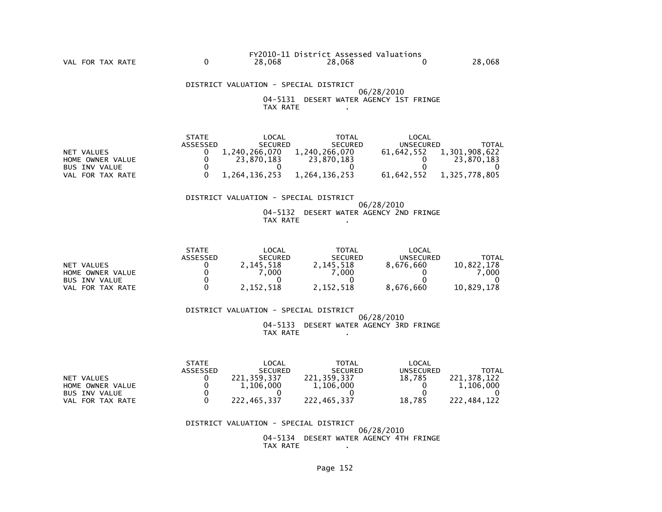DISTRICT VALUATION - SPECIAL DISTRICT 06/28/2010 04-5131 DESERT WATER AGENCY 1ST FRINGETAX RATE .

|                      | <b>STATE</b> | LOCAL          | TOTAL          | LOCAL      |               |
|----------------------|--------------|----------------|----------------|------------|---------------|
|                      | ASSESSED     | <b>SECURED</b> | <b>SECURED</b> | UNSECURED  | TOTAL         |
| NET VALUES           |              | 1.240.266.070  | 1.240.266.070  | 61.642.552 | 1.301.908.622 |
| HOME OWNER VALUE     |              | 23.870.183     | 23.870.183     |            | 23.870.183    |
| <b>BUS INV VALUE</b> |              |                |                |            |               |
| VAL FOR TAX RATE     |              | 1.264.136.253  | 1.264.136.253  | 61.642.552 | 1,325,778,805 |

#### DISTRICT VALUATION - SPECIAL DISTRICT

#### 06/28/2010 04-5132 DESERT WATER AGENCY 2ND FRINGETAX RATE .

|                      | <b>STATE</b> | _OCAL          | <b>TOTAL</b>   | LOCAL            |              |
|----------------------|--------------|----------------|----------------|------------------|--------------|
|                      | ASSESSED     | <b>SECURED</b> | <b>SECURED</b> | <b>UNSECURED</b> | <b>TOTAL</b> |
| VALUES<br><b>NET</b> |              | 2,145,518      | 2,145,518      | 8.676.660        | 10,822,178   |
| HOME OWNER VALUE     |              | .000           | .000           |                  | .000         |
| <b>BUS INV VALUE</b> |              |                |                |                  |              |
| VAL<br>FOR TAX RATE  |              | 2,152,518      | 2,152,518      | 8,676,660        | 10,829,178   |

 DISTRICT VALUATION - SPECIAL DISTRICT 06/28/2010 04-5133 DESERT WATER AGENCY 3RD FRINGETAX RATE .

|                      | <b>STATE</b>    | LOCAL          | TOTAL          | $\mathsf{LOCAL}$ |             |
|----------------------|-----------------|----------------|----------------|------------------|-------------|
|                      | <b>ASSESSED</b> | <b>SECURED</b> | <b>SECURED</b> | UNSECURED        | TOTAL       |
| NET VALUES           |                 | 221.359.337    | 221.359.337    | 18.785           | 221.378.122 |
| HOME OWNER VALUE     |                 | 1.106.000      | 1,106,000      |                  | 1,106,000   |
| <b>BUS INV VALUE</b> |                 |                |                |                  |             |
| FOR TAX RATE<br>VAL  |                 | 222.465.337    | 222.465.337    | 18.785           | 222.484.122 |

#### DISTRICT VALUATION - SPECIAL DISTRICT 06/28/201004-5134 DESERT WATER AGENCY 4TH FRINGE

TAX RATE .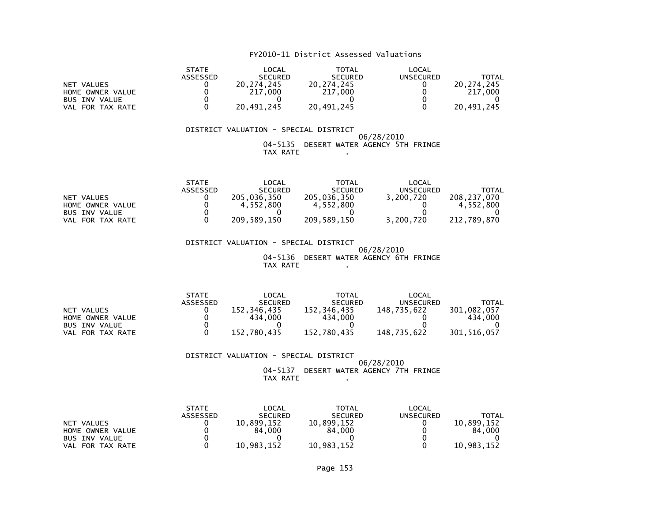|                      | <b>STATE</b> | LOCAL          | <b>TOTAL</b>   | LOCAL     |            |
|----------------------|--------------|----------------|----------------|-----------|------------|
|                      | ASSESSED     | <b>SECURED</b> | <b>SECURED</b> | UNSECURED | TOTAL      |
| NET VALUES           |              | 20.274.245     | 20.274.245     |           | 20.274.245 |
| HOME OWNER VALUE     |              | 217,000        | 217,000        |           | 217,000    |
| <b>BUS INV VALUE</b> |              |                |                |           |            |
| FOR TAX RATE<br>VAL  |              | 20,491,245     | 20,491,245     |           | 20,491,245 |

#### DISTRICT VALUATION - SPECIAL DISTRICT 06/28/2010 04-5135 DESERT WATER AGENCY 5TH FRINGETAX RATE .

|                      | <b>STATE</b> | $\mathsf{LOCAL}$ | TOTAL          | LOCAL            |             |
|----------------------|--------------|------------------|----------------|------------------|-------------|
|                      | ASSESSED     | <b>SECURED</b>   | <b>SECURED</b> | <b>UNSECURED</b> | TOTAL       |
| NET VALUES           |              | 205.036.350      | 205.036.350    | 3.200.720        | 208.237.070 |
| HOME OWNER VALUE     |              | 4.552.800        | 4.552.800      |                  | 4.552.800   |
| <b>BUS INV VALUE</b> |              |                  |                |                  |             |
| FOR TAX RATE<br>VAL  |              | 209,589,150      | 209,589,150    | 3,200,720        | 212,789,870 |

 DISTRICT VALUATION - SPECIAL DISTRICT 06/28/2010 04-5136 DESERT WATER AGENCY 6TH FRINGETAX RATE .

|                      | <b>STATE</b> | LOCAL          | <b>TOTAL</b>   | LOCAL       |             |
|----------------------|--------------|----------------|----------------|-------------|-------------|
|                      | ASSESSED     | <b>SECURED</b> | <b>SECURED</b> | UNSECURED   | TOTAL       |
| NET VALUES           |              | 152.346.435    | 152.346.435    | 148.735.622 | 301.082.057 |
| HOME OWNER VALUE     |              | 434,000        | 434,000        |             | 434.000     |
| <b>BUS INV VALUE</b> |              |                |                |             |             |
| VAL FOR TAX RATE     |              | 152.780.435    | 152.780.435    | 148.735.622 | 301.516.057 |

 DISTRICT VALUATION - SPECIAL DISTRICT 06/28/2010 04-5137 DESERT WATER AGENCY 7TH FRINGETAX RATE .

|                      | <b>STATE</b>    | LOCAL          | <b>TOTAL</b>   | LOCAL     |            |
|----------------------|-----------------|----------------|----------------|-----------|------------|
|                      | <b>ASSESSED</b> | <b>SECURED</b> | <b>SECURED</b> | UNSECURED | ΤΟΤΑΙ      |
| NET VALUES           |                 | 10.899.152     | 10.899.152     |           | 10,899,152 |
| HOME OWNER VALUE     |                 | 84.000         | 84.000         |           | 84.000     |
| <b>BUS INV VALUE</b> |                 |                |                |           |            |
| FOR TAX RATE<br>VAL  |                 | 10.983.152     | 10.983.152     |           | 10.983.152 |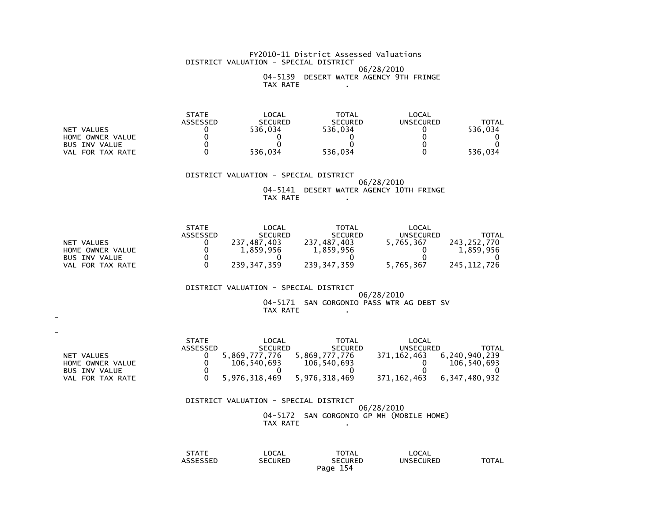#### FY2010-11 District Assessed Valuations DISTRICT VALUATION - SPECIAL DISTRICT 06/28/2010 04-5139 DESERT WATER AGENCY 9TH FRINGETAX RATE .

|                      | <b>STATE</b> | LOCAL          | <b>TOTAL</b>   | LOCAL     |         |
|----------------------|--------------|----------------|----------------|-----------|---------|
|                      | ASSESSED     | <b>SECURED</b> | <b>SECURED</b> | UNSECURED | TOTAL   |
| NET VALUES           |              | 536.034        | 536.034        |           | 536.034 |
| HOME OWNER VALUE     |              |                |                |           |         |
| <b>BUS INV VALUE</b> |              |                |                |           |         |
| FOR TAX RATE<br>VAL  |              | 536.034        | 536.034        |           | 536.034 |

#### DISTRICT VALUATION - SPECIAL DISTRICT 06/28/2010 04-5141 DESERT WATER AGENCY 10TH FRINGETAX RATE .

|                      | <b>STATE</b> | LOCAL            | <b>TOTAL</b>   | LOCAL            |             |
|----------------------|--------------|------------------|----------------|------------------|-------------|
|                      | ASSESSED     | <b>SECURED</b>   | <b>SECURED</b> | <b>UNSECURED</b> | TOTAL       |
| NET VALUES           |              | .487.403<br>237. | 237,487,403    | 5,765,367        | 243.252.770 |
| HOME OWNER VALUE     |              | 1.859.956        | 1,859,956      |                  | 1.859.956   |
| <b>BUS INV VALUE</b> |              |                  |                |                  |             |
| FOR TAX RATE<br>VAL. |              | 239.347.359      | 239,347,359    | 5,765,367        | 245.112.726 |

#### DISTRICT VALUATION - SPECIAL DISTRICT

# 06/28/201004-5171 SAN GORGONIO PASS WTR AG DEBT SV TAX RATE .

| $\overline{\phantom{0}}$ |                 |                |                |               |               |
|--------------------------|-----------------|----------------|----------------|---------------|---------------|
|                          | <b>STATE</b>    | LOCAL          | TOTAL          | LOCAL         |               |
|                          | <b>ASSESSED</b> | <b>SECURED</b> | <b>SECURED</b> | UNSECURED     | TOTAL         |
| NET VALUES               |                 | 5,869,777,776  | 5,869,777,776  | 371,162,463   | 6,240,940,239 |
| HOME OWNER VALUE         |                 | 106,540,693    | 106,540,693    |               | 106.540.693   |
| <b>BUS INV VALUE</b>     |                 |                |                |               |               |
| VAL FOR TAX RATE         |                 | 5,976,318,469  | 5,976,318,469  | 371, 162, 463 | 6,347,480,932 |

# DISTRICT VALUATION - SPECIAL DISTRICT06/28/2010

# 04-5172 SAN GORGONIO GP MH (MOBILE HOME) TAX RATE .

| STATE    | LOCAL          | <b>TOTAL</b>   | LOCAL            |       |
|----------|----------------|----------------|------------------|-------|
| ASSESSED | <b>SECURED</b> | <b>SECURED</b> | <b>UNSECURED</b> | TOTAL |
|          | Page           | 154            |                  |       |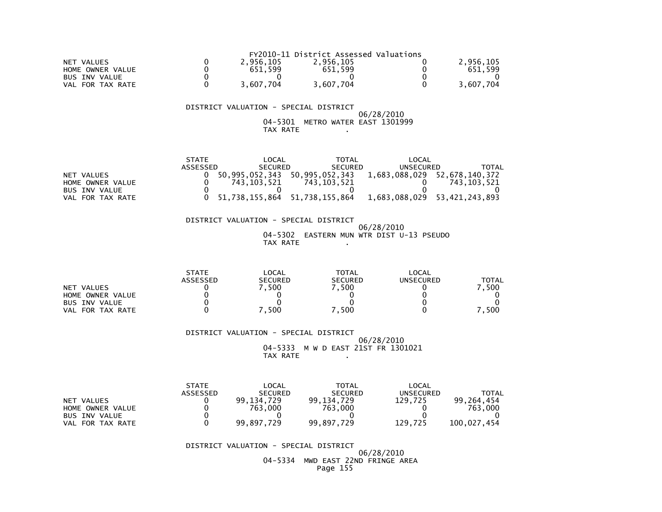|                      |           | FY2010-11 District Assessed Valuations |           |
|----------------------|-----------|----------------------------------------|-----------|
| NET VALUES           | 2.956.105 | 2.956.105                              | 2,956,105 |
| HOME OWNER VALUE     | 651.599   | 651.599                                | 651.599   |
| <b>BUS INV VALUE</b> |           |                                        |           |
| FOR TAX RATE<br>VAL  | 3,607,704 | 3,607,704                              | 3.607.704 |

#### 04-5301 METRO WATER EAST 1301999TAX RATE .

|                      | <b>STATE</b> | LOCAL          | <b>TOTAL</b>   | LOCAL            |                              |
|----------------------|--------------|----------------|----------------|------------------|------------------------------|
|                      | ASSESSED     | <b>SECURED</b> | <b>SECURED</b> | <b>UNSECURED</b> | TOTAL                        |
| NET VALUES           |              | 50.995.052.343 | 50.995.052.343 |                  | 1,683,088,029 52,678,140,372 |
| HOME OWNER VALUE     |              | 743.103.521    | 743.103.521    |                  | 743.103.521                  |
| <b>BUS INV VALUE</b> |              |                |                |                  |                              |
| FOR TAX RATE<br>VAL. |              | 51,738,155,864 | 51,738,155,864 | 1,683,088,029    | 53,421,243,893               |

 DISTRICT VALUATION - SPECIAL DISTRICT 06/28/2010 04-5302 EASTERN MUN WTR DIST U-13 PSEUDOTAX RATE .

|                            | <b>STATE</b> | <b>LOCAL</b>   | TOTAL          | LOCAL            |       |
|----------------------------|--------------|----------------|----------------|------------------|-------|
|                            | ASSESSED     | <b>SECURED</b> | <b>SECURED</b> | <b>UNSECURED</b> | TOTAL |
| NET VALUES                 |              | . 500          | .500           |                  | 500   |
| HOME OWNER VALUE           |              |                |                |                  |       |
| <b>BUS INV VALUE</b>       |              |                |                |                  |       |
| FOR TAX RATE<br><b>VAL</b> |              | 500            | 500            |                  | 500   |

 DISTRICT VALUATION - SPECIAL DISTRICT 06/28/2010 04-5333 M W D EAST 21ST FR 1301021TAX RATE .

|                      | <b>STATE</b> | LOCAL          | <b>TOTAL</b>   | LOCAL     |             |
|----------------------|--------------|----------------|----------------|-----------|-------------|
|                      | ASSESSED     | <b>SECURED</b> | <b>SECURED</b> | UNSECURED | TOTAL       |
| NET VALUES           |              | 729<br>99.134  | 99.134.729     | 129.725   | 99.264.454  |
| HOME OWNER VALUE     |              | 763.000        | 763.000        |           | 763.000     |
| <b>BUS INV VALUE</b> |              |                |                |           |             |
| FOR TAX RATE<br>VAL  |              | 99,897,729     | 99,897,729     | 129,725   | 100.027.454 |

DISTRICT VALUATION - SPECIAL DISTRICT

 06/28/2010 04-5334 MWD EAST 22ND FRINGE AREAPage 155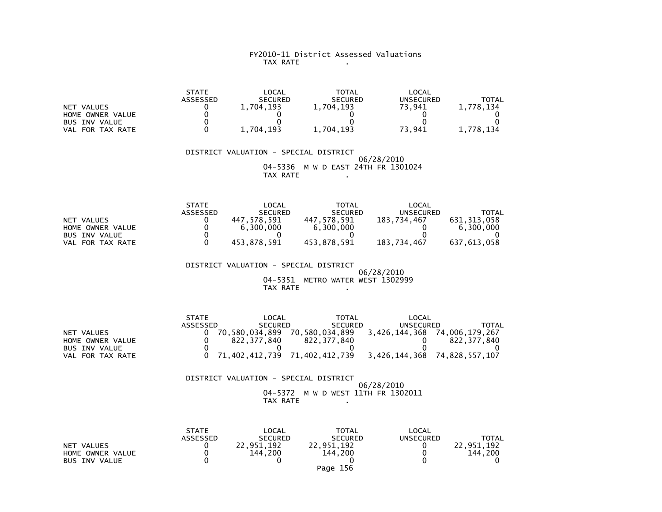#### FY2010-11 District Assessed Valuations TAX RATE .

|                      | <b>STATE</b>    | LOCAL          | TOTAL          | LOCAL            |           |
|----------------------|-----------------|----------------|----------------|------------------|-----------|
|                      | <b>ASSESSED</b> | <b>SECURED</b> | <b>SECURED</b> | <b>UNSECURED</b> | TOTAL     |
| NET VALUES           |                 | 1.704.193      | 1,704,193      | 73,941           | 1.778.134 |
| HOME OWNER VALUE     |                 |                |                |                  |           |
| <b>BUS INV VALUE</b> |                 |                |                |                  |           |
| FOR TAX RATE<br>VAL  |                 | 1,704,193      | 1,704,193      | 73,941           | 1.778.134 |

 DISTRICT VALUATION - SPECIAL DISTRICT 06/28/2010 04-5336 M W D EAST 24TH FR 1301024TAX RATE .

|                      | <b>STATE</b>    | LOCAL          | <b>TOTAL</b>   | LOCAL       |             |
|----------------------|-----------------|----------------|----------------|-------------|-------------|
|                      | <b>ASSESSED</b> | <b>SECURED</b> | <b>SECURED</b> | UNSECURED   | TOTAL       |
| NET VALUES           |                 | 447.578.591    | 447.578.591    | 183.734.467 | 631,313,058 |
| HOME OWNER VALUE     |                 | 6.300.000      | 6.300.000      |             | 6.300.000   |
| <b>BUS INV VALUE</b> |                 |                |                |             |             |
| FOR TAX RATE<br>VAL  |                 | 453,878,591    | 453,878,591    | 183,734,467 | 637,613,058 |

 DISTRICT VALUATION - SPECIAL DISTRICT 06/28/2010 04-5351 METRO WATER WEST 1302999TAX RATE .

STATE LOCAL TOTAL LOCAL

|                  | ASSESSED | <b>SECURED</b> | <b>SECURED</b>                                               | UNSECURED | TOTAL                        |
|------------------|----------|----------------|--------------------------------------------------------------|-----------|------------------------------|
| NET VALUES       |          | 70.580.034.899 | 70.580.034.899                                               |           | 3,426,144,368 74,006,179,267 |
| HOME OWNER VALUE |          | 822.377.840    | 822.377.840                                                  |           | 822.377.840                  |
| BUS INV VALUE    |          |                |                                                              |           |                              |
| VAL FOR TAX RATE |          |                | 0 71,402,412,739 71,402,412,739 3,426,144,368 74,828,557,107 |           |                              |

 DISTRICT VALUATION - SPECIAL DISTRICT 06/28/2010 04-5372 M W D WEST 11TH FR 1302011TAX RATE .

|                      | <b>STATE</b>    | LOCAL          | TOTAL          | LOCAL            |              |
|----------------------|-----------------|----------------|----------------|------------------|--------------|
|                      | <b>ASSESSED</b> | <b>SECURED</b> | <b>SECURED</b> | <b>UNSECURED</b> | <b>TOTAL</b> |
| VALUES<br><b>NET</b> |                 | .951.192       | 22.951.192     |                  | 22.951.192   |
| HOME OWNER VALUE     |                 | 144.200        | 144.200        |                  | 144.200      |
| <b>BUS INV VALUE</b> |                 |                |                |                  |              |
|                      |                 |                | Page 156       |                  |              |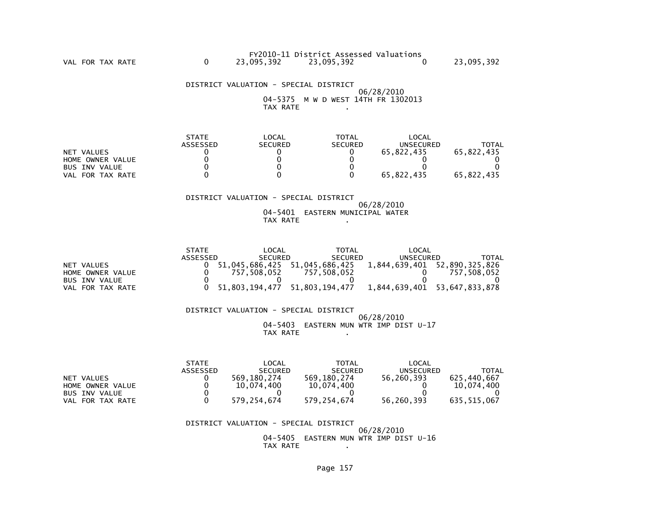|            | FY2010-11 District Assessed Valuations |            |
|------------|----------------------------------------|------------|
|            |                                        |            |
| 23,095,392 | 23,095,392                             | 23,095,392 |
|            |                                        |            |

VAL FOR TAX RATE

 DISTRICT VALUATION - SPECIAL DISTRICT06/28/2010

 04-5375 M W D WEST 14TH FR 1302013TAX RATE .

|                      | <b>STATE</b> | LOCAL          | <b>TOTAL</b>   | LOCAL      |            |
|----------------------|--------------|----------------|----------------|------------|------------|
|                      | ASSESSED     | <b>SECURED</b> | <b>SECURED</b> | UNSECURED  | TOTAL      |
| NET VALUES           |              |                |                | 65.822.435 | 65.822.435 |
| HOME OWNER VALUE     |              |                |                |            |            |
| <b>BUS INV VALUE</b> |              |                |                |            |            |
| FOR TAX RATE<br>VAL  |              |                |                | 65.822.435 | 65.822.435 |

#### DISTRICT VALUATION - SPECIAL DISTRICT

 06/28/2010 04-5401 EASTERN MUNICIPAL WATERTAX RATE .

|                      | <b>STATE</b> | LOCAL          | TOTAL          | LOCAL            |                |
|----------------------|--------------|----------------|----------------|------------------|----------------|
|                      | ASSESSED     | <b>SECURED</b> | <b>SECURED</b> | <b>UNSECURED</b> | TOTAL          |
| NET VALUES           |              | 51.045.686.425 | 51,045,686,425 | 1,844,639,401    | 52,890,325,826 |
| HOME OWNER VALUE     |              | 757.508.052    | 757.508.052    |                  | 757.508.052    |
| <b>BUS INV VALUE</b> |              |                |                |                  |                |
| FOR TAX RATE<br>VAL  |              | 51.803.194.477 | 51,803,194,477 | 1,844,639,401    | 53,647,833,878 |

 DISTRICT VALUATION - SPECIAL DISTRICT 06/28/2010 04-5403 EASTERN MUN WTR IMP DIST U-17TAX RATE .

|                      | <b>STATE</b> | _OCAL          | TOTAL          | LOCAL            |             |
|----------------------|--------------|----------------|----------------|------------------|-------------|
|                      | ASSESSED     | <b>SECURED</b> | <b>SECURED</b> | <b>UNSECURED</b> | TOTAL       |
| NET VALUES           |              | 569.180.274    | 569.180.274    | 56,260,393       | 625.440.667 |
| HOME OWNER VALUE     |              | 10.074.400     | 10.074.400     |                  | 10.074.400  |
| <b>BUS INV VALUE</b> |              |                |                |                  |             |
| VAL FOR TAX RATE     |              | 579.254.674    | 579.254.674    | 56.260.393       | 635.515.067 |

 DISTRICT VALUATION - SPECIAL DISTRICT06/28/2010

 04-5405 EASTERN MUN WTR IMP DIST U-16TAX RATE .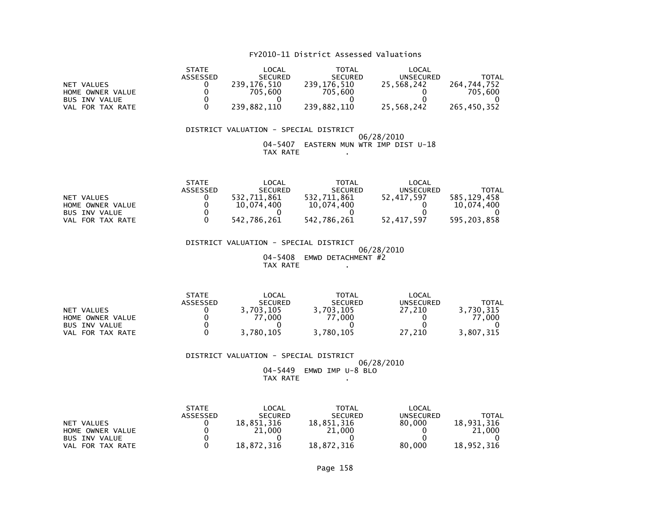|                      | <b>STATE</b> | LOCAL          | <b>TOTAL</b>   | LOCAL      |             |
|----------------------|--------------|----------------|----------------|------------|-------------|
|                      | ASSESSED     | <b>SECURED</b> | <b>SECURED</b> | UNSECURED  | TOTAL       |
| NET VALUES           |              | 239,176,510    | 239,176,510    | 25.568.242 | 264.744.752 |
| HOME OWNER VALUE     |              | 705.600        | 705.600        |            | 705.600     |
| <b>BUS INV VALUE</b> |              |                |                |            |             |
| FOR TAX RATE<br>VAL  |              | 239,882,110    | 239,882,110    | 25,568,242 | 265,450,352 |

#### DISTRICT VALUATION - SPECIAL DISTRICT 06/28/2010 04-5407 EASTERN MUN WTR IMP DIST U-18TAX RATE .

|                      | <b>STATE</b>    | LOCAL          | TOTAL          | LOCAL      |             |
|----------------------|-----------------|----------------|----------------|------------|-------------|
|                      | <b>ASSESSED</b> | <b>SECURED</b> | <b>SECURED</b> | UNSECURED  | TOTAL       |
| NET VALUES           |                 | 532.711.861    | 532.711.861    | 52.417.597 | 585.129.458 |
| HOME OWNER VALUE     |                 | 10.074.400     | 10.074.400     |            | 10.074.400  |
| <b>BUS INV VALUE</b> |                 |                |                |            |             |
| VAL FOR TAX RATE     |                 | 542.786.261    | 542.786.261    | 52.417.597 | 595.203.858 |

 DISTRICT VALUATION - SPECIAL DISTRICT 06/28/2010 04-5408 EMWD DETACHMENT #2TAX RATE .

|                      | <b>STATE</b> | LOCAL          | TOTAL          | LOCAL            |           |
|----------------------|--------------|----------------|----------------|------------------|-----------|
|                      | ASSESSED     | <b>SECURED</b> | <b>SECURED</b> | <b>UNSECURED</b> | TOTAL     |
| NET VALUES           |              | 3,703,105      | 3,703,105      | 27.210           | 3,730,315 |
| HOME OWNER VALUE     |              | .000           | 77,000         |                  | 77.000    |
| <b>BUS INV VALUE</b> |              |                |                |                  |           |
| FOR TAX RATE<br>VAL  |              | 3,780,105      | 3,780,105      | 27.210           | 3,807,315 |

DISTRICT VALUATION - SPECIAL DISTRICT

 06/28/2010 04-5449 EMWD IMP U-8 BLOTAX RATE .

|                      | <b>STATE</b> | LOCAL          | <b>TOTAL</b>   | LOCAL     |            |
|----------------------|--------------|----------------|----------------|-----------|------------|
|                      | ASSESSED     | <b>SECURED</b> | <b>SECURED</b> | UNSECURED | ΤΟΤΑΙ      |
| NET VALUES           |              | 18.851.316     | 18.851.316     | 80,000    | 18,931,316 |
| HOME OWNER VALUE     |              | 21,000         | 21,000         |           | 21,000     |
| <b>BUS INV VALUE</b> |              |                |                |           |            |
| FOR TAX RATE<br>VAL  |              | 18.872.316     | 18,872,316     | 80,000    | 18,952,316 |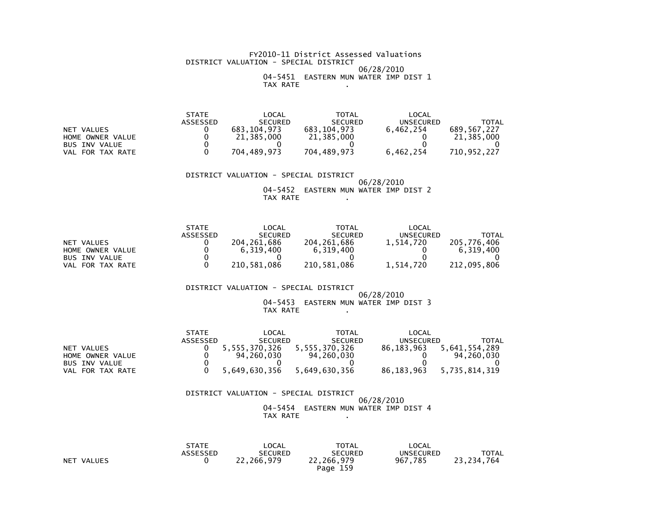#### FY2010-11 District Assessed Valuations DISTRICT VALUATION - SPECIAL DISTRICT 06/28/2010 04-5451 EASTERN MUN WATER IMP DIST 1TAX RATE .

|                      | STATE    | _OCAL          | TOTAL          | LOCAL            |             |
|----------------------|----------|----------------|----------------|------------------|-------------|
|                      | ASSESSED | <b>SECURED</b> | <b>SECURED</b> | <b>UNSECURED</b> | TOTAL       |
| NET VALUES           |          | 683.104.973    | 683.104.973    | 6.462.254        | 689,567,227 |
| HOME OWNER VALUE     |          | 21,385,000     | 21,385,000     |                  | 21.385.000  |
| <b>BUS INV VALUE</b> |          |                |                |                  |             |
| FOR TAX RATE<br>VAL  |          | 704,489,973    | 704,489,973    | 6,462,254        | 710,952,227 |

 DISTRICT VALUATION - SPECIAL DISTRICT 06/28/201004-5452 EASTERN MUN WATER IMP DIST 2

TAX RATE .

|                      | <b>STATE</b> | LOCAL          | <b>TOTAL</b>   | LOCAL     |             |
|----------------------|--------------|----------------|----------------|-----------|-------------|
|                      | ASSESSED     | <b>SECURED</b> | <b>SECURED</b> | UNSECURED | TOTAL       |
| NET VALUES           |              | 204.261.686    | 204, 261, 686  | 1.514.720 | 205.776.406 |
| HOME OWNER VALUE     |              | 6.319.400      | 6.319.400      |           | 6.319.400   |
| <b>BUS INV VALUE</b> |              |                |                |           |             |
| VAL FOR TAX RATE     |              | 210.581.086    | 210.581.086    | 1.514.720 | 212,095,806 |

DISTRICT VALUATION - SPECIAL DISTRICT

#### 06/28/2010 04-5453 EASTERN MUN WATER IMP DIST 3TAX RATE .

|                      | <b>STATE</b> | LOCAL          | TOTAL          | LOCAL      |               |
|----------------------|--------------|----------------|----------------|------------|---------------|
|                      | ASSESSED     | <b>SECURED</b> | <b>SECURED</b> | UNSECURED  | TOTAL         |
| NET VALUES           |              | 5,555,370,326  | 5,555,370,326  | 86.183.963 | 5,641,554,289 |
| HOME OWNER VALUE     |              | 94.260.030     | 94.260.030     |            | 94,260,030    |
| <b>BUS INV VALUE</b> |              |                |                |            |               |
| FOR TAX RATE<br>VAL  |              | 5,649,630,356  | 5.649.630.356  | 86,183,963 | 5,735,814,319 |

#### DISTRICT VALUATION - SPECIAL DISTRICT 06/28/2010 04-5454 EASTERN MUN WATER IMP DIST 4TAX RATE .

|            | STATE<br>ASSESSED | LOCAL<br>SECURED | <b>TOTAL</b><br><b>SECURED</b> | LOCAL<br>UNSECURED | <b>TOTAL</b> |
|------------|-------------------|------------------|--------------------------------|--------------------|--------------|
| NET VALUES |                   | 22.266.979       | 22,266,979                     | 967.785            | 23, 234, 764 |
|            |                   |                  | Page 159                       |                    |              |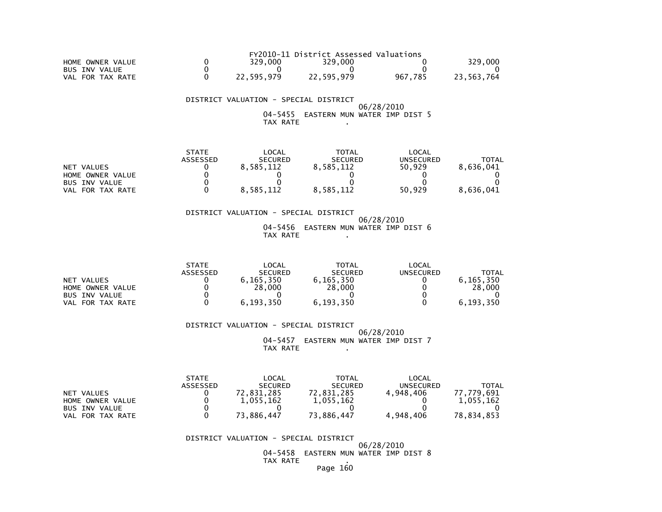|                      |            | FY2010-11 District Assessed Valuations |         |            |
|----------------------|------------|----------------------------------------|---------|------------|
| HOME OWNER VALUE     | 329,000    | 329,000                                |         | 329,000    |
| <b>BUS INV VALUE</b> |            |                                        |         |            |
| VAL FOR TAX RATE     | 22.595.979 | 22.595.979                             | 967.785 | 23.563.764 |

 DISTRICT VALUATION - SPECIAL DISTRICT 06/28/2010 04-5455 EASTERN MUN WATER IMP DIST 5TAX RATE .

|                      | <b>STATE</b> | LOCAL          | <b>TOTAL</b>   | LOCAL     |           |
|----------------------|--------------|----------------|----------------|-----------|-----------|
|                      | ASSESSED     | <b>SECURED</b> | <b>SECURED</b> | UNSECURED | TOTAL     |
| NET VALUES           |              | 8.585.112      | 8,585,112      | 50.929    | 8,636,041 |
| HOME OWNER VALUE     |              |                |                |           |           |
| <b>BUS INV VALUE</b> |              |                |                |           |           |
| VAL FOR TAX RATE     |              | 8.585.112      | 8.585.112      | 50.929    | 8,636,041 |

 DISTRICT VALUATION - SPECIAL DISTRICT 06/28/2010 04-5456 EASTERN MUN WATER IMP DIST 6TAX RATE .

|                      | <b>STATE</b> | LOCAL          | TOTAL          | $\mathsf{LOCAL}$ |              |
|----------------------|--------------|----------------|----------------|------------------|--------------|
|                      | ASSESSED     | <b>SECURED</b> | <b>SECURED</b> | UNSECURED        | <b>TOTAL</b> |
| NET VALUES           |              | 6.165.350      | 6.165.350      |                  | 6.165.350    |
| HOME OWNER VALUE     |              | 28,000         | 28,000         |                  | 28,000       |
| <b>BUS INV VALUE</b> |              |                |                |                  |              |
| FOR TAX RATE<br>VAL  |              | 6,193,350      | 6,193,350      |                  | 6,193,350    |

 DISTRICT VALUATION - SPECIAL DISTRICT06/28/2010

 04-5457 EASTERN MUN WATER IMP DIST 7 $TAX RATE$ .

|                      | <b>STATE</b> | LOCAL          | <b>TOTAL</b>   | LOCAL     |            |
|----------------------|--------------|----------------|----------------|-----------|------------|
|                      | ASSESSED     | <b>SECURED</b> | <b>SECURED</b> | UNSECURED | TOTAL      |
| NET VALUES           |              | 72.831.285     | 72,831,285     | 4.948.406 | 77.779.691 |
| HOME OWNER VALUE     |              | 1.055.162      | 1.055.162      |           | 1.055.162  |
| <b>BUS INV VALUE</b> |              |                |                |           |            |
| VAL FOR TAX RATE     |              | 73.886.447     | 73.886.447     | 4.948.406 | 78.834.853 |

DISTRICT VALUATION - SPECIAL DISTRICT

 06/28/2010 04-5458 EASTERN MUN WATER IMP DIST 8TAX RATE .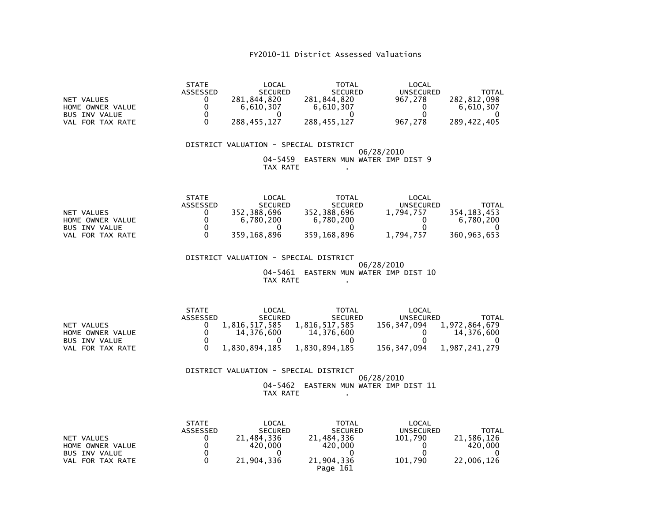| <b>NET VALUES</b><br>HOME OWNER VALUE<br><b>BUS INV VALUE</b><br>VAL FOR TAX RATE | <b>STATE</b><br>ASSESSED<br>0<br>0 | LOCAL<br><b>SECURED</b><br>281,844,820<br>6,610,307<br>288,455,127                                                                 | <b>TOTAL</b><br><b>SECURED</b><br>281,844,820<br>6,610,307<br>288,455,127                                  | LOCAL<br><b>UNSECURED</b><br>967,278<br>967,278                   | <b>TOTAL</b><br>282,812,098<br>6,610,307<br>289, 422, 405 |
|-----------------------------------------------------------------------------------|------------------------------------|------------------------------------------------------------------------------------------------------------------------------------|------------------------------------------------------------------------------------------------------------|-------------------------------------------------------------------|-----------------------------------------------------------|
|                                                                                   |                                    | DISTRICT VALUATION - SPECIAL DISTRICT<br>04-5459<br>TAX RATE                                                                       | EASTERN MUN WATER IMP DIST 9                                                                               | 06/28/2010                                                        |                                                           |
| <b>NET VALUES</b><br>HOME OWNER VALUE<br><b>BUS INV VALUE</b><br>VAL FOR TAX RATE | <b>STATE</b><br>ASSESSED<br>0      | LOCAL<br><b>SECURED</b><br>352,388,696<br>6,780,200<br>359,168,896<br>DISTRICT VALUATION - SPECIAL DISTRICT<br>04-5461<br>TAX RATE | <b>TOTAL</b><br><b>SECURED</b><br>352,388,696<br>6,780,200<br>359,168,896<br>EASTERN MUN WATER IMP DIST 10 | LOCAL<br><b>UNSECURED</b><br>1,794,757<br>1,794,757<br>06/28/2010 | <b>TOTAL</b><br>354, 183, 453<br>6,780,200<br>360,963,653 |

| <b>STATE</b> | LOCAL          | <b>TOTAL</b>   | LOCAL       |                  |
|--------------|----------------|----------------|-------------|------------------|
| ASSESSED     | <b>SECURED</b> | <b>SECURED</b> |             | TOTAL            |
|              | 1,816,517,585  | 1,816,517,585  | 156.347.094 | 1,972,864,679    |
|              | 14.376.600     | 14.376.600     |             | 14.376.600       |
|              |                |                |             |                  |
|              | 1.830.894.185  | 1.830.894.185  | 156.347.094 | 1.987.241.279    |
|              |                |                |             | <b>UNSECURED</b> |

# DISTRICT VALUATION - SPECIAL DISTRICT

# 06/28/2010 04-5462 EASTERN MUN WATER IMP DIST 11 TAX RATE .

|                                | <b>STATE</b><br><b>ASSESSED</b> | LOCAL<br><b>SECURED</b> | <b>TOTAL</b><br><b>SECURED</b> | LOCAL<br><b>UNSECURED</b> | TOTAL                 |
|--------------------------------|---------------------------------|-------------------------|--------------------------------|---------------------------|-----------------------|
| NET VALUES<br>HOME OWNER VALUE |                                 | 21,484,336<br>420.000   | 21.484.336<br>420,000          | 101.790                   | 21.586.126<br>420,000 |
| <b>BUS INV VALUE</b>           |                                 |                         |                                |                           |                       |
| VAL FOR TAX RATE               |                                 | 21,904,336              | 21,904,336<br>Page 161         | 101.790                   | 22,006,126            |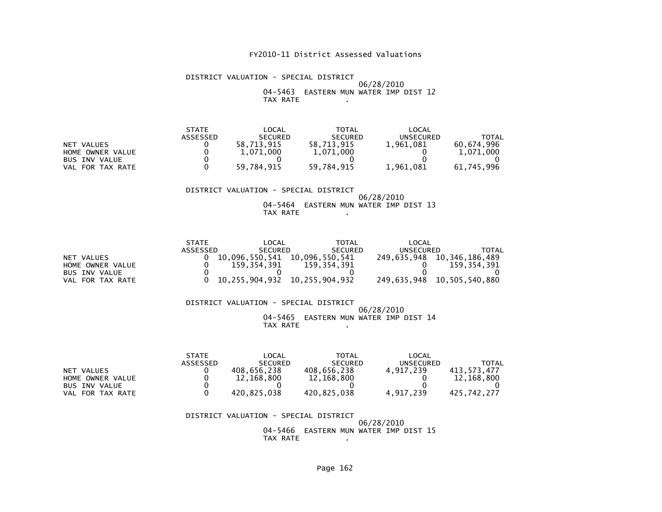#### DISTRICT VALUATION - SPECIAL DISTRICT 06/28/2010 04-5463 EASTERN MUN WATER IMP DIST 12TAX RATE .

|                      | <b>STATE</b>    | LOCAL          | <b>TOTAL</b>   | LOCAL            |            |
|----------------------|-----------------|----------------|----------------|------------------|------------|
|                      | <b>ASSESSED</b> | <b>SECURED</b> | <b>SECURED</b> | <b>UNSECURED</b> | TOTAL      |
| NET VALUES           |                 | 58.713.915     | 58.713.915     | 1,961,081        | 60.674.996 |
| HOME OWNER VALUE     |                 | 1,071,000      | 1,071,000      |                  | 1,071,000  |
| <b>BUS INV VALUE</b> |                 |                |                |                  |            |
| FOR TAX RATE<br>VAL. |                 | 59.784.915     | 59.784.915     | 1,961,081        | 61,745,996 |

#### DISTRICT VALUATION - SPECIAL DISTRICT 06/28/2010 04-5464 EASTERN MUN WATER IMP DIST 13TAX RATE .

|                      | <b>STATE</b> | LOCAL          | <b>TOTAL</b>                  | LOCAL            |                |
|----------------------|--------------|----------------|-------------------------------|------------------|----------------|
|                      | ASSESSED     | <b>SECURED</b> | <b>SECURED</b>                | <b>UNSECURED</b> | TOTAL          |
| NET VALUES           |              |                | 10.096.550.541 10.096.550.541 | 249,635,948      | 10,346,186,489 |
| HOME OWNER VALUE     |              | 159.354.391    | 159, 354, 391                 |                  | 159.354.391    |
| <b>BUS INV VALUE</b> |              |                |                               |                  |                |
| VAL FOR TAX RATE     |              |                | 10,255,904,932 10,255,904,932 | 249.635.948      | 10,505,540,880 |

#### DISTRICT VALUATION - SPECIAL DISTRICT 06/28/2010 04-5465 EASTERN MUN WATER IMP DIST 14TAX RATE .

|                       | <b>STATE</b>    | _OCAL          | TOTAL          | LOCAL            |             |
|-----------------------|-----------------|----------------|----------------|------------------|-------------|
|                       | <b>ASSESSED</b> | <b>SECURED</b> | <b>SECURED</b> | <b>UNSECURED</b> | TOTAL       |
| NET VALUES            |                 | 408.656.238    | 408.656.238    | 4.917.239        | 413.573.477 |
| HOME OWNER VALUE      |                 | 12.168.800     | 12,168,800     |                  | 12.168.800  |
| <b>BUS INV VALUE</b>  |                 |                |                |                  |             |
| . FOR TAX RATE<br>VAL |                 | 420.825.038    | 420.825.038    | 4.917.239        | 425.742.277 |

 DISTRICT VALUATION - SPECIAL DISTRICT 06/28/2010 04-5466 EASTERN MUN WATER IMP DIST 15TAX RATE .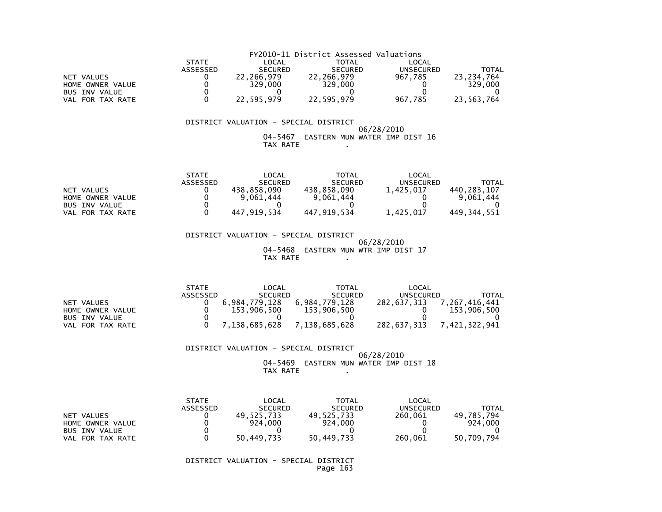|                      | FY2010-11 District Assessed Valuations |                |                |           |              |  |  |  |
|----------------------|----------------------------------------|----------------|----------------|-----------|--------------|--|--|--|
|                      | <b>STATE</b>                           | LOCAL          | TOTAL          | LOCAL     |              |  |  |  |
|                      | ASSESSED                               | <b>SECURED</b> | <b>SECURED</b> | UNSECURED | <b>TOTAL</b> |  |  |  |
| NET VALUES           |                                        | 22.266.979     | 22.266.979     | 967.785   | 23.234.764   |  |  |  |
| HOME OWNER VALUE     |                                        | 329,000        | 329,000        |           | 329,000      |  |  |  |
| <b>BUS INV VALUE</b> |                                        |                |                |           |              |  |  |  |
| VAL FOR TAX RATE     |                                        | 22,595,979     | 22,595,979     | 967.785   | 23,563,764   |  |  |  |

#### 06/28/2010 04-5467 EASTERN MUN WATER IMP DIST 16TAX RATE .

|                      | <b>STATE</b> | $\mathsf{LOCAL}$ | TOTAL          | LOCAL     |             |
|----------------------|--------------|------------------|----------------|-----------|-------------|
|                      | ASSESSED     | <b>SECURED</b>   | <b>SECURED</b> | UNSECURED | TOTAL       |
| NET VALUES           |              | 438.858.090      | 438.858.090    | 1.425.017 | 440.283.107 |
| HOME OWNER VALUE     |              | 9.061.444        | 9.061.444      |           | 9.061.444   |
| <b>BUS INV VALUE</b> |              |                  |                |           |             |
| VAL FOR TAX RATE     |              | 447.919.534      | 447.919.534    | 1.425.017 | 449.344.551 |

 DISTRICT VALUATION - SPECIAL DISTRICT 06/28/2010 04-5468 EASTERN MUN WTR IMP DIST 17TAX RATE ...

|                     | <b>STATE</b> | LOCAL          | <b>TOTAL</b>   | LOCAL       |               |
|---------------------|--------------|----------------|----------------|-------------|---------------|
|                     | ASSESSED     | <b>SECURED</b> | <b>SECURED</b> | UNSECURED   | TOTAL         |
| NET VALUES          |              | 6.984.779.128  | 6.984.779.128  | 282.637.313 | 7.267.416.441 |
| HOME OWNER VALUE    |              | 153,906,500    | 153.906.500    |             | 153.906.500   |
| BUS INV VALUE       |              |                |                |             |               |
| FOR TAX RATE<br>VAL |              | 7,138,685,628  | 7,138,685,628  | 282,637,313 | ,421,322,941  |

#### DISTRICT VALUATION - SPECIAL DISTRICT

#### 06/28/2010 04-5469 EASTERN MUN WATER IMP DIST 18TAX RATE .

|                            | <b>STATE</b>    | LOCAL          | TOTAL          | LOCAL     |            |
|----------------------------|-----------------|----------------|----------------|-----------|------------|
|                            | <b>ASSESSED</b> | <b>SECURED</b> | <b>SECURED</b> | UNSECURED | TOTAL      |
| NET VALUES                 |                 | 49.525.733     | 49.525.733     | 260.061   | 49.785.794 |
| HOME OWNER VALUE           |                 | 924,000        | 924,000        |           | 924,000    |
| <b>BUS INV VALUE</b>       |                 |                |                |           |            |
| FOR TAX RATE<br><b>VAL</b> |                 | 50,449,733     | 50,449,733     | 260,061   | 50,709,794 |

 DISTRICT VALUATION - SPECIAL DISTRICTPage 163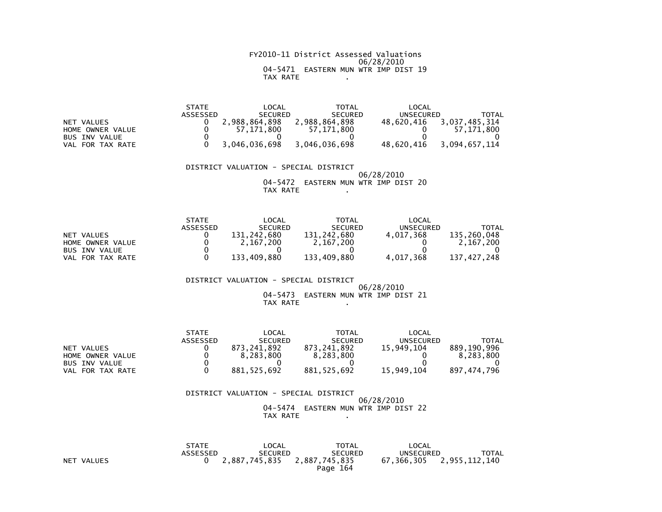FY2010-11 District Assessed Valuations 06/28/2010 04-5471 EASTERN MUN WTR IMP DIST 19TAX RATE .

|                      | <b>STATE</b> | LOCAL          | TOTAL          | LOCAL            |               |
|----------------------|--------------|----------------|----------------|------------------|---------------|
|                      | ASSESSED     | <b>SECURED</b> | <b>SECURED</b> | <b>UNSECURED</b> | TOTAL         |
| NET VALUES           |              | 2.988.864.898  | 2.988.864.898  | 48.620.416       | 3.037.485.314 |
| HOME OWNER VALUE     |              | 57.171.800     | 57.171.800     |                  | 57.171.800    |
| <b>BUS INV VALUE</b> |              |                |                |                  |               |
| FOR TAX RATE<br>VAL  |              | 3,046,036,698  | 3.046.036.698  | 48.620.416       | 3.094.657.114 |

 DISTRICT VALUATION - SPECIAL DISTRICT 06/28/2010 04-5472 EASTERN MUN WTR IMP DIST 20TAX RATE .

|                      | <b>STATE</b> | LOCAL          | <b>TOTAL</b>   | LOCAL     |             |
|----------------------|--------------|----------------|----------------|-----------|-------------|
|                      | ASSESSED     | <b>SECURED</b> | <b>SECURED</b> | UNSECURED | TOTAL       |
| NET VALUES           |              | 131.242.680    | 131,242,680    | 4.017.368 | 135.260.048 |
| HOME OWNER VALUE     |              | 2.167.200      | 2.167.200      |           | 2.167.200   |
| <b>BUS INV VALUE</b> |              |                |                |           |             |
| VAL FOR TAX RATE     |              | 133.409.880    | 133.409.880    | 4.017.368 | 137.427.248 |

 DISTRICT VALUATION - SPECIAL DISTRICT 06/28/201004-5473 EASTERN MUN WTR IMP DIST 21

TAX RATE .

|                      | <b>STATE</b> | LOCAL          | <b>TOTAL</b>   | LOCAL      |             |
|----------------------|--------------|----------------|----------------|------------|-------------|
|                      | ASSESSED     | <b>SECURED</b> | <b>SECURED</b> | UNSECURED  | TOTAL       |
| NET VALUES           |              | 873.241.892    | 873.241.892    | 15.949.104 | 889.190.996 |
| HOME OWNER VALUE     |              | 8.283.800      | 8.283.800      |            | 8.283.800   |
| <b>BUS INV VALUE</b> |              |                |                |            |             |
| FOR TAX RATE<br>VAL  |              | 881.525.692    | 881, 525, 692  | 15,949,104 | 897,474,796 |

| DISTRICT VALUATION - SPECIAL DISTRICT |  |            |  |
|---------------------------------------|--|------------|--|
|                                       |  | 06/28/2010 |  |
| 04-5474 EASTERN MUN WTR IMP DIST 22   |  |            |  |
| TAX RATE                              |  |            |  |

|            | <b>STATE</b> | LOCAL          | <b>TOTAL</b>              | LOCAL     |                          |
|------------|--------------|----------------|---------------------------|-----------|--------------------------|
|            | ASSESSED     | <b>SECURED</b> | <b>SECURED</b>            | UNSECURED | <b>TOTAL</b>             |
| NET VALUES |              | 2,887,745,835  | 2,887,745,835<br>Page 164 |           | 67,366,305 2,955,112,140 |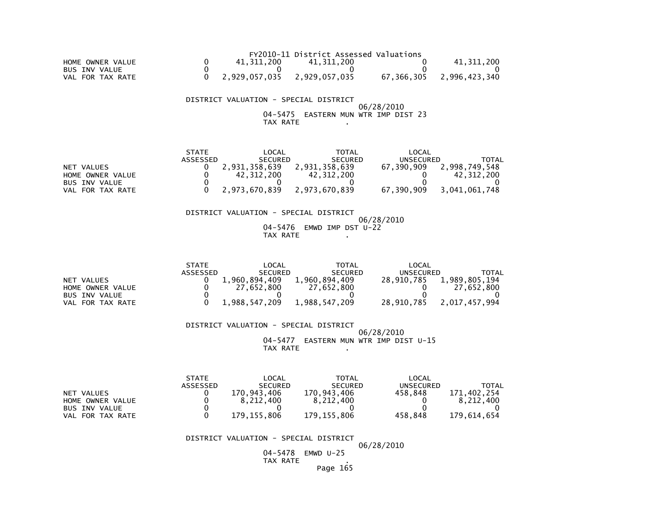|                      |               | FY2010-11 District Assessed Valuations |            |               |
|----------------------|---------------|----------------------------------------|------------|---------------|
| HOME OWNER VALUE     | 41.311.200    | 41.311.200                             |            | 41,311,200    |
| <b>BUS INV VALUE</b> |               |                                        |            |               |
| VAL FOR TAX RATE     | 2.929.057.035 | 2,929,057,035                          | 67.366.305 | 2,996,423,340 |

 DISTRICT VALUATION - SPECIAL DISTRICT 06/28/2010 04-5475 EASTERN MUN WTR IMP DIST 23TAX RATE .

|                  | <b>STATE</b> | LOCAL          | <b>TOTAL</b>   | LOCAL      |               |
|------------------|--------------|----------------|----------------|------------|---------------|
|                  | ASSESSED     | <b>SECURED</b> | <b>SECURED</b> | UNSECURED  | TOTAL         |
| NET VALUES       |              | 2.931.358.639  | 2.931.358.639  | 67.390.909 | 2.998.749.548 |
| HOME OWNER VALUE |              | 42.312.200     | 42.312.200     |            | 42.312.200    |
| BUS INV VALUE    |              |                |                |            |               |
| VAL FOR TAX RATE |              | 2,973,670,839  | 2.973.670.839  | 67.390.909 | 3,041,061,748 |

 DISTRICT VALUATION - SPECIAL DISTRICT 06/28/2010 04-5476 EMWD IMP DST U-22TAX RATE .

|                      | <b>STATE</b> | LOCAL          | TOTAL          | LOCAL      |               |
|----------------------|--------------|----------------|----------------|------------|---------------|
|                      | ASSESSED     | <b>SECURED</b> | <b>SECURED</b> | UNSECURED  | TOTAL         |
| NET VALUES           |              | 1.960.894.409  | 1.960.894.409  | 28.910.785 | 1,989,805,194 |
| HOME OWNER VALUE     |              | 27.652.800     | 27.652.800     |            | 27.652.800    |
| <b>BUS INV VALUE</b> |              |                |                |            |               |
| VAL FOR TAX RATE     |              | 1.988.547.209  | 1,988,547,209  | 28,910,785 | 2,017,457,994 |

 DISTRICT VALUATION - SPECIAL DISTRICT 06/28/2010 04-5477 EASTERN MUN WTR IMP DIST U-15TAX RATE .

 STATE LOCAL TOTAL LOCAL**UNSECURED**  ASSESSED SECURED SECURED UNSECURED TOTAL171,402,254 NET VALUES 0 170,943,406 170,943,406 458,848 171,402,254 $8,212,400$ HOME OWNER VALUE  $\Omega$  BUS INV VALUE 0 0 0 0 0VAL FOR TAX RATE 0 179,155,806 179,155,806 458,848 179,614,654

DISTRICT VALUATION - SPECIAL DISTRICT

06/28/2010

 04-5478 EMWD U-25TAX RATE .

Page 165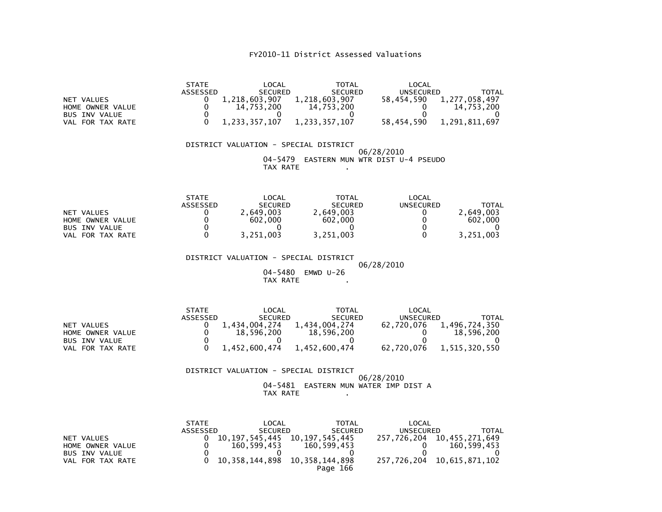| NET VALUES<br>HOME OWNER VALUE<br><b>BUS INV VALUE</b><br>VAL FOR TAX RATE        | <b>STATE</b><br>LOCAL<br><b>TOTAL</b><br>LOCAL<br><b>ASSESSED</b><br><b>SECURED</b><br><b>SECURED</b><br><b>UNSECURED</b><br><b>TOTAL</b><br>1,218,603,907<br>1,218,603,907<br>58,454,590<br>0<br>1,277,058,497<br>$\Omega$<br>14,753,200<br>14,753,200<br>14,753,200<br>0<br>$\mathbf 0$<br>$\mathbf{0}$<br>0<br>0<br>0<br>$\mathbf{0}$<br>1,233,357,107<br>1,233,357,107<br>58,454,590<br>1,291,811,697       |  |  |  |  |  |  |
|-----------------------------------------------------------------------------------|-----------------------------------------------------------------------------------------------------------------------------------------------------------------------------------------------------------------------------------------------------------------------------------------------------------------------------------------------------------------------------------------------------------------|--|--|--|--|--|--|
|                                                                                   | DISTRICT VALUATION - SPECIAL DISTRICT<br>06/28/2010<br>EASTERN MUN WTR DIST U-4 PSEUDO<br>04-5479<br>TAX RATE                                                                                                                                                                                                                                                                                                   |  |  |  |  |  |  |
| <b>NET VALUES</b><br>HOME OWNER VALUE<br><b>BUS INV VALUE</b><br>VAL FOR TAX RATE | <b>STATE</b><br>LOCAL<br>TOTAL<br>LOCAL<br>ASSESSED<br><b>SECURED</b><br><b>SECURED</b><br><b>UNSECURED</b><br><b>TOTAL</b><br>2,649,003<br>0<br>2,649,003<br>0<br>2,649,003<br>$\Omega$<br>$\Omega$<br>602,000<br>602,000<br>602,000<br>$\mathbf 0$<br>0<br>0<br>0<br>0<br>$\Omega$<br>$\Omega$<br>3,251,003<br>3,251,003<br>3,251,003                                                                         |  |  |  |  |  |  |
|                                                                                   | DISTRICT VALUATION - SPECIAL DISTRICT<br>06/28/2010<br>04-5480<br>EMWD $U-26$<br>TAX RATE                                                                                                                                                                                                                                                                                                                       |  |  |  |  |  |  |
| NET VALUES<br>HOME OWNER VALUE<br><b>BUS INV VALUE</b><br>VAL FOR TAX RATE        | <b>STATE</b><br>LOCAL<br>TOTAL<br>LOCAL<br><b>ASSESSED</b><br><b>SECURED</b><br><b>SECURED</b><br><b>UNSECURED</b><br><b>TOTAL</b><br>1,434,004,274<br>62,720,076<br>1,434,004,274<br>1,496,724,350<br>0<br>$\mathbf 0$<br>18,596,200<br>18,596,200<br>18,596,200<br>0<br>$\mathbf 0$<br>$\Omega$<br>$\Omega$<br>0<br>$\Omega$<br>$\mathbf{0}$<br>1,452,600,474<br>1,452,600,474<br>62,720,076<br>1,515,320,550 |  |  |  |  |  |  |
|                                                                                   | DISTRICT VALUATION - SPECIAL DISTRICT<br>06/28/2010<br>04–5481<br>EASTERN MUN WATER IMP DIST A<br>TAX RATE                                                                                                                                                                                                                                                                                                      |  |  |  |  |  |  |
| NET VALUES<br>HOME OWNER VALUE<br><b>BUS INV VALUE</b><br>VAL FOR TAX RATE        | <b>STATE</b><br>LOCAL<br><b>TOTAL</b><br>LOCAL<br>ASSESSED<br><b>SECURED</b><br><b>SECURED</b><br><b>UNSECURED</b><br><b>TOTAL</b><br>10, 197, 545, 445<br>10, 197, 545, 445<br>257,726,204<br>10, 455, 271, 649<br>0<br>0<br>160,599,453<br>160,599,453<br>160,599,453<br>0<br>0<br>$\Omega$<br>0<br>0<br>0<br>$\Omega$<br>10, 358, 144, 898<br>10, 358, 144, 898<br>257,726,204<br>10,615,871,102<br>Page 166 |  |  |  |  |  |  |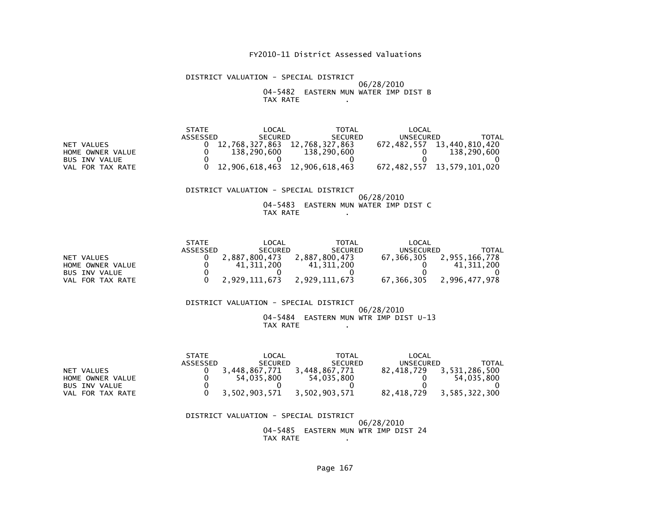#### DISTRICT VALUATION - SPECIAL DISTRICT 06/28/2010 04-5482 EASTERN MUN WATER IMP DIST BTAX RATE .

|                      | <b>STATE</b> | LOCAL          | <b>TOTAL</b>                  | LOCAL            |                            |
|----------------------|--------------|----------------|-------------------------------|------------------|----------------------------|
|                      | ASSESSED     | <b>SECURED</b> | <b>SECURED</b>                | <b>UNSECURED</b> | TOTAL                      |
| NET VALUES           |              | 12.768.327.863 | 12,768,327,863                | 672.482.557      | 13,440,810,420             |
| HOME OWNER VALUE     |              | 138.290.600    | 138,290,600                   |                  | 138,290,600                |
| <b>BUS INV VALUE</b> |              |                |                               |                  |                            |
| VAL FOR TAX RATE     |              |                | 12,906,618,463 12,906,618,463 |                  | 672,482,557 13,579,101,020 |

#### DISTRICT VALUATION - SPECIAL DISTRICT 06/28/2010 04-5483 EASTERN MUN WATER IMP DIST CTAX RATE .

|                      | <b>STATE</b> | LOCAL          | <b>TOTAL</b>   | LOCAL      |               |
|----------------------|--------------|----------------|----------------|------------|---------------|
|                      | ASSESSED     | <b>SECURED</b> | <b>SECURED</b> | UNSECURED  | TOTAL         |
| NET VALUES           |              | 2.887.800.473  | 2.887.800.473  | 67.366.305 | 2.955.166.778 |
| HOME OWNER VALUE     |              | 41,311,200     | 41.311.200     |            | 41.311.200    |
| <b>BUS INV VALUE</b> |              |                |                |            |               |
| VAL FOR TAX RATE     |              | 2,929,111,673  | 2.929.111.673  | 67.366.305 | 2.996.477.978 |

#### DISTRICT VALUATION - SPECIAL DISTRICT 06/28/2010 04-5484 EASTERN MUN WTR IMP DIST U-13TAX RATE .

|                      | <b>STATE</b> | LOCAL          | <b>TOTAL</b>   | LOCAL      |               |
|----------------------|--------------|----------------|----------------|------------|---------------|
|                      | ASSESSED     | <b>SECURED</b> | <b>SECURED</b> | UNSECURED  | TOTAL         |
| NET VALUES           |              | 3.448.867.771  | 3.448.867.771  | 82.418.729 | 3,531,286,500 |
| HOME OWNER VALUE     |              | 54.035.800     | 54.035.800     |            | 54.035.800    |
| <b>BUS INV VALUE</b> |              |                |                |            |               |
| FOR TAX RATE<br>VAL  |              | 3,502,903,571  | 3,502,903,571  | 82.418.729 | 3,585,322,300 |

 DISTRICT VALUATION - SPECIAL DISTRICT 06/28/201004-5485 EASTERN MUN WTR IMP DIST 24

TAX RATE .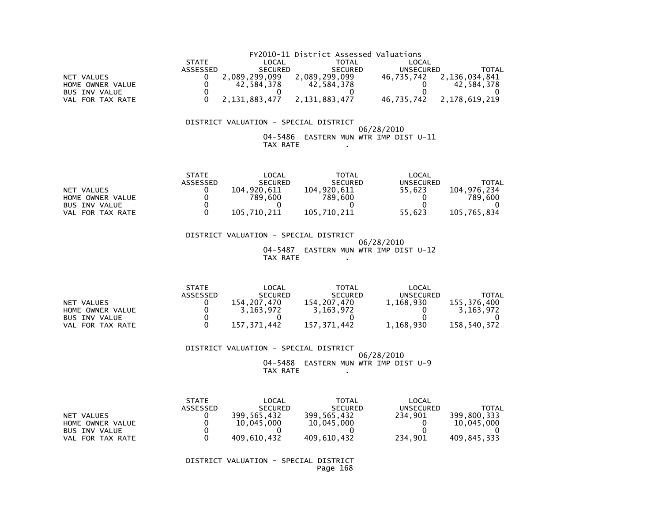|                      |              |                | FY2010-11 District Assessed Valuations |            |               |
|----------------------|--------------|----------------|----------------------------------------|------------|---------------|
|                      | <b>STATE</b> | LOCAL          | TOTAL                                  | LOCAL      |               |
|                      | ASSESSED     | <b>SECURED</b> | <b>SECURED</b>                         | UNSECURED  | TOTAL         |
| NET VALUES           |              | 2,089,299,099  | 2,089,299,099                          | 46.735.742 | 2,136,034,841 |
| HOME OWNER VALUE     |              | 42.584.378     | 42.584.378                             |            | 42.584.378    |
| <b>BUS INV VALUE</b> |              |                |                                        |            |               |
| VAL FOR TAX RATE     |              | 2.131.883.477  | 2,131,883,477                          | 46.735.742 | 2,178,619,219 |

#### 06/28/2010 04-5486 EASTERN MUN WTR IMP DIST U-11TAX RATE .

| <b>STATE</b> | _OCAL          | TOTAL          | LOCAL            |             |
|--------------|----------------|----------------|------------------|-------------|
| ASSESSED     | <b>SECURED</b> | <b>SECURED</b> | <b>UNSECURED</b> | TOTAL       |
|              | 104.920.611    | 104.920.611    | 55.623           | 104.976.234 |
|              | 789,600        | 789.600        |                  | 789.600     |
|              |                |                |                  |             |
|              | 105.710.211    | 105.710.211    | 55.623           | 105.765.834 |
|              |                |                |                  |             |

 DISTRICT VALUATION - SPECIAL DISTRICT 06/28/2010 04-5487 EASTERN MUN WTR IMP DIST U-12TAX RATE .

|                      | <b>STATE</b>    | LOCAL          | <b>TOTAL</b>   | LOCAL     |             |
|----------------------|-----------------|----------------|----------------|-----------|-------------|
|                      | <b>ASSESSED</b> | <b>SECURED</b> | <b>SECURED</b> | UNSECURED | TOTAL       |
| NET VALUES           |                 | 154.207.470    | 154.207.470    | 1.168.930 | 155,376,400 |
| HOME OWNER VALUE     |                 | 3.163.972      | 3.163.972      |           | 3.163.972   |
| <b>BUS INV VALUE</b> |                 |                |                |           |             |
| VAL FOR TAX RATE     |                 | 157.371.442    | 157.371.442    | 1,168,930 | 158.540.372 |

#### DISTRICT VALUATION - SPECIAL DISTRICT

#### 06/28/2010 04-5488 EASTERN MUN WTR IMP DIST U-9TAX RATE .

|                     | <b>STATE</b><br><b>ASSESSED</b> | LOCAL<br><b>SECURED</b> | <b>TOTAL</b><br><b>SECURED</b> | LOCAL<br>UNSECURED | TOTAL       |
|---------------------|---------------------------------|-------------------------|--------------------------------|--------------------|-------------|
| NET VALUES          |                                 | 399.565.432             | 399,565,432                    | 234.901            | 399.800.333 |
| HOME OWNER VALUE    |                                 | 10,045,000              | 10,045,000                     |                    | 10.045.000  |
| BUS INV VALUE       |                                 |                         |                                |                    |             |
| FOR TAX RATE<br>VAL |                                 | 409,610,432             | 409,610,432                    | 234.901            | 409,845,333 |

 DISTRICT VALUATION - SPECIAL DISTRICTPage 168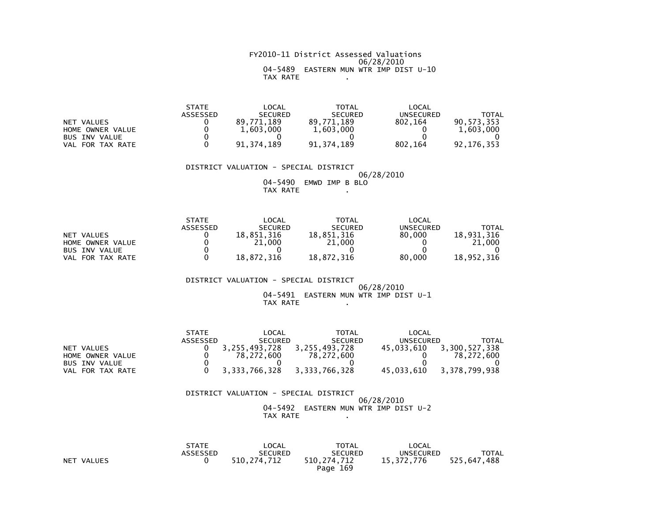#### FY2010-11 District Assessed Valuations 06/28/2010 04-5489 EASTERN MUN WTR IMP DIST U-10TAX RATE .

|                      | <b>STATE</b> | LOCAL          | TOTAL          | LOCAL     |              |
|----------------------|--------------|----------------|----------------|-----------|--------------|
|                      | ASSESSED     | <b>SECURED</b> | <b>SECURED</b> | UNSECURED | <b>TOTAL</b> |
| NET VALUES           |              | 89.771.189     | 89.771.189     | 802.164   | 90.573.353   |
| HOME OWNER VALUE     |              | 1,603,000      | 1,603,000      |           | 1,603,000    |
| <b>BUS INV VALUE</b> |              |                |                |           |              |
| FOR TAX RATE<br>VAL  |              | 91.374.189     | 91.374.189     | 802.164   | 92.176.353   |

 DISTRICT VALUATION - SPECIAL DISTRICT06/28/2010

 04-5490 EMWD IMP B BLOTAX RATE .

|                      | <b>STATE</b> | LOCAL          | TOTAL          | LOCAL     |            |
|----------------------|--------------|----------------|----------------|-----------|------------|
|                      | ASSESSED     | <b>SECURED</b> | <b>SECURED</b> | UNSECURED | TOTAL      |
| NET VALUES           |              | 18.851.316     | 18.851.316     | 80,000    | 18.931.316 |
| HOME OWNER VALUE     |              | 21,000         | 21,000         |           | 21,000     |
| <b>BUS INV VALUE</b> |              |                |                |           |            |
| FOR TAX RATE<br>VAL  |              | 18.872.316     | 18.872.316     | 80,000    | 18.952.316 |

 DISTRICT VALUATION - SPECIAL DISTRICT 06/28/2010 04-5491 EASTERN MUN WTR IMP DIST U-1TAX RATE .

 STATE LOCAL TOTAL LOCAL**UNSECURED**  ASSESSED SECURED SECURED UNSECURED TOTAL $45,033,610$  3, 300, 527, 338 NET VALUES 0 3,255,493,728 3,255,493,728 45,033,610 3,300,527,338 $0 \t 78,272,600$  HOME OWNER VALUE 0 78,272,600 78,272,600 0 78,272,600 $\overline{0}$ BUS INV VALUE  $\begin{array}{ccc} 0 & 0 & 0 & 0 \end{array}$ 45,033,610 3,378,799,938 VAL FOR TAX RATE 0 3,333,766,328 3,333,766,328

| DISTRICT VALUATION - SPECIAL DISTRICT |                                      |  |            |  |  |
|---------------------------------------|--------------------------------------|--|------------|--|--|
|                                       |                                      |  | 06/28/2010 |  |  |
|                                       | 04-5492 EASTERN MUN WTR IMP DIST U-2 |  |            |  |  |
|                                       | TAX RATE                             |  |            |  |  |

|                      | <b>STATE</b> | LOCAL          | <b>TOTAL</b>   | LOCAL            |              |
|----------------------|--------------|----------------|----------------|------------------|--------------|
|                      | ASSESSED     | <b>SECURED</b> | <b>SECURED</b> | <b>UNSECURED</b> | <b>TOTAL</b> |
| <b>NET</b><br>VALUES |              | 510.274.712    | 510,274,712    | 15.372.776       | 525.647.488  |
|                      |              |                | Page 169       |                  |              |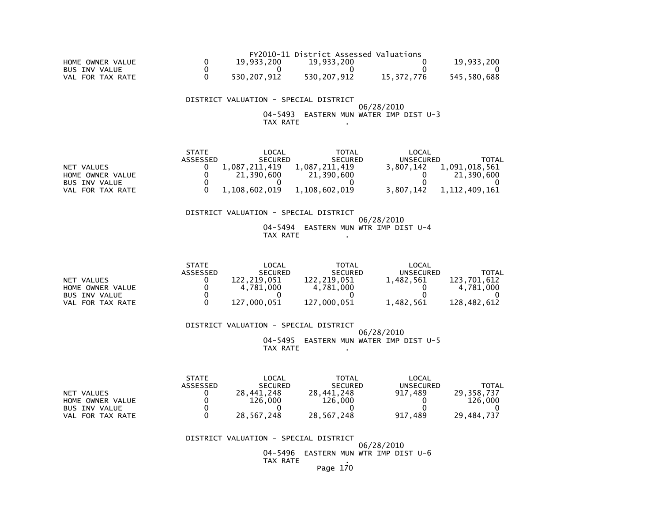|                      |             | FY2010-11 District Assessed Valuations |            |             |
|----------------------|-------------|----------------------------------------|------------|-------------|
| HOME OWNER VALUE     | 19.933.200  | 19.933.200                             |            | 19,933,200  |
| <b>BUS INV VALUE</b> |             |                                        |            |             |
| VAL FOR TAX RATE     | 530.207.912 | 530.207.912                            | 15.372.776 | 545.580.688 |

 DISTRICT VALUATION - SPECIAL DISTRICT 06/28/2010 04-5493 EASTERN MUN WATER IMP DIST U-3TAX RATE .

|                      | <b>STATE</b> | LOCAL          | TOTAL          | LOCAL            |               |
|----------------------|--------------|----------------|----------------|------------------|---------------|
|                      | ASSESSED     | <b>SECURED</b> | <b>SECURED</b> | <b>UNSECURED</b> | TOTAL         |
| NET VALUES           |              | 1.087.211.419  | 1.087.211.419  | 3.807.142        | 1,091,018,561 |
| HOME OWNER VALUE     |              | 21,390,600     | 21,390,600     |                  | 21,390,600    |
| <b>BUS INV VALUE</b> |              |                |                |                  |               |
| VAL FOR TAX RATE     |              | 1.108.602.019  | 1.108.602.019  | 3.807.142        | 1.112.409.161 |

 DISTRICT VALUATION - SPECIAL DISTRICT 06/28/2010 04-5494 EASTERN MUN WTR IMP DIST U-4TAX RATE .

|                       | <b>STATE</b>    | _OCAL             | TOTAL          | LOCAL            |              |
|-----------------------|-----------------|-------------------|----------------|------------------|--------------|
|                       | <b>ASSESSED</b> | <b>SECURED</b>    | <b>SECURED</b> | <b>UNSECURED</b> | <b>TOTAL</b> |
| NET VALUES            |                 | 122.219.051       | 122.219.051    | 1.482.561        | 123.701.612  |
| HOME OWNER VALUE      |                 | 4.781.000         | 4.781.000      |                  | 4.781.000    |
| <b>BUS INV VALUE</b>  |                 |                   |                |                  |              |
| . FOR TAX RATE<br>VAL |                 | .000.051<br>-127. | 127.000.051    | 1.482.561        | 128.482.612  |

DISTRICT VALUATION - SPECIAL DISTRICT

 06/28/2010 04-5495 EASTERN MUN WATER IMP DIST U-5TAX RATE .

|                      | <b>STATE</b>    | LOCAL          | <b>TOTAL</b>   | LOCAL     |            |
|----------------------|-----------------|----------------|----------------|-----------|------------|
|                      | <b>ASSESSED</b> | <b>SECURED</b> | <b>SECURED</b> | UNSECURED | TOTAL      |
| NET VALUES           |                 | 28.441.248     | 28.441.248     | 917.489   | 29.358.737 |
| HOME OWNER VALUE     |                 | 126,000        | 126.000        |           | 126,000    |
| <b>BUS INV VALUE</b> |                 |                |                |           |            |
| VAL FOR TAX RATE     |                 | 28.567.248     | 28,567,248     | 917.489   | 29.484.737 |

DISTRICT VALUATION - SPECIAL DISTRICT

 06/28/2010 04-5496 EASTERN MUN WTR IMP DIST U-6TAX RATE .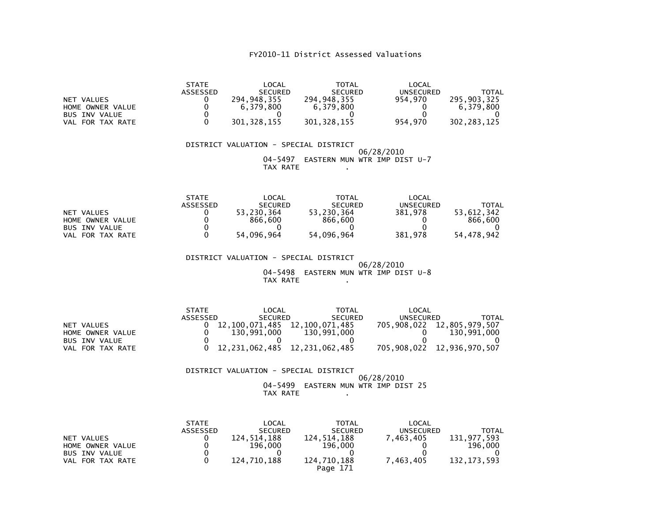| <b>NET VALUES</b><br>HOME OWNER VALUE<br><b>BUS INV VALUE</b><br>VAL FOR TAX RATE | <b>STATE</b><br>ASSESSED<br>0<br>0<br>0<br>0               | <b>LOCAL</b><br><b>SECURED</b><br>294,948,355<br>6,379,800<br>301, 328, 155          | <b>TOTAL</b><br><b>SECURED</b><br>294,948,355<br>6,379,800<br>301, 328, 155       | <b>LOCAL</b><br><b>UNSECURED</b><br>954,970<br>0<br>954,970         | <b>TOTAL</b><br>295, 903, 325<br>6,379,800<br>302, 283, 125 |
|-----------------------------------------------------------------------------------|------------------------------------------------------------|--------------------------------------------------------------------------------------|-----------------------------------------------------------------------------------|---------------------------------------------------------------------|-------------------------------------------------------------|
|                                                                                   |                                                            | DISTRICT VALUATION - SPECIAL DISTRICT<br>$04 - 5497$<br>TAX RATE                     | EASTERN MUN WTR IMP DIST U-7                                                      | 06/28/2010                                                          |                                                             |
| <b>NET VALUES</b><br>HOME OWNER VALUE<br><b>BUS INV VALUE</b><br>VAL FOR TAX RATE | <b>STATE</b><br><b>ASSESSED</b><br>0<br>0<br>$\Omega$<br>0 | <b>LOCAL</b><br><b>SECURED</b><br>53,230,364<br>866,600<br>0<br>54,096,964           | <b>TOTAL</b><br><b>SECURED</b><br>53,230,364<br>866,600<br>0<br>54,096,964        | LOCAL<br><b>UNSECURED</b><br>381,978<br>0<br>381,978                | <b>TOTAL</b><br>53,612,342<br>866,600<br>54,478,942         |
|                                                                                   |                                                            | DISTRICT VALUATION - SPECIAL DISTRICT<br>04-5498<br>TAX RATE                         | EASTERN MUN WTR IMP DIST U-8                                                      | 06/28/2010                                                          |                                                             |
| <b>NET VALUES</b><br>HOME OWNER VALUE<br><b>BUS INV VALUE</b><br>VAL FOR TAX RATE | <b>STATE</b><br>ASSESSED<br>0<br>0<br>0<br>0               | <b>LOCAL</b><br><b>SECURED</b><br>12,100,071,485<br>130,991,000<br>12, 231, 062, 485 | <b>TOTAL</b><br><b>SECURED</b><br>12,100,071,485<br>130,991,000<br>12,231,062,485 | <b>LOCAL</b><br><b>UNSECURED</b><br>705,908,022<br>0<br>705,908,022 | TOTAL<br>12,805,979,507<br>130,991,000<br>12,936,970,507    |

# DISTRICT VALUATION - SPECIAL DISTRICT06/28/2010 04-5499 EASTERN MUN WTR IMP DIST 25

# TAX RATE .

|                                                        | <b>STATE</b><br><b>ASSESSED</b> | LOCAL<br><b>SECURED</b> | TOTAL<br><b>SECURED</b> | LOCAL<br><b>UNSECURED</b> | TOTAL                  |
|--------------------------------------------------------|---------------------------------|-------------------------|-------------------------|---------------------------|------------------------|
| NET VALUES<br>HOME OWNER VALUE<br><b>BUS INV VALUE</b> |                                 | 124.514.188<br>196.000  | 124.514.188<br>196,000  | 7.463.405                 | 131,977,593<br>196.000 |
| VAL FOR TAX RATE                                       |                                 | 124.710.188             | 124.710.188<br>Page 171 | 7.463.405                 | 132.173.593            |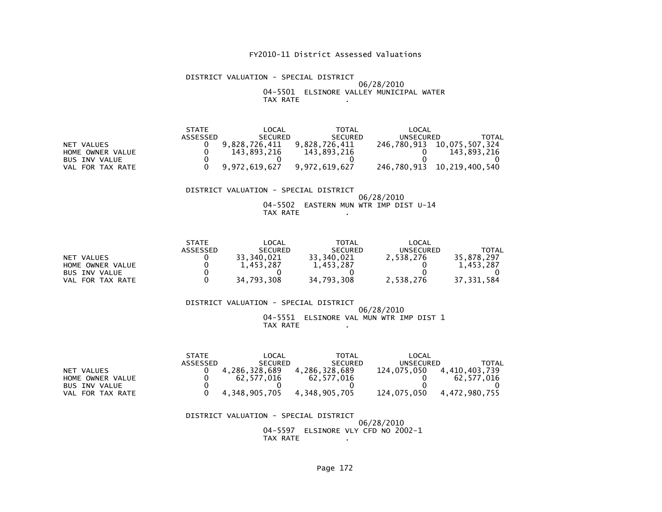#### DISTRICT VALUATION - SPECIAL DISTRICT 06/28/2010 04-5501 ELSINORE VALLEY MUNICIPAL WATERTAX RATE .

| <b>STATE</b> | $\mathsf{LOCAL}$ | TOTAL          | LOCAL         |                            |
|--------------|------------------|----------------|---------------|----------------------------|
| ASSESSED     | <b>SECURED</b>   | <b>SECURED</b> |               | TOTAL                      |
|              | 9.828.726.411    | 9.828.726.411  | 246,780,913   | 10,075,507,324             |
|              | 143.893.216      | 143.893.216    |               | 143.893.216                |
|              |                  |                |               |                            |
|              | 9.972.619.627    |                |               | 246.780.913 10.219.400.540 |
|              |                  |                | 9.972.619.627 | UNSECURED                  |

#### DISTRICT VALUATION - SPECIAL DISTRICT 06/28/2010 04-5502 EASTERN MUN WTR IMP DIST U-14TAX RATE .

|                  | <b>STATE</b>    | LOCAL          | TOTAL          | LOCAL            |            |
|------------------|-----------------|----------------|----------------|------------------|------------|
|                  | <b>ASSESSED</b> | <b>SECURED</b> | <b>SECURED</b> | <b>UNSECURED</b> | TOTAL      |
| NET VALUES       |                 | 33.340.021     | 33,340,021     | 2.538.276        | 35.878.297 |
| HOME OWNER VALUE |                 | 1.453.287      | 1,453,287      |                  | 1.453.287  |
| BUS INV VALUE    |                 |                |                |                  |            |
| VAL FOR TAX RATE |                 | 34,793,308     | 34,793,308     | 2.538.276        | 37.331.584 |

#### DISTRICT VALUATION - SPECIAL DISTRICT 06/28/2010 04-5551 ELSINORE VAL MUN WTR IMP DIST 1TAX RATE .

|                      | <b>STATE</b> | LOCAL          | TOTAL          | LOCAL       |               |
|----------------------|--------------|----------------|----------------|-------------|---------------|
|                      | ASSESSED     | <b>SECURED</b> | <b>SECURED</b> | UNSECURED   | <b>TOTAL</b>  |
| NET VALUES           |              | 4.286.328.689  | 4.286.328.689  | 124.075.050 | 4,410,403,739 |
| HOME OWNER VALUE     |              | 62.577.016     | 62.577.016     |             | 62.577.016    |
| <b>BUS INV VALUE</b> |              |                |                |             |               |
| VAL FOR TAX RATE     |              | 4.348.905.705  | 4.348.905.705  | 124.075.050 | 4.472.980.755 |

 DISTRICT VALUATION - SPECIAL DISTRICT 06/28/2010 04-5597 ELSINORE VLY CFD NO 2002-1TAX RATE .

Page 172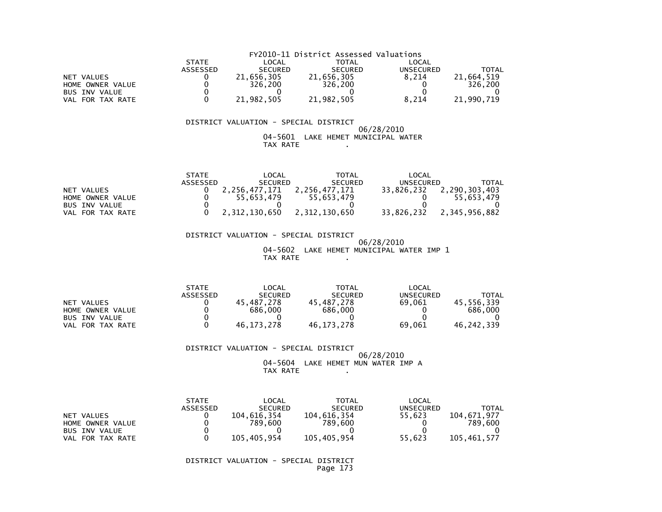|                      | FY2010-11 District Assessed Valuations |                |                |                  |            |  |  |
|----------------------|----------------------------------------|----------------|----------------|------------------|------------|--|--|
|                      | <b>STATE</b>                           | LOCAL          | TOTAL          | LOCAL            |            |  |  |
|                      | <b>ASSESSED</b>                        | <b>SECURED</b> | <b>SECURED</b> | <b>UNSECURED</b> | TOTAL      |  |  |
| NET VALUES           |                                        | 21,656,305     | 21,656,305     | 8.214            | 21,664,519 |  |  |
| HOME OWNER VALUE     |                                        | 326.200        | 326,200        |                  | 326.200    |  |  |
| <b>BUS INV VALUE</b> |                                        |                |                |                  |            |  |  |
| VAL FOR TAX RATE     |                                        | 21,982,505     | 21,982,505     | 8.214            | 21,990,719 |  |  |

#### $06/28/2010$  04-5601 LAKE HEMET MUNICIPAL WATERTAX RATE .

|                      | <b>STATE</b> | LOCAL          | TOTAL          | LOCAL            |               |
|----------------------|--------------|----------------|----------------|------------------|---------------|
|                      | ASSESSED     | <b>SECURED</b> | <b>SECURED</b> | <b>UNSECURED</b> | TOTAL         |
| NET VALUES           |              | 2.256.477.171  | 2.256.477.171  | 33.826.232       | 2.290.303.403 |
| HOME OWNER VALUE     |              | 55.653.479     | 55.653.479     |                  | 55.653.479    |
| <b>BUS INV VALUE</b> |              |                |                |                  |               |
| VAL FOR TAX RATE     |              | 2,312,130,650  | 2,312,130,650  | 33.826.232       | 2,345,956,882 |

 DISTRICT VALUATION - SPECIAL DISTRICT 06/28/2010 04-5602 LAKE HEMET MUNICIPAL WATER IMP 1TAX RATE .

|                      | <b>STATE</b> | LOCAL          | <b>TOTAL</b>    | LOCAL     |            |
|----------------------|--------------|----------------|-----------------|-----------|------------|
|                      | ASSESSED     | <b>SECURED</b> | <b>SECURED</b>  | UNSECURED | TOTAL      |
| VALUES<br>NET        |              | 45.487.278     | .487.278<br>45. | 69.061    | 45.556.339 |
| HOME OWNER VALUE     |              | 686,000        | 686.000         |           | 686,000    |
| <b>BUS INV VALUE</b> |              |                |                 |           |            |
| FOR TAX RATE<br>VAL  |              | 46.173.278     | 46, 173, 278    | 69,061    | 46,242,339 |

#### DISTRICT VALUATION - SPECIAL DISTRICT

 $06/28/2010$  04-5604 LAKE HEMET MUN WATER IMP ATAX RATE .

|                      | <b>STATE</b>    | LOCAL          | TOTAL          | LOCAL            |             |
|----------------------|-----------------|----------------|----------------|------------------|-------------|
|                      | <b>ASSESSED</b> | <b>SECURED</b> | <b>SECURED</b> | <b>UNSECURED</b> | TOTAL       |
| NET VALUES           |                 | 104.616.354    | 104.616.354    | 55.623           | 104.671.977 |
| HOME OWNER VALUE     |                 | 789.600        | 789.600        |                  | 789.600     |
| <b>BUS INV VALUE</b> |                 |                |                |                  |             |
| FOR TAX RATE<br>VAL. |                 | 105,405,954    | 105,405,954    | 55,623           | 105,461,577 |

 DISTRICT VALUATION - SPECIAL DISTRICTPage 173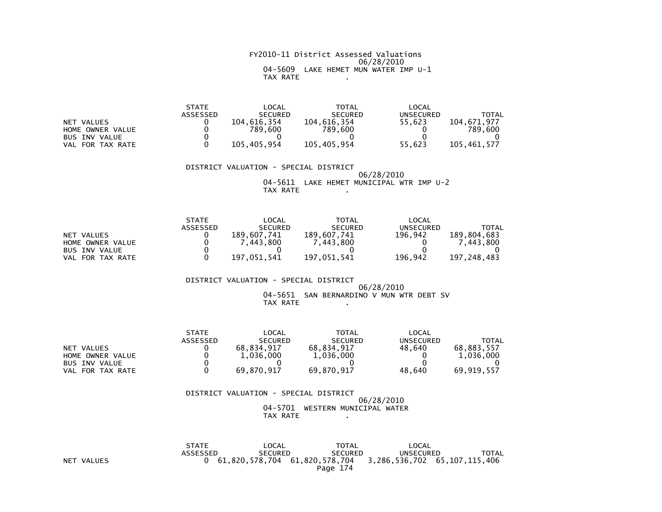#### FY2010-11 District Assessed Valuations 06/28/2010 04-5609 LAKE HEMET MUN WATER IMP U-1TAX RATE .

|                      | <b>STATE</b> | LOCAL          | TOTAL          | $\mathsf{LOCAL}$ |              |
|----------------------|--------------|----------------|----------------|------------------|--------------|
|                      | ASSESSED     | <b>SECURED</b> | <b>SECURED</b> | UNSECURED        | <b>TOTAL</b> |
| NET VALUES           |              | 104.616.354    | 104.616.354    | 55.623           | 104.671.977  |
| HOME OWNER VALUE     |              | 789.600        | 789,600        |                  | 789,600      |
| <b>BUS INV VALUE</b> |              |                |                |                  |              |
| VAL FOR TAX RATE     |              | 105.405.954    | 105.405.954    | 55.623           | 105.461.577  |

#### DISTRICT VALUATION - SPECIAL DISTRICT

#### 06/28/2010 04-5611 LAKE HEMET MUNICIPAL WTR IMP U-2TAX RATE .

|                      | <b>STATE</b> | LOCAL          | TOTAL          | LOCAL     |              |
|----------------------|--------------|----------------|----------------|-----------|--------------|
|                      | ASSESSED     | <b>SECURED</b> | <b>SECURED</b> | UNSECURED | <b>TOTAL</b> |
| NET VALUES           |              | 189.607.741    | 189.607.741    | 196.942   | 189,804,683  |
| HOME OWNER VALUE     |              | 7.443.800      | 7.443.800      |           | 443.800. `   |
| <b>BUS INV VALUE</b> |              |                |                |           |              |
| VAL FOR TAX RATE     |              | 197.051.541    | 197.051.541    | 196,942   | 197.248.483  |

#### DISTRICT VALUATION - SPECIAL DISTRICT 06/28/201004-5651 SAN BERNARDINO V MUN WTR DEBT SV

#### TAX RATE .

|                            | <b>STATE</b> | LOCAL          | <b>TOTAL</b>   | LOCAL            |            |
|----------------------------|--------------|----------------|----------------|------------------|------------|
|                            | ASSESSED     | <b>SECURED</b> | <b>SECURED</b> | <b>UNSECURED</b> | TOTAL      |
| VALUES<br>NET              |              | 68.834.917     | 68.834.917     | 48.640           | 68.883.557 |
| HOME OWNER VALUE           |              | 1,036,000      | 1,036,000      |                  | 1,036,000  |
| <b>BUS INV VALUE</b>       |              |                |                |                  |            |
| FOR TAX RATE<br><b>VAL</b> |              | 69.870.917     | 69,870,917     | 48.640           | 69,919,557 |

#### DISTRICT VALUATION - SPECIAL DISTRICT 06/28/2010 04-5701 WESTERN MUNICIPAL WATERTAX RATE .

 STATE LOCAL TOTAL LOCAL ASSESSED SECURED SECURED UNSECURED TOTAL NET VALUES 0 61,820,578,704 61,820,578,704 3,286,536,702 65,107,115,406Page 174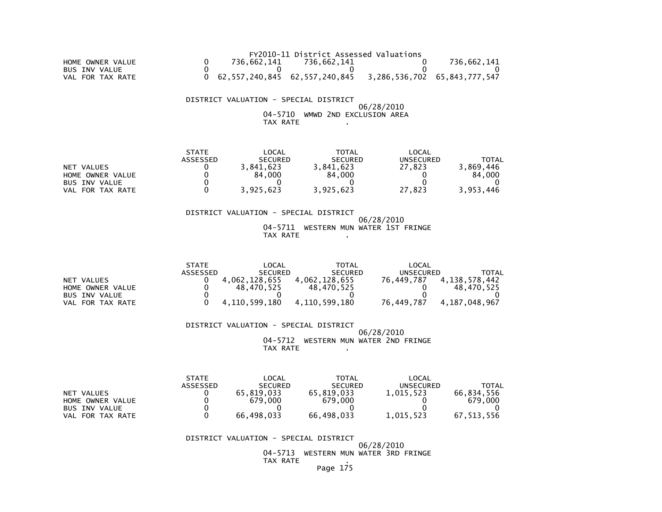|                  |             | FY2010-11 District Assessed Valuations                       |             |
|------------------|-------------|--------------------------------------------------------------|-------------|
| HOME OWNER VALUE | 736.662.141 | 736.662.141                                                  | 736.662.141 |
| BUS INV VALUE    |             |                                                              |             |
| VAL FOR TAX RATE |             | 0 62,557,240,845 62,557,240,845 3,286,536,702 65,843,777,547 |             |

 06/28/2010 04-5710 WMWD 2ND EXCLUSION AREATAX RATE .

|                      | <b>STATE</b>    | LOCAL          | <b>TOTAL</b>   | LOCAL     |           |
|----------------------|-----------------|----------------|----------------|-----------|-----------|
|                      | <b>ASSESSED</b> | <b>SECURED</b> | <b>SECURED</b> | UNSECURED | TOTAL     |
| NET VALUES           |                 | 3.841.623      | 3.841.623      | 27.823    | 3.869.446 |
| HOME OWNER VALUE     |                 | 84.000         | 84,000         |           | 84.000    |
| <b>BUS INV VALUE</b> |                 |                |                |           |           |
| VAL FOR TAX RATE     |                 | 3,925,623      | 3.925.623      | 27.823    | 3.953.446 |

#### DISTRICT VALUATION - SPECIAL DISTRICT 06/28/2010 04-5711 WESTERN MUN WATER 1ST FRINGETAX RATE .

|                      | <b>STATE</b> | LOCAL          | TOTAL          | LOCAL      |                  |
|----------------------|--------------|----------------|----------------|------------|------------------|
|                      | ASSESSED     | <b>SECURED</b> | <b>SECURED</b> | UNSECURED  | TOTAL            |
| NET VALUES           |              | 4.062.128.655  | 4,062,128,655  | 76.449.787 | 4, 138, 578, 442 |
| HOME OWNER VALUE     |              | 48.470.525     | 48.470.525     |            | 48.470.525       |
| <b>BUS INV VALUE</b> |              |                |                |            |                  |
| VAL FOR TAX RATE     |              | 4.110.599.180  | 4.110.599.180  | 76.449.787 | 4.187.048.967    |

DISTRICT VALUATION - SPECIAL DISTRICT

 06/28/2010 04-5712 WESTERN MUN WATER 2ND FRINGETAX RATE .

|                      | <b>STATE</b>    | LOCAL          | <b>TOTAL</b>   | LOCAL     |            |
|----------------------|-----------------|----------------|----------------|-----------|------------|
|                      | <b>ASSESSED</b> | <b>SECURED</b> | <b>SECURED</b> | UNSECURED | TOTAL      |
| NET VALUES           |                 | 65,819,033     | 65.819.033     | 1,015,523 | 66.834.556 |
| HOME OWNER VALUE     |                 | 679,000        | 679,000        |           | 679.000    |
| <b>BUS INV VALUE</b> |                 |                |                |           |            |
| FOR TAX RATE<br>VAL  |                 | 66.498.033     | 66.498.033     | 1.015.523 | 67.513.556 |

DISTRICT VALUATION - SPECIAL DISTRICT

 06/28/2010 04-5713 WESTERN MUN WATER 3RD FRINGETAX RATE .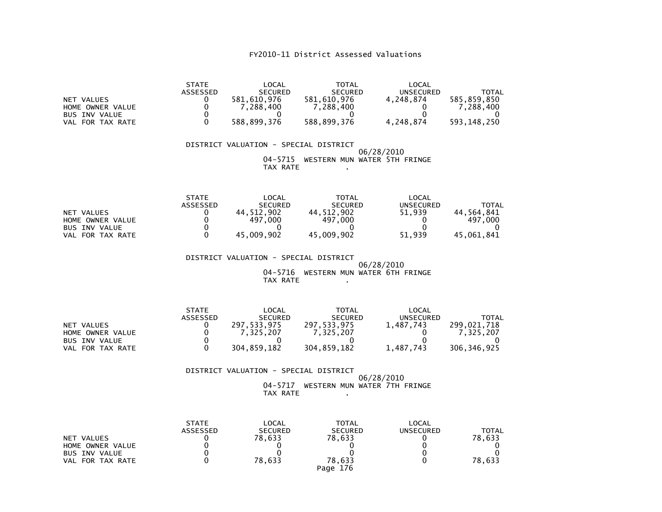| NET VALUES<br>HOME OWNER VALUE<br><b>BUS INV VALUE</b><br>VAL FOR TAX RATE | <b>STATE</b><br>ASSESSED<br>0<br>0 | LOCAL<br><b>SECURED</b><br>581,610,976<br>7,288,400<br>588,899,376 | <b>TOTAL</b><br><b>SECURED</b><br>581,610,976<br>7,288,400<br>588,899,376 | LOCAL<br><b>UNSECURED</b><br>4,248,874<br>4,248,874 | <b>TOTAL</b><br>585,859,850<br>7,288,400<br>593, 148, 250 |
|----------------------------------------------------------------------------|------------------------------------|--------------------------------------------------------------------|---------------------------------------------------------------------------|-----------------------------------------------------|-----------------------------------------------------------|
|                                                                            |                                    | DISTRICT VALUATION - SPECIAL DISTRICT<br>04-5715<br>TAX RATE       | WESTERN MUN WATER 5TH FRINGE                                              | 06/28/2010                                          |                                                           |
| NET VALUES<br>HOME OWNER VALUE<br><b>BUS INV VALUE</b><br>VAL FOR TAX RATE | <b>STATE</b><br>ASSESSED           | LOCAL<br><b>SECURED</b><br>44,512,902<br>497,000<br>45,009,902     | <b>TOTAL</b><br><b>SECURED</b><br>44,512,902<br>497,000<br>45,009,902     | LOCAL<br><b>UNSECURED</b><br>51,939<br>51,939       | <b>TOTAL</b><br>44,564,841<br>497,000<br>45,061,841       |
|                                                                            |                                    | DISTRICT VALUATION - SPECIAL DISTRICT<br>04-5716<br>TAX RATE       | WESTERN MUN WATER 6TH FRINGE                                              | 06/28/2010                                          |                                                           |

|                      | <b>STATE</b> | LOCAL          | <b>TOTAL</b>   | LOCAL     |             |
|----------------------|--------------|----------------|----------------|-----------|-------------|
|                      | ASSESSED     | <b>SECURED</b> | <b>SECURED</b> | UNSECURED | TOTAL       |
| NET VALUES           |              | 297.533.975    | 297,533,975    | 1,487,743 | 299.021.718 |
| HOME OWNER VALUE     |              | 7.325.207      | 7.325.207      |           | 7.325.207   |
| <b>BUS INV VALUE</b> |              |                |                |           |             |
| VAL FOR TAX RATE     |              | 304.859.182    | 304,859,182    | 1,487,743 | 306,346,925 |

# DISTRICT VALUATION - SPECIAL DISTRICT06/28/2010 04-5717 WESTERN MUN WATER 7TH FRINGE

# TAX RATE .

| NET VALUES<br>HOME OWNER VALUE<br><b>BUS INV VALUE</b><br>VAL FOR TAX RATE | <b>STATE</b><br><b>ASSESSED</b> | LOCAL<br><b>SECURED</b><br>78.633<br>78.633 | <b>TOTAL</b><br><b>SECURED</b><br>78.633<br>78.633 | LOCAL<br><b>UNSECURED</b> | TOTAL<br>78.633<br>78,633 |
|----------------------------------------------------------------------------|---------------------------------|---------------------------------------------|----------------------------------------------------|---------------------------|---------------------------|
|                                                                            |                                 |                                             | Page 176                                           |                           |                           |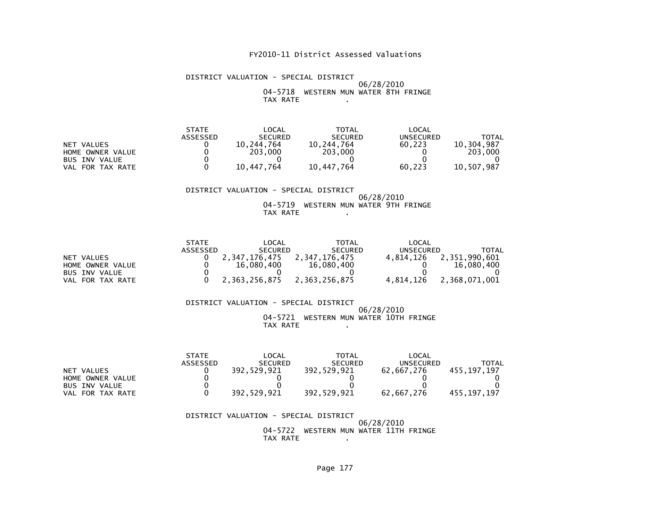#### DISTRICT VALUATION - SPECIAL DISTRICT 06/28/2010 04-5718 WESTERN MUN WATER 8TH FRINGETAX RATE .

| <b>STATE</b> | _OCAL          | TOTAL          | LOCAL     |            |
|--------------|----------------|----------------|-----------|------------|
| ASSESSED     | <b>SECURED</b> | <b>SECURED</b> | UNSECURED | TOTAL      |
|              | 10.244.764     | 10.244.764     | 60.223    | 10.304.987 |
|              | 203,000        | 203.000        |           | 203,000    |
|              |                |                |           |            |
|              | 10.447.764     | 10,447,764     | 60,223    | 10.507.987 |
|              |                |                |           |            |

#### DISTRICT VALUATION - SPECIAL DISTRICT 06/28/2010 04-5719 WESTERN MUN WATER 9TH FRINGETAX RATE .

|                      | <b>STATE</b> | LOCAL          | TOTAL          | LOCAL     |               |
|----------------------|--------------|----------------|----------------|-----------|---------------|
|                      | ASSESSED     | <b>SECURED</b> | <b>SECURED</b> | UNSECURED | TOTAL         |
| NET VALUES           |              | 2.347.176.475  | 2,347,176,475  | 4.814.126 | 2,351,990,601 |
| HOME OWNER VALUE     |              | 16,080,400     | 16,080,400     |           | 16,080,400    |
| <b>BUS INV VALUE</b> |              |                |                |           |               |
| VAL FOR TAX RATE     |              | 2,363,256,875  | 2.363.256.875  | 4.814.126 | 2,368,071,001 |

#### DISTRICT VALUATION - SPECIAL DISTRICT 06/28/2010 04-5721 WESTERN MUN WATER 10TH FRINGETAX RATE .

|                      | <b>STATE</b>    | $\mathsf{LOCAL}$ | TOTAL          | LOCAL      |             |
|----------------------|-----------------|------------------|----------------|------------|-------------|
|                      | <b>ASSESSED</b> | <b>SECURED</b>   | <b>SECURED</b> | UNSECURED  | TOTAL       |
| NET VALUES           |                 | 392.529.921      | 392.529.921    | 62.667.276 | 455.197.197 |
| HOME OWNER VALUE     |                 |                  |                |            |             |
| <b>BUS INV VALUE</b> |                 |                  |                |            |             |
| VAL FOR TAX RATE     |                 | 392.529.921      | 392.529.921    | 62.667.276 | 455.197.197 |

#### DISTRICT VALUATION - SPECIAL DISTRICT 06/28/2010 04-5722 WESTERN MUN WATER 11TH FRINGETAX RATE .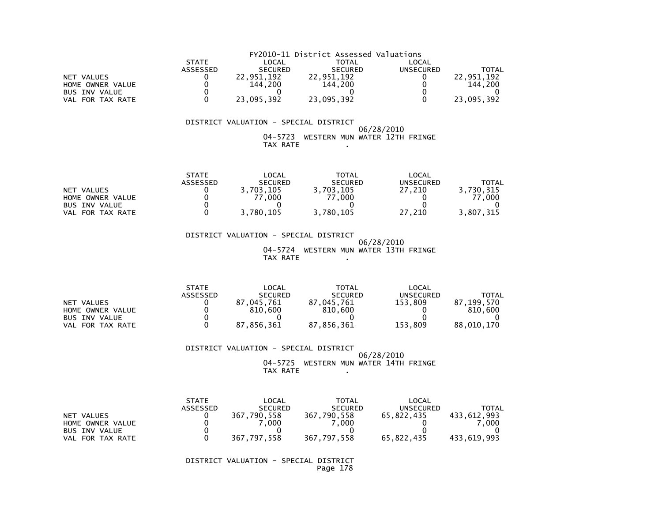|                      | FY2010-11 District Assessed Valuations |                |                |           |            |  |  |
|----------------------|----------------------------------------|----------------|----------------|-----------|------------|--|--|
|                      | <b>STATE</b>                           | LOCAL          | TOTAL          | LOCAL     |            |  |  |
|                      | <b>ASSESSED</b>                        | <b>SECURED</b> | <b>SECURED</b> | UNSECURED | TOTAL      |  |  |
| NET VALUES           |                                        | 22.951.192     | 22.951.192     |           | 22.951.192 |  |  |
| HOME OWNER VALUE     |                                        | 144.200        | 144.200        |           | 144.200    |  |  |
| <b>BUS INV VALUE</b> |                                        |                |                |           |            |  |  |
| VAL FOR TAX RATE     |                                        | 23,095,392     | 23,095,392     |           | 23,095,392 |  |  |

#### 06/28/2010 04-5723 WESTERN MUN WATER 12TH FRINGETAX RATE .

|                      | <b>STATE</b> | _OCAL          | TOTAL          | LOCAL            |           |
|----------------------|--------------|----------------|----------------|------------------|-----------|
|                      | ASSESSED     | <b>SECURED</b> | <b>SECURED</b> | <b>UNSECURED</b> | TOTAL     |
| NET VALUES           |              | 703.105        | 3.703.105      | 27.210           | 3.730.315 |
| HOME OWNER VALUE     |              | .000           | 77.000         |                  | .000      |
| <b>BUS INV VALUE</b> |              |                |                |                  |           |
| FOR TAX RATE<br>VAL  |              | 3,780,105      | 3,780,105      | 27,210           | 3.807.315 |

 DISTRICT VALUATION - SPECIAL DISTRICT 06/28/2010 04-5724 WESTERN MUN WATER 13TH FRINGETAX RATE

|                      | <b>STATE</b>    | LOCAL          | <b>TOTAL</b>   | LOCAL     |            |
|----------------------|-----------------|----------------|----------------|-----------|------------|
|                      | <b>ASSESSED</b> | <b>SECURED</b> | <b>SECURED</b> | UNSECURED | ΤΟΤΑΙ      |
| NET VALUES           |                 | 045.761        | 87.045.761     | 153.809   | 87.199.570 |
| HOME OWNER VALUE     |                 | 810,600        | 810,600        |           | 810.600    |
| <b>BUS INV VALUE</b> |                 |                |                |           |            |
| FOR TAX RATE<br>VAL  |                 | 87,856,361     | 87,856,361     | 153,809   | 88,010,170 |

#### DISTRICT VALUATION - SPECIAL DISTRICT

 06/28/2010 04-5725 WESTERN MUN WATER 14TH FRINGETAX RATE .

|                            | <b>STATE</b>    | LOCAL          | <b>TOTAL</b>   | LOCAL      |             |
|----------------------------|-----------------|----------------|----------------|------------|-------------|
|                            | <b>ASSESSED</b> | <b>SECURED</b> | <b>SECURED</b> | UNSECURED  | TOTAL       |
| NET VALUES                 |                 | 367,790,558    | 367,790,558    | 65.822.435 | 433.612.993 |
| HOME OWNER VALUE           |                 | .000           | .000           |            | .000        |
| <b>BUS INV VALUE</b>       |                 |                |                |            |             |
| FOR TAX RATE<br><b>VAL</b> |                 | 367,797,558    | 367,797,558    | 65,822,435 | 433,619,993 |

 DISTRICT VALUATION - SPECIAL DISTRICTPage 178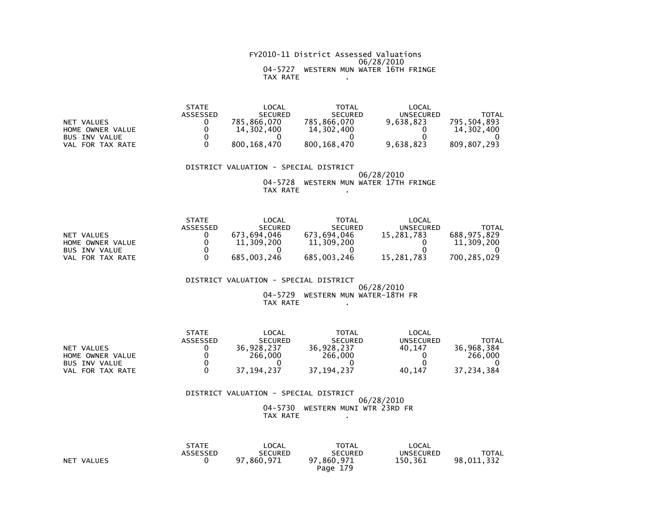#### FY2010-11 District Assessed Valuations 06/28/2010 04-5727 WESTERN MUN WATER 16TH FRINGETAX RATE .

|                      | <b>STATE</b> | $\mathsf{LOCAL}$ | <b>TOTAL</b>   | LOCAL     |             |
|----------------------|--------------|------------------|----------------|-----------|-------------|
|                      | ASSESSED     | <b>SECURED</b>   | <b>SECURED</b> | UNSECURED | TOTAL       |
| NET VALUES           |              | 785.866.070      | 785.866.070    | 9,638,823 | 795.504.893 |
| HOME OWNER VALUE     |              | 14,302,400       | 14,302,400     |           | 14,302,400  |
| <b>BUS INV VALUE</b> |              |                  |                |           |             |
| VAL FOR TAX RATE     |              | 800.168.470      | 800.168.470    | 9,638,823 | 809.807.293 |

#### DISTRICT VALUATION - SPECIAL DISTRICT

#### 06/28/2010 04-5728 WESTERN MUN WATER 17TH FRINGETAX RATE .

|                      | <b>STATE</b>    | LOCAL          | <b>TOTAL</b>   | LOCAL            |             |
|----------------------|-----------------|----------------|----------------|------------------|-------------|
|                      | <b>ASSESSED</b> | <b>SECURED</b> | <b>SECURED</b> | <b>UNSECURED</b> | TOTAL       |
| NET VALUES           |                 | 673.694.046    | 673.694.046    | 15.281.783       | 688.975.829 |
| HOME OWNER VALUE     |                 | 11,309,200     | 11,309,200     |                  | 11,309,200  |
| <b>BUS INV VALUE</b> |                 |                |                |                  |             |
| VAL FOR TAX RATE     |                 | 685,003,246    | 685,003,246    | 15.281.783       | 700.285.029 |

# DISTRICT VALUATION - SPECIAL DISTRICT

#### 06/28/2010 04-5729 WESTERN MUN WATER-18TH FRTAX RATE .

|                            | <b>STATE</b> | LOCAL          | TOTAL          | LOCAL            |            |
|----------------------------|--------------|----------------|----------------|------------------|------------|
|                            | ASSESSED     | <b>SECURED</b> | <b>SECURED</b> | <b>UNSECURED</b> | TOTAL      |
| VALUES<br>NET              |              | 36.928.237     | 36,928,237     | 40.147           | 36.968.384 |
| HOME OWNER VALUE           |              | 266,000        | 266,000        |                  | 266,000    |
| <b>BUS INV VALUE</b>       |              |                |                |                  |            |
| FOR TAX RATE<br><b>VAL</b> |              | ,194,237<br>37 | 37, 194, 237   | 40,147           | 37,234,384 |

#### DISTRICT VALUATION - SPECIAL DISTRICT 06/28/2010 04-5730 WESTERN MUNI WTR 23RD FRTAX RATE .

|            | STATE<br>ASSESSED | LOCAL<br><b>SECURED</b> | <b>TOTAL</b><br><b>SECURED</b> | LOCAL<br>UNSECURED | <b>TOTAL</b> |
|------------|-------------------|-------------------------|--------------------------------|--------------------|--------------|
| NET VALUES |                   | 97,860,971              | 97,860,971                     | 150.361            | 98,011,332   |
|            |                   |                         | Page 179                       |                    |              |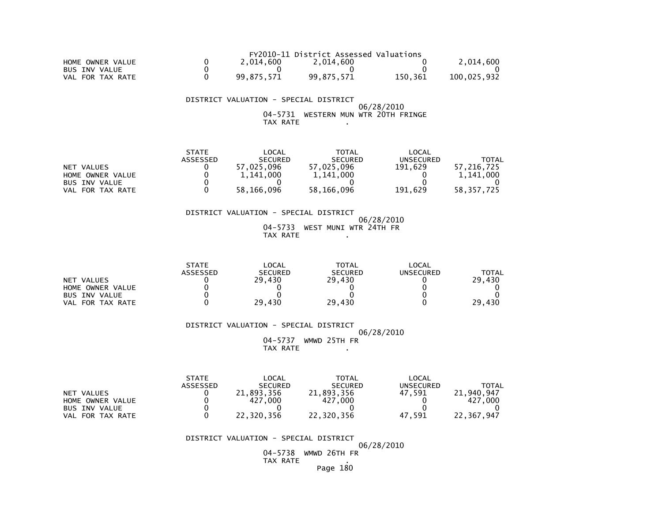|                  |            | FY2010-11 District Assessed Valuations |         |             |
|------------------|------------|----------------------------------------|---------|-------------|
| HOME OWNER VALUE | 2.014.600  | 2.014.600                              |         | 2.014.600   |
| BUS INV VALUE    |            |                                        |         |             |
| VAL FOR TAX RATE | 99.875.571 | 99.875.571                             | 150.361 | 100.025.932 |

 06/28/2010 04-5731 WESTERN MUN WTR 20TH FRINGETAX RATE .

|                  | <b>STATE</b> | LOCAL          | <b>TOTAL</b>   | LOCAL     |            |
|------------------|--------------|----------------|----------------|-----------|------------|
|                  | ASSESSED     | <b>SECURED</b> | <b>SECURED</b> | UNSECURED | TOTAL      |
| NET VALUES       |              | 57,025,096     | 57,025,096     | 191.629   | 57.216.725 |
| HOME OWNER VALUE |              | 1,141,000      | 1.141.000      |           | 1.141.000  |
| BUS INV VALUE    |              |                |                |           |            |
| VAL FOR TAX RATE |              | 58.166.096     | 58,166,096     | 191.629   | 58.357.725 |

#### DISTRICT VALUATION - SPECIAL DISTRICT 06/28/2010 04-5733 WEST MUNI WTR 24TH FRTAX RATE .

|                       | <b>STATE</b>    | LOCAL          | <b>TOTAL</b>   | LOCAL     |              |
|-----------------------|-----------------|----------------|----------------|-----------|--------------|
|                       | <b>ASSESSED</b> | <b>SECURED</b> | <b>SECURED</b> | UNSECURED | <b>TOTAL</b> |
| NET VALUES            |                 | 29.430         | 29.430         |           | 29,430       |
| HOME OWNER VALUE      |                 |                |                |           |              |
| <b>BUS INV VALUE</b>  |                 |                |                |           |              |
| . FOR TAX RATE<br>VAL |                 | 29.430         | 29,430         |           | 29,430       |

#### DISTRICT VALUATION - SPECIAL DISTRICT

 06/28/201004-5737 WMWD 25TH FR

TAX RATE .

|                      | <b>STATE</b> | LOCAL          | <b>TOTAL</b>   | LOCAL     |            |
|----------------------|--------------|----------------|----------------|-----------|------------|
|                      | ASSESSED     | <b>SECURED</b> | <b>SECURED</b> | UNSECURED | TOTAL      |
| NET VALUES           |              | 21,893,356     | 21.893.356     | 47.591    | 21.940.947 |
| HOME OWNER VALUE     |              | .000<br>427    | 427<br>.000    |           | 427,000    |
| <b>BUS INV VALUE</b> |              |                |                |           |            |
| FOR TAX RATE<br>VAL  |              | 22.320.356     | 22,320,356     | 47.591    | 22.367.947 |

#### DISTRICT VALUATION - SPECIAL DISTRICT

06/28/2010

 04-5738 WMWD 26TH FR TAX RATE .Page 180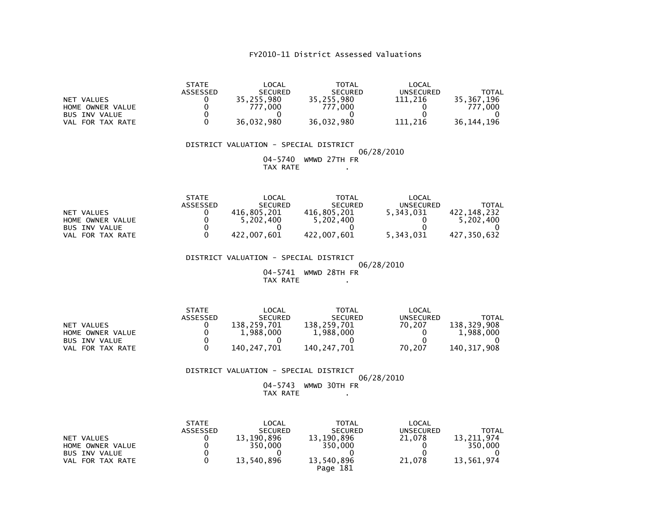|                      | <b>STATE</b> | LOCAL          | <b>TOTAL</b>   | LOCAL     |              |
|----------------------|--------------|----------------|----------------|-----------|--------------|
|                      | ASSESSED     | <b>SECURED</b> | <b>SECURED</b> | UNSECURED | <b>TOTAL</b> |
| NET VALUES           |              | 35.255.980     | 35,255,980     | 111.216   | 35.367.196   |
| HOME OWNER VALUE     |              | 777.000        | 777.000        |           | 777,000      |
| <b>BUS INV VALUE</b> |              |                |                |           |              |
| VAL FOR TAX RATE     |              | 36.032.980     | 36,032,980     | 111.216   | 36.144.196   |

#### DISTRICT VALUATION - SPECIAL DISTRICT 06/28/2010 04-5740 WMWD 27TH FRTAX RATE .

|                      | <b>STATE</b> | LOCAL          | TOTAL          | LOCAL     |             |
|----------------------|--------------|----------------|----------------|-----------|-------------|
|                      | ASSESSED     | <b>SECURED</b> | <b>SECURED</b> | UNSECURED | TOTAL       |
| NET VALUES           |              | 416.805.201    | 416.805.201    | 5,343,031 | 422.148.232 |
| HOME OWNER VALUE     |              | 5.202.400      | 5,202,400      |           | 5.202.400   |
| <b>BUS INV VALUE</b> |              |                |                |           |             |
| VAL FOR TAX RATE     |              | 422.007.601    | 422.007.601    | 5.343.031 | 427.350.632 |

DISTRICT VALUATION - SPECIAL DISTRICT

 06/28/2010 04-5741 WMWD 28TH FRTAX RATE .

|                  | <b>STATE</b>    | LOCAL          | <b>TOTAL</b>   | LOCAL     |             |
|------------------|-----------------|----------------|----------------|-----------|-------------|
|                  | <b>ASSESSED</b> | <b>SECURED</b> | <b>SECURED</b> | UNSECURED | TOTAL       |
| NET VALUES       |                 | 138.259.701    | 138,259,701    | 70.207    | 138.329.908 |
| HOME OWNER VALUE |                 | 1,988,000      | 1,988,000      |           | 1,988,000   |
| BUS INV VALUE    |                 |                |                |           |             |
| VAL FOR TAX RATE |                 | 140.247.701    | 140.247.701    | 70.207    | 140.317.908 |

# DISTRICT VALUATION - SPECIAL DISTRICT

#### 06/28/2010 04-5743 WMWD 30TH FRTAX RATE .

|                                | <b>STATE</b><br><b>ASSESSED</b> | LOCAL<br><b>SECURED</b> | TOTAL<br><b>SECURED</b> | LOCAL<br>UNSECURED | TOTAL                 |
|--------------------------------|---------------------------------|-------------------------|-------------------------|--------------------|-----------------------|
| NET VALUES<br>HOME OWNER VALUE |                                 | 13.190.896<br>350,000   | 13.190.896<br>350,000   | 21,078             | 13.211.974<br>350,000 |
| <b>BUS INV VALUE</b>           |                                 |                         |                         |                    |                       |
| VAL FOR TAX RATE               |                                 | 13.540.896              | 13,540,896<br>Page 181  | 21.078             | 13,561,974            |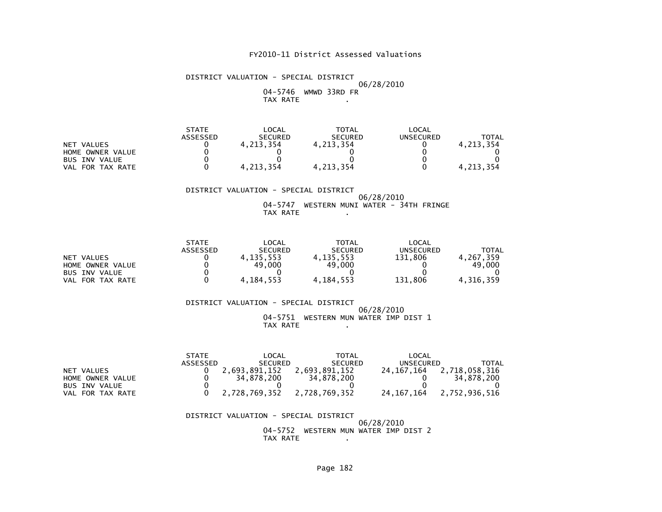DISTRICT VALUATION - SPECIAL DISTRICT 06/28/2010 04-5746 WMWD 33RD FRTAX RATE .

| <b>STATE</b> | LOCAL          | TOTAL          | LOCAL     |              |
|--------------|----------------|----------------|-----------|--------------|
| ASSESSED     | <b>SECURED</b> | <b>SECURED</b> | UNSECURED | <b>TOTAL</b> |
|              | 4,213,354      | 4.213.354      |           | 4.213.354    |
|              |                |                |           |              |
|              |                |                |           |              |
|              | 4.213.354      | 4,213,354      |           | 4.213.354    |
|              |                |                |           |              |

#### DISTRICT VALUATION - SPECIAL DISTRICT 06/28/2010 04-5747 WESTERN MUNI WATER - 34TH FRINGETAX RATE .

|                      | <b>STATE</b> | $\mathsf{LOCAL}$ | TOTAL          | LOCAL     |           |
|----------------------|--------------|------------------|----------------|-----------|-----------|
|                      | ASSESSED     | <b>SECURED</b>   | <b>SECURED</b> | UNSECURED | TOTAL     |
| NET VALUES           |              | 4,135,553        | 4, 135, 553    | 131.806   | . 267.359 |
| HOME OWNER VALUE     |              | 49,000           | 49,000         |           | 49,000    |
| <b>BUS INV VALUE</b> |              |                  |                |           |           |
| FOR TAX RATE<br>VAL  |              | 4.184.553        | 4, 184, 553    | 131.806   | 4.316.359 |

#### DISTRICT VALUATION - SPECIAL DISTRICT 06/28/2010 04-5751 WESTERN MUN WATER IMP DIST 1TAX RATE .

|                      | <b>STATE</b> | LOCAL          | TOTAL          | LOCAL        |               |
|----------------------|--------------|----------------|----------------|--------------|---------------|
|                      | ASSESSED     | <b>SECURED</b> | <b>SECURED</b> | UNSECURED    | TOTAL         |
| NET VALUES           |              | 2.693.891.152  | 2.693.891.152  | 24.167.164   | 2,718,058,316 |
| HOME OWNER VALUE     |              | 34.878.200     | 34.878.200     |              | 34.878.200    |
| <b>BUS INV VALUE</b> |              |                |                |              |               |
| FOR TAX RATE<br>VAL  |              | 2,728,769,352  | 2,728,769,352  | 24, 167, 164 | 2,752,936,516 |

 DISTRICT VALUATION - SPECIAL DISTRICT 06/28/201004-5752 WESTERN MUN WATER IMP DIST 2

TAX RATE .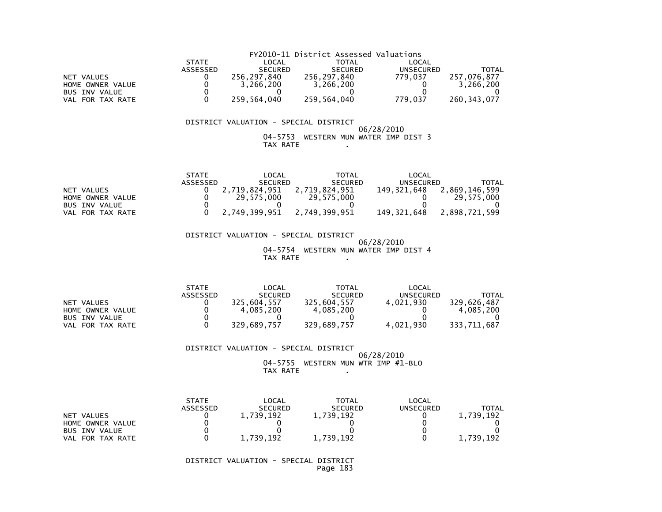|                      |              |                | FY2010-11 District Assessed Valuations |           |               |
|----------------------|--------------|----------------|----------------------------------------|-----------|---------------|
|                      | <b>STATE</b> | LOCAL          | <b>TOTAL</b>                           | LOCAL     |               |
|                      | ASSESSED     | <b>SECURED</b> | <b>SECURED</b>                         | UNSECURED | <b>TOTAL</b>  |
| NET VALUES           |              | 256,297,840    | 256,297,840                            | 779.037   | 257.076.877   |
| HOME OWNER VALUE     |              | 3.266.200      | 3,266,200                              |           | 3.266.200     |
| <b>BUS INV VALUE</b> |              |                |                                        |           |               |
| VAL FOR TAX RATE     |              | 259,564,040    | 259,564,040                            | 779.037   | 260, 343, 077 |

#### 06/28/2010 04-5753 WESTERN MUN WATER IMP DIST 3TAX RATE .

|                      | <b>STATE</b> | LOCAL          | TOTAL          | LOCAL            |               |
|----------------------|--------------|----------------|----------------|------------------|---------------|
|                      | ASSESSED     | <b>SECURED</b> | <b>SECURED</b> | <b>UNSECURED</b> | TOTAL         |
| NET VALUES           |              | 2.719.824.951  | 2.719.824.951  | 149.321.648      | 2.869.146.599 |
| HOME OWNER VALUE     |              | 29.575.000     | 29.575.000     |                  | 29.575.000    |
| <b>BUS INV VALUE</b> |              |                |                |                  |               |
| VAL FOR TAX RATE     |              | 2.749.399.951  | 2.749.399.951  | 149.321.648      | 2.898.721.599 |

#### DISTRICT VALUATION - SPECIAL DISTRICT 06/28/2010 04-5754 WESTERN MUN WATER IMP DIST 4TAX RATE .

|                      | <b>STATE</b> | LOCAL          | TOTAL          | LOCAL     |             |
|----------------------|--------------|----------------|----------------|-----------|-------------|
|                      | ASSESSED     | <b>SECURED</b> | <b>SECURED</b> | UNSECURED | TOTAL       |
| NET VALUES           |              | 325.604.557    | 325.604.557    | 4.021.930 | 329.626.487 |
| HOME OWNER VALUE     |              | 4.085.200      | 4.085.200      |           | 4.085.200   |
| <b>BUS INV VALUE</b> |              |                |                |           |             |
| FOR TAX RATE<br>VAL  |              | 329,689,757    | 329,689,757    | 4,021,930 | 333,711,687 |

#### DISTRICT VALUATION - SPECIAL DISTRICT

#### 06/28/2010 04-5755 WESTERN MUN WTR IMP #1-BLOTAX RATE .

|                      | <b>STATE</b><br><b>ASSESSED</b> | LOCAL<br><b>SECURED</b> | <b>TOTAL</b><br><b>SECURED</b> | LOCAL<br>UNSECURED | ΤΟΤΑΙ     |
|----------------------|---------------------------------|-------------------------|--------------------------------|--------------------|-----------|
| NET VALUES           |                                 | ,739,192                | 1,739,192                      |                    | 1,739,192 |
| HOME OWNER VALUE     |                                 |                         |                                |                    |           |
| <b>BUS INV VALUE</b> |                                 |                         |                                |                    |           |
| FOR TAX RATE<br>VAL. |                                 | 739.<br>. 192           | ,739,192                       |                    | 1,739,192 |

 DISTRICT VALUATION - SPECIAL DISTRICTPage 183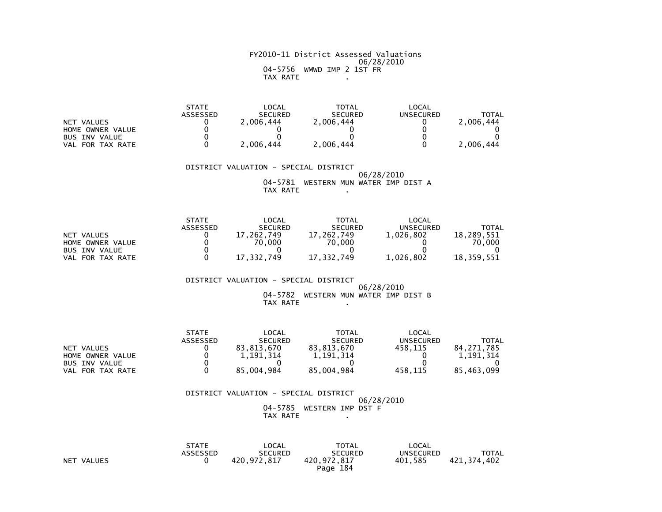#### FY2010-11 District Assessed Valuations 06/28/2010 04-5756 WMWD IMP 2 1ST FRTAX RATE .

|                      | <b>STATE</b> | $\mathsf{LOCAL}$ | TOTAL          | LOCAL     |              |
|----------------------|--------------|------------------|----------------|-----------|--------------|
|                      | ASSESSED     | <b>SECURED</b>   | <b>SECURED</b> | UNSECURED | <b>TOTAL</b> |
| NET VALUES           |              | 2.006.444        | 2.006.444      |           | 2.006.444    |
| HOME OWNER VALUE     |              |                  |                |           |              |
| <b>BUS INV VALUE</b> |              |                  |                |           |              |
| VAL FOR TAX RATE     |              | 2.006.444        | 2,006,444      |           | 2,006,444    |

#### DISTRICT VALUATION - SPECIAL DISTRICT 06/28/2010 04-5781 WESTERN MUN WATER IMP DIST ATAX RATE .

|                      | <b>STATE</b> | LOCAL          | TOTAL          | LOCAL     |            |
|----------------------|--------------|----------------|----------------|-----------|------------|
|                      | ASSESSED     | <b>SECURED</b> | <b>SECURED</b> | UNSECURED | TOTAL      |
| NET VALUES           |              | 262.749        | 17.262.749     | 1,026,802 | 18.289.551 |
| HOME OWNER VALUE     |              | 70.000         | 70.000         |           | 70.000     |
| <b>BUS INV VALUE</b> |              |                |                |           |            |
| FOR TAX RATE<br>VAL  |              | 17.332.749     | 17.332.749     | 1.026.802 | 18,359,551 |

#### DISTRICT VALUATION - SPECIAL DISTRICT 06/28/2010 04-5782 WESTERN MUN WATER IMP DIST BTAX RATE .

|                      | <b>STATE</b> | LOCAL          | <b>TOTAL</b>   | LOCAL     |            |
|----------------------|--------------|----------------|----------------|-----------|------------|
|                      | ASSESSED     | <b>SECURED</b> | <b>SECURED</b> | UNSECURED | TOTAL      |
| NET VALUES           |              | 83,813,670     | 83.813.670     | 458.115   | 84.271.785 |
| HOME OWNER VALUE     |              | 1.191.314      | 1.191.314      |           | 1,191,314  |
| <b>BUS INV VALUE</b> |              |                |                |           |            |
| FOR TAX RATE<br>VAL  |              | 85,004,984     | 85,004,984     | 458.115   | 85,463,099 |

#### DISTRICT VALUATION - SPECIAL DISTRICT 06/28/2010 04-5785 WESTERN IMP DST FTAX RATE .

|                      | <b>STATE</b> | LOCAL          | <b>TOTAL</b>   | LOCAL            |             |
|----------------------|--------------|----------------|----------------|------------------|-------------|
|                      | ASSESSED     | <b>SECURED</b> | <b>SECURED</b> | <b>UNSECURED</b> | TOTAL       |
| <b>NET</b><br>VALUES |              | 420.972.817    | 420,972,817    | 401.585          | 421,374,402 |
|                      |              |                | Page 184       |                  |             |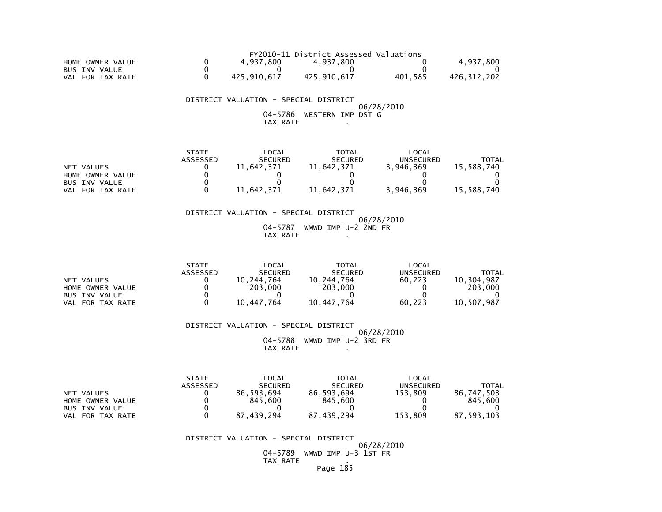|                     |             | FY2010-11 District Assessed Valuations |         |             |
|---------------------|-------------|----------------------------------------|---------|-------------|
| HOME OWNER VALUE    | 4.937.800   | 4.937.800                              |         | 4.937.800   |
| BUS INV VALUE       |             |                                        |         |             |
| FOR TAX RATE<br>VAL | 425.910.617 | 425.910.617                            | 401.585 | 426.312.202 |

 04-5786 WESTERN IMP DST GTAX RATE .

|                      | <b>STATE</b>    | LOCAL          | <b>TOTAL</b>   | LOCAL     |            |
|----------------------|-----------------|----------------|----------------|-----------|------------|
|                      | <b>ASSESSED</b> | <b>SECURED</b> | <b>SECURED</b> | UNSECURED | ΤΟΤΑΙ      |
| NET VALUES           |                 | 11,642,371     | 11,642,371     | 3,946,369 | 15.588.740 |
| HOME OWNER VALUE     |                 |                |                |           |            |
| BUS INV VALUE        |                 |                |                |           |            |
| FOR TAX RATE<br>VAL. |                 | 11,642,371     | 11,642,371     | 3,946,369 | 15,588,740 |

#### DISTRICT VALUATION - SPECIAL DISTRICT 06/28/2010 04-5787 WMWD IMP U-2 2ND FRTAX RATE .

|                       | <b>STATE</b> | LOCAL          | TOTAL          | LOCAL     |            |
|-----------------------|--------------|----------------|----------------|-----------|------------|
|                       | ASSESSED     | <b>SECURED</b> | <b>SECURED</b> | UNSECURED | TOTAL      |
| NET VALUES            |              | 10.244.764     | 10.244.764     | 60.223    | 10.304.987 |
| HOME OWNER VALUE      |              | 203,000        | 203,000        |           | 203,000    |
| <b>BUS INV VALUE</b>  |              |                |                |           |            |
| . FOR TAX RATE<br>VAL |              | 10.447.764     | 10.447.764     | 60.223    | 10.507.987 |

DISTRICT VALUATION - SPECIAL DISTRICT

 06/28/2010 04-5788 WMWD IMP U-2 3RD FRTAX RATE .

|                            | <b>STATE</b> | LOCAL          | <b>TOTAL</b>   | LOCAL            |            |
|----------------------------|--------------|----------------|----------------|------------------|------------|
|                            | ASSESSED     | <b>SECURED</b> | <b>SECURED</b> | <b>UNSECURED</b> | TOTAL      |
| NET VALUES                 |              | 86.593.694     | 86,593,694     | 153.809          | 86.747.503 |
| HOME OWNER VALUE           |              | 845.600        | 845.600        |                  | 845.600    |
| <b>BUS INV VALUE</b>       |              |                |                |                  |            |
| FOR TAX RATE<br><b>VAL</b> |              | 87.439.294     | 87,439,294     | 153,809          | 87.593.103 |

DISTRICT VALUATION - SPECIAL DISTRICT

06/28/2010

 04-5789 WMWD IMP U-3 1ST FRTAX RATE .

Page 185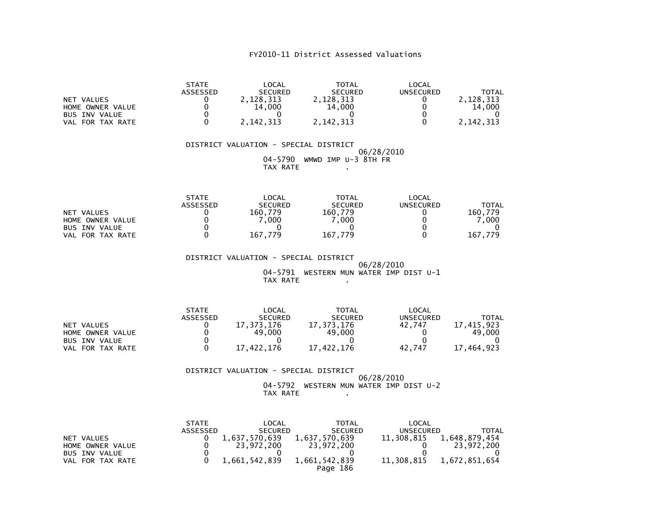| NET VALUES<br>HOME OWNER VALUE<br><b>BUS INV VALUE</b><br>VAL FOR TAX RATE        | <b>STATE</b><br><b>ASSESSED</b><br>0<br>0<br>0<br>0        | <b>LOCAL</b><br><b>SECURED</b><br>2,128,313<br>14,000<br>0<br>2, 142, 313 | <b>TOTAL</b><br><b>SECURED</b><br>2,128,313<br>14,000<br>0<br>2, 142, 313   | <b>LOCAL</b><br><b>UNSECURED</b><br>0<br>0<br>0<br>$\Omega$    | <b>TOTAL</b><br>2,128,313<br>14,000<br>2, 142, 313   |
|-----------------------------------------------------------------------------------|------------------------------------------------------------|---------------------------------------------------------------------------|-----------------------------------------------------------------------------|----------------------------------------------------------------|------------------------------------------------------|
|                                                                                   |                                                            | DISTRICT VALUATION - SPECIAL DISTRICT<br>04-5790<br><b>TAX RATE</b>       | WMWD IMP U-3 8TH FR                                                         | 06/28/2010                                                     |                                                      |
| <b>NET VALUES</b><br>HOME OWNER VALUE<br><b>BUS INV VALUE</b><br>VAL FOR TAX RATE | <b>STATE</b><br><b>ASSESSED</b><br>0<br>0<br>0<br>0        | LOCAL<br><b>SECURED</b><br>160,779<br>7,000<br>0<br>167,779               | <b>TOTAL</b><br><b>SECURED</b><br>160,779<br>7,000<br>0<br>167,779          | LOCAL<br><b>UNSECURED</b><br>0<br>0<br>0<br>$\Omega$           | <b>TOTAL</b><br>160,779<br>7,000<br>167,779          |
|                                                                                   |                                                            | DISTRICT VALUATION - SPECIAL DISTRICT<br>04-5791<br>TAX RATE              | WESTERN MUN WATER IMP DIST U-1                                              | 06/28/2010                                                     |                                                      |
| <b>NET VALUES</b><br>HOME OWNER VALUE<br><b>BUS INV VALUE</b><br>VAL FOR TAX RATE | <b>STATE</b><br><b>ASSESSED</b><br>0<br>0<br>0<br>$\Omega$ | LOCAL<br><b>SECURED</b><br>17, 373, 176<br>49,000<br>0<br>17,422,176      | <b>TOTAL</b><br><b>SECURED</b><br>17, 373, 176<br>49,000<br>0<br>17,422,176 | <b>LOCAL</b><br><b>UNSECURED</b><br>42,747<br>0<br>0<br>42,747 | <b>TOTAL</b><br>17, 415, 923<br>49,000<br>17,464,923 |

# DISTRICT VALUATION - SPECIAL DISTRICT06/28/2010 04-5792 WESTERN MUN WATER IMP DIST U-2 TAX RATE .

|                                                                            | <b>STATE</b><br>ASSESSED | LOCAL<br><b>SECURED</b>                      | <b>TOTAL</b><br><b>SECURED</b>                           | LOCAL<br>UNSECURED       | TOTAL                                        |
|----------------------------------------------------------------------------|--------------------------|----------------------------------------------|----------------------------------------------------------|--------------------------|----------------------------------------------|
| NET VALUES<br>HOME OWNER VALUE<br><b>BUS INV VALUE</b><br>VAL FOR TAX RATE |                          | 1,637,570,639<br>23.972.200<br>1,661,542,839 | 1,637,570,639<br>23,972,200<br>1,661,542,839<br>Page 186 | 11,308,815<br>11,308,815 | 1,648,879,454<br>23.972.200<br>1,672,851,654 |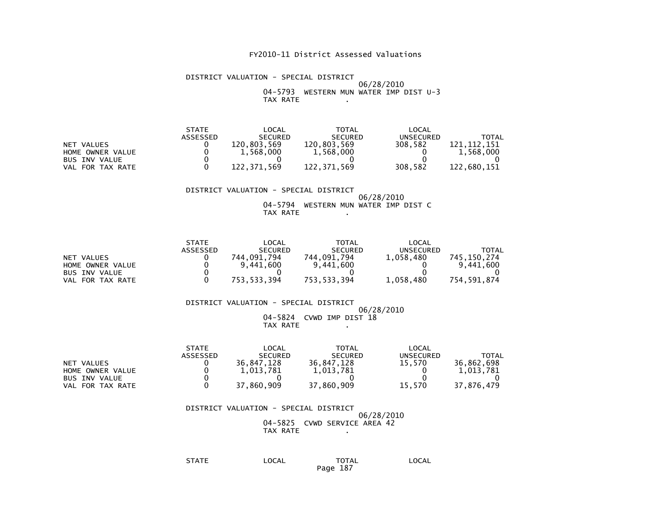#### DISTRICT VALUATION - SPECIAL DISTRICT 06/28/2010 04-5793 WESTERN MUN WATER IMP DIST U-3TAX RATE .

| <b>STATE</b>    | _OCAL          | TOTAL          | LOCAL            |             |
|-----------------|----------------|----------------|------------------|-------------|
| <b>ASSESSED</b> | <b>SECURED</b> | <b>SECURED</b> | <b>UNSECURED</b> | TOTAL       |
|                 | 120.803.569    | 120,803,569    | 308.582          | 121.112.151 |
|                 | 1.568.000      | 1,568,000      |                  | 1.568.000   |
|                 |                |                |                  |             |
|                 | 122.371.569    | 122.371.569    | 308.582          | 122.680.151 |
|                 |                |                |                  |             |

#### DISTRICT VALUATION - SPECIAL DISTRICT 06/28/2010 04-5794 WESTERN MUN WATER IMP DIST CTAX RATE .

|                      | <b>STATE</b> | _OCAL          | <b>TOTAL</b>   | LOCAL     |             |
|----------------------|--------------|----------------|----------------|-----------|-------------|
|                      | ASSESSED     | <b>SECURED</b> | <b>SECURED</b> | UNSECURED | TOTAL       |
| NET VALUES           |              | 744.091.794    | 744.091.794    | 1.058.480 | 745.150.274 |
| HOME OWNER VALUE     |              | 9,441,600      | 9,441,600      |           | 9,441,600   |
| <b>BUS INV VALUE</b> |              |                |                |           |             |
| FOR TAX RATE<br>VAL  |              | 753,533,394    | 753,533,394    | 1,058,480 | 754,591,874 |

#### DISTRICT VALUATION - SPECIAL DISTRICT 06/28/2010 04-5824 CVWD IMP DIST 18TAX RATE .

|                      | <b>STATE</b>    | LOCAL          | TOTAL          | LOCAL     |            |
|----------------------|-----------------|----------------|----------------|-----------|------------|
|                      | <b>ASSESSED</b> | <b>SECURED</b> | <b>SECURED</b> | UNSECURED | TOTAL      |
| NET VALUES           |                 | 36.847.128     | 36.847.128     | 15.570    | 36.862.698 |
| HOME OWNER VALUE     |                 | 1.013.781      | 1,013,781      |           | 1.013.781  |
| <b>BUS INV VALUE</b> |                 |                |                |           |            |
| VAL FOR TAX RATE     |                 | 37.860.909     | 37,860,909     | 15.570    | 37.876.479 |

 DISTRICT VALUATION - SPECIAL DISTRICT 06/28/2010 04-5825 CVWD SERVICE AREA 42TAX RATE .

| <b>STATE</b> | LOCAL | <b>TOTAL</b> | LOCAL |
|--------------|-------|--------------|-------|
|              |       |              | ___   |
|              |       | Page 187     |       |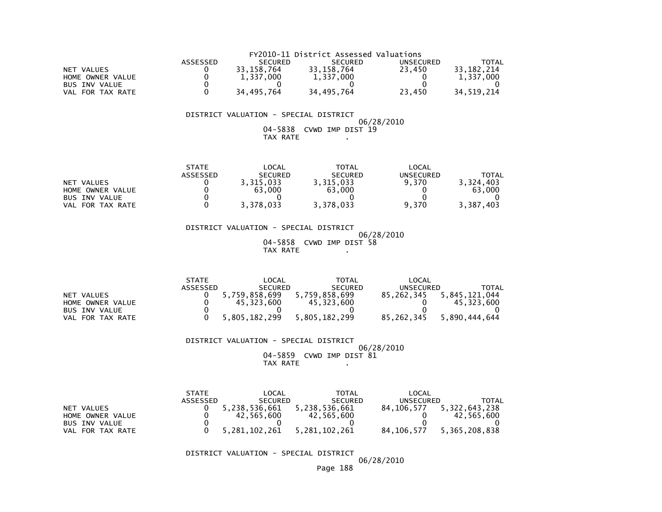|                      | FY2010-11 District Assessed Valuations |                |                |           |            |  |
|----------------------|----------------------------------------|----------------|----------------|-----------|------------|--|
|                      | ASSESSED                               | <b>SECURED</b> | <b>SECURED</b> | UNSECURED | TOTAL      |  |
| NET VALUES           |                                        | 33.158.764     | 33.158.764     | 23.450    | 33.182.214 |  |
| HOME OWNER VALUE     |                                        | 1.337.000      | 1.337.000      |           | 1.337.000  |  |
| <b>BUS INV VALUE</b> |                                        |                |                |           |            |  |
| VAL FOR TAX RATE     |                                        | 34.495.764     | 34.495.764     | 23.450    | 34.519.214 |  |

#### $06/28/2010$  04-5838 CVWD IMP DIST 19TAX RATE .

|                      | <b>STATE</b>    | LOCAL          | TOTAL          | LOCAL            |              |
|----------------------|-----------------|----------------|----------------|------------------|--------------|
|                      | <b>ASSESSED</b> | <b>SECURED</b> | <b>SECURED</b> | <b>UNSECURED</b> | <b>TOTAL</b> |
| NET VALUES           |                 | 3,315,033      | 3,315,033      | 9.370            | 3.324.403    |
| HOME OWNER VALUE     |                 | 63,000         | 63,000         |                  | 63,000       |
| <b>BUS INV VALUE</b> |                 |                |                |                  |              |
| FOR TAX RATE<br>VAL  |                 | 3,378,033      | 3,378,033      | 9.370            | 3.387.403    |

 DISTRICT VALUATION - SPECIAL DISTRICT 06/28/2010 04-5858 CVWD IMP DIST 58TAX RATE ...

|                      | <b>STATE</b> | LOCAL          | TOTAL          | LOCAL            |               |
|----------------------|--------------|----------------|----------------|------------------|---------------|
|                      | ASSESSED     | <b>SECURED</b> | <b>SECURED</b> | <b>UNSECURED</b> | TOTAL         |
| NET VALUES           |              | 5,759,858,699  | 5.759.858.699  | 85.262.345       | 5.845.121.044 |
| HOME OWNER VALUE     |              | 45.323.600     | 45.323.600     |                  | 45.323.600    |
| <b>BUS INV VALUE</b> |              |                |                |                  |               |
| VAL FOR TAX RATE     |              | 5,805,182,299  | 5.805.182.299  | 85.262.345       | 5.890.444.644 |

#### DISTRICT VALUATION - SPECIAL DISTRICT $06/28/2010$  04-5859 CVWD IMP DIST 81TAX RATE ...

|                      | <b>STATE</b> | LOCAL            | <b>TOTAL</b>   | LOCAL        |               |
|----------------------|--------------|------------------|----------------|--------------|---------------|
|                      | ASSESSED     | <b>SECURED</b>   | <b>SECURED</b> | UNSECURED    | TOTAL         |
| NET VALUES           |              | 5,238,536,661    | 5,238,536,661  | 84.106.577   | 5,322,643,238 |
| HOME OWNER VALUE     |              | 42.565.600       | 42,565,600     |              | 42.565.600    |
| <b>BUS INV VALUE</b> |              |                  |                |              |               |
| FOR TAX RATE<br>VAL. |              | 5, 281, 102, 261 | 5,281,102,261  | 84, 106, 577 | 5,365,208,838 |

DISTRICT VALUATION - SPECIAL DISTRICT

06/28/2010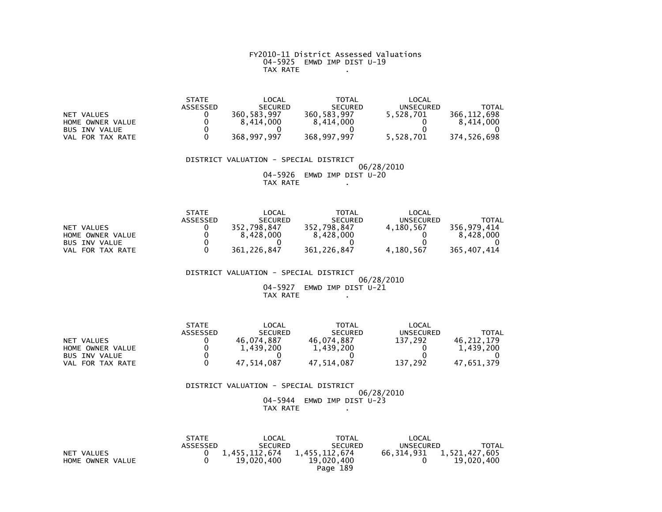FY2010-11 District Assessed Valuations 04-5925 EMWD IMP DIST U-19TAX RATE .

|                      | <b>STATE</b> | LOCAL          | <b>TOTAL</b>   | LOCAL            |             |
|----------------------|--------------|----------------|----------------|------------------|-------------|
|                      | ASSESSED     | <b>SECURED</b> | <b>SECURED</b> | <b>UNSECURED</b> | TOTAL       |
| NET VALUES           |              | 360.583.997    | 360.583.997    | 5.528.701        | 366.112.698 |
| HOME OWNER VALUE     |              | 8.414.000      | 8.414.000      |                  | 8.414.000   |
| <b>BUS INV VALUE</b> |              |                |                |                  |             |
| FOR TAX RATE<br>VAL  |              | 368,997,997    | 368,997,997    | 5,528,701        | 374.526.698 |

# DISTRICT VALUATION - SPECIAL DISTRICT 06/28/2010 04-5926 EMWD IMP DIST U-20TAX RATE .

|                      | <b>STATE</b> | LOCAL          | TOTAL          | LOCAL     |             |
|----------------------|--------------|----------------|----------------|-----------|-------------|
|                      | ASSESSED     | <b>SECURED</b> | <b>SECURED</b> | UNSECURED | TOTAL       |
| NET VALUES           |              | 352.798.847    | 352.798.847    | 4,180,567 | 356.979.414 |
| HOME OWNER VALUE     |              | 8.428.000      | 8.428.000      |           | 8.428.000   |
| <b>BUS INV VALUE</b> |              |                |                |           |             |
| FOR TAX RATE<br>VAL  |              | 361.226.847    | 361.226.847    | 4,180,567 | 365.407.414 |

 DISTRICT VALUATION - SPECIAL DISTRICT $06/28/2010$  04-5927 EMWD IMP DIST U-21 $TAX RATE$   $\overline{1}$   $\overline{1}$   $\overline{1}$   $\overline{1}$   $\overline{1}$   $\overline{1}$   $\overline{1}$   $\overline{1}$   $\overline{1}$   $\overline{1}$   $\overline{1}$   $\overline{1}$   $\overline{1}$   $\overline{1}$   $\overline{1}$   $\overline{1}$   $\overline{1}$   $\overline{1}$   $\overline{1}$   $\overline{1}$   $\overline{1}$   $\overline{1}$   $\overline{1}$   $\overline{1}$ 

|                      | <b>STATE</b> | LOCAL          | <b>TOTAL</b>   | LOCAL     |            |
|----------------------|--------------|----------------|----------------|-----------|------------|
|                      | ASSESSED     | <b>SECURED</b> | <b>SECURED</b> | UNSECURED | TOTAL      |
| NET VALUES           |              | 46.074.887     | 46.074.887     | 137.292   | 46.212.179 |
| HOME OWNER VALUE     |              | 1,439,200      | 1,439,200      |           | 1,439,200  |
| <b>BUS INV VALUE</b> |              |                |                |           |            |
| VAL FOR TAX RATE     |              | 47.514.087     | 47.514.087     | 137,292   | 47.651.379 |

| DISTRICT VALUATION - SPECIAL DISTRICT |
|---------------------------------------|
| 06/28/2010                            |
| EMWD IMP DIST U-23<br>04–5944         |
| TAX RATE                              |

|                  | <b>STATE</b>    | LOCAL          | <b>TOTAL</b>   | LOCAL                         |              |
|------------------|-----------------|----------------|----------------|-------------------------------|--------------|
|                  | <b>ASSESSED</b> | <b>SECURED</b> | <b>SECURED</b> | UNSECURED                     | <b>TOTAL</b> |
| NET VALUES       |                 | 1,455,112,674  | 1,455,112,674  | 66, 314, 931 1, 521, 427, 605 |              |
| HOME OWNER VALUE |                 | 19,020,400     | 19,020,400     |                               | 19,020,400   |
|                  |                 |                | Page 189       |                               |              |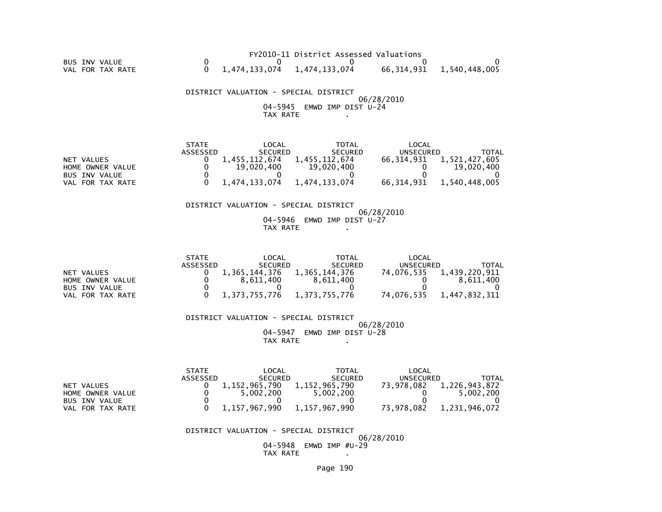|                  |                                 | FY2010-11 District Assessed Valuations |                          |
|------------------|---------------------------------|----------------------------------------|--------------------------|
| BUS INV VALUE    |                                 |                                        |                          |
| VAL FOR TAX RATE | $0$ 1,474,133,074 1,474,133,074 |                                        | 66,314,931 1,540,448,005 |

 DISTRICT VALUATION - SPECIAL DISTRICT 06/28/2010 04-5945 EMWD IMP DIST U-24TAX RATE .

|                      | <b>STATE</b> | LOCAL          | <b>TOTAL</b>   | LOCAL      |               |
|----------------------|--------------|----------------|----------------|------------|---------------|
|                      | ASSESSED     | <b>SECURED</b> | <b>SECURED</b> | UNSECURED  | TOTAL         |
| NET VALUES           |              | 1.455.112.674  | 1,455,112,674  | 66.314.931 | 1,521,427,605 |
| HOME OWNER VALUE     |              | 19,020,400     | 19,020,400     |            | 19,020,400    |
| <b>BUS INV VALUE</b> |              |                |                |            |               |
| VAL FOR TAX RATE     |              | 1.474.133.074  | 1.474.133.074  | 66.314.931 | 1,540,448,005 |

#### DISTRICT VALUATION - SPECIAL DISTRICT

 06/28/2010 04-5946 EMWD IMP DIST U-27TAX RATE .

|                      | <b>STATE</b> | LOCAL          | TOTAL          | LOCAL      |               |
|----------------------|--------------|----------------|----------------|------------|---------------|
|                      | ASSESSED     | <b>SECURED</b> | <b>SECURED</b> | UNSECURED  | TOTAL         |
| NET VALUES           |              | 1.365.144.376  | 1.365.144.376  | 74.076.535 | 1,439,220,911 |
| HOME OWNER VALUE     |              | 8.611.400      | 8.611.400      |            | 8.611.400     |
| <b>BUS INV VALUE</b> |              |                |                |            |               |
| VAL FOR TAX RATE     |              | 1.373.755.776  | 1,373,755,776  | 74.076.535 | 1.447.832.311 |

 DISTRICT VALUATION - SPECIAL DISTRICT 06/28/201004-5947 EMWD IMP DIST U-28

TAX RATE .

|                      | <b>STATE</b>    | ∟OCAL          | TOTAL          | LOCAL            |               |
|----------------------|-----------------|----------------|----------------|------------------|---------------|
|                      | <b>ASSESSED</b> | <b>SECURED</b> | <b>SECURED</b> | <b>UNSECURED</b> | TOTAL         |
| NET VALUES           |                 | 1,152,965,790  | 1,152,965,790  | 73.978.082       | 1,226,943,872 |
| HOME OWNER VALUE     |                 | 5,002,200      | 5,002,200      |                  | 5.002.200     |
| <b>BUS INV VALUE</b> |                 |                |                |                  |               |
| VAL FOR TAX RATE     |                 | 1,157,967,990  | 1,157,967,990  | 73.978.082       | 1.231.946.072 |

#### DISTRICT VALUATION - SPECIAL DISTRICT

 06/28/2010 04-5948 EMWD IMP #U-29TAX RATE ....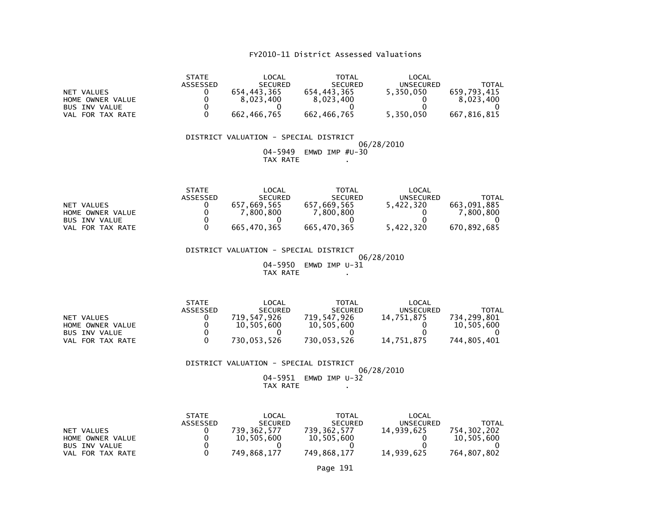|                      | <b>STATE</b>    | LOCAL          | TOTAL          | LOCAL            |             |
|----------------------|-----------------|----------------|----------------|------------------|-------------|
|                      | <b>ASSESSED</b> | <b>SECURED</b> | <b>SECURED</b> | <b>UNSECURED</b> | TOTAL       |
| NET VALUES           |                 | 654.443.365    | 654.443.365    | 5.350.050        | 659.793.415 |
| HOME OWNER VALUE     |                 | 8.023.400      | 8,023,400      |                  | 8.023.400   |
| <b>BUS INV VALUE</b> |                 |                |                |                  |             |
| VAL FOR TAX RATE     |                 | 662.466.765    | 662, 466, 765  | 5,350,050        | 667.816.815 |

#### DISTRICT VALUATION - SPECIAL DISTRICT 06/28/2010 04-5949 EMWD IMP #U-30TAX RATE .

|                      | <b>STATE</b>    | LOCAL          | TOTAL          | $\mathsf{LOCAL}$ |             |
|----------------------|-----------------|----------------|----------------|------------------|-------------|
|                      | <b>ASSESSED</b> | <b>SECURED</b> | <b>SECURED</b> | UNSECURED        | TOTAL       |
| NET VALUES           |                 | 657.669.565    | 657.669.565    | 5.422.320        | 663.091.885 |
| HOME OWNER VALUE     |                 | .800.800       | 7.800.800      |                  | .800.800    |
| <b>BUS INV VALUE</b> |                 |                |                |                  |             |
| VAL FOR TAX RATE     |                 | 665.470.365    | 665.470.365    | 5.422.320        | 670.892.685 |

 DISTRICT VALUATION - SPECIAL DISTRICT 06/28/2010 04-5950 EMWD IMP U-31TAX RATE .

|                      | <b>STATE</b>    | LOCAL          | <b>TOTAL</b>   | LOCAL      |             |
|----------------------|-----------------|----------------|----------------|------------|-------------|
|                      | <b>ASSESSED</b> | <b>SECURED</b> | <b>SECURED</b> | UNSECURED  | TOTAL       |
| NET VALUES           |                 | 719.547.926    | 719.547.926    | 14.751.875 | 734.299.801 |
| HOME OWNER VALUE     |                 | 10.505.600     | 10.505.600     |            | 10.505.600  |
| <b>BUS INV VALUE</b> |                 |                |                |            |             |
| VAL FOR TAX RATE     |                 | 730.053.526    | 730.053.526    | 14.751.875 | 744.805.401 |

 DISTRICT VALUATION - SPECIAL DISTRICT06/28/2010

 04-5951 EMWD IMP U-32 $TAX RATE$ 

|                      | <b>STATE</b> | LOCAL          | TOTAL          | LOCAL            |             |
|----------------------|--------------|----------------|----------------|------------------|-------------|
|                      | ASSESSED     | <b>SECURED</b> | <b>SECURED</b> | <b>UNSECURED</b> | TOTAL       |
| NET VALUES           |              | 739.362.577    | 739,362,577    | 14.939.625       | 754.302.202 |
| HOME OWNER VALUE     |              | 10,505,600     | 10,505,600     |                  | 10.505.600  |
| <b>BUS INV VALUE</b> |              |                |                |                  |             |
| VAL FOR TAX RATE     |              | 749.868.177    | 749.868.177    | 14.939.625       | 764.807.802 |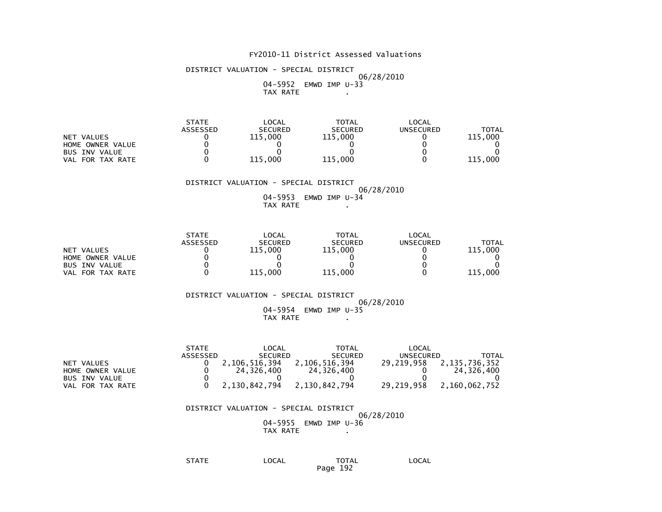DISTRICT VALUATION - SPECIAL DISTRICT 06/28/2010 04-5952 EMWD IMP U-33TAX RATE .

|                      | <b>STATE</b>    | LOCAL          | <b>TOTAL</b>   | LOCAL     |         |
|----------------------|-----------------|----------------|----------------|-----------|---------|
|                      | <b>ASSESSED</b> | <b>SECURED</b> | <b>SECURED</b> | UNSECURED | TOTAL   |
| NET VALUES           |                 | 115.000        | 115.000        |           | 115,000 |
| HOME OWNER VALUE     |                 |                |                |           |         |
| <b>BUS INV VALUE</b> |                 |                |                |           |         |
| FOR TAX RATE<br>VAL  |                 | 115.000        | 115.000        |           | 115,000 |

#### DISTRICT VALUATION - SPECIAL DISTRICT $06/28/2010$ 04-5953 EMWD IMP U-34

TAX RATE .

|                      | <b>STATE</b>    | <b>LOCAL</b>   | TOTAL          | LOCAL            |         |
|----------------------|-----------------|----------------|----------------|------------------|---------|
|                      | <b>ASSESSED</b> | <b>SECURED</b> | <b>SECURED</b> | <b>UNSECURED</b> | TOTAL   |
| NET VALUES           |                 | 115.000        | 115.000        |                  | 115,000 |
| HOME OWNER VALUE     |                 |                |                |                  |         |
| <b>BUS INV VALUE</b> |                 |                |                |                  |         |
| VAL FOR TAX RATE     |                 | 115.000        | 115.000        |                  | 115,000 |

#### DISTRICT VALUATION - SPECIAL DISTRICT 06/28/2010 04-5954 EMWD IMP U-35TAX RATE .

|                      | <b>STATE</b> | LOCAL          | TOTAL          | LOCAL      |               |
|----------------------|--------------|----------------|----------------|------------|---------------|
|                      | ASSESSED     | <b>SECURED</b> | <b>SECURED</b> | UNSECURED  | <b>TOTAL</b>  |
| NET VALUES           |              | 2.106.516.394  | 2,106,516,394  | 29.219.958 | 2,135,736,352 |
| HOME OWNER VALUE     |              | 24.326.400     | 24,326,400     |            | 24.326.400    |
| <b>BUS INV VALUE</b> |              |                |                |            |               |
| VAL FOR TAX RATE     |              | 2.130.842.794  | 2.130.842.794  | 29.219.958 | 2,160,062,752 |

 DISTRICT VALUATION - SPECIAL DISTRICT $06/28/2010$  04-5955 EMWD IMP U-36TAX RATE .

 STATE LOCAL TOTAL LOCALPage 192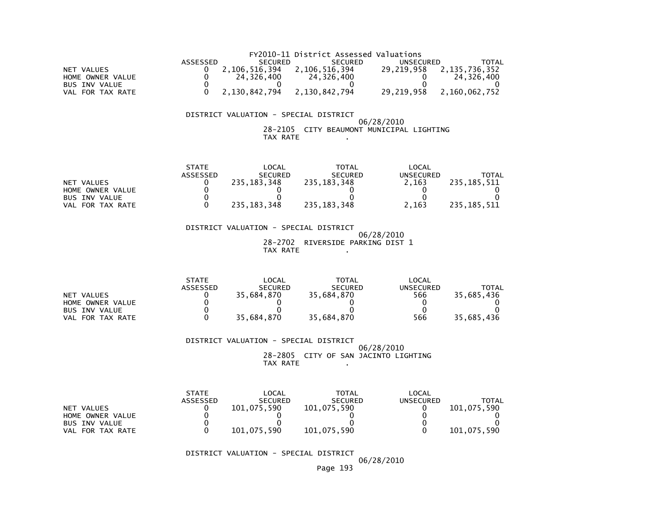|                      |          |                             | FY2010-11 District Assessed Valuations |            |               |
|----------------------|----------|-----------------------------|----------------------------------------|------------|---------------|
|                      | ASSESSED | <b>SECURED</b>              | <b>SECURED</b>                         | UNSECURED  | TOTAL         |
| NET VALUES           |          | 2,106,516,394 2,106,516,394 |                                        | 29.219.958 | 2,135,736,352 |
| HOME OWNER VALUE     |          | 24.326.400                  | 24.326.400                             |            | 24.326.400    |
| <b>BUS INV VALUE</b> |          |                             |                                        |            |               |
| VAL FOR TAX RATE     |          | 2.130.842.794               | 2,130,842,794                          | 29.219.958 | 2.160.062.752 |

#### 06/28/2010 28-2105 CITY BEAUMONT MUNICIPAL LIGHTINGTAX RATE .

|                      | <b>STATE</b>    | LOCAL          | TOTAL          | LOCAL     |               |
|----------------------|-----------------|----------------|----------------|-----------|---------------|
|                      | <b>ASSESSED</b> | <b>SECURED</b> | <b>SECURED</b> | UNSECURED | <b>TOTAL</b>  |
| NET VALUES           |                 | 235.183.348    | 235.183.348    | 2.163     | 235.185.511   |
| HOME OWNER VALUE     |                 |                |                |           |               |
| <b>BUS INV VALUE</b> |                 |                |                |           |               |
| VAL FOR TAX RATE     |                 | 235.183.348    | 235, 183, 348  | 2.163     | 235, 185, 511 |

 DISTRICT VALUATION - SPECIAL DISTRICT 06/28/2010 28-2702 RIVERSIDE PARKING DIST 1TAX RATE .

|                      | <b>STATE</b> | LOCAL          | <b>TOTAL</b>   | LOCAL            |            |
|----------------------|--------------|----------------|----------------|------------------|------------|
|                      | ASSESSED     | <b>SECURED</b> | <b>SECURED</b> | <b>UNSECURED</b> | TOTAL      |
| NET VALUES           |              | 35.684.870     | 35.684.870     | 566              | 35,685,436 |
| HOME OWNER VALUE     |              |                |                |                  |            |
| <b>BUS INV VALUE</b> |              |                |                |                  |            |
| FOR TAX RATE<br>VAL  |              | 35.684.870     | 35.684.870     | 566              | 35,685,436 |

#### DISTRICT VALUATION - SPECIAL DISTRICT 06/28/2010 28-2805 CITY OF SAN JACINTO LIGHTINGTAX RATE .

|                      | <b>STATE</b> | LOCAL          | <b>TOTAL</b>   | LOCAL     |             |
|----------------------|--------------|----------------|----------------|-----------|-------------|
|                      | ASSESSED     | <b>SECURED</b> | <b>SECURED</b> | UNSECURED | TOTAL       |
| NET VALUES           |              | 101.075.590    | 101,075,590    |           | 101.075.590 |
| HOME OWNER VALUE     |              |                |                |           |             |
| <b>BUS INV VALUE</b> |              |                |                |           |             |
| FOR TAX RATE<br>VAL  |              | 101,075,590    | 101,075,590    |           | 101,075,590 |

DISTRICT VALUATION - SPECIAL DISTRICT

06/28/2010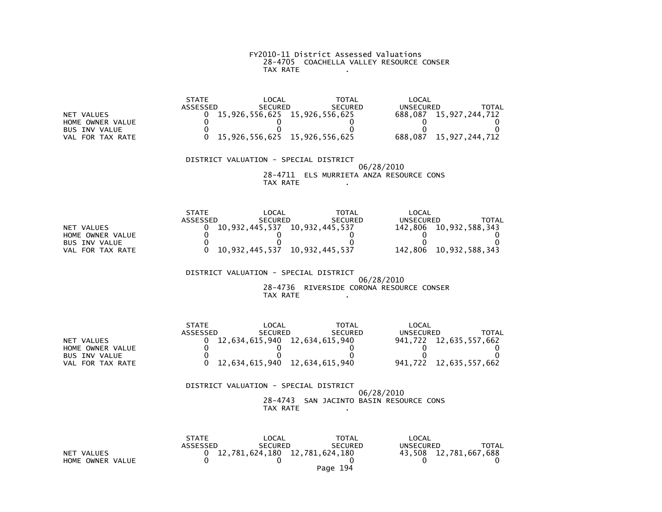# FY2010-11 District Assessed Valuations 28-4705 COACHELLA VALLEY RESOURCE CONSERTAX RATE .

|                      | <b>STATE</b> | LOCAL                         | <b>TOTAL</b>   | LOCAL     |                        |
|----------------------|--------------|-------------------------------|----------------|-----------|------------------------|
|                      | ASSESSED     | <b>SECURED</b>                | <b>SECURED</b> | UNSECURED | TOTAL                  |
| NET VALUES           |              | 15,926,556,625 15,926,556,625 |                |           | 688,087 15,927,244,712 |
| HOME OWNER VALUE     |              |                               |                |           |                        |
| <b>BUS INV VALUE</b> |              |                               |                |           |                        |
| FOR TAX RATE<br>VAL. |              | 15,926,556,625 15,926,556,625 |                | 688.087   | 15,927,244,712         |

#### DISTRICT VALUATION - SPECIAL DISTRICT 06/28/2010 28-4711 ELS MURRIETA ANZA RESOURCE CONSTAX RATE .

|                      | <b>STATE</b> | LOCAL                         | TOTAL          | LOCAL     |                        |
|----------------------|--------------|-------------------------------|----------------|-----------|------------------------|
|                      | ASSESSED     | <b>SECURED</b>                | <b>SECURED</b> | UNSECURED | TOTAL                  |
| NET VALUES           |              | 10,932,445,537 10,932,445,537 |                |           | 142,806 10,932,588,343 |
| HOME OWNER VALUE     |              |                               |                |           |                        |
| <b>BUS INV VALUE</b> |              |                               |                |           |                        |
| VAL FOR TAX RATE     |              | 10.932.445.537 10.932.445.537 |                |           | 142,806 10,932,588,343 |

#### DISTRICT VALUATION - SPECIAL DISTRICT 06/28/2010 28-4736 RIVERSIDE CORONA RESOURCE CONSERTAX RATE .

|                  | <b>STATE</b> | LOCAL                         | <b>TOTAL</b>   | LOCAL     |                        |
|------------------|--------------|-------------------------------|----------------|-----------|------------------------|
|                  | ASSESSED     | <b>SECURED</b>                | <b>SECURED</b> | UNSECURED | TOTAL                  |
| NET VALUES       |              | 12,634,615,940 12,634,615,940 |                |           | 941,722 12,635,557,662 |
| HOME OWNER VALUE |              |                               |                |           |                        |
| BUS INV VALUE    |              |                               |                |           |                        |
| VAL FOR TAX RATE |              | 12,634,615,940 12,634,615,940 |                |           | 941,722 12,635,557,662 |

|  | TAX RATE | DISTRICT VALUATION - SPECIAL DISTRICT | 06/28/2010<br>28-4743 SAN JACINTO BASIN RESOURCE CONS |
|--|----------|---------------------------------------|-------------------------------------------------------|

|                  | <b>STATE</b> | $\mathsf{LOCAL}$                | TOTAL          | LOCAL                 |              |
|------------------|--------------|---------------------------------|----------------|-----------------------|--------------|
|                  | ASSESSED     | <b>SECURED</b>                  | <b>SECURED</b> | UNSECURED             | <b>TOTAL</b> |
| NET VALUES       |              | 0 12,781,624,180 12,781,624,180 |                | 43,508 12,781,667,688 |              |
| HOME OWNER VALUE |              |                                 |                |                       |              |
|                  |              |                                 | Page 194       |                       |              |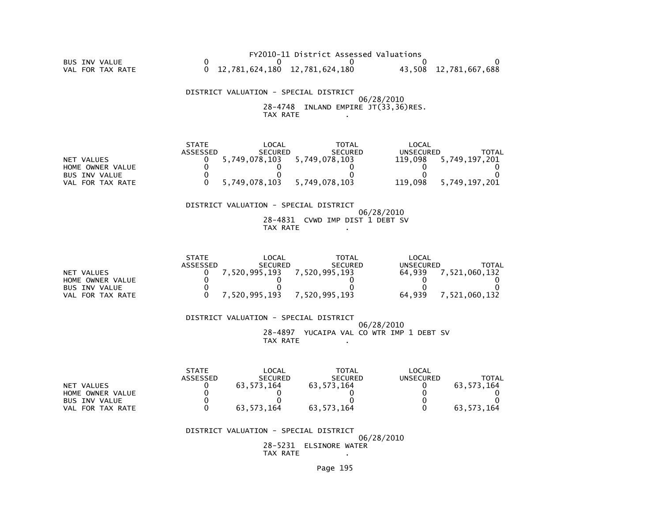FY2010-11 District Assessed Valuations BUS INV VALUE 0 0 0 0 0VAL FOR TAX RATE 0 12,781,624,180 12,781,624,180 43,508 12,781,667,688

 DISTRICT VALUATION - SPECIAL DISTRICT 06/28/2010 28-4748 INLAND EMPIRE JT(33,36)RES.TAX RATE .

|                  | <b>STATE</b> | LOCAL          | TOTAL          | LOCAL     |               |
|------------------|--------------|----------------|----------------|-----------|---------------|
|                  | ASSESSED     | <b>SECURED</b> | <b>SECURED</b> | UNSECURED | TOTAL         |
| NET VALUES       |              | 5,749,078,103  | 5,749,078,103  | 119.098   | 5,749,197,201 |
| HOME OWNER VALUE |              |                |                |           |               |
| BUS INV VALUE    |              |                |                |           |               |
| VAL FOR TAX RATE |              | 5,749,078,103  | 5.749.078.103  | 119,098   | 5.749.197.201 |

#### DISTRICT VALUATION - SPECIAL DISTRICT

#### 06/28/2010 28-4831 CVWD IMP DIST 1 DEBT SVTAX RATE .

|                  | <b>STATE</b> | LOCAL          | TOTAL          | LOCAL     |               |
|------------------|--------------|----------------|----------------|-----------|---------------|
|                  | ASSESSED     | <b>SECURED</b> | <b>SECURED</b> | UNSECURED | <b>TOTAL</b>  |
| NET VALUES       |              | 7,520,995,193  | 7.520.995.193  | 64.939    | 7,521,060,132 |
| HOME OWNER VALUE |              |                |                |           |               |
| BUS INV VALUE    |              |                |                |           |               |
| VAL FOR TAX RATE |              | 7.520.995.193  | 7.520.995.193  | 64.939    | .521.060.132  |

 DISTRICT VALUATION - SPECIAL DISTRICT 06/28/2010 28-4897 YUCAIPA VAL CO WTR IMP 1 DEBT SVTAX RATE .

|                      | <b>STATE</b>    | LOCAL          | <b>TOTAL</b>   | LOCAL     |              |
|----------------------|-----------------|----------------|----------------|-----------|--------------|
|                      | <b>ASSESSED</b> | <b>SECURED</b> | <b>SECURED</b> | UNSECURED | <b>TOTAL</b> |
| NET VALUES           |                 | 63.573.164     | 63.573.164     |           | 63.573.164   |
| HOME OWNER VALUE     |                 |                |                |           |              |
| <b>BUS INV VALUE</b> |                 |                |                |           |              |
| FOR TAX RATE<br>VAL  |                 | 63.573.164     | 63.573.164     |           | 63.573.164   |

#### DISTRICT VALUATION - SPECIAL DISTRICT

 06/28/2010 28-5231 ELSINORE WATERTAX RATE .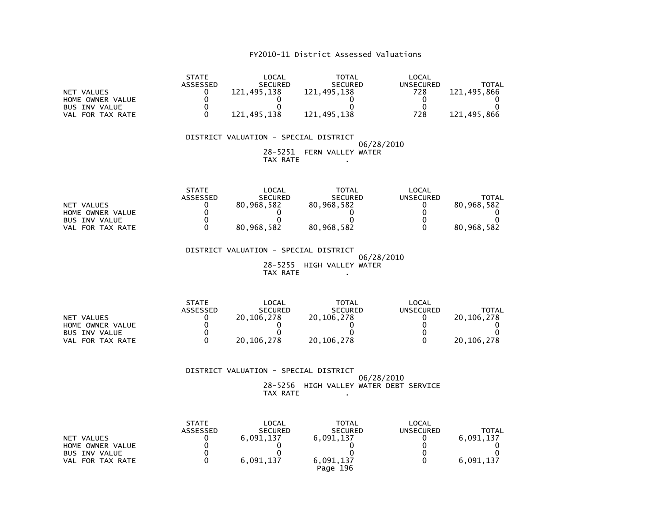| NET VALUES<br>HOME OWNER VALUE<br><b>BUS INV VALUE</b><br>VAL FOR TAX RATE | <b>STATE</b><br>ASSESSED<br>0<br>0<br>0<br>0 | <b>LOCAL</b><br><b>SECURED</b><br>121,495,138<br>0<br>121,495,138 | <b>TOTAL</b><br><b>SECURED</b><br>121,495,138<br>121,495,138         | <b>LOCAL</b><br><b>UNSECURED</b><br>728<br>0<br>0<br>728 | <b>TOTAL</b><br>121,495,866<br>0<br>O<br>121,495,866 |
|----------------------------------------------------------------------------|----------------------------------------------|-------------------------------------------------------------------|----------------------------------------------------------------------|----------------------------------------------------------|------------------------------------------------------|
|                                                                            |                                              | DISTRICT VALUATION - SPECIAL DISTRICT                             |                                                                      | 06/28/2010                                               |                                                      |
|                                                                            |                                              | TAX RATE                                                          | 28-5251 FERN VALLEY WATER                                            |                                                          |                                                      |
| NET VALUES<br>HOME OWNER VALUE<br><b>BUS INV VALUE</b><br>VAL FOR TAX RATE | <b>STATE</b><br>ASSESSED<br>0<br>0<br>0<br>0 | LOCAL<br><b>SECURED</b><br>80,968,582<br>0<br>0<br>80,968,582     | <b>TOTAL</b><br><b>SECURED</b><br>80,968,582<br>0<br>0<br>80,968,582 | LOCAL<br><b>UNSECURED</b><br>0<br>0<br>0<br>0            | <b>TOTAL</b><br>80,968,582<br>0<br>80,968,582        |
|                                                                            |                                              |                                                                   |                                                                      |                                                          |                                                      |
|                                                                            |                                              | DISTRICT VALUATION - SPECIAL DISTRICT<br>TAX RATE                 | 28-5255 HIGH VALLEY WATER                                            | 06/28/2010                                               |                                                      |
| NET VALUES<br>HOME OWNER VALUE<br><b>BUS INV VALUE</b><br>VAL FOR TAX RATE | <b>STATE</b><br>ASSESSED<br>0<br>0<br>0<br>0 | LOCAL<br><b>SECURED</b><br>20, 106, 278<br>0<br>0<br>20, 106, 278 | <b>TOTAL</b><br><b>SECURED</b><br>20, 106, 278<br>0<br>20, 106, 278  | LOCAL<br><b>UNSECURED</b><br>0<br>0<br>0<br>0            | <b>TOTAL</b><br>20,106,278<br>0<br>20, 106, 278      |
|                                                                            |                                              | DISTRICT VALUATION - SPECIAL DISTRICT<br>20 F25                   |                                                                      | 06/28/2010                                               |                                                      |

 28-5256 HIGH VALLEY WATER DEBT SERVICETAX RATE .

| NET VALUES<br>HOME OWNER VALUE<br><b>BUS INV VALUE</b><br>VAL FOR TAX RATE | <b>STATE</b><br><b>ASSESSED</b> | LOCAL<br><b>SECURED</b><br>6,091,137<br>6,091,137 | <b>TOTAL</b><br><b>SECURED</b><br>6,091,137<br>6,091,137 | LOCAL<br><b>UNSECURED</b> | TOTAL<br>6,091,137<br>6,091,137 |
|----------------------------------------------------------------------------|---------------------------------|---------------------------------------------------|----------------------------------------------------------|---------------------------|---------------------------------|
|                                                                            |                                 |                                                   | Page 196                                                 |                           |                                 |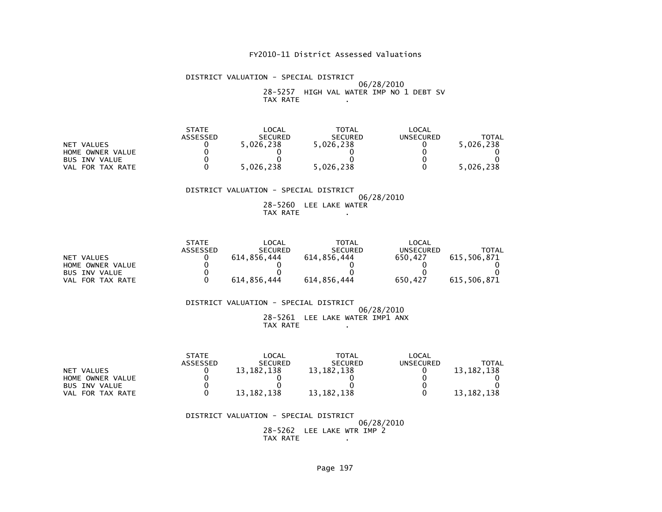#### DISTRICT VALUATION - SPECIAL DISTRICT 06/28/2010 28-5257 HIGH VAL WATER IMP NO 1 DEBT SVTAX RATE .

|                      | <b>STATE</b> | _OCAL          | TOTAL          | LOCAL            |           |
|----------------------|--------------|----------------|----------------|------------------|-----------|
|                      | ASSESSED     | <b>SECURED</b> | <b>SECURED</b> | <b>UNSECURED</b> | TOTAL     |
| NET VALUES           |              | 5.026.238      | 5,026,238      |                  | 5.026.238 |
| HOME OWNER VALUE     |              |                |                |                  |           |
| <b>BUS INV VALUE</b> |              |                |                |                  |           |
| VAL FOR TAX RATE     |              | 5.026.238      | 5,026,238      |                  | 5,026,238 |

#### DISTRICT VALUATION - SPECIAL DISTRICT 06/28/2010 28-5260 LEE LAKE WATERTAX RATE .

|                      | <b>STATE</b> | _OCAL          | <b>TOTAL</b>   | LOCAL     |             |
|----------------------|--------------|----------------|----------------|-----------|-------------|
|                      | ASSESSED     | <b>SECURED</b> | <b>SECURED</b> | UNSECURED | TOTAL       |
| NET VALUES           |              | 614.856.444    | 614.856.444    | 650.427   | 615.506.871 |
| HOME OWNER VALUE     |              |                |                |           |             |
| <b>BUS INV VALUE</b> |              |                |                |           |             |
| FOR TAX RATE<br>VAL  |              | 614.856.444    | 614,856,444    | 650.427   | 615,506,871 |

#### DISTRICT VALUATION - SPECIAL DISTRICT 06/28/2010 28-5261 LEE LAKE WATER IMP1 ANXTAX RATE .

|                            | <b>STATE</b> | _OCAL          | <b>TOTAL</b>   | LOCAL     |              |
|----------------------------|--------------|----------------|----------------|-----------|--------------|
|                            | ASSESSED     | <b>SECURED</b> | <b>SECURED</b> | UNSECURED | TOTAL        |
| NET VALUES                 |              | 13, 182, 138   | 13, 182, 138   |           | 13, 182, 138 |
| HOME OWNER VALUE           |              |                |                |           |              |
| <b>BUS INV VALUE</b>       |              |                |                |           |              |
| FOR TAX RATE<br><b>VAL</b> |              | 13, 182, 138   | 13, 182, 138   |           | 13, 182, 138 |

#### DISTRICT VALUATION - SPECIAL DISTRICT 06/28/2010 28-5262 LEE LAKE WTR IMP 2TAX RATE .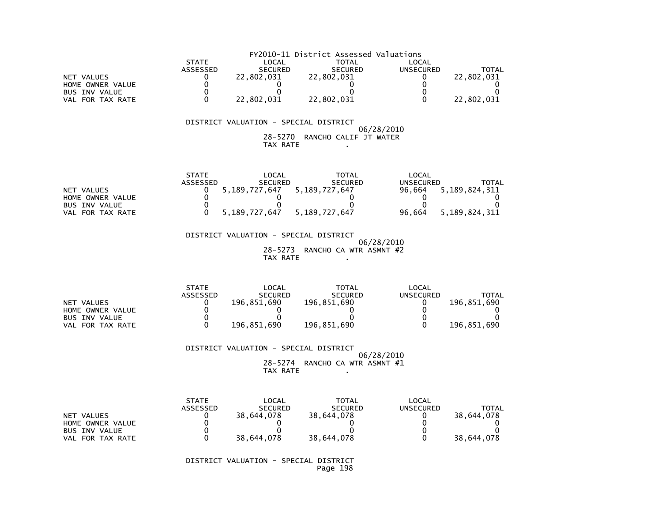|                      | FY2010-11 District Assessed Valuations |                |                |                  |            |  |  |
|----------------------|----------------------------------------|----------------|----------------|------------------|------------|--|--|
|                      | <b>STATE</b>                           | LOCAL          | TOTAL          | LOCAL            |            |  |  |
|                      | <b>ASSESSED</b>                        | <b>SECURED</b> | <b>SECURED</b> | <b>UNSECURED</b> | TOTAL      |  |  |
| NET VALUES           |                                        | 22.802.031     | 22.802.031     |                  | 22.802.031 |  |  |
| HOME OWNER VALUE     |                                        |                |                |                  |            |  |  |
| <b>BUS INV VALUE</b> |                                        |                |                |                  |            |  |  |
| VAL FOR TAX RATE     |                                        | 22.802.031     | 22.802.031     |                  | 22,802,031 |  |  |

#### $06/28/2010$  28-5270 RANCHO CALIF JT WATERTAX RATE .

|                      | <b>STATE</b>    | $\mathsf{LOCAL}$                  | TOTAL          | LOCAL            |               |
|----------------------|-----------------|-----------------------------------|----------------|------------------|---------------|
|                      | <b>ASSESSED</b> | <b>SECURED</b>                    | <b>SECURED</b> | <b>UNSECURED</b> | TOTAL         |
| NET VALUES           |                 | 5, 189, 727, 647 5, 189, 727, 647 |                | 96.664           | 5,189,824,311 |
| HOME OWNER VALUE     |                 |                                   |                |                  |               |
| <b>BUS INV VALUE</b> |                 |                                   |                |                  |               |
| VAL FOR TAX RATE     |                 | 5.189.727.647                     | 5.189.727.647  | 96.664           | 5,189,824,311 |

 DISTRICT VALUATION - SPECIAL DISTRICT 06/28/2010 28-5273 RANCHO CA WTR ASMNT #2TAX RATE

|                      | <b>STATE</b> | LOCAL          | <b>TOTAL</b>   | LOCAL     |             |
|----------------------|--------------|----------------|----------------|-----------|-------------|
|                      | ASSESSED     | <b>SECURED</b> | <b>SECURED</b> | UNSECURED | TOTAL       |
| NET VALUES           |              | 196.851.690    | 196.851.690    |           | 196.851.690 |
| HOME OWNER VALUE     |              |                |                |           |             |
| <b>BUS INV VALUE</b> |              |                |                |           |             |
| VAL FOR TAX RATE     |              | 196.851.690    | 196.851.690    |           | 196.851.690 |

DISTRICT VALUATION - SPECIAL DISTRICT

 $06/28/2010$  $28-5274$  RANCHO CA WTR ASMNT  $\#1$ TAX RATE .

|                      | <b>STATE</b><br>ASSESSED | LOCAL<br><b>SECURED</b> | <b>TOTAL</b><br><b>SECURED</b> | LOCAL<br>UNSECURED | TOTAL      |
|----------------------|--------------------------|-------------------------|--------------------------------|--------------------|------------|
|                      |                          |                         |                                |                    |            |
| NET VALUES           |                          | 38.644.078              | 38.644.078                     |                    | 38.644.078 |
| HOME OWNER VALUE     |                          |                         |                                |                    |            |
| <b>BUS INV VALUE</b> |                          |                         |                                |                    |            |
| VAL FOR TAX RATE     |                          | 38.644.078              | 38.644.078                     |                    | 38,644,078 |

 DISTRICT VALUATION - SPECIAL DISTRICTPage 198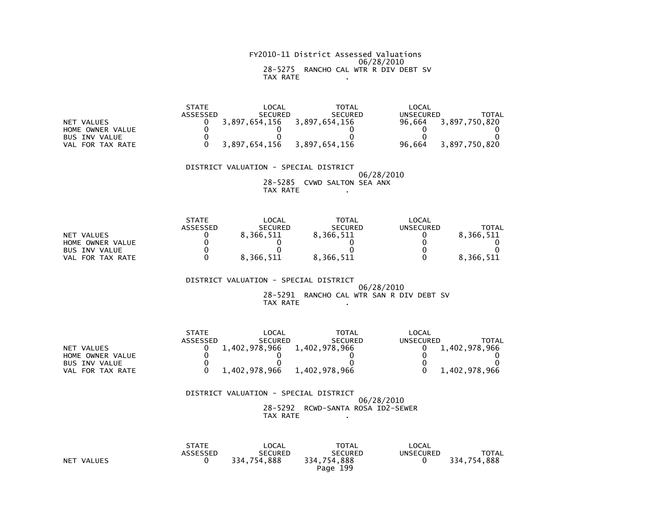# FY2010-11 District Assessed Valuations 06/28/2010 28-5275 RANCHO CAL WTR R DIV DEBT SVTAX RATE .

|                      | <b>STATE</b> | _OCAL          | TOTAL          | LOCAL     |               |
|----------------------|--------------|----------------|----------------|-----------|---------------|
|                      | ASSESSED     | <b>SECURED</b> | <b>SECURED</b> | UNSECURED | TOTAL         |
| NET VALUES           |              | 3.897.654.156  | 3,897,654,156  | 96.664    | 3,897,750,820 |
| HOME OWNER VALUE     |              |                |                |           |               |
| <b>BUS INV VALUE</b> |              |                |                |           |               |
| FOR TAX RATE<br>VAL  |              | 3,897,654,156  | 3,897,654,156  | 96.664    | 3,897,750,820 |

 DISTRICT VALUATION - SPECIAL DISTRICT 06/28/2010 28-5285 CVWD SALTON SEA ANXTAX RATE .

|                      | <b>STATE</b> | LOCAL          | TOTAL          | LOCAL            |           |
|----------------------|--------------|----------------|----------------|------------------|-----------|
|                      | ASSESSED     | <b>SECURED</b> | <b>SECURED</b> | <b>UNSECURED</b> | TOTAL     |
| NET VALUES           |              | 8.366.511      | 8.366.511      |                  | 8.366.511 |
| HOME OWNER VALUE     |              |                |                |                  |           |
| <b>BUS INV VALUE</b> |              |                |                |                  |           |
| FOR TAX RATE<br>VAL  |              | 8.366.511      | 8,366,511      |                  | 8.366.511 |

 DISTRICT VALUATION - SPECIAL DISTRICT 06/28/2010 28-5291 RANCHO CAL WTR SAN R DIV DEBT SVTAX RATE .

|                      | <b>STATE</b> | LOCAL          | TOTAL          | LOCAL     |               |
|----------------------|--------------|----------------|----------------|-----------|---------------|
|                      | ASSESSED     | <b>SECURED</b> | <b>SECURED</b> | UNSECURED | TOTAL         |
| NET VALUES           |              | 1,402,978,966  | 1,402,978,966  |           | 1,402,978,966 |
| HOME OWNER VALUE     |              |                |                |           |               |
| <b>BUS INV VALUE</b> |              |                |                |           |               |
| FOR TAX RATE<br>VAL  |              | 1,402,978,966  | 1,402,978,966  |           | 1,402,978,966 |

| DISTRICT VALUATION - SPECIAL DISTRICT |          |                                   |
|---------------------------------------|----------|-----------------------------------|
|                                       |          | 06/28/2010                        |
|                                       |          | 28-5292 RCWD-SANTA ROSA ID2-SEWER |
|                                       | TAX RATE |                                   |

|            | <b>STATE</b><br><b>ASSESSED</b> | LOCAL<br><b>SECURED</b> | <b>TOTAL</b><br><b>SECURED</b> | LOCAL<br><b>UNSECURED</b> | <b>TOTAL</b> |
|------------|---------------------------------|-------------------------|--------------------------------|---------------------------|--------------|
| NET VALUES |                                 | 334.754.888             | 334,754,888                    |                           | 334.754.888  |
|            |                                 |                         | Page 199                       |                           |              |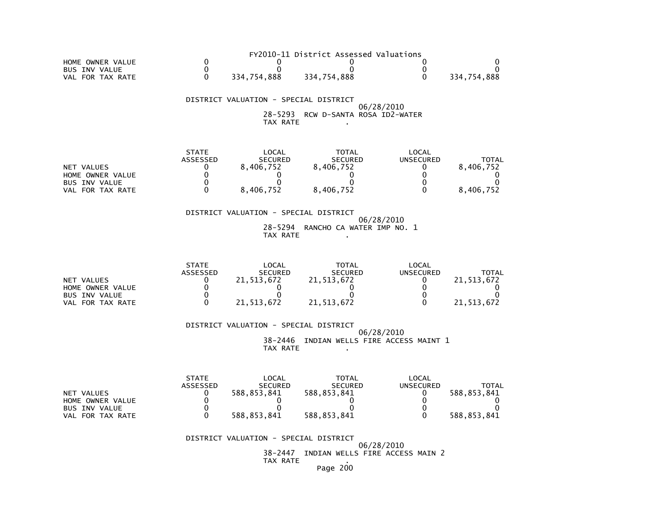|                      |             | FY2010-11 District Assessed Valuations |             |
|----------------------|-------------|----------------------------------------|-------------|
| HOME OWNER VALUE     |             |                                        |             |
| <b>BUS INV VALUE</b> |             |                                        |             |
| VAL FOR TAX RATE     | 334.754.888 | 334.754.888                            | 334.754.888 |

#### DISTRICT VALUATION - SPECIAL DISTRICT 06/28/2010 28-5293 RCW D-SANTA ROSA ID2-WATERTAX RATE .

|                      | <b>STATE</b>    | LOCAL          | TOTAL          | LOCAL     |           |
|----------------------|-----------------|----------------|----------------|-----------|-----------|
|                      | <b>ASSESSED</b> | <b>SECURED</b> | <b>SECURED</b> | UNSECURED | ΤΟΤΑΙ     |
| NET VALUES           |                 | 8.406.752      | 8.406.752      |           | 8.406.752 |
| HOME OWNER VALUE     |                 |                |                |           |           |
| <b>BUS INV VALUE</b> |                 |                |                |           |           |
| FOR TAX RATE<br>VAL  |                 | 8,406,752      | 8,406,752      |           | 8.406.752 |

#### DISTRICT VALUATION - SPECIAL DISTRICT 06/28/2010 28-5294 RANCHO CA WATER IMP NO. 1TAX RATE .

|                      | <b>STATE</b> | LOCAL          | TOTAL          | LOCAL     |              |
|----------------------|--------------|----------------|----------------|-----------|--------------|
|                      | ASSESSED     | <b>SECURED</b> | <b>SECURED</b> | UNSECURED | <b>TOTAL</b> |
| NET VALUES           |              | 21.513.672     | 21,513,672     |           | 21.513.672   |
| HOME OWNER VALUE     |              |                |                |           |              |
| <b>BUS INV VALUE</b> |              |                |                |           |              |
| FOR TAX RATE<br>VAL  |              | 21.513.672     | 21,513,672     |           | 21.513.672   |

#### DISTRICT VALUATION - SPECIAL DISTRICT

 06/28/2010 38-2446 INDIAN WELLS FIRE ACCESS MAINT 1TAX RATE .

|                      | <b>STATE</b>    | LOCAL          | <b>TOTAL</b>   | LOCAL     |             |
|----------------------|-----------------|----------------|----------------|-----------|-------------|
|                      | <b>ASSESSED</b> | <b>SECURED</b> | <b>SECURED</b> | UNSECURED | TOTAL       |
| NET VALUES           |                 | 588.853.841    | 588,853,841    |           | 588.853.841 |
| HOME OWNER VALUE     |                 |                |                |           |             |
| <b>BUS INV VALUE</b> |                 |                |                |           |             |
| VAL FOR TAX RATE     |                 | 588.853.841    | 588,853,841    |           | 588,853,841 |

#### DISTRICT VALUATION - SPECIAL DISTRICT

 06/28/201038-2447 INDIAN WELLS FIRE ACCESS MAIN 2

# TAX RATE .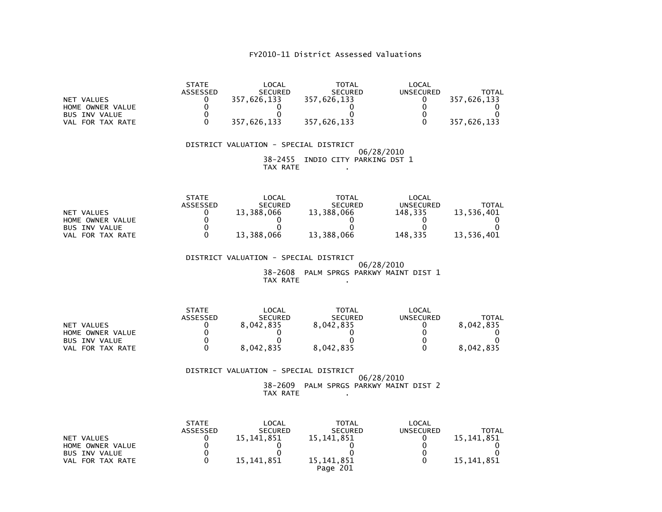| NET VALUES<br>HOME OWNER VALUE<br>BUS INV VALUE<br>VAL FOR TAX RATE        | <b>STATE</b><br>ASSESSED<br>0<br>$\mathbf 0$<br>$\mathbf 0$<br>$\mathbf{0}$            | LOCAL<br>SECURED<br>357,626,133<br>0<br>$\Omega$<br>357,626,133   | TOTAL<br>SECURED<br>357,626,133<br>0<br>$\mathbf{0}$<br>357,626,133               | LOCAL<br><b>UNSECURED</b><br>0<br>$\pmb{0}$<br>$\pmb{0}$<br>$\mathbf{0}$            | <b>TOTAL</b><br>357,626,133<br>0<br>$\mathbf{0}$<br>357,626,133          |
|----------------------------------------------------------------------------|----------------------------------------------------------------------------------------|-------------------------------------------------------------------|-----------------------------------------------------------------------------------|-------------------------------------------------------------------------------------|--------------------------------------------------------------------------|
|                                                                            |                                                                                        | DISTRICT VALUATION - SPECIAL DISTRICT<br>TAX RATE                 | 38-2455 INDIO CITY PARKING DST 1                                                  | 06/28/2010                                                                          |                                                                          |
| NET VALUES<br>HOME OWNER VALUE<br>BUS INV VALUE<br>VAL FOR TAX RATE        | STATE<br>ASSESSED<br>$\mathbf{0}$<br>$\mathbf 0$<br>$\mathbf 0$<br>$\Omega$            | LOCAL<br>SECURED<br>13,388,066<br>0<br>$\Omega$<br>13,388,066     | TOTAL<br>SECURED<br>13,388,066<br>$\Omega$<br>$\mathbf{0}$<br>13,388,066 148,335  | LOCAL<br>UNSECURED<br>148,335<br>$\Omega$<br>$\mathbf{0}$                           | TOTAL<br>13,536,401<br>$\mathbf{0}$<br>$\mathbf{0}$<br>13,536,401        |
|                                                                            |                                                                                        | DISTRICT VALUATION - SPECIAL DISTRICT<br>TAX RATE                 | 38-2608 PALM SPRGS PARKWY MAINT DIST 1                                            | 06/28/2010                                                                          |                                                                          |
| NET VALUES<br>HOME OWNER VALUE<br><b>BUS INV VALUE</b><br>VAL FOR TAX RATE | <b>STATE</b><br>ASSESSED<br>0<br>$\mathbf 0$<br>$\mathbf{0}$<br>$\Omega$               | LOCAL<br>SECURED<br>8,042,835<br>0<br>0<br>8,042,835              | TOTAL<br><b>SECURED</b><br>اSECUR<br>8,042,835<br>0<br>$\Omega$<br>8,042,835      | LOCAL<br><b>UNSECURED</b><br>$\mathbf{0}$<br>$\mathbf 0$<br>$\mathbf 0$<br>$\Omega$ | TOTAL<br>8,042,835<br>$\overline{0}$<br>0<br>8,042,835                   |
|                                                                            |                                                                                        | DISTRICT VALUATION - SPECIAL DISTRICT<br>TAX RATE                 | 38-2609 PALM SPRGS PARKWY MAINT DIST 2                                            | 06/28/2010                                                                          |                                                                          |
| NET VALUES<br>HOME OWNER VALUE<br><b>BUS INV VALUE</b><br>VAL FOR TAX RATE | <b>STATE</b><br>ASSESSED<br>$\mathbf{0}$<br>$\mathbf 0$<br>$\mathbf 0$<br>$\mathbf{0}$ | LOCAL<br>SECURED<br>15, 141, 851<br>0<br>$\Omega$<br>15, 141, 851 | TOTAL<br>SECURED<br>15, 141, 851<br>0<br>$\mathbf{0}$<br>15, 141, 851<br>Page 201 | LOCAL<br><b>UNSECURED</b><br>$\mathbf{0}$<br>$\pmb{0}$<br>$\pmb{0}$<br>$\mathbf{0}$ | <b>TOTAL</b><br>15, 141, 851<br>$\mathbf{0}$<br>$\Omega$<br>15, 141, 851 |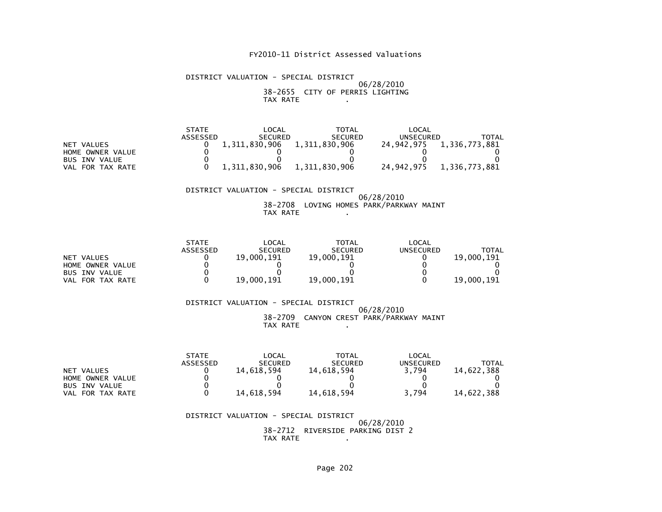#### DISTRICT VALUATION - SPECIAL DISTRICT 06/28/2010 38-2655 CITY OF PERRIS LIGHTINGTAX RATE .

|                      | <b>STATE</b> | LOCAL          | TOTAL          | LOCAL      |               |
|----------------------|--------------|----------------|----------------|------------|---------------|
|                      | ASSESSED     | <b>SECURED</b> | <b>SECURED</b> | UNSECURED  | TOTAL         |
| NET VALUES           |              | 1,311,830,906  | 1,311,830,906  | 24.942.975 | 1,336,773,881 |
| HOME OWNER VALUE     |              |                |                |            |               |
| <b>BUS INV VALUE</b> |              |                |                |            |               |
| VAL FOR TAX RATE     |              | 1.311.830.906  | 1,311,830,906  | 24.942.975 | 1.336.773.881 |

#### DISTRICT VALUATION - SPECIAL DISTRICT 06/28/2010 38-2708 LOVING HOMES PARK/PARKWAY MAINTTAX RATE .

|                      | <b>STATE</b> | _OCAL          | <b>TOTAL</b>   | LOCAL     |            |
|----------------------|--------------|----------------|----------------|-----------|------------|
|                      | ASSESSED     | <b>SECURED</b> | <b>SECURED</b> | UNSECURED | TOTAL      |
| NET VALUES           |              | 19,000.191     | 19,000,191     |           | 19,000.191 |
| HOME OWNER VALUE     |              |                |                |           |            |
| <b>BUS INV VALUE</b> |              |                |                |           |            |
| FOR TAX RATE<br>VAL  |              | 19,000.191     | 19,000,191     |           | 19,000.191 |

#### DISTRICT VALUATION - SPECIAL DISTRICT 06/28/2010 38-2709 CANYON CREST PARK/PARKWAY MAINTTAX RATE .

|                      | <b>STATE</b>    | _OCAL          | TOTAL          | LOCAL            |              |
|----------------------|-----------------|----------------|----------------|------------------|--------------|
|                      | <b>ASSESSED</b> | <b>SECURED</b> | <b>SECURED</b> | <b>UNSECURED</b> | <b>TOTAL</b> |
| NET VALUES           |                 | 14.618.594     | 14.618.594     | 3.794            | 14.622.388   |
| HOME OWNER VALUE     |                 |                |                |                  |              |
| <b>BUS INV VALUE</b> |                 |                |                |                  |              |
| FOR TAX RATE<br>VAL  |                 | 14.618.594     | 14.618.594     | 3.794            | 14.622.388   |

#### DISTRICT VALUATION - SPECIAL DISTRICT 06/28/2010 38-2712 RIVERSIDE PARKING DIST 2TAX RATE .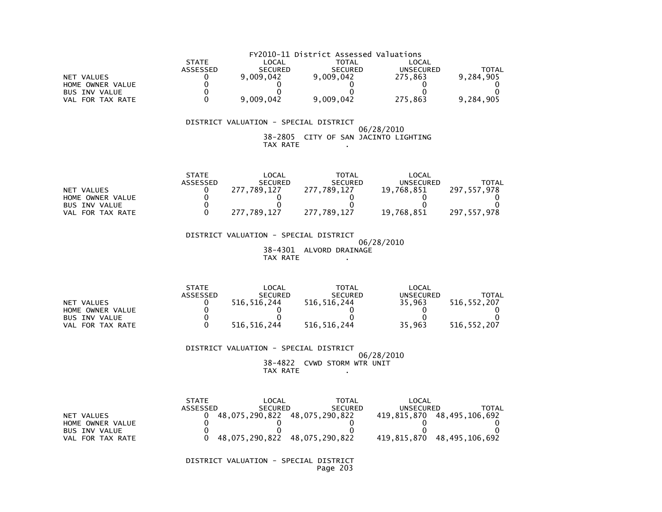|                      | FY2010-11 District Assessed Valuations |                |                |                  |           |  |  |  |
|----------------------|----------------------------------------|----------------|----------------|------------------|-----------|--|--|--|
|                      | <b>STATE</b>                           | LOCAL          | <b>TOTAL</b>   | LOCAL            |           |  |  |  |
|                      | ASSESSED                               | <b>SECURED</b> | <b>SECURED</b> | <b>UNSECURED</b> | TOTAL     |  |  |  |
| NET VALUES           |                                        | 9.009.042      | 9,009,042      | 275.863          | 9.284.905 |  |  |  |
| HOME OWNER VALUE     |                                        |                |                |                  |           |  |  |  |
| <b>BUS INV VALUE</b> |                                        |                |                |                  |           |  |  |  |
| VAL FOR TAX RATE     |                                        | 9,009,042      | 9,009,042      | 275,863          | 9,284,905 |  |  |  |

#### 06/28/2010 38-2805 CITY OF SAN JACINTO LIGHTINGTAX RATE .

|                      | <b>STATE</b>    | _OCAL          | TOTAL          | LOCAL            |               |
|----------------------|-----------------|----------------|----------------|------------------|---------------|
|                      | <b>ASSESSED</b> | <b>SECURED</b> | <b>SECURED</b> | <b>UNSECURED</b> | TOTAL         |
| NET VALUES           |                 | 277.789.127    | 277.789.127    | 19.768.851       | 297.557.978   |
| HOME OWNER VALUE     |                 |                |                |                  |               |
| <b>BUS INV VALUE</b> |                 |                |                |                  |               |
| FOR TAX RATE<br>VAL  |                 | 277.789.127    | 277.789.127    | 19,768,851       | 297, 557, 978 |

 DISTRICT VALUATION - SPECIAL DISTRICT 06/28/2010 38-4301 ALVORD DRAINAGETAX RATE .

|                      | <b>STATE</b>    | LOCAL          | <b>TOTAL</b>   | LOCAL     |               |
|----------------------|-----------------|----------------|----------------|-----------|---------------|
|                      | <b>ASSESSED</b> | <b>SECURED</b> | <b>SECURED</b> | UNSECURED | TOTAL         |
| NET VALUES           |                 | 516.516.244    | 516,516,244    | 35.963    | 516.552.207   |
| HOME OWNER VALUE     |                 |                |                |           |               |
| <b>BUS INV VALUE</b> |                 |                |                |           |               |
| FOR TAX RATE<br>VAL  |                 | 516, 516, 244  | 516,516,244    | 35,963    | 516, 552, 207 |

 DISTRICT VALUATION - SPECIAL DISTRICT 06/28/2010 38-4822 CVWD STORM WTR UNITTAX RATE .

|                      | <b>STATE</b> | LOCAL                         | <b>TOTAL</b>   | LOCAL       |                            |
|----------------------|--------------|-------------------------------|----------------|-------------|----------------------------|
|                      | ASSESSED     | <b>SECURED</b>                | <b>SECURED</b> | UNSECURED   | TOTAL                      |
| NET VALUES           |              | 48,075,290,822 48,075,290,822 |                |             | 419,815,870 48,495,106,692 |
| HOME OWNER VALUE     |              |                               |                |             |                            |
| BUS INV VALUE        |              |                               |                |             |                            |
| VAL.<br>FOR TAX RATE |              | 48,075,290,822                | 48,075,290,822 | 419,815,870 | 48,495,106,692             |

 DISTRICT VALUATION - SPECIAL DISTRICTPage 203